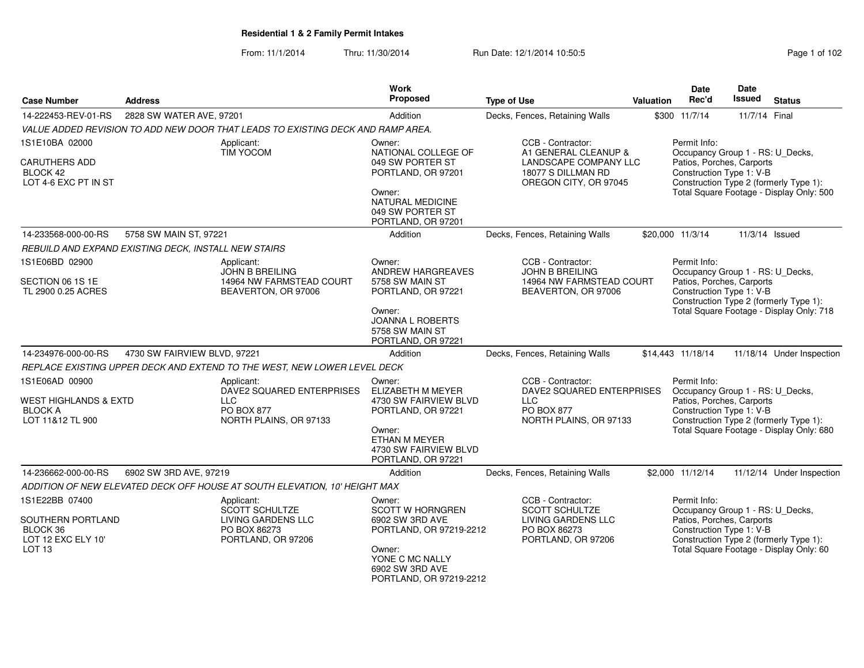From: 11/1/2014Thru: 11/30/2014 Run Date: 12/1/2014 10:50:5<br> **Page 1 of 102** 

| <b>Case Number</b>                                          | <b>Address</b>                                       |                                                                                 | <b>Work</b><br>Proposed                                                     | <b>Type of Use</b>                                                      | <b>Valuation</b> | <b>Date</b><br>Rec'd                                                          | Date<br><b>Issued</b>                  | <b>Status</b>                            |
|-------------------------------------------------------------|------------------------------------------------------|---------------------------------------------------------------------------------|-----------------------------------------------------------------------------|-------------------------------------------------------------------------|------------------|-------------------------------------------------------------------------------|----------------------------------------|------------------------------------------|
| 14-222453-REV-01-RS                                         | 2828 SW WATER AVE, 97201                             |                                                                                 | Addition                                                                    | Decks, Fences, Retaining Walls                                          |                  | \$300 11/7/14                                                                 | 11/7/14 Final                          |                                          |
|                                                             |                                                      | VALUE ADDED REVISION TO ADD NEW DOOR THAT LEADS TO EXISTING DECK AND RAMP AREA. |                                                                             |                                                                         |                  |                                                                               |                                        |                                          |
| 1S1E10BA 02000                                              |                                                      | Applicant:<br>TIM YOCOM                                                         | Owner:<br>NATIONAL COLLEGE OF                                               | CCB - Contractor:<br>A1 GENERAL CLEANUP &                               |                  | Permit Info:<br>Occupancy Group 1 - RS: U_Decks,                              |                                        |                                          |
| <b>CARUTHERS ADD</b><br>BLOCK 42<br>LOT 4-6 EXC PT IN ST    |                                                      |                                                                                 | 049 SW PORTER ST<br>PORTLAND, OR 97201                                      | LANDSCAPE COMPANY LLC<br>18077 S DILLMAN RD<br>OREGON CITY, OR 97045    |                  | Patios, Porches, Carports<br>Construction Type 1: V-B                         |                                        | Construction Type 2 (formerly Type 1):   |
|                                                             |                                                      |                                                                                 | Owner:<br><b>NATURAL MEDICINE</b><br>049 SW PORTER ST<br>PORTLAND, OR 97201 |                                                                         |                  |                                                                               |                                        | Total Square Footage - Display Only: 500 |
| 14-233568-000-00-RS                                         | 5758 SW MAIN ST, 97221                               |                                                                                 | Addition                                                                    | Decks, Fences, Retaining Walls                                          |                  | \$20,000 11/3/14                                                              |                                        | 11/3/14 Issued                           |
|                                                             | REBUILD AND EXPAND EXISTING DECK, INSTALL NEW STAIRS |                                                                                 |                                                                             |                                                                         |                  |                                                                               |                                        |                                          |
| 1S1E06BD 02900<br>SECTION 06 1S 1E                          |                                                      | Applicant:<br><b>JOHN B BREILING</b><br>14964 NW FARMSTEAD COURT                | Owner:<br>ANDREW HARGREAVES<br>5758 SW MAIN ST                              | CCB - Contractor:<br><b>JOHN B BREILING</b><br>14964 NW FARMSTEAD COURT |                  | Permit Info:<br>Occupancy Group 1 - RS: U_Decks,<br>Patios, Porches, Carports |                                        |                                          |
| TL 2900 0.25 ACRES                                          |                                                      | BEAVERTON, OR 97006                                                             | PORTLAND, OR 97221                                                          | BEAVERTON, OR 97006                                                     |                  | Construction Type 1: V-B                                                      |                                        | Construction Type 2 (formerly Type 1):   |
|                                                             |                                                      |                                                                                 | Owner:<br><b>JOANNA L ROBERTS</b><br>5758 SW MAIN ST<br>PORTLAND, OR 97221  |                                                                         |                  |                                                                               |                                        | Total Square Footage - Display Only: 718 |
| 14-234976-000-00-RS                                         | 4730 SW FAIRVIEW BLVD, 97221                         |                                                                                 | Addition                                                                    | Decks, Fences, Retaining Walls                                          |                  | \$14,443 11/18/14                                                             |                                        | 11/18/14 Under Inspection                |
|                                                             |                                                      | REPLACE EXISTING UPPER DECK AND EXTEND TO THE WEST, NEW LOWER LEVEL DECK        |                                                                             |                                                                         |                  |                                                                               |                                        |                                          |
| 1S1E06AD 00900                                              |                                                      | Applicant:<br>DAVE2 SQUARED ENTERPRISES                                         | Owner:<br>ELIZABETH M MEYER                                                 | CCB - Contractor:<br>DAVE2 SQUARED ENTERPRISES                          |                  | Permit Info:<br>Occupancy Group 1 - RS: U_Decks,                              |                                        |                                          |
| WEST HIGHLANDS & EXTD<br><b>BLOCK A</b><br>LOT 11&12 TL 900 |                                                      | <b>LLC</b><br>PO BOX 877<br>NORTH PLAINS, OR 97133                              | 4730 SW FAIRVIEW BLVD<br>PORTLAND, OR 97221                                 | <b>LLC</b><br>PO BOX 877<br>NORTH PLAINS, OR 97133                      |                  | Patios, Porches, Carports<br>Construction Type 1: V-B                         |                                        | Construction Type 2 (formerly Type 1):   |
|                                                             |                                                      |                                                                                 | Owner:<br>ETHAN M MEYER<br>4730 SW FAIRVIEW BLVD<br>PORTLAND, OR 97221      |                                                                         |                  |                                                                               |                                        | Total Square Footage - Display Only: 680 |
| 14-236662-000-00-RS                                         | 6902 SW 3RD AVE, 97219                               |                                                                                 | Addition                                                                    | Decks, Fences, Retaining Walls                                          |                  | \$2,000 11/12/14                                                              |                                        | 11/12/14 Under Inspection                |
|                                                             |                                                      | ADDITION OF NEW ELEVATED DECK OFF HOUSE AT SOUTH ELEVATION, 10' HEIGHT MAX      |                                                                             |                                                                         |                  |                                                                               |                                        |                                          |
| 1S1E22BB 07400                                              |                                                      | Applicant:<br><b>SCOTT SCHULTZE</b>                                             | Owner:<br><b>SCOTT W HORNGREN</b>                                           | CCB - Contractor:<br><b>SCOTT SCHULTZE</b>                              |                  | Permit Info:<br>Occupancy Group 1 - RS: U_Decks,                              |                                        |                                          |
| SOUTHERN PORTLAND<br>BLOCK 36<br>LOT 12 EXC ELY 10'         |                                                      | LIVING GARDENS LLC<br>PO BOX 86273<br>PORTLAND, OR 97206                        | 6902 SW 3RD AVE<br>PORTLAND, OR 97219-2212                                  | LIVING GARDENS LLC<br>PO BOX 86273<br>PORTLAND, OR 97206                |                  | Patios, Porches, Carports<br>Construction Type 1: V-B                         | Construction Type 2 (formerly Type 1): |                                          |
| LOT <sub>13</sub>                                           |                                                      |                                                                                 | Owner:<br>YONE C MC NALLY<br>6902 SW 3RD AVE<br>PORTLAND, OR 97219-2212     |                                                                         |                  |                                                                               |                                        | Total Square Footage - Display Only: 60  |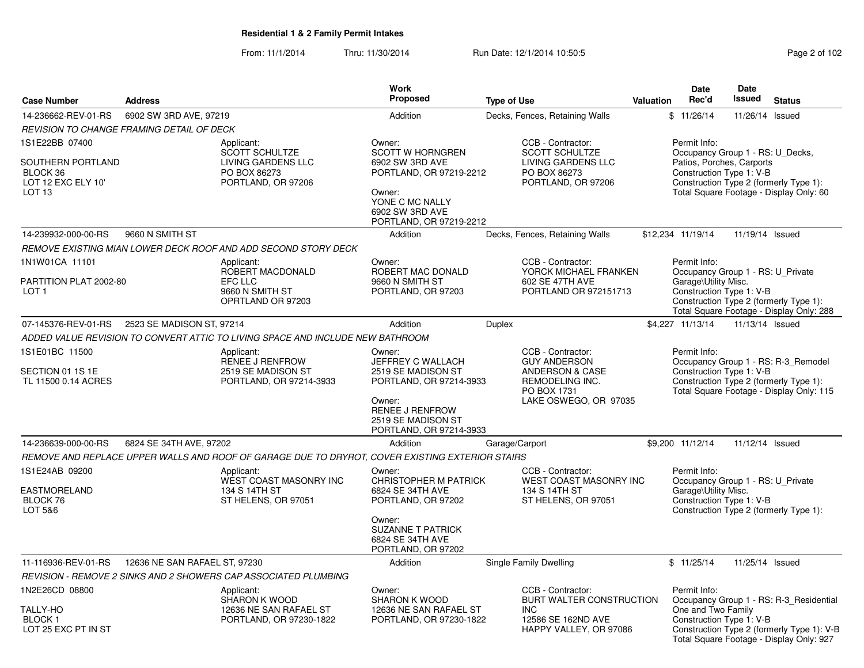From: 11/1/2014Thru: 11/30/2014 Run Date: 12/1/2014 10:50:5

|                                                                                                                                             |                               |                                                                                                 | <b>Work</b>                                                                                                                                                |                                                                                                                                   |           | <b>Date</b>                                                                                               | <b>Date</b>                                                                                                               |                                                                                                                                   |
|---------------------------------------------------------------------------------------------------------------------------------------------|-------------------------------|-------------------------------------------------------------------------------------------------|------------------------------------------------------------------------------------------------------------------------------------------------------------|-----------------------------------------------------------------------------------------------------------------------------------|-----------|-----------------------------------------------------------------------------------------------------------|---------------------------------------------------------------------------------------------------------------------------|-----------------------------------------------------------------------------------------------------------------------------------|
| <b>Case Number</b>                                                                                                                          | <b>Address</b>                |                                                                                                 | Proposed                                                                                                                                                   | <b>Type of Use</b>                                                                                                                | Valuation | Rec'd                                                                                                     | <b>Issued</b>                                                                                                             | <b>Status</b>                                                                                                                     |
| 14-236662-REV-01-RS                                                                                                                         | 6902 SW 3RD AVE, 97219        |                                                                                                 | Addition                                                                                                                                                   | Decks, Fences, Retaining Walls                                                                                                    |           | \$11/26/14                                                                                                | 11/26/14 Issued                                                                                                           |                                                                                                                                   |
| REVISION TO CHANGE FRAMING DETAIL OF DECK                                                                                                   |                               |                                                                                                 |                                                                                                                                                            |                                                                                                                                   |           |                                                                                                           |                                                                                                                           |                                                                                                                                   |
| 1S1E22BB 07400<br>SOUTHERN PORTLAND<br>BLOCK 36<br>LOT 12 EXC ELY 10'<br>LOT <sub>13</sub>                                                  |                               | Applicant:<br><b>SCOTT SCHULTZE</b><br>LIVING GARDENS LLC<br>PO BOX 86273<br>PORTLAND, OR 97206 | Owner:<br><b>SCOTT W HORNGREN</b><br>6902 SW 3RD AVE<br>PORTLAND, OR 97219-2212<br>Owner:<br>YONE C MC NALLY<br>6902 SW 3RD AVE<br>PORTLAND, OR 97219-2212 | CCB - Contractor:<br><b>SCOTT SCHULTZE</b><br>LIVING GARDENS LLC<br>PO BOX 86273<br>PORTLAND, OR 97206                            |           | Permit Info:<br>Occupancy Group 1 - RS: U Decks,<br>Patios, Porches, Carports<br>Construction Type 1: V-B |                                                                                                                           | Construction Type 2 (formerly Type 1):<br>Total Square Footage - Display Only: 60                                                 |
| 14-239932-000-00-RS                                                                                                                         | 9660 N SMITH ST               |                                                                                                 | Addition                                                                                                                                                   | Decks, Fences, Retaining Walls                                                                                                    |           | \$12,234 11/19/14                                                                                         | 11/19/14 Issued                                                                                                           |                                                                                                                                   |
|                                                                                                                                             |                               | REMOVE EXISTING MIAN LOWER DECK ROOF AND ADD SECOND STORY DECK                                  |                                                                                                                                                            |                                                                                                                                   |           |                                                                                                           |                                                                                                                           |                                                                                                                                   |
| 1N1W01CA 11101<br>PARTITION PLAT 2002-80<br>LOT 1                                                                                           |                               | Applicant:<br>ROBERT MACDONALD<br><b>EFC LLC</b><br>9660 N SMITH ST<br>OPRTLAND OR 97203        | Owner:<br>ROBERT MAC DONALD<br>9660 N SMITH ST<br>PORTLAND, OR 97203                                                                                       | CCB - Contractor:<br>YORCK MICHAEL FRANKEN<br>602 SE 47TH AVE<br>PORTLAND OR 972151713                                            |           | Permit Info:<br>Occupancy Group 1 - RS: U_Private<br>Garage\Utility Misc.<br>Construction Type 1: V-B     |                                                                                                                           | Construction Type 2 (formerly Type 1):<br>Total Square Footage - Display Only: 288                                                |
| 07-145376-REV-01-RS                                                                                                                         | 2523 SE MADISON ST, 97214     |                                                                                                 | Addition                                                                                                                                                   | <b>Duplex</b>                                                                                                                     |           | \$4,227 11/13/14                                                                                          | 11/13/14 Issued                                                                                                           |                                                                                                                                   |
|                                                                                                                                             |                               |                                                                                                 |                                                                                                                                                            |                                                                                                                                   |           |                                                                                                           |                                                                                                                           |                                                                                                                                   |
| ADDED VALUE REVISION TO CONVERT ATTIC TO LIVING SPACE AND INCLUDE NEW BATHROOM<br>1S1E01BC 11500<br>SECTION 01 1S 1E<br>TL 11500 0.14 ACRES |                               | Applicant:<br>RENEE J RENFROW<br>2519 SE MADISON ST<br>PORTLAND, OR 97214-3933                  | Owner:<br>JEFFREY C WALLACH<br>2519 SE MADISON ST<br>PORTLAND, OR 97214-3933<br>Owner:<br>RENEE J RENFROW<br>2519 SE MADISON ST<br>PORTLAND, OR 97214-3933 | CCB - Contractor:<br><b>GUY ANDERSON</b><br><b>ANDERSON &amp; CASE</b><br>REMODELING INC.<br>PO BOX 1731<br>LAKE OSWEGO, OR 97035 |           | Permit Info:<br>Construction Type 1: V-B                                                                  | Occupancy Group 1 - RS: R-3_Remodel<br>Construction Type 2 (formerly Type 1):<br>Total Square Footage - Display Only: 115 |                                                                                                                                   |
| 14-236639-000-00-RS                                                                                                                         | 6824 SE 34TH AVE, 97202       |                                                                                                 | Addition                                                                                                                                                   | Garage/Carport                                                                                                                    |           | \$9.200 11/12/14                                                                                          | 11/12/14 Issued                                                                                                           |                                                                                                                                   |
|                                                                                                                                             |                               | REMOVE AND REPLACE UPPER WALLS AND ROOF OF GARAGE DUE TO DRYROT, COVER EXISTING EXTERIOR STAIRS |                                                                                                                                                            |                                                                                                                                   |           |                                                                                                           |                                                                                                                           |                                                                                                                                   |
| 1S1E24AB 09200<br><b>EASTMORELAND</b><br>BLOCK 76<br>LOT 5&6                                                                                |                               | Applicant:<br>WEST COAST MASONRY INC<br>134 S 14TH ST<br>ST HELENS, OR 97051                    | Owner:<br>CHRISTOPHER M PATRICK<br>6824 SE 34TH AVE<br>PORTLAND, OR 97202<br>Owner:<br><b>SUZANNE T PATRICK</b><br>6824 SE 34TH AVE<br>PORTLAND, OR 97202  | CCB - Contractor:<br>WEST COAST MASONRY INC<br>134 S 14TH ST<br>ST HELENS, OR 97051                                               |           | Permit Info:<br>Occupancy Group 1 - RS: U Private<br>Garage\Utility Misc.<br>Construction Type 1: V-B     |                                                                                                                           | Construction Type 2 (formerly Type 1):                                                                                            |
| 11-116936-REV-01-RS                                                                                                                         | 12636 NE SAN RAFAEL ST, 97230 |                                                                                                 | Addition                                                                                                                                                   | Single Family Dwelling                                                                                                            |           | \$11/25/14                                                                                                | 11/25/14 Issued                                                                                                           |                                                                                                                                   |
|                                                                                                                                             |                               | REVISION - REMOVE 2 SINKS AND 2 SHOWERS CAP ASSOCIATED PLUMBING                                 |                                                                                                                                                            |                                                                                                                                   |           |                                                                                                           |                                                                                                                           |                                                                                                                                   |
| 1N2E26CD 08800<br><b>TALLY-HO</b><br><b>BLOCK1</b><br>LOT 25 EXC PT IN ST                                                                   |                               | Applicant:<br>SHARON K WOOD<br>12636 NE SAN RAFAEL ST<br>PORTLAND, OR 97230-1822                | Owner:<br>SHARON K WOOD<br>12636 NE SAN RAFAEL ST<br>PORTLAND, OR 97230-1822                                                                               | CCB - Contractor:<br>BURT WALTER CONSTRUCTION<br><b>INC</b><br>12586 SE 162ND AVE<br>HAPPY VALLEY, OR 97086                       |           | Permit Info:<br>One and Two Family<br>Construction Type 1: V-B                                            |                                                                                                                           | Occupancy Group 1 - RS: R-3_Residential<br>Construction Type 2 (formerly Type 1): V-B<br>Total Square Footage - Display Only: 927 |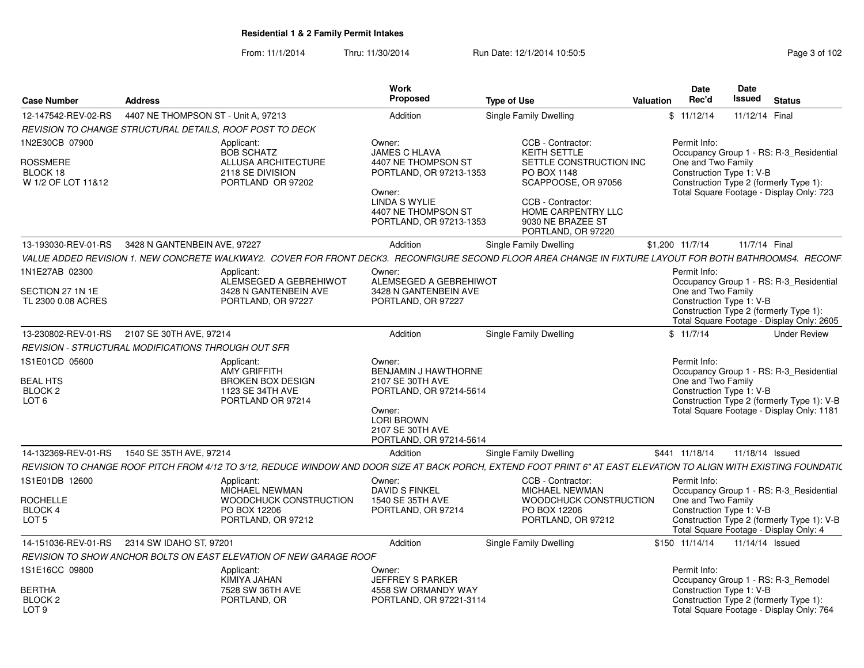From: 11/1/2014Thru: 11/30/2014 Run Date: 12/1/2014 10:50:5<br> **Page 3 of 102** 

| <b>Case Number</b>                                                          | <b>Address</b>                                                                                                                                                      | Work<br>Proposed                                                                                                                                                     | <b>Type of Use</b>                                                                                                                                                                                     | <b>Valuation</b> | <b>Date</b><br>Rec'd                                           | Date<br>Issued | <b>Status</b>                                                                                                                      |
|-----------------------------------------------------------------------------|---------------------------------------------------------------------------------------------------------------------------------------------------------------------|----------------------------------------------------------------------------------------------------------------------------------------------------------------------|--------------------------------------------------------------------------------------------------------------------------------------------------------------------------------------------------------|------------------|----------------------------------------------------------------|----------------|------------------------------------------------------------------------------------------------------------------------------------|
| 12-147542-REV-02-RS                                                         | 4407 NE THOMPSON ST - Unit A, 97213                                                                                                                                 | Addition                                                                                                                                                             | Single Family Dwelling                                                                                                                                                                                 |                  | \$11/12/14                                                     | 11/12/14 Final |                                                                                                                                    |
|                                                                             | REVISION TO CHANGE STRUCTURAL DETAILS, ROOF POST TO DECK                                                                                                            |                                                                                                                                                                      |                                                                                                                                                                                                        |                  |                                                                |                |                                                                                                                                    |
| 1N2E30CB 07900<br><b>ROSSMERE</b><br>BLOCK 18<br>W 1/2 OF LOT 11&12         | Applicant:<br><b>BOB SCHATZ</b><br>ALLUSA ARCHITECTURE<br>2118 SE DIVISION<br>PORTLAND OR 97202                                                                     | Owner:<br><b>JAMES C HLAVA</b><br>4407 NE THOMPSON ST<br>PORTLAND, OR 97213-1353<br>Owner:<br><b>LINDA S WYLIE</b><br>4407 NE THOMPSON ST<br>PORTLAND, OR 97213-1353 | CCB - Contractor:<br><b>KEITH SETTLE</b><br>SETTLE CONSTRUCTION INC<br>PO BOX 1148<br>SCAPPOOSE, OR 97056<br>CCB - Contractor:<br><b>HOME CARPENTRY LLC</b><br>9030 NE BRAZEE ST<br>PORTLAND, OR 97220 |                  | Permit Info:<br>One and Two Family<br>Construction Type 1: V-B |                | Occupancy Group 1 - RS: R-3_Residential<br>Construction Type 2 (formerly Type 1):<br>Total Square Footage - Display Only: 723      |
| 13-193030-REV-01-RS                                                         | 3428 N GANTENBEIN AVE, 97227                                                                                                                                        | Addition                                                                                                                                                             | Single Family Dwelling                                                                                                                                                                                 |                  | \$1,200 11/7/14                                                | 11/7/14 Final  |                                                                                                                                    |
|                                                                             | VALUE ADDED REVISION 1. NEW CONCRETE WALKWAY2. COVER FOR FRONT DECK3. RECONFIGURE SECOND FLOOR AREA CHANGE IN FIXTURE LAYOUT FOR BOTH BATHROOMS4. RECONF.           |                                                                                                                                                                      |                                                                                                                                                                                                        |                  |                                                                |                |                                                                                                                                    |
| 1N1E27AB 02300<br>SECTION 27 1N 1E<br>TL 2300 0.08 ACRES                    | Applicant:<br>ALEMSEGED A GEBREHIWOT<br>3428 N GANTENBEIN AVE<br>PORTLAND, OR 97227                                                                                 | Owner:<br>ALEMSEGED A GEBREHIWOT<br>3428 N GANTENBEIN AVE<br>PORTLAND, OR 97227                                                                                      |                                                                                                                                                                                                        |                  | Permit Info:<br>One and Two Family<br>Construction Type 1: V-B |                | Occupancy Group 1 - RS: R-3_Residential<br>Construction Type 2 (formerly Type 1):<br>Total Square Footage - Display Only: 2605     |
| 13-230802-REV-01-RS                                                         | 2107 SE 30TH AVE, 97214                                                                                                                                             | Addition                                                                                                                                                             | Single Family Dwelling                                                                                                                                                                                 |                  | \$11/7/14                                                      |                | <b>Under Review</b>                                                                                                                |
|                                                                             | REVISION - STRUCTURAL MODIFICATIONS THROUGH OUT SFR                                                                                                                 |                                                                                                                                                                      |                                                                                                                                                                                                        |                  |                                                                |                |                                                                                                                                    |
| 1S1E01CD 05600<br><b>BEAL HTS</b><br>BLOCK <sub>2</sub><br>LOT <sub>6</sub> | Applicant:<br><b>AMY GRIFFITH</b><br><b>BROKEN BOX DESIGN</b><br>1123 SE 34TH AVE<br>PORTLAND OR 97214                                                              | Owner:<br>BENJAMIN J HAWTHORNE<br>2107 SE 30TH AVE<br>PORTLAND, OR 97214-5614<br>Owner:<br><b>LORI BROWN</b><br>2107 SE 30TH AVE<br>PORTLAND, OR 97214-5614          |                                                                                                                                                                                                        |                  | Permit Info:<br>One and Two Family<br>Construction Type 1: V-B |                | Occupancy Group 1 - RS: R-3_Residential<br>Construction Type 2 (formerly Type 1): V-B<br>Total Square Footage - Display Only: 1181 |
| 14-132369-REV-01-RS                                                         | 1540 SE 35TH AVE, 97214                                                                                                                                             | Addition                                                                                                                                                             | Single Family Dwelling                                                                                                                                                                                 |                  | \$441 11/18/14                                                 |                | 11/18/14 Issued                                                                                                                    |
|                                                                             | REVISION TO CHANGE ROOF PITCH FROM 4/12 TO 3/12, REDUCE WINDOW AND DOOR SIZE AT BACK PORCH, EXTEND FOOT PRINT 6" AT EAST ELEVATION TO ALIGN WITH EXISTING FOUNDATI( |                                                                                                                                                                      |                                                                                                                                                                                                        |                  |                                                                |                |                                                                                                                                    |
| 1S1E01DB 12600<br><b>ROCHELLE</b><br>BLOCK 4<br>LOT <sub>5</sub>            | Applicant:<br>MICHAEL NEWMAN<br>WOODCHUCK CONSTRUCTION<br>PO BOX 12206<br>PORTLAND, OR 97212                                                                        | Owner:<br><b>DAVID S FINKEL</b><br>1540 SE 35TH AVE<br>PORTLAND, OR 97214                                                                                            | CCB - Contractor:<br><b>MICHAEL NEWMAN</b><br>WOODCHUCK CONSTRUCTION<br>PO BOX 12206<br>PORTLAND, OR 97212                                                                                             |                  | Permit Info:<br>One and Two Family<br>Construction Type 1: V-B |                | Occupancy Group 1 - RS: R-3_Residential<br>Construction Type 2 (formerly Type 1): V-B                                              |
|                                                                             |                                                                                                                                                                     |                                                                                                                                                                      |                                                                                                                                                                                                        |                  |                                                                |                | Total Square Footage - Display Only: 4                                                                                             |
| 14-151036-REV-01-RS                                                         | 2314 SW IDAHO ST, 97201                                                                                                                                             | Addition                                                                                                                                                             | <b>Single Family Dwelling</b>                                                                                                                                                                          |                  | \$150 11/14/14                                                 |                | 11/14/14 Issued                                                                                                                    |
| 1S1E16CC 09800                                                              | REVISION TO SHOW ANCHOR BOLTS ON EAST ELEVATION OF NEW GARAGE ROOF                                                                                                  |                                                                                                                                                                      |                                                                                                                                                                                                        |                  | Permit Info:                                                   |                |                                                                                                                                    |
| BERTHA<br>BLOCK <sub>2</sub><br>LOT <sub>9</sub>                            | Applicant:<br>KIMIYA JAHAN<br>7528 SW 36TH AVE<br>PORTLAND, OR                                                                                                      | Owner:<br><b>JEFFREY S PARKER</b><br>4558 SW ORMANDY WAY<br>PORTLAND, OR 97221-3114                                                                                  |                                                                                                                                                                                                        |                  | Construction Type 1: V-B                                       |                | Occupancy Group 1 - RS: R-3_Remodel<br>Construction Type 2 (formerly Type 1):<br>Total Square Footage - Display Only: 764          |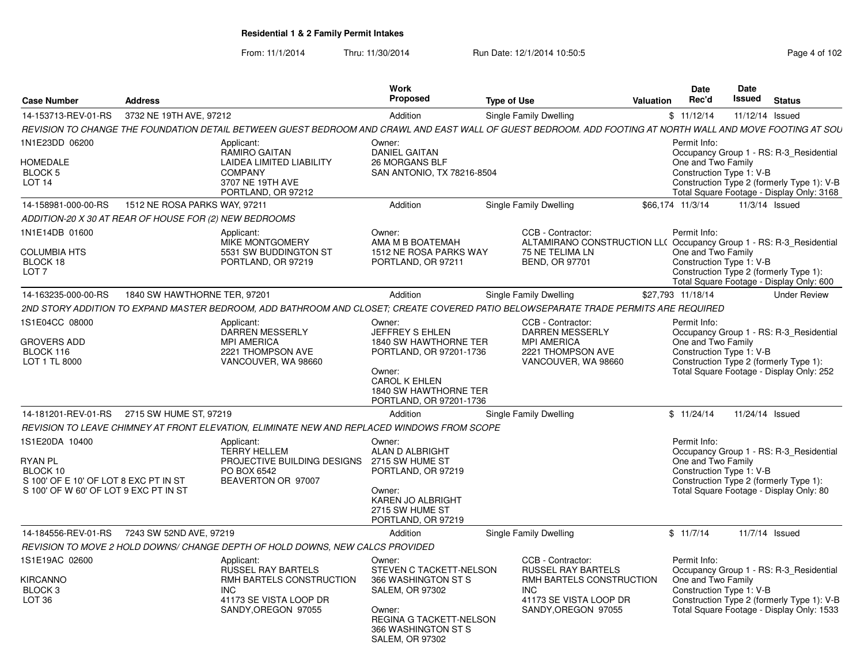From: 11/1/2014

Thru: 11/30/2014 Run Date: 12/1/2014 10:50:5<br> **Page 4 of 102** 

| <b>Case Number</b>                                                                                                             | <b>Address</b>                                         |                                                                                                                                                            | <b>Work</b><br><b>Proposed</b>                                                                                                                                           | <b>Type of Use</b> |                                                                                                                                           | Valuation | Date<br>Rec'd                                                  | Date<br><b>Issued</b> | <b>Status</b>                                                                                                                      |
|--------------------------------------------------------------------------------------------------------------------------------|--------------------------------------------------------|------------------------------------------------------------------------------------------------------------------------------------------------------------|--------------------------------------------------------------------------------------------------------------------------------------------------------------------------|--------------------|-------------------------------------------------------------------------------------------------------------------------------------------|-----------|----------------------------------------------------------------|-----------------------|------------------------------------------------------------------------------------------------------------------------------------|
| 14-153713-REV-01-RS                                                                                                            | 3732 NE 19TH AVE, 97212                                |                                                                                                                                                            | Addition                                                                                                                                                                 |                    | Single Family Dwelling                                                                                                                    |           | \$11/12/14                                                     | 11/12/14 Issued       |                                                                                                                                    |
|                                                                                                                                |                                                        | REVISION TO CHANGE THE FOUNDATION DETAIL BETWEEN GUEST BEDROOM AND CRAWL AND EAST WALL OF GUEST BEDROOM. ADD FOOTING AT NORTH WALL AND MOVE FOOTING AT SOU |                                                                                                                                                                          |                    |                                                                                                                                           |           |                                                                |                       |                                                                                                                                    |
| 1N1E23DD 06200<br><b>HOMEDALE</b><br>BLOCK <sub>5</sub><br>LOT <sub>14</sub>                                                   |                                                        | Applicant:<br><b>RAMIRO GAITAN</b><br><b>LAIDEA LIMITED LIABILITY</b><br><b>COMPANY</b><br>3707 NE 19TH AVE<br>PORTLAND, OR 97212                          | Owner:<br><b>DANIEL GAITAN</b><br><b>26 MORGANS BLF</b><br>SAN ANTONIO, TX 78216-8504                                                                                    |                    |                                                                                                                                           |           | Permit Info:<br>One and Two Family<br>Construction Type 1: V-B |                       | Occupancy Group 1 - RS: R-3 Residential<br>Construction Type 2 (formerly Type 1): V-B<br>Total Square Footage - Display Only: 3168 |
| 14-158981-000-00-RS                                                                                                            | 1512 NE ROSA PARKS WAY, 97211                          |                                                                                                                                                            | Addition                                                                                                                                                                 |                    | Single Family Dwelling                                                                                                                    |           | \$66,174 11/3/14                                               |                       | 11/3/14 Issued                                                                                                                     |
|                                                                                                                                | ADDITION-20 X 30 AT REAR OF HOUSE FOR (2) NEW BEDROOMS |                                                                                                                                                            |                                                                                                                                                                          |                    |                                                                                                                                           |           |                                                                |                       |                                                                                                                                    |
| 1N1E14DB 01600<br><b>COLUMBIA HTS</b><br>BLOCK 18<br>LOT <sub>7</sub>                                                          |                                                        | Applicant:<br>MIKE MONTGOMERY<br>5531 SW BUDDINGTON ST<br>PORTLAND, OR 97219                                                                               | Owner:<br>AMA M B BOATEMAH<br>1512 NE ROSA PARKS WAY<br>PORTLAND, OR 97211                                                                                               |                    | CCB - Contractor:<br>ALTAMIRANO CONSTRUCTION LL( Occupancy Group 1 - RS: R-3_Residential<br>75 NE TELIMA LN<br><b>BEND, OR 97701</b>      |           | Permit Info:<br>One and Two Family<br>Construction Type 1: V-B |                       | Construction Type 2 (formerly Type 1):<br>Total Square Footage - Display Only: 600                                                 |
| 14-163235-000-00-RS                                                                                                            | 1840 SW HAWTHORNE TER, 97201                           |                                                                                                                                                            | Addition                                                                                                                                                                 |                    | Single Family Dwelling                                                                                                                    |           | \$27,793 11/18/14                                              |                       | <b>Under Review</b>                                                                                                                |
|                                                                                                                                |                                                        | 2ND STORY ADDITION TO EXPAND MASTER BEDROOM, ADD BATHROOM AND CLOSET; CREATE COVERED PATIO BELOWSEPARATE TRADE PERMITS ARE REQUIRED                        |                                                                                                                                                                          |                    |                                                                                                                                           |           |                                                                |                       |                                                                                                                                    |
| 1S1E04CC 08000<br><b>GROVERS ADD</b><br>BLOCK 116<br>LOT 1 TL 8000                                                             |                                                        | Applicant:<br><b>DARREN MESSERLY</b><br><b>MPI AMERICA</b><br>2221 THOMPSON AVE<br>VANCOUVER, WA 98660                                                     | Owner:<br>JEFFREY S EHLEN<br>1840 SW HAWTHORNE TER<br>PORTLAND, OR 97201-1736<br>Owner:<br>CAROL K EHLEN<br>1840 SW HAWTHORNE TER<br>PORTLAND, OR 97201-1736             |                    | CCB - Contractor:<br><b>DARREN MESSERLY</b><br><b>MPI AMERICA</b><br>2221 THOMPSON AVE<br>VANCOUVER, WA 98660                             |           | Permit Info:<br>One and Two Family<br>Construction Type 1: V-B |                       | Occupancy Group 1 - RS: R-3 Residential<br>Construction Type 2 (formerly Type 1):<br>Total Square Footage - Display Only: 252      |
| 14-181201-REV-01-RS                                                                                                            | 2715 SW HUME ST, 97219                                 |                                                                                                                                                            | Addition                                                                                                                                                                 |                    | Single Family Dwelling                                                                                                                    |           | \$11/24/14                                                     |                       | 11/24/14 Issued                                                                                                                    |
|                                                                                                                                |                                                        | REVISION TO LEAVE CHIMNEY AT FRONT ELEVATION, ELIMINATE NEW AND REPLACED WINDOWS FROM SCOPE                                                                |                                                                                                                                                                          |                    |                                                                                                                                           |           |                                                                |                       |                                                                                                                                    |
| 1S1E20DA 10400<br><b>RYAN PL</b><br>BLOCK 10<br>S 100' OF E 10' OF LOT 8 EXC PT IN ST<br>S 100' OF W 60' OF LOT 9 EXC PT IN ST |                                                        | Applicant:<br><b>TERRY HELLEM</b><br>PROJECTIVE BUILDING DESIGNS<br>PO BOX 6542<br>BEAVERTON OR 97007                                                      | Owner:<br>ALAN D ALBRIGHT<br>2715 SW HUME ST<br>PORTLAND, OR 97219<br>Owner:<br><b>KAREN JO ALBRIGHT</b><br>2715 SW HUME ST<br>PORTLAND, OR 97219                        |                    |                                                                                                                                           |           | Permit Info:<br>One and Two Family<br>Construction Type 1: V-B |                       | Occupancy Group 1 - RS: R-3 Residential<br>Construction Type 2 (formerly Type 1):<br>Total Square Footage - Display Only: 80       |
| 14-184556-REV-01-RS                                                                                                            | 7243 SW 52ND AVE, 97219                                |                                                                                                                                                            | Addition                                                                                                                                                                 |                    | Single Family Dwelling                                                                                                                    |           | \$11/7/14                                                      |                       | 11/7/14 Issued                                                                                                                     |
|                                                                                                                                |                                                        | REVISION TO MOVE 2 HOLD DOWNS/ CHANGE DEPTH OF HOLD DOWNS, NEW CALCS PROVIDED                                                                              |                                                                                                                                                                          |                    |                                                                                                                                           |           |                                                                |                       |                                                                                                                                    |
| 1S1E19AC 02600<br><b>KIRCANNO</b><br>BLOCK <sub>3</sub><br>LOT <sub>36</sub>                                                   |                                                        | Applicant:<br><b>RUSSEL RAY BARTELS</b><br>RMH BARTELS CONSTRUCTION<br><b>INC</b><br>41173 SE VISTA LOOP DR<br>SANDY, OREGON 97055                         | Owner:<br>STEVEN C TACKETT-NELSON<br>366 WASHINGTON ST S<br><b>SALEM, OR 97302</b><br>Owner:<br>REGINA G TACKETT-NELSON<br>366 WASHINGTON ST S<br><b>SALEM, OR 97302</b> |                    | CCB - Contractor:<br><b>RUSSEL RAY BARTELS</b><br>RMH BARTELS CONSTRUCTION<br><b>INC</b><br>41173 SE VISTA LOOP DR<br>SANDY, OREGON 97055 |           | Permit Info:<br>One and Two Family<br>Construction Type 1: V-B |                       | Occupancy Group 1 - RS: R-3_Residential<br>Construction Type 2 (formerly Type 1): V-B<br>Total Square Footage - Display Only: 1533 |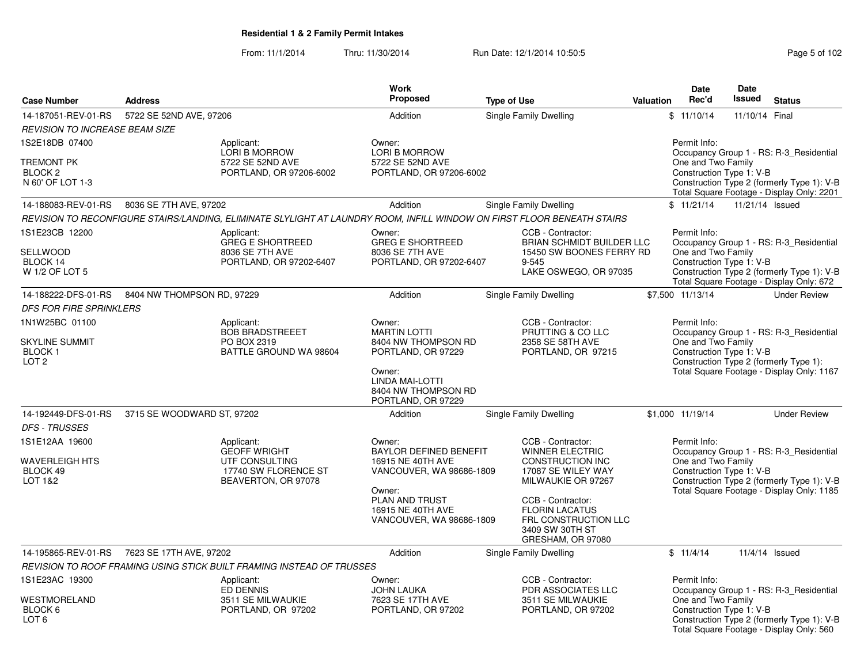From: 11/1/2014Thru: 11/30/2014 Run Date: 12/1/2014 10:50:5<br>
Page 5 of 102

| <b>Case Number</b>                                                     | <b>Address</b>             |                                                                                                    | <b>Work</b><br><b>Proposed</b>                                                    | <b>Type of Use</b>                                                                                                      | <b>Valuation</b> | <b>Date</b><br>Rec'd                                           | Date<br>Issued  | <b>Status</b>                                                                                                                      |
|------------------------------------------------------------------------|----------------------------|----------------------------------------------------------------------------------------------------|-----------------------------------------------------------------------------------|-------------------------------------------------------------------------------------------------------------------------|------------------|----------------------------------------------------------------|-----------------|------------------------------------------------------------------------------------------------------------------------------------|
| 14-187051-REV-01-RS                                                    | 5722 SE 52ND AVE, 97206    |                                                                                                    | Addition                                                                          | Single Family Dwelling                                                                                                  |                  | \$11/10/14                                                     | 11/10/14 Final  |                                                                                                                                    |
| <b>REVISION TO INCREASE BEAM SIZE</b>                                  |                            |                                                                                                    |                                                                                   |                                                                                                                         |                  |                                                                |                 |                                                                                                                                    |
| 1S2E18DB 07400<br>TREMONT PK<br>BLOCK <sub>2</sub><br>N 60' OF LOT 1-3 |                            | Applicant:<br>LORI B MORROW<br>5722 SE 52ND AVE<br>PORTLAND, OR 97206-6002                         | Owner:<br>LORI B MORROW<br>5722 SE 52ND AVE<br>PORTLAND, OR 97206-6002            |                                                                                                                         |                  | Permit Info:<br>One and Two Family<br>Construction Type 1: V-B |                 | Occupancy Group 1 - RS: R-3_Residential<br>Construction Type 2 (formerly Type 1): V-B<br>Total Square Footage - Display Only: 2201 |
| 14-188083-REV-01-RS                                                    | 8036 SE 7TH AVE, 97202     |                                                                                                    | Addition                                                                          | <b>Single Family Dwelling</b>                                                                                           |                  | \$11/21/14                                                     | 11/21/14 Issued |                                                                                                                                    |
|                                                                        |                            |                                                                                                    |                                                                                   | REVISION TO RECONFIGURE STAIRS/LANDING, ELIMINATE SLYLIGHT AT LAUNDRY ROOM, INFILL WINDOW ON FIRST FLOOR BENEATH STAIRS |                  |                                                                |                 |                                                                                                                                    |
| 1S1E23CB 12200<br>SELLWOOD<br>BLOCK 14<br>W 1/2 OF LOT 5               |                            | Applicant:<br><b>GREG E SHORTREED</b><br>8036 SE 7TH AVE<br>PORTLAND, OR 97202-6407                | Owner:<br><b>GREG E SHORTREED</b><br>8036 SE 7TH AVE<br>PORTLAND, OR 97202-6407   | CCB - Contractor:<br>BRIAN SCHMIDT BUILDER LLC<br>15450 SW BOONES FERRY RD<br>$9 - 545$<br>LAKE OSWEGO, OR 97035        |                  | Permit Info:<br>One and Two Family<br>Construction Type 1: V-B |                 | Occupancy Group 1 - RS: R-3 Residential<br>Construction Type 2 (formerly Type 1): V-B<br>Total Square Footage - Display Only: 672  |
| 14-188222-DFS-01-RS                                                    | 8404 NW THOMPSON RD, 97229 |                                                                                                    | Addition                                                                          | Single Family Dwelling                                                                                                  |                  | \$7,500 11/13/14                                               |                 | <b>Under Review</b>                                                                                                                |
| <b>DFS FOR FIRE SPRINKLERS</b>                                         |                            |                                                                                                    |                                                                                   |                                                                                                                         |                  |                                                                |                 |                                                                                                                                    |
| 1N1W25BC 01100                                                         |                            | Applicant:<br><b>BOB BRADSTREEET</b>                                                               | Owner:<br><b>MARTIN LOTTI</b>                                                     | CCB - Contractor:<br>PRUTTING & CO LLC                                                                                  |                  | Permit Info:                                                   |                 | Occupancy Group 1 - RS: R-3_Residential                                                                                            |
| <b>SKYLINE SUMMIT</b><br>BLOCK 1<br>LOT <sub>2</sub>                   |                            | PO BOX 2319<br>BATTLE GROUND WA 98604                                                              | 8404 NW THOMPSON RD<br>PORTLAND, OR 97229<br>Owner:                               | 2358 SE 58TH AVE<br>PORTLAND, OR 97215                                                                                  |                  | One and Two Family<br>Construction Type 1: V-B                 |                 | Construction Type 2 (formerly Type 1):<br>Total Square Footage - Display Only: 1167                                                |
|                                                                        |                            |                                                                                                    | <b>LINDA MAI-LOTTI</b><br>8404 NW THOMPSON RD<br>PORTLAND, OR 97229               |                                                                                                                         |                  |                                                                |                 |                                                                                                                                    |
| 14-192449-DFS-01-RS                                                    | 3715 SE WOODWARD ST, 97202 |                                                                                                    | Addition                                                                          | Single Family Dwelling                                                                                                  |                  | \$1,000 11/19/14                                               |                 | <b>Under Review</b>                                                                                                                |
| <b>DFS - TRUSSES</b>                                                   |                            |                                                                                                    |                                                                                   |                                                                                                                         |                  |                                                                |                 |                                                                                                                                    |
| 1S1E12AA 19600<br>WAVERLEIGH HTS<br>BLOCK 49<br>LOT 1&2                |                            | Applicant:<br><b>GEOFF WRIGHT</b><br>UTF CONSULTING<br>17740 SW FLORENCE ST<br>BEAVERTON, OR 97078 | Owner:<br>BAYLOR DEFINED BENEFIT<br>16915 NE 40TH AVE<br>VANCOUVER, WA 98686-1809 | CCB - Contractor:<br><b>WINNER ELECTRIC</b><br><b>CONSTRUCTION INC</b><br>17087 SE WILEY WAY<br>MILWAUKIE OR 97267      |                  | Permit Info:<br>One and Two Family<br>Construction Type 1: V-B |                 | Occupancy Group 1 - RS: R-3_Residential<br>Construction Type 2 (formerly Type 1): V-B                                              |
|                                                                        |                            |                                                                                                    | Owner:<br>PLAN AND TRUST<br>16915 NE 40TH AVE<br>VANCOUVER, WA 98686-1809         | CCB - Contractor:<br><b>FLORIN LACATUS</b><br>FRL CONSTRUCTION LLC<br>3409 SW 30TH ST<br>GRESHAM, OR 97080              |                  |                                                                |                 | Total Square Footage - Display Only: 1185                                                                                          |
| 14-195865-REV-01-RS                                                    | 7623 SE 17TH AVE, 97202    |                                                                                                    | Addition                                                                          | Single Family Dwelling                                                                                                  |                  | \$11/4/14                                                      |                 | 11/4/14 Issued                                                                                                                     |
|                                                                        |                            | REVISION TO ROOF FRAMING USING STICK BUILT FRAMING INSTEAD OF TRUSSES                              |                                                                                   |                                                                                                                         |                  |                                                                |                 |                                                                                                                                    |
| 1S1E23AC 19300                                                         |                            | Applicant:                                                                                         | Owner:                                                                            | CCB - Contractor:                                                                                                       |                  | Permit Info:                                                   |                 |                                                                                                                                    |
| WESTMORELAND<br>BLOCK 6<br>LOT <sub>6</sub>                            |                            | <b>ED DENNIS</b><br>3511 SE MILWAUKIE<br>PORTLAND, OR 97202                                        | JOHN LAUKA<br>7623 SE 17TH AVE<br>PORTLAND, OR 97202                              | PDR ASSOCIATES LLC<br>3511 SE MILWAUKIE<br>PORTLAND, OR 97202                                                           |                  | One and Two Family<br>Construction Type 1: V-B                 |                 | Occupancy Group 1 - RS: R-3_Residential<br>Construction Type 2 (formerly Type 1): V-B<br>Total Square Footage - Display Only: 560  |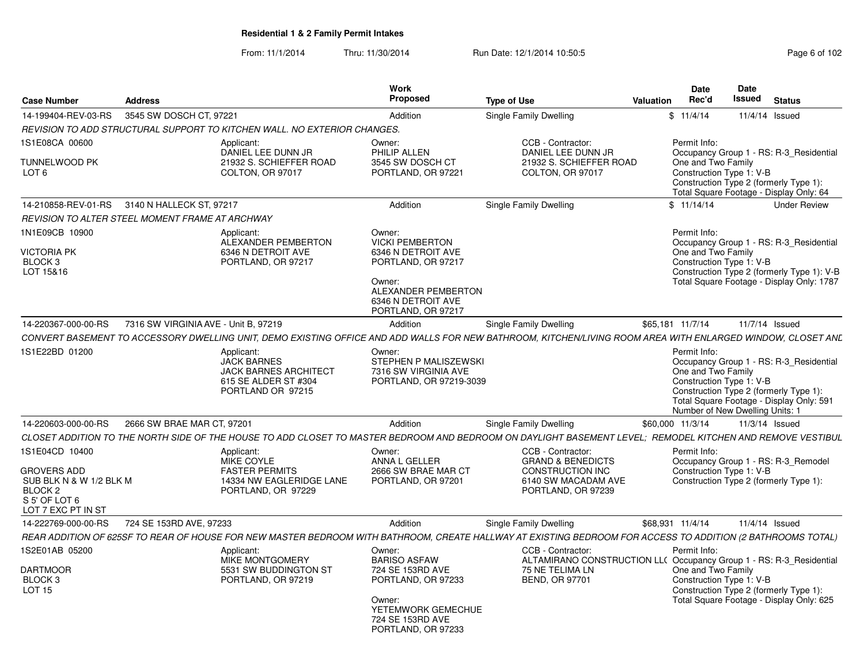From: 11/1/2014Thru: 11/30/2014 Run Date: 12/1/2014 10:50:5<br> **Page 6 of 102** 

| <b>Case Number</b>                                                                                     | <b>Address</b>                       |                                                                                                               | Work<br>Proposed                                                                                                                                          | <b>Type of Use</b>                                                                                                                                                                    | Date<br>Rec'd<br>Valuation         | <b>Date</b><br>Issued<br><b>Status</b>                                                                                                                                                       |
|--------------------------------------------------------------------------------------------------------|--------------------------------------|---------------------------------------------------------------------------------------------------------------|-----------------------------------------------------------------------------------------------------------------------------------------------------------|---------------------------------------------------------------------------------------------------------------------------------------------------------------------------------------|------------------------------------|----------------------------------------------------------------------------------------------------------------------------------------------------------------------------------------------|
| 14-199404-REV-03-RS 3545 SW DOSCH CT, 97221                                                            |                                      |                                                                                                               | Addition                                                                                                                                                  | <b>Single Family Dwelling</b>                                                                                                                                                         | \$11/4/14                          | 11/4/14 Issued                                                                                                                                                                               |
|                                                                                                        |                                      | REVISION TO ADD STRUCTURAL SUPPORT TO KITCHEN WALL. NO EXTERIOR CHANGES.                                      |                                                                                                                                                           |                                                                                                                                                                                       |                                    |                                                                                                                                                                                              |
| 1S1E08CA 00600                                                                                         |                                      | Applicant:                                                                                                    | Owner:                                                                                                                                                    | CCB - Contractor:                                                                                                                                                                     | Permit Info:                       |                                                                                                                                                                                              |
| TUNNELWOOD PK<br>LOT <sub>6</sub>                                                                      |                                      | DANIEL LEE DUNN JR<br>21932 S. SCHIEFFER ROAD<br>COLTON, OR 97017                                             | PHILIP ALLEN<br>3545 SW DOSCH CT<br>PORTLAND, OR 97221                                                                                                    | DANIEL LEE DUNN JR<br>21932 S. SCHIEFFER ROAD<br>COLTON, OR 97017                                                                                                                     | One and Two Family                 | Occupancy Group 1 - RS: R-3 Residential<br>Construction Type 1: V-B<br>Construction Type 2 (formerly Type 1):<br>Total Square Footage - Display Only: 64                                     |
| 14-210858-REV-01-RS 3140 N HALLECK ST, 97217                                                           |                                      |                                                                                                               | Addition                                                                                                                                                  | Single Family Dwelling                                                                                                                                                                | \$11/14/14                         | <b>Under Review</b>                                                                                                                                                                          |
| REVISION TO ALTER STEEL MOMENT FRAME AT ARCHWAY                                                        |                                      |                                                                                                               |                                                                                                                                                           |                                                                                                                                                                                       |                                    |                                                                                                                                                                                              |
| 1N1E09CB 10900<br><b>VICTORIA PK</b><br>BLOCK 3<br>LOT 15&16                                           |                                      | Applicant:<br>ALEXANDER PEMBERTON<br>6346 N DETROIT AVE<br>PORTLAND, OR 97217                                 | Owner:<br><b>VICKI PEMBERTON</b><br>6346 N DETROIT AVE<br>PORTLAND, OR 97217<br>Owner:<br>ALEXANDER PEMBERTON<br>6346 N DETROIT AVE<br>PORTLAND, OR 97217 |                                                                                                                                                                                       | Permit Info:<br>One and Two Family | Occupancy Group 1 - RS: R-3 Residential<br>Construction Type 1: V-B<br>Construction Type 2 (formerly Type 1): V-B<br>Total Square Footage - Display Only: 1787                               |
| 14-220367-000-00-RS                                                                                    | 7316 SW VIRGINIA AVE - Unit B, 97219 |                                                                                                               | Addition                                                                                                                                                  | Single Family Dwelling                                                                                                                                                                | \$65,181 11/7/14                   | 11/7/14 Issued                                                                                                                                                                               |
|                                                                                                        |                                      |                                                                                                               |                                                                                                                                                           | CONVERT BASEMENT TO ACCESSORY DWELLING UNIT. DEMO EXISTING OFFICE AND ADD WALLS FOR NEW BATHROOM, KITCHEN/LIVING ROOM AREA WITH ENLARGED WINDOW, CLOSET ANL                           |                                    |                                                                                                                                                                                              |
| 1S1E22BD 01200                                                                                         |                                      | Applicant:<br><b>JACK BARNES</b><br><b>JACK BARNES ARCHITECT</b><br>615 SE ALDER ST #304<br>PORTLAND OR 97215 | Owner:<br>STEPHEN P MALISZEWSKI<br>7316 SW VIRGINIA AVE<br>PORTLAND, OR 97219-3039                                                                        |                                                                                                                                                                                       | Permit Info:<br>One and Two Family | Occupancy Group 1 - RS: R-3_Residential<br>Construction Type 1: V-B<br>Construction Type 2 (formerly Type 1):<br>Total Square Footage - Display Only: 591<br>Number of New Dwelling Units: 1 |
| 14-220603-000-00-RS 2666 SW BRAE MAR CT, 9720                                                          |                                      |                                                                                                               | Addition                                                                                                                                                  | Single Family Dwelling                                                                                                                                                                | \$60,000 11/3/14                   | 11/3/14 Issued                                                                                                                                                                               |
|                                                                                                        |                                      |                                                                                                               |                                                                                                                                                           | CLOSET ADDITION TO THE NORTH SIDE OF THE HOUSE TO ADD CLOSET TO MASTER BEDROOM AND BEDROOM ON DAYLIGHT BASEMENT LEVEL; REMODEL KITCHEN AND REMOVE VESTIBUL                            |                                    |                                                                                                                                                                                              |
| 1S1E04CD 10400<br><b>GROVERS ADD</b><br>SUB BLK N & W 1/2 BLK M<br>BLOCK <sub>2</sub><br>S 5' OF LOT 6 |                                      | Applicant:<br>MIKE COYLE<br><b>FASTER PERMITS</b><br>14334 NW EAGLERIDGE LANE<br>PORTLAND, OR 97229           | Owner:<br>ANNA L GELLER<br>2666 SW BRAF MAR CT<br>PORTLAND, OR 97201                                                                                      | CCB - Contractor:<br><b>GRAND &amp; BENEDICTS</b><br>CONSTRUCTION INC<br>6140 SW MACADAM AVE<br>PORTLAND, OR 97239                                                                    | Permit Info:                       | Occupancy Group 1 - RS: R-3_Remodel<br>Construction Type 1: V-B<br>Construction Type 2 (formerly Type 1):                                                                                    |
| LOT 7 EXC PT IN ST                                                                                     |                                      |                                                                                                               |                                                                                                                                                           |                                                                                                                                                                                       |                                    |                                                                                                                                                                                              |
| 14-222769-000-00-RS                                                                                    | 724 SE 153RD AVE, 97233              |                                                                                                               | Addition                                                                                                                                                  | Single Family Dwelling<br>REAR ADDITION OF 625SF TO REAR OF HOUSE FOR NEW MASTER BEDROOM WITH BATHROOM, CREATE HALLWAY AT EXISTING BEDROOM FOR ACCESS TO ADDITION (2 BATHROOMS TOTAL) | \$68,931 11/4/14                   | 11/4/14 Issued                                                                                                                                                                               |
| 1S2E01AB 05200<br><b>DARTMOOR</b><br>BLOCK <sub>3</sub><br><b>LOT 15</b>                               |                                      | Applicant:<br>MIKE MONTGOMERY<br>5531 SW BUDDINGTON ST<br>PORTLAND, OR 97219                                  | Owner:<br><b>BARISO ASFAW</b><br>724 SE 153RD AVE<br>PORTLAND, OR 97233<br>Owner:<br>YETEMWORK GEMECHUE<br>724 SE 153RD AVE<br>PORTLAND, OR 97233         | CCB - Contractor:<br>75 NE TELIMA LN<br><b>BEND, OR 97701</b>                                                                                                                         | Permit Info:<br>One and Two Family | ALTAMIRANO CONSTRUCTION LL( Occupancy Group 1 - RS: R-3_Residential<br>Construction Type 1: V-B<br>Construction Type 2 (formerly Type 1):<br>Total Square Footage - Display Only: 625        |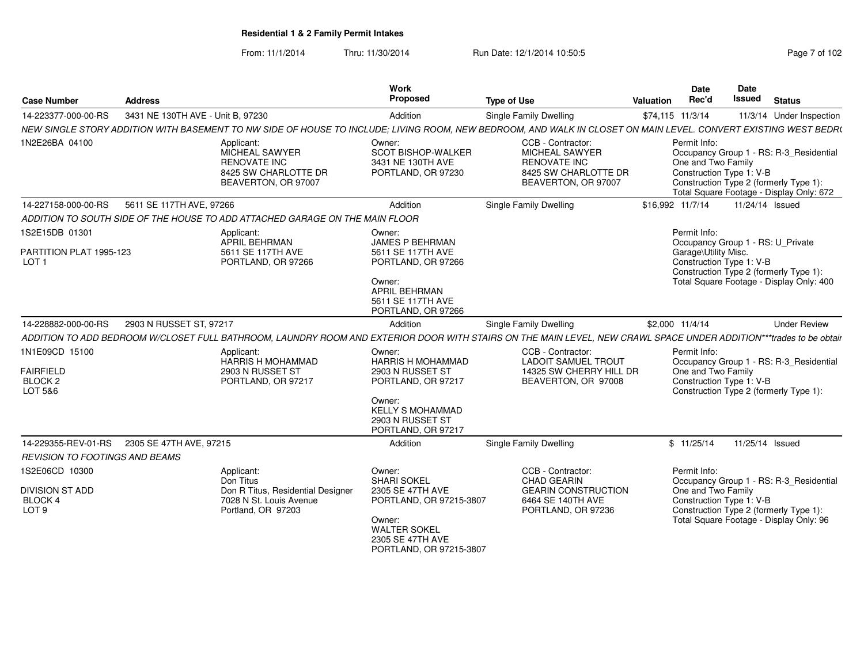From: 11/1/2014Thru: 11/30/2014 Run Date: 12/1/2014 10:50:5<br> **Page 7 of 102** 

| <b>Case Number</b>                                               | <b>Address</b>                    |                                                                                                               | Work<br>Proposed                                                                                                                                            | <b>Type of Use</b>                                                                                                                                                 | Valuation | <b>Date</b><br>Rec'd                 | Date<br><b>Issued</b><br><b>Status</b>                                                                                                                    |
|------------------------------------------------------------------|-----------------------------------|---------------------------------------------------------------------------------------------------------------|-------------------------------------------------------------------------------------------------------------------------------------------------------------|--------------------------------------------------------------------------------------------------------------------------------------------------------------------|-----------|--------------------------------------|-----------------------------------------------------------------------------------------------------------------------------------------------------------|
| 14-223377-000-00-RS                                              | 3431 NE 130TH AVE - Unit B, 97230 |                                                                                                               | Addition                                                                                                                                                    | Single Family Dwelling                                                                                                                                             |           | \$74,115 11/3/14                     | 11/3/14 Under Inspection                                                                                                                                  |
|                                                                  |                                   |                                                                                                               |                                                                                                                                                             | NEW SINGLE STORY ADDITION WITH BASEMENT TO NW SIDE OF HOUSE TO INCLUDE; LIVING ROOM, NEW BEDROOM, AND WALK IN CLOSET ON MAIN LEVEL. CONVERT EXISTING WEST BEDR(    |           |                                      |                                                                                                                                                           |
| 1N2E26BA 04100                                                   |                                   | Applicant:<br>MICHEAL SAWYER<br><b>RENOVATE INC</b><br>8425 SW CHARLOTTE DR<br>BEAVERTON, OR 97007            | Owner:<br><b>SCOT BISHOP-WALKER</b><br>3431 NE 130TH AVE<br>PORTLAND, OR 97230                                                                              | CCB - Contractor:<br><b>MICHEAL SAWYER</b><br><b>RENOVATE INC</b><br>8425 SW CHARLOTTE DR<br>BEAVERTON, OR 97007                                                   |           | Permit Info:<br>One and Two Family   | Occupancy Group 1 - RS: R-3 Residential<br>Construction Type 1: V-B<br>Construction Type 2 (formerly Type 1):<br>Total Square Footage - Display Only: 672 |
| 14-227158-000-00-RS                                              | 5611 SE 117TH AVE, 97266          |                                                                                                               | Addition                                                                                                                                                    | Single Family Dwelling                                                                                                                                             |           | \$16,992 11/7/14                     | 11/24/14 Issued                                                                                                                                           |
|                                                                  |                                   | ADDITION TO SOUTH SIDE OF THE HOUSE TO ADD ATTACHED GARAGE ON THE MAIN FLOOR                                  |                                                                                                                                                             |                                                                                                                                                                    |           |                                      |                                                                                                                                                           |
| 1S2E15DB 01301<br>PARTITION PLAT 1995-123<br>LOT <sub>1</sub>    |                                   | Applicant:<br>APRIL BEHRMAN<br>5611 SE 117TH AVE<br>PORTLAND, OR 97266                                        | Owner:<br>JAMES P BEHRMAN<br>5611 SE 117TH AVE<br>PORTLAND, OR 97266<br>Owner:<br>APRIL BEHRMAN<br>5611 SE 117TH AVE<br>PORTLAND, OR 97266                  |                                                                                                                                                                    |           | Permit Info:<br>Garage\Utility Misc. | Occupancy Group 1 - RS: U_Private<br>Construction Type 1: V-B<br>Construction Type 2 (formerly Type 1):<br>Total Square Footage - Display Only: 400       |
| 14-228882-000-00-RS                                              | 2903 N RUSSET ST, 97217           |                                                                                                               | Addition                                                                                                                                                    | <b>Single Family Dwelling</b>                                                                                                                                      |           | \$2,000 11/4/14                      | <b>Under Review</b>                                                                                                                                       |
|                                                                  |                                   |                                                                                                               |                                                                                                                                                             | ADDITION TO ADD BEDROOM W/CLOSET FULL BATHROOM, LAUNDRY ROOM AND EXTERIOR DOOR WITH STAIRS ON THE MAIN LEVEL, NEW CRAWL SPACE UNDER ADDITION***trades to be obtair |           |                                      |                                                                                                                                                           |
| 1N1E09CD 15100<br><b>FAIRFIELD</b><br><b>BLOCK 2</b><br>LOT 5&6  |                                   | Applicant:<br>HARRIS H MOHAMMAD<br>2903 N RUSSET ST<br>PORTLAND, OR 97217                                     | Owner:<br>HARRIS H MOHAMMAD<br>2903 N RUSSET ST<br>PORTLAND, OR 97217<br>Owner:<br><b>KELLY S MOHAMMAD</b><br>2903 N RUSSET ST<br>PORTLAND, OR 97217        | CCB - Contractor:<br><b>LADOIT SAMUEL TROUT</b><br>14325 SW CHERRY HILL DR<br>BEAVERTON, OR 97008                                                                  |           | Permit Info:<br>One and Two Family   | Occupancy Group 1 - RS: R-3_Residential<br>Construction Type 1: V-B<br>Construction Type 2 (formerly Type 1):                                             |
| 14-229355-REV-01-RS 2305 SE 47TH AVE, 97215                      |                                   |                                                                                                               | Addition                                                                                                                                                    | Single Family Dwelling                                                                                                                                             |           | \$11/25/14                           | 11/25/14 Issued                                                                                                                                           |
| REVISION TO FOOTINGS AND BEAMS                                   |                                   |                                                                                                               |                                                                                                                                                             |                                                                                                                                                                    |           |                                      |                                                                                                                                                           |
| 1S2E06CD 10300<br>DIVISION ST ADD<br>BLOCK 4<br>LOT <sub>9</sub> |                                   | Applicant:<br>Don Titus<br>Don R Titus, Residential Designer<br>7028 N St. Louis Avenue<br>Portland, OR 97203 | Owner:<br><b>SHARI SOKEL</b><br>2305 SE 47TH AVE<br>PORTLAND, OR 97215-3807<br>Owner:<br><b>WALTER SOKEL</b><br>2305 SE 47TH AVE<br>PORTLAND, OR 97215-3807 | CCB - Contractor:<br><b>CHAD GEARIN</b><br><b>GEARIN CONSTRUCTION</b><br>6464 SE 140TH AVE<br>PORTLAND, OR 97236                                                   |           | Permit Info:<br>One and Two Family   | Occupancy Group 1 - RS: R-3_Residential<br>Construction Type 1: V-B<br>Construction Type 2 (formerly Type 1):<br>Total Square Footage - Display Only: 96  |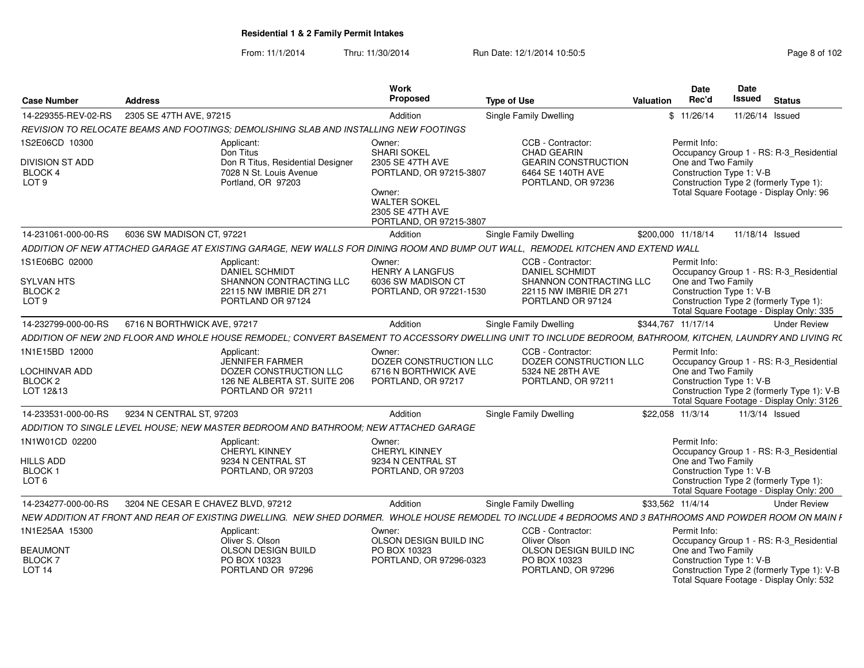From: 11/1/2014Thru: 11/30/2014 Run Date: 12/1/2014 10:50:5<br> **Page 8 of 102** 

| <b>Case Number</b>                                                             | <b>Address</b>                                                                                                                                              |                                                        | Work<br>Proposed                                                                                             | <b>Type of Use</b>                                                                                                          | Date<br>Rec'd<br>Valuation                                     | Date<br>Issued                         | <b>Status</b>                                                                                                                      |
|--------------------------------------------------------------------------------|-------------------------------------------------------------------------------------------------------------------------------------------------------------|--------------------------------------------------------|--------------------------------------------------------------------------------------------------------------|-----------------------------------------------------------------------------------------------------------------------------|----------------------------------------------------------------|----------------------------------------|------------------------------------------------------------------------------------------------------------------------------------|
|                                                                                | 14-229355-REV-02-RS 2305 SE 47TH AVE, 97215                                                                                                                 |                                                        | Addition                                                                                                     | <b>Single Family Dwelling</b>                                                                                               | \$11/26/14                                                     | 11/26/14 Issued                        |                                                                                                                                    |
|                                                                                | REVISION TO RELOCATE BEAMS AND FOOTINGS: DEMOLISHING SLAB AND INSTALLING NEW FOOTINGS                                                                       |                                                        |                                                                                                              |                                                                                                                             |                                                                |                                        |                                                                                                                                    |
| 1S2E06CD 10300<br><b>DIVISION ST ADD</b><br><b>BLOCK 4</b><br>LOT <sub>9</sub> | Applicant:<br>Don Titus<br>7028 N St. Louis Avenue<br>Portland, OR 97203                                                                                    | Don R Titus, Residential Designer                      | Owner:<br><b>SHARI SOKEL</b><br>2305 SE 47TH AVE<br>PORTLAND, OR 97215-3807<br>Owner:<br><b>WALTER SOKEL</b> | CCB - Contractor<br>CHAD GEARIN<br><b>GEARIN CONSTRUCTION</b><br>6464 SE 140TH AVE<br>PORTLAND, OR 97236                    | Permit Info:<br>One and Two Family<br>Construction Type 1: V-B | Construction Type 2 (formerly Type 1): | Occupancy Group 1 - RS: R-3_Residential<br>Total Square Footage - Display Only: 96                                                 |
|                                                                                |                                                                                                                                                             |                                                        | 2305 SE 47TH AVE<br>PORTLAND, OR 97215-3807                                                                  |                                                                                                                             |                                                                |                                        |                                                                                                                                    |
| 14-231061-000-00-RS                                                            | 6036 SW MADISON CT. 97221                                                                                                                                   |                                                        | Addition                                                                                                     | <b>Single Family Dwelling</b>                                                                                               | \$200,000 11/18/14                                             | 11/18/14 Issued                        |                                                                                                                                    |
|                                                                                | ADDITION OF NEW ATTACHED GARAGE AT EXISTING GARAGE. NEW WALLS FOR DINING ROOM AND BUMP OUT WALL.                                                            |                                                        |                                                                                                              |                                                                                                                             | REMODEL KITCHEN AND EXTEND WALL                                |                                        |                                                                                                                                    |
| 1S1E06BC 02000<br><b>SYLVAN HTS</b><br>BLOCK <sub>2</sub><br>LOT <sub>9</sub>  | Applicant:<br>DANIEL SCHMIDT<br>22115 NW IMBRIE DR 271<br>PORTLAND OR 97124                                                                                 | SHANNON CONTRACTING LLC                                | Owner:<br><b>HENRY A LANGFUS</b><br>6036 SW MADISON CT<br>PORTLAND, OR 97221-1530                            | CCB - Contractor:<br><b>DANIEL SCHMIDT</b><br><b>SHANNON CONTRACTING LLC</b><br>22115 NW IMBRIE DR 271<br>PORTLAND OR 97124 | Permit Info:<br>One and Two Family<br>Construction Type 1: V-B | Construction Type 2 (formerly Type 1): | Occupancy Group 1 - RS: R-3_Residential<br>Total Square Footage - Display Only: 335                                                |
| 14-232799-000-00-RS                                                            | 6716 N BORTHWICK AVE, 97217                                                                                                                                 |                                                        | Addition                                                                                                     | <b>Single Family Dwelling</b>                                                                                               | \$344,767 11/17/14                                             |                                        | <b>Under Review</b>                                                                                                                |
|                                                                                | ADDITION OF NEW 2ND FLOOR AND WHOLE HOUSE REMODEL; CONVERT BASEMENT TO ACCESSORY DWELLING UNIT TO INCLUDE BEDROOM, BATHROOM, KITCHEN, LAUNDRY AND LIVING RO |                                                        |                                                                                                              |                                                                                                                             |                                                                |                                        |                                                                                                                                    |
| 1N1E15BD 12000<br><b>LOCHINVAR ADD</b><br><b>BLOCK 2</b><br>LOT 12&13          | Applicant:<br><b>JENNIFER FARMER</b><br>PORTLAND OR 97211                                                                                                   | DOZER CONSTRUCTION LLC<br>126 NE ALBERTA ST. SUITE 206 | Owner:<br>DOZER CONSTRUCTION LLC<br>6716 N BORTHWICK AVE<br>PORTLAND, OR 97217                               | CCB - Contractor:<br>DOZER CONSTRUCTION LLC<br>5324 NE 28TH AVE<br>PORTLAND, OR 97211                                       | Permit Info:<br>One and Two Family<br>Construction Type 1: V-B |                                        | Occupancy Group 1 - RS: R-3_Residential<br>Construction Type 2 (formerly Type 1): V-B<br>Total Square Footage - Display Only: 3126 |
| 14-233531-000-00-RS                                                            | 9234 N CENTRAL ST, 97203                                                                                                                                    |                                                        | Addition                                                                                                     | <b>Single Family Dwelling</b>                                                                                               | \$22,058 11/3/14                                               | 11/3/14 Issued                         |                                                                                                                                    |
|                                                                                | ADDITION TO SINGLE LEVEL HOUSE: NEW MASTER BEDROOM AND BATHROOM: NEW ATTACHED GARAGE                                                                        |                                                        |                                                                                                              |                                                                                                                             |                                                                |                                        |                                                                                                                                    |
| 1N1W01CD 02200<br><b>HILLS ADD</b><br>BLOCK 1<br>LOT <sub>6</sub>              | Applicant:<br>CHERYL KINNEY<br>9234 N CENTRAL ST<br>PORTLAND, OR 97203                                                                                      |                                                        | Owner:<br><b>CHERYL KINNEY</b><br>9234 N CENTRAL ST<br>PORTLAND, OR 97203                                    |                                                                                                                             | Permit Info:<br>One and Two Family<br>Construction Type 1: V-B | Construction Type 2 (formerly Type 1): | Occupancy Group 1 - RS: R-3_Residential<br>Total Square Footage - Display Only: 200                                                |
| 14-234277-000-00-RS                                                            | 3204 NE CESAR E CHAVEZ BLVD. 97212                                                                                                                          |                                                        | Addition                                                                                                     | <b>Single Family Dwelling</b>                                                                                               | \$33,562 11/4/14                                               |                                        | <b>Under Review</b>                                                                                                                |
|                                                                                | NEW ADDITION AT FRONT AND REAR OF EXISTING DWELLING. NEW SHED DORMER. WHOLE HOUSE REMODEL TO INCLUDE 4 BEDROOMS AND 3 BATHROOMS AND POWDER ROOM ON MAIN I   |                                                        |                                                                                                              |                                                                                                                             |                                                                |                                        |                                                                                                                                    |
| 1N1E25AA 15300<br><b>BEAUMONT</b><br><b>BLOCK7</b><br><b>LOT 14</b>            | Applicant:<br>Oliver S. Olson<br>OLSON DESIGN BUILD<br>PO BOX 10323<br>PORTLAND OR 97296                                                                    |                                                        | Owner:<br>OLSON DESIGN BUILD INC<br>PO BOX 10323<br>PORTLAND, OR 97296-0323                                  | CCB - Contractor<br>Oliver Olson<br>OLSON DESIGN BUILD INC<br>PO BOX 10323<br>PORTLAND, OR 97296                            | Permit Info:<br>One and Two Family                             | Construction Type 1: V-B               | Occupancy Group 1 - RS: R-3_Residential<br>Construction Type 2 (formerly Type 1): V-B<br>Total Square Footage - Display Only: 532  |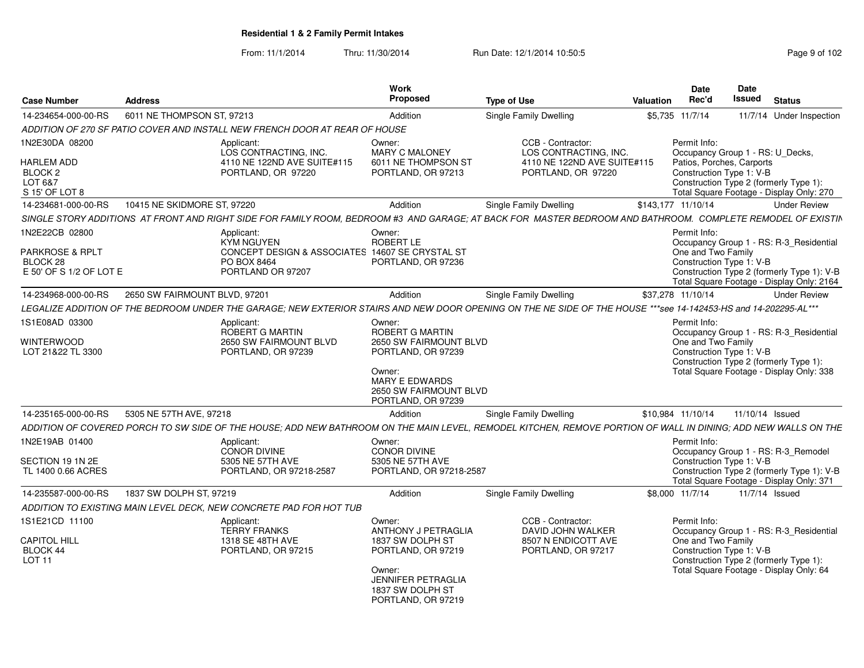From: 11/1/2014Thru: 11/30/2014 Run Date: 12/1/2014 10:50:5<br> **Page 9 of 102** 

| <b>Case Number</b>                                                   | <b>Address</b>                |                                                                                                                                                                 | <b>Work</b><br>Proposed                                                         | <b>Type of Use</b>                                | Valuation | Date<br>Rec'd                                         | <b>Date</b><br>Issued | <b>Status</b>                                                                           |
|----------------------------------------------------------------------|-------------------------------|-----------------------------------------------------------------------------------------------------------------------------------------------------------------|---------------------------------------------------------------------------------|---------------------------------------------------|-----------|-------------------------------------------------------|-----------------------|-----------------------------------------------------------------------------------------|
| 14-234654-000-00-RS                                                  | 6011 NE THOMPSON ST, 97213    |                                                                                                                                                                 | Addition                                                                        | Single Family Dwelling                            |           | \$5,735 11/7/14                                       |                       | 11/7/14 Under Inspection                                                                |
|                                                                      |                               | ADDITION OF 270 SF PATIO COVER AND INSTALL NEW FRENCH DOOR AT REAR OF HOUSE                                                                                     |                                                                                 |                                                   |           |                                                       |                       |                                                                                         |
| 1N2E30DA 08200                                                       |                               | Applicant:<br>LOS CONTRACTING. INC.                                                                                                                             | Owner:<br><b>MARY C MALONEY</b>                                                 | CCB - Contractor:<br>LOS CONTRACTING. INC.        |           | Permit Info:<br>Occupancy Group 1 - RS: U Decks,      |                       |                                                                                         |
| <b>HARLEM ADD</b><br>BLOCK <sub>2</sub><br>LOT 6&7<br>S 15' OF LOT 8 |                               | 4110 NE 122ND AVE SUITE#115<br>PORTLAND, OR 97220                                                                                                               | 6011 NE THOMPSON ST<br>PORTLAND, OR 97213                                       | 4110 NE 122ND AVE SUITE#115<br>PORTLAND, OR 97220 |           | Patios, Porches, Carports<br>Construction Type 1: V-B |                       | Construction Type 2 (formerly Type 1):<br>Total Square Footage - Display Only: 270      |
| 14-234681-000-00-RS                                                  | 10415 NE SKIDMORE ST, 97220   |                                                                                                                                                                 | Addition                                                                        | Single Family Dwelling                            |           | \$143.177 11/10/14                                    |                       | <b>Under Review</b>                                                                     |
|                                                                      |                               | SINGLE STORY ADDITIONS AT FRONT AND RIGHT SIDE FOR FAMILY ROOM, BEDROOM #3 AND GARAGE; AT BACK FOR MASTER BEDROOM AND BATHROOM. COMPLETE REMODEL OF EXISTIN     |                                                                                 |                                                   |           |                                                       |                       |                                                                                         |
| 1N2E22CB 02800                                                       |                               | Applicant:<br><b>KYM NGUYEN</b>                                                                                                                                 | Owner:<br>ROBERT LE                                                             |                                                   |           | Permit Info:                                          |                       | Occupancy Group 1 - RS: R-3_Residential                                                 |
| <b>PARKROSE &amp; RPLT</b><br>BLOCK 28                               |                               | CONCEPT DESIGN & ASSOCIATES 14607 SE CRYSTAL ST<br>PO BOX 8464                                                                                                  | PORTLAND, OR 97236                                                              |                                                   |           | One and Two Family<br>Construction Type 1: V-B        |                       |                                                                                         |
| E 50' OF S 1/2 OF LOT E                                              |                               | PORTLAND OR 97207                                                                                                                                               |                                                                                 |                                                   |           |                                                       |                       | Construction Type 2 (formerly Type 1): V-B<br>Total Square Footage - Display Only: 2164 |
| 14-234968-000-00-RS                                                  | 2650 SW FAIRMOUNT BLVD, 97201 |                                                                                                                                                                 | Addition                                                                        | <b>Single Family Dwelling</b>                     |           | \$37.278 11/10/14                                     |                       | <b>Under Review</b>                                                                     |
|                                                                      |                               | LEGALIZE ADDITION OF THE BEDROOM UNDER THE GARAGE; NEW EXTERIOR STAIRS AND NEW DOOR OPENING ON THE NE SIDE OF THE HOUSE ***see 14-142453-HS and 14-202295-AL*** |                                                                                 |                                                   |           |                                                       |                       |                                                                                         |
| 1S1E08AD 03300<br>WINTERWOOD                                         |                               | Applicant:<br>ROBERT G MARTIN<br>2650 SW FAIRMOUNT BLVD                                                                                                         | Owner:<br>ROBERT G MARTIN<br>2650 SW FAIRMOUNT BLVD                             |                                                   |           | Permit Info:<br>One and Two Family                    |                       | Occupancy Group 1 - RS: R-3 Residential                                                 |
| LOT 21&22 TL 3300                                                    |                               | PORTLAND, OR 97239                                                                                                                                              | PORTLAND, OR 97239                                                              |                                                   |           | Construction Type 1: V-B                              |                       | Construction Type 2 (formerly Type 1):                                                  |
|                                                                      |                               |                                                                                                                                                                 | Owner:<br><b>MARY E EDWARDS</b><br>2650 SW FAIRMOUNT BLVD<br>PORTLAND, OR 97239 |                                                   |           |                                                       |                       | Total Square Footage - Display Only: 338                                                |
| 14-235165-000-00-RS                                                  | 5305 NE 57TH AVE, 97218       |                                                                                                                                                                 | Addition                                                                        | <b>Single Family Dwelling</b>                     |           | \$10,984 11/10/14                                     | 11/10/14 Issued       |                                                                                         |
|                                                                      |                               | ADDITION OF COVERED PORCH TO SW SIDE OF THE HOUSE; ADD NEW BATHROOM ON THE MAIN LEVEL, REMODEL KITCHEN, REMOVE PORTION OF WALL IN DINING; ADD NEW WALLS ON THE  |                                                                                 |                                                   |           |                                                       |                       |                                                                                         |
| 1N2E19AB 01400                                                       |                               | Applicant:<br><b>CONOR DIVINE</b>                                                                                                                               | Owner:<br><b>CONOR DIVINE</b>                                                   |                                                   |           | Permit Info:                                          |                       | Occupancy Group 1 - RS: R-3 Remodel                                                     |
| SECTION 19 1N 2E<br>TL 1400 0.66 ACRES                               |                               | 5305 NE 57TH AVE<br>PORTLAND, OR 97218-2587                                                                                                                     | 5305 NE 57TH AVE<br>PORTLAND, OR 97218-2587                                     |                                                   |           | Construction Type 1: V-B                              |                       | Construction Type 2 (formerly Type 1): V-B<br>Total Square Footage - Display Only: 371  |
| 14-235587-000-00-RS                                                  | 1837 SW DOLPH ST, 97219       |                                                                                                                                                                 | Addition                                                                        | <b>Single Family Dwelling</b>                     |           | \$8,000 11/7/14                                       |                       | 11/7/14 Issued                                                                          |
|                                                                      |                               | ADDITION TO EXISTING MAIN LEVEL DECK, NEW CONCRETE PAD FOR HOT TUB                                                                                              |                                                                                 |                                                   |           |                                                       |                       |                                                                                         |
| 1S1E21CD 11100                                                       |                               | Applicant:<br><b>TERRY FRANKS</b>                                                                                                                               | Owner:<br><b>ANTHONY J PETRAGLIA</b>                                            | CCB - Contractor:<br>DAVID JOHN WALKER            |           | Permit Info:                                          |                       | Occupancy Group 1 - RS: R-3_Residential                                                 |
| <b>CAPITOL HILL</b><br>BLOCK 44<br>LOT <sub>11</sub>                 |                               | 1318 SE 48TH AVE<br>PORTLAND, OR 97215                                                                                                                          | 1837 SW DOLPH ST<br>PORTLAND, OR 97219<br>Owner:<br><b>JENNIFER PETRAGLIA</b>   | 8507 N ENDICOTT AVE<br>PORTLAND, OR 97217         |           | One and Two Family<br>Construction Type 1: V-B        |                       | Construction Type 2 (formerly Type 1):<br>Total Square Footage - Display Only: 64       |
|                                                                      |                               |                                                                                                                                                                 | 1837 SW DOLPH ST<br>PORTLAND, OR 97219                                          |                                                   |           |                                                       |                       |                                                                                         |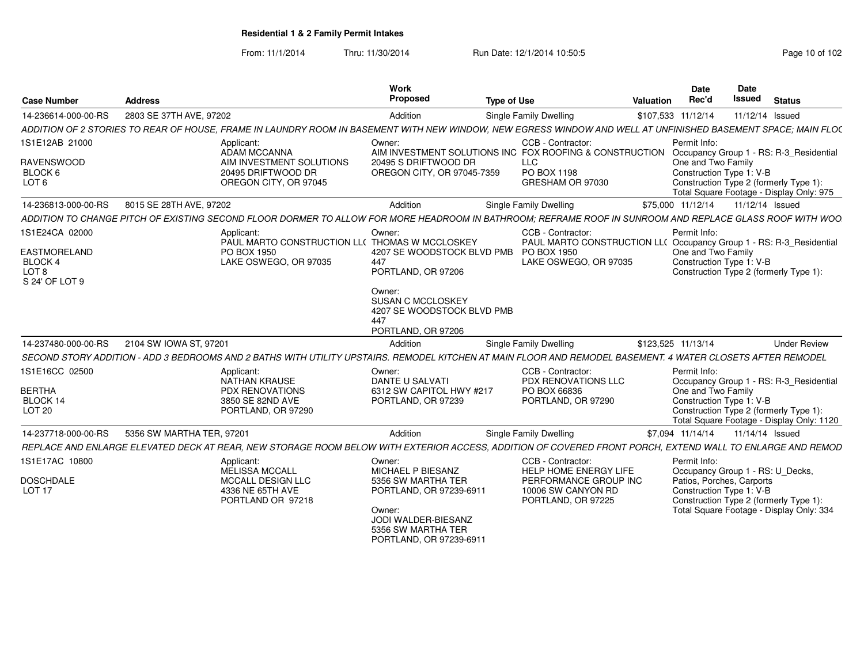From: 11/1/2014Thru: 11/30/2014 Run Date: 12/1/2014 10:50:5<br> **Page 10 of 102** 

| <b>Case Number</b>                          | <b>Address</b>            |                                                                                                                                                               | Work<br>Proposec                              | <b>Type of Use</b>                                                                              | Date<br>Valuation<br>Rec'd          | <b>Date</b><br>Issued<br><b>Status</b>                                             |
|---------------------------------------------|---------------------------|---------------------------------------------------------------------------------------------------------------------------------------------------------------|-----------------------------------------------|-------------------------------------------------------------------------------------------------|-------------------------------------|------------------------------------------------------------------------------------|
| 14-236614-000-00-RS                         | 2803 SE 37TH AVE, 97202   |                                                                                                                                                               | Addition                                      | Single Family Dwelling                                                                          | \$107,533 11/12/14 11/12/14 Issued  |                                                                                    |
|                                             |                           | ADDITION OF 2 STORIES TO REAR OF HOUSE, FRAME IN LAUNDRY ROOM IN BASEMENT WITH NEW WINDOW, NEW EGRESS WINDOW AND WELL AT UNFINISHED BASEMENT SPACE; MAIN FLOC |                                               |                                                                                                 |                                     |                                                                                    |
| 1S1E12AB 21000                              |                           | Applicant:                                                                                                                                                    | Owner:                                        | CCB - Contractor:                                                                               | Permit Info:                        |                                                                                    |
| <b>RAVENSWOOD</b>                           |                           | ADAM MCCANNA<br>AIM INVESTMENT SOLUTIONS                                                                                                                      | 20495 S DRIFTWOOD DR                          | AIM INVESTMENT SOLUTIONS INC FOX ROOFING & CONSTRUCTION Occupancy Group 1 - RS: R-3 Residential | One and Two Family                  |                                                                                    |
| BLOCK 6                                     |                           | 20495 DRIFTWOOD DR                                                                                                                                            | OREGON CITY, OR 97045-7359                    | PO BOX 1198                                                                                     |                                     | Construction Type 1: V-B                                                           |
| LOT 6                                       |                           | OREGON CITY, OR 97045                                                                                                                                         |                                               | GRESHAM OR 97030                                                                                |                                     | Construction Type 2 (formerly Type 1):<br>Total Square Footage - Display Only: 975 |
| 14-236813-000-00-RS                         | 8015 SE 28TH AVE, 97202   |                                                                                                                                                               | Addition                                      | Single Family Dwelling                                                                          | \$75,000 11/12/14  11/12/14  Issued |                                                                                    |
|                                             |                           | ADDITION TO CHANGE PITCH OF EXISTING SECOND FLOOR DORMER TO ALLOW FOR MORE HEADROOM IN BATHROOM; REFRAME ROOF IN SUNROOM AND REPLACE GLASS ROOF WITH WOO      |                                               |                                                                                                 |                                     |                                                                                    |
| 1S1E24CA 02000                              |                           | Applicant:                                                                                                                                                    | Owner:                                        | CCB - Contractor:                                                                               | Permit Info:                        |                                                                                    |
|                                             |                           | PAUL MARTO CONSTRUCTION LL( THOMAS W MCCLOSKEY                                                                                                                |                                               |                                                                                                 |                                     | PAUL MARTO CONSTRUCTION LL( Occupancy Group 1 - RS: R-3 Residential                |
| EASTMORELAND<br>BLOCK 4                     |                           | PO BOX 1950<br>LAKE OSWEGO, OR 97035                                                                                                                          | 4207 SE WOODSTOCK BLVD PMB PO BOX 1950<br>447 | LAKE OSWEGO, OR 97035                                                                           | One and Two Family                  | Construction Type 1: V-B                                                           |
| LOT 8                                       |                           |                                                                                                                                                               | PORTLAND, OR 97206                            |                                                                                                 |                                     | Construction Type 2 (formerly Type 1):                                             |
| S 24' OF LOT 9                              |                           |                                                                                                                                                               |                                               |                                                                                                 |                                     |                                                                                    |
|                                             |                           |                                                                                                                                                               | Owner:<br><b>SUSAN C MCCLOSKEY</b>            |                                                                                                 |                                     |                                                                                    |
|                                             |                           |                                                                                                                                                               | 4207 SE WOODSTOCK BLVD PMB                    |                                                                                                 |                                     |                                                                                    |
|                                             |                           |                                                                                                                                                               |                                               |                                                                                                 |                                     |                                                                                    |
|                                             |                           |                                                                                                                                                               | PORTLAND, OR 97206                            |                                                                                                 |                                     |                                                                                    |
| 14-237480-000-00-RS  2104 SW IOWA ST, 97201 |                           |                                                                                                                                                               | Addition                                      | Single Family Dwelling                                                                          | \$123,525 11/13/14                  | <b>Under Review</b>                                                                |
|                                             |                           | SECOND STORY ADDITION - ADD 3 BEDROOMS AND 2 BATHS WITH UTILITY UPSTAIRS. REMODEL KITCHEN AT MAIN FLOOR AND REMODEL BASEMENT. 4 WATER CLOSETS AFTER REMODEL   |                                               |                                                                                                 |                                     |                                                                                    |
| 1S1E16CC 02500                              |                           | Applicant:<br>NATHAN KRAUSE                                                                                                                                   | Owner:                                        | CCB - Contractor:<br>PDX RENOVATIONS LL                                                         | Permit Info:                        |                                                                                    |
| <b>BERTHA</b>                               |                           | <b>PDX RENOVATIONS</b>                                                                                                                                        | DANTE U SALVATI<br>6312 SW CAPITOL HWY #217   | PO BOX 66836                                                                                    | One and Two Family                  | Occupancy Group 1 - RS: R-3 Residential                                            |
| BLOCK 14                                    |                           | 3850 SE 82ND AVE                                                                                                                                              | PORTLAND, OR 97239                            | PORTLAND, OR 97290                                                                              |                                     | Construction Type 1: V-B                                                           |
| <b>LOT 20</b>                               |                           | PORTLAND, OR 97290                                                                                                                                            |                                               |                                                                                                 |                                     | Construction Type 2 (formerly Type 1):                                             |
|                                             |                           |                                                                                                                                                               |                                               |                                                                                                 |                                     | Total Square Footage - Display Only: 1120                                          |
| 14-237718-000-00-RS                         | 5356 SW MARTHA TER, 97201 |                                                                                                                                                               | Addition                                      | Single Family Dwelling                                                                          |                                     |                                                                                    |
|                                             |                           | REPLACE AND ENLARGE ELEVATED DECK AT REAR, NEW STORAGE ROOM BELOW WITH EXTERIOR ACCESS, ADDITION OF COVERED FRONT PORCH, EXTEND WALL TO ENLARGE AND REMOD     |                                               |                                                                                                 |                                     |                                                                                    |
| 1S1E17AC 10800                              |                           | Applicant:<br>MELISSA MCCALL                                                                                                                                  | Owner:<br>MICHAEL P BIESANZ                   | CCB - Contractor:<br>HELP HOME ENERGY LIFE                                                      | Permit Info:                        | Occupancy Group 1 - RS: U Decks,                                                   |
| <b>DOSCHDALE</b>                            |                           | <b>MCCALL DESIGN LLO</b>                                                                                                                                      | 5356 SW MARTHA TER                            | PERFORMANCE GROUP INC                                                                           |                                     | Patios, Porches, Carports                                                          |
| LOT 17                                      |                           | 4336 NE 65TH AVE                                                                                                                                              | PORTLAND, OR 97239-6911                       | 10006 SW CANYON RD                                                                              |                                     | Construction Type 1: V-B                                                           |
|                                             |                           | PORTLAND OR 97218                                                                                                                                             |                                               | PORTLAND, OR 97225                                                                              |                                     | Construction Type 2 (formerly Type 1):                                             |
|                                             |                           |                                                                                                                                                               | Owner:<br>JODI WALDER-BIESANZ                 |                                                                                                 |                                     | Total Square Footage - Display Only: 334                                           |
|                                             |                           |                                                                                                                                                               | 5356 SW MARTHA TER                            |                                                                                                 |                                     |                                                                                    |
|                                             |                           |                                                                                                                                                               | PORTLAND, OR 97239-6911                       |                                                                                                 |                                     |                                                                                    |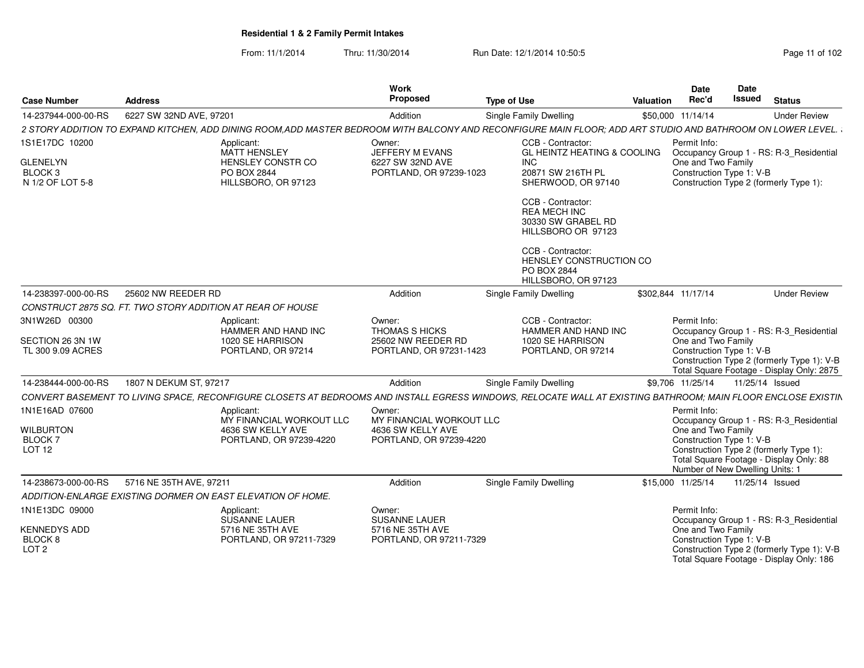From: 11/1/2014Thru: 11/30/2014 Run Date: 12/1/2014 10:50:5<br> **Page 11 of 102** 

| <b>Case Number</b>                                                          | <b>Address</b>                                                                                                                                               | Work<br>Proposed                                                          | <b>Type of Use</b>                                                                                                                                                         | <b>Valuation</b>   | Date<br>Date<br>Issued<br>Rec'd                                                   | <b>Status</b>                                                                                                                      |
|-----------------------------------------------------------------------------|--------------------------------------------------------------------------------------------------------------------------------------------------------------|---------------------------------------------------------------------------|----------------------------------------------------------------------------------------------------------------------------------------------------------------------------|--------------------|-----------------------------------------------------------------------------------|------------------------------------------------------------------------------------------------------------------------------------|
| 14-237944-000-00-RS                                                         | 6227 SW 32ND AVE, 97201                                                                                                                                      | Addition                                                                  | Single Family Dwelling                                                                                                                                                     | \$50,000 11/14/14  |                                                                                   | <b>Under Review</b>                                                                                                                |
|                                                                             | 2 STORY ADDITION TO EXPAND KITCHEN. ADD DINING ROOM.ADD MASTER BEDROOM WITH BALCONY AND RECONFIGURE MAIN FLOOR: ADD ART STUDIO AND BATHROOM ON LOWER LEVEL.  |                                                                           |                                                                                                                                                                            |                    |                                                                                   |                                                                                                                                    |
| 1S1E17DC 10200<br><b>GLENELYN</b><br>BLOCK <sub>3</sub><br>N 1/2 OF LOT 5-8 | Applicant:<br>MATT HENSLEY<br>HENSLEY CONSTR CO<br>PO BOX 2844<br>HILLSBORO, OR 97123                                                                        | Owner:<br>JEFFERY M EVANS<br>6227 SW 32ND AVE<br>PORTLAND, OR 97239-1023  | CCB - Contractor:<br><b>GL HEINTZ HEATING &amp; COOLING</b><br>INC.<br>20871 SW 216TH PL<br>SHERWOOD, OR 97140                                                             | Permit Info:       | One and Two Family<br>Construction Type 1: V-B                                    | Occupancy Group 1 - RS: R-3_Residential<br>Construction Type 2 (formerly Type 1):                                                  |
|                                                                             |                                                                                                                                                              |                                                                           | CCB - Contractor:<br><b>REA MECH INC</b><br>30330 SW GRABEL RD<br>HILLSBORO OR 97123<br>CCB - Contractor:<br>HENSLEY CONSTRUCTION CO<br>PO BOX 2844<br>HILLSBORO, OR 97123 |                    |                                                                                   |                                                                                                                                    |
| 14-238397-000-00-RS                                                         | 25602 NW REEDER RD                                                                                                                                           | Addition                                                                  | Single Family Dwelling                                                                                                                                                     | \$302,844 11/17/14 |                                                                                   | <b>Under Review</b>                                                                                                                |
|                                                                             | CONSTRUCT 2875 SQ. FT. TWO STORY ADDITION AT REAR OF HOUSE                                                                                                   |                                                                           |                                                                                                                                                                            |                    |                                                                                   |                                                                                                                                    |
| 3N1W26D 00300<br>SECTION 26 3N 1W<br>TL 300 9.09 ACRES                      | Applicant:<br>HAMMER AND HAND INC<br>1020 SE HARRISON<br>PORTLAND, OR 97214                                                                                  | Owner:<br>THOMAS S HICKS<br>25602 NW REEDER RD<br>PORTLAND, OR 97231-1423 | CCB - Contractor:<br>HAMMER AND HAND INC<br>1020 SE HARRISON<br>PORTLAND, OR 97214                                                                                         | Permit Info:       | One and Two Family<br>Construction Type 1: V-B                                    | Occupancy Group 1 - RS: R-3_Residential<br>Construction Type 2 (formerly Type 1): V-B<br>Total Square Footage - Display Only: 2875 |
| 14-238444-000-00-RS                                                         | 1807 N DEKUM ST, 97217                                                                                                                                       | Addition                                                                  | Single Family Dwelling                                                                                                                                                     | \$9,706 11/25/14   |                                                                                   | 11/25/14 Issued                                                                                                                    |
|                                                                             | CONVERT BASEMENT TO LIVING SPACE. RECONFIGURE CLOSETS AT BEDROOMS AND INSTALL EGRESS WINDOWS. RELOCATE WALL AT EXISTING BATHROOM: MAIN FLOOR ENCLOSE EXISTIN |                                                                           |                                                                                                                                                                            |                    |                                                                                   |                                                                                                                                    |
| 1N1E16AD 07600                                                              | Applicant:<br>MY FINANCIAL WORKOUT LLC                                                                                                                       | Owner:<br>MY FINANCIAL WORKOUT LLC                                        |                                                                                                                                                                            | Permit Info:       |                                                                                   | Occupancy Group 1 - RS: R-3_Residential                                                                                            |
| <b>WILBURTON</b><br><b>BLOCK7</b><br>LOT <sub>12</sub>                      | 4636 SW KELLY AVE<br>PORTLAND, OR 97239-4220                                                                                                                 | 4636 SW KELLY AVE<br>PORTLAND, OR 97239-4220                              |                                                                                                                                                                            |                    | One and Two Family<br>Construction Type 1: V-B<br>Number of New Dwelling Units: 1 | Construction Type 2 (formerly Type 1):<br>Total Square Footage - Display Only: 88                                                  |
| 14-238673-000-00-RS                                                         | 5716 NE 35TH AVE, 97211                                                                                                                                      | Addition                                                                  | <b>Single Family Dwelling</b>                                                                                                                                              | \$15,000 11/25/14  |                                                                                   | 11/25/14 Issued                                                                                                                    |
|                                                                             | ADDITION-ENLARGE EXISTING DORMER ON EAST ELEVATION OF HOME.                                                                                                  |                                                                           |                                                                                                                                                                            |                    |                                                                                   |                                                                                                                                    |
| 1N1E13DC 09000                                                              | Applicant:<br>SUSANNE LAUER                                                                                                                                  | Owner:<br><b>SUSANNE LAUER</b>                                            |                                                                                                                                                                            | Permit Info:       |                                                                                   | Occupancy Group 1 - RS: R-3_Residential                                                                                            |
| <b>KENNEDYS ADD</b><br>BLOCK 8<br>LOT <sub>2</sub>                          | 5716 NE 35TH AVE<br>PORTLAND, OR 97211-7329                                                                                                                  | 5716 NE 35TH AVE<br>PORTLAND, OR 97211-7329                               |                                                                                                                                                                            |                    | One and Two Family<br>Construction Type 1: V-B                                    | Construction Type 2 (formerly Type 1): V-B<br>Total Square Footage - Display Only: 186                                             |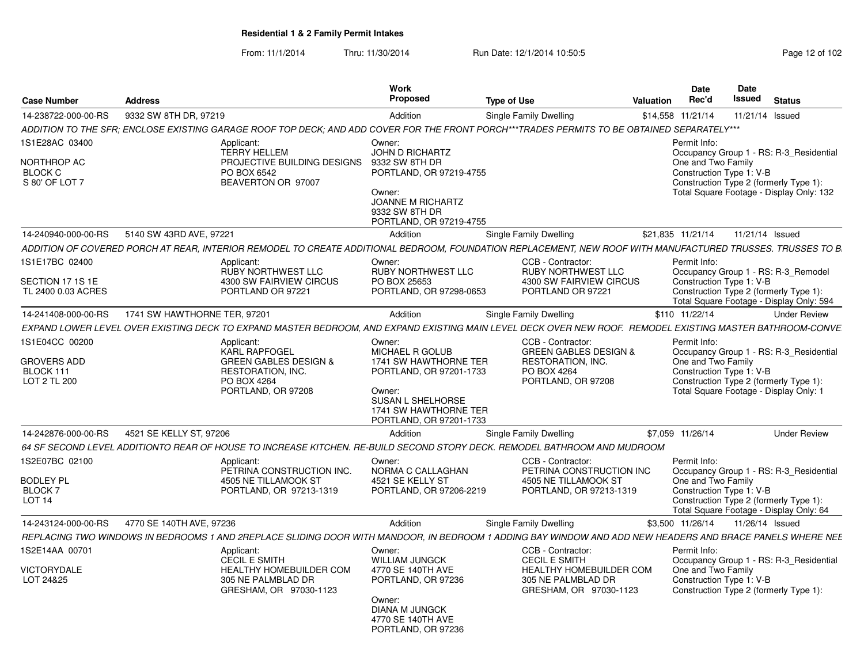From: 11/1/2014Thru: 11/30/2014 Run Date: 12/1/2014 10:50:5<br>
Page 12 of 102

| <b>Case Number</b>                                                   | <b>Address</b>                                                                                                                                                                                                          | Work<br>Proposed                                                                                                                                                 | <b>Type of Use</b>                                                                                                          | <b>Valuation</b>  | <b>Date</b><br>Rec'd                                           | <b>Date</b><br>Issued | <b>Status</b>                                                                                                                 |
|----------------------------------------------------------------------|-------------------------------------------------------------------------------------------------------------------------------------------------------------------------------------------------------------------------|------------------------------------------------------------------------------------------------------------------------------------------------------------------|-----------------------------------------------------------------------------------------------------------------------------|-------------------|----------------------------------------------------------------|-----------------------|-------------------------------------------------------------------------------------------------------------------------------|
| 14-238722-000-00-RS                                                  | 9332 SW 8TH DR, 97219                                                                                                                                                                                                   | Addition                                                                                                                                                         | Single Family Dwelling                                                                                                      | \$14,558 11/21/14 |                                                                | 11/21/14 Issued       |                                                                                                                               |
|                                                                      | ADDITION TO THE SFR; ENCLOSE EXISTING GARAGE ROOF TOP DECK; AND ADD COVER FOR THE FRONT PORCH***TRADES PERMITS TO BE OBTAINED SEPARATELY***                                                                             |                                                                                                                                                                  |                                                                                                                             |                   |                                                                |                       |                                                                                                                               |
| 1S1E28AC 03400<br>NORTHROP AC<br><b>BLOCK C</b><br>S 80' OF LOT 7    | Applicant:<br><b>TERRY HELLEM</b><br>PROJECTIVE BUILDING DESIGNS<br>PO BOX 6542<br>BEAVERTON OR 97007                                                                                                                   | Owner:<br><b>JOHN D RICHARTZ</b><br>9332 SW 8TH DR<br>PORTLAND, OR 97219-4755<br>Owner:<br><b>JOANNE M RICHARTZ</b><br>9332 SW 8TH DR<br>PORTLAND, OR 97219-4755 |                                                                                                                             |                   | Permit Info:<br>One and Two Family<br>Construction Type 1: V-B |                       | Occupancy Group 1 - RS: R-3 Residential<br>Construction Type 2 (formerly Type 1):<br>Total Square Footage - Display Only: 132 |
| 14-240940-000-00-RS                                                  | 5140 SW 43RD AVE, 97221                                                                                                                                                                                                 | Addition                                                                                                                                                         | Single Family Dwelling                                                                                                      | \$21,835 11/21/14 |                                                                | 11/21/14 Issued       |                                                                                                                               |
|                                                                      | ADDITION OF COVERED PORCH AT REAR, INTERIOR REMODEL TO CREATE ADDITIONAL BEDROOM, FOUNDATION REPLACEMENT, NEW ROOF WITH MANUFACTURED TRUSSES. TRUSSES TO B                                                              |                                                                                                                                                                  |                                                                                                                             |                   |                                                                |                       |                                                                                                                               |
| 1S1E17BC 02400<br>SECTION 17 1S 1E<br>TL 2400 0.03 ACRES             | Applicant:<br><b>RUBY NORTHWEST LLC</b><br>4300 SW FAIRVIEW CIRCUS<br>PORTLAND OR 97221                                                                                                                                 | Owner:<br><b>RUBY NORTHWEST LLC</b><br>PO BOX 25653<br>PORTLAND, OR 97298-0653                                                                                   | CCB - Contractor:<br><b>RUBY NORTHWEST LLC</b><br>4300 SW FAIRVIEW CIRCUS<br>PORTLAND OR 97221                              |                   | Permit Info:<br>Construction Type 1: V-B                       |                       | Occupancy Group 1 - RS: R-3 Remodel<br>Construction Type 2 (formerly Type 1):<br>Total Square Footage - Display Only: 594     |
| 14-241408-000-00-RS                                                  | 1741 SW HAWTHORNE TER, 97201                                                                                                                                                                                            | Addition                                                                                                                                                         | Single Family Dwelling                                                                                                      | \$110 11/22/14    |                                                                |                       | <b>Under Review</b>                                                                                                           |
|                                                                      | EXPAND LOWER LEVEL OVER EXISTING DECK TO EXPAND MASTER BEDROOM, AND EXPAND EXISTING MAIN LEVEL DECK OVER NEW ROOF. REMODEL EXISTING MASTER BATHROOM-CONVE                                                               |                                                                                                                                                                  |                                                                                                                             |                   |                                                                |                       |                                                                                                                               |
| 1S1E04CC 00200<br><b>GROVERS ADD</b><br>BLOCK 111<br>LOT 2 TL 200    | Applicant:<br><b>KARL RAPFOGEL</b><br><b>GREEN GABLES DESIGN &amp;</b><br>RESTORATION, INC.<br>PO BOX 4264<br>PORTLAND, OR 97208                                                                                        | Owner:<br>MICHAEL R GOLUB<br>1741 SW HAWTHORNE TER<br>PORTLAND, OR 97201-1733<br>Owner:<br>SUSAN L SHELHORSE<br>1741 SW HAWTHORNE TER<br>PORTLAND, OR 97201-1733 | CCB - Contractor:<br><b>GREEN GABLES DESIGN &amp;</b><br><b>RESTORATION, INC.</b><br>PO BOX 4264<br>PORTLAND, OR 97208      |                   | Permit Info:<br>One and Two Family<br>Construction Type 1: V-B |                       | Occupancy Group 1 - RS: R-3_Residential<br>Construction Type 2 (formerly Type 1):<br>Total Square Footage - Display Only: 1   |
| 14-242876-000-00-RS                                                  | 4521 SE KELLY ST, 97206                                                                                                                                                                                                 | Addition                                                                                                                                                         | Single Family Dwelling                                                                                                      | \$7,059 11/26/14  |                                                                |                       | <b>Under Review</b>                                                                                                           |
| 1S2E07BC 02100<br><b>BODLEY PL</b><br><b>BLOCK7</b><br><b>LOT 14</b> | 64 SF SECOND LEVEL ADDITIONTO REAR OF HOUSE TO INCREASE KITCHEN. RE-BUILD SECOND STORY DECK. REMODEL BATHROOM AND MUDROOM<br>Applicant:<br>PETRINA CONSTRUCTION INC.<br>4505 NE TILLAMOOK ST<br>PORTLAND, OR 97213-1319 | Owner:<br>NORMA C CALLAGHAN<br>4521 SE KELLY ST<br>PORTLAND, OR 97206-2219                                                                                       | CCB - Contractor:<br>PETRINA CONSTRUCTION INC<br>4505 NE TILLAMOOK ST<br>PORTLAND, OR 97213-1319                            |                   | Permit Info:<br>One and Two Family<br>Construction Type 1: V-B |                       | Occupancy Group 1 - RS: R-3_Residential<br>Construction Type 2 (formerly Type 1):<br>Total Square Footage - Display Only: 64  |
| 14-243124-000-00-RS                                                  | 4770 SE 140TH AVE, 97236                                                                                                                                                                                                | Addition                                                                                                                                                         | Single Family Dwelling                                                                                                      | \$3,500 11/26/14  |                                                                | 11/26/14 Issued       |                                                                                                                               |
|                                                                      | REPLACING TWO WINDOWS IN BEDROOMS 1 AND 2REPLACE SLIDING DOOR WITH MANDOOR. IN BEDROOM 1 ADDING BAY WINDOW AND ADD NEW HEADERS AND BRACE PANELS WHERE NEE                                                               |                                                                                                                                                                  |                                                                                                                             |                   |                                                                |                       |                                                                                                                               |
| 1S2E14AA 00701<br><b>VICTORYDALE</b><br>LOT 24&25                    | Applicant:<br><b>CECIL E SMITH</b><br><b>HEALTHY HOMEBUILDER COM</b><br>305 NE PALMBLAD DR<br>GRESHAM, OR 97030-1123                                                                                                    | Owner:<br><b>WILLIAM JUNGCK</b><br>4770 SE 140TH AVE<br>PORTLAND, OR 97236<br>Owner:<br><b>DIANA M JUNGCK</b><br>4770 SE 140TH AVE<br>PORTLAND, OR 97236         | CCB - Contractor:<br><b>CECIL E SMITH</b><br><b>HEALTHY HOMEBUILDER COM</b><br>305 NE PALMBLAD DR<br>GRESHAM, OR 97030-1123 |                   | Permit Info:<br>One and Two Family<br>Construction Type 1: V-B |                       | Occupancy Group 1 - RS: R-3 Residential<br>Construction Type 2 (formerly Type 1):                                             |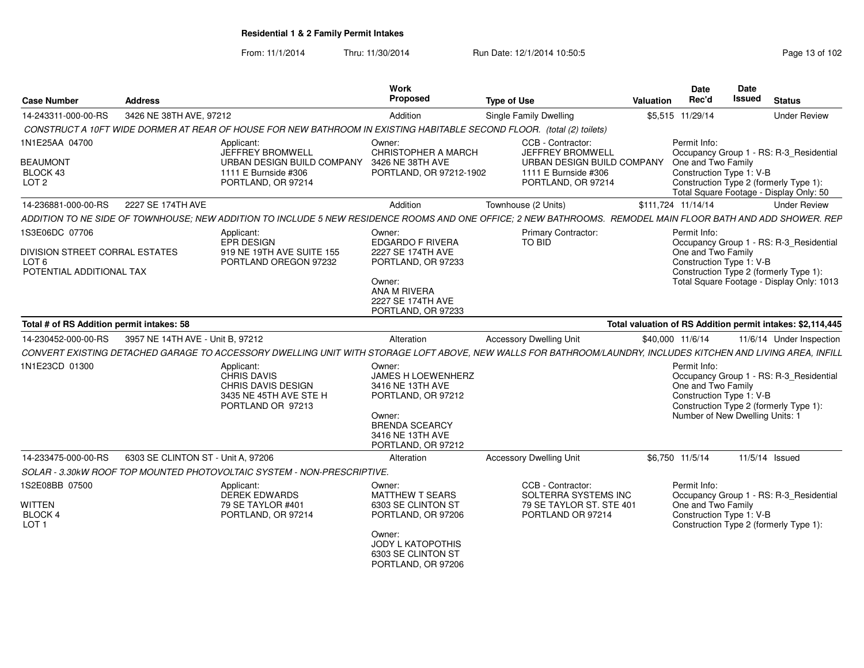From: 11/1/2014Thru: 11/30/2014 Run Date: 12/1/2014 10:50:5<br>
Page 13 of 102

| <b>Case Number</b>                                                                                      | <b>Address</b>                     |                                                                                                                                                               | Work<br><b>Proposed</b>                                                                                                                                 | <b>Type of Use</b>                                                                                                       | <b>Valuation</b>   | Date<br>Rec'd                                                  | <b>Date</b><br><b>Issued</b> | <b>Status</b>                                                                                                                  |
|---------------------------------------------------------------------------------------------------------|------------------------------------|---------------------------------------------------------------------------------------------------------------------------------------------------------------|---------------------------------------------------------------------------------------------------------------------------------------------------------|--------------------------------------------------------------------------------------------------------------------------|--------------------|----------------------------------------------------------------|------------------------------|--------------------------------------------------------------------------------------------------------------------------------|
| 14-243311-000-00-RS                                                                                     | 3426 NE 38TH AVE, 97212            |                                                                                                                                                               | Addition                                                                                                                                                | Single Family Dwelling                                                                                                   |                    | \$5,515 11/29/14                                               |                              | <b>Under Review</b>                                                                                                            |
|                                                                                                         |                                    | CONSTRUCT A 10FT WIDE DORMER AT REAR OF HOUSE FOR NEW BATHROOM IN EXISTING HABITABLE SECOND FLOOR. (total (2) toilets)                                        |                                                                                                                                                         |                                                                                                                          |                    |                                                                |                              |                                                                                                                                |
| 1N1E25AA 04700<br><b>BEAUMONT</b><br>BLOCK 43<br>LOT <sub>2</sub>                                       |                                    | Applicant:<br>JEFFREY BROMWELL<br>URBAN DESIGN BUILD COMPANY<br>1111 E Burnside #306<br>PORTLAND, OR 97214                                                    | Owner:<br>CHRISTOPHER A MARCH<br>3426 NE 38TH AVE<br>PORTLAND, OR 97212-1902                                                                            | CCB - Contractor:<br><b>JEFFREY BROMWELL</b><br>URBAN DESIGN BUILD COMPANY<br>1111 E Burnside #306<br>PORTLAND, OR 97214 |                    | Permit Info:<br>One and Two Family<br>Construction Type 1: V-B |                              | Occupancy Group 1 - RS: R-3_Residential<br>Construction Type 2 (formerly Type 1):<br>Total Square Footage - Display Only: 50   |
| 14-236881-000-00-RS                                                                                     | 2227 SE 174TH AVE                  |                                                                                                                                                               | Addition                                                                                                                                                | Townhouse (2 Units)                                                                                                      | \$111.724 11/14/14 |                                                                |                              | <b>Under Review</b>                                                                                                            |
|                                                                                                         |                                    | ADDITION TO NE SIDE OF TOWNHOUSE; NEW ADDITION TO INCLUDE 5 NEW RESIDENCE ROOMS AND ONE OFFICE; 2 NEW BATHROOMS. REMODEL MAIN FLOOR BATH AND ADD SHOWER. REP  |                                                                                                                                                         |                                                                                                                          |                    |                                                                |                              |                                                                                                                                |
| 1S3E06DC 07706<br><b>DIVISION STREET CORRAL ESTATES</b><br>LOT <sub>6</sub><br>POTENTIAL ADDITIONAL TAX |                                    | Applicant:<br>EPR DESIGN<br>919 NE 19TH AVE SUITE 155<br>PORTLAND OREGON 97232                                                                                | Owner:<br><b>EDGARDO F RIVERA</b><br>2227 SE 174TH AVE<br>PORTLAND, OR 97233<br>Owner:<br>ANA M RIVERA<br>2227 SE 174TH AVE<br>PORTLAND, OR 97233       | <b>Primary Contractor:</b><br><b>TO BID</b>                                                                              |                    | Permit Info:<br>One and Two Family<br>Construction Type 1: V-B |                              | Occupancy Group 1 - RS: R-3 Residential<br>Construction Type 2 (formerly Type 1):<br>Total Square Footage - Display Only: 1013 |
| Total # of RS Addition permit intakes: 58                                                               |                                    |                                                                                                                                                               |                                                                                                                                                         |                                                                                                                          |                    |                                                                |                              | Total valuation of RS Addition permit intakes: \$2,114,445                                                                     |
| 14-230452-000-00-RS                                                                                     | 3957 NE 14TH AVE - Unit B, 97212   |                                                                                                                                                               | Alteration                                                                                                                                              | <b>Accessory Dwelling Unit</b>                                                                                           | \$40,000 11/6/14   |                                                                |                              | 11/6/14 Under Inspection                                                                                                       |
|                                                                                                         |                                    | CONVERT EXISTING DETACHED GARAGE TO ACCESSORY DWELLING UNIT WITH STORAGE LOFT ABOVE. NEW WALLS FOR BATHROOM/LAUNDRY. INCLUDES KITCHEN AND LIVING AREA. INFILL |                                                                                                                                                         |                                                                                                                          |                    |                                                                |                              |                                                                                                                                |
| 1N1E23CD 01300                                                                                          |                                    | Applicant:<br>CHRIS DAVIS<br>CHRIS DAVIS DESIGN<br>3435 NE 45TH AVE STE H<br>PORTLAND OR 97213                                                                | Owner:<br>JAMES H LOEWENHERZ<br>3416 NE 13TH AVE<br>PORTLAND, OR 97212<br>Owner:<br><b>BRENDA SCEARCY</b><br>3416 NE 13TH AVE<br>PORTLAND, OR 97212     |                                                                                                                          |                    | Permit Info:<br>One and Two Family<br>Construction Type 1: V-B |                              | Occupancy Group 1 - RS: R-3_Residential<br>Construction Type 2 (formerly Type 1):<br>Number of New Dwelling Units: 1           |
| 14-233475-000-00-RS                                                                                     | 6303 SE CLINTON ST - Unit A. 97206 |                                                                                                                                                               | Alteration                                                                                                                                              | <b>Accessory Dwelling Unit</b>                                                                                           |                    | \$6,750 11/5/14                                                |                              | 11/5/14 Issued                                                                                                                 |
|                                                                                                         |                                    | SOLAR - 3.30kW ROOF TOP MOUNTED PHOTOVOLTAIC SYSTEM - NON-PRESCRIPTIVE.                                                                                       |                                                                                                                                                         |                                                                                                                          |                    |                                                                |                              |                                                                                                                                |
| 1S2E08BB 07500<br><b>WITTEN</b><br>BLOCK 4<br>LOT <sub>1</sub>                                          |                                    | Applicant:<br><b>DEREK EDWARDS</b><br>79 SE TAYLOR #401<br>PORTLAND, OR 97214                                                                                 | Owner:<br><b>MATTHEW T SEARS</b><br>6303 SE CLINTON ST<br>PORTLAND, OR 97206<br>Owner:<br>JODY L KATOPOTHIS<br>6303 SE CLINTON ST<br>PORTLAND, OR 97206 | CCB - Contractor:<br>SOLTERRA SYSTEMS INC<br>79 SE TAYLOR ST. STE 401<br>PORTLAND OR 97214                               |                    | Permit Info:<br>One and Two Family<br>Construction Type 1: V-B |                              | Occupancy Group 1 - RS: R-3_Residential<br>Construction Type 2 (formerly Type 1):                                              |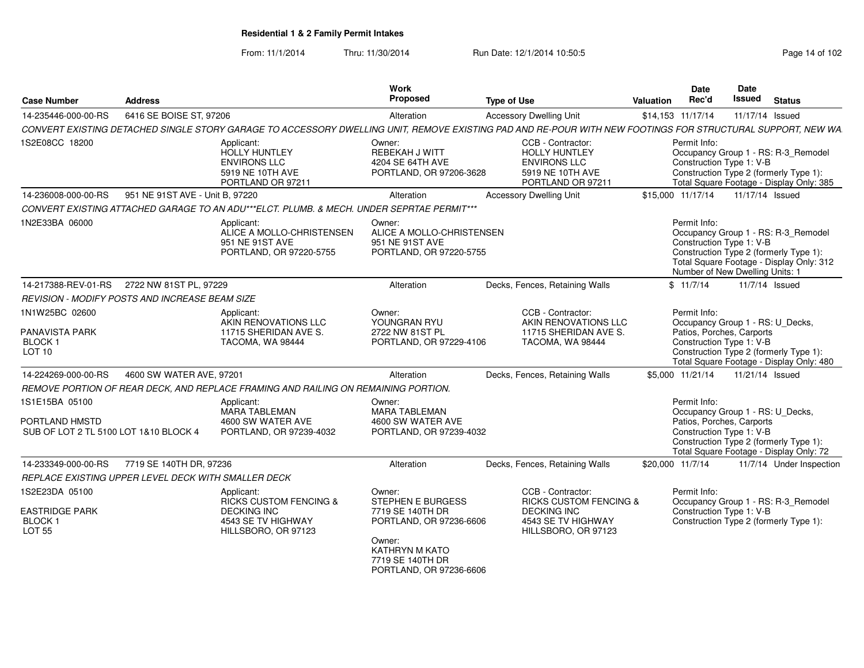From: 11/1/2014Thru: 11/30/2014 Run Date: 12/1/2014 10:50:5<br>
Page 14 of 102

| <b>Case Number</b>                                                        | <b>Address</b>                                        |                                                                                                                    | <b>Work</b><br>Proposed                                                                                                           | <b>Type of Use</b>                                                                                                                                         | Valuation | Date<br>Rec'd                                                               | Date<br><b>Issued</b> | <b>Status</b>                                                                                                             |
|---------------------------------------------------------------------------|-------------------------------------------------------|--------------------------------------------------------------------------------------------------------------------|-----------------------------------------------------------------------------------------------------------------------------------|------------------------------------------------------------------------------------------------------------------------------------------------------------|-----------|-----------------------------------------------------------------------------|-----------------------|---------------------------------------------------------------------------------------------------------------------------|
| 14-235446-000-00-RS                                                       | 6416 SE BOISE ST, 97206                               |                                                                                                                    | Alteration                                                                                                                        | <b>Accessory Dwelling Unit</b>                                                                                                                             |           | \$14,153 11/17/14                                                           |                       | 11/17/14 Issued                                                                                                           |
|                                                                           |                                                       |                                                                                                                    |                                                                                                                                   | CONVERT EXISTING DETACHED SINGLE STORY GARAGE TO ACCESSORY DWELLING UNIT, REMOVE EXISTING PAD AND RE-POUR WITH NEW FOOTINGS FOR STRUCTURAL SUPPORT, NEW WA |           |                                                                             |                       |                                                                                                                           |
| 1S2E08CC 18200                                                            |                                                       | Applicant:<br>HOLLY HUNTLEY<br><b>ENVIRONS LLC</b><br>5919 NE 10TH AVE<br>PORTLAND OR 97211                        | Owner:<br><b>REBEKAH J WITT</b><br>4204 SE 64TH AVE<br>PORTLAND, OR 97206-3628                                                    | CCB - Contractor:<br><b>HOLLY HUNTLEY</b><br><b>ENVIRONS LLC</b><br>5919 NE 10TH AVE<br>PORTLAND OR 97211                                                  |           | Permit Info:<br>Construction Type 1: V-B                                    |                       | Occupancy Group 1 - RS: R-3_Remodel<br>Construction Type 2 (formerly Type 1):<br>Total Square Footage - Display Only: 385 |
| 14-236008-000-00-RS                                                       | 951 NE 91ST AVE - Unit B, 97220                       |                                                                                                                    | Alteration                                                                                                                        | <b>Accessory Dwelling Unit</b>                                                                                                                             |           | \$15,000 11/17/14                                                           |                       | 11/17/14 Issued                                                                                                           |
|                                                                           |                                                       | CONVERT EXISTING ATTACHED GARAGE TO AN ADU***ELCT. PLUMB. & MECH. UNDER SEPRTAE PERMIT***                          |                                                                                                                                   |                                                                                                                                                            |           |                                                                             |                       |                                                                                                                           |
| 1N2E33BA 06000                                                            |                                                       | Applicant:<br>ALICE A MOLLO-CHRISTENSEN<br>951 NE 91ST AVE<br>PORTLAND, OR 97220-5755                              | Owner:<br>ALICE A MOLLO-CHRISTENSEN<br>951 NE 91ST AVE<br>PORTLAND, OR 97220-5755                                                 |                                                                                                                                                            |           | Permit Info:<br>Construction Type 1: V-B<br>Number of New Dwelling Units: 1 |                       | Occupancy Group 1 - RS: R-3 Remodel<br>Construction Type 2 (formerly Type 1):<br>Total Square Footage - Display Only: 312 |
| 14-217388-REV-01-RS                                                       | 2722 NW 81ST PL. 97229                                |                                                                                                                    | Alteration                                                                                                                        | Decks, Fences, Retaining Walls                                                                                                                             |           | \$11/7/14                                                                   |                       | 11/7/14 Issued                                                                                                            |
|                                                                           | <b>REVISION - MODIFY POSTS AND INCREASE BEAM SIZE</b> |                                                                                                                    |                                                                                                                                   |                                                                                                                                                            |           |                                                                             |                       |                                                                                                                           |
| 1N1W25BC 02600<br><b>PANAVISTA PARK</b><br><b>BLOCK1</b><br>LOT 10        |                                                       | Applicant:<br>AKIN RENOVATIONS LLC<br>11715 SHERIDAN AVE S.<br>TACOMA, WA 98444                                    | Owner:<br>YOUNGRAN RYU<br>2722 NW 81ST PL<br>PORTLAND, OR 97229-4106                                                              | CCB - Contractor:<br>AKIN RENOVATIONS LLC<br>11715 SHERIDAN AVE S.<br>TACOMA, WA 98444                                                                     |           | Permit Info:<br>Patios, Porches, Carports<br>Construction Type 1: V-B       |                       | Occupancy Group 1 - RS: U Decks,<br>Construction Type 2 (formerly Type 1):<br>Total Square Footage - Display Only: 480    |
| 14-224269-000-00-RS                                                       | 4600 SW WATER AVE, 97201                              |                                                                                                                    | Alteration                                                                                                                        | Decks, Fences, Retaining Walls                                                                                                                             |           | \$5,000 11/21/14                                                            |                       | 11/21/14 Issued                                                                                                           |
|                                                                           |                                                       | REMOVE PORTION OF REAR DECK, AND REPLACE FRAMING AND RAILING ON REMAINING PORTION.                                 |                                                                                                                                   |                                                                                                                                                            |           |                                                                             |                       |                                                                                                                           |
| 1S1E15BA 05100<br>PORTLAND HMSTD<br>SUB OF LOT 2 TL 5100 LOT 1&10 BLOCK 4 |                                                       | Applicant:<br><b>MARA TABLEMAN</b><br>4600 SW WATER AVE<br>PORTLAND, OR 97239-4032                                 | Owner:<br><b>MARA TABLEMAN</b><br>4600 SW WATER AVE<br>PORTLAND, OR 97239-4032                                                    |                                                                                                                                                            |           | Permit Info:<br>Patios, Porches, Carports<br>Construction Type 1: V-B       |                       | Occupancy Group 1 - RS: U Decks,<br>Construction Type 2 (formerly Type 1):<br>Total Square Footage - Display Only: 72     |
| 14-233349-000-00-RS                                                       | 7719 SE 140TH DR, 97236                               |                                                                                                                    | Alteration                                                                                                                        | Decks, Fences, Retaining Walls                                                                                                                             |           | \$20,000 11/7/14                                                            |                       | 11/7/14 Under Inspection                                                                                                  |
|                                                                           | REPLACE EXISTING UPPER LEVEL DECK WITH SMALLER DECK   |                                                                                                                    |                                                                                                                                   |                                                                                                                                                            |           |                                                                             |                       |                                                                                                                           |
| 1S2E23DA 05100<br><b>EASTRIDGE PARK</b><br><b>BLOCK1</b><br>LOT 55        |                                                       | Applicant:<br><b>RICKS CUSTOM FENCING &amp;</b><br><b>DECKING INC</b><br>4543 SE TV HIGHWAY<br>HILLSBORO, OR 97123 | Owner:<br>STEPHEN E BURGESS<br>7719 SE 140TH DR<br>PORTLAND, OR 97236-6606<br>Owner:<br><b>KATHRYN M KATO</b><br>7719 SE 140TH DR | CCB - Contractor:<br><b>RICKS CUSTOM FENCING &amp;</b><br><b>DECKING INC</b><br>4543 SE TV HIGHWAY<br>HILLSBORO, OR 97123                                  |           | Permit Info:<br>Construction Type 1: V-B                                    |                       | Occupancy Group 1 - RS: R-3 Remodel<br>Construction Type 2 (formerly Type 1):                                             |

PORTLAND, OR 97236-6606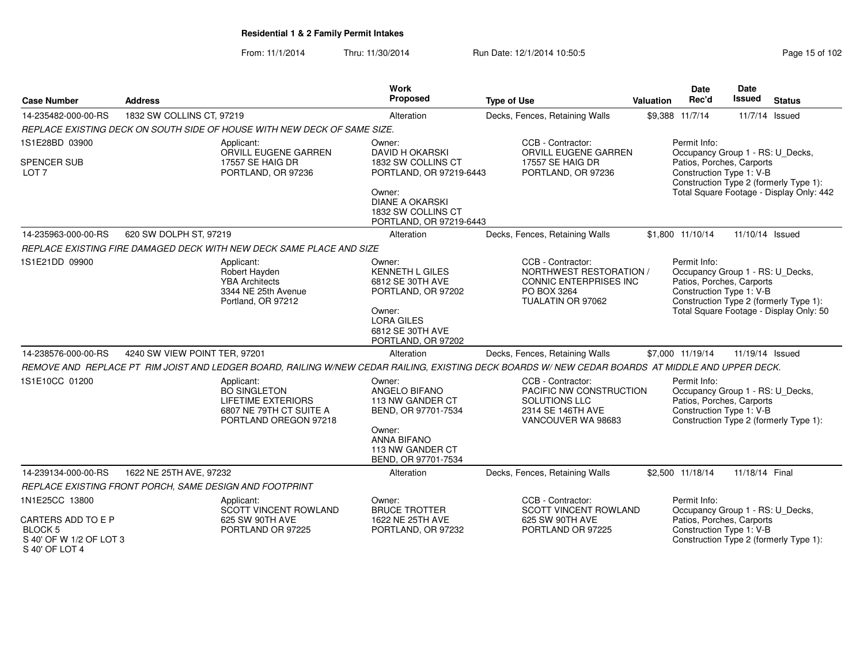From: 11/1/2014Thru: 11/30/2014 Run Date: 12/1/2014 10:50:5

| <b>Case Number</b>                                                                | <b>Address</b>                |                                                                                                                    | Work<br>Proposed                                                                     | <b>Type of Use</b>                                                                                                                               | Valuation | <b>Date</b><br>Rec'd                                                                                      | Date<br><b>Issued</b>                    | <b>Status</b>                                                                     |
|-----------------------------------------------------------------------------------|-------------------------------|--------------------------------------------------------------------------------------------------------------------|--------------------------------------------------------------------------------------|--------------------------------------------------------------------------------------------------------------------------------------------------|-----------|-----------------------------------------------------------------------------------------------------------|------------------------------------------|-----------------------------------------------------------------------------------|
| 14-235482-000-00-RS                                                               | 1832 SW COLLINS CT, 97219     |                                                                                                                    | Alteration                                                                           | Decks, Fences, Retaining Walls                                                                                                                   |           | \$9,388 11/7/14                                                                                           |                                          | 11/7/14 Issued                                                                    |
|                                                                                   |                               | REPLACE EXISTING DECK ON SOUTH SIDE OF HOUSE WITH NEW DECK OF SAME SIZE.                                           |                                                                                      |                                                                                                                                                  |           |                                                                                                           |                                          |                                                                                   |
| 1S1E28BD 03900                                                                    |                               | Applicant:<br>ORVILL EUGENE GARREN                                                                                 | Owner:<br><b>DAVID H OKARSKI</b>                                                     | CCB - Contractor:<br>ORVILL EUGENE GARREN                                                                                                        |           | Permit Info:<br>Occupancy Group 1 - RS: U_Decks,                                                          |                                          |                                                                                   |
| <b>SPENCER SUB</b><br>LOT 7                                                       |                               | 17557 SE HAIG DR<br>PORTLAND, OR 97236                                                                             | 1832 SW COLLINS CT<br>PORTLAND, OR 97219-6443                                        | 17557 SE HAIG DR<br>PORTLAND, OR 97236                                                                                                           |           | Patios, Porches, Carports<br>Construction Type 1: V-B                                                     |                                          | Construction Type 2 (formerly Type 1):                                            |
|                                                                                   |                               |                                                                                                                    | Owner:<br><b>DIANE A OKARSKI</b><br>1832 SW COLLINS CT<br>PORTLAND, OR 97219-6443    |                                                                                                                                                  |           |                                                                                                           | Total Square Footage - Display Only: 442 |                                                                                   |
| 14-235963-000-00-RS                                                               | 620 SW DOLPH ST, 97219        |                                                                                                                    | Alteration                                                                           | Decks, Fences, Retaining Walls                                                                                                                   |           | \$1.800 11/10/14                                                                                          | 11/10/14 Issued                          |                                                                                   |
|                                                                                   |                               | REPLACE EXISTING FIRE DAMAGED DECK WITH NEW DECK SAME PLACE AND SIZE                                               |                                                                                      |                                                                                                                                                  |           |                                                                                                           |                                          |                                                                                   |
| 1S1E21DD 09900                                                                    |                               | Applicant:<br>Robert Hayden<br><b>YBA</b> Architects<br>3344 NE 25th Avenue<br>Portland, OR 97212                  | Owner:<br><b>KENNETH L GILES</b><br>6812 SE 30TH AVE<br>PORTLAND, OR 97202<br>Owner: | CCB - Contractor:<br>NORTHWEST RESTORATION /<br><b>CONNIC ENTERPRISES INC</b><br>PO BOX 3264<br>TUALATIN OR 97062                                |           | Permit Info:<br>Occupancy Group 1 - RS: U_Decks,<br>Patios, Porches, Carports<br>Construction Type 1: V-B |                                          | Construction Type 2 (formerly Type 1):<br>Total Square Footage - Display Only: 50 |
|                                                                                   |                               |                                                                                                                    | <b>LORA GILES</b><br>6812 SE 30TH AVE<br>PORTLAND, OR 97202                          |                                                                                                                                                  |           |                                                                                                           |                                          |                                                                                   |
| 14-238576-000-00-RS                                                               | 4240 SW VIEW POINT TER, 97201 |                                                                                                                    | Alteration                                                                           | Decks, Fences, Retaining Walls                                                                                                                   |           | \$7,000 11/19/14                                                                                          | 11/19/14 Issued                          |                                                                                   |
|                                                                                   |                               |                                                                                                                    |                                                                                      | REMOVE AND REPLACE PT RIM JOIST AND LEDGER BOARD, RAILING W/NEW CEDAR RAILING, EXISTING DECK BOARDS W/NEW CEDAR BOARDS AT MIDDLE AND UPPER DECK. |           |                                                                                                           |                                          |                                                                                   |
| 1S1E10CC 01200                                                                    |                               | Applicant:<br><b>BO SINGLETON</b><br><b>LIFETIME EXTERIORS</b><br>6807 NE 79TH CT SUITE A<br>PORTLAND OREGON 97218 | Owner:<br>ANGELO BIFANO<br>113 NW GANDER CT<br>BEND, OR 97701-7534                   | CCB - Contractor:<br>PACIFIC NW CONSTRUCTION<br>SOLUTIONS LLC<br>2314 SE 146TH AVE<br>VANCOUVER WA 98683                                         |           | Permit Info:<br>Occupancy Group 1 - RS: U_Decks,<br>Patios, Porches, Carports<br>Construction Type 1: V-B |                                          | Construction Type 2 (formerly Type 1):                                            |
|                                                                                   |                               |                                                                                                                    | Owner:<br><b>ANNA BIFANO</b><br>113 NW GANDER CT<br>BEND, OR 97701-7534              |                                                                                                                                                  |           |                                                                                                           |                                          |                                                                                   |
| 14-239134-000-00-RS                                                               | 1622 NE 25TH AVE, 97232       |                                                                                                                    | Alteration                                                                           | Decks, Fences, Retaining Walls                                                                                                                   |           | \$2,500 11/18/14                                                                                          | 11/18/14 Final                           |                                                                                   |
|                                                                                   |                               | REPLACE EXISTING FRONT PORCH, SAME DESIGN AND FOOTPRINT                                                            |                                                                                      |                                                                                                                                                  |           |                                                                                                           |                                          |                                                                                   |
| 1N1E25CC 13800                                                                    |                               | Applicant:<br><b>SCOTT VINCENT ROWLAND</b>                                                                         | Owner:<br><b>BRUCE TROTTER</b>                                                       | CCB - Contractor:<br><b>SCOTT VINCENT ROWLAND</b>                                                                                                |           | Permit Info:<br>Occupancy Group 1 - RS: U_Decks,                                                          |                                          |                                                                                   |
| CARTERS ADD TO E P<br><b>BLOCK 5</b><br>S 40' OF W 1/2 OF LOT 3<br>S 40' OF LOT 4 |                               | 625 SW 90TH AVE<br>PORTLAND OR 97225                                                                               | 1622 NE 25TH AVE<br>PORTLAND, OR 97232                                               | 625 SW 90TH AVE<br>PORTLAND OR 97225                                                                                                             |           | Patios, Porches, Carports<br>Construction Type 1: V-B                                                     |                                          | Construction Type 2 (formerly Type 1):                                            |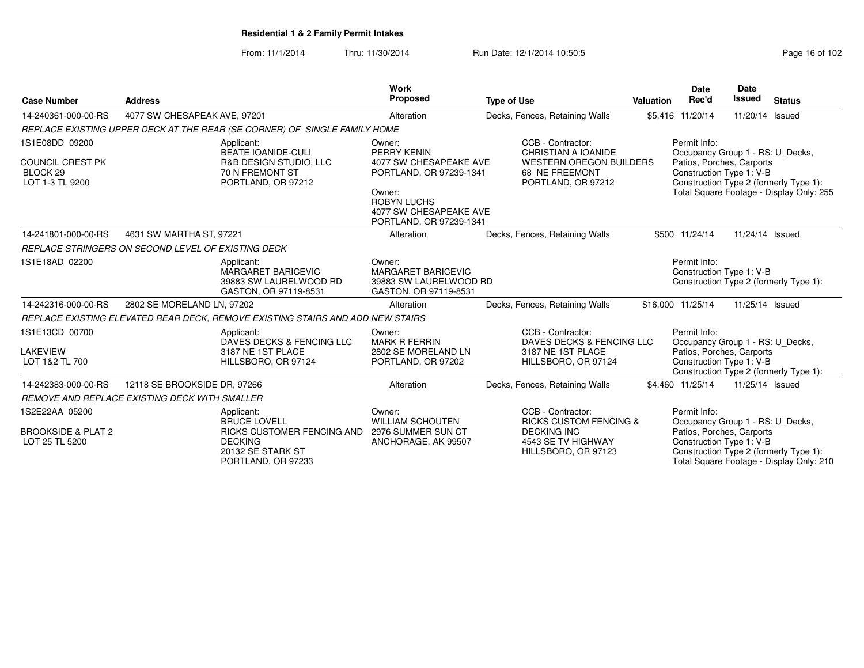From: 11/1/2014Thru: 11/30/2014 Run Date: 12/1/2014 10:50:5<br>
Page 16 of 102

| <b>Case Number</b>                                                                  | <b>Address</b>                                     |                                                                                                                              | Work<br>Proposed                                                                                                                                                | <b>Type of Use</b> |                                                                                                                           | <b>Valuation</b> | <b>Date</b><br>Rec'd                                                                                      | Date<br><b>Issued</b> | <b>Status</b>                                                                      |
|-------------------------------------------------------------------------------------|----------------------------------------------------|------------------------------------------------------------------------------------------------------------------------------|-----------------------------------------------------------------------------------------------------------------------------------------------------------------|--------------------|---------------------------------------------------------------------------------------------------------------------------|------------------|-----------------------------------------------------------------------------------------------------------|-----------------------|------------------------------------------------------------------------------------|
| 14-240361-000-00-RS                                                                 | 4077 SW CHESAPEAK AVE, 97201                       |                                                                                                                              | Alteration                                                                                                                                                      |                    | Decks, Fences, Retaining Walls                                                                                            |                  | \$5,416 11/20/14                                                                                          | 11/20/14 Issued       |                                                                                    |
|                                                                                     |                                                    | REPLACE EXISTING UPPER DECK AT THE REAR (SE CORNER) OF SINGLE FAMILY HOME                                                    |                                                                                                                                                                 |                    |                                                                                                                           |                  |                                                                                                           |                       |                                                                                    |
| 1S1E08DD 09200<br><b>COUNCIL CREST PK</b><br>BLOCK <sub>29</sub><br>LOT 1-3 TL 9200 |                                                    | Applicant:<br><b>BEATE IOANIDE-CULI</b><br>R&B DESIGN STUDIO, LLC<br>70 N FREMONT ST<br>PORTLAND, OR 97212                   | Owner:<br>PERRY KENIN<br>4077 SW CHESAPEAKE AVE<br>PORTLAND, OR 97239-1341<br>Owner:<br><b>ROBYN LUCHS</b><br>4077 SW CHESAPEAKE AVE<br>PORTLAND, OR 97239-1341 |                    | CCB - Contractor:<br>CHRISTIAN A IOANIDE<br><b>WESTERN OREGON BUILDERS</b><br>68 NE FREEMONT<br>PORTLAND, OR 97212        |                  | Permit Info:<br>Occupancy Group 1 - RS: U Decks,<br>Patios, Porches, Carports<br>Construction Type 1: V-B |                       | Construction Type 2 (formerly Type 1):<br>Total Square Footage - Display Only: 255 |
| 14-241801-000-00-RS                                                                 | 4631 SW MARTHA ST, 97221                           |                                                                                                                              | Alteration                                                                                                                                                      |                    | Decks, Fences, Retaining Walls                                                                                            |                  | \$500 11/24/14                                                                                            | 11/24/14 Issued       |                                                                                    |
|                                                                                     | REPLACE STRINGERS ON SECOND LEVEL OF EXISTING DECK |                                                                                                                              |                                                                                                                                                                 |                    |                                                                                                                           |                  |                                                                                                           |                       |                                                                                    |
| 1S1E18AD 02200                                                                      |                                                    | Applicant:<br><b>MARGARET BARICEVIC</b><br>39883 SW LAURELWOOD RD<br>GASTON, OR 97119-8531                                   | Owner:<br><b>MARGARET BARICEVIC</b><br>39883 SW LAURELWOOD RD<br>GASTON, OR 97119-8531                                                                          |                    |                                                                                                                           |                  | Permit Info:<br>Construction Type 1: V-B                                                                  |                       | Construction Type 2 (formerly Type 1):                                             |
| 14-242316-000-00-RS                                                                 | 2802 SE MORELAND LN, 97202                         |                                                                                                                              | Alteration                                                                                                                                                      |                    | Decks, Fences, Retaining Walls                                                                                            |                  | \$16,000 11/25/14                                                                                         | 11/25/14 Issued       |                                                                                    |
|                                                                                     |                                                    | REPLACE EXISTING ELEVATED REAR DECK, REMOVE EXISTING STAIRS AND ADD NEW STAIRS                                               |                                                                                                                                                                 |                    |                                                                                                                           |                  |                                                                                                           |                       |                                                                                    |
| 1S1E13CD 00700<br><b>LAKEVIEW</b><br>LOT 1&2 TL 700                                 |                                                    | Applicant:<br>DAVES DECKS & FENCING LLC<br>3187 NE 1ST PLACE<br>HILLSBORO, OR 97124                                          | Owner:<br><b>MARK R FERRIN</b><br>2802 SE MORELAND LN<br>PORTLAND, OR 97202                                                                                     |                    | CCB - Contractor:<br>DAVES DECKS & FENCING LLC<br>3187 NE 1ST PLACE<br>HILLSBORO, OR 97124                                |                  | Permit Info:<br>Occupancy Group 1 - RS: U_Decks,<br>Patios, Porches, Carports<br>Construction Type 1: V-B |                       | Construction Type 2 (formerly Type 1):                                             |
| 14-242383-000-00-RS                                                                 | 12118 SE BROOKSIDE DR. 97266                       |                                                                                                                              | Alteration                                                                                                                                                      |                    | Decks, Fences, Retaining Walls                                                                                            |                  | \$4.460 11/25/14                                                                                          | 11/25/14 Issued       |                                                                                    |
|                                                                                     | REMOVE AND REPLACE EXISTING DECK WITH SMALLER      |                                                                                                                              |                                                                                                                                                                 |                    |                                                                                                                           |                  |                                                                                                           |                       |                                                                                    |
| 1S2E22AA 05200<br><b>BROOKSIDE &amp; PLAT 2</b><br>LOT 25 TL 5200                   |                                                    | Applicant:<br><b>BRUCE LOVELL</b><br>RICKS CUSTOMER FENCING AND<br><b>DECKING</b><br>20132 SE STARK ST<br>PORTLAND, OR 97233 | Owner:<br><b>WILLIAM SCHOUTEN</b><br>2976 SUMMER SUN CT<br>ANCHORAGE, AK 99507                                                                                  |                    | CCB - Contractor:<br><b>RICKS CUSTOM FENCING &amp;</b><br><b>DECKING INC</b><br>4543 SE TV HIGHWAY<br>HILLSBORO, OR 97123 |                  | Permit Info:<br>Occupancy Group 1 - RS: U Decks,<br>Patios, Porches, Carports<br>Construction Type 1: V-B |                       | Construction Type 2 (formerly Type 1):<br>Total Square Footage - Display Only: 210 |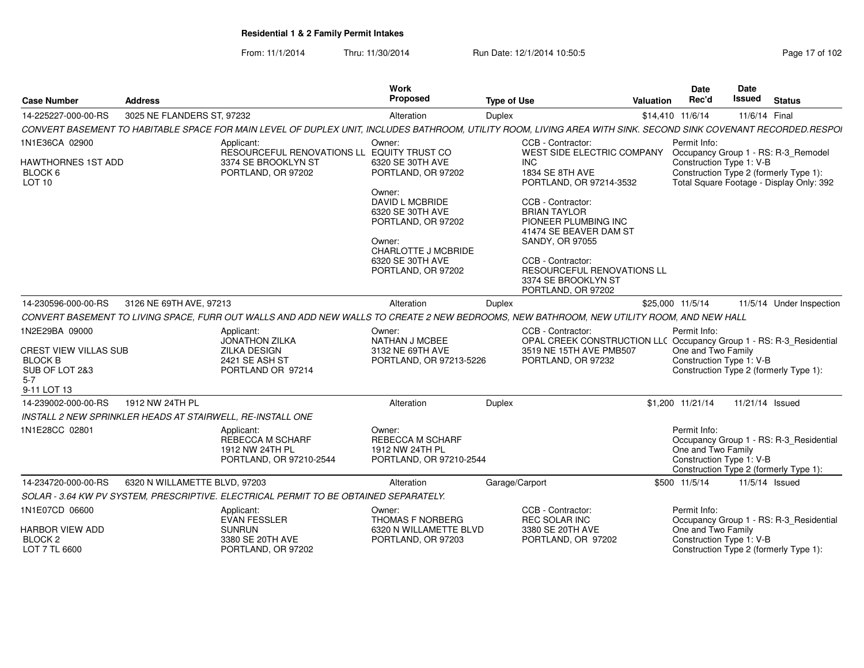From: 11/1/2014Thru: 11/30/2014 Run Date: 12/1/2014 10:50:5<br>
Page 17 of 102

| <b>Case Number</b>                                                                                    | <b>Address</b>                                                                                                                                                  | Work<br>Proposed                                                                     | <b>Type of Use</b>                                                 | <b>Valuation</b>                                                                               | Date<br>Rec'd                                                  | <b>Date</b><br><b>Issued</b> | <b>Status</b>                                                                                                             |
|-------------------------------------------------------------------------------------------------------|-----------------------------------------------------------------------------------------------------------------------------------------------------------------|--------------------------------------------------------------------------------------|--------------------------------------------------------------------|------------------------------------------------------------------------------------------------|----------------------------------------------------------------|------------------------------|---------------------------------------------------------------------------------------------------------------------------|
| 14-225227-000-00-RS                                                                                   | 3025 NE FLANDERS ST, 97232                                                                                                                                      | Alteration                                                                           | Duplex                                                             | \$14,410 11/6/14                                                                               |                                                                | 11/6/14 Final                |                                                                                                                           |
|                                                                                                       | CONVERT BASEMENT TO HABITABLE SPACE FOR MAIN LEVEL OF DUPLEX UNIT, INCLUDES BATHROOM, UTILITY ROOM, LIVING AREA WITH SINK. SECOND SINK COVENANT RECORDED.RESPOI |                                                                                      |                                                                    |                                                                                                |                                                                |                              |                                                                                                                           |
| 1N1E36CA 02900                                                                                        | Applicant:                                                                                                                                                      | Owner:                                                                               | CCB - Contractor:                                                  |                                                                                                | Permit Info:                                                   |                              |                                                                                                                           |
| HAWTHORNES 1ST ADD<br>BLOCK 6<br>LOT 10                                                               | 3374 SE BROOKLYN ST<br>PORTLAND, OR 97202                                                                                                                       | RESOURCEFUL RENOVATIONS LL EQUITY TRUST CO<br>6320 SE 30TH AVE<br>PORTLAND, OR 97202 | <b>INC</b><br>1834 SE 8TH AVE                                      | WEST SIDE ELECTRIC COMPANY<br>PORTLAND, OR 97214-3532                                          | Construction Type 1: V-B                                       |                              | Occupancy Group 1 - RS: R-3_Remodel<br>Construction Type 2 (formerly Type 1):<br>Total Square Footage - Display Only: 392 |
|                                                                                                       |                                                                                                                                                                 | Owner:<br>DAVID L MCBRIDE<br>6320 SE 30TH AVE<br>PORTLAND, OR 97202<br>Owner:        | CCB - Contractor:<br><b>BRIAN TAYLOR</b><br><b>SANDY, OR 97055</b> | PIONEER PLUMBING INC<br>41474 SE BEAVER DAM ST                                                 |                                                                |                              |                                                                                                                           |
|                                                                                                       |                                                                                                                                                                 | <b>CHARLOTTE J MCBRIDE</b><br>6320 SE 30TH AVE<br>PORTLAND, OR 97202                 | CCB - Contractor:<br>3374 SE BROOKLYN ST<br>PORTLAND, OR 97202     | <b>RESOURCEFUL RENOVATIONS LL</b>                                                              |                                                                |                              |                                                                                                                           |
| 14-230596-000-00-RS                                                                                   | 3126 NE 69TH AVE, 97213                                                                                                                                         | Alteration                                                                           | Duplex                                                             | \$25,000 11/5/14                                                                               |                                                                |                              | 11/5/14 Under Inspection                                                                                                  |
|                                                                                                       | CONVERT BASEMENT TO LIVING SPACE, FURR OUT WALLS AND ADD NEW WALLS TO CREATE 2 NEW BEDROOMS, NEW BATHROOM, NEW UTILITY ROOM, AND NEW HALL                       |                                                                                      |                                                                    |                                                                                                |                                                                |                              |                                                                                                                           |
| 1N2E29BA 09000<br>CREST VIEW VILLAS SUB<br><b>BLOCK B</b><br>SUB OF LOT 2&3<br>$5 - 7$<br>9-11 LOT 13 | Applicant:<br><b>JONATHON ZILKA</b><br>ZILKA DESIGN<br>2421 SE ASH ST<br>PORTLAND OR 97214                                                                      | Owner:<br>NATHAN J MCBEE<br>3132 NE 69TH AVE<br>PORTLAND, OR 97213-5226              | CCB - Contractor:<br>PORTLAND, OR 97232                            | OPAL CREEK CONSTRUCTION LLC Occupancy Group 1 - RS: R-3_Residential<br>3519 NE 15TH AVE PMB507 | Permit Info:<br>One and Two Family<br>Construction Type 1: V-B |                              | Construction Type 2 (formerly Type 1):                                                                                    |
| 14-239002-000-00-RS                                                                                   | 1912 NW 24TH PL                                                                                                                                                 | Alteration                                                                           | Duplex                                                             | \$1,200 11/21/14                                                                               |                                                                | 11/21/14 Issued              |                                                                                                                           |
|                                                                                                       | INSTALL 2 NEW SPRINKLER HEADS AT STAIRWELL, RE-INSTALL ONE                                                                                                      |                                                                                      |                                                                    |                                                                                                |                                                                |                              |                                                                                                                           |
| 1N1E28CC 02801                                                                                        | Applicant:<br><b>REBECCA M SCHARF</b><br>1912 NW 24TH PL<br>PORTLAND, OR 97210-2544                                                                             | Owner:<br><b>REBECCA M SCHARF</b><br>1912 NW 24TH PL<br>PORTLAND, OR 97210-2544      |                                                                    |                                                                                                | Permit Info:<br>One and Two Family<br>Construction Type 1: V-B |                              | Occupancy Group 1 - RS: R-3 Residential<br>Construction Type 2 (formerly Type 1):                                         |
| 14-234720-000-00-RS                                                                                   | 6320 N WILLAMETTE BLVD, 97203                                                                                                                                   | Alteration                                                                           | Garage/Carport                                                     | \$500 11/5/14                                                                                  |                                                                | 11/5/14 Issued               |                                                                                                                           |
|                                                                                                       | SOLAR - 3.64 KW PV SYSTEM, PRESCRIPTIVE. ELECTRICAL PERMIT TO BE OBTAINED SEPARATELY.                                                                           |                                                                                      |                                                                    |                                                                                                |                                                                |                              |                                                                                                                           |
| 1N1E07CD 06600                                                                                        | Applicant:<br><b>EVAN FESSLER</b>                                                                                                                               | Owner:<br><b>THOMAS F NORBERG</b>                                                    | CCB - Contractor:<br>REC SOLAR INC                                 |                                                                                                | Permit Info:                                                   |                              | Occupancy Group 1 - RS: R-3_Residential                                                                                   |
| <b>HARBOR VIEW ADD</b><br>BLOCK <sub>2</sub><br>LOT 7 TL 6600                                         | <b>SUNRUN</b><br>3380 SE 20TH AVE<br>PORTLAND, OR 97202                                                                                                         | 6320 N WILLAMETTE BLVD<br>PORTLAND, OR 97203                                         | 3380 SE 20TH AVE<br>PORTLAND, OR 97202                             |                                                                                                | One and Two Family<br>Construction Type 1: V-B                 |                              | Construction Type 2 (formerly Type 1):                                                                                    |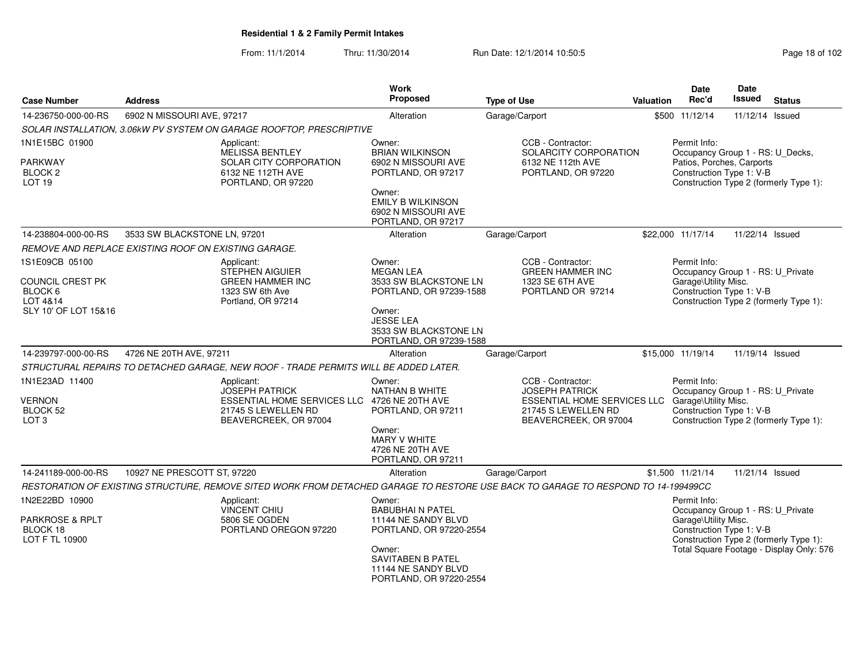From: 11/1/2014Thru: 11/30/2014 Run Date: 12/1/2014 10:50:5

| Page 18 of 102 |  |  |  |
|----------------|--|--|--|
|----------------|--|--|--|

| <b>Case Number</b>                                              | <b>Address</b>                                       |                                                                                                                                     | Work<br>Proposed                                                                | <b>Type of Use</b>                                                                                                               | <b>Valuation</b> | Date<br>Rec'd                                                                                         | <b>Date</b><br><b>Issued</b> | <b>Status</b>                                                                      |
|-----------------------------------------------------------------|------------------------------------------------------|-------------------------------------------------------------------------------------------------------------------------------------|---------------------------------------------------------------------------------|----------------------------------------------------------------------------------------------------------------------------------|------------------|-------------------------------------------------------------------------------------------------------|------------------------------|------------------------------------------------------------------------------------|
| 14-236750-000-00-RS                                             | 6902 N MISSOURI AVE, 97217                           |                                                                                                                                     | Alteration                                                                      | Garage/Carport                                                                                                                   |                  | \$500 11/12/14                                                                                        | 11/12/14 Issued              |                                                                                    |
|                                                                 |                                                      | SOLAR INSTALLATION, 3.06kW PV SYSTEM ON GARAGE ROOFTOP, PRESCRIPTIVE                                                                |                                                                                 |                                                                                                                                  |                  |                                                                                                       |                              |                                                                                    |
| 1N1E15BC 01900                                                  |                                                      | Applicant:<br><b>MELISSA BENTLEY</b>                                                                                                | Owner:<br><b>BRIAN WILKINSON</b>                                                | CCB - Contractor:<br>SOLARCITY CORPORATION                                                                                       |                  | Permit Info:<br>Occupancy Group 1 - RS: U_Decks,                                                      |                              |                                                                                    |
| PARKWAY<br>BLOCK <sub>2</sub><br>LOT <sub>19</sub>              |                                                      | SOLAR CITY CORPORATION<br>6132 NE 112TH AVE<br>PORTLAND, OR 97220                                                                   | 6902 N MISSOURI AVE<br>PORTLAND, OR 97217<br>Owner:<br><b>EMILY B WILKINSON</b> | 6132 NE 112th AVE<br>PORTLAND, OR 97220                                                                                          |                  | Patios, Porches, Carports<br>Construction Type 1: V-B                                                 |                              | Construction Type 2 (formerly Type 1):                                             |
|                                                                 |                                                      |                                                                                                                                     | 6902 N MISSOURI AVE<br>PORTLAND, OR 97217                                       |                                                                                                                                  |                  |                                                                                                       |                              |                                                                                    |
| 14-238804-000-00-RS                                             | 3533 SW BLACKSTONE LN, 97201                         |                                                                                                                                     | Alteration                                                                      | Garage/Carport                                                                                                                   |                  | \$22,000 11/17/14                                                                                     | 11/22/14 Issued              |                                                                                    |
|                                                                 | REMOVE AND REPLACE EXISTING ROOF ON EXISTING GARAGE. |                                                                                                                                     |                                                                                 |                                                                                                                                  |                  |                                                                                                       |                              |                                                                                    |
| 1S1E09CB 05100<br><b>COUNCIL CREST PK</b>                       |                                                      | Applicant:<br><b>STEPHEN AIGUIER</b><br><b>GREEN HAMMER INC</b>                                                                     | Owner:<br><b>MEGAN LEA</b><br>3533 SW BLACKSTONE LN                             | CCB - Contractor:<br><b>GREEN HAMMER INC</b><br>1323 SE 6TH AVE                                                                  |                  | Permit Info:<br>Occupancy Group 1 - RS: U_Private<br>Garage\Utility Misc.                             |                              |                                                                                    |
| BLOCK 6<br>LOT 4&14                                             |                                                      | 1323 SW 6th Ave<br>Portland, OR 97214                                                                                               | PORTLAND, OR 97239-1588                                                         | PORTLAND OR 97214                                                                                                                |                  | Construction Type 1: V-B                                                                              |                              | Construction Type 2 (formerly Type 1):                                             |
| SLY 10' OF LOT 15&16                                            |                                                      |                                                                                                                                     | Owner:<br><b>JESSE LEA</b><br>3533 SW BLACKSTONE LN<br>PORTLAND, OR 97239-1588  |                                                                                                                                  |                  |                                                                                                       |                              |                                                                                    |
| 14-239797-000-00-RS                                             | 4726 NE 20TH AVE, 97211                              |                                                                                                                                     | Alteration                                                                      | Garage/Carport                                                                                                                   |                  | \$15,000 11/19/14                                                                                     | 11/19/14 Issued              |                                                                                    |
|                                                                 |                                                      | STRUCTURAL REPAIRS TO DETACHED GARAGE, NEW ROOF - TRADE PERMITS WILL BE ADDED LATER.                                                |                                                                                 |                                                                                                                                  |                  |                                                                                                       |                              |                                                                                    |
| 1N1E23AD 11400<br><b>VERNON</b><br>BLOCK 52<br>LOT <sub>3</sub> |                                                      | Applicant:<br><b>JOSEPH PATRICK</b><br>ESSENTIAL HOME SERVICES LLC 4726 NE 20TH AVE<br>21745 S LEWELLEN RD<br>BEAVERCREEK, OR 97004 | Owner:<br><b>NATHAN B WHITE</b><br>PORTLAND, OR 97211                           | CCB - Contractor:<br><b>JOSEPH PATRICK</b><br><b>ESSENTIAL HOME SERVICES LLC</b><br>21745 S LEWELLEN RD<br>BEAVERCREEK, OR 97004 |                  | Permit Info:<br>Occupancy Group 1 - RS: U Private<br>Garage\Utility Misc.<br>Construction Type 1: V-B |                              | Construction Type 2 (formerly Type 1):                                             |
|                                                                 |                                                      |                                                                                                                                     | Owner:<br><b>MARY V WHITE</b><br>4726 NE 20TH AVE<br>PORTLAND, OR 97211         |                                                                                                                                  |                  |                                                                                                       |                              |                                                                                    |
| 14-241189-000-00-RS                                             | 10927 NE PRESCOTT ST, 97220                          |                                                                                                                                     | Alteration                                                                      | Garage/Carport                                                                                                                   |                  | \$1,500 11/21/14                                                                                      | 11/21/14 Issued              |                                                                                    |
|                                                                 |                                                      | RESTORATION OF EXISTING STRUCTURE, REMOVE SITED WORK FROM DETACHED GARAGE TO RESTORE USE BACK TO GARAGE TO RESPOND TO 14-199499CC   |                                                                                 |                                                                                                                                  |                  |                                                                                                       |                              |                                                                                    |
| 1N2E22BD 10900                                                  |                                                      | Applicant:<br><b>VINCENT CHIU</b>                                                                                                   | Owner:<br><b>BABUBHAI N PATEL</b>                                               |                                                                                                                                  |                  | Permit Info:<br>Occupancy Group 1 - RS: U_Private                                                     |                              |                                                                                    |
| PARKROSE & RPLT<br>BLOCK 18<br>LOT F TL 10900                   |                                                      | 5806 SE OGDEN<br>PORTLAND OREGON 97220                                                                                              | 11144 NE SANDY BLVD<br>PORTLAND, OR 97220-2554<br>Owner:                        |                                                                                                                                  |                  | Garage\Utility Misc.<br>Construction Type 1: V-B                                                      |                              | Construction Type 2 (formerly Type 1):<br>Total Square Footage - Display Only: 576 |
|                                                                 |                                                      |                                                                                                                                     | SAVITABEN B PATEL<br>11144 NE SANDY BLVD<br>PORTLAND, OR 97220-2554             |                                                                                                                                  |                  |                                                                                                       |                              |                                                                                    |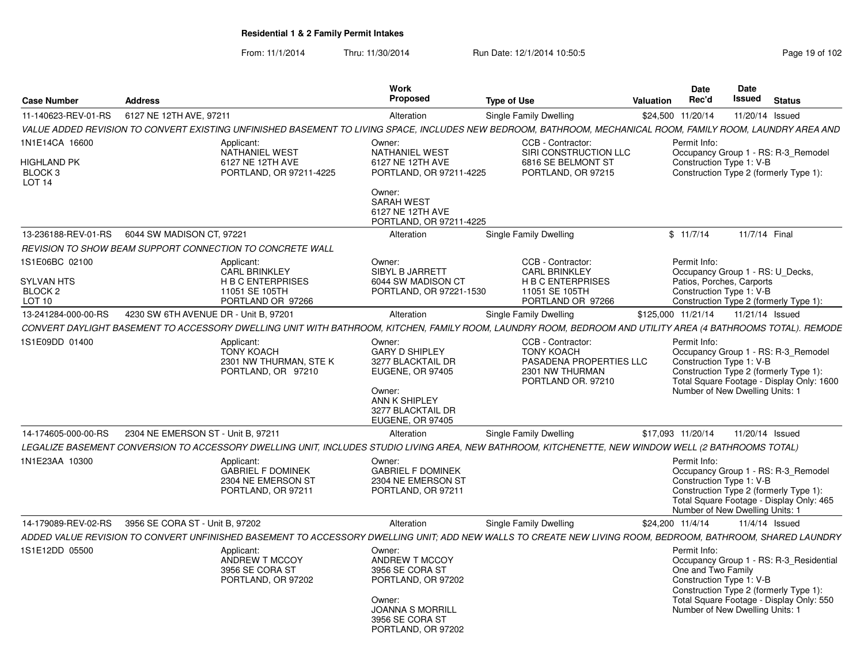From: 11/1/2014Thru: 11/30/2014 Run Date: 12/1/2014 10:50:5<br>
Page 19 of 102

|                                                                     |                                                                                                                                                              | Work                                                                              |                                                                                                              |                  | <b>Date</b>        | Date                                                        |                                                                                                                            |
|---------------------------------------------------------------------|--------------------------------------------------------------------------------------------------------------------------------------------------------------|-----------------------------------------------------------------------------------|--------------------------------------------------------------------------------------------------------------|------------------|--------------------|-------------------------------------------------------------|----------------------------------------------------------------------------------------------------------------------------|
| <b>Case Number</b>                                                  | <b>Address</b>                                                                                                                                               | Proposed                                                                          | <b>Type of Use</b>                                                                                           | Valuation        | Rec'd              | Issued                                                      | <b>Status</b>                                                                                                              |
| 11-140623-REV-01-RS                                                 | 6127 NE 12TH AVE, 97211                                                                                                                                      | Alteration                                                                        | Single Family Dwelling                                                                                       |                  | \$24.500 11/20/14  | 11/20/14 Issued                                             |                                                                                                                            |
|                                                                     | VALUE ADDED REVISION TO CONVERT EXISTING UNFINISHED BASEMENT TO LIVING SPACE, INCLUDES NEW BEDROOM, BATHROOM, MECHANICAL ROOM, FAMILY ROOM, LAUNDRY AREA AND |                                                                                   |                                                                                                              |                  |                    |                                                             |                                                                                                                            |
| 1N1E14CA 16600<br>HIGHLAND PK                                       | Applicant:<br><b>NATHANIEL WEST</b><br>6127 NE 12TH AVE                                                                                                      | Owner:<br><b>NATHANIEL WEST</b><br>6127 NE 12TH AVE                               | CCB - Contractor:<br>SIRI CONSTRUCTION LLC<br>6816 SE BELMONT ST                                             |                  | Permit Info:       | Construction Type 1: V-B                                    | Occupancy Group 1 - RS: R-3_Remodel                                                                                        |
| BLOCK <sub>3</sub><br><b>LOT 14</b>                                 | PORTLAND, OR 97211-4225                                                                                                                                      | PORTLAND, OR 97211-4225                                                           | PORTLAND, OR 97215                                                                                           |                  |                    |                                                             | Construction Type 2 (formerly Type 1):                                                                                     |
|                                                                     |                                                                                                                                                              | Owner:<br><b>SARAH WEST</b><br>6127 NE 12TH AVE<br>PORTLAND, OR 97211-4225        |                                                                                                              |                  |                    |                                                             |                                                                                                                            |
| 13-236188-REV-01-RS                                                 | 6044 SW MADISON CT, 97221                                                                                                                                    | Alteration                                                                        | Single Family Dwelling                                                                                       |                  | \$11/7/14          | 11/7/14 Final                                               |                                                                                                                            |
|                                                                     | REVISION TO SHOW BEAM SUPPORT CONNECTION TO CONCRETE WALL                                                                                                    |                                                                                   |                                                                                                              |                  |                    |                                                             |                                                                                                                            |
| 1S1E06BC 02100<br><b>SYLVAN HTS</b><br>BLOCK <sub>2</sub><br>LOT 10 | Applicant:<br><b>CARL BRINKLEY</b><br><b>HBC ENTERPRISES</b><br>11051 SE 105TH<br>PORTLAND OR 97266                                                          | Owner:<br><b>SIBYL B JARRETT</b><br>6044 SW MADISON CT<br>PORTLAND, OR 97221-1530 | CCB - Contractor:<br><b>CARL BRINKLEY</b><br><b>H B C ENTERPRISES</b><br>11051 SE 105TH<br>PORTLAND OR 97266 |                  | Permit Info:       | Patios, Porches, Carports<br>Construction Type 1: V-B       | Occupancy Group 1 - RS: U Decks,<br>Construction Type 2 (formerly Type 1):                                                 |
| 13-241284-000-00-RS                                                 | 4230 SW 6TH AVENUE DR - Unit B, 97201                                                                                                                        | Alteration                                                                        | Single Family Dwelling                                                                                       |                  |                    | \$125,000 11/21/14  11/21/14  Issued                        |                                                                                                                            |
|                                                                     | CONVERT DAYLIGHT BASEMENT TO ACCESSORY DWELLING UNIT WITH BATHROOM, KITCHEN, FAMILY ROOM, LAUNDRY ROOM, BEDROOM AND UTILITY AREA (4 BATHROOMS TOTAL). REMODE |                                                                                   |                                                                                                              |                  |                    |                                                             |                                                                                                                            |
| 1S1E09DD 01400                                                      |                                                                                                                                                              | Owner:                                                                            | CCB - Contractor:                                                                                            |                  | Permit Info:       |                                                             |                                                                                                                            |
|                                                                     | Applicant:<br><b>TONY KOACH</b><br>2301 NW THURMAN, STE K<br>PORTLAND, OR 97210                                                                              | <b>GARY D SHIPLEY</b><br>3277 BLACKTAIL DR<br><b>EUGENE, OR 97405</b><br>Owner:   | <b>TONY KOACH</b><br>PASADENA PROPERTIES LLC<br>2301 NW THURMAN<br>PORTLAND OR, 97210                        |                  |                    | Construction Type 1: V-B<br>Number of New Dwelling Units: 1 | Occupancy Group 1 - RS: R-3_Remodel<br>Construction Type 2 (formerly Type 1):<br>Total Square Footage - Display Only: 1600 |
|                                                                     |                                                                                                                                                              | ANN K SHIPLEY<br>3277 BLACKTAIL DR<br><b>EUGENE, OR 97405</b>                     |                                                                                                              |                  |                    |                                                             |                                                                                                                            |
| 14-174605-000-00-RS                                                 | 2304 NE EMERSON ST - Unit B. 97211                                                                                                                           | Alteration                                                                        | Single Family Dwelling                                                                                       |                  | \$17,093 11/20/14  | 11/20/14 Issued                                             |                                                                                                                            |
|                                                                     | LEGALIZE BASEMENT CONVERSION TO ACCESSORY DWELLING UNIT, INCLUDES STUDIO LIVING AREA, NEW BATHROOM, KITCHENETTE, NEW WINDOW WELL (2 BATHROOMS TOTAL)         |                                                                                   |                                                                                                              |                  |                    |                                                             |                                                                                                                            |
| 1N1E23AA 10300                                                      | Applicant:<br><b>GABRIEL F DOMINEK</b><br>2304 NE EMERSON ST<br>PORTLAND, OR 97211                                                                           | Owner:<br><b>GABRIEL F DOMINEK</b><br>2304 NE EMERSON ST<br>PORTLAND, OR 97211    |                                                                                                              |                  | Permit Info:       | Construction Type 1: V-B<br>Number of New Dwelling Units: 1 | Occupancy Group 1 - RS: R-3 Remodel<br>Construction Type 2 (formerly Type 1):<br>Total Square Footage - Display Only: 465  |
| 14-179089-REV-02-RS                                                 | 3956 SE CORA ST - Unit B, 97202                                                                                                                              | Alteration                                                                        | Single Family Dwelling                                                                                       | \$24,200 11/4/14 |                    |                                                             | 11/4/14 Issued                                                                                                             |
|                                                                     | ADDED VALUE REVISION TO CONVERT UNFINISHED BASEMENT TO ACCESSORY DWELLING UNIT; ADD NEW WALLS TO CREATE NEW LIVING ROOM, BEDROOM, BATHROOM, SHARED LAUNDRY   |                                                                                   |                                                                                                              |                  |                    |                                                             |                                                                                                                            |
| 1S1E12DD 05500                                                      | Applicant:                                                                                                                                                   | Owner:                                                                            |                                                                                                              |                  | Permit Info:       |                                                             |                                                                                                                            |
|                                                                     | ANDREW T MCCOY<br>3956 SE CORA ST<br>PORTLAND, OR 97202                                                                                                      | ANDREW T MCCOY<br>3956 SE CORA ST<br>PORTLAND, OR 97202                           |                                                                                                              |                  | One and Two Family | Construction Type 1: V-B                                    | Occupancy Group 1 - RS: R-3_Residential<br>Construction Type 2 (formerly Type 1):                                          |
|                                                                     |                                                                                                                                                              | Owner:<br><b>JOANNA S MORRILL</b><br>3956 SE CORA ST<br>PORTLAND, OR 97202        |                                                                                                              |                  |                    | Number of New Dwelling Units: 1                             | Total Square Footage - Display Only: 550                                                                                   |
|                                                                     |                                                                                                                                                              |                                                                                   |                                                                                                              |                  |                    |                                                             |                                                                                                                            |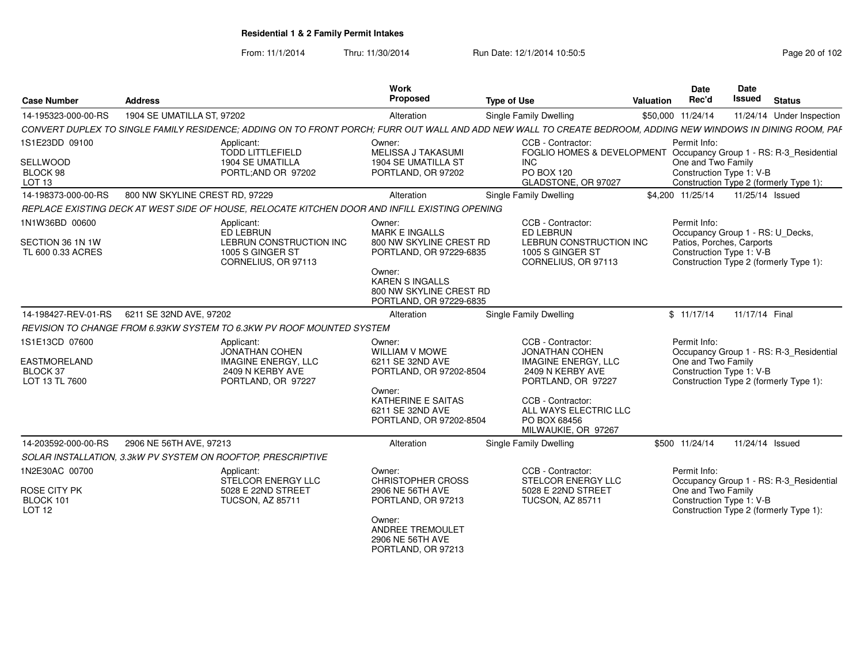From: 11/1/2014Thru: 11/30/2014 Run Date: 12/1/2014 10:50:5<br> **Page 20 of 102** 

| <b>Case Number</b>                                                         | <b>Address</b>                                                                                                                                                | Work<br>Proposed                                                                                | <b>Type of Use</b>                                                                                                 | Valuation | Date<br>Rec'd                                                                                             | Date<br><b>Issued</b> | <b>Status</b>                                                                     |
|----------------------------------------------------------------------------|---------------------------------------------------------------------------------------------------------------------------------------------------------------|-------------------------------------------------------------------------------------------------|--------------------------------------------------------------------------------------------------------------------|-----------|-----------------------------------------------------------------------------------------------------------|-----------------------|-----------------------------------------------------------------------------------|
| 14-195323-000-00-RS                                                        | 1904 SE UMATILLA ST, 97202                                                                                                                                    | Alteration                                                                                      | Single Family Dwelling                                                                                             |           | \$50,000 11/24/14                                                                                         |                       | 11/24/14 Under Inspection                                                         |
|                                                                            | CONVERT DUPLEX TO SINGLE FAMILY RESIDENCE: ADDING ON TO FRONT PORCH: FURR OUT WALL AND ADD NEW WALL TO CREATE BEDROOM. ADDING NEW WINDOWS IN DINING ROOM, PAF |                                                                                                 |                                                                                                                    |           |                                                                                                           |                       |                                                                                   |
| 1S1E23DD 09100                                                             | Applicant:                                                                                                                                                    | Owner:                                                                                          | CCB - Contractor:                                                                                                  |           | Permit Info:                                                                                              |                       |                                                                                   |
| SELLWOOD<br>BLOCK 98<br>LOT <sub>13</sub>                                  | <b>TODD LITTLEFIELD</b><br><b>1904 SE UMATILLA</b><br>PORTL;AND OR 97202                                                                                      | <b>MELISSA J TAKASUMI</b><br>1904 SE UMATILLA ST<br>PORTLAND, OR 97202                          | FOGLIO HOMES & DEVELOPMENT<br><b>INC</b><br>PO BOX 120<br>GLADSTONE, OR 97027                                      |           | One and Two Family<br>Construction Type 1: V-B                                                            |                       | Occupancy Group 1 - RS: R-3_Residential<br>Construction Type 2 (formerly Type 1): |
| 14-198373-000-00-RS                                                        | 800 NW SKYLINE CREST RD, 97229                                                                                                                                | Alteration                                                                                      | Single Family Dwelling                                                                                             |           | \$4.200 11/25/14                                                                                          | 11/25/14 Issued       |                                                                                   |
|                                                                            | REPLACE EXISTING DECK AT WEST SIDE OF HOUSE, RELOCATE KITCHEN DOOR AND INFILL EXISTING OPENING                                                                |                                                                                                 |                                                                                                                    |           |                                                                                                           |                       |                                                                                   |
| 1N1W36BD 00600<br>SECTION 36 1N 1W<br>TL 600 0.33 ACRES                    | Applicant:<br>ED LEBRUN<br>LEBRUN CONSTRUCTION INC<br>1005 S GINGER ST<br>CORNELIUS, OR 97113                                                                 | Owner:<br><b>MARK E INGALLS</b><br>800 NW SKYLINE CREST RD<br>PORTLAND, OR 97229-6835<br>Owner: | CCB - Contractor:<br>ED LEBRUN<br>LEBRUN CONSTRUCTION INC<br>1005 S GINGER ST<br>CORNELIUS, OR 97113               |           | Permit Info:<br>Occupancy Group 1 - RS: U_Decks,<br>Patios, Porches, Carports<br>Construction Type 1: V-B |                       | Construction Type 2 (formerly Type 1):                                            |
|                                                                            |                                                                                                                                                               | <b>KAREN S INGALLS</b><br>800 NW SKYLINE CREST RD<br>PORTLAND, OR 97229-6835                    |                                                                                                                    |           |                                                                                                           |                       |                                                                                   |
| 14-198427-REV-01-RS                                                        | 6211 SE 32ND AVE, 97202                                                                                                                                       | Alteration                                                                                      | Single Family Dwelling                                                                                             |           | \$11/17/14                                                                                                | 11/17/14 Final        |                                                                                   |
|                                                                            | REVISION TO CHANGE FROM 6.93KW SYSTEM TO 6.3KW PV ROOF MOUNTED SYSTEM                                                                                         |                                                                                                 |                                                                                                                    |           |                                                                                                           |                       |                                                                                   |
| 1S1E13CD 07600<br><b>EASTMORELAND</b><br><b>BLOCK 37</b><br>LOT 13 TL 7600 | Applicant:<br><b>JONATHAN COHEN</b><br><b>IMAGINE ENERGY, LLC</b><br>2409 N KERBY AVE<br>PORTLAND, OR 97227                                                   | Owner:<br><b>WILLIAM V MOWE</b><br>6211 SE 32ND AVE<br>PORTLAND, OR 97202-8504                  | CCB - Contractor:<br><b>JONATHAN COHEN</b><br><b>IMAGINE ENERGY, LLC</b><br>2409 N KERBY AVE<br>PORTLAND, OR 97227 |           | Permit Info:<br>One and Two Family<br>Construction Type 1: V-B                                            |                       | Occupancy Group 1 - RS: R-3 Residential<br>Construction Type 2 (formerly Type 1): |
|                                                                            |                                                                                                                                                               | Owner:<br>KATHERINE E SAITAS<br>6211 SE 32ND AVE<br>PORTLAND, OR 97202-8504                     | CCB - Contractor:<br>ALL WAYS ELECTRIC LLC<br>PO BOX 68456<br>MILWAUKIE, OR 97267                                  |           |                                                                                                           |                       |                                                                                   |
| 14-203592-000-00-RS                                                        | 2906 NE 56TH AVE, 97213                                                                                                                                       | Alteration                                                                                      | Single Family Dwelling                                                                                             |           | \$500 11/24/14                                                                                            | 11/24/14 Issued       |                                                                                   |
|                                                                            | SOLAR INSTALLATION, 3.3kW PV SYSTEM ON ROOFTOP, PRESCRIPTIVE                                                                                                  |                                                                                                 |                                                                                                                    |           |                                                                                                           |                       |                                                                                   |
| 1N2E30AC 00700<br>ROSE CITY PK<br>BLOCK 101                                | Applicant:<br>STELCOR ENERGY LLC<br>5028 E 22ND STREET<br><b>TUCSON, AZ 85711</b>                                                                             | Owner:<br><b>CHRISTOPHER CROSS</b><br>2906 NE 56TH AVE<br>PORTLAND, OR 97213                    | CCB - Contractor:<br><b>STELCOR ENERGY LLC</b><br>5028 E 22ND STREET<br><b>TUCSON, AZ 85711</b>                    |           | Permit Info:<br>One and Two Family<br>Construction Type 1: V-B                                            |                       | Occupancy Group 1 - RS: R-3_Residential                                           |
| <b>LOT 12</b>                                                              |                                                                                                                                                               | Owner:<br>ANDREE TREMOULET<br>2906 NE 56TH AVE<br>PORTLAND, OR 97213                            |                                                                                                                    |           |                                                                                                           |                       | Construction Type 2 (formerly Type 1):                                            |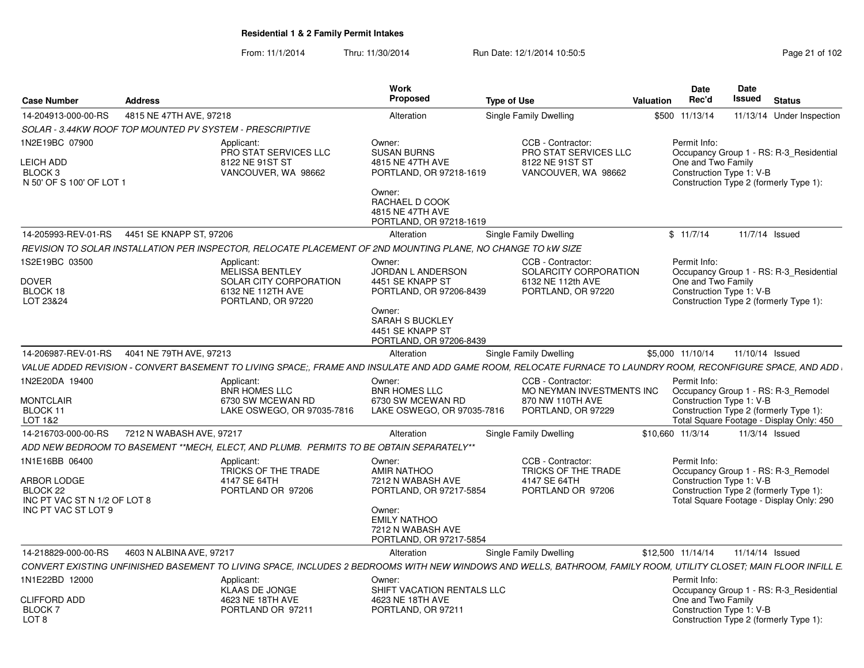From: 11/1/2014Thru: 11/30/2014 Run Date: 12/1/2014 10:50:5<br>
Page 21 of 102

| <b>Case Number</b>                                                                               | <b>Address</b>                                           |                                                                                                                  | Work<br>Proposed                                                                                                                                              | <b>Type of Use</b>                                                                                                                                                | <b>Valuation</b> | <b>Date</b><br>Rec'd                                           | <b>Date</b><br>Issued | <b>Status</b>                                                                                                             |
|--------------------------------------------------------------------------------------------------|----------------------------------------------------------|------------------------------------------------------------------------------------------------------------------|---------------------------------------------------------------------------------------------------------------------------------------------------------------|-------------------------------------------------------------------------------------------------------------------------------------------------------------------|------------------|----------------------------------------------------------------|-----------------------|---------------------------------------------------------------------------------------------------------------------------|
| 14-204913-000-00-RS                                                                              | 4815 NE 47TH AVE, 97218                                  |                                                                                                                  | Alteration                                                                                                                                                    | <b>Single Family Dwelling</b>                                                                                                                                     | \$500            | 11/13/14                                                       |                       | 11/13/14 Under Inspection                                                                                                 |
|                                                                                                  | SOLAR - 3.44KW ROOF TOP MOUNTED PV SYSTEM - PRESCRIPTIVE |                                                                                                                  |                                                                                                                                                               |                                                                                                                                                                   |                  |                                                                |                       |                                                                                                                           |
| 1N2E19BC 07900<br><b>LEICH ADD</b><br>BLOCK 3<br>N 50' OF S 100' OF LOT 1                        |                                                          | Applicant:<br><b>PRO STAT SERVICES LLC</b><br>8122 NE 91ST ST<br>VANCOUVER, WA 98662                             | Owner:<br><b>SUSAN BURNS</b><br>4815 NE 47TH AVE<br>PORTLAND, OR 97218-1619<br>Owner:<br>RACHAEL D COOK<br>4815 NE 47TH AVE<br>PORTLAND, OR 97218-1619        | CCB - Contractor:<br><b>PRO STAT SERVICES LLC</b><br>8122 NE 91ST ST<br>VANCOUVER, WA 98662                                                                       |                  | Permit Info:<br>One and Two Family<br>Construction Type 1: V-B |                       | Occupancy Group 1 - RS: R-3 Residential<br>Construction Type 2 (formerly Type 1):                                         |
| 14-205993-REV-01-RS                                                                              | 4451 SE KNAPP ST. 97206                                  |                                                                                                                  | Alteration                                                                                                                                                    | Single Family Dwelling                                                                                                                                            |                  | \$11/7/14                                                      | 11/7/14 Issued        |                                                                                                                           |
|                                                                                                  |                                                          | REVISION TO SOLAR INSTALLATION PER INSPECTOR, RELOCATE PLACEMENT OF 2ND MOUNTING PLANE, NO CHANGE TO KW SIZE     |                                                                                                                                                               |                                                                                                                                                                   |                  |                                                                |                       |                                                                                                                           |
| 1S2E19BC 03500<br><b>DOVER</b><br>BLOCK 18<br>LOT 23&24                                          |                                                          | Applicant:<br><b>MELISSA BENTLEY</b><br><b>SOLAR CITY CORPORATION</b><br>6132 NE 112TH AVE<br>PORTLAND, OR 97220 | Owner:<br>JORDAN L ANDERSON<br>4451 SE KNAPP ST<br>PORTLAND, OR 97206-8439<br>Owner:<br><b>SARAH S BUCKLEY</b><br>4451 SE KNAPP ST<br>PORTLAND, OR 97206-8439 | CCB - Contractor:<br>SOLARCITY CORPORATION<br>6132 NE 112th AVE<br>PORTLAND, OR 97220                                                                             |                  | Permit Info:<br>One and Two Family<br>Construction Type 1: V-B |                       | Occupancy Group 1 - RS: R-3 Residential<br>Construction Type 2 (formerly Type 1):                                         |
| 14-206987-REV-01-RS                                                                              | 4041 NE 79TH AVE, 97213                                  |                                                                                                                  | Alteration                                                                                                                                                    | <b>Single Family Dwelling</b>                                                                                                                                     |                  | \$5,000 11/10/14                                               | 11/10/14 Issued       |                                                                                                                           |
|                                                                                                  |                                                          |                                                                                                                  |                                                                                                                                                               | VALUE ADDED REVISION - CONVERT BASEMENT TO LIVING SPACE:, FRAME AND INSULATE AND ADD GAME ROOM, RELOCATE FURNACE TO LAUNDRY ROOM, RECONFIGURE SPACE, AND ADD      |                  |                                                                |                       |                                                                                                                           |
| 1N2E20DA 19400<br><b>MONTCLAIR</b><br>BLOCK 11<br>LOT 1&2                                        |                                                          | Applicant:<br><b>BNR HOMES LLC</b><br>6730 SW MCEWAN RD<br>LAKE OSWEGO, OR 97035-7816                            | Owner:<br><b>BNR HOMES LLC</b><br>6730 SW MCEWAN RD<br>LAKE OSWEGO, OR 97035-7816                                                                             | CCB - Contractor:<br>MO NEYMAN INVESTMENTS INC<br>870 NW 110TH AVE<br>PORTLAND, OR 97229                                                                          |                  | Permit Info:<br>Construction Type 1: V-B                       |                       | Occupancy Group 1 - RS: R-3 Remodel<br>Construction Type 2 (formerly Type 1):<br>Total Square Footage - Display Only: 450 |
| 14-216703-000-00-RS                                                                              | 7212 N WABASH AVE, 97217                                 |                                                                                                                  | Alteration                                                                                                                                                    | Single Family Dwelling                                                                                                                                            |                  | \$10,660 11/3/14                                               |                       | 11/3/14 Issued                                                                                                            |
|                                                                                                  |                                                          | ADD NEW BEDROOM TO BASEMENT **MECH. ELECT. AND PLUMB.  PERMITS TO BE OBTAIN SEPARATELY**                         |                                                                                                                                                               |                                                                                                                                                                   |                  |                                                                |                       |                                                                                                                           |
| 1N1E16BB 06400<br>ARBOR LODGE<br>BLOCK 22<br>INC PT VAC ST N 1/2 OF LOT 8<br>INC PT VAC ST LOT 9 |                                                          | Applicant:<br>TRICKS OF THE TRADE<br>4147 SE 64TH<br>PORTLAND OR 97206                                           | Owner:<br><b>AMIR NATHOO</b><br>7212 N WABASH AVE<br>PORTLAND, OR 97217-5854<br>Owner:<br><b>EMILY NATHOO</b><br>7212 N WABASH AVE<br>PORTLAND, OR 97217-5854 | CCB - Contractor:<br>TRICKS OF THE TRADE<br>4147 SE 64TH<br>PORTLAND OR 97206                                                                                     |                  | Permit Info:<br>Construction Type 1: V-B                       |                       | Occupancy Group 1 - RS: R-3 Remodel<br>Construction Type 2 (formerly Type 1):<br>Total Square Footage - Display Only: 290 |
| 14-218829-000-00-RS                                                                              | 4603 N ALBINA AVE, 97217                                 |                                                                                                                  | Alteration                                                                                                                                                    | Single Family Dwelling                                                                                                                                            |                  | \$12,500 11/14/14                                              | 11/14/14 Issued       |                                                                                                                           |
|                                                                                                  |                                                          |                                                                                                                  |                                                                                                                                                               | CONVERT EXISTING UNFINISHED BASEMENT TO LIVING SPACE, INCLUDES 2 BEDROOMS WITH NEW WINDOWS AND WELLS, BATHROOM, FAMILY ROOM, UTILITY CLOSET; MAIN FLOOR INFILL E. |                  |                                                                |                       |                                                                                                                           |
| 1N1E22BD 12000                                                                                   |                                                          | Applicant:<br><b>KLAAS DE JONGE</b>                                                                              | Owner:<br>SHIFT VACATION RENTALS LLC                                                                                                                          |                                                                                                                                                                   |                  | Permit Info:                                                   |                       | Occupancy Group 1 - RS: R-3 Residential                                                                                   |
| <b>CLIFFORD ADD</b><br>BLOCK 7<br>LOT <sub>8</sub>                                               |                                                          | 4623 NE 18TH AVE<br>PORTLAND OR 97211                                                                            | 4623 NE 18TH AVE<br>PORTLAND, OR 97211                                                                                                                        |                                                                                                                                                                   |                  | One and Two Family<br>Construction Type 1: V-B                 |                       | Construction Type 2 (formerly Type 1):                                                                                    |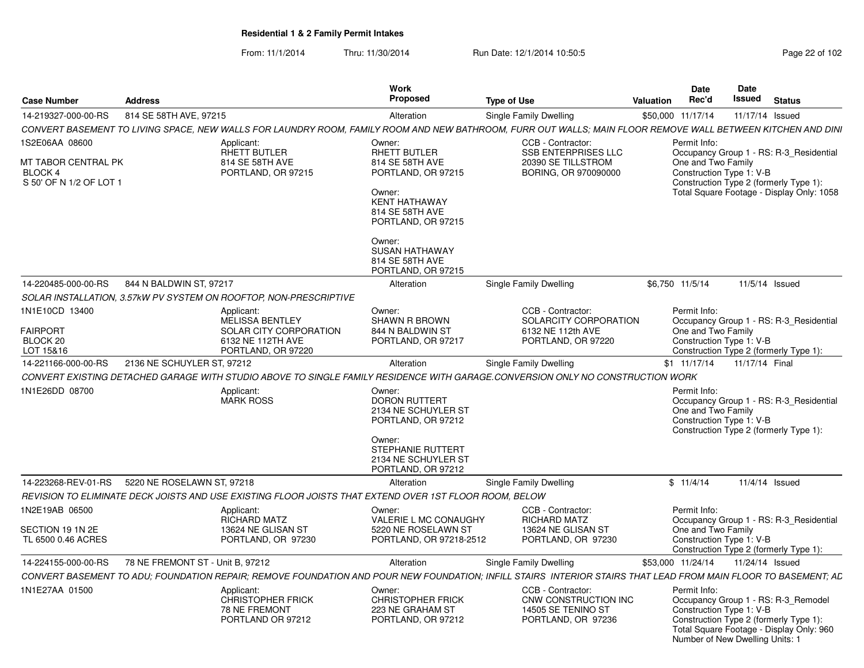From: 11/1/2014Thru: 11/30/2014 Run Date: 12/1/2014 10:50:5<br>
Page 22 of 102

| <b>Case Number</b>                                                          | <b>Address</b>                                                                                         |                                                                                             | Work<br><b>Proposed</b>                                                                                                                   | <b>Type of Use</b>                                                                                                                                             | Valuation | <b>Date</b><br>Rec'd                                           | Date<br>Issued | Status                                                                                                                                                       |
|-----------------------------------------------------------------------------|--------------------------------------------------------------------------------------------------------|---------------------------------------------------------------------------------------------|-------------------------------------------------------------------------------------------------------------------------------------------|----------------------------------------------------------------------------------------------------------------------------------------------------------------|-----------|----------------------------------------------------------------|----------------|--------------------------------------------------------------------------------------------------------------------------------------------------------------|
| 14-219327-000-00-RS                                                         | 814 SE 58TH AVE, 97215                                                                                 |                                                                                             | Alteration                                                                                                                                | Single Family Dwelling                                                                                                                                         |           | \$50,000 11/17/14                                              |                | 11/17/14 Issued                                                                                                                                              |
|                                                                             |                                                                                                        |                                                                                             |                                                                                                                                           | CONVERT BASEMENT TO LIVING SPACE. NEW WALLS FOR LAUNDRY ROOM. FAMILY ROOM AND NEW BATHROOM. FURR OUT WALLS: MAIN FLOOR REMOVE WALL BETWEEN KITCHEN AND DINI    |           |                                                                |                |                                                                                                                                                              |
| 1S2E06AA 08600<br>MT TABOR CENTRAL PK<br>BLOCK 4<br>S 50' OF N 1/2 OF LOT 1 | Applicant:                                                                                             | RHETT BUTLER<br>814 SE 58TH AVE<br>PORTLAND, OR 97215                                       | Owner:<br>RHETT BUTLER<br>814 SE 58TH AVE<br>PORTLAND, OR 97215<br>Owner:                                                                 | CCB - Contractor:<br><b>SSB ENTERPRISES LLC</b><br>20390 SE TILLSTROM<br>BORING, OR 970090000                                                                  |           | Permit Info:<br>One and Two Family<br>Construction Type 1: V-B |                | Occupancy Group 1 - RS: R-3_Residential<br>Construction Type 2 (formerly Type 1):<br>Total Square Footage - Display Only: 1058                               |
|                                                                             |                                                                                                        |                                                                                             | <b>KENT HATHAWAY</b><br>814 SE 58TH AVE<br>PORTLAND, OR 97215<br>Owner:<br><b>SUSAN HATHAWAY</b><br>814 SE 58TH AVE<br>PORTLAND, OR 97215 |                                                                                                                                                                |           |                                                                |                |                                                                                                                                                              |
| 14-220485-000-00-RS                                                         | 844 N BALDWIN ST, 97217                                                                                |                                                                                             | Alteration                                                                                                                                | Single Family Dwelling                                                                                                                                         |           | \$6,750 11/5/14                                                |                | 11/5/14 Issued                                                                                                                                               |
|                                                                             | SOLAR INSTALLATION. 3.57kW PV SYSTEM ON ROOFTOP, NON-PRESCRIPTIVE                                      |                                                                                             |                                                                                                                                           |                                                                                                                                                                |           |                                                                |                |                                                                                                                                                              |
| 1N1E10CD 13400<br><b>FAIRPORT</b><br>BLOCK 20<br>LOT 15&16                  | Applicant:                                                                                             | <b>MELISSA BENTLEY</b><br>SOLAR CITY CORPORATION<br>6132 NE 112TH AVE<br>PORTLAND, OR 97220 | Owner:<br><b>SHAWN R BROWN</b><br>844 N BALDWIN ST<br>PORTLAND, OR 97217                                                                  | CCB - Contractor:<br>SOLARCITY CORPORATION<br>6132 NE 112th AVE<br>PORTLAND, OR 97220                                                                          |           | Permit Info:<br>One and Two Family<br>Construction Type 1: V-B |                | Occupancy Group 1 - RS: R-3_Residential<br>Construction Type 2 (formerly Type 1):                                                                            |
| 14-221166-000-00-RS                                                         | 2136 NE SCHUYLER ST. 97212                                                                             |                                                                                             | Alteration                                                                                                                                | Single Family Dwelling                                                                                                                                         |           | \$1 11/17/14                                                   |                | 11/17/14 Final                                                                                                                                               |
|                                                                             |                                                                                                        |                                                                                             |                                                                                                                                           | CONVERT EXISTING DETACHED GARAGE WITH STUDIO ABOVE TO SINGLE FAMILY RESIDENCE WITH GARAGE.CONVERSION ONLY NO CONSTRUCTION WORK                                 |           |                                                                |                |                                                                                                                                                              |
| 1N1E26DD 08700                                                              | Applicant:<br><b>MARK ROSS</b>                                                                         |                                                                                             | Owner:<br><b>DORON RUTTERT</b><br>2134 NE SCHUYLER ST<br>PORTLAND, OR 97212                                                               |                                                                                                                                                                |           | Permit Info:<br>One and Two Family<br>Construction Type 1: V-B |                | Occupancy Group 1 - RS: R-3 Residential<br>Construction Type 2 (formerly Type 1):                                                                            |
|                                                                             |                                                                                                        |                                                                                             | Owner:<br>STEPHANIE RUTTERT<br>2134 NE SCHUYLER ST<br>PORTLAND, OR 97212                                                                  |                                                                                                                                                                |           |                                                                |                |                                                                                                                                                              |
|                                                                             | 14-223268-REV-01-RS 5220 NE ROSELAWN ST. 97218                                                         |                                                                                             | Alteration                                                                                                                                | Single Family Dwelling                                                                                                                                         |           | \$11/4/14                                                      |                | 11/4/14 Issued                                                                                                                                               |
|                                                                             | REVISION TO ELIMINATE DECK JOISTS AND USE EXISTING FLOOR JOISTS THAT EXTEND OVER 1ST FLOOR ROOM, BELOW |                                                                                             |                                                                                                                                           |                                                                                                                                                                |           |                                                                |                |                                                                                                                                                              |
| 1N2E19AB 06500                                                              | Applicant:                                                                                             | RICHARD MATZ                                                                                | Owner:<br>VALERIE L MC CONAUGHY                                                                                                           | CCB - Contractor:<br><b>RICHARD MATZ</b>                                                                                                                       |           | Permit Info:                                                   |                | Occupancy Group 1 - RS: R-3 Residential                                                                                                                      |
| SECTION 19 1N 2E<br>TL 6500 0.46 ACRES                                      |                                                                                                        | 13624 NE GLISAN ST<br>PORTLAND, OR 97230                                                    | 5220 NE ROSELAWN ST<br>PORTLAND, OR 97218-2512                                                                                            | 13624 NE GLISAN ST<br>PORTLAND, OR 97230                                                                                                                       |           | One and Two Family<br>Construction Type 1: V-B                 |                | Construction Type 2 (formerly Type 1):                                                                                                                       |
| 14-224155-000-00-RS                                                         | 78 NE FREMONT ST - Unit B, 97212                                                                       |                                                                                             | Alteration                                                                                                                                | Single Family Dwelling                                                                                                                                         |           | \$53,000 11/24/14                                              |                | 11/24/14 Issued                                                                                                                                              |
|                                                                             |                                                                                                        |                                                                                             |                                                                                                                                           | CONVERT BASEMENT TO ADU: FOUNDATION REPAIR; REMOVE FOUNDATION AND POUR NEW FOUNDATION; INFILL STAIRS INTERIOR STAIRS THAT LEAD FROM MAIN FLOOR TO BASEMENT; AD |           |                                                                |                |                                                                                                                                                              |
| 1N1E27AA 01500                                                              | Applicant:                                                                                             | <b>CHRISTOPHER FRICK</b><br>78 NE FREMONT<br>PORTLAND OR 97212                              | Owner:<br><b>CHRISTOPHER FRICK</b><br>223 NE GRAHAM ST<br>PORTLAND, OR 97212                                                              | CCB - Contractor:<br>CNW CONSTRUCTION INC<br>14505 SE TENINO ST<br>PORTLAND, OR 97236                                                                          |           | Permit Info:<br>Construction Type 1: V-B                       |                | Occupancy Group 1 - RS: R-3_Remodel<br>Construction Type 2 (formerly Type 1):<br>Total Square Footage - Display Only: 960<br>Number of New Dwelling Units: 1 |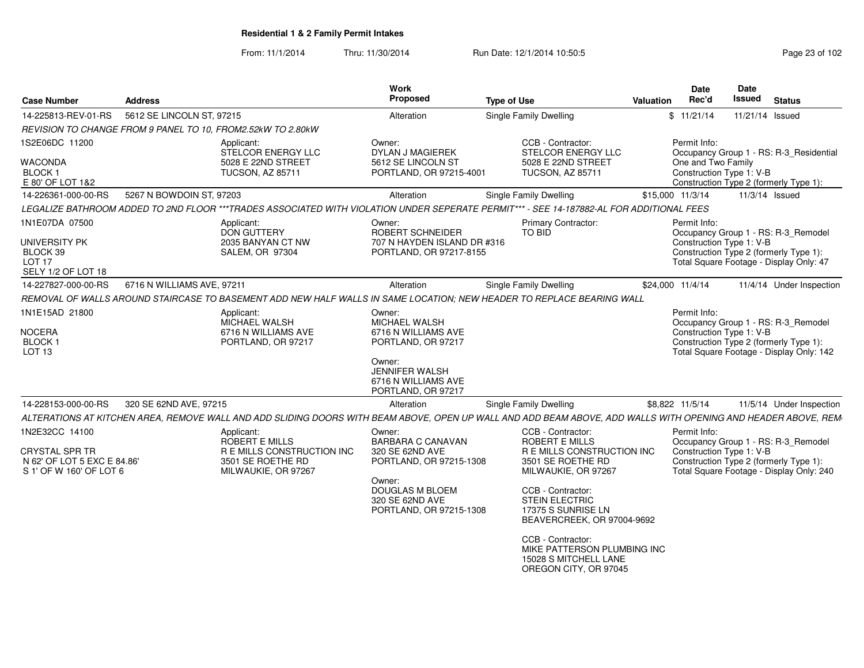From: 11/1/2014Thru: 11/30/2014 Run Date: 12/1/2014 10:50:5<br>
Page 23 of 102

| <b>Case Number</b>                                                                            | <b>Address</b>             |                                                                                                                                                               | Work<br>Proposed                                                                     | <b>Type of Use</b> |                                                                                                    | <b>Valuation</b> | <b>Date</b><br>Rec'd                           | Date<br><b>Issued</b> | <b>Status</b>                                                                                                            |
|-----------------------------------------------------------------------------------------------|----------------------------|---------------------------------------------------------------------------------------------------------------------------------------------------------------|--------------------------------------------------------------------------------------|--------------------|----------------------------------------------------------------------------------------------------|------------------|------------------------------------------------|-----------------------|--------------------------------------------------------------------------------------------------------------------------|
| 14-225813-REV-01-RS                                                                           | 5612 SE LINCOLN ST, 97215  |                                                                                                                                                               | Alteration                                                                           |                    | <b>Single Family Dwelling</b>                                                                      |                  | \$11/21/14                                     | 11/21/14 Issued       |                                                                                                                          |
|                                                                                               |                            | REVISION TO CHANGE FROM 9 PANEL TO 10, FROM2.52kW TO 2.80kW                                                                                                   |                                                                                      |                    |                                                                                                    |                  |                                                |                       |                                                                                                                          |
| 1S2E06DC 11200                                                                                |                            | Applicant:<br>STELCOR ENERGY LLC                                                                                                                              | Owner:<br>DYLAN J MAGIEREK                                                           |                    | CCB - Contractor:<br>STELCOR ENERGY LLC                                                            |                  | Permit Info:                                   |                       | Occupancy Group 1 - RS: R-3_Residential                                                                                  |
| <b>WACONDA</b><br>BLOCK 1                                                                     |                            | 5028 E 22ND STREET<br><b>TUCSON, AZ 85711</b>                                                                                                                 | 5612 SE LINCOLN ST<br>PORTLAND, OR 97215-4001                                        |                    | 5028 E 22ND STREET<br><b>TUCSON, AZ 85711</b>                                                      |                  | One and Two Family<br>Construction Type 1: V-B |                       |                                                                                                                          |
| E 80' OF LOT 1&2                                                                              |                            |                                                                                                                                                               |                                                                                      |                    |                                                                                                    |                  |                                                |                       | Construction Type 2 (formerly Type 1):                                                                                   |
| 14-226361-000-00-RS                                                                           | 5267 N BOWDOIN ST, 97203   | LEGALIZE BATHROOM ADDED TO 2ND FLOOR ***TRADES ASSOCIATED WITH VIOLATION UNDER SEPERATE PERMIT*** - SEE 14-187882-AL FOR ADDITIONAL FEES                      | Alteration                                                                           |                    | <b>Single Family Dwelling</b>                                                                      |                  | \$15,000 11/3/14                               | 11/3/14 Issued        |                                                                                                                          |
|                                                                                               |                            |                                                                                                                                                               |                                                                                      |                    |                                                                                                    |                  |                                                |                       |                                                                                                                          |
| 1N1E07DA 07500<br><b>UNIVERSITY PK</b><br>BLOCK 39<br>LOT <sub>17</sub><br>SELY 1/2 OF LOT 18 |                            | Applicant:<br><b>DON GUTTERY</b><br>2035 BANYAN CT NW<br><b>SALEM, OR 97304</b>                                                                               | Owner:<br>ROBERT SCHNEIDER<br>707 N HAYDEN ISLAND DR #316<br>PORTLAND, OR 97217-8155 |                    | <b>Primary Contractor:</b><br>TO BID                                                               |                  | Permit Info:<br>Construction Type 1: V-B       |                       | Occupancy Group 1 - RS: R-3 Remodel<br>Construction Type 2 (formerly Type 1):<br>Total Square Footage - Display Only: 47 |
| 14-227827-000-00-RS                                                                           | 6716 N WILLIAMS AVE, 97211 |                                                                                                                                                               | Alteration                                                                           |                    | Single Family Dwelling                                                                             |                  | \$24,000 11/4/14                               |                       | 11/4/14 Under Inspection                                                                                                 |
|                                                                                               |                            | REMOVAL OF WALLS AROUND STAIRCASE TO BASEMENT ADD NEW HALF WALLS IN SAME LOCATION; NEW HEADER TO REPLACE BEARING WALL                                         |                                                                                      |                    |                                                                                                    |                  |                                                |                       |                                                                                                                          |
| 1N1E15AD 21800                                                                                |                            | Applicant:<br>MICHAEL WALSH                                                                                                                                   | Owner:<br>MICHAEL WALSH                                                              |                    |                                                                                                    |                  | Permit Info:                                   |                       | Occupancy Group 1 - RS: R-3_Remodel                                                                                      |
| <b>NOCERA</b><br>BLOCK 1<br>LOT <sub>13</sub>                                                 |                            | 6716 N WILLIAMS AVE<br>PORTLAND, OR 97217                                                                                                                     | 6716 N WILLIAMS AVE<br>PORTLAND, OR 97217                                            |                    |                                                                                                    |                  | Construction Type 1: V-B                       |                       | Construction Type 2 (formerly Type 1):<br>Total Square Footage - Display Only: 142                                       |
|                                                                                               |                            |                                                                                                                                                               | Owner:<br><b>JENNIFER WALSH</b><br>6716 N WILLIAMS AVE<br>PORTLAND, OR 97217         |                    |                                                                                                    |                  |                                                |                       |                                                                                                                          |
| 14-228153-000-00-RS                                                                           | 320 SE 62ND AVE, 97215     |                                                                                                                                                               | Alteration                                                                           |                    | Single Family Dwelling                                                                             |                  | \$8,822 11/5/14                                |                       | 11/5/14 Under Inspection                                                                                                 |
|                                                                                               |                            | ALTERATIONS AT KITCHEN AREA, REMOVE WALL AND ADD SLIDING DOORS WITH BEAM ABOVE, OPEN UP WALL AND ADD BEAM ABOVE, ADD WALLS WITH OPENING AND HEADER ABOVE, REM |                                                                                      |                    |                                                                                                    |                  |                                                |                       |                                                                                                                          |
| 1N2E32CC 14100                                                                                |                            | Applicant:<br>ROBERT E MILLS                                                                                                                                  | Owner:<br><b>BARBARA C CANAVAN</b>                                                   |                    | CCB - Contractor:<br>ROBERT E MILLS                                                                |                  | Permit Info:                                   |                       | Occupancy Group 1 - RS: R-3_Remodel                                                                                      |
| <b>CRYSTAL SPR TR</b><br>N 62' OF LOT 5 EXC E 84.86'<br>S 1' OF W 160' OF LOT 6               |                            | R E MILLS CONSTRUCTION INC<br>3501 SE ROETHE RD<br>MILWAUKIE, OR 97267                                                                                        | 320 SE 62ND AVE<br>PORTLAND, OR 97215-1308                                           |                    | R E MILLS CONSTRUCTION INC<br>3501 SE ROETHE RD<br>MILWAUKIE, OR 97267                             |                  | Construction Type 1: V-B                       |                       | Construction Type 2 (formerly Type 1):<br>Total Square Footage - Display Only: 240                                       |
|                                                                                               |                            |                                                                                                                                                               | Owner:<br><b>DOUGLAS M BLOEM</b><br>320 SE 62ND AVE<br>PORTLAND, OR 97215-1308       |                    | CCB - Contractor:<br><b>STEIN ELECTRIC</b><br>17375 S SUNRISE LN<br>BEAVERCREEK, OR 97004-9692     |                  |                                                |                       |                                                                                                                          |
|                                                                                               |                            |                                                                                                                                                               |                                                                                      |                    | CCB - Contractor:<br>MIKE PATTERSON PLUMBING INC<br>15028 S MITCHELL LANE<br>OREGON CITY, OR 97045 |                  |                                                |                       |                                                                                                                          |
|                                                                                               |                            |                                                                                                                                                               |                                                                                      |                    |                                                                                                    |                  |                                                |                       |                                                                                                                          |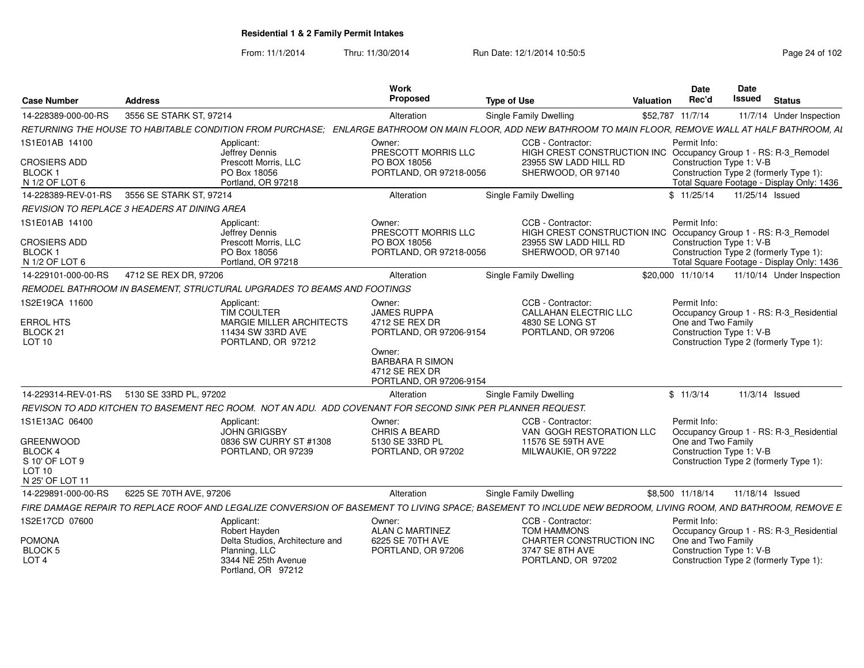From: 11/1/2014Thru: 11/30/2014 Run Date: 12/1/2014 10:50:5<br>
Page 24 of 102

|                                              |                         |                                                                                                            | Work                                      |                                                                                                                                                              | Date               | Date                                                               |
|----------------------------------------------|-------------------------|------------------------------------------------------------------------------------------------------------|-------------------------------------------|--------------------------------------------------------------------------------------------------------------------------------------------------------------|--------------------|--------------------------------------------------------------------|
| <b>Case Number</b>                           | <b>Address</b>          |                                                                                                            | Propose                                   | <b>Type of Use</b>                                                                                                                                           | Rec'd<br>Valuation | Issued<br><b>Status</b>                                            |
| 14-228389-000-00-RS                          | 3556 SE STARK ST, 97214 |                                                                                                            | Alteration                                | Single Family Dwelling                                                                                                                                       | \$52,787 11/7/14   | 11/7/14 Under Inspection                                           |
|                                              |                         |                                                                                                            |                                           | RETURNING THE HOUSE TO HABITABLE CONDITION FROM PURCHASE; ENLARGE BATHROOM ON MAIN FLOOR, ADD NEW BATHROOM TO MAIN FLOOR, REMOVE WALL AT HALF BATHROOM, A    |                    |                                                                    |
| 1S1E01AB 14100                               |                         | Applicant:                                                                                                 | Owner:                                    | CCB - Contractor                                                                                                                                             | Permit Info:       |                                                                    |
| <b>CROSIERS ADD</b>                          |                         | Jeffrey Dennis<br>Prescott Morris, LLC                                                                     | PRESCOTT MORRIS LLC<br>PO BOX 18056       | HIGH CREST CONSTRUCTION INC Occupancy Group 1 - RS: R-3 Remodel<br>23955 SW LADD HILL RD                                                                     |                    | Construction Type 1: V-B                                           |
| <b>BLOCK1</b>                                |                         | PO Box 18056                                                                                               | PORTLAND, OR 97218-0056                   | SHERWOOD, OR 97140                                                                                                                                           |                    | Construction Type 2 (formerly Type 1):                             |
| N 1/2 OF LOT 6                               |                         | Portland, OR 97218                                                                                         |                                           |                                                                                                                                                              |                    | Total Square Footage - Display Only: 1436                          |
| 14-228389-REV-01-RS 3556 SE STARK ST, 97214  |                         |                                                                                                            | Alteration                                | <b>Single Family Dwelling</b>                                                                                                                                |                    | \$ 11/25/14  11/25/14  Issued                                      |
| REVISION TO REPLACE 3 HEADERS AT DINING AREA |                         |                                                                                                            |                                           |                                                                                                                                                              |                    |                                                                    |
| 1S1E01AB 14100                               |                         | Applicant:                                                                                                 | Owner:                                    | CCB - Contractor:                                                                                                                                            | Permit Info:       |                                                                    |
|                                              |                         | Jeffrey Dennis                                                                                             | PRESCOTT MORRIS LLC                       | HIGH CREST CONSTRUCTION INC Occupancy Group 1 - RS: R-3 Remodel                                                                                              |                    |                                                                    |
| <b>CROSIERS ADD</b><br>BLOCK 1               |                         | Prescott Morris, LLC<br>PO Box 18056                                                                       | PO BOX 18056<br>PORTLAND, OR 97218-0056   | 23955 SW LADD HILL RD<br>SHERWOOD, OR 97140                                                                                                                  |                    | Construction Type 1: V-B<br>Construction Type 2 (formerly Type 1): |
| N 1/2 OF LOT 6                               |                         | Portland, OR 97218                                                                                         |                                           |                                                                                                                                                              |                    | Total Square Footage - Display Only: 1436                          |
| 14-229101-000-00-RS                          | 4712 SE REX DR, 97206   |                                                                                                            | Alteration                                | <b>Single Family Dwelling</b>                                                                                                                                | \$20,000 11/10/14  | 11/10/14 Under Inspection                                          |
|                                              |                         | REMODEL BATHROOM IN BASEMENT, STRUCTURAL UPGRADES TO BEAMS AND FOOTINGS                                    |                                           |                                                                                                                                                              |                    |                                                                    |
| 1S2E19CA 11600                               |                         | Applicant:                                                                                                 | Owner:                                    | CCB - Contractor:                                                                                                                                            | Permit Info:       |                                                                    |
|                                              |                         | <b>TIM COULTER</b>                                                                                         | <b>JAMES RUPPA</b>                        | <b>CALLAHAN ELECTRIC LLC</b>                                                                                                                                 |                    | Occupancy Group 1 - RS: R-3 Residential                            |
| <b>ERROL HTS</b><br>BLOCK 21                 |                         | <b>MARGIE MILLER ARCHITECTS</b><br>11434 SW 33RD AVE                                                       | 4712 SE REX DR<br>PORTLAND, OR 97206-9154 | 4830 SE LONG ST<br>PORTLAND, OR 97206                                                                                                                        | One and Two Family | Construction Type 1: V-B                                           |
| <b>LOT 10</b>                                |                         | PORTLAND, OR 97212                                                                                         |                                           |                                                                                                                                                              |                    | Construction Type 2 (formerly Type 1):                             |
|                                              |                         |                                                                                                            | Owner:<br><b>BARBARA R SIMON</b>          |                                                                                                                                                              |                    |                                                                    |
|                                              |                         |                                                                                                            | 4712 SE REX DR                            |                                                                                                                                                              |                    |                                                                    |
|                                              |                         |                                                                                                            | PORTLAND, OR 97206-9154                   |                                                                                                                                                              |                    |                                                                    |
| 14-229314-REV-01-RS 5130 SE 33RD PL, 97202   |                         |                                                                                                            | Alteration                                | Single Family Dwelling                                                                                                                                       | \$11/3/14          | 11/3/14 Issued                                                     |
|                                              |                         | REVISON TO ADD KITCHEN TO BASEMENT REC ROOM. NOT AN ADU. ADD COVENANT FOR SECOND SINK PER PLANNER REQUEST. |                                           |                                                                                                                                                              |                    |                                                                    |
| 1S1E13AC 06400                               |                         | Applicant:                                                                                                 | Owner:                                    | CCB - Contractor:                                                                                                                                            | Permit Info:       |                                                                    |
| <b>GREENWOOD</b>                             |                         | JOHN GRIGSBY<br>0836 SW CURRY ST #1308                                                                     | CHRIS A BEARD<br>5130 SE 33RD PL          | VAN GOGH RESTORATION LLC<br>11576 SE 59TH AVE                                                                                                                | One and Two Family | Occupancy Group 1 - RS: R-3 Residential                            |
| BLOCK 4                                      |                         | PORTLAND, OR 97239                                                                                         | PORTLAND, OR 97202                        | MILWAUKIE, OR 97222                                                                                                                                          |                    | Construction Type 1: V-B                                           |
| S 10' OF LOT                                 |                         |                                                                                                            |                                           |                                                                                                                                                              |                    | Construction Type 2 (formerly Type 1):                             |
| <b>LOT 10</b><br>N 25' OF LOT 11             |                         |                                                                                                            |                                           |                                                                                                                                                              |                    |                                                                    |
| 14-229891-000-00-RS                          | 6225 SE 70TH AVE, 97206 |                                                                                                            | Alteration                                | <b>Single Family Dwelling</b>                                                                                                                                | \$8.500 11/18/14   | 11/18/14 Issued                                                    |
|                                              |                         |                                                                                                            |                                           | FIRE DAMAGE REPAIR TO REPLACE ROOF AND LEGALIZE CONVERSION OF BASEMENT TO LIVING SPACE; BASEMENT TO INCLUDE NEW BEDROOM, LIVING ROOM, AND BATHROOM, REMOVE E |                    |                                                                    |
| 1S2E17CD 07600                               |                         | Applicant:                                                                                                 | Owner:                                    | CCB - Contractor:                                                                                                                                            | Permit Info:       |                                                                    |
|                                              |                         | Robert Havden                                                                                              | <b>ALAN C MARTINEZ</b>                    | <b>TOM HAMMONS</b>                                                                                                                                           |                    | Occupancy Group 1 - RS: R-3_Residential                            |
| <b>POMONA</b>                                |                         | Delta Studios, Architecture and                                                                            | 6225 SE 70TH AVE                          | CHARTER CONSTRUCTION INC                                                                                                                                     | One and Two Family |                                                                    |
| <b>BLOCK 5</b><br>LOT <sub>4</sub>           |                         | Planning, LLC<br>3344 NE 25th Avenue                                                                       | PORTLAND, OR 97206                        | 3747 SE 8TH AVE<br>PORTLAND, OR 97202                                                                                                                        |                    | Construction Type 1: V-B<br>Construction Type 2 (formerly Type 1): |
|                                              |                         | Portland, OR 97212                                                                                         |                                           |                                                                                                                                                              |                    |                                                                    |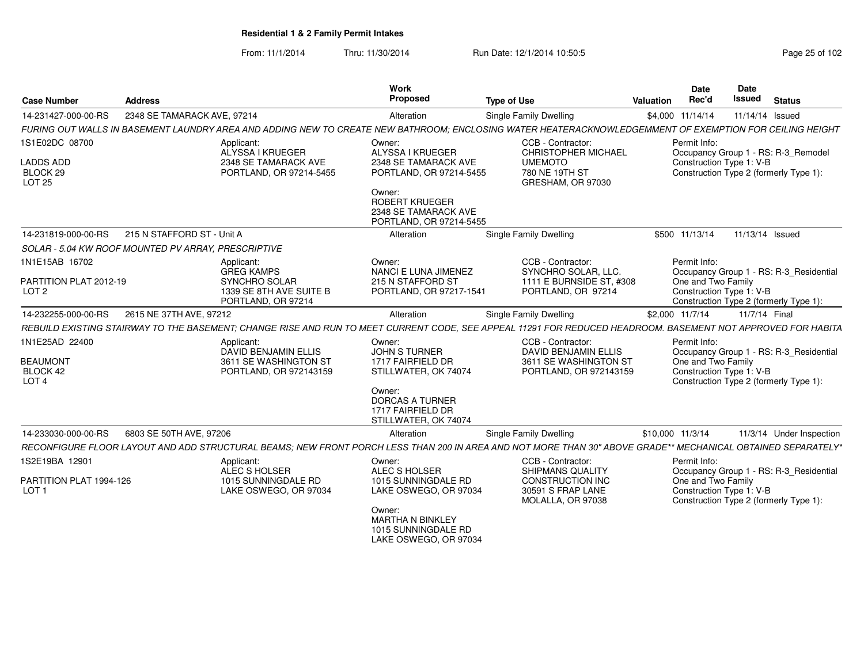From: 11/1/2014Thru: 11/30/2014 Run Date: 12/1/2014 10:50:5<br>
Page 25 of 102

| Case Number                                                         | <b>Address</b>                                      |                                                                                                   | <b>Work</b><br>Proposed                                                                                                                                             | <b>Type of Use</b>                                                                                                                                           | <b>Valuation</b> | Date<br>Rec'd                      | Date<br><b>Issued</b>    | <b>Status</b>                                                                     |
|---------------------------------------------------------------------|-----------------------------------------------------|---------------------------------------------------------------------------------------------------|---------------------------------------------------------------------------------------------------------------------------------------------------------------------|--------------------------------------------------------------------------------------------------------------------------------------------------------------|------------------|------------------------------------|--------------------------|-----------------------------------------------------------------------------------|
| 14-231427-000-00-RS                                                 | 2348 SE TAMARACK AVE, 97214                         |                                                                                                   | Alteration                                                                                                                                                          | Single Family Dwelling                                                                                                                                       | \$4,000 11/14/14 |                                    | 11/14/14 Issued          |                                                                                   |
|                                                                     |                                                     |                                                                                                   |                                                                                                                                                                     | FURING OUT WALLS IN BASEMENT LAUNDRY AREA AND ADDING NEW TO CREATE NEW BATHROOM: ENCLOSING WATER HEATERACKNOWLEDGEMMENT OF EXEMPTION FOR CEILING HEIGHT      |                  |                                    |                          |                                                                                   |
| 1S1E02DC 08700<br><b>LADDS ADD</b><br>BLOCK <sub>29</sub><br>LOT 25 |                                                     | Applicant:<br>ALYSSA I KRUEGER<br>2348 SE TAMARACK AVE<br>PORTLAND, OR 97214-5455                 | Owner:<br>ALYSSA I KRUEGER<br>2348 SE TAMARACK AVE<br>PORTLAND, OR 97214-5455<br>Owner:<br><b>ROBERT KRUEGER</b><br>2348 SE TAMARACK AVE<br>PORTLAND, OR 97214-5455 | CCB - Contractor:<br>CHRISTOPHER MICHAEL<br><b>UMEMOTO</b><br>780 NE 19TH ST<br>GRESHAM, OR 97030                                                            |                  | Permit Info:                       | Construction Type 1: V-B | Occupancy Group 1 - RS: R-3_Remodel<br>Construction Type 2 (formerly Type 1):     |
| 14-231819-000-00-RS                                                 | 215 N STAFFORD ST - Unit A                          |                                                                                                   | Alteration                                                                                                                                                          | Single Family Dwelling                                                                                                                                       |                  | \$500 11/13/14                     | 11/13/14 Issued          |                                                                                   |
|                                                                     | SOLAR - 5.04 KW ROOF MOUNTED PV ARRAY, PRESCRIPTIVE |                                                                                                   |                                                                                                                                                                     |                                                                                                                                                              |                  |                                    |                          |                                                                                   |
| 1N1E15AB 16702<br>PARTITION PLAT 2012-19<br>LOT <sub>2</sub>        |                                                     | Applicant:<br><b>GREG KAMPS</b><br>SYNCHRO SOLAR<br>1339 SE 8TH AVE SUITE B<br>PORTLAND, OR 97214 | Owner:<br>NANCI E LUNA JIMENEZ<br>215 N STAFFORD ST<br>PORTLAND, OR 97217-1541                                                                                      | CCB - Contractor:<br>SYNCHRO SOLAR, LLC.<br>1111 E BURNSIDE ST. #308<br>PORTLAND, OR 97214                                                                   |                  | Permit Info:<br>One and Two Family | Construction Type 1: V-B | Occupancy Group 1 - RS: R-3_Residential<br>Construction Type 2 (formerly Type 1): |
| 14-232255-000-00-RS                                                 | 2615 NE 37TH AVE, 97212                             |                                                                                                   | Alteration                                                                                                                                                          | Single Family Dwelling                                                                                                                                       | \$2,000 11/7/14  |                                    | 11/7/14 Final            |                                                                                   |
|                                                                     |                                                     |                                                                                                   |                                                                                                                                                                     | REBUILD EXISTING STAIRWAY TO THE BASEMENT; CHANGE RISE AND RUN TO MEET CURRENT CODE, SEE APPEAL 11291 FOR REDUCED HEADROOM. BASEMENT NOT APPROVED FOR HABITA |                  |                                    |                          |                                                                                   |
| 1N1E25AD 22400<br><b>BEAUMONT</b><br>BLOCK 42<br>LOT <sub>4</sub>   |                                                     | Applicant:<br><b>DAVID BENJAMIN ELLIS</b><br>3611 SE WASHINGTON ST<br>PORTLAND, OR 972143159      | Owner:<br><b>JOHN S TURNER</b><br>1717 FAIRFIELD DR<br>STILLWATER, OK 74074<br>Owner:<br><b>DORCAS A TURNER</b><br>1717 FAIRFIELD DR<br>STILLWATER, OK 74074        | CCB - Contractor:<br><b>DAVID BENJAMIN ELLIS</b><br>3611 SE WASHINGTON ST<br>PORTLAND, OR 972143159                                                          |                  | Permit Info:<br>One and Two Family | Construction Type 1: V-B | Occupancy Group 1 - RS: R-3 Residential<br>Construction Type 2 (formerly Type 1): |
| 14-233030-000-00-RS                                                 | 6803 SE 50TH AVE, 97206                             |                                                                                                   | Alteration                                                                                                                                                          | Single Family Dwelling                                                                                                                                       | \$10,000 11/3/14 |                                    |                          | 11/3/14 Under Inspection                                                          |
|                                                                     |                                                     |                                                                                                   |                                                                                                                                                                     | RECONFIGURE FLOOR LAYOUT AND ADD STRUCTURAL BEAMS; NEW FRONT PORCH LESS THAN 200 IN AREA AND NOT MORE THAN 30" ABOVE GRADE** MECHANICAL OBTAINED SEPARATELY* |                  |                                    |                          |                                                                                   |
| 1S2E19BA 12901<br>PARTITION PLAT 1994-126<br>LOT <sub>1</sub>       |                                                     | Applicant:<br>ALEC S HOLSER<br>1015 SUNNINGDALE RD<br>LAKE OSWEGO, OR 97034                       | Owner:<br>ALEC S HOLSER<br>1015 SUNNINGDALE RD<br>LAKE OSWEGO, OR 97034<br>Owner:<br><b>MARTHA N BINKLEY</b><br>1015 SUNNINGDALE RD<br>LAKE OSWEGO, OR 97034        | CCB - Contractor:<br><b>SHIPMANS QUALITY</b><br><b>CONSTRUCTION INC</b><br>30591 S FRAP LANE<br>MOLALLA, OR 97038                                            |                  | Permit Info:<br>One and Two Family | Construction Type 1: V-B | Occupancy Group 1 - RS: R-3 Residential<br>Construction Type 2 (formerly Type 1): |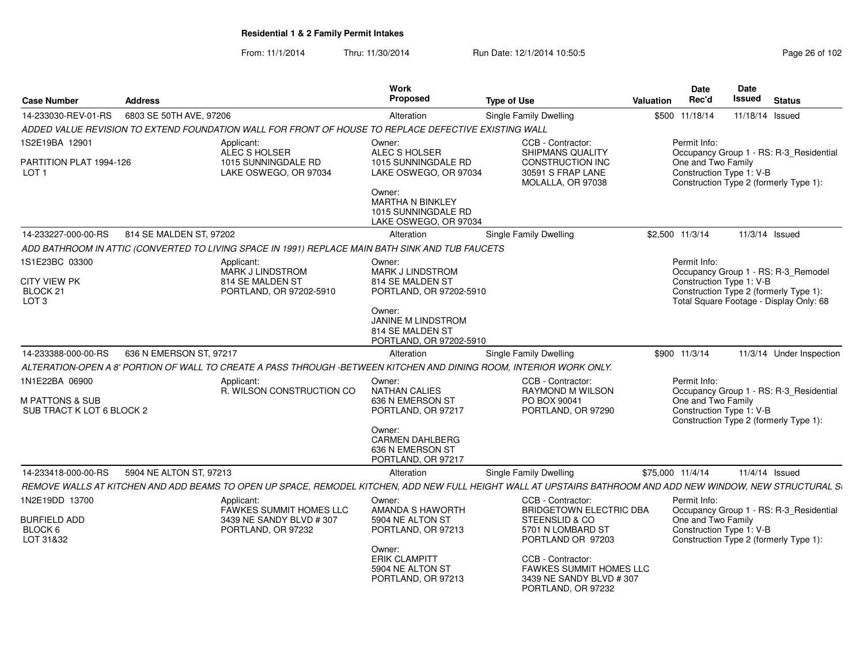From: 11/1/2014Thru: 11/30/2014 **Run Date: 12/1/2014 10:50:5** Page 26 of 102

| <b>Case Number</b>                                                    | <b>Address</b>          |                                                                                                                                                             | <b>Work</b><br><b>Proposed</b>                                                     | <b>Type of Use</b>                                                                                       | <b>Date</b><br>Rec'd<br>Valuation  | Date<br>Issued<br><b>Status</b>                                                                                                                      |
|-----------------------------------------------------------------------|-------------------------|-------------------------------------------------------------------------------------------------------------------------------------------------------------|------------------------------------------------------------------------------------|----------------------------------------------------------------------------------------------------------|------------------------------------|------------------------------------------------------------------------------------------------------------------------------------------------------|
| 14-233030-REV-01-RS                                                   | 6803 SE 50TH AVE, 97206 |                                                                                                                                                             | Alteration                                                                         | Single Family Dwelling                                                                                   | \$500 11/18/14                     | 11/18/14 Issued                                                                                                                                      |
|                                                                       |                         | ADDED VALUE REVISION TO EXTEND FOUNDATION WALL FOR FRONT OF HOUSE TO REPLACE DEFECTIVE EXISTING WALL                                                        |                                                                                    |                                                                                                          |                                    |                                                                                                                                                      |
| 1S2E19BA 12901                                                        |                         | Applicant:<br>ALEC S HOLSER                                                                                                                                 | Owner:<br>ALEC S HOLSER                                                            | CCB - Contractor:<br><b>SHIPMANS QUALITY</b>                                                             | Permit Info:                       | Occupancy Group 1 - RS: R-3_Residential                                                                                                              |
| PARTITION PLAT 1994-126<br>LOT <sub>1</sub>                           |                         | 1015 SUNNINGDALE RD<br>LAKE OSWEGO, OR 97034                                                                                                                | 1015 SUNNINGDALE RD<br>LAKE OSWEGO, OR 97034                                       | CONSTRUCTION INC<br>30591 S FRAP LANE<br>MOLALLA, OR 97038                                               | One and Two Family                 | Construction Type 1: V-B<br>Construction Type 2 (formerly Type 1):                                                                                   |
|                                                                       |                         |                                                                                                                                                             | Owner:<br><b>MARTHA N BINKLEY</b><br>1015 SUNNINGDALE RD<br>LAKE OSWEGO, OR 97034  |                                                                                                          |                                    |                                                                                                                                                      |
| 14-233227-000-00-RS                                                   | 814 SE MALDEN ST, 97202 |                                                                                                                                                             | Alteration                                                                         | Single Family Dwelling                                                                                   | \$2,500 11/3/14                    | $11/3/14$ Issued                                                                                                                                     |
|                                                                       |                         | ADD BATHROOM IN ATTIC (CONVERTED TO LIVING SPACE IN 1991) REPLACE MAIN BATH SINK AND TUB FAUCETS                                                            |                                                                                    |                                                                                                          |                                    |                                                                                                                                                      |
| 1S1E23BC 03300<br><b>CITY VIEW PK</b><br>BLOCK 21<br>LOT <sub>3</sub> |                         | Applicant:<br>MARK J LINDSTROM<br>814 SE MALDEN ST<br>PORTLAND, OR 97202-5910                                                                               | Owner:<br><b>MARK J LINDSTROM</b><br>814 SE MALDEN ST<br>PORTLAND, OR 97202-5910   |                                                                                                          | Permit Info:                       | Occupancy Group 1 - RS: R-3_Remodel<br>Construction Type 1: V-B<br>Construction Type 2 (formerly Type 1):<br>Total Square Footage - Display Only: 68 |
|                                                                       |                         |                                                                                                                                                             | Owner:<br><b>JANINE M LINDSTROM</b><br>814 SE MALDEN ST<br>PORTLAND, OR 97202-5910 |                                                                                                          |                                    |                                                                                                                                                      |
| 14-233388-000-00-RS                                                   | 636 N EMERSON ST, 97217 |                                                                                                                                                             | Alteration                                                                         | Single Family Dwelling                                                                                   | \$900 11/3/14                      | 11/3/14 Under Inspection                                                                                                                             |
|                                                                       |                         | ALTERATION-OPEN A 8' PORTION OF WALL TO CREATE A PASS THROUGH -BETWEEN KITCHEN AND DINING ROOM, INTERIOR WORK ONLY.                                         |                                                                                    |                                                                                                          |                                    |                                                                                                                                                      |
| 1N1E22BA 06900<br>M PATTONS & SUB<br>SUB TRACT K LOT 6 BLOCK 2        |                         | Applicant:<br>R. WILSON CONSTRUCTION CO                                                                                                                     | Owner:<br><b>NATHAN CALIES</b><br>636 N EMERSON ST<br>PORTLAND, OR 97217           | CCB - Contractor:<br>RAYMOND M WILSON<br>PO BOX 90041<br>PORTLAND, OR 97290                              | Permit Info:<br>One and Two Family | Occupancy Group 1 - RS: R-3_Residential<br>Construction Type 1: V-B<br>Construction Type 2 (formerly Type 1):                                        |
|                                                                       |                         |                                                                                                                                                             | Owner:<br><b>CARMEN DAHLBERG</b><br>636 N EMERSON ST<br>PORTLAND, OR 97217         |                                                                                                          |                                    |                                                                                                                                                      |
| 14-233418-000-00-RS                                                   | 5904 NE ALTON ST, 97213 |                                                                                                                                                             | Alteration                                                                         | Single Family Dwelling                                                                                   | \$75,000 11/4/14                   | 11/4/14 Issued                                                                                                                                       |
|                                                                       |                         | REMOVE WALLS AT KITCHEN AND ADD BEAMS TO OPEN UP SPACE, REMODEL KITCHEN, ADD NEW FULL HEIGHT WALL AT UPSTAIRS BATHROOM AND ADD NEW WINDOW, NEW STRUCTURAL S |                                                                                    |                                                                                                          |                                    |                                                                                                                                                      |
| 1N2E19DD 13700<br><b>BURFIELD ADD</b><br>BLOCK 6<br>LOT 31&32         |                         | Applicant:<br>FAWKES SUMMIT HOMES LLC<br>3439 NE SANDY BLVD #307<br>PORTLAND, OR 97232                                                                      | Owner:<br>AMANDA S HAWORTH<br>5904 NE ALTON ST<br>PORTLAND, OR 97213               | CCB - Contractor:<br>BRIDGETOWN ELECTRIC DBA<br>STEENSLID & CO<br>5701 N LOMBARD ST<br>PORTLAND OR 97203 | Permit Info:<br>One and Two Family | Occupancy Group 1 - RS: R-3_Residential<br>Construction Type 1: V-B<br>Construction Type 2 (formerly Type 1):                                        |
|                                                                       |                         |                                                                                                                                                             | Owner:<br><b>ERIK CLAMPITT</b><br>5904 NE ALTON ST<br>PORTLAND, OR 97213           | CCB - Contractor:<br><b>FAWKES SUMMIT HOMES LLC</b><br>3439 NE SANDY BLVD #307<br>PORTLAND, OR 97232     |                                    |                                                                                                                                                      |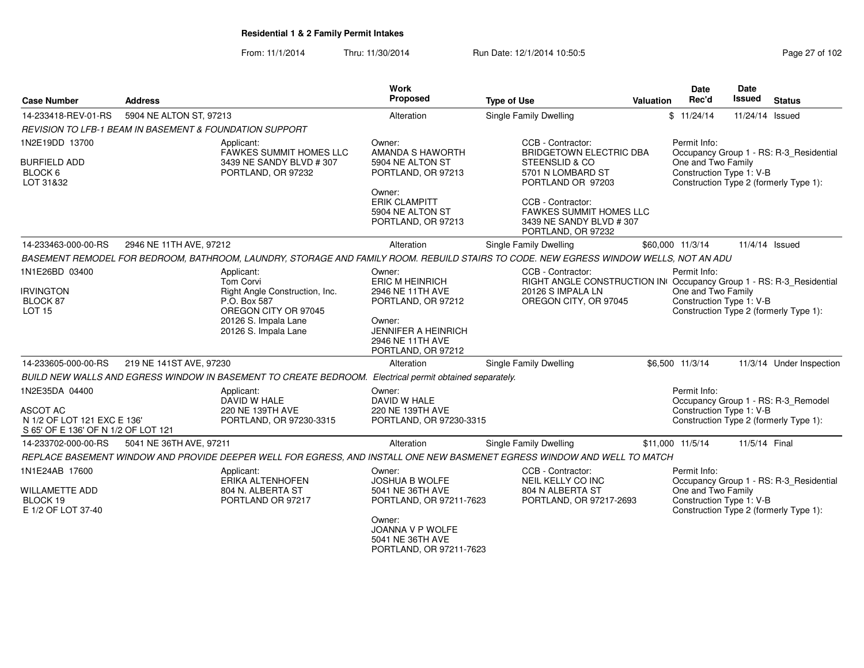From: 11/1/2014Thru: 11/30/2014 Run Date: 12/1/2014 10:50:5<br> **Page 27 of 102** 

| <b>Case Number</b>                                                                                      | <b>Address</b>                                                     |                                                                                                                                                   | Work<br>Proposed                                                                                                                                             | <b>Type of Use</b>                                                                                                                     | Valuation | <b>Date</b><br>Rec'd                                                                                     | <b>Date</b><br>Issued | <b>Status</b>                                                                 |
|---------------------------------------------------------------------------------------------------------|--------------------------------------------------------------------|---------------------------------------------------------------------------------------------------------------------------------------------------|--------------------------------------------------------------------------------------------------------------------------------------------------------------|----------------------------------------------------------------------------------------------------------------------------------------|-----------|----------------------------------------------------------------------------------------------------------|-----------------------|-------------------------------------------------------------------------------|
| 14-233418-REV-01-RS                                                                                     | 5904 NE ALTON ST, 97213                                            |                                                                                                                                                   | Alteration                                                                                                                                                   | <b>Single Family Dwelling</b>                                                                                                          |           | \$11/24/14                                                                                               | 11/24/14 Issued       |                                                                               |
|                                                                                                         | <b>REVISION TO LFB-1 BEAM IN BASEMENT &amp; FOUNDATION SUPPORT</b> |                                                                                                                                                   |                                                                                                                                                              |                                                                                                                                        |           |                                                                                                          |                       |                                                                               |
| 1N2E19DD 13700<br><b>BURFIELD ADD</b><br>BLOCK 6<br>LOT 31&32                                           |                                                                    | Applicant:<br><b>FAWKES SUMMIT HOMES LLC</b><br>3439 NE SANDY BLVD # 307<br>PORTLAND, OR 97232                                                    | Owner:<br>AMANDA S HAWORTH<br>5904 NE ALTON ST<br>PORTLAND, OR 97213                                                                                         | CCB - Contractor:<br><b>BRIDGETOWN ELECTRIC DBA</b><br>STEENSLID & CO<br>5701 N LOMBARD ST<br>PORTLAND OR 97203                        |           | Permit Info:<br>One and Two Family<br>Construction Type 1: V-B<br>Construction Type 2 (formerly Type 1): |                       | Occupancy Group 1 - RS: R-3_Residential                                       |
|                                                                                                         |                                                                    |                                                                                                                                                   | Owner:<br><b>ERIK CLAMPITT</b><br>5904 NE ALTON ST<br>PORTLAND, OR 97213                                                                                     | CCB - Contractor:<br><b>FAWKES SUMMIT HOMES LLC</b><br>3439 NE SANDY BLVD #307<br>PORTLAND, OR 97232                                   |           |                                                                                                          |                       |                                                                               |
| 14-233463-000-00-RS                                                                                     | 2946 NE 11TH AVE, 97212                                            |                                                                                                                                                   | Alteration                                                                                                                                                   | Single Family Dwelling                                                                                                                 |           | \$60,000 11/3/14                                                                                         | 11/4/14 Issued        |                                                                               |
|                                                                                                         |                                                                    |                                                                                                                                                   |                                                                                                                                                              | BASEMENT REMODEL FOR BEDROOM, BATHROOM, LAUNDRY, STORAGE AND FAMILY ROOM. REBUILD STAIRS TO CODE. NEW EGRESS WINDOW WELLS, NOT AN ADU  |           |                                                                                                          |                       |                                                                               |
| 1N1E26BD 03400<br><b>IRVINGTON</b><br>BLOCK 87<br><b>LOT 15</b>                                         |                                                                    | Applicant:<br>Tom Corvi<br>Right Angle Construction, Inc.<br>P.O. Box 587<br>OREGON CITY OR 97045<br>20126 S. Impala Lane<br>20126 S. Impala Lane | Owner:<br><b>ERIC M HEINRICH</b><br>2946 NE 11TH AVE<br>PORTLAND, OR 97212<br>Owner:<br><b>JENNIFER A HEINRICH</b><br>2946 NE 11TH AVE<br>PORTLAND, OR 97212 | CCB - Contractor:<br>RIGHT ANGLE CONSTRUCTION IN Occupancy Group 1 - RS: R-3_Residential<br>20126 S IMPALA LN<br>OREGON CITY, OR 97045 |           | Permit Info:<br>One and Two Family<br>Construction Type 1: V-B                                           |                       | Construction Type 2 (formerly Type 1):                                        |
| 14-233605-000-00-RS                                                                                     | 219 NE 141ST AVE, 97230                                            |                                                                                                                                                   | Alteration                                                                                                                                                   | Single Family Dwelling                                                                                                                 |           | \$6,500 11/3/14                                                                                          |                       | 11/3/14 Under Inspection                                                      |
|                                                                                                         |                                                                    | BUILD NEW WALLS AND EGRESS WINDOW IN BASEMENT TO CREATE BEDROOM. Electrical permit obtained separately.                                           |                                                                                                                                                              |                                                                                                                                        |           |                                                                                                          |                       |                                                                               |
| 1N2E35DA 04400<br><b>ASCOT AC</b><br>N 1/2 OF LOT 121 EXC E 136'<br>S 65' OF E 136' OF N 1/2 OF LOT 121 |                                                                    | Applicant:<br>DAVID W HALE<br>220 NE 139TH AVE<br>PORTLAND, OR 97230-3315                                                                         | Owner:<br>DAVID W HALE<br>220 NE 139TH AVE<br>PORTLAND, OR 97230-3315                                                                                        |                                                                                                                                        |           | Permit Info:<br>Construction Type 1: V-B                                                                 |                       | Occupancy Group 1 - RS: R-3_Remodel<br>Construction Type 2 (formerly Type 1): |
| 14-233702-000-00-RS                                                                                     | 5041 NE 36TH AVE, 97211                                            |                                                                                                                                                   | Alteration                                                                                                                                                   | Single Family Dwelling                                                                                                                 |           | \$11,000 11/5/14                                                                                         | 11/5/14 Final         |                                                                               |
|                                                                                                         |                                                                    |                                                                                                                                                   |                                                                                                                                                              | REPLACE BASEMENT WINDOW AND PROVIDE DEEPER WELL FOR EGRESS, AND INSTALL ONE NEW BASMENET EGRESS WINDOW AND WELL TO MATCH               |           |                                                                                                          |                       |                                                                               |
| 1N1E24AB 17600<br><b>WILLAMETTE ADD</b><br>BLOCK 19<br>E 1/2 OF LOT 37-40                               |                                                                    | Applicant:<br><b>ERIKA ALTENHOFEN</b><br>804 N. ALBERTA ST<br>PORTLAND OR 97217                                                                   | Owner:<br><b>JOSHUA B WOLFE</b><br>5041 NE 36TH AVE<br>PORTLAND, OR 97211-7623<br>Owner:<br>JOANNA V P WOLFE<br>5041 NE 36TH AVE                             | CCB - Contractor:<br>NEIL KELLY CO INC<br>804 N ALBERTA ST<br>PORTLAND, OR 97217-2693                                                  |           | Permit Info:<br>One and Two Family<br>Construction Type 1: V-B<br>Construction Type 2 (formerly Type 1): |                       | Occupancy Group 1 - RS: R-3 Residential                                       |

PORTLAND, OR 97211-7623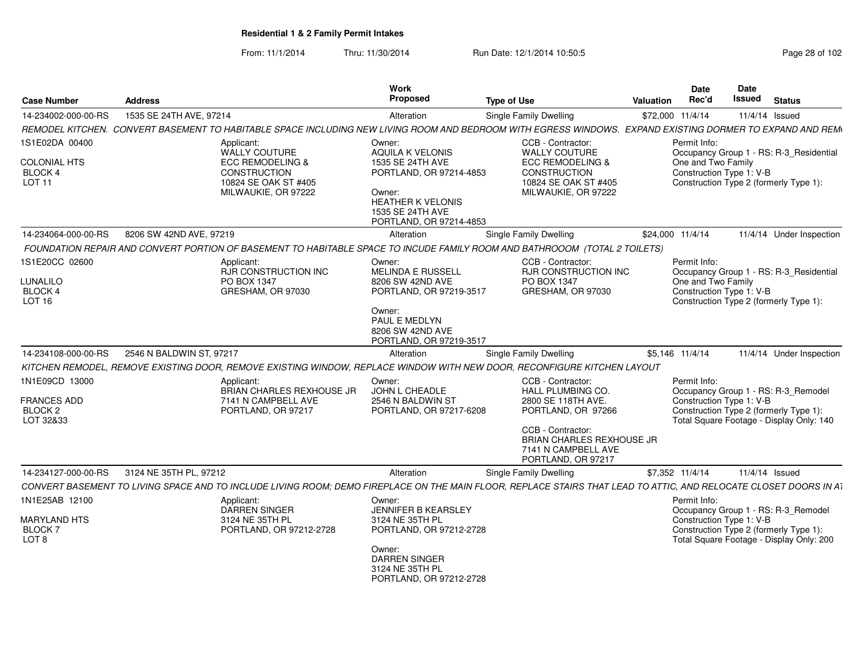From: 11/1/2014Thru: 11/30/2014 Run Date: 12/1/2014 10:50:5<br>
Page 28 of 102

| <b>Case Number</b>                                                  | <b>Address</b>           |                                                                                                                                                                         | Work<br>Proposed                                                                                                                 | <b>Type of Use</b>                                                                                                                   | Valuation |                  | <b>Date</b><br><b>Date</b><br>Rec'd            | <b>Issued</b> | <b>Status</b>                                                                                                             |
|---------------------------------------------------------------------|--------------------------|-------------------------------------------------------------------------------------------------------------------------------------------------------------------------|----------------------------------------------------------------------------------------------------------------------------------|--------------------------------------------------------------------------------------------------------------------------------------|-----------|------------------|------------------------------------------------|---------------|---------------------------------------------------------------------------------------------------------------------------|
| 14-234002-000-00-RS                                                 | 1535 SE 24TH AVE, 97214  |                                                                                                                                                                         | Alteration                                                                                                                       | <b>Single Family Dwelling</b>                                                                                                        |           | \$72,000 11/4/14 |                                                |               | 11/4/14 Issued                                                                                                            |
|                                                                     |                          | REMODEL KITCHEN.  CONVERT BASEMENT TO HABITABLE SPACE INCLUDING NEW LIVING ROOM AND BEDROOM WITH EGRESS WINDOWS.  EXPAND EXISTING DORMER TO EXPAND AND REM <sub>'</sub> |                                                                                                                                  |                                                                                                                                      |           |                  |                                                |               |                                                                                                                           |
| 1S1E02DA 00400                                                      |                          | Applicant:<br>WALLY COUTURE                                                                                                                                             | Owner:<br><b>AQUILA K VELONIS</b>                                                                                                | CCB - Contractor:<br>WALLY COUTURE                                                                                                   |           | Permit Info:     |                                                |               | Occupancy Group 1 - RS: R-3_Residential                                                                                   |
| COLONIAL HTS<br>BLOCK 4<br>LOT <sub>11</sub>                        |                          | <b>ECC REMODELING &amp;</b><br><b>CONSTRUCTION</b><br>10824 SE OAK ST #405<br>MILWAUKIE, OR 97222                                                                       | 1535 SE 24TH AVE<br>PORTLAND, OR 97214-4853<br>Owner:<br><b>HEATHER K VELONIS</b><br>1535 SE 24TH AVE<br>PORTLAND, OR 97214-4853 | <b>ECC REMODELING &amp;</b><br><b>CONSTRUCTION</b><br>10824 SE OAK ST #405<br>MILWAUKIE, OR 97222                                    |           |                  | One and Two Family<br>Construction Type 1: V-B |               | Construction Type 2 (formerly Type 1):                                                                                    |
| 14-234064-000-00-RS                                                 | 8206 SW 42ND AVE, 97219  |                                                                                                                                                                         | Alteration                                                                                                                       | Single Family Dwelling                                                                                                               |           | \$24,000 11/4/14 |                                                |               | 11/4/14 Under Inspection                                                                                                  |
|                                                                     |                          | FOUNDATION REPAIR AND CONVERT PORTION OF BASEMENT TO HABITABLE SPACE TO INCUDE FAMILY ROOM AND BATHROOOM (TOTAL 2 TOILETS)                                              |                                                                                                                                  |                                                                                                                                      |           |                  |                                                |               |                                                                                                                           |
| 1S1E20CC 02600<br>LUNALILO<br>BLOCK 4<br>LOT <sub>16</sub>          |                          | Applicant:<br><b>RJR CONSTRUCTION INC</b><br>PO BOX 1347<br>GRESHAM, OR 97030                                                                                           | Owner:<br><b>MELINDA E RUSSELL</b><br>8206 SW 42ND AVE<br>PORTLAND, OR 97219-3517<br>Owner:<br>PAUL E MEDLYN<br>8206 SW 42ND AVE | CCB - Contractor:<br><b>RJR CONSTRUCTION INC</b><br>PO BOX 1347<br>GRESHAM, OR 97030                                                 |           | Permit Info:     | One and Two Family<br>Construction Type 1: V-B |               | Occupancy Group 1 - RS: R-3 Residential<br>Construction Type 2 (formerly Type 1):                                         |
|                                                                     |                          |                                                                                                                                                                         | PORTLAND, OR 97219-3517                                                                                                          |                                                                                                                                      |           |                  |                                                |               |                                                                                                                           |
| 14-234108-000-00-RS                                                 | 2546 N BALDWIN ST, 97217 |                                                                                                                                                                         | Alteration                                                                                                                       | Single Family Dwelling                                                                                                               |           | \$5,146 11/4/14  |                                                |               | 11/4/14 Under Inspection                                                                                                  |
|                                                                     |                          | KITCHEN REMODEL, REMOVE EXISTING DOOR, REMOVE EXISTING WINDOW, REPLACE WINDOW WITH NEW DOOR, RECONFIGURE KITCHEN LAYOUT                                                 |                                                                                                                                  |                                                                                                                                      |           |                  |                                                |               |                                                                                                                           |
| 1N1E09CD 13000<br>FRANCES ADD<br>BLOCK <sub>2</sub><br>LOT 32&33    |                          | Applicant:<br><b>BRIAN CHARLES REXHOUSE JR</b><br>7141 N CAMPBELL AVE<br>PORTLAND, OR 97217                                                                             | Owner:<br><b>JOHN L CHEADLE</b><br>2546 N BALDWIN ST<br>PORTLAND, OR 97217-6208                                                  | CCB - Contractor:<br>HALL PLUMBING CO.<br>2800 SE 118TH AVE.<br>PORTLAND, OR 97266<br>CCB - Contractor:<br>BRIAN CHARLES REXHOUSE JR |           | Permit Info:     | Construction Type 1: V-B                       |               | Occupancy Group 1 - RS: R-3_Remodel<br>Construction Type 2 (formerly Type 1):<br>Total Square Footage - Display Only: 140 |
|                                                                     |                          |                                                                                                                                                                         |                                                                                                                                  | 7141 N CAMPBELL AVE<br>PORTLAND, OR 97217                                                                                            |           |                  |                                                |               |                                                                                                                           |
| 14-234127-000-00-RS                                                 | 3124 NE 35TH PL, 97212   |                                                                                                                                                                         | Alteration                                                                                                                       | Single Family Dwelling                                                                                                               |           | \$7,352 11/4/14  |                                                |               | 11/4/14 Issued                                                                                                            |
|                                                                     |                          | CONVERT BASEMENT TO LIVING SPACE AND TO INCLUDE LIVING ROOM; DEMO FIREPLACE ON THE MAIN FLOOR, REPLACE STAIRS THAT LEAD TO ATTIC, AND RELOCATE CLOSET DOORS IN AT       |                                                                                                                                  |                                                                                                                                      |           |                  |                                                |               |                                                                                                                           |
| 1N1E25AB 12100<br>MARYLAND HTS<br><b>BLOCK7</b><br>LOT <sub>8</sub> |                          | Applicant:<br><b>DARREN SINGER</b><br>3124 NE 35TH PL<br>PORTLAND, OR 97212-2728                                                                                        | Owner:<br>JENNIFER B KEARSLEY<br>3124 NE 35TH PL<br>PORTLAND, OR 97212-2728<br>Owner:<br><b>DARREN SINGER</b>                    |                                                                                                                                      |           | Permit Info:     | Construction Type 1: V-B                       |               | Occupancy Group 1 - RS: R-3_Remodel<br>Construction Type 2 (formerly Type 1):<br>Total Square Footage - Display Only: 200 |
|                                                                     |                          |                                                                                                                                                                         | 3124 NE 35TH PL<br>PORTLAND, OR 97212-2728                                                                                       |                                                                                                                                      |           |                  |                                                |               |                                                                                                                           |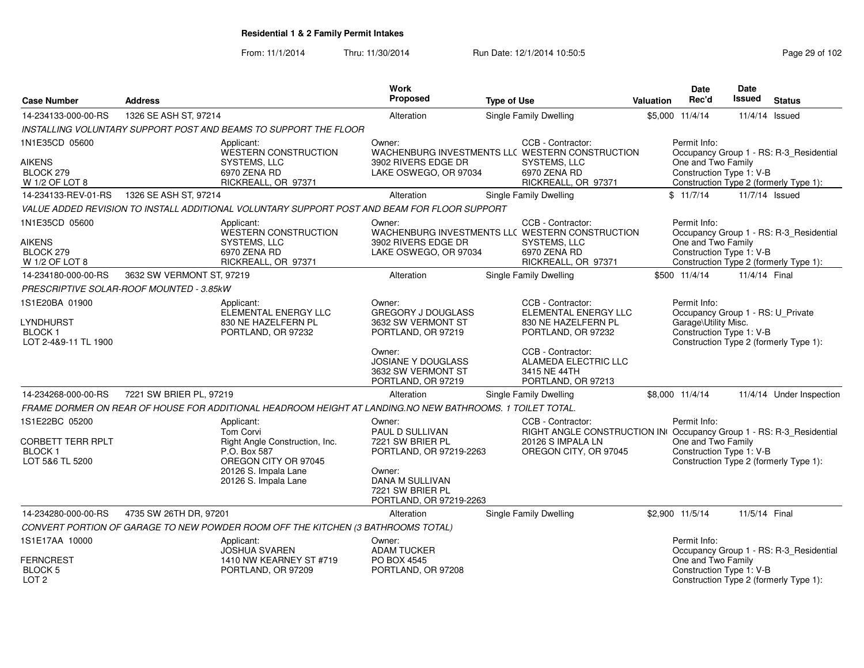From: 11/1/2014Thru: 11/30/2014 Run Date: 12/1/2014 10:50:5<br>
Page 29 of 102

| <b>Case Number</b>                                                      | <b>Address</b>                           |                                                                                                                                                   | <b>Work</b><br>Proposed                                                                                                                                     | <b>Type of Use</b>     |                                                                                                                                        | <b>Valuation</b> | Date<br>Rec'd                                                                         | Date<br><b>Issued</b> | <b>Status</b>                                                                     |
|-------------------------------------------------------------------------|------------------------------------------|---------------------------------------------------------------------------------------------------------------------------------------------------|-------------------------------------------------------------------------------------------------------------------------------------------------------------|------------------------|----------------------------------------------------------------------------------------------------------------------------------------|------------------|---------------------------------------------------------------------------------------|-----------------------|-----------------------------------------------------------------------------------|
| 14-234133-000-00-RS                                                     | 1326 SE ASH ST, 97214                    |                                                                                                                                                   | Alteration                                                                                                                                                  | Single Family Dwelling |                                                                                                                                        |                  | \$5,000 11/4/14                                                                       | 11/4/14 Issued        |                                                                                   |
|                                                                         |                                          | INSTALLING VOLUNTARY SUPPORT POST AND BEAMS TO SUPPORT THE FLOOR                                                                                  |                                                                                                                                                             |                        |                                                                                                                                        |                  |                                                                                       |                       |                                                                                   |
| 1N1E35CD 05600                                                          |                                          | Applicant:                                                                                                                                        | Owner:                                                                                                                                                      |                        | CCB - Contractor:                                                                                                                      |                  | Permit Info:                                                                          |                       |                                                                                   |
| AIKENS<br>BLOCK 279<br>W 1/2 OF LOT 8                                   |                                          | WESTERN CONSTRUCTION<br>SYSTEMS, LLC<br>6970 ZENA RD<br>RICKREALL, OR 97371                                                                       | WACHENBURG INVESTMENTS LLC WESTERN CONSTRUCTION<br>3902 RIVERS EDGE DR<br>LAKE OSWEGO, OR 97034                                                             |                        | SYSTEMS, LLC<br>6970 ZENA RD<br>RICKREALL, OR 97371                                                                                    |                  | One and Two Family<br>Construction Type 1: V-B                                        |                       | Occupancy Group 1 - RS: R-3 Residential<br>Construction Type 2 (formerly Type 1): |
| 14-234133-REV-01-RS                                                     | 1326 SE ASH ST, 97214                    |                                                                                                                                                   | Alteration                                                                                                                                                  | Single Family Dwelling |                                                                                                                                        |                  | \$11/7/14                                                                             | 11/7/14 Issued        |                                                                                   |
|                                                                         |                                          | VALUE ADDED REVISION TO INSTALL ADDITIONAL VOLUNTARY SUPPORT POST AND BEAM FOR FLOOR SUPPORT                                                      |                                                                                                                                                             |                        |                                                                                                                                        |                  |                                                                                       |                       |                                                                                   |
| 1N1E35CD 05600                                                          |                                          | Applicant:<br>WESTERN CONSTRUCTION                                                                                                                | Owner:<br>WACHENBURG INVESTMENTS LLC WESTERN CONSTRUCTION                                                                                                   |                        | CCB - Contractor:                                                                                                                      |                  | Permit Info:                                                                          |                       | Occupancy Group 1 - RS: R-3 Residential                                           |
| AIKENS<br>BLOCK 279<br>W 1/2 OF LOT 8                                   |                                          | SYSTEMS, LLC<br>6970 ZENA RD<br>RICKREALL, OR 97371                                                                                               | 3902 RIVERS EDGE DR<br>LAKE OSWEGO, OR 97034                                                                                                                |                        | SYSTEMS, LLC<br>6970 ZENA RD<br>RICKREALL, OR 97371                                                                                    |                  | One and Two Family<br>Construction Type 1: V-B                                        |                       | Construction Type 2 (formerly Type 1):                                            |
| 14-234180-000-00-RS                                                     | 3632 SW VERMONT ST, 97219                |                                                                                                                                                   | Alteration                                                                                                                                                  | Single Family Dwelling |                                                                                                                                        |                  | \$500 11/4/14                                                                         | 11/4/14 Final         |                                                                                   |
|                                                                         | PRESCRIPTIVE SOLAR-ROOF MOUNTED - 3.85kW |                                                                                                                                                   |                                                                                                                                                             |                        |                                                                                                                                        |                  |                                                                                       |                       |                                                                                   |
| 1S1E20BA 01900                                                          |                                          | Applicant:                                                                                                                                        | Owner:                                                                                                                                                      |                        | CCB - Contractor:                                                                                                                      |                  | Permit Info:                                                                          |                       |                                                                                   |
| LYNDHURST<br><b>BLOCK1</b><br>LOT 2-4&9-11 TL 1900                      |                                          | ELEMENTAL ENERGY LLC<br>830 NE HAZELFERN PL<br>PORTLAND, OR 97232                                                                                 | <b>GREGORY J DOUGLASS</b><br>3632 SW VERMONT ST<br>PORTLAND, OR 97219                                                                                       |                        | ELEMENTAL ENERGY LLC<br>830 NE HAZELFERN PL<br>PORTLAND, OR 97232                                                                      |                  | Occupancy Group 1 - RS: U_Private<br>Garage\Utility Misc.<br>Construction Type 1: V-B |                       | Construction Type 2 (formerly Type 1):                                            |
|                                                                         |                                          |                                                                                                                                                   | Owner:<br>JOSIANE Y DOUGLASS<br>3632 SW VERMONT ST<br>PORTLAND, OR 97219                                                                                    |                        | CCB - Contractor:<br>ALAMEDA ELECTRIC LLC<br>3415 NE 44TH<br>PORTLAND, OR 97213                                                        |                  |                                                                                       |                       |                                                                                   |
| 14-234268-000-00-RS                                                     | 7221 SW BRIER PL, 97219                  |                                                                                                                                                   | Alteration                                                                                                                                                  | Single Family Dwelling |                                                                                                                                        |                  | \$8,000 11/4/14                                                                       |                       | 11/4/14 Under Inspection                                                          |
|                                                                         |                                          | FRAME DORMER ON REAR OF HOUSE FOR ADDITIONAL HEADROOM HEIGHT AT LANDING.NO NEW BATHROOMS. 1 TOILET TOTAL.                                         |                                                                                                                                                             |                        |                                                                                                                                        |                  |                                                                                       |                       |                                                                                   |
| 1S1E22BC 05200<br>CORBETT TERR RPLT<br><b>BLOCK1</b><br>LOT 5&6 TL 5200 |                                          | Applicant:<br>Tom Corvi<br>Right Angle Construction, Inc.<br>P.O. Box 587<br>OREGON CITY OR 97045<br>20126 S. Impala Lane<br>20126 S. Impala Lane | Owner:<br><b>PAUL D SULLIVAN</b><br>7221 SW BRIER PL<br>PORTLAND, OR 97219-2263<br>Owner:<br>DANA M SULLIVAN<br>7221 SW BRIER PL<br>PORTLAND, OR 97219-2263 |                        | CCB - Contractor:<br>RIGHT ANGLE CONSTRUCTION IN Occupancy Group 1 - RS: R-3_Residential<br>20126 S IMPALA LN<br>OREGON CITY, OR 97045 |                  | Permit Info:<br>One and Two Family<br>Construction Type 1: V-B                        |                       | Construction Type 2 (formerly Type 1):                                            |
| 14-234280-000-00-RS                                                     | 4735 SW 26TH DR, 97201                   |                                                                                                                                                   | Alteration                                                                                                                                                  | Single Family Dwelling |                                                                                                                                        |                  | \$2,900 11/5/14                                                                       | 11/5/14 Final         |                                                                                   |
|                                                                         |                                          | CONVERT PORTION OF GARAGE TO NEW POWDER ROOM OFF THE KITCHEN (3 BATHROOMS TOTAL)                                                                  |                                                                                                                                                             |                        |                                                                                                                                        |                  |                                                                                       |                       |                                                                                   |
| 1S1E17AA 10000                                                          |                                          | Applicant:<br><b>JOSHUA SVAREN</b>                                                                                                                | Owner:<br><b>ADAM TUCKER</b>                                                                                                                                |                        |                                                                                                                                        |                  | Permit Info:                                                                          |                       | Occupancy Group 1 - RS: R-3_Residential                                           |
| <b>FERNCREST</b><br><b>BLOCK 5</b><br>LOT <sub>2</sub>                  |                                          | 1410 NW KEARNEY ST #719<br>PORTLAND, OR 97209                                                                                                     | PO BOX 4545<br>PORTLAND, OR 97208                                                                                                                           |                        |                                                                                                                                        |                  | One and Two Family<br>Construction Type 1: V-B                                        |                       | Construction Type 2 (formerly Type 1):                                            |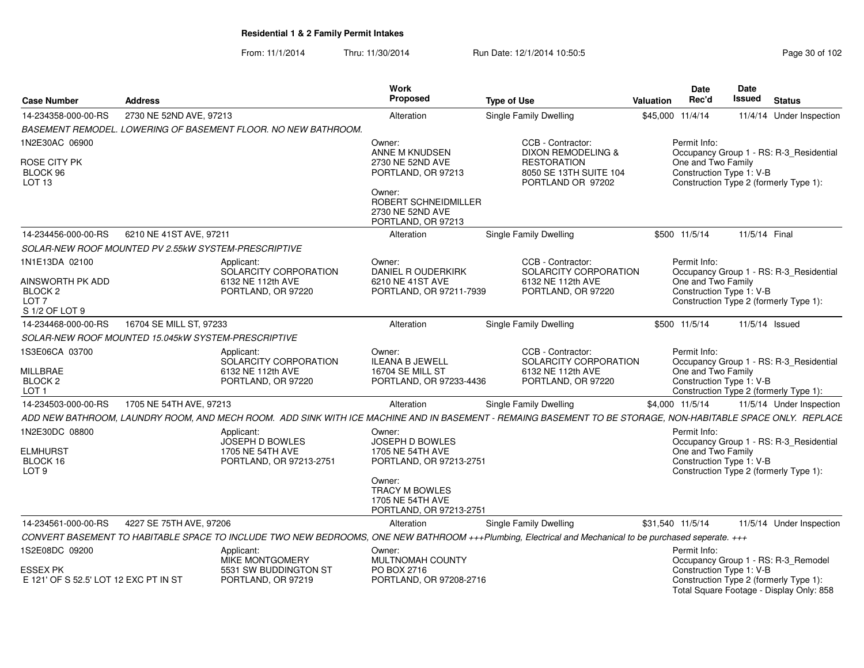From: 11/1/2014Thru: 11/30/2014 Run Date: 12/1/2014 10:50:5<br>
Page 30 of 102

| <b>Case Number</b>                                                                             | <b>Address</b>                                                                                                                                               | Work<br>Proposed                                                                                                   | <b>Type of Use</b>                                                                    | Valuation        | <b>Date</b><br>Rec'd                                                                                           | Date<br><b>Issued</b> | <b>Status</b>  |                                         |
|------------------------------------------------------------------------------------------------|--------------------------------------------------------------------------------------------------------------------------------------------------------------|--------------------------------------------------------------------------------------------------------------------|---------------------------------------------------------------------------------------|------------------|----------------------------------------------------------------------------------------------------------------|-----------------------|----------------|-----------------------------------------|
| 14-234358-000-00-RS                                                                            | 2730 NE 52ND AVE, 97213                                                                                                                                      | Alteration                                                                                                         | Single Family Dwelling                                                                | \$45,000 11/4/14 |                                                                                                                |                       |                | 11/4/14 Under Inspection                |
|                                                                                                | BASEMENT REMODEL. LOWERING OF BASEMENT FLOOR. NO NEW BATHROOM.                                                                                               |                                                                                                                    |                                                                                       |                  |                                                                                                                |                       |                |                                         |
| 1N2E30AC 06900                                                                                 |                                                                                                                                                              | Owner:<br>ANNE M KNUDSEN                                                                                           | CCB - Contractor:<br><b>DIXON REMODELING &amp;</b>                                    |                  | Permit Info:                                                                                                   |                       |                | Occupancy Group 1 - RS: R-3_Residential |
| ROSE CITY PK<br>BLOCK 96<br>LOT 13                                                             |                                                                                                                                                              | 2730 NE 52ND AVE<br>PORTLAND, OR 97213<br>Owner:<br>ROBERT SCHNEIDMILLER<br>2730 NE 52ND AVE<br>PORTLAND, OR 97213 | <b>RESTORATION</b><br>8050 SE 13TH SUITE 104<br>PORTLAND OR 97202                     |                  | One and Two Family<br>Construction Type 1: V-B<br>Construction Type 2 (formerly Type 1):                       |                       |                |                                         |
| 14-234456-000-00-RS                                                                            | 6210 NE 41ST AVE, 97211                                                                                                                                      | Alteration                                                                                                         | <b>Single Family Dwelling</b>                                                         |                  | \$500 11/5/14                                                                                                  |                       | 11/5/14 Final  |                                         |
|                                                                                                | SOLAR-NEW ROOF MOUNTED PV 2.55kW SYSTEM-PRESCRIPTIVE                                                                                                         |                                                                                                                    |                                                                                       |                  |                                                                                                                |                       |                |                                         |
| 1N1E13DA 02100<br>AINSWORTH PK ADD<br>BLOCK <sub>2</sub><br>LOT <sub>7</sub><br>S 1/2 OF LOT 9 | Applicant:<br>SOLARCITY CORPORATION<br>6132 NE 112th AVE<br>PORTLAND, OR 97220                                                                               | Owner:<br>DANIEL R OUDERKIRK<br>6210 NE 41ST AVE<br>PORTLAND, OR 97211-7939                                        | CCB - Contractor:<br>SOLARCITY CORPORATION<br>6132 NE 112th AVE<br>PORTLAND, OR 97220 |                  | Permit Info:<br>One and Two Family<br>Construction Type 1: V-B<br>Construction Type 2 (formerly Type 1):       |                       |                | Occupancy Group 1 - RS: R-3_Residential |
| 14-234468-000-00-RS                                                                            | 16704 SE MILL ST, 97233                                                                                                                                      | Alteration                                                                                                         | <b>Single Family Dwelling</b>                                                         |                  | \$500 11/5/14                                                                                                  |                       | 11/5/14 Issued |                                         |
|                                                                                                | SOLAR-NEW ROOF MOUNTED 15.045kW SYSTEM-PRESCRIPTIVE                                                                                                          |                                                                                                                    |                                                                                       |                  |                                                                                                                |                       |                |                                         |
| 1S3E06CA 03700<br><b>MILLBRAE</b><br>BLOCK <sub>2</sub><br>LOT <sub>1</sub>                    | Applicant:<br>SOLARCITY CORPORATION<br>6132 NE 112th AVE<br>PORTLAND, OR 97220                                                                               | Owner:<br><b>ILEANA B JEWELL</b><br><b>16704 SE MILL ST</b><br>PORTLAND, OR 97233-4436                             | CCB - Contractor:<br>SOLARCITY CORPORATION<br>6132 NE 112th AVE<br>PORTLAND, OR 97220 |                  | Permit Info:<br>One and Two Family<br>Construction Type 1: V-B<br>Construction Type 2 (formerly Type 1):       |                       |                | Occupancy Group 1 - RS: R-3 Residential |
| 14-234503-000-00-RS                                                                            | 1705 NE 54TH AVE, 97213                                                                                                                                      | Alteration                                                                                                         | Single Family Dwelling                                                                | \$4,000 11/5/14  |                                                                                                                |                       |                | 11/5/14 Under Inspection                |
|                                                                                                | ADD NEW BATHROOM, LAUNDRY ROOM, AND MECH ROOM. ADD SINK WITH ICE MACHINE AND IN BASEMENT - REMAING BASEMENT TO BE STORAGE, NON-HABITABLE SPACE ONLY. REPLACE |                                                                                                                    |                                                                                       |                  |                                                                                                                |                       |                |                                         |
| 1N2E30DC 08800<br><b>ELMHURST</b><br>BLOCK 16<br>LOT <sub>9</sub>                              | Applicant:<br><b>JOSEPH D BOWLES</b><br>1705 NE 54TH AVE<br>PORTLAND, OR 97213-2751                                                                          | Owner:<br><b>JOSEPH D BOWLES</b><br>1705 NE 54TH AVE<br>PORTLAND, OR 97213-2751                                    |                                                                                       |                  | Permit Info:<br>One and Two Family<br>Construction Type 1: V-B<br>Construction Type 2 (formerly Type 1):       |                       |                | Occupancy Group 1 - RS: R-3_Residential |
|                                                                                                |                                                                                                                                                              | Owner:<br><b>TRACY M BOWLES</b><br>1705 NE 54TH AVE<br>PORTLAND, OR 97213-2751                                     |                                                                                       |                  |                                                                                                                |                       |                |                                         |
| 14-234561-000-00-RS                                                                            | 4227 SE 75TH AVE, 97206                                                                                                                                      | Alteration                                                                                                         | <b>Single Family Dwelling</b>                                                         | \$31,540 11/5/14 |                                                                                                                |                       |                | 11/5/14 Under Inspection                |
|                                                                                                | CONVERT BASEMENT TO HABITABLE SPACE TO INCLUDE TWO NEW BEDROOMS, ONE NEW BATHROOM +++Plumbing, Electrical and Mechanical to be purchased seperate. +++       |                                                                                                                    |                                                                                       |                  |                                                                                                                |                       |                |                                         |
| 1S2E08DC 09200                                                                                 | Applicant:<br>MIKE MONTGOMERY                                                                                                                                | Owner:<br>MULTNOMAH COUNTY                                                                                         |                                                                                       |                  | Permit Info:<br>Occupancy Group 1 - RS: R-3_Remodel                                                            |                       |                |                                         |
| ESSEX PK<br>E 121' OF S 52.5' LOT 12 EXC PT IN ST                                              | 5531 SW BUDDINGTON ST<br>PORTLAND, OR 97219                                                                                                                  | PO BOX 2716<br>PORTLAND, OR 97208-2716                                                                             |                                                                                       |                  | Construction Type 1: V-B<br>Construction Type 2 (formerly Type 1):<br>Total Square Footage - Display Only: 858 |                       |                |                                         |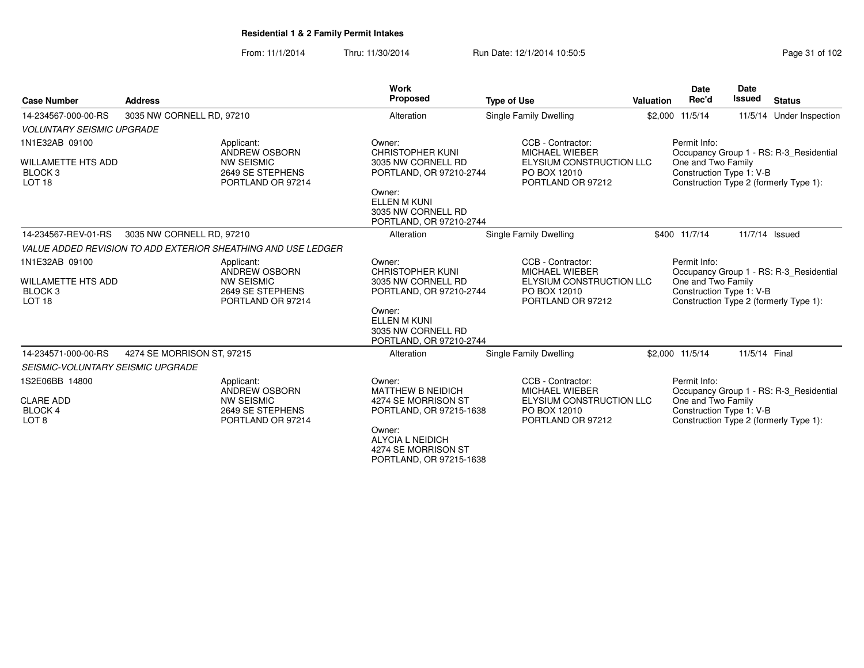From: 11/1/2014Thru: 11/30/2014 Run Date: 12/1/2014 10:50:5<br>
Page 31 of 102

| <b>Case Number</b>                                                                     | <b>Address</b>             |                                                                                           | Work<br><b>Proposed</b>                                                                                                                                              | <b>Type of Use</b>                                                                                          | <b>Valuation</b> | <b>Date</b><br>Rec'd                                           | <b>Date</b><br><b>Issued</b> | <b>Status</b>                                                                     |
|----------------------------------------------------------------------------------------|----------------------------|-------------------------------------------------------------------------------------------|----------------------------------------------------------------------------------------------------------------------------------------------------------------------|-------------------------------------------------------------------------------------------------------------|------------------|----------------------------------------------------------------|------------------------------|-----------------------------------------------------------------------------------|
| 14-234567-000-00-RS                                                                    | 3035 NW CORNELL RD, 97210  |                                                                                           | Alteration                                                                                                                                                           | Single Family Dwelling                                                                                      |                  | \$2,000 11/5/14                                                |                              | 11/5/14 Under Inspection                                                          |
| <b>VOLUNTARY SEISMIC UPGRADE</b>                                                       |                            |                                                                                           |                                                                                                                                                                      |                                                                                                             |                  |                                                                |                              |                                                                                   |
| 1N1E32AB 09100<br><b>WILLAMETTE HTS ADD</b><br>BLOCK <sub>3</sub><br>LOT <sub>18</sub> |                            | Applicant:<br>ANDREW OSBORN<br><b>NW SEISMIC</b><br>2649 SE STEPHENS<br>PORTLAND OR 97214 | Owner:<br><b>CHRISTOPHER KUNI</b><br>3035 NW CORNELL RD<br>PORTLAND, OR 97210-2744<br>Owner:<br><b>ELLEN M KUNI</b><br>3035 NW CORNELL RD<br>PORTLAND, OR 97210-2744 | CCB - Contractor:<br><b>MICHAEL WIEBER</b><br>ELYSIUM CONSTRUCTION LLC<br>PO BOX 12010<br>PORTLAND OR 97212 |                  | Permit Info:<br>One and Two Family<br>Construction Type 1: V-B |                              | Occupancy Group 1 - RS: R-3 Residential<br>Construction Type 2 (formerly Type 1): |
| 14-234567-REV-01-RS                                                                    | 3035 NW CORNELL RD, 97210  |                                                                                           | Alteration                                                                                                                                                           | Single Family Dwelling                                                                                      |                  | \$400 11/7/14                                                  |                              | 11/7/14 Issued                                                                    |
|                                                                                        |                            | VALUE ADDED REVISION TO ADD EXTERIOR SHEATHING AND USE LEDGER                             |                                                                                                                                                                      |                                                                                                             |                  |                                                                |                              |                                                                                   |
| 1N1E32AB 09100<br><b>WILLAMETTE HTS ADD</b><br>BLOCK <sub>3</sub><br>LOT <sub>18</sub> |                            | Applicant:<br>ANDREW OSBORN<br><b>NW SEISMIC</b><br>2649 SE STEPHENS<br>PORTLAND OR 97214 | Owner:<br><b>CHRISTOPHER KUNI</b><br>3035 NW CORNELL RD<br>PORTLAND, OR 97210-2744<br>Owner:<br><b>ELLEN M KUNI</b><br>3035 NW CORNELL RD<br>PORTLAND, OR 97210-2744 | CCB - Contractor:<br><b>MICHAEL WIEBER</b><br>ELYSIUM CONSTRUCTION LLC<br>PO BOX 12010<br>PORTLAND OR 97212 |                  | Permit Info:<br>One and Two Family<br>Construction Type 1: V-B |                              | Occupancy Group 1 - RS: R-3 Residential<br>Construction Type 2 (formerly Type 1): |
| 14-234571-000-00-RS                                                                    | 4274 SE MORRISON ST, 97215 |                                                                                           | Alteration                                                                                                                                                           | Single Family Dwelling                                                                                      |                  | \$2,000 11/5/14                                                | 11/5/14 Final                |                                                                                   |
| <b>SEISMIC-VOLUNTARY SEISMIC UPGRADE</b>                                               |                            |                                                                                           |                                                                                                                                                                      |                                                                                                             |                  |                                                                |                              |                                                                                   |
| 1S2E06BB 14800<br><b>CLARE ADD</b><br><b>BLOCK 4</b><br>LOT <sub>8</sub>               |                            | Applicant:<br>ANDREW OSBORN<br><b>NW SEISMIC</b><br>2649 SE STEPHENS<br>PORTLAND OR 97214 | Owner:<br><b>MATTHEW B NEIDICH</b><br>4274 SE MORRISON ST<br>PORTLAND, OR 97215-1638<br>Owner:<br>ALYCIA L NEIDICH<br>4274 SE MORRISON ST<br>PORTLAND, OR 97215-1638 | CCB - Contractor:<br><b>MICHAEL WIEBER</b><br>ELYSIUM CONSTRUCTION LLC<br>PO BOX 12010<br>PORTLAND OR 97212 |                  | Permit Info:<br>One and Two Family<br>Construction Type 1: V-B |                              | Occupancy Group 1 - RS: R-3 Residential<br>Construction Type 2 (formerly Type 1): |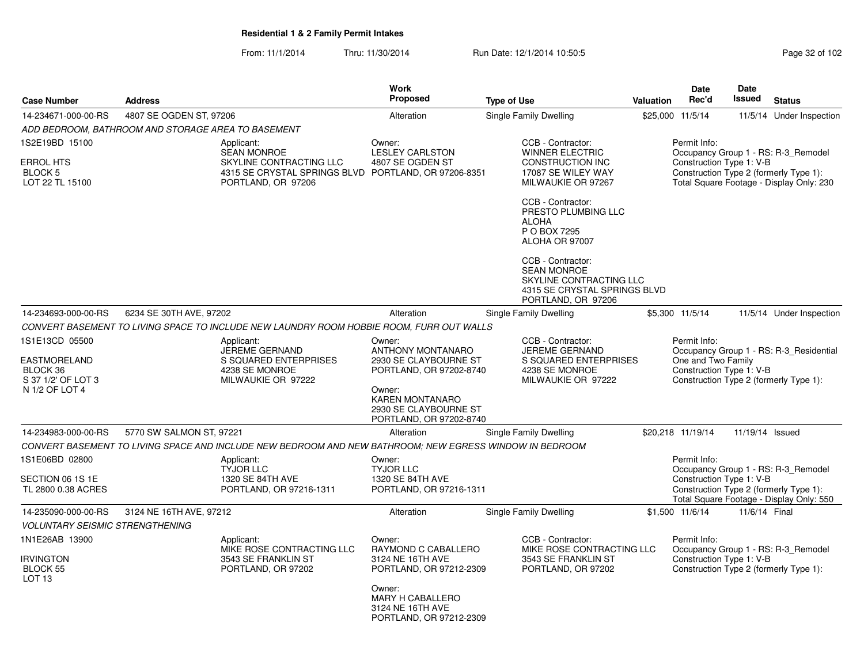From: 11/1/2014Thru: 11/30/2014 Run Date: 12/1/2014 10:50:5<br>
Page 32 of 102

|                                                                         |                                                    |                                                                                                                   | Work                                                                            |                                                                                                                          |                  | <b>Date</b>                                                    | Date            |                                                                                                                           |
|-------------------------------------------------------------------------|----------------------------------------------------|-------------------------------------------------------------------------------------------------------------------|---------------------------------------------------------------------------------|--------------------------------------------------------------------------------------------------------------------------|------------------|----------------------------------------------------------------|-----------------|---------------------------------------------------------------------------------------------------------------------------|
| <b>Case Number</b>                                                      | <b>Address</b>                                     |                                                                                                                   | <b>Proposed</b>                                                                 | <b>Type of Use</b>                                                                                                       | <b>Valuation</b> | Rec'd                                                          | <b>Issued</b>   | <b>Status</b>                                                                                                             |
| 14-234671-000-00-RS                                                     | 4807 SE OGDEN ST, 97206                            |                                                                                                                   | Alteration                                                                      | <b>Single Family Dwelling</b>                                                                                            |                  | \$25,000 11/5/14                                               |                 | 11/5/14 Under Inspection                                                                                                  |
|                                                                         | ADD BEDROOM, BATHROOM AND STORAGE AREA TO BASEMENT |                                                                                                                   |                                                                                 |                                                                                                                          |                  |                                                                |                 |                                                                                                                           |
| 1S2E19BD 15100<br><b>ERROL HTS</b><br><b>BLOCK 5</b><br>LOT 22 TL 15100 |                                                    | Applicant:<br><b>SEAN MONROE</b><br>SKYLINE CONTRACTING LLC<br>4315 SE CRYSTAL SPRINGS BLVD<br>PORTLAND, OR 97206 | Owner:<br><b>LESLEY CARLSTON</b><br>4807 SE OGDEN ST<br>PORTLAND, OR 97206-8351 | CCB - Contractor:<br><b>WINNER ELECTRIC</b><br><b>CONSTRUCTION INC</b><br>17087 SE WILEY WAY<br>MILWAUKIE OR 97267       |                  | Permit Info:<br>Construction Type 1: V-B                       |                 | Occupancy Group 1 - RS: R-3_Remodel<br>Construction Type 2 (formerly Type 1):<br>Total Square Footage - Display Only: 230 |
|                                                                         |                                                    |                                                                                                                   |                                                                                 | CCB - Contractor:<br>PRESTO PLUMBING LLC<br><b>ALOHA</b><br>P O BOX 7295<br>ALOHA OR 97007                               |                  |                                                                |                 |                                                                                                                           |
|                                                                         |                                                    |                                                                                                                   |                                                                                 | CCB - Contractor:<br><b>SEAN MONROE</b><br>SKYLINE CONTRACTING LLC<br>4315 SE CRYSTAL SPRINGS BLVD<br>PORTLAND, OR 97206 |                  |                                                                |                 |                                                                                                                           |
| 14-234693-000-00-RS                                                     | 6234 SE 30TH AVE, 97202                            |                                                                                                                   | Alteration                                                                      | Single Family Dwelling                                                                                                   |                  | \$5,300 11/5/14                                                |                 | 11/5/14 Under Inspection                                                                                                  |
|                                                                         |                                                    | CONVERT BASEMENT TO LIVING SPACE TO INCLUDE NEW LAUNDRY ROOM HOBBIE ROOM, FURR OUT WALLS                          |                                                                                 |                                                                                                                          |                  |                                                                |                 |                                                                                                                           |
| 1S1E13CD 05500<br><b>EASTMORELAND</b><br>BLOCK 36<br>S 37 1/2' OF LOT 3 |                                                    | Applicant:<br>JEREME GERNAND<br>S SQUARED ENTERPRISES<br>4238 SE MONROE<br>MILWAUKIE OR 97222                     | Owner:<br>ANTHONY MONTANARO<br>2930 SE CLAYBOURNE ST<br>PORTLAND, OR 97202-8740 | CCB - Contractor:<br><b>JEREME GERNAND</b><br>S SQUARED ENTERPRISES<br>4238 SE MONROE<br>MILWAUKIE OR 97222              |                  | Permit Info:<br>One and Two Family<br>Construction Type 1: V-B |                 | Occupancy Group 1 - RS: R-3_Residential<br>Construction Type 2 (formerly Type 1):                                         |
| N 1/2 OF LOT 4                                                          |                                                    |                                                                                                                   | Owner:<br>KAREN MONTANARO<br>2930 SE CLAYBOURNE ST<br>PORTLAND, OR 97202-8740   |                                                                                                                          |                  |                                                                |                 |                                                                                                                           |
| 14-234983-000-00-RS                                                     | 5770 SW SALMON ST, 97221                           |                                                                                                                   | Alteration                                                                      | Single Family Dwelling                                                                                                   |                  | \$20,218 11/19/14                                              | 11/19/14 Issued |                                                                                                                           |
|                                                                         |                                                    | CONVERT BASEMENT TO LIVING SPACE AND INCLUDE NEW BEDROOM AND NEW BATHROOM: NEW EGRESS WINDOW IN BEDROOM           |                                                                                 |                                                                                                                          |                  |                                                                |                 |                                                                                                                           |
| 1S1E06BD 02800<br>SECTION 06 1S 1E<br>TL 2800 0.38 ACRES                |                                                    | Applicant:<br><b>TYJOR LLC</b><br>1320 SE 84TH AVE<br>PORTLAND, OR 97216-1311                                     | Owner:<br><b>TYJOR LLC</b><br>1320 SE 84TH AVE<br>PORTLAND, OR 97216-1311       |                                                                                                                          |                  | Permit Info:<br>Construction Type 1: V-B                       |                 | Occupancy Group 1 - RS: R-3_Remodel<br>Construction Type 2 (formerly Type 1):<br>Total Square Footage - Display Only: 550 |
| 14-235090-000-00-RS                                                     | 3124 NE 16TH AVE, 97212                            |                                                                                                                   | Alteration                                                                      | <b>Single Family Dwelling</b>                                                                                            |                  | \$1,500 11/6/14                                                | 11/6/14 Final   |                                                                                                                           |
| <b>VOLUNTARY SEISMIC STRENGTHENING</b>                                  |                                                    |                                                                                                                   |                                                                                 |                                                                                                                          |                  |                                                                |                 |                                                                                                                           |
| 1N1E26AB 13900<br>IRVINGTON<br>BLOCK 55                                 |                                                    | Applicant:<br>MIKE ROSE CONTRACTING LLC<br>3543 SE FRANKLIN ST<br>PORTLAND, OR 97202                              | Owner:<br>RAYMOND C CABALLERO<br>3124 NE 16TH AVE<br>PORTLAND, OR 97212-2309    | CCB - Contractor:<br>MIKE ROSE CONTRACTING LLC<br>3543 SE FRANKLIN ST<br>PORTLAND, OR 97202                              |                  | Permit Info:<br>Construction Type 1: V-B                       |                 | Occupancy Group 1 - RS: R-3 Remodel<br>Construction Type 2 (formerly Type 1):                                             |
| LOT <sub>13</sub>                                                       |                                                    |                                                                                                                   | Owner:<br>MARY H CABALLERO<br>3124 NE 16TH AVE<br>PORTLAND, OR 97212-2309       |                                                                                                                          |                  |                                                                |                 |                                                                                                                           |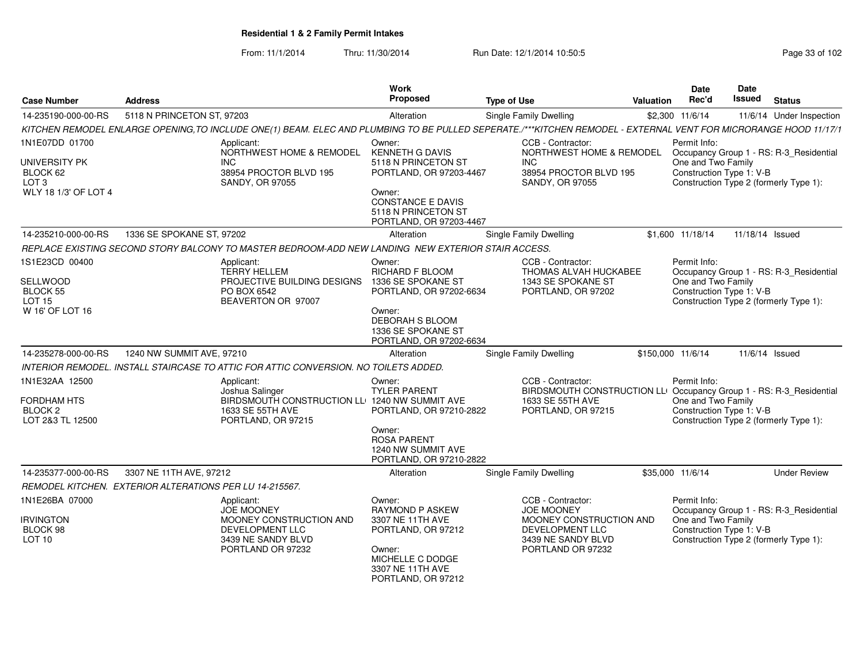From: 11/1/2014Thru: 11/30/2014 Run Date: 12/1/2014 10:50:5<br> **Page 33 of 102** 

| <b>Case Number</b>                                                                      | <b>Address</b>                                          |                                                                                                                                                                  | <b>Work</b><br><b>Proposed</b>                                                                                                                                             | <b>Type of Use</b>                                                                                                                             | Valuation | Date<br>Rec'd                                                  | Date<br>Issued  | <b>Status</b>                                                                     |
|-----------------------------------------------------------------------------------------|---------------------------------------------------------|------------------------------------------------------------------------------------------------------------------------------------------------------------------|----------------------------------------------------------------------------------------------------------------------------------------------------------------------------|------------------------------------------------------------------------------------------------------------------------------------------------|-----------|----------------------------------------------------------------|-----------------|-----------------------------------------------------------------------------------|
| 14-235190-000-00-RS                                                                     | 5118 N PRINCETON ST, 97203                              |                                                                                                                                                                  | Alteration                                                                                                                                                                 | Single Family Dwelling                                                                                                                         |           | \$2,300 11/6/14                                                |                 | 11/6/14 Under Inspection                                                          |
|                                                                                         |                                                         | KITCHEN REMODEL ENLARGE OPENING, TO INCLUDE ONE(1) BEAM. ELEC AND PLUMBING TO BE PULLED SEPERATE./***KITCHEN REMODEL - EXTERNAL VENT FOR MICRORANGE HOOD 11/17/1 |                                                                                                                                                                            |                                                                                                                                                |           |                                                                |                 |                                                                                   |
| 1N1E07DD 01700<br>UNIVERSITY PK<br>BLOCK 62<br>LOT <sub>3</sub><br>WLY 18 1/3' OF LOT 4 |                                                         | Applicant:<br>NORTHWEST HOME & REMODEL<br><b>INC</b><br>38954 PROCTOR BLVD 195<br><b>SANDY, OR 97055</b>                                                         | Owner:<br><b>KENNETH G DAVIS</b><br>5118 N PRINCETON ST<br>PORTLAND, OR 97203-4467<br>Owner:<br><b>CONSTANCE E DAVIS</b><br>5118 N PRINCETON ST<br>PORTLAND, OR 97203-4467 | CCB - Contractor:<br>NORTHWEST HOME & REMODEL<br>INC.<br>38954 PROCTOR BLVD 195<br><b>SANDY, OR 97055</b>                                      |           | Permit Info:<br>One and Two Family<br>Construction Type 1: V-B |                 | Occupancy Group 1 - RS: R-3_Residential<br>Construction Type 2 (formerly Type 1): |
| 14-235210-000-00-RS                                                                     | 1336 SE SPOKANE ST, 97202                               |                                                                                                                                                                  | Alteration                                                                                                                                                                 | <b>Single Family Dwelling</b>                                                                                                                  |           | \$1,600 11/18/14                                               | 11/18/14 Issued |                                                                                   |
|                                                                                         |                                                         | REPLACE EXISTING SECOND STORY BALCONY TO MASTER BEDROOM-ADD NEW LANDING NEW EXTERIOR STAIR ACCESS.                                                               |                                                                                                                                                                            |                                                                                                                                                |           |                                                                |                 |                                                                                   |
| 1S1E23CD 00400<br>SELLWOOD<br><b>BLOCK 55</b><br><b>LOT 15</b><br>W 16' OF LOT 16       |                                                         | Applicant:<br><b>TERRY HELLEM</b><br>PROJECTIVE BUILDING DESIGNS<br>PO BOX 6542<br>BEAVERTON OR 97007                                                            | Owner:<br>RICHARD F BLOOM<br>1336 SE SPOKANE ST<br>PORTLAND, OR 97202-6634<br>Owner:<br>DEBORAH S BLOOM<br>1336 SE SPOKANE ST<br>PORTLAND, OR 97202-6634                   | CCB - Contractor:<br>THOMAS ALVAH HUCKABEE<br>1343 SE SPOKANE ST<br>PORTLAND, OR 97202                                                         |           | Permit Info:<br>One and Two Family<br>Construction Type 1: V-B |                 | Occupancy Group 1 - RS: R-3 Residential<br>Construction Type 2 (formerly Type 1): |
| 14-235278-000-00-RS                                                                     | 1240 NW SUMMIT AVE, 97210                               |                                                                                                                                                                  | Alteration                                                                                                                                                                 | Single Family Dwelling                                                                                                                         |           | \$150,000 11/6/14                                              |                 | 11/6/14 Issued                                                                    |
|                                                                                         |                                                         | INTERIOR REMODEL. INSTALL STAIRCASE TO ATTIC FOR ATTIC CONVERSION. NO TOILETS ADDED.                                                                             |                                                                                                                                                                            |                                                                                                                                                |           |                                                                |                 |                                                                                   |
| 1N1E32AA 12500<br>FORDHAM HTS<br><b>BLOCK 2</b><br>LOT 2&3 TL 12500                     |                                                         | Applicant:<br>Joshua Salinger<br>BIRDSMOUTH CONSTRUCTION LLE 1240 NW SUMMIT AVE<br>1633 SE 55TH AVE<br>PORTLAND, OR 97215                                        | Owner:<br><b>TYLER PARENT</b><br>PORTLAND, OR 97210-2822<br>Owner:<br><b>ROSA PARENT</b><br>1240 NW SUMMIT AVE<br>PORTLAND, OR 97210-2822                                  | CCB - Contractor:<br>BIRDSMOUTH CONSTRUCTION LL <sup>1</sup> Occupancy Group 1 - RS: R-3_Residential<br>1633 SE 55TH AVE<br>PORTLAND, OR 97215 |           | Permit Info:<br>One and Two Family<br>Construction Type 1: V-B |                 | Construction Type 2 (formerly Type 1):                                            |
| 14-235377-000-00-RS                                                                     | 3307 NE 11TH AVE, 97212                                 |                                                                                                                                                                  | Alteration                                                                                                                                                                 | Single Family Dwelling                                                                                                                         |           | \$35,000 11/6/14                                               |                 | <b>Under Review</b>                                                               |
|                                                                                         | REMODEL KITCHEN. EXTERIOR ALTERATIONS PER LU 14-215567. |                                                                                                                                                                  |                                                                                                                                                                            |                                                                                                                                                |           |                                                                |                 |                                                                                   |
| 1N1E26BA 07000<br><b>IRVINGTON</b><br>BLOCK 98<br>LOT <sub>10</sub>                     |                                                         | Applicant:<br><b>JOE MOONEY</b><br>MOONEY CONSTRUCTION AND<br>DEVELOPMENT LLC<br>3439 NE SANDY BLVD<br>PORTLAND OR 97232                                         | Owner:<br><b>RAYMOND P ASKEW</b><br>3307 NE 11TH AVE<br>PORTLAND, OR 97212<br>Owner:<br>MICHELLE C DODGE<br>3307 NE 11TH AVE<br>PORTLAND, OR 97212                         | CCB - Contractor:<br><b>JOE MOONEY</b><br>MOONEY CONSTRUCTION AND<br>DEVELOPMENT LLC<br>3439 NE SANDY BLVD<br>PORTLAND OR 97232                |           | Permit Info:<br>One and Two Family<br>Construction Type 1: V-B |                 | Occupancy Group 1 - RS: R-3_Residential<br>Construction Type 2 (formerly Type 1): |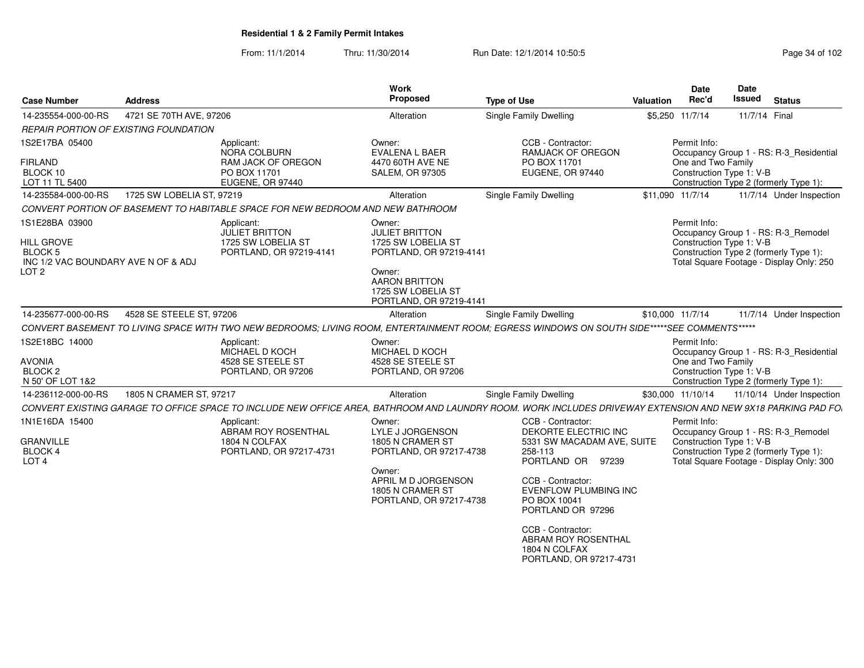From: 11/1/2014Thru: 11/30/2014 Run Date: 12/1/2014 10:50:5<br>
Page 34 of 102

| <b>Address</b>                        |                                                                                             | Proposed                                                                                                      | <b>Type of Use</b>                                                                                      | Valuation                                                                                                                     | Date<br>Rec'd                                                                                                                                             | <b>Date</b><br>Issued                                                                                                                                       | <b>Status</b>                                                                                                                                                                                                                                                                                                                                                                                                                                                                                                                                                                                                                                                                                                                                                                                                                                                                                                                |
|---------------------------------------|---------------------------------------------------------------------------------------------|---------------------------------------------------------------------------------------------------------------|---------------------------------------------------------------------------------------------------------|-------------------------------------------------------------------------------------------------------------------------------|-----------------------------------------------------------------------------------------------------------------------------------------------------------|-------------------------------------------------------------------------------------------------------------------------------------------------------------|------------------------------------------------------------------------------------------------------------------------------------------------------------------------------------------------------------------------------------------------------------------------------------------------------------------------------------------------------------------------------------------------------------------------------------------------------------------------------------------------------------------------------------------------------------------------------------------------------------------------------------------------------------------------------------------------------------------------------------------------------------------------------------------------------------------------------------------------------------------------------------------------------------------------------|
|                                       |                                                                                             | Alteration                                                                                                    | <b>Single Family Dwelling</b>                                                                           |                                                                                                                               |                                                                                                                                                           |                                                                                                                                                             |                                                                                                                                                                                                                                                                                                                                                                                                                                                                                                                                                                                                                                                                                                                                                                                                                                                                                                                              |
| REPAIR PORTION OF EXISTING FOUNDATION |                                                                                             |                                                                                                               |                                                                                                         |                                                                                                                               |                                                                                                                                                           |                                                                                                                                                             |                                                                                                                                                                                                                                                                                                                                                                                                                                                                                                                                                                                                                                                                                                                                                                                                                                                                                                                              |
|                                       | Applicant:<br><b>NORA COLBURN</b><br>RAM JACK OF OREGON<br>PO BOX 11701<br>EUGENE, OR 97440 | Owner:<br>EVALENA L BAER<br>4470 60TH AVE NE<br><b>SALEM, OR 97305</b>                                        | CCB - Contractor:<br><b>RAMJACK OF OREGON</b><br>PO BOX 11701<br>EUGENE, OR 97440                       |                                                                                                                               |                                                                                                                                                           |                                                                                                                                                             |                                                                                                                                                                                                                                                                                                                                                                                                                                                                                                                                                                                                                                                                                                                                                                                                                                                                                                                              |
|                                       |                                                                                             | Alteration                                                                                                    | <b>Single Family Dwelling</b>                                                                           |                                                                                                                               |                                                                                                                                                           |                                                                                                                                                             | 11/7/14 Under Inspection                                                                                                                                                                                                                                                                                                                                                                                                                                                                                                                                                                                                                                                                                                                                                                                                                                                                                                     |
|                                       |                                                                                             |                                                                                                               |                                                                                                         |                                                                                                                               |                                                                                                                                                           |                                                                                                                                                             |                                                                                                                                                                                                                                                                                                                                                                                                                                                                                                                                                                                                                                                                                                                                                                                                                                                                                                                              |
| INC 1/2 VAC BOUNDARY AVE N OF & ADJ   | Applicant:<br><b>JULIET BRITTON</b><br>1725 SW LOBELIA ST<br>PORTLAND, OR 97219-4141        | Owner:<br><b>JULIET BRITTON</b><br>1725 SW LOBELIA ST<br>Owner:<br><b>AARON BRITTON</b><br>1725 SW LOBELIA ST |                                                                                                         |                                                                                                                               |                                                                                                                                                           |                                                                                                                                                             |                                                                                                                                                                                                                                                                                                                                                                                                                                                                                                                                                                                                                                                                                                                                                                                                                                                                                                                              |
|                                       |                                                                                             | Alteration                                                                                                    | Single Family Dwelling                                                                                  |                                                                                                                               |                                                                                                                                                           |                                                                                                                                                             | 11/7/14 Under Inspection                                                                                                                                                                                                                                                                                                                                                                                                                                                                                                                                                                                                                                                                                                                                                                                                                                                                                                     |
|                                       |                                                                                             |                                                                                                               |                                                                                                         |                                                                                                                               |                                                                                                                                                           |                                                                                                                                                             |                                                                                                                                                                                                                                                                                                                                                                                                                                                                                                                                                                                                                                                                                                                                                                                                                                                                                                                              |
|                                       | Applicant:<br>MICHAEL D KOCH<br>4528 SE STEELE ST<br>PORTLAND, OR 97206                     | Owner:<br>MICHAEL D KOCH<br>4528 SE STEELE ST<br>PORTLAND, OR 97206                                           |                                                                                                         |                                                                                                                               |                                                                                                                                                           |                                                                                                                                                             |                                                                                                                                                                                                                                                                                                                                                                                                                                                                                                                                                                                                                                                                                                                                                                                                                                                                                                                              |
|                                       |                                                                                             | Alteration                                                                                                    | Single Family Dwelling                                                                                  |                                                                                                                               |                                                                                                                                                           |                                                                                                                                                             | 11/10/14 Under Inspection                                                                                                                                                                                                                                                                                                                                                                                                                                                                                                                                                                                                                                                                                                                                                                                                                                                                                                    |
|                                       |                                                                                             |                                                                                                               |                                                                                                         |                                                                                                                               |                                                                                                                                                           |                                                                                                                                                             |                                                                                                                                                                                                                                                                                                                                                                                                                                                                                                                                                                                                                                                                                                                                                                                                                                                                                                                              |
|                                       | Applicant:<br>ABRAM ROY ROSENTHAL<br>1804 N COLFAX<br>PORTLAND, OR 97217-4731               | Owner:<br><b>LYLE J JORGENSON</b><br>1805 N CRAMER ST<br>Owner:<br>APRIL M D JORGENSON<br>1805 N CRAMER ST    | 258-113<br>CCB - Contractor:<br>PO BOX 10041<br>PORTLAND OR 97296<br>CCB - Contractor:<br>1804 N COLFAX |                                                                                                                               |                                                                                                                                                           |                                                                                                                                                             |                                                                                                                                                                                                                                                                                                                                                                                                                                                                                                                                                                                                                                                                                                                                                                                                                                                                                                                              |
|                                       |                                                                                             | 4721 SE 70TH AVE, 97206<br>1725 SW LOBELIA ST, 97219<br>4528 SE STEELE ST, 97206<br>1805 N CRAMER ST, 97217   | CONVERT PORTION OF BASEMENT TO HABITABLE SPACE FOR NEW BEDROOM AND NEW BATHROOM                         | PORTLAND, OR 97219-4141<br>PORTLAND, OR 97219-4141<br>CCB - Contractor:<br>PORTLAND, OR 97217-4738<br>PORTLAND, OR 97217-4738 | DEKORTE ELECTRIC INC<br>5331 SW MACADAM AVE, SUITE<br>PORTLAND OR 97239<br><b>EVENFLOW PLUMBING INC</b><br>ABRAM ROY ROSENTHAL<br>PORTLAND, OR 97217-4731 | <b>Work</b><br>\$5,250 11/7/14<br>Permit Info:<br>\$11,090 11/7/14<br>Permit Info:<br>\$10,000 11/7/14<br>Permit Info:<br>\$30,000 11/10/14<br>Permit Info: | 11/7/14 Final<br>Occupancy Group 1 - RS: R-3 Residential<br>One and Two Family<br>Construction Type 1: V-B<br>Construction Type 2 (formerly Type 1):<br>Occupancy Group 1 - RS: R-3 Remodel<br>Construction Type 1: V-B<br>Construction Type 2 (formerly Type 1):<br>Total Square Footage - Display Only: 250<br>CONVERT BASEMENT TO LIVING SPACE WITH TWO NEW BEDROOMS; LIVING ROOM, ENTERTAINMENT ROOM; EGRESS WINDOWS ON SOUTH SIDE*****SEE COMMENTS*****<br>Occupancy Group 1 - RS: R-3_Residential<br>One and Two Family<br>Construction Type 1: V-B<br>Construction Type 2 (formerly Type 1):<br>CONVERT EXISTING GARAGE TO OFFICE SPACE TO INCLUDE NEW OFFICE AREA, BATHROOM AND LAUNDRY ROOM. WORK INCLUDES DRIVEWAY EXTENSION AND NEW 9X18 PARKING PAD FO.<br>Occupancy Group 1 - RS: R-3_Remodel<br>Construction Type 1: V-B<br>Construction Type 2 (formerly Type 1):<br>Total Square Footage - Display Only: 300 |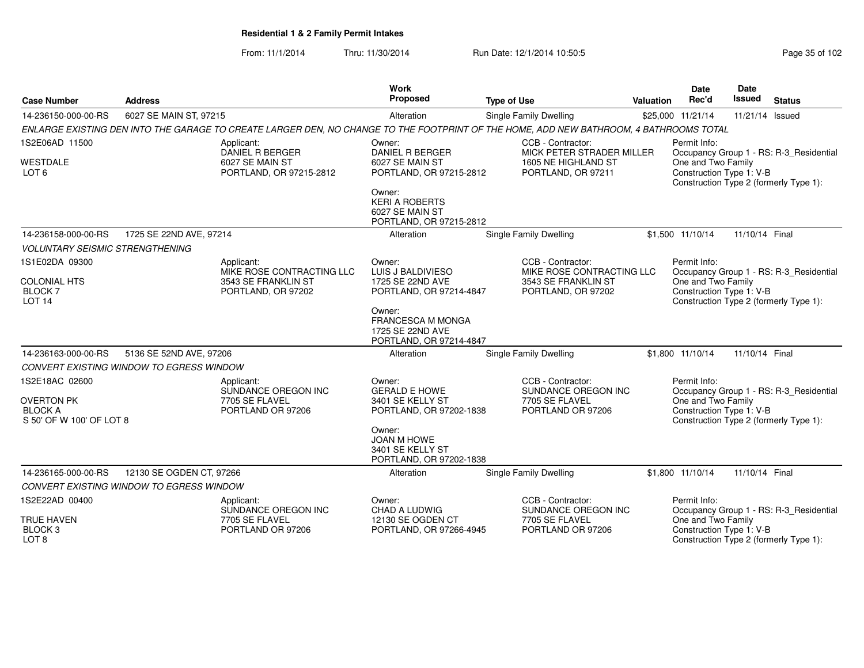From: 11/1/2014Thru: 11/30/2014 Run Date: 12/1/2014 10:50:5<br>
Page 35 of 102

|                                                                                   |                                                                                    |                                                                                                                                        | Work                                                                                    |                                                                                             |                                                                                                                                                     | <b>Date</b>                                                                                                                                         | <b>Date</b>     |                                         |  |
|-----------------------------------------------------------------------------------|------------------------------------------------------------------------------------|----------------------------------------------------------------------------------------------------------------------------------------|-----------------------------------------------------------------------------------------|---------------------------------------------------------------------------------------------|-----------------------------------------------------------------------------------------------------------------------------------------------------|-----------------------------------------------------------------------------------------------------------------------------------------------------|-----------------|-----------------------------------------|--|
| <b>Case Number</b>                                                                | <b>Address</b>                                                                     |                                                                                                                                        | Proposed                                                                                | <b>Type of Use</b>                                                                          | <b>Valuation</b>                                                                                                                                    | Rec'd                                                                                                                                               | Issued          | <b>Status</b>                           |  |
| 14-236150-000-00-RS                                                               | 6027 SE MAIN ST, 97215                                                             |                                                                                                                                        | Alteration                                                                              | <b>Single Family Dwelling</b>                                                               |                                                                                                                                                     | \$25,000 11/21/14                                                                                                                                   | 11/21/14 Issued |                                         |  |
|                                                                                   |                                                                                    | ENLARGE EXISTING DEN INTO THE GARAGE TO CREATE LARGER DEN, NO CHANGE TO THE FOOTPRINT OF THE HOME, ADD NEW BATHROOM, 4 BATHROOMS TOTAL |                                                                                         |                                                                                             |                                                                                                                                                     |                                                                                                                                                     |                 |                                         |  |
| 1S2E06AD 11500<br><b>WESTDALE</b><br>LOT <sub>6</sub>                             | Applicant:<br><b>DANIEL R BERGER</b><br>6027 SE MAIN ST<br>PORTLAND, OR 97215-2812 |                                                                                                                                        | Owner:<br>DANIEL R BERGER<br>6027 SE MAIN ST<br>PORTLAND, OR 97215-2812                 | CCB - Contractor:<br>MICK PETER STRADER MILLER<br>1605 NE HIGHLAND ST<br>PORTLAND, OR 97211 |                                                                                                                                                     | Permit Info:<br>Occupancy Group 1 - RS: R-3_Residential<br>One and Two Family<br>Construction Type 1: V-B<br>Construction Type 2 (formerly Type 1): |                 |                                         |  |
|                                                                                   |                                                                                    |                                                                                                                                        | Owner:<br><b>KERI A ROBERTS</b><br>6027 SE MAIN ST<br>PORTLAND, OR 97215-2812           |                                                                                             |                                                                                                                                                     |                                                                                                                                                     |                 |                                         |  |
| 14-236158-000-00-RS                                                               | 1725 SE 22ND AVE, 97214                                                            |                                                                                                                                        | Alteration                                                                              | Single Family Dwelling                                                                      |                                                                                                                                                     | \$1,500 11/10/14                                                                                                                                    | 11/10/14 Final  |                                         |  |
| <b>VOLUNTARY SEISMIC STRENGTHENING</b>                                            |                                                                                    |                                                                                                                                        |                                                                                         |                                                                                             |                                                                                                                                                     |                                                                                                                                                     |                 |                                         |  |
| 1S1E02DA 09300<br><b>COLONIAL HTS</b><br><b>BLOCK7</b><br>LOT <sub>14</sub>       |                                                                                    | Applicant:<br>MIKE ROSE CONTRACTING LLC<br>3543 SE FRANKLIN ST<br>PORTLAND, OR 97202                                                   | Owner:<br>LUIS J BALDIVIESO<br>1725 SE 22ND AVE<br>PORTLAND, OR 97214-4847              | CCB - Contractor:<br>MIKE ROSE CONTRACTING LLC<br>3543 SE FRANKLIN ST<br>PORTLAND, OR 97202 | Permit Info:<br>Occupancy Group 1 - RS: R-3_Residential<br>One and Two Family<br>Construction Type 1: V-B<br>Construction Type 2 (formerly Type 1): |                                                                                                                                                     |                 |                                         |  |
|                                                                                   |                                                                                    |                                                                                                                                        | Owner:<br>FRANCESCA M MONGA<br>1725 SE 22ND AVE<br>PORTLAND, OR 97214-4847              |                                                                                             |                                                                                                                                                     |                                                                                                                                                     |                 |                                         |  |
| 14-236163-000-00-RS                                                               | 5136 SE 52ND AVE, 97206                                                            |                                                                                                                                        | Alteration                                                                              | Single Family Dwelling                                                                      |                                                                                                                                                     | \$1,800 11/10/14                                                                                                                                    | 11/10/14 Final  |                                         |  |
|                                                                                   | CONVERT EXISTING WINDOW TO EGRESS WINDOW                                           |                                                                                                                                        |                                                                                         |                                                                                             |                                                                                                                                                     |                                                                                                                                                     |                 |                                         |  |
| 1S2E18AC 02600<br><b>OVERTON PK</b><br><b>BLOCK A</b><br>S 50' OF W 100' OF LOT 8 |                                                                                    | Applicant:<br>SUNDANCE OREGON INC<br>7705 SE FLAVEL<br>PORTLAND OR 97206                                                               | Owner:<br><b>GERALD E HOWE</b><br>3401 SE KELLY ST<br>PORTLAND, OR 97202-1838<br>Owner: | CCB - Contractor:<br>SUNDANCE OREGON INC<br>7705 SE FLAVEL<br>PORTLAND OR 97206             |                                                                                                                                                     | Permit Info:<br>Occupancy Group 1 - RS: R-3_Residential<br>One and Two Family<br>Construction Type 1: V-B<br>Construction Type 2 (formerly Type 1): |                 |                                         |  |
|                                                                                   |                                                                                    |                                                                                                                                        | JOAN M HOWE<br>3401 SE KELLY ST<br>PORTLAND, OR 97202-1838                              |                                                                                             |                                                                                                                                                     |                                                                                                                                                     |                 |                                         |  |
| 14-236165-000-00-RS                                                               | 12130 SE OGDEN CT, 97266                                                           |                                                                                                                                        | Alteration                                                                              | <b>Single Family Dwelling</b>                                                               |                                                                                                                                                     | \$1,800 11/10/14                                                                                                                                    | 11/10/14 Final  |                                         |  |
|                                                                                   | CONVERT EXISTING WINDOW TO EGRESS WINDOW                                           |                                                                                                                                        |                                                                                         |                                                                                             |                                                                                                                                                     |                                                                                                                                                     |                 |                                         |  |
| 1S2E22AD 00400                                                                    |                                                                                    | Applicant:<br>SUNDANCE OREGON INC                                                                                                      | Owner:<br><b>CHAD A LUDWIG</b>                                                          | CCB - Contractor:<br>SUNDANCE OREGON INC                                                    |                                                                                                                                                     | Permit Info:                                                                                                                                        |                 | Occupancy Group 1 - RS: R-3_Residential |  |
| <b>TRUE HAVEN</b><br>BLOCK <sub>3</sub><br>LOT <sub>8</sub>                       | 7705 SE FLAVEL<br>PORTLAND OR 97206                                                |                                                                                                                                        | 12130 SE OGDEN CT<br>PORTLAND, OR 97266-4945                                            | 7705 SE FLAVEL<br>PORTLAND OR 97206                                                         |                                                                                                                                                     | One and Two Family<br>Construction Type 1: V-B<br>Construction Type 2 (formerly Type 1):                                                            |                 |                                         |  |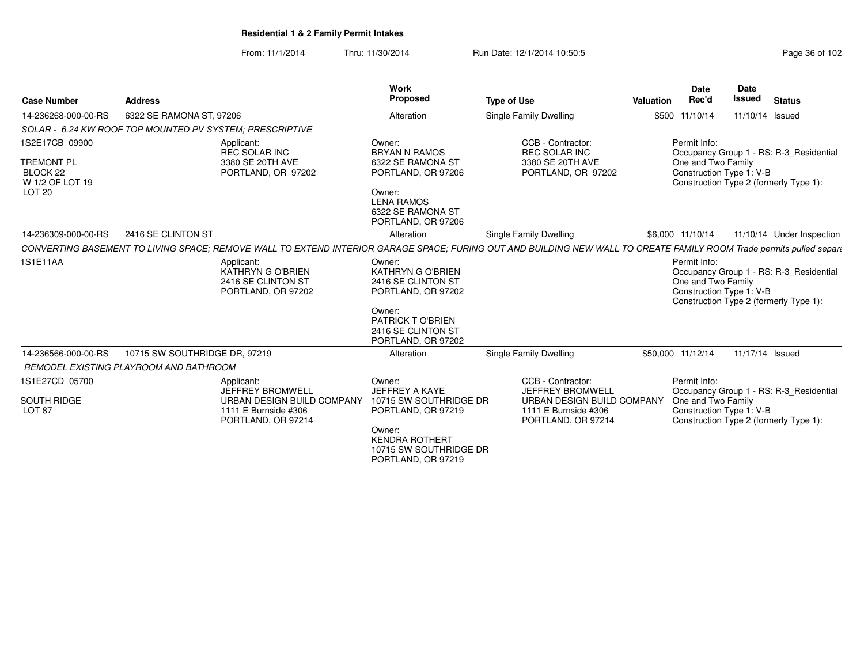From: 11/1/2014Thru: 11/30/2014 Run Date: 12/1/2014 10:50:5<br>
Page 36 of 102

| <b>Case Number</b>                                                                      | <b>Address</b>                         |                                                                                                                                                                      | <b>Work</b><br><b>Proposed</b>                                                                                                                                                                              | <b>Type of Use</b>                                                                  | Valuation | <b>Date</b><br>Rec'd                                           | <b>Date</b><br>Issued | <b>Status</b>                                                                     |
|-----------------------------------------------------------------------------------------|----------------------------------------|----------------------------------------------------------------------------------------------------------------------------------------------------------------------|-------------------------------------------------------------------------------------------------------------------------------------------------------------------------------------------------------------|-------------------------------------------------------------------------------------|-----------|----------------------------------------------------------------|-----------------------|-----------------------------------------------------------------------------------|
| 14-236268-000-00-RS                                                                     | 6322 SE RAMONA ST, 97206               |                                                                                                                                                                      | Alteration                                                                                                                                                                                                  | Single Family Dwelling                                                              |           | \$500 11/10/14                                                 | 11/10/14 Issued       |                                                                                   |
|                                                                                         |                                        | SOLAR - 6.24 KW ROOF TOP MOUNTED PV SYSTEM: PRESCRIPTIVE                                                                                                             |                                                                                                                                                                                                             |                                                                                     |           |                                                                |                       |                                                                                   |
| 1S2E17CB 09900<br><b>TREMONT PL</b><br>BLOCK 22<br>W 1/2 OF LOT 19<br>LOT <sub>20</sub> |                                        | Applicant:<br><b>REC SOLAR INC</b><br>3380 SE 20TH AVE<br>PORTLAND, OR 97202                                                                                         | Owner:<br><b>BRYAN N RAMOS</b><br>6322 SE RAMONA ST<br>PORTLAND, OR 97206<br>Owner:<br><b>LENA RAMOS</b><br>6322 SE RAMONA ST<br>PORTLAND, OR 97206                                                         | CCB - Contractor:<br><b>REC SOLAR INC</b><br>3380 SE 20TH AVE<br>PORTLAND, OR 97202 |           | Permit Info:<br>One and Two Family<br>Construction Type 1: V-B |                       | Occupancy Group 1 - RS: R-3 Residential<br>Construction Type 2 (formerly Type 1): |
| 14-236309-000-00-RS                                                                     | 2416 SE CLINTON ST                     |                                                                                                                                                                      | Alteration                                                                                                                                                                                                  | Single Family Dwelling                                                              |           | \$6,000 11/10/14                                               |                       | 11/10/14 Under Inspection                                                         |
|                                                                                         |                                        | CONVERTING BASEMENT TO LIVING SPACE; REMOVE WALL TO EXTEND INTERIOR GARAGE SPACE; FURING OUT AND BUILDING NEW WALL TO CREATE FAMILY ROOM Trade permits pulled separe |                                                                                                                                                                                                             |                                                                                     |           |                                                                |                       |                                                                                   |
| 1S1E11AA                                                                                |                                        | Applicant:<br><b>KATHRYN G O'BRIEN</b><br>2416 SE CLINTON ST<br>PORTLAND, OR 97202                                                                                   | Owner:<br><b>KATHRYN G O'BRIEN</b><br>2416 SE CLINTON ST<br>PORTLAND, OR 97202<br>Owner:<br><b>PATRICK TO'BRIEN</b><br>2416 SE CLINTON ST<br>PORTLAND, OR 97202                                             |                                                                                     |           | Permit Info:<br>One and Two Family<br>Construction Type 1: V-B |                       | Occupancy Group 1 - RS: R-3 Residential<br>Construction Type 2 (formerly Type 1): |
| 14-236566-000-00-RS                                                                     | 10715 SW SOUTHRIDGE DR, 97219          |                                                                                                                                                                      | Alteration                                                                                                                                                                                                  | Single Family Dwelling                                                              |           | \$50,000 11/12/14                                              | 11/17/14 Issued       |                                                                                   |
|                                                                                         | REMODEL EXISTING PLAYROOM AND BATHROOM |                                                                                                                                                                      |                                                                                                                                                                                                             |                                                                                     |           |                                                                |                       |                                                                                   |
| 1S1E27CD 05700                                                                          |                                        | Applicant:<br><b>JEFFREY BROMWELL</b>                                                                                                                                | Owner:<br><b>JEFFREY A KAYE</b>                                                                                                                                                                             | CCB - Contractor:<br><b>JEFFREY BROMWELL</b>                                        |           | Permit Info:                                                   |                       | Occupancy Group 1 - RS: R-3 Residential                                           |
| <b>SOUTH RIDGE</b><br>LOT <sub>87</sub>                                                 |                                        | URBAN DESIGN BUILD COMPANY<br>1111 E Burnside #306<br>PORTLAND, OR 97214                                                                                             | 10715 SW SOUTHRIDGE DR<br>URBAN DESIGN BUILD COMPANY<br>1111 E Burnside #306<br>PORTLAND, OR 97219<br>PORTLAND, OR 97214<br>Owner:<br><b>KENDRA ROTHERT</b><br>10715 SW SOUTHRIDGE DR<br>PORTLAND, OR 97219 |                                                                                     |           | One and Two Family<br>Construction Type 1: V-B                 |                       | Construction Type 2 (formerly Type 1):                                            |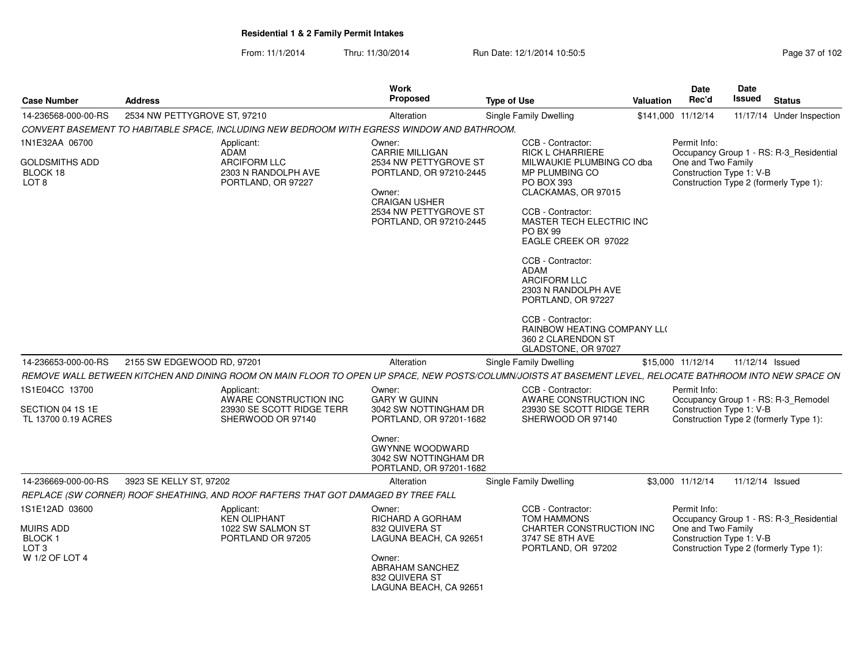From: 11/1/2014Thru: 11/30/2014 Run Date: 12/1/2014 10:50:5

| Page 37 of 102 |  |  |  |  |
|----------------|--|--|--|--|
|----------------|--|--|--|--|

| <b>Case Number</b>                                                           | <b>Address</b>                                                                                                                                             | Work<br>Proposed                                                                                                                       | <b>Type of Use</b>                                                                                                                                                                                                                                                                                                                                                                    | Valuation | <b>Date</b><br>Rec'd               | <b>Date</b><br>Issued    | <b>Status</b>                                                                     |
|------------------------------------------------------------------------------|------------------------------------------------------------------------------------------------------------------------------------------------------------|----------------------------------------------------------------------------------------------------------------------------------------|---------------------------------------------------------------------------------------------------------------------------------------------------------------------------------------------------------------------------------------------------------------------------------------------------------------------------------------------------------------------------------------|-----------|------------------------------------|--------------------------|-----------------------------------------------------------------------------------|
| 14-236568-000-00-RS                                                          | 2534 NW PETTYGROVE ST, 97210                                                                                                                               | Alteration                                                                                                                             | Single Family Dwelling                                                                                                                                                                                                                                                                                                                                                                |           | \$141,000 11/12/14                 |                          | 11/17/14 Under Inspection                                                         |
|                                                                              | CONVERT BASEMENT TO HABITABLE SPACE, INCLUDING NEW BEDROOM WITH EGRESS WINDOW AND BATHROOM.                                                                |                                                                                                                                        |                                                                                                                                                                                                                                                                                                                                                                                       |           |                                    |                          |                                                                                   |
| 1N1E32AA 06700                                                               | Applicant:<br><b>ADAM</b>                                                                                                                                  | Owner:<br><b>CARRIE MILLIGAN</b>                                                                                                       | CCB - Contractor:<br><b>RICK L CHARRIERE</b>                                                                                                                                                                                                                                                                                                                                          |           | Permit Info:                       |                          | Occupancy Group 1 - RS: R-3_Residential                                           |
| <b>GOLDSMITHS ADD</b><br>BLOCK 18<br>LOT <sub>8</sub>                        | <b>ARCIFORM LLC</b><br>2303 N RANDOLPH AVE<br>PORTLAND, OR 97227                                                                                           | 2534 NW PETTYGROVE ST<br>PORTLAND, OR 97210-2445<br>Owner:<br><b>CRAIGAN USHER</b><br>2534 NW PETTYGROVE ST<br>PORTLAND, OR 97210-2445 | MILWAUKIE PLUMBING CO dba<br>MP PLUMBING CO<br>PO BOX 393<br>CLACKAMAS, OR 97015<br>CCB - Contractor:<br>MASTER TECH ELECTRIC INC<br>PO BX 99<br>EAGLE CREEK OR 97022<br>CCB - Contractor:<br><b>ADAM</b><br><b>ARCIFORM LLC</b><br>2303 N RANDOLPH AVE<br>PORTLAND, OR 97227<br>CCB - Contractor:<br><b>RAINBOW HEATING COMPANY LLO</b><br>360 2 CLARENDON ST<br>GLADSTONE, OR 97027 |           | One and Two Family                 | Construction Type 1: V-B | Construction Type 2 (formerly Type 1):                                            |
| 14-236653-000-00-RS                                                          | 2155 SW EDGEWOOD RD, 97201                                                                                                                                 | Alteration                                                                                                                             | Single Family Dwelling                                                                                                                                                                                                                                                                                                                                                                |           | \$15,000 11/12/14                  | 11/12/14 Issued          |                                                                                   |
|                                                                              | REMOVE WALL BETWEEN KITCHEN AND DINING ROOM ON MAIN FLOOR TO OPEN UP SPACE, NEW POSTS/COLUMN/JOISTS AT BASEMENT LEVEL, RELOCATE BATHROOM INTO NEW SPACE ON |                                                                                                                                        |                                                                                                                                                                                                                                                                                                                                                                                       |           |                                    |                          |                                                                                   |
| 1S1E04CC 13700                                                               | Applicant:<br>AWARE CONSTRUCTION INC                                                                                                                       | Owner:<br><b>GARY W GUINN</b>                                                                                                          | CCB - Contractor:<br>AWARE CONSTRUCTION INC                                                                                                                                                                                                                                                                                                                                           |           | Permit Info:                       |                          | Occupancy Group 1 - RS: R-3_Remodel                                               |
| SECTION 04 1S 1E<br>TL 13700 0.19 ACRES                                      | 23930 SE SCOTT RIDGE TERR<br>SHERWOOD OR 97140                                                                                                             | 3042 SW NOTTINGHAM DR<br>PORTLAND, OR 97201-1682                                                                                       | 23930 SE SCOTT RIDGE TERR<br>SHERWOOD OR 97140                                                                                                                                                                                                                                                                                                                                        |           |                                    | Construction Type 1: V-B | Construction Type 2 (formerly Type 1):                                            |
|                                                                              |                                                                                                                                                            | Owner:<br><b>GWYNNE WOODWARD</b><br>3042 SW NOTTINGHAM DR<br>PORTLAND, OR 97201-1682                                                   |                                                                                                                                                                                                                                                                                                                                                                                       |           |                                    |                          |                                                                                   |
| 14-236669-000-00-RS                                                          | 3923 SE KELLY ST, 97202                                                                                                                                    | Alteration                                                                                                                             | Single Family Dwelling                                                                                                                                                                                                                                                                                                                                                                |           | \$3,000 11/12/14                   | 11/12/14 Issued          |                                                                                   |
|                                                                              | REPLACE (SW CORNER) ROOF SHEATHING, AND ROOF RAFTERS THAT GOT DAMAGED BY TREE FALL                                                                         |                                                                                                                                        |                                                                                                                                                                                                                                                                                                                                                                                       |           |                                    |                          |                                                                                   |
| 1S1E12AD 03600<br><b>MUIRS ADD</b><br>BLOCK <sub>1</sub><br>LOT <sub>3</sub> | Applicant:<br><b>KEN OLIPHANT</b><br>1022 SW SALMON ST<br>PORTLAND OR 97205                                                                                | Owner:<br><b>RICHARD A GORHAM</b><br>832 QUIVERA ST<br>LAGUNA BEACH, CA 92651                                                          | CCB - Contractor:<br><b>TOM HAMMONS</b><br>CHARTER CONSTRUCTION INC<br>3747 SE 8TH AVE<br>PORTLAND, OR 97202                                                                                                                                                                                                                                                                          |           | Permit Info:<br>One and Two Family | Construction Type 1: V-B | Occupancy Group 1 - RS: R-3 Residential<br>Construction Type 2 (formerly Type 1): |
| W 1/2 OF LOT 4                                                               |                                                                                                                                                            | Owner:<br><b>ABRAHAM SANCHEZ</b><br>832 QUIVERA ST<br>LAGUNA BEACH, CA 92651                                                           |                                                                                                                                                                                                                                                                                                                                                                                       |           |                                    |                          |                                                                                   |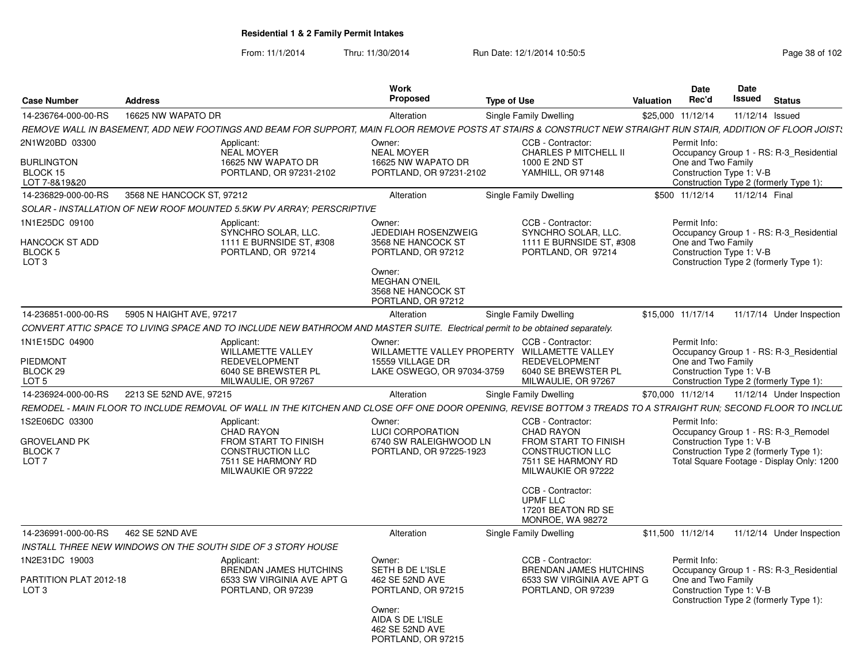From: 11/1/2014Thru: 11/30/2014 Run Date: 12/1/2014 10:50:5<br>
Page 38 of 102

| <b>Case Number</b>                                       | <b>Address</b>            |                                                                                                                                                                 | <b>Work</b><br><b>Proposed</b>                                                                                         | <b>Type of Use</b>                                                                                 | <b>Valuation</b> | Date<br>Rec'd                                  | Date<br>Issued  | <b>Status</b>                                                                       |
|----------------------------------------------------------|---------------------------|-----------------------------------------------------------------------------------------------------------------------------------------------------------------|------------------------------------------------------------------------------------------------------------------------|----------------------------------------------------------------------------------------------------|------------------|------------------------------------------------|-----------------|-------------------------------------------------------------------------------------|
| 14-236764-000-00-RS                                      | 16625 NW WAPATO DR        |                                                                                                                                                                 | Alteration                                                                                                             | Single Family Dwelling                                                                             |                  | \$25,000 11/12/14                              | 11/12/14 Issued |                                                                                     |
|                                                          |                           | REMOVE WALL IN BASEMENT, ADD NEW FOOTINGS AND BEAM FOR SUPPORT, MAIN FLOOR REMOVE POSTS AT STAIRS & CONSTRUCT NEW STRAIGHT RUN STAIR, ADDITION OF FLOOR JOIST:  |                                                                                                                        |                                                                                                    |                  |                                                |                 |                                                                                     |
| 2N1W20BD 03300                                           |                           | Applicant:<br>NEAL MOYER                                                                                                                                        | Owner:<br><b>NEAL MOYER</b>                                                                                            | CCB - Contractor:<br><b>CHARLES P MITCHELL II</b>                                                  |                  | Permit Info:                                   |                 | Occupancy Group 1 - RS: R-3_Residential                                             |
| <b>BURLINGTON</b><br>BLOCK 15<br>LOT 7-8&19&20           |                           | 16625 NW WAPATO DR<br>PORTLAND, OR 97231-2102                                                                                                                   | 16625 NW WAPATO DR<br>PORTLAND, OR 97231-2102                                                                          | 1000 E 2ND ST<br>YAMHILL, OR 97148                                                                 |                  | One and Two Family<br>Construction Type 1: V-B |                 | Construction Type 2 (formerly Type 1):                                              |
| 14-236829-000-00-RS                                      | 3568 NE HANCOCK ST, 97212 |                                                                                                                                                                 | Alteration                                                                                                             | Single Family Dwelling                                                                             |                  | \$500 11/12/14                                 | 11/12/14 Final  |                                                                                     |
|                                                          |                           | SOLAR - INSTALLATION OF NEW ROOF MOUNTED 5.5KW PV ARRAY: PERSCRIPTIVE                                                                                           |                                                                                                                        |                                                                                                    |                  |                                                |                 |                                                                                     |
| 1N1E25DC 09100                                           |                           | Applicant:<br>SYNCHRO SOLAR, LLC.                                                                                                                               | Owner:<br><b>JEDEDIAH ROSENZWEIG</b>                                                                                   | CCB - Contractor:<br>SYNCHRO SOLAR, LLC.                                                           |                  | Permit Info:                                   |                 | Occupancy Group 1 - RS: R-3 Residential                                             |
| <b>HANCOCK ST ADD</b><br>BLOCK 5<br>LOT <sub>3</sub>     |                           | 1111 E BURNSIDE ST. #308<br>PORTLAND, OR 97214                                                                                                                  | 3568 NE HANCOCK ST<br>PORTLAND, OR 97212<br>Owner:<br><b>MEGHAN O'NEIL</b><br>3568 NE HANCOCK ST<br>PORTLAND, OR 97212 | 1111 E BURNSIDE ST. #308<br>PORTLAND, OR 97214                                                     |                  | One and Two Family<br>Construction Type 1: V-B |                 | Construction Type 2 (formerly Type 1):                                              |
| 14-236851-000-00-RS                                      | 5905 N HAIGHT AVE, 97217  |                                                                                                                                                                 | Alteration                                                                                                             | Single Family Dwelling                                                                             |                  | \$15,000 11/17/14                              |                 | 11/17/14 Under Inspection                                                           |
|                                                          |                           | CONVERT ATTIC SPACE TO LIVING SPACE AND TO INCLUDE NEW BATHROOM AND MASTER SUITE. Electrical permit to be obtained separately.                                  |                                                                                                                        |                                                                                                    |                  |                                                |                 |                                                                                     |
| 1N1E15DC 04900                                           |                           | Applicant:                                                                                                                                                      | Owner:                                                                                                                 | CCB - Contractor:                                                                                  |                  | Permit Info:                                   |                 |                                                                                     |
| <b>PIEDMONT</b><br>BLOCK 29<br>LOT <sub>5</sub>          |                           | <b>WILLAMETTE VALLEY</b><br><b>REDEVELOPMENT</b><br>6040 SE BREWSTER PL<br>MILWAULIE, OR 97267                                                                  | WILLAMETTE VALLEY PROPERTY WILLAMETTE VALLEY<br>15559 VILLAGE DR<br>LAKE OSWEGO, OR 97034-3759                         | <b>REDEVELOPMENT</b><br>6040 SE BREWSTER PL<br>MILWAULIE, OR 97267                                 |                  | One and Two Family<br>Construction Type 1: V-B |                 | Occupancy Group 1 - RS: R-3 Residential<br>Construction Type 2 (formerly Type 1):   |
| 14-236924-000-00-RS                                      | 2213 SE 52ND AVE, 97215   |                                                                                                                                                                 | Alteration                                                                                                             | Single Family Dwelling                                                                             |                  | \$70,000 11/12/14                              |                 | 11/12/14 Under Inspection                                                           |
|                                                          |                           | REMODEL - MAIN FLOOR TO INCLUDE REMOVAL OF WALL IN THE KITCHEN AND CLOSE OFF ONE DOOR OPENING. REVISE BOTTOM 3 TREADS TO A STRAIGHT RUN: SECOND FLOOR TO INCLUL |                                                                                                                        |                                                                                                    |                  |                                                |                 |                                                                                     |
| 1S2E06DC 03300                                           |                           | Applicant:<br>CHAD RAYON                                                                                                                                        | Owner:<br><b>LUCI CORPORATION</b>                                                                                      | CCB - Contractor:<br><b>CHAD RAYON</b>                                                             |                  | Permit Info:                                   |                 | Occupancy Group 1 - RS: R-3_Remodel                                                 |
| <b>GROVELAND PK</b><br><b>BLOCK7</b><br>LOT <sub>7</sub> |                           | <b>FROM START TO FINISH</b><br><b>CONSTRUCTION LLC</b><br>7511 SE HARMONY RD<br>MILWAUKIE OR 97222                                                              | 6740 SW RALEIGHWOOD LN<br>PORTLAND, OR 97225-1923                                                                      | <b>FROM START TO FINISH</b><br><b>CONSTRUCTION LLC</b><br>7511 SE HARMONY RD<br>MILWAUKIE OR 97222 |                  | Construction Type 1: V-B                       |                 | Construction Type 2 (formerly Type 1):<br>Total Square Footage - Display Only: 1200 |
|                                                          |                           |                                                                                                                                                                 |                                                                                                                        | CCB - Contractor:<br><b>UPMF LLC</b><br>17201 BEATON RD SE<br>MONROE, WA 98272                     |                  |                                                |                 |                                                                                     |
| 14-236991-000-00-RS                                      | 462 SE 52ND AVE           |                                                                                                                                                                 | Alteration                                                                                                             | Single Family Dwelling                                                                             |                  | \$11,500 11/12/14                              |                 | 11/12/14 Under Inspection                                                           |
|                                                          |                           | INSTALL THREE NEW WINDOWS ON THE SOUTH SIDE OF 3 STORY HOUSE                                                                                                    |                                                                                                                        |                                                                                                    |                  |                                                |                 |                                                                                     |
| 1N2E31DC 19003                                           |                           | Applicant:                                                                                                                                                      | Owner:<br>SETH B DE L'ISLE                                                                                             | CCB - Contractor:<br><b>BRENDAN JAMES HUTCHINS</b>                                                 |                  | Permit Info:                                   |                 | Occupancy Group 1 - RS: R-3_Residential                                             |
| PARTITION PLAT 2012-18<br>LOT <sub>3</sub>               |                           | BRENDAN JAMES HUTCHINS<br>6533 SW VIRGINIA AVE APT G<br>PORTLAND, OR 97239                                                                                      | 462 SE 52ND AVE<br>PORTLAND, OR 97215                                                                                  | 6533 SW VIRGINIA AVE APT G<br>PORTLAND, OR 97239                                                   |                  | One and Two Family<br>Construction Type 1: V-B |                 | Construction Type 2 (formerly Type 1):                                              |
|                                                          |                           |                                                                                                                                                                 | Owner:<br>AIDA S DE L'ISLE<br>462 SE 52ND AVE<br>PORTLAND, OR 97215                                                    |                                                                                                    |                  |                                                |                 |                                                                                     |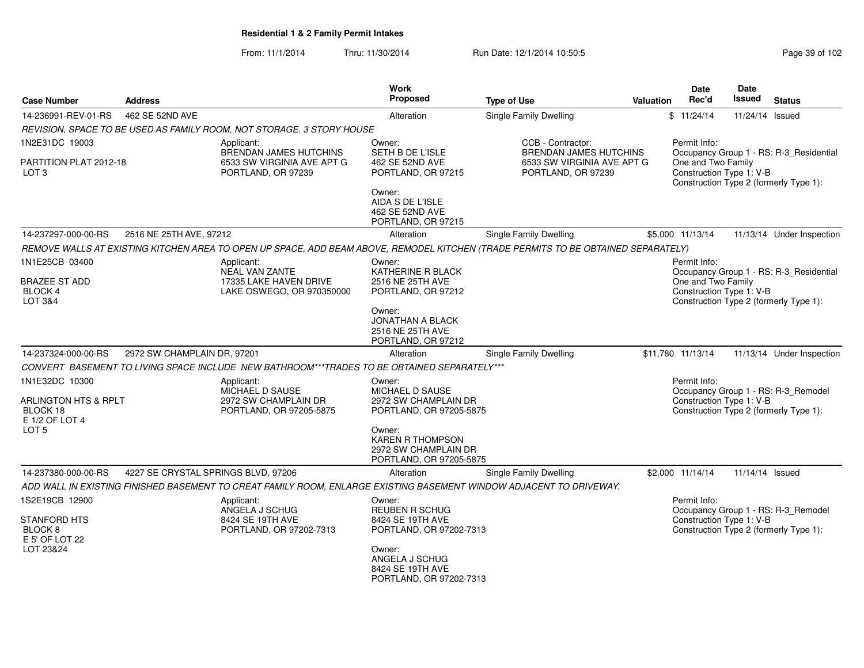From: 11/1/2014Thru: 11/30/2014 Run Date: 12/1/2014 10:50:5<br>
Page 39 of 102

| <b>Case Number</b>                                                     | <b>Address</b>                      |                                                                                                                                   | <b>Work</b><br><b>Proposed</b>                                                                     | <b>Type of Use</b>                                                                | <b>Valuation</b> | <b>Date</b><br>Rec'd                                           | <b>Date</b><br>Issued | <b>Status</b>                                                                     |
|------------------------------------------------------------------------|-------------------------------------|-----------------------------------------------------------------------------------------------------------------------------------|----------------------------------------------------------------------------------------------------|-----------------------------------------------------------------------------------|------------------|----------------------------------------------------------------|-----------------------|-----------------------------------------------------------------------------------|
| 14-236991-REV-01-RS                                                    | 462 SE 52ND AVE                     |                                                                                                                                   | Alteration                                                                                         | <b>Single Family Dwelling</b>                                                     |                  | \$11/24/14                                                     | 11/24/14 Issued       |                                                                                   |
|                                                                        |                                     | REVISION, SPACE TO BE USED AS FAMILY ROOM, NOT STORAGE. 3 STORY HOUSE                                                             |                                                                                                    |                                                                                   |                  |                                                                |                       |                                                                                   |
| 1N2E31DC 19003                                                         |                                     | Applicant:                                                                                                                        | Owner:                                                                                             | CCB - Contractor:                                                                 |                  | Permit Info:                                                   |                       |                                                                                   |
| PARTITION PLAT 2012-18<br>LOT <sub>3</sub>                             |                                     | BRENDAN JAMES HUTCHINS<br>6533 SW VIRGINIA AVE APT G<br>PORTLAND, OR 97239                                                        | SETH B DE L'ISLE<br>462 SE 52ND AVE<br>PORTLAND, OR 97215                                          | <b>BRENDAN JAMES HUTCHINS</b><br>6533 SW VIRGINIA AVE APT G<br>PORTLAND, OR 97239 |                  | One and Two Family<br>Construction Type 1: V-B                 |                       | Occupancy Group 1 - RS: R-3_Residential<br>Construction Type 2 (formerly Type 1): |
|                                                                        |                                     |                                                                                                                                   | Owner:<br>AIDA S DE L'ISLE<br>462 SE 52ND AVE<br>PORTLAND, OR 97215                                |                                                                                   |                  |                                                                |                       |                                                                                   |
| 14-237297-000-00-RS                                                    | 2516 NE 25TH AVE, 97212             |                                                                                                                                   | Alteration                                                                                         | Single Family Dwelling                                                            |                  | \$5,000 11/13/14                                               |                       | 11/13/14 Under Inspection                                                         |
|                                                                        |                                     | REMOVE WALLS AT EXISTING KITCHEN AREA TO OPEN UP SPACE, ADD BEAM ABOVE, REMODEL KITCHEN (TRADE PERMITS TO BE OBTAINED SEPARATELY) |                                                                                                    |                                                                                   |                  |                                                                |                       |                                                                                   |
| 1N1E25CB 03400<br><b>BRAZEE ST ADD</b><br><b>BLOCK 4</b><br>LOT 3&4    |                                     | Applicant:<br><b>NEAL VAN ZANTE</b><br>17335 LAKE HAVEN DRIVE<br>LAKE OSWEGO, OR 970350000                                        | Owner:<br>KATHERINE R BLACK<br>2516 NE 25TH AVE<br>PORTLAND, OR 97212                              |                                                                                   |                  | Permit Info:<br>One and Two Family<br>Construction Type 1: V-B |                       | Occupancy Group 1 - RS: R-3_Residential<br>Construction Type 2 (formerly Type 1): |
|                                                                        |                                     |                                                                                                                                   | Owner:<br>JONATHAN A BLACK<br>2516 NE 25TH AVE<br>PORTLAND, OR 97212                               |                                                                                   |                  |                                                                |                       |                                                                                   |
| 14-237324-000-00-RS                                                    | 2972 SW CHAMPLAIN DR, 97201         |                                                                                                                                   | Alteration                                                                                         | <b>Single Family Dwelling</b>                                                     |                  | \$11,780 11/13/14                                              |                       | 11/13/14 Under Inspection                                                         |
|                                                                        |                                     | CONVERT BASEMENT TO LIVING SPACE INCLUDE NEW BATHROOM***TRADES TO BE OBTAINED SEPARATELY***                                       |                                                                                                    |                                                                                   |                  |                                                                |                       |                                                                                   |
| 1N1E32DC 10300<br>ARLINGTON HTS & RPLT<br>BLOCK 18<br>$E 1/2$ OF LOT 4 |                                     | Applicant:<br>MICHAEL D SAUSE<br>2972 SW CHAMPLAIN DR<br>PORTLAND, OR 97205-5875                                                  | Owner:<br>MICHAEL D SAUSE<br>2972 SW CHAMPLAIN DR<br>PORTLAND, OR 97205-5875                       |                                                                                   |                  | Permit Info:<br>Construction Type 1: V-B                       |                       | Occupancy Group 1 - RS: R-3_Remodel<br>Construction Type 2 (formerly Type 1):     |
| LOT <sub>5</sub>                                                       |                                     |                                                                                                                                   | Owner:<br><b>KAREN R THOMPSON</b><br>2972 SW CHAMPLAIN DR<br>PORTLAND, OR 97205-5875               |                                                                                   |                  |                                                                |                       |                                                                                   |
| 14-237380-000-00-RS                                                    | 4227 SE CRYSTAL SPRINGS BLVD, 97206 |                                                                                                                                   | Alteration                                                                                         | <b>Single Family Dwelling</b>                                                     |                  | \$2,000 11/14/14                                               | 11/14/14 Issued       |                                                                                   |
|                                                                        |                                     | ADD WALL IN EXISTING FINISHED BASEMENT TO CREAT FAMILY ROOM, ENLARGE EXISTING BASEMENT WINDOW ADJACENT TO DRIVEWAY.               |                                                                                                    |                                                                                   |                  |                                                                |                       |                                                                                   |
| 1S2E19CB 12900<br>STANFORD HTS                                         |                                     | Applicant:<br>ANGELA J SCHUG<br>8424 SE 19TH AVE                                                                                  | Owner:<br>REUBEN R SCHUG<br>8424 SE 19TH AVE                                                       |                                                                                   |                  | Permit Info:<br>Construction Type 1: V-B                       |                       | Occupancy Group 1 - RS: R-3_Remodel                                               |
| BLOCK <sub>8</sub><br>E 5' OF LOT 22<br>LOT 23&24                      |                                     | PORTLAND, OR 97202-7313                                                                                                           | PORTLAND, OR 97202-7313<br>Owner:<br>ANGELA J SCHUG<br>8424 SE 19TH AVE<br>PORTLAND, OR 97202-7313 |                                                                                   |                  |                                                                |                       | Construction Type 2 (formerly Type 1):                                            |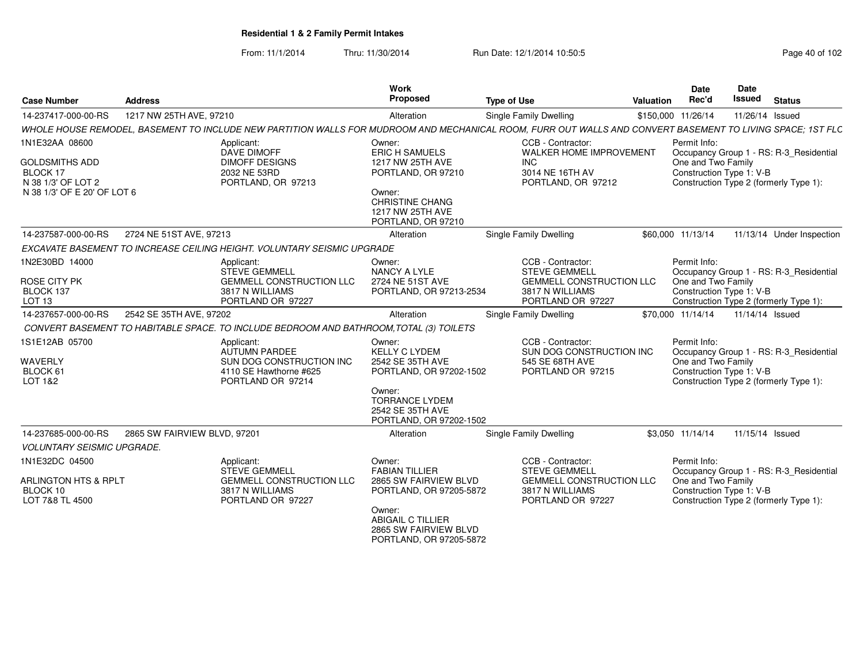From: 11/1/2014Thru: 11/30/2014 Run Date: 12/1/2014 10:50:5<br>
Page 40 of 102

|                                                                                                          |                                                    |                                                                                                               | Work                                                                                                                                                                   |                                                                                                                                                            | Date                               | <b>Date</b>                                                                                                   |
|----------------------------------------------------------------------------------------------------------|----------------------------------------------------|---------------------------------------------------------------------------------------------------------------|------------------------------------------------------------------------------------------------------------------------------------------------------------------------|------------------------------------------------------------------------------------------------------------------------------------------------------------|------------------------------------|---------------------------------------------------------------------------------------------------------------|
| <b>Case Number</b>                                                                                       | <b>Address</b>                                     |                                                                                                               | Proposed                                                                                                                                                               | <b>Type of Use</b>                                                                                                                                         | Rec'd<br>Valuation                 | <b>Issued</b><br><b>Status</b>                                                                                |
| 14-237417-000-00-RS                                                                                      | 1217 NW 25TH AVE, 97210                            |                                                                                                               | Alteration                                                                                                                                                             | Single Family Dwelling                                                                                                                                     | \$150,000 11/26/14                 | 11/26/14 Issued                                                                                               |
|                                                                                                          |                                                    |                                                                                                               |                                                                                                                                                                        | WHOLE HOUSE REMODEL. BASEMENT TO INCLUDE NEW PARTITION WALLS FOR MUDROOM AND MECHANICAL ROOM. FURR OUT WALLS AND CONVERT BASEMENT TO LIVING SPACE: 1ST FLC |                                    |                                                                                                               |
| 1N1E32AA 08600<br><b>GOLDSMITHS ADD</b><br>BLOCK 17<br>N 38 1/3' OF LOT 2<br>N 38 1/3' OF E 20' OF LOT 6 |                                                    | Applicant:<br><b>DAVE DIMOFF</b><br><b>DIMOFF DESIGNS</b><br>2032 NE 53RD<br>PORTLAND, OR 97213               | Owner:<br>ERIC H SAMUELS<br>1217 NW 25TH AVE<br>PORTLAND, OR 97210<br>Owner:                                                                                           | CCB - Contractor:<br>WALKER HOME IMPROVEMENT<br><b>INC</b><br>3014 NE 16TH AV<br>PORTLAND, OR 97212                                                        | Permit Info:<br>One and Two Family | Occupancy Group 1 - RS: R-3 Residential<br>Construction Type 1: V-B<br>Construction Type 2 (formerly Type 1): |
|                                                                                                          |                                                    |                                                                                                               | <b>CHRISTINE CHANG</b><br>1217 NW 25TH AVE<br>PORTLAND, OR 97210                                                                                                       |                                                                                                                                                            |                                    |                                                                                                               |
|                                                                                                          | 14-237587-000-00-RS 2724 NE 51ST AVE, 97213        |                                                                                                               | Alteration                                                                                                                                                             | <b>Single Family Dwelling</b>                                                                                                                              | \$60,000 11/13/14                  | 11/13/14 Under Inspection                                                                                     |
|                                                                                                          |                                                    | EXCAVATE BASEMENT TO INCREASE CEILING HEIGHT. VOLUNTARY SEISMIC UPGRADE                                       |                                                                                                                                                                        |                                                                                                                                                            |                                    |                                                                                                               |
| 1N2E30BD 14000<br>ROSE CITY PK<br>BLOCK 137<br>LOT 13                                                    |                                                    | Applicant:<br>STEVE GEMMELL<br><b>GEMMELL CONSTRUCTION LLC</b><br>3817 N WILLIAMS<br>PORTLAND OR 97227        | Owner:<br><b>NANCY A LYLE</b><br>2724 NE 51ST AVE<br>PORTLAND, OR 97213-2534                                                                                           | CCB - Contractor:<br><b>STEVE GEMMELI</b><br>GEMMELL CONSTRUCTION LLC<br>3817 N WILLIAMS<br>PORTLAND OR 97227                                              | Permit Info:<br>One and Two Family | Occupancy Group 1 - RS: R-3_Residential<br>Construction Type 1: V-B<br>Construction Type 2 (formerly Type 1): |
|                                                                                                          | 14-237657-000-00-RS 2542 SE 35TH AVE, 97202        |                                                                                                               | Alteration                                                                                                                                                             | Single Family Dwelling                                                                                                                                     |                                    | \$70,000 11/14/14  11/14/14  Issued                                                                           |
|                                                                                                          |                                                    | CONVERT BASEMENT TO HABITABLE SPACE. TO INCLUDE BEDROOM AND BATHROOM, TOTAL (3) TOILETS                       |                                                                                                                                                                        |                                                                                                                                                            |                                    |                                                                                                               |
| 1S1E12AB 05700<br>WAVERLY<br>BLOCK 61<br>LOT 1&2                                                         |                                                    | Applicant:<br>AUTUMN PARDEE<br>SUN DOG CONSTRUCTION INC<br>4110 SE Hawthorne #625<br>PORTLAND OR 97214        | Owner:<br><b>KELLY C LYDEM</b><br>2542 SE 35TH AVE<br>PORTLAND, OR 97202-1502<br>Owner:<br>TORRANCE LYDEM<br>2542 SE 35TH AVE<br>PORTLAND, OR 97202-1502               | CCB - Contractor:<br>SUN DOG CONSTRUCTION INC<br>545 SE 68TH AVE<br>PORTLAND OR 97215                                                                      | Permit Info:<br>One and Two Family | Occupancy Group 1 - RS: R-3_Residential<br>Construction Type 1: V-B<br>Construction Type 2 (formerly Type 1): |
|                                                                                                          | 14-237685-000-00-RS   2865 SW FAIRVIEW BLVD, 97201 |                                                                                                               | Alteration                                                                                                                                                             | Single Family Dwelling                                                                                                                                     |                                    | \$3,050 11/14/14  11/15/14  Issued                                                                            |
| <b>VOLUNTARY SEISMIC UPGRADE.</b>                                                                        |                                                    |                                                                                                               |                                                                                                                                                                        |                                                                                                                                                            |                                    |                                                                                                               |
| 1N1E32DC 04500<br><b>ARLINGTON HTS &amp; RPLT</b><br>BLOCK 10<br>LOT 7&8 TL 4500                         |                                                    | Applicant:<br><b>STEVE GEMMELL</b><br><b>GEMMELL CONSTRUCTION LLC</b><br>3817 N WILLIAMS<br>PORTLAND OR 97227 | Owner:<br><b>FABIAN TILLIER</b><br>2865 SW FAIRVIEW BLVD<br>PORTLAND, OR 97205-5872<br>Owner:<br>ABIGAIL C TILLIER<br>2865 SW FAIRVIEW BLVD<br>PORTLAND, OR 97205-5872 | CCB - Contractor:<br><b>STEVE GEMMELL</b><br><b>GEMMELL CONSTRUCTION LLC</b><br>3817 N WILLIAMS<br>PORTLAND OR 97227                                       | Permit Info:<br>One and Two Family | Occupancy Group 1 - RS: R-3_Residential<br>Construction Type 1: V-B<br>Construction Type 2 (formerly Type 1): |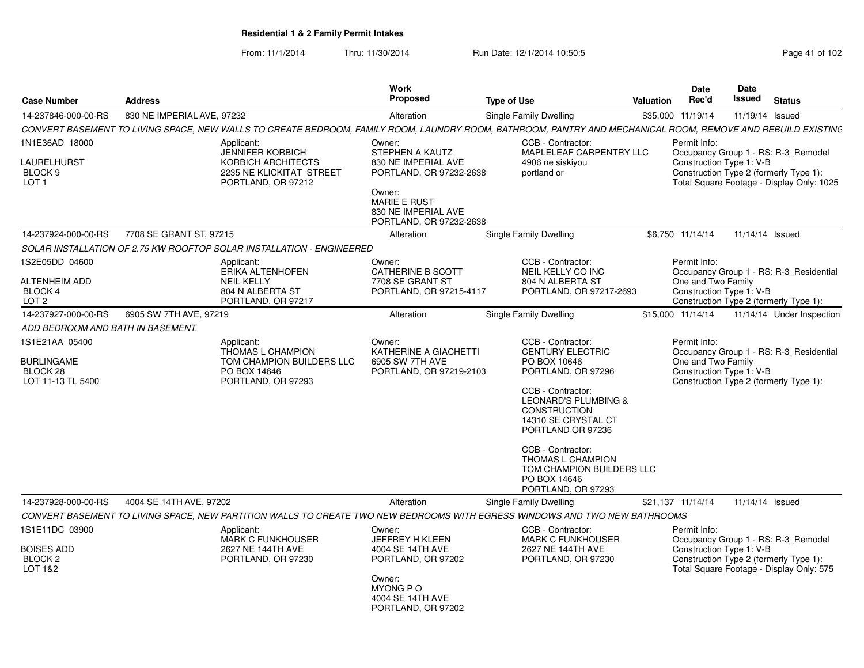From: 11/1/2014Thru: 11/30/2014 Run Date: 12/1/2014 10:50:5<br>
Page 41 of 102

| <b>Case Number</b>                                                      | <b>Address</b>             |                                                                                                                                                             | Work<br><b>Proposed</b>                                                                                                                     |                                                                                                                                                                                                                                                                                                                     | Valuation | <b>Date</b><br>Rec'd                                           | Date<br>Issued | <b>Status</b>                                                                                                              |
|-------------------------------------------------------------------------|----------------------------|-------------------------------------------------------------------------------------------------------------------------------------------------------------|---------------------------------------------------------------------------------------------------------------------------------------------|---------------------------------------------------------------------------------------------------------------------------------------------------------------------------------------------------------------------------------------------------------------------------------------------------------------------|-----------|----------------------------------------------------------------|----------------|----------------------------------------------------------------------------------------------------------------------------|
| 14-237846-000-00-RS                                                     | 830 NE IMPERIAL AVE, 97232 |                                                                                                                                                             | Alteration                                                                                                                                  | <b>Type of Use</b><br>Single Family Dwelling                                                                                                                                                                                                                                                                        |           | \$35,000 11/19/14                                              |                | 11/19/14 Issued                                                                                                            |
|                                                                         |                            | CONVERT BASEMENT TO LIVING SPACE, NEW WALLS TO CREATE BEDROOM, FAMILY ROOM, LAUNDRY ROOM, BATHROOM, PANTRY AND MECHANICAL ROOM, REMOVE AND REBUILD EXISTING |                                                                                                                                             |                                                                                                                                                                                                                                                                                                                     |           |                                                                |                |                                                                                                                            |
| 1N1E36AD 18000<br>LAURELHURST<br>BLOCK <sub>9</sub><br>LOT <sub>1</sub> |                            | Applicant:<br><b>JENNIFER KORBICH</b><br>KORBICH ARCHITECTS<br>2235 NE KLICKITAT STREET<br>PORTLAND, OR 97212                                               | Owner:<br>STEPHEN A KAUTZ<br>830 NE IMPERIAL AVE<br>PORTLAND, OR 97232-2638<br>Owner:<br><b>MARIE E RUST</b><br>830 NE IMPERIAL AVE         | CCB - Contractor:<br>MAPLELEAF CARPENTRY LLC<br>4906 ne siskiyou<br>portland or                                                                                                                                                                                                                                     |           | Permit Info:<br>Construction Type 1: V-B                       |                | Occupancy Group 1 - RS: R-3_Remodel<br>Construction Type 2 (formerly Type 1):<br>Total Square Footage - Display Only: 1025 |
|                                                                         |                            |                                                                                                                                                             | PORTLAND, OR 97232-2638                                                                                                                     |                                                                                                                                                                                                                                                                                                                     |           |                                                                |                |                                                                                                                            |
| 14-237924-000-00-RS                                                     | 7708 SE GRANT ST, 97215    |                                                                                                                                                             | Alteration                                                                                                                                  | <b>Single Family Dwelling</b>                                                                                                                                                                                                                                                                                       |           | \$6,750 11/14/14                                               |                | 11/14/14 Issued                                                                                                            |
|                                                                         |                            | SOLAR INSTALLATION OF 2.75 KW ROOFTOP SOLAR INSTALLATION - ENGINEERED                                                                                       |                                                                                                                                             |                                                                                                                                                                                                                                                                                                                     |           |                                                                |                |                                                                                                                            |
| 1S2E05DD 04600<br><b>ALTENHEIM ADD</b><br>BLOCK 4<br>LOT <sub>2</sub>   |                            | Applicant:<br>ERIKA ALTENHOFEN<br><b>NEIL KELLY</b><br>804 N ALBERTA ST<br>PORTLAND, OR 97217                                                               | Owner:<br>CATHERINE B SCOTT<br>7708 SE GRANT ST<br>PORTLAND, OR 97215-4117                                                                  | CCB - Contractor:<br>NEIL KELLY CO INC<br>804 N ALBERTA ST<br>PORTLAND, OR 97217-2693                                                                                                                                                                                                                               |           | Permit Info:<br>One and Two Family<br>Construction Type 1: V-B |                | Occupancy Group 1 - RS: R-3 Residential<br>Construction Type 2 (formerly Type 1):                                          |
| 14-237927-000-00-RS                                                     | 6905 SW 7TH AVE, 97219     |                                                                                                                                                             | Alteration                                                                                                                                  | Single Family Dwelling                                                                                                                                                                                                                                                                                              |           | \$15,000 11/14/14                                              |                | 11/14/14 Under Inspection                                                                                                  |
| ADD BEDROOM AND BATH IN BASEMENT.                                       |                            |                                                                                                                                                             |                                                                                                                                             |                                                                                                                                                                                                                                                                                                                     |           |                                                                |                |                                                                                                                            |
| 1S1E21AA 05400<br><b>BURLINGAME</b><br>BLOCK 28<br>LOT 11-13 TL 5400    |                            | Applicant:<br>THOMAS L CHAMPION<br>TOM CHAMPION BUILDERS LLC<br>PO BOX 14646<br>PORTLAND, OR 97293                                                          | Owner:<br>KATHERINE A GIACHETTI<br>6905 SW 7TH AVE<br>PORTLAND, OR 97219-2103                                                               | CCB - Contractor:<br><b>CENTURY ELECTRIC</b><br>PO BOX 10646<br>PORTLAND, OR 97296<br>CCB - Contractor:<br><b>LEONARD'S PLUMBING &amp;</b><br>CONSTRUCTION<br>14310 SE CRYSTAL CT<br>PORTLAND OR 97236<br>CCB - Contractor:<br>THOMAS L CHAMPION<br>TOM CHAMPION BUILDERS LLC<br>PO BOX 14646<br>PORTLAND, OR 97293 |           | Permit Info:<br>One and Two Family<br>Construction Type 1: V-B |                | Occupancy Group 1 - RS: R-3_Residential<br>Construction Type 2 (formerly Type 1):                                          |
| 14-237928-000-00-RS                                                     | 4004 SE 14TH AVE, 97202    |                                                                                                                                                             | Alteration                                                                                                                                  | Single Family Dwelling                                                                                                                                                                                                                                                                                              |           | \$21,137 11/14/14                                              |                | 11/14/14 Issued                                                                                                            |
|                                                                         |                            | CONVERT BASEMENT TO LIVING SPACE, NEW PARTITION WALLS TO CREATE TWO NEW BEDROOMS WITH EGRESS WINDOWS AND TWO NEW BATHROOMS                                  |                                                                                                                                             |                                                                                                                                                                                                                                                                                                                     |           |                                                                |                |                                                                                                                            |
| 1S1E11DC 03900<br><b>BOISES ADD</b><br>BLOCK <sub>2</sub><br>LOT 1&2    |                            | Applicant:<br>MARK C FUNKHOUSER<br>2627 NE 144TH AVE<br>PORTLAND, OR 97230                                                                                  | Owner:<br>JEFFREY H KLEEN<br>4004 SE 14TH AVE<br>PORTLAND, OR 97202<br>Owner:<br><b>MYONG P O</b><br>4004 SE 14TH AVE<br>PORTLAND, OR 97202 | CCB - Contractor:<br><b>MARK C FUNKHOUSER</b><br>2627 NE 144TH AVE<br>PORTLAND, OR 97230                                                                                                                                                                                                                            |           | Permit Info:<br>Construction Type 1: V-B                       |                | Occupancy Group 1 - RS: R-3_Remodel<br>Construction Type 2 (formerly Type 1):<br>Total Square Footage - Display Only: 575  |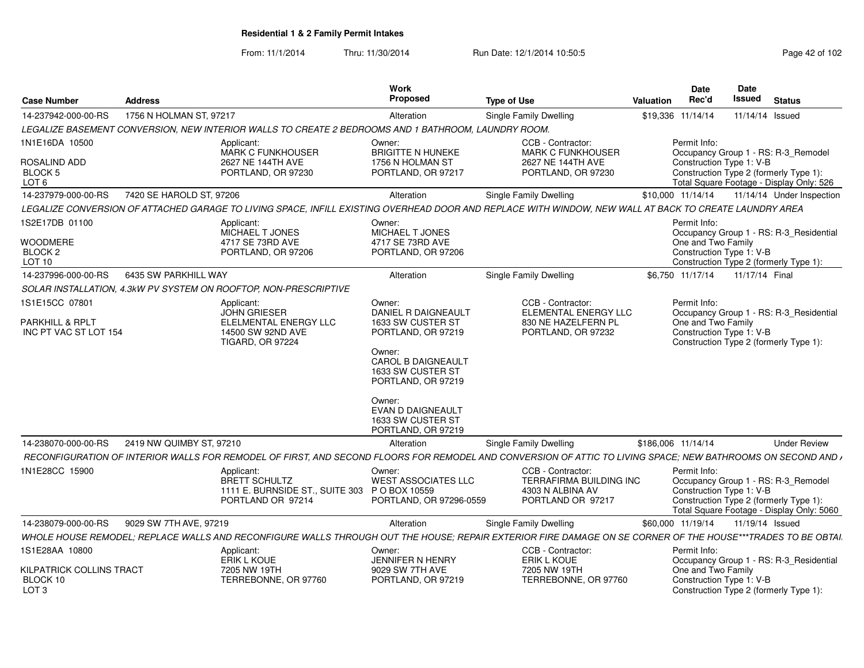From: 11/1/2014Thru: 11/30/2014 Run Date: 12/1/2014 10:50:5<br>
Page 42 of 102

| <b>Case Number</b><br><b>Address</b>         |                                                                                                     | Work<br>Proposed                              | <b>Type of Use</b>                              | Date<br>Date<br><b>Issued</b> Status<br>Valuation Rec'd<br>the control of the control of the                                                                        |
|----------------------------------------------|-----------------------------------------------------------------------------------------------------|-----------------------------------------------|-------------------------------------------------|---------------------------------------------------------------------------------------------------------------------------------------------------------------------|
|                                              |                                                                                                     | Alteration                                    | <b>Single Family Dwelling</b>                   | \$19,336 11/14/14   11/14/14   Issued                                                                                                                               |
|                                              | LEGALIZE BASEMENT CONVERSION, NEW INTERIOR WALLS TO CREATE 2 BEDROOMS AND 1 BATHROOM, LAUNDRY ROOM. |                                               |                                                 |                                                                                                                                                                     |
| 1N1E16DA 10500                               | Applicant:                                                                                          | Owner:                                        | CCB - Contractor:                               | Permit Info:                                                                                                                                                        |
| ROSALIND ADD                                 | <b>MARK C FUNKHOUSER</b><br>2627 NF 144TH AVF                                                       | <b>BRIGITTE N HUNEKE</b><br>1756 N HOLMAN ST  | <b>MARK C FUNKHOUSER</b><br>2627 NE 144TH AVE   | Occupancy Group 1 - RS: R-3_Remodel<br>Construction Type 1: V-B                                                                                                     |
| BLOCK 5                                      | PORTLAND, OR 97230                                                                                  | PORTLAND, OR 97217                            | PORTLAND, OR 97230                              | Construction Type 2 (formerly Type 1):                                                                                                                              |
| $\bigcap$ 6                                  |                                                                                                     |                                               |                                                 | Total Square Footage - Display Only: 526                                                                                                                            |
| 14-237979-000-00-RS 7420 SE HAROLD ST, 97206 |                                                                                                     | Alteration                                    | <b>Single Family Dwelling</b>                   | \$10,000 11/14/14  11/14/14  Under Inspection                                                                                                                       |
|                                              |                                                                                                     |                                               |                                                 | LEGALIZE CONVERSION OF ATTACHED GARAGE TO LIVING SPACE, INFILL EXISTING OVERHEAD DOOR AND REPLACE WITH WINDOW, NEW WALL AT BACK TO CREATE LAUNDRY AREA              |
| 1S2E17DB 01100                               | Applicant:                                                                                          | Owner:                                        |                                                 | Permit Info:                                                                                                                                                        |
| WOODMERE                                     | MICHAEL T JONES<br>4717 SE 73RD AVE                                                                 | MICHAEL T JONES<br>4717 SE 73RD AVE           |                                                 | Occupancy Group 1 - RS: R-3_Residential<br>One and Two Family                                                                                                       |
| BLOCK 2                                      | PORTLAND, OR 97206                                                                                  | PORTLAND, OR 97206                            |                                                 | Construction Type 1: V-B                                                                                                                                            |
| LOT 10                                       |                                                                                                     |                                               |                                                 | Construction Type 2 (formerly Type 1):                                                                                                                              |
| 14-237996-000-00-RS   6435 SW PARKHILL WAY   |                                                                                                     | Alteration                                    | Single Family Dwelling                          | \$6,750 11/17/14 11/17/14 Final                                                                                                                                     |
|                                              | SOLAR INSTALLATION, 4.3kW PV SYSTEM ON ROOFTOP, NON-PRESCRIPTIVE                                    |                                               |                                                 |                                                                                                                                                                     |
| 1S1E15CC 07801                               | Applicant:<br>JOHN GRIESER                                                                          | Owner:<br>DANIEL R DAIGNEAUL                  | CCB - Contractor:<br><b>ELEMENTAL ENERGY LL</b> | Permit Info:<br>Occupancy Group 1 - RS: R-3_Residential                                                                                                             |
| PARKHILL & RPLT                              | ELELMENTAL ENERGY LLC                                                                               | 1633 SW CUSTER ST                             | 830 NE HAZELFERN PL                             | One and Two Family                                                                                                                                                  |
| INC PT VAC ST LOT 154                        | 14500 SW 92ND AVE                                                                                   | PORTLAND, OR 97219                            | PORTLAND, OR 97232                              | Construction Type 1: V-B                                                                                                                                            |
|                                              | <b>TIGARD, OR 97224</b>                                                                             | Owner:                                        |                                                 | Construction Type 2 (formerly Type 1):                                                                                                                              |
|                                              |                                                                                                     | CAROL B DAIGNEAULT                            |                                                 |                                                                                                                                                                     |
|                                              |                                                                                                     | 1633 SW CUSTER ST                             |                                                 |                                                                                                                                                                     |
|                                              |                                                                                                     | PORTLAND, OR 97219                            |                                                 |                                                                                                                                                                     |
|                                              |                                                                                                     | Owner:                                        |                                                 |                                                                                                                                                                     |
|                                              |                                                                                                     | <b>EVAN D DAIGNEAULT</b><br>1633 SW CUSTER ST |                                                 |                                                                                                                                                                     |
|                                              |                                                                                                     | PORTLAND, OR 97219                            |                                                 |                                                                                                                                                                     |
| 14-238070-000-00-RS 2419 NW QUIMBY ST, 97210 |                                                                                                     | Alteration                                    | Single Family Dwelling                          | \$186,006 11/14/14<br><b>Under Review</b>                                                                                                                           |
|                                              |                                                                                                     |                                               |                                                 | RECONFIGURATION OF INTERIOR WALLS FOR REMODEL OF FIRST, AND SECOND FLOORS FOR REMODEL AND CONVERSION OF ATTIC TO LIVING SPACE; NEW BATHROOMS ON SECOND AND $\prime$ |
| 1N1E28CC 15900                               | Applicant:                                                                                          | Owner:                                        | CCB - Contractor:                               | Permit Info:                                                                                                                                                        |
|                                              | BRETT SCHULTZ                                                                                       | <b>WEST ASSOCIATES LLO</b>                    | TERRAFIRMA BUILDING INC                         | Occupancy Group 1 - RS: R-3_Remodel                                                                                                                                 |
|                                              |                                                                                                     | 1111 E. BURNSIDE ST., SUITE 303 PO BOX 10559  | 4303 N ALBINA AV<br>PORTLAND OR 97217           | Construction Type 1: V-B<br>Construction Type 2 (formerly Type 1):                                                                                                  |
|                                              | PORTLAND OR 97214                                                                                   | PORTLAND, OR 97296-0559                       |                                                 | Total Square Footage - Display Only: 5060                                                                                                                           |
| 14-238079-000-00-RS  9029 SW 7TH AVE, 97219  |                                                                                                     | Alteration                                    | <b>Single Family Dwelling</b>                   | \$60,000 11/19/14  11/19/14  Issued                                                                                                                                 |
|                                              |                                                                                                     |                                               |                                                 | WHOLE HOUSE REMODEL; REPLACE WALLS AND RECONFIGURE WALLS THROUGH OUT THE HOUSE; REPAIR EXTERIOR FIRE DAMAGE ON SE CORNER OF THE HOUSE***TRADES TO BE OBTAI.         |
| 1S1E28AA 10800                               | Applicant:                                                                                          | Owner:                                        | CCB - Contractor:                               | Permit Info:                                                                                                                                                        |
|                                              | ERIK L KOUE                                                                                         | JENNIFER N HENRY                              | ERIK L KOUE                                     | Occupancy Group 1 - RS: R-3_Residential                                                                                                                             |
| KILPATRICK COLLINS TRACT<br>BLOCK 10         | 7205 NW 19TH<br>TERREBONNE, OR 97760                                                                | 9029 SW 7TH AVE<br>PORTLAND, OR 97219         | 7205 NW 19TH<br>TERREBONNE, OR 97760            | One and Two Family<br>Construction Type 1: V-B                                                                                                                      |
| LOT 3                                        |                                                                                                     |                                               |                                                 | Construction Type 2 (formerly Type 1):                                                                                                                              |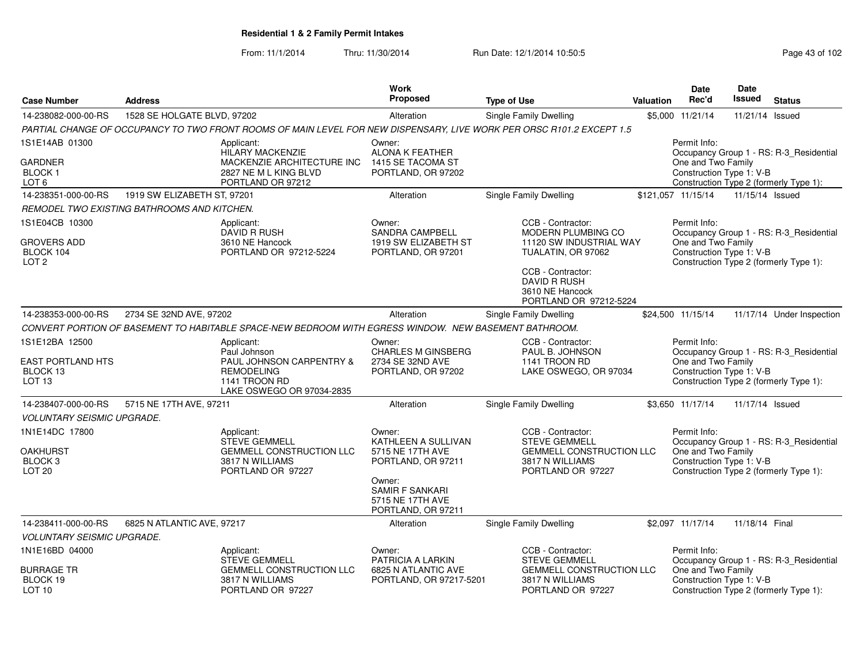From: 11/1/2014Thru: 11/30/2014 Run Date: 12/1/2014 10:50:5<br>
Page 43 of 102

| <b>Case Number</b>                                                           | <b>Address</b>              |                                                                                                               | <b>Work</b><br><b>Proposed</b>                                          | <b>Type of Use</b>                                                                                                    | <b>Valuation</b> | <b>Date</b><br>Rec'd                                           | Date<br><b>Issued</b> | <b>Status</b>                                                                     |
|------------------------------------------------------------------------------|-----------------------------|---------------------------------------------------------------------------------------------------------------|-------------------------------------------------------------------------|-----------------------------------------------------------------------------------------------------------------------|------------------|----------------------------------------------------------------|-----------------------|-----------------------------------------------------------------------------------|
| 14-238082-000-00-RS                                                          | 1528 SE HOLGATE BLVD, 97202 |                                                                                                               | Alteration                                                              | Single Family Dwelling                                                                                                |                  | \$5,000 11/21/14                                               | 11/21/14              | Issued                                                                            |
|                                                                              |                             |                                                                                                               |                                                                         | PARTIAL CHANGE OF OCCUPANCY TO TWO FRONT ROOMS OF MAIN LEVEL FOR NEW DISPENSARY, LIVE WORK PER ORSC R101.2 EXCEPT 1.5 |                  |                                                                |                       |                                                                                   |
| 1S1E14AB 01300                                                               |                             | Applicant:<br><b>HILARY MACKENZIE</b>                                                                         | Owner:<br>ALONA K FEATHER                                               |                                                                                                                       |                  | Permit Info:                                                   |                       | Occupancy Group 1 - RS: R-3_Residential                                           |
| <b>GARDNER</b><br><b>BLOCK1</b><br>LOT <sub>6</sub>                          |                             | MACKENZIE ARCHITECTURE INC<br>2827 NE M L KING BLVD<br>PORTLAND OR 97212                                      | 1415 SE TACOMA ST<br>PORTLAND, OR 97202                                 |                                                                                                                       |                  | One and Two Family<br>Construction Type 1: V-B                 |                       | Construction Type 2 (formerly Type 1):                                            |
| 14-238351-000-00-RS                                                          | 1919 SW ELIZABETH ST, 97201 |                                                                                                               | Alteration                                                              | Single Family Dwelling                                                                                                |                  | \$121,057 11/15/14                                             | 11/15/14 Issued       |                                                                                   |
| REMODEL TWO EXISTING BATHROOMS AND KITCHEN.                                  |                             |                                                                                                               |                                                                         |                                                                                                                       |                  |                                                                |                       |                                                                                   |
| 1S1E04CB 10300                                                               |                             | Applicant:                                                                                                    | Owner:                                                                  | CCB - Contractor:                                                                                                     |                  | Permit Info:                                                   |                       |                                                                                   |
| <b>GROVERS ADD</b><br>BLOCK 104<br>LOT <sub>2</sub>                          |                             | <b>DAVID R RUSH</b><br>3610 NE Hancock<br>PORTLAND OR 97212-5224                                              | <b>SANDRA CAMPBELL</b><br>1919 SW ELIZABETH ST<br>PORTLAND, OR 97201    | MODERN PLUMBING CO<br>11120 SW INDUSTRIAL WAY<br>TUALATIN, OR 97062<br>CCB - Contractor:                              |                  | One and Two Family<br>Construction Type 1: V-B                 |                       | Occupancy Group 1 - RS: R-3 Residential<br>Construction Type 2 (formerly Type 1): |
|                                                                              |                             |                                                                                                               |                                                                         | <b>DAVID R RUSH</b><br>3610 NE Hancock<br>PORTLAND OR 97212-5224                                                      |                  |                                                                |                       |                                                                                   |
| 14-238353-000-00-RS                                                          | 2734 SE 32ND AVE, 97202     |                                                                                                               | Alteration                                                              | Single Family Dwelling                                                                                                |                  | \$24.500 11/15/14                                              |                       | 11/17/14 Under Inspection                                                         |
|                                                                              |                             | CONVERT PORTION OF BASEMENT TO HABITABLE SPACE-NEW BEDROOM WITH EGRESS WINDOW. NEW BASEMENT BATHROOM.         |                                                                         |                                                                                                                       |                  |                                                                |                       |                                                                                   |
| 1S1E12BA 12500                                                               |                             | Applicant:<br>Paul Johnson                                                                                    | Owner:<br><b>CHARLES M GINSBERG</b>                                     | CCB - Contractor:<br>PAUL B. JOHNSON                                                                                  |                  | Permit Info:                                                   |                       | Occupancy Group 1 - RS: R-3_Residential                                           |
| <b>EAST PORTLAND HTS</b><br>BLOCK 13<br>LOT <sub>13</sub>                    |                             | PAUL JOHNSON CARPENTRY &<br><b>REMODELING</b><br>1141 TROON RD<br>LAKE OSWEGO OR 97034-2835                   | 2734 SE 32ND AVE<br>PORTLAND, OR 97202                                  | 1141 TROON RD<br>LAKE OSWEGO, OR 97034                                                                                |                  | One and Two Family<br>Construction Type 1: V-B                 |                       | Construction Type 2 (formerly Type 1):                                            |
| 14-238407-000-00-RS                                                          | 5715 NE 17TH AVE, 97211     |                                                                                                               | Alteration                                                              | <b>Single Family Dwelling</b>                                                                                         |                  | \$3.650 11/17/14                                               | 11/17/14 Issued       |                                                                                   |
| <b>VOLUNTARY SEISMIC UPGRADE.</b>                                            |                             |                                                                                                               |                                                                         |                                                                                                                       |                  |                                                                |                       |                                                                                   |
| 1N1E14DC 17800<br><b>OAKHURST</b><br>BLOCK <sub>3</sub><br>LOT <sub>20</sub> |                             | Applicant:<br><b>STEVE GEMMELL</b><br><b>GEMMELL CONSTRUCTION LLC</b><br>3817 N WILLIAMS<br>PORTLAND OR 97227 | Owner:<br>KATHLEEN A SULLIVAN<br>5715 NE 17TH AVE<br>PORTLAND, OR 97211 | CCB - Contractor:<br><b>STEVE GEMMELL</b><br><b>GEMMELL CONSTRUCTION LLC</b><br>3817 N WILLIAMS<br>PORTLAND OR 97227  |                  | Permit Info:<br>One and Two Family<br>Construction Type 1: V-B |                       | Occupancy Group 1 - RS: R-3_Residential<br>Construction Type 2 (formerly Type 1): |
|                                                                              |                             |                                                                                                               | Owner:<br>SAMIR F SANKARI<br>5715 NE 17TH AVE<br>PORTLAND, OR 97211     |                                                                                                                       |                  |                                                                |                       |                                                                                   |
| 14-238411-000-00-RS                                                          | 6825 N ATLANTIC AVE, 97217  |                                                                                                               | Alteration                                                              | Single Family Dwelling                                                                                                |                  | \$2,097 11/17/14                                               | 11/18/14 Final        |                                                                                   |
| <b>VOLUNTARY SEISMIC UPGRADE.</b>                                            |                             |                                                                                                               |                                                                         |                                                                                                                       |                  |                                                                |                       |                                                                                   |
| 1N1E16BD 04000                                                               |                             | Applicant:<br><b>STEVE GEMMELL</b>                                                                            | Owner:<br><b>PATRICIA A LARKIN</b>                                      | CCB - Contractor:<br><b>STEVE GEMMELL</b>                                                                             |                  | Permit Info:                                                   |                       | Occupancy Group 1 - RS: R-3_Residential                                           |
| <b>BURRAGE TR</b><br>BLOCK 19<br>LOT <sub>10</sub>                           |                             | <b>GEMMELL CONSTRUCTION LLC</b><br>3817 N WILLIAMS<br>PORTLAND OR 97227                                       | 6825 N ATLANTIC AVE<br>PORTLAND, OR 97217-5201                          | <b>GEMMELL CONSTRUCTION LLC</b><br>3817 N WILLIAMS<br>PORTLAND OR 97227                                               |                  | One and Two Family<br>Construction Type 1: V-B                 |                       | Construction Type 2 (formerly Type 1):                                            |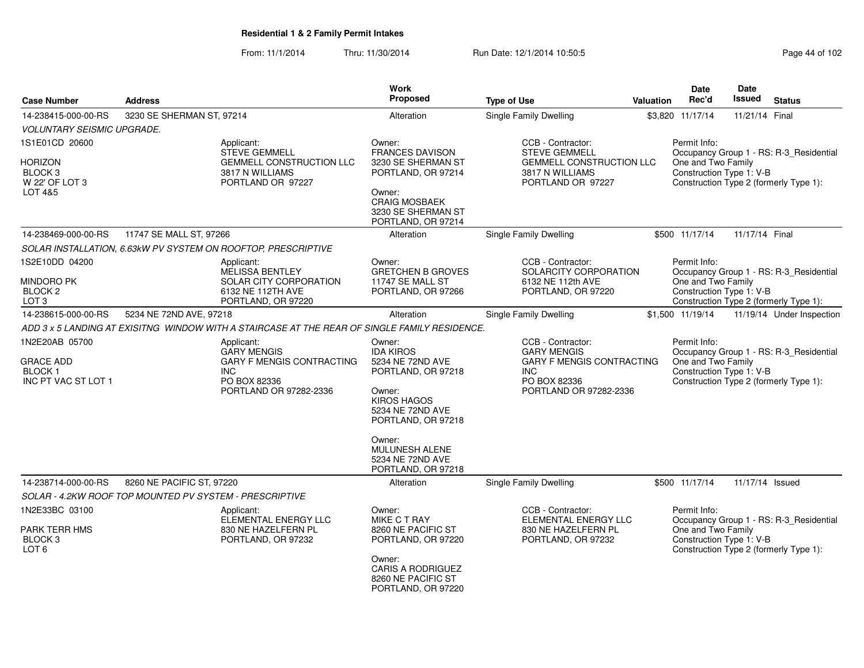From: 11/1/2014Thru: 11/30/2014 Run Date: 12/1/2014 10:50:5<br>
Page 44 of 102

| <b>Case Number</b>                                                         | <b>Address</b>                                          |                                                                                                                              | Work<br>Proposed                                                                                                                                                                                                     | <b>Type of Use</b>                                                                                                                  | <b>Valuation</b> | Date<br>Rec'd                                                  | Date<br><b>Issued</b> | <b>Status</b>                                                                     |
|----------------------------------------------------------------------------|---------------------------------------------------------|------------------------------------------------------------------------------------------------------------------------------|----------------------------------------------------------------------------------------------------------------------------------------------------------------------------------------------------------------------|-------------------------------------------------------------------------------------------------------------------------------------|------------------|----------------------------------------------------------------|-----------------------|-----------------------------------------------------------------------------------|
| 14-238415-000-00-RS                                                        | 3230 SE SHERMAN ST, 97214                               |                                                                                                                              | Alteration                                                                                                                                                                                                           | <b>Single Family Dwelling</b>                                                                                                       |                  | \$3,820 11/17/14                                               | 11/21/14 Final        |                                                                                   |
| <b>VOLUNTARY SEISMIC UPGRADE.</b>                                          |                                                         |                                                                                                                              |                                                                                                                                                                                                                      |                                                                                                                                     |                  |                                                                |                       |                                                                                   |
| 1S1E01CD 20600                                                             |                                                         | Applicant:<br><b>STEVE GEMMELL</b>                                                                                           | Owner:<br><b>FRANCES DAVISON</b>                                                                                                                                                                                     | CCB - Contractor:<br><b>STEVE GEMMELL</b>                                                                                           |                  | Permit Info:                                                   |                       | Occupancy Group 1 - RS: R-3_Residential                                           |
| Horizon<br>BLOCK <sub>3</sub><br>W 22' OF LOT 3<br>LOT 4&5                 |                                                         | <b>GEMMELL CONSTRUCTION LLC</b><br>3817 N WILLIAMS<br>PORTLAND OR 97227                                                      | 3230 SE SHERMAN ST<br>PORTLAND, OR 97214<br>Owner:<br><b>CRAIG MOSBAEK</b><br>3230 SE SHERMAN ST                                                                                                                     | GEMMELL CONSTRUCTION LLC<br>3817 N WILLIAMS<br>PORTLAND OR 97227                                                                    |                  | One and Two Family<br>Construction Type 1: V-B                 |                       | Construction Type 2 (formerly Type 1):                                            |
| 14-238469-000-00-RS                                                        | 11747 SE MALL ST, 97266                                 |                                                                                                                              | PORTLAND, OR 97214<br>Alteration                                                                                                                                                                                     | Single Family Dwelling                                                                                                              |                  | \$500 11/17/14                                                 | 11/17/14 Final        |                                                                                   |
|                                                                            |                                                         | SOLAR INSTALLATION, 6.63kW PV SYSTEM ON ROOFTOP, PRESCRIPTIVE                                                                |                                                                                                                                                                                                                      |                                                                                                                                     |                  |                                                                |                       |                                                                                   |
| 1S2E10DD 04200<br>MINDORO PK<br>BLOCK <sub>2</sub><br>LOT <sub>3</sub>     |                                                         | Applicant:<br><b>MELISSA BENTLEY</b><br>SOLAR CITY CORPORATION<br>6132 NE 112TH AVE<br>PORTLAND, OR 97220                    | Owner:<br><b>GRETCHEN B GROVES</b><br>11747 SE MALL ST<br>PORTLAND, OR 97266                                                                                                                                         | CCB - Contractor:<br>SOLARCITY CORPORATION<br>6132 NE 112th AVE<br>PORTLAND, OR 97220                                               |                  | Permit Info:<br>One and Two Family<br>Construction Type 1: V-B |                       | Occupancy Group 1 - RS: R-3 Residential<br>Construction Type 2 (formerly Type 1): |
| 14-238615-000-00-RS                                                        | 5234 NE 72ND AVE, 97218                                 |                                                                                                                              | Alteration                                                                                                                                                                                                           | <b>Single Family Dwelling</b>                                                                                                       |                  | \$1,500 11/19/14                                               |                       | 11/19/14 Under Inspection                                                         |
|                                                                            |                                                         | ADD 3 x 5 LANDING AT EXISITNG WINDOW WITH A STAIRCASE AT THE REAR OF SINGLE FAMILY RESIDENCE.                                |                                                                                                                                                                                                                      |                                                                                                                                     |                  |                                                                |                       |                                                                                   |
| 1N2E20AB 05700<br><b>GRACE ADD</b><br><b>BLOCK1</b><br>INC PT VAC ST LOT 1 |                                                         | Applicant:<br><b>GARY MENGIS</b><br><b>GARY F MENGIS CONTRACTING</b><br><b>INC</b><br>PO BOX 82336<br>PORTLAND OR 97282-2336 | Owner:<br><b>IDA KIROS</b><br>5234 NE 72ND AVE<br>PORTLAND, OR 97218<br>Owner:<br><b>KIROS HAGOS</b><br>5234 NE 72ND AVE<br>PORTLAND, OR 97218<br>Owner:<br>MULUNESH ALENE<br>5234 NE 72ND AVE<br>PORTLAND, OR 97218 | CCB - Contractor:<br><b>GARY MENGIS</b><br><b>GARY F MENGIS CONTRACTING</b><br><b>INC</b><br>PO BOX 82336<br>PORTLAND OR 97282-2336 |                  | Permit Info:<br>One and Two Family<br>Construction Type 1: V-B |                       | Occupancy Group 1 - RS: R-3_Residential<br>Construction Type 2 (formerly Type 1): |
| 14-238714-000-00-RS                                                        | 8260 NE PACIFIC ST, 97220                               |                                                                                                                              | Alteration                                                                                                                                                                                                           | Single Family Dwelling                                                                                                              |                  | \$500 11/17/14                                                 | 11/17/14 Issued       |                                                                                   |
|                                                                            | SOLAR - 4.2KW ROOF TOP MOUNTED PV SYSTEM - PRESCRIPTIVE |                                                                                                                              |                                                                                                                                                                                                                      |                                                                                                                                     |                  |                                                                |                       |                                                                                   |
| 1N2E33BC 03100<br>PARK TERR HMS<br>BLOCK <sub>3</sub><br>LOT <sub>6</sub>  |                                                         | Applicant:<br>ELEMENTAL ENERGY LLC<br>830 NE HAZELFERN PL<br>PORTLAND, OR 97232                                              | Owner:<br><b>MIKE C T RAY</b><br>8260 NE PACIFIC ST<br>PORTLAND, OR 97220                                                                                                                                            | CCB - Contractor:<br>ELEMENTAL ENERGY LLC<br>830 NE HAZELFERN PL<br>PORTLAND, OR 97232                                              |                  | Permit Info:<br>One and Two Family<br>Construction Type 1: V-B |                       | Occupancy Group 1 - RS: R-3_Residential<br>Construction Type 2 (formerly Type 1): |
|                                                                            |                                                         |                                                                                                                              | Owner:<br><b>CARIS A RODRIGUEZ</b><br>8260 NE PACIFIC ST<br>PORTLAND, OR 97220                                                                                                                                       |                                                                                                                                     |                  |                                                                |                       |                                                                                   |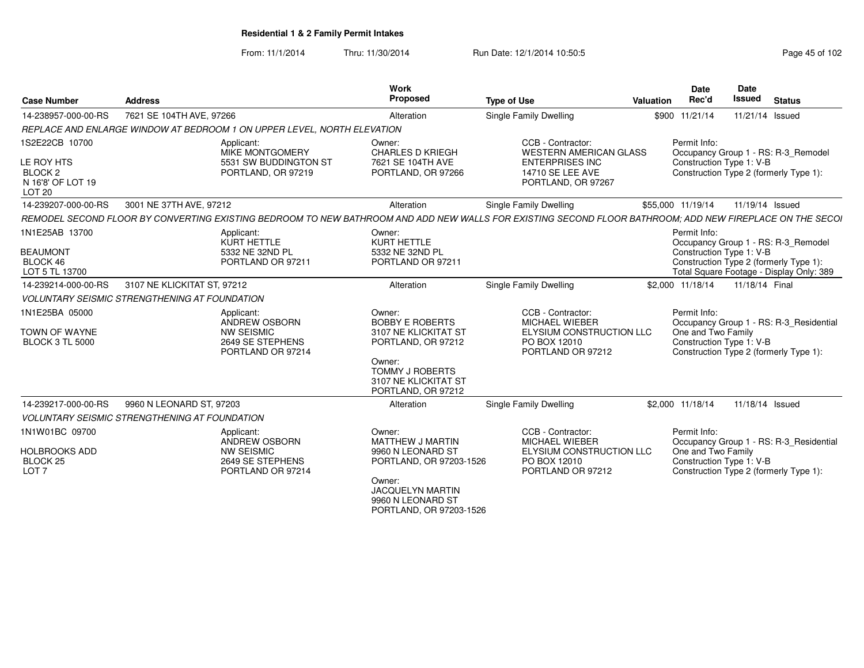From: 11/1/2014Thru: 11/30/2014 Run Date: 12/1/2014 10:50:5<br> **Page 45 of 102** 

| <b>Case Number</b>                                                                           | <b>Address</b>                                                                                                                                           | <b>Work</b><br>Proposed                                                                                                                                                | <b>Type of Use</b>                                                                                                     | <b>Valuation</b> | <b>Date</b><br>Rec'd                                           | <b>Date</b><br>Issued | <b>Status</b>                                                                                                             |
|----------------------------------------------------------------------------------------------|----------------------------------------------------------------------------------------------------------------------------------------------------------|------------------------------------------------------------------------------------------------------------------------------------------------------------------------|------------------------------------------------------------------------------------------------------------------------|------------------|----------------------------------------------------------------|-----------------------|---------------------------------------------------------------------------------------------------------------------------|
| 14-238957-000-00-RS                                                                          | 7621 SE 104TH AVE, 97266                                                                                                                                 | Alteration                                                                                                                                                             | Single Family Dwelling                                                                                                 |                  | \$900 11/21/14                                                 | 11/21/14 Issued       |                                                                                                                           |
|                                                                                              | REPLACE AND ENLARGE WINDOW AT BEDROOM 1 ON UPPER LEVEL, NORTH ELEVATION                                                                                  |                                                                                                                                                                        |                                                                                                                        |                  |                                                                |                       |                                                                                                                           |
| 1S2E22CB 10700<br>LE ROY HTS<br>BLOCK <sub>2</sub><br>N 16'8' OF LOT 19<br>LOT <sub>20</sub> | Applicant:<br>MIKE MONTGOMERY<br>5531 SW BUDDINGTON ST<br>PORTLAND, OR 97219                                                                             | Owner:<br><b>CHARLES D KRIEGH</b><br>7621 SE 104TH AVE<br>PORTLAND, OR 97266                                                                                           | CCB - Contractor:<br><b>WESTERN AMERICAN GLASS</b><br><b>ENTERPRISES INC</b><br>14710 SE LEE AVE<br>PORTLAND, OR 97267 |                  | Permit Info:<br>Construction Type 1: V-B                       |                       | Occupancy Group 1 - RS: R-3_Remodel<br>Construction Type 2 (formerly Type 1):                                             |
| 14-239207-000-00-RS                                                                          | 3001 NE 37TH AVE, 97212                                                                                                                                  | Alteration                                                                                                                                                             | Single Family Dwelling                                                                                                 |                  | \$55,000 11/19/14                                              | 11/19/14 Issued       |                                                                                                                           |
|                                                                                              | REMODEL SECOND FLOOR BY CONVERTING EXISTING BEDROOM TO NEW BATHROOM AND ADD NEW WALLS FOR EXISTING SECOND FLOOR BATHROOM; ADD NEW FIREPLACE ON THE SECOI |                                                                                                                                                                        |                                                                                                                        |                  |                                                                |                       |                                                                                                                           |
| 1N1E25AB 13700<br><b>BEAUMONT</b><br>BLOCK 46<br>LOT 5 TL 13700                              | Applicant:<br>KURT HETTLE<br>5332 NE 32ND PL<br>PORTLAND OR 97211                                                                                        | Owner:<br><b>KURT HETTLE</b><br>5332 NE 32ND PL<br>PORTLAND OR 97211                                                                                                   |                                                                                                                        |                  | Permit Info:<br>Construction Type 1: V-B                       |                       | Occupancy Group 1 - RS: R-3_Remodel<br>Construction Type 2 (formerly Type 1):<br>Total Square Footage - Display Only: 389 |
| 14-239214-000-00-RS                                                                          | 3107 NE KLICKITAT ST, 97212                                                                                                                              | Alteration                                                                                                                                                             | <b>Single Family Dwelling</b>                                                                                          |                  | \$2,000 11/18/14                                               | 11/18/14 Final        |                                                                                                                           |
|                                                                                              | <b>VOLUNTARY SEISMIC STRENGTHENING AT FOUNDATION</b>                                                                                                     |                                                                                                                                                                        |                                                                                                                        |                  |                                                                |                       |                                                                                                                           |
| 1N1E25BA 05000<br><b>TOWN OF WAYNE</b><br><b>BLOCK 3 TL 5000</b>                             | Applicant:<br>ANDREW OSBORN<br><b>NW SEISMIC</b><br>2649 SE STEPHENS<br>PORTLAND OR 97214                                                                | Owner:<br><b>BOBBY E ROBERTS</b><br>3107 NE KLICKITAT ST<br>PORTLAND, OR 97212<br>Owner:<br><b>TOMMY J ROBERTS</b><br>3107 NE KLICKITAT ST<br>PORTLAND, OR 97212       | CCB - Contractor:<br><b>MICHAEL WIEBER</b><br>ELYSIUM CONSTRUCTION LLC<br>PO BOX 12010<br>PORTLAND OR 97212            |                  | Permit Info:<br>One and Two Family<br>Construction Type 1: V-B |                       | Occupancy Group 1 - RS: R-3_Residential<br>Construction Type 2 (formerly Type 1):                                         |
| 14-239217-000-00-RS                                                                          | 9960 N LEONARD ST, 97203                                                                                                                                 | Alteration                                                                                                                                                             | <b>Single Family Dwelling</b>                                                                                          |                  | \$2,000 11/18/14                                               | 11/18/14 Issued       |                                                                                                                           |
|                                                                                              | <b>VOLUNTARY SEISMIC STRENGTHENING AT FOUNDATION</b>                                                                                                     |                                                                                                                                                                        |                                                                                                                        |                  |                                                                |                       |                                                                                                                           |
| 1N1W01BC 09700<br><b>HOLBROOKS ADD</b><br>BLOCK <sub>25</sub><br>LOT <sub>7</sub>            | Applicant:<br><b>ANDREW OSBORN</b><br><b>NW SEISMIC</b><br>2649 SE STEPHENS<br>PORTLAND OR 97214                                                         | Owner:<br><b>MATTHEW J MARTIN</b><br>9960 N LEONARD ST<br>PORTLAND, OR 97203-1526<br>Owner:<br><b>JACQUELYN MARTIN</b><br>9960 N LEONARD ST<br>PORTLAND, OR 97203-1526 | CCB - Contractor:<br><b>MICHAEL WIEBER</b><br>ELYSIUM CONSTRUCTION LLC<br>PO BOX 12010<br>PORTLAND OR 97212            |                  | Permit Info:<br>One and Two Family<br>Construction Type 1: V-B |                       | Occupancy Group 1 - RS: R-3_Residential<br>Construction Type 2 (formerly Type 1):                                         |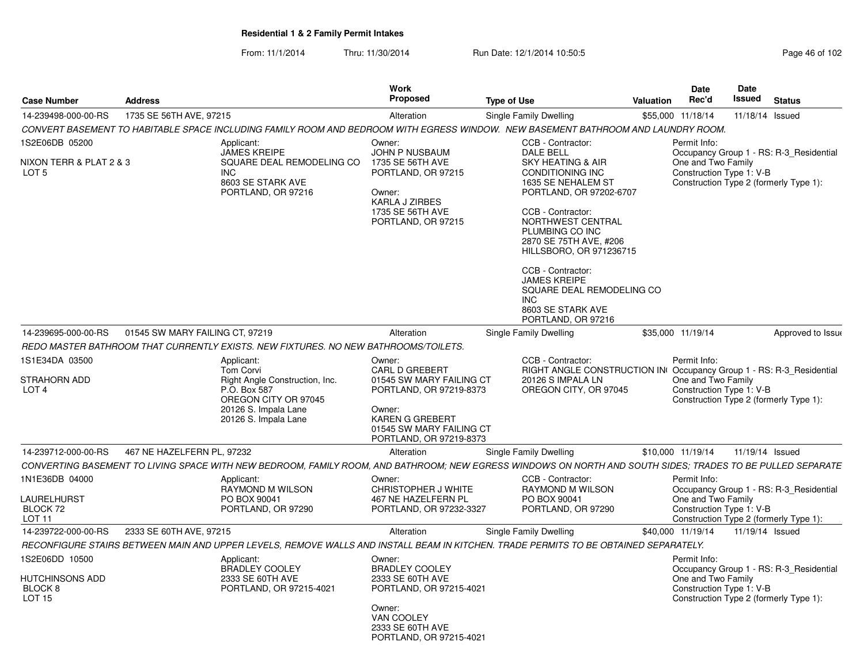From: 11/1/2014Thru: 11/30/2014 Run Date: 12/1/2014 10:50:5<br>
Page 46 of 102

| <b>Case Number</b>                                                       | <b>Address</b>                  |                                                                                                                                                            | Work<br>Proposed                                                                                                                                                                  | <b>Type of Use</b>                                                                                                                                                                                                                                                                                                                                                                  | <b>Valuation</b> | Date<br>Rec'd                                                                                            | Date<br>Issued  | <b>Status</b>                                                                     |
|--------------------------------------------------------------------------|---------------------------------|------------------------------------------------------------------------------------------------------------------------------------------------------------|-----------------------------------------------------------------------------------------------------------------------------------------------------------------------------------|-------------------------------------------------------------------------------------------------------------------------------------------------------------------------------------------------------------------------------------------------------------------------------------------------------------------------------------------------------------------------------------|------------------|----------------------------------------------------------------------------------------------------------|-----------------|-----------------------------------------------------------------------------------|
| 14-239498-000-00-RS                                                      | 1735 SE 56TH AVE, 97215         |                                                                                                                                                            | Alteration                                                                                                                                                                        | Single Family Dwelling                                                                                                                                                                                                                                                                                                                                                              |                  | \$55,000 11/18/14                                                                                        | 11/18/14        | Issued                                                                            |
|                                                                          |                                 | CONVERT BASEMENT TO HABITABLE SPACE INCLUDING FAMILY ROOM AND BEDROOM WITH EGRESS WINDOW. NEW BASEMENT BATHROOM AND LAUNDRY ROOM.                          |                                                                                                                                                                                   |                                                                                                                                                                                                                                                                                                                                                                                     |                  |                                                                                                          |                 |                                                                                   |
| 1S2E06DB 05200<br>NIXON TERR & PLAT 2 & 3<br>LOT <sub>5</sub>            |                                 | Applicant:<br>JAMES KREIPE<br>SQUARE DEAL REMODELING CO<br><b>INC</b><br>8603 SE STARK AVE<br>PORTLAND, OR 97216                                           | Owner:<br>JOHN P NUSBAUM<br>1735 SE 56TH AVE<br>PORTLAND, OR 97215<br>Owner:<br><b>KARLA J ZIRBES</b><br>1735 SE 56TH AVE<br>PORTLAND, OR 97215                                   | CCB - Contractor:<br><b>DALE BELL</b><br>SKY HEATING & AIR<br>CONDITIONING INC<br>1635 SE NEHALEM ST<br>PORTLAND, OR 97202-6707<br>CCB - Contractor:<br>NORTHWEST CENTRAL<br>PLUMBING CO INC<br>2870 SE 75TH AVE, #206<br>HILLSBORO, OR 971236715<br>CCB - Contractor:<br><b>JAMES KREIPE</b><br>SQUARE DEAL REMODELING CO<br><b>INC</b><br>8603 SE STARK AVE<br>PORTLAND, OR 97216 |                  | Permit Info:<br>One and Two Family<br>Construction Type 1: V-B<br>Construction Type 2 (formerly Type 1): |                 | Occupancy Group 1 - RS: R-3_Residential                                           |
| 14-239695-000-00-RS                                                      | 01545 SW MARY FAILING CT, 97219 |                                                                                                                                                            | Alteration                                                                                                                                                                        | <b>Single Family Dwelling</b>                                                                                                                                                                                                                                                                                                                                                       |                  | \$35,000 11/19/14                                                                                        |                 | Approved to Issue                                                                 |
|                                                                          |                                 | REDO MASTER BATHROOM THAT CURRENTLY EXISTS. NEW FIXTURES. NO NEW BATHROOMS/TOILETS.                                                                        |                                                                                                                                                                                   |                                                                                                                                                                                                                                                                                                                                                                                     |                  |                                                                                                          |                 |                                                                                   |
| 1S1E34DA 03500<br><b>STRAHORN ADD</b><br>LOT <sub>4</sub>                |                                 | Applicant:<br><b>Tom Corvi</b><br>Right Angle Construction, Inc.<br>P.O. Box 587<br>OREGON CITY OR 97045<br>20126 S. Impala Lane<br>20126 S. Impala Lane   | Owner:<br><b>CARL D GREBERT</b><br>01545 SW MARY FAILING CT<br>PORTLAND, OR 97219-8373<br>Owner:<br><b>KAREN G GREBERT</b><br>01545 SW MARY FAILING CT<br>PORTLAND, OR 97219-8373 | CCB - Contractor:<br>RIGHT ANGLE CONSTRUCTION IN<br>20126 S IMPALA LN<br>OREGON CITY, OR 97045                                                                                                                                                                                                                                                                                      |                  | Permit Info:<br>One and Two Family<br>Construction Type 1: V-B                                           |                 | Occupancy Group 1 - RS: R-3 Residential<br>Construction Type 2 (formerly Type 1): |
| 14-239712-000-00-RS                                                      | 467 NE HAZELFERN PL, 97232      |                                                                                                                                                            | Alteration                                                                                                                                                                        | Single Family Dwelling                                                                                                                                                                                                                                                                                                                                                              |                  | \$10,000 11/19/14                                                                                        | 11/19/14 Issued |                                                                                   |
|                                                                          |                                 | CONVERTING BASEMENT TO LIVING SPACE WITH NEW BEDROOM, FAMILY ROOM, AND BATHROOM; NEW EGRESS WINDOWS ON NORTH AND SOUTH SIDES; TRADES TO BE PULLED SEPARATE |                                                                                                                                                                                   |                                                                                                                                                                                                                                                                                                                                                                                     |                  |                                                                                                          |                 |                                                                                   |
| 1N1E36DB 04000<br><b>LAURELHURST</b><br>BLOCK 72<br>LOT 11               |                                 | Applicant:<br>RAYMOND M WILSON<br>PO BOX 90041<br>PORTLAND, OR 97290                                                                                       | Owner:<br>CHRISTOPHER J WHITE<br>467 NE HAZELFERN PL<br>PORTLAND, OR 97232-3327                                                                                                   | CCB - Contractor:<br>RAYMOND M WILSON<br>PO BOX 90041<br>PORTLAND, OR 97290                                                                                                                                                                                                                                                                                                         |                  | Permit Info:<br>One and Two Family<br>Construction Type 1: V-B<br>Construction Type 2 (formerly Type 1): |                 | Occupancy Group 1 - RS: R-3_Residential                                           |
| 14-239722-000-00-RS                                                      | 2333 SE 60TH AVE, 97215         |                                                                                                                                                            | Alteration                                                                                                                                                                        | Single Family Dwelling                                                                                                                                                                                                                                                                                                                                                              |                  | \$40,000 11/19/14                                                                                        | 11/19/14 Issued |                                                                                   |
|                                                                          |                                 | RECONFIGURE STAIRS BETWEEN MAIN AND UPPER LEVELS, REMOVE WALLS AND INSTALL BEAM IN KITCHEN. TRADE PERMITS TO BE OBTAINED SEPARATELY.                       |                                                                                                                                                                                   |                                                                                                                                                                                                                                                                                                                                                                                     |                  |                                                                                                          |                 |                                                                                   |
| 1S2E06DD 10500<br>HUTCHINSONS ADD<br>BLOCK <sub>8</sub><br><b>LOT 15</b> |                                 | Applicant:<br>BRADLEY COOLEY<br>2333 SE 60TH AVE<br>PORTLAND, OR 97215-4021                                                                                | Owner:<br><b>BRADLEY COOLEY</b><br>2333 SE 60TH AVE<br>PORTLAND, OR 97215-4021<br>Owner:<br>VAN COOLEY<br>2333 SE 60TH AVE<br>PORTLAND, OR 97215-4021                             |                                                                                                                                                                                                                                                                                                                                                                                     |                  | Permit Info:<br>One and Two Family<br>Construction Type 1: V-B<br>Construction Type 2 (formerly Type 1): |                 | Occupancy Group 1 - RS: R-3 Residential                                           |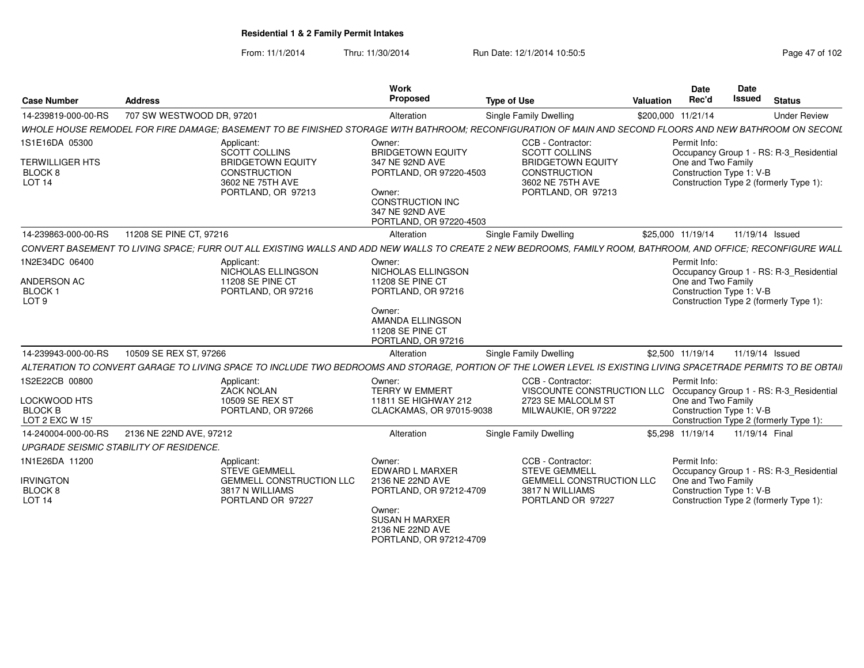From: 11/1/2014Thru: 11/30/2014 Run Date: 12/1/2014 10:50:5<br>
Page 47 of 102

| <b>Case Number</b>                                                   | <b>Address</b>                                                                                                                                                  | <b>Work</b><br>Proposed                                                                                                                                      | <b>Type of Use</b>                                                                                                                     | Valuation          | <b>Date</b><br>Rec'd                                           | Date<br>Issued | <b>Status</b>                                                                     |
|----------------------------------------------------------------------|-----------------------------------------------------------------------------------------------------------------------------------------------------------------|--------------------------------------------------------------------------------------------------------------------------------------------------------------|----------------------------------------------------------------------------------------------------------------------------------------|--------------------|----------------------------------------------------------------|----------------|-----------------------------------------------------------------------------------|
| 14-239819-000-00-RS                                                  | 707 SW WESTWOOD DR, 97201                                                                                                                                       | Alteration                                                                                                                                                   | Single Family Dwelling                                                                                                                 | \$200,000 11/21/14 |                                                                |                | <b>Under Review</b>                                                               |
|                                                                      | WHOLE HOUSE REMODEL FOR FIRE DAMAGE: BASEMENT TO BE FINISHED STORAGE WITH BATHROOM: RECONFIGURATION OF MAIN AND SECOND FLOORS AND NEW BATHROOM ON SECONL        |                                                                                                                                                              |                                                                                                                                        |                    |                                                                |                |                                                                                   |
| 1S1E16DA 05300<br><b>TERWILLIGER HTS</b><br>BLOCK 8<br><b>LOT 14</b> | Applicant:<br>SCOTT COLLINS<br><b>BRIDGETOWN EQUITY</b><br><b>CONSTRUCTION</b><br>3602 NE 75TH AVE<br>PORTLAND, OR 97213                                        | Owner:<br><b>BRIDGETOWN EQUITY</b><br>347 NE 92ND AVE<br>PORTLAND, OR 97220-4503<br>Owner:<br>CONSTRUCTION INC<br>347 NE 92ND AVE<br>PORTLAND, OR 97220-4503 | CCB - Contractor:<br><b>SCOTT COLLINS</b><br><b>BRIDGETOWN EQUITY</b><br><b>CONSTRUCTION</b><br>3602 NE 75TH AVE<br>PORTLAND, OR 97213 |                    | Permit Info:<br>One and Two Family<br>Construction Type 1: V-B |                | Occupancy Group 1 - RS: R-3_Residential<br>Construction Type 2 (formerly Type 1): |
| 14-239863-000-00-RS                                                  | 11208 SE PINE CT, 97216                                                                                                                                         | Alteration                                                                                                                                                   | <b>Single Family Dwelling</b>                                                                                                          |                    | \$25,000 11/19/14                                              |                | 11/19/14 Issued                                                                   |
|                                                                      | CONVERT BASEMENT TO LIVING SPACE: FURR OUT ALL EXISTING WALLS AND ADD NEW WALLS TO CREATE 2 NEW BEDROOMS. FAMILY ROOM. BATHROOM. AND OFFICE: RECONFIGURE WALL   |                                                                                                                                                              |                                                                                                                                        |                    |                                                                |                |                                                                                   |
| 1N2E34DC 06400<br>ANDERSON AC<br><b>BLOCK1</b><br>LOT <sub>9</sub>   | Applicant:<br>NICHOLAS ELLINGSON<br>11208 SE PINE CT<br>PORTLAND, OR 97216                                                                                      | Owner:<br>NICHOLAS ELLINGSON<br>11208 SE PINE CT<br>PORTLAND, OR 97216<br>Owner:<br><b>AMANDA ELLINGSON</b><br>11208 SE PINE CT<br>PORTLAND, OR 97216        |                                                                                                                                        |                    | Permit Info:<br>One and Two Family<br>Construction Type 1: V-B |                | Occupancy Group 1 - RS: R-3 Residential<br>Construction Type 2 (formerly Type 1): |
| 14-239943-000-00-RS                                                  | 10509 SE REX ST. 97266                                                                                                                                          | Alteration                                                                                                                                                   | Single Family Dwelling                                                                                                                 |                    | \$2,500 11/19/14                                               |                | 11/19/14 Issued                                                                   |
|                                                                      | ALTERATION TO CONVERT GARAGE TO LIVING SPACE TO INCLUDE TWO BEDROOMS AND STORAGE. PORTION OF THE LOWER LEVEL IS EXISTING LIVING SPACETRADE PERMITS TO BE OBTAIL |                                                                                                                                                              |                                                                                                                                        |                    |                                                                |                |                                                                                   |
| 1S2E22CB 00800<br>LOCKWOOD HTS<br><b>BLOCK B</b><br>LOT 2 EXC W 15'  | Applicant:<br><b>ZACK NOLAN</b><br>10509 SE REX ST<br>PORTLAND, OR 97266                                                                                        | Owner:<br><b>TERRY W EMMERT</b><br>11811 SE HIGHWAY 212<br>CLACKAMAS, OR 97015-9038                                                                          | CCB - Contractor:<br>VISCOUNTE CONSTRUCTION LLC<br>2723 SE MALCOLM ST<br>MILWAUKIE, OR 97222                                           |                    | Permit Info:<br>One and Two Family<br>Construction Type 1: V-B |                | Occupancy Group 1 - RS: R-3_Residential<br>Construction Type 2 (formerly Type 1): |
| 14-240004-000-00-RS                                                  | 2136 NE 22ND AVE, 97212                                                                                                                                         | Alteration                                                                                                                                                   | Single Family Dwelling                                                                                                                 |                    | \$5.298 11/19/14                                               | 11/19/14 Final |                                                                                   |
|                                                                      | UPGRADE SEISMIC STABILITY OF RESIDENCE.                                                                                                                         |                                                                                                                                                              |                                                                                                                                        |                    |                                                                |                |                                                                                   |
| 1N1E26DA 11200<br><b>IRVINGTON</b><br>BLOCK 8<br><b>LOT 14</b>       | Applicant:<br><b>STEVE GEMMELL</b><br><b>GEMMELL CONSTRUCTION LLC</b><br>3817 N WILLIAMS<br>PORTLAND OR 97227                                                   | Owner:<br><b>EDWARD L MARXER</b><br>2136 NE 22ND AVE<br>PORTLAND, OR 97212-4709<br>Owner:<br>SUSAN H MARXER<br>2136 NE 22ND AVE<br>PORTLAND, OR 97212-4709   | CCB - Contractor:<br><b>STEVE GEMMELL</b><br><b>GEMMELL CONSTRUCTION LLC</b><br>3817 N WILLIAMS<br>PORTLAND OR 97227                   |                    | Permit Info:<br>One and Two Family<br>Construction Type 1: V-B |                | Occupancy Group 1 - RS: R-3_Residential<br>Construction Type 2 (formerly Type 1): |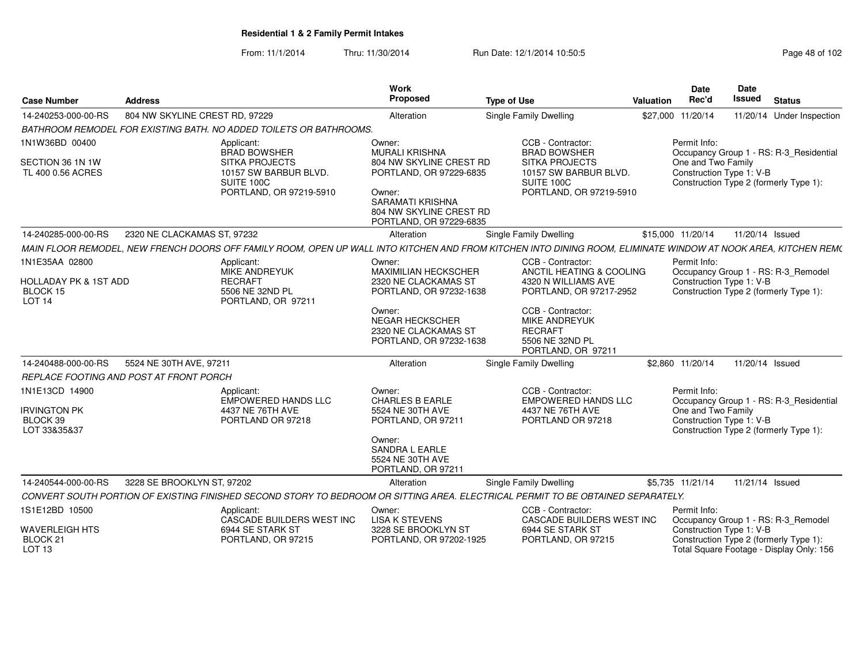From: 11/1/2014Thru: 11/30/2014 Run Date: 12/1/2014 10:50:5<br>
Page 48 of 102

| <b>Case Number</b>                                                | <b>Address</b>                          |                                                                                                                                                                | <b>Work</b><br>Proposed                                                                 | <b>Type of Use</b>                                                                                   | Valuation | <b>Date</b><br>Rec'd                           | Date<br><b>Issued</b> | <b>Status</b>                                                                      |
|-------------------------------------------------------------------|-----------------------------------------|----------------------------------------------------------------------------------------------------------------------------------------------------------------|-----------------------------------------------------------------------------------------|------------------------------------------------------------------------------------------------------|-----------|------------------------------------------------|-----------------------|------------------------------------------------------------------------------------|
| 14-240253-000-00-RS                                               | 804 NW SKYLINE CREST RD, 97229          |                                                                                                                                                                | Alteration                                                                              | <b>Single Family Dwelling</b>                                                                        |           | \$27,000 11/20/14                              |                       | 11/20/14 Under Inspection                                                          |
|                                                                   |                                         | BATHROOM REMODEL FOR EXISTING BATH. NO ADDED TOILETS OR BATHROOMS.                                                                                             |                                                                                         |                                                                                                      |           |                                                |                       |                                                                                    |
| 1N1W36BD 00400                                                    |                                         | Applicant:<br><b>BRAD BOWSHER</b>                                                                                                                              | Owner:<br><b>MURALI KRISHNA</b>                                                         | CCB - Contractor:<br><b>BRAD BOWSHER</b>                                                             |           | Permit Info:                                   |                       | Occupancy Group 1 - RS: R-3_Residential                                            |
| SECTION 36 1N 1W<br>TL 400 0.56 ACRES                             |                                         | <b>SITKA PROJECTS</b><br>10157 SW BARBUR BLVD.<br>SUITE 100C                                                                                                   | 804 NW SKYLINE CREST RD<br>PORTLAND, OR 97229-6835                                      | <b>SITKA PROJECTS</b><br>10157 SW BARBUR BLVD.<br>SUITE 100C                                         |           | One and Two Family<br>Construction Type 1: V-B |                       | Construction Type 2 (formerly Type 1):                                             |
|                                                                   |                                         | PORTLAND, OR 97219-5910                                                                                                                                        | Owner:<br><b>SARAMATI KRISHNA</b><br>804 NW SKYLINE CREST RD<br>PORTLAND, OR 97229-6835 | PORTLAND, OR 97219-5910                                                                              |           |                                                |                       |                                                                                    |
| 14-240285-000-00-RS                                               | 2320 NE CLACKAMAS ST. 97232             |                                                                                                                                                                | Alteration                                                                              | <b>Single Family Dwelling</b>                                                                        |           | \$15,000 11/20/14                              | 11/20/14 Issued       |                                                                                    |
|                                                                   |                                         | MAIN FLOOR REMODEL. NEW FRENCH DOORS OFF FAMILY ROOM. OPEN UP WALL INTO KITCHEN AND FROM KITCHEN INTO DINING ROOM. ELIMINATE WINDOW AT NOOK AREA. KITCHEN REMC |                                                                                         |                                                                                                      |           |                                                |                       |                                                                                    |
| 1N1E35AA 02800                                                    |                                         | Applicant:<br><b>MIKE ANDREYUK</b>                                                                                                                             | Owner:<br><b>MAXIMILIAN HECKSCHER</b>                                                   | CCB - Contractor:<br>ANCTIL HEATING & COOLING                                                        |           | Permit Info:                                   |                       | Occupancy Group 1 - RS: R-3_Remodel                                                |
| <b>HOLLADAY PK &amp; 1ST ADD</b><br>BLOCK 15<br>LOT <sub>14</sub> |                                         | <b>RECRAFT</b><br>5506 NE 32ND PL<br>PORTLAND, OR 97211                                                                                                        | 2320 NE CLACKAMAS ST<br>PORTLAND, OR 97232-1638                                         | 4320 N WILLIAMS AVE<br>PORTLAND, OR 97217-2952                                                       |           | Construction Type 1: V-B                       |                       | Construction Type 2 (formerly Type 1):                                             |
|                                                                   |                                         |                                                                                                                                                                | Owner:<br><b>NEGAR HECKSCHER</b><br>2320 NE CLACKAMAS ST<br>PORTLAND, OR 97232-1638     | CCB - Contractor:<br><b>MIKE ANDREYUK</b><br><b>RECRAFT</b><br>5506 NE 32ND PL<br>PORTLAND, OR 97211 |           |                                                |                       |                                                                                    |
| 14-240488-000-00-RS                                               | 5524 NE 30TH AVE, 97211                 |                                                                                                                                                                | Alteration                                                                              | Single Family Dwelling                                                                               |           | \$2,860 11/20/14                               | 11/20/14 Issued       |                                                                                    |
|                                                                   | REPLACE FOOTING AND POST AT FRONT PORCH |                                                                                                                                                                |                                                                                         |                                                                                                      |           |                                                |                       |                                                                                    |
| 1N1E13CD 14900                                                    |                                         | Applicant:<br>EMPOWERED HANDS LLC                                                                                                                              | Owner:<br><b>CHARLES B EARLE</b>                                                        | CCB - Contractor:<br><b>EMPOWERED HANDS LLC</b>                                                      |           | Permit Info:                                   |                       | Occupancy Group 1 - RS: R-3 Residential                                            |
| <b>IRVINGTON PK</b><br>BLOCK 39<br>LOT 33&35&37                   |                                         | 4437 NE 76TH AVE<br>PORTLAND OR 97218                                                                                                                          | 5524 NE 30TH AVE<br>PORTLAND, OR 97211                                                  | 4437 NE 76TH AVE<br>PORTLAND OR 97218                                                                |           | One and Two Family<br>Construction Type 1: V-B |                       | Construction Type 2 (formerly Type 1):                                             |
|                                                                   |                                         |                                                                                                                                                                | Owner:<br>SANDRA L EARLE<br>5524 NE 30TH AVE<br>PORTLAND, OR 97211                      |                                                                                                      |           |                                                |                       |                                                                                    |
| 14-240544-000-00-RS                                               | 3228 SE BROOKLYN ST, 97202              |                                                                                                                                                                | Alteration                                                                              | <b>Single Family Dwelling</b>                                                                        |           | \$5,735 11/21/14                               | 11/21/14 Issued       |                                                                                    |
|                                                                   |                                         | CONVERT SOUTH PORTION OF EXISTING FINISHED SECOND STORY TO BEDROOM OR SITTING AREA. ELECTRICAL PERMIT TO BE OBTAINED SEPARATELY.                               |                                                                                         |                                                                                                      |           |                                                |                       |                                                                                    |
| 1S1E12BD 10500                                                    |                                         | Applicant:<br>CASCADE BUILDERS WEST INC                                                                                                                        | Owner:<br><b>LISA K STEVENS</b>                                                         | CCB - Contractor:<br>CASCADE BUILDERS WEST INC                                                       |           | Permit Info:                                   |                       | Occupancy Group 1 - RS: R-3 Remodel                                                |
| <b>WAVERLEIGH HTS</b><br>BLOCK 21<br>LOT <sub>13</sub>            |                                         | 6944 SE STARK ST<br>PORTLAND, OR 97215                                                                                                                         | 3228 SE BROOKLYN ST<br>PORTLAND, OR 97202-1925                                          | 6944 SE STARK ST<br>PORTLAND, OR 97215                                                               |           | Construction Type 1: V-B                       |                       | Construction Type 2 (formerly Type 1):<br>Total Square Footage - Display Only: 156 |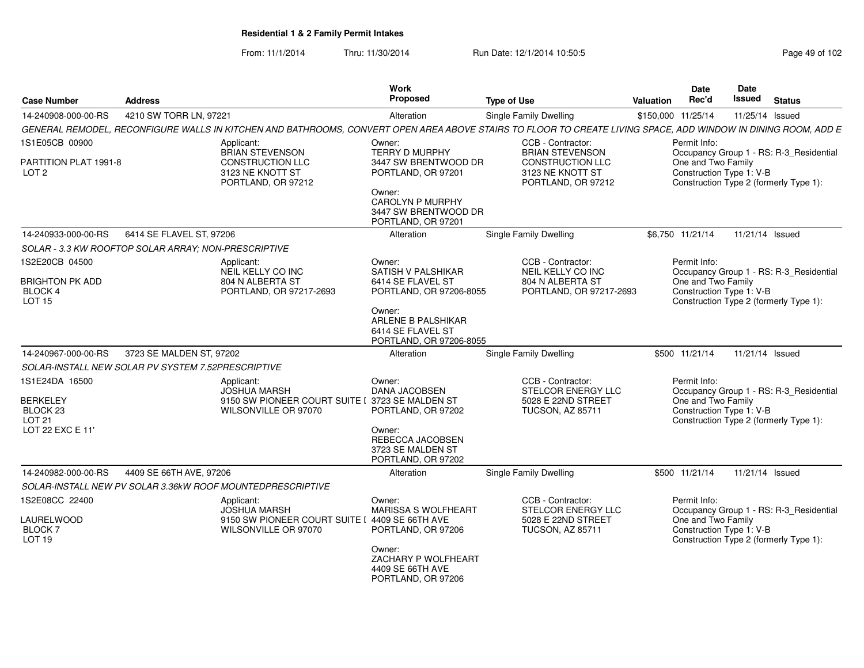From: 11/1/2014Thru: 11/30/2014 Run Date: 12/1/2014 10:50:5<br>
Page 49 of 102

| <b>Case Number</b>                                 | <b>Address</b>                                                                                                                                                | <b>Work</b><br><b>Proposed</b>                                                      | <b>Type of Use</b>                                                | Date<br>Rec'd<br><b>Valuation</b>              | Date<br>Issued<br><b>Status</b>         |
|----------------------------------------------------|---------------------------------------------------------------------------------------------------------------------------------------------------------------|-------------------------------------------------------------------------------------|-------------------------------------------------------------------|------------------------------------------------|-----------------------------------------|
| 14-240908-000-00-RS                                | 4210 SW TORR LN, 97221                                                                                                                                        | Alteration                                                                          | <b>Single Family Dwelling</b>                                     | \$150,000 11/25/14                             | 11/25/14 Issued                         |
|                                                    | GENERAL REMODEL, RECONFIGURE WALLS IN KITCHEN AND BATHROOMS, CONVERT OPEN AREA ABOVE STAIRS TO FLOOR TO CREATE LIVING SPACE, ADD WINDOW IN DINING ROOM, ADD E |                                                                                     |                                                                   |                                                |                                         |
| 1S1E05CB 00900                                     | Applicant:<br><b>BRIAN STEVENSON</b>                                                                                                                          | Owner:<br><b>TERRY D MURPHY</b>                                                     | CCB - Contractor:<br><b>BRIAN STEVENSON</b>                       | Permit Info:                                   | Occupancy Group 1 - RS: R-3_Residential |
| PARTITION PLAT 1991-8<br>LOT <sub>2</sub>          | <b>CONSTRUCTION LLC</b><br>3123 NE KNOTT ST<br>PORTLAND, OR 97212                                                                                             | 3447 SW BRENTWOOD DR<br>PORTLAND, OR 97201                                          | <b>CONSTRUCTION LLC</b><br>3123 NE KNOTT ST<br>PORTLAND, OR 97212 | One and Two Family<br>Construction Type 1: V-B | Construction Type 2 (formerly Type 1):  |
|                                                    |                                                                                                                                                               | Owner:<br><b>CAROLYN P MURPHY</b><br>3447 SW BRENTWOOD DR<br>PORTLAND, OR 97201     |                                                                   |                                                |                                         |
| 14-240933-000-00-RS                                | 6414 SE FLAVEL ST. 97206                                                                                                                                      | Alteration                                                                          | Single Family Dwelling                                            | \$6,750 11/21/14                               | 11/21/14 Issued                         |
|                                                    | SOLAR - 3.3 KW ROOFTOP SOLAR ARRAY; NON-PRESCRIPTIVE                                                                                                          |                                                                                     |                                                                   |                                                |                                         |
| 1S2E20CB 04500                                     | Applicant:<br>NEIL KELLY CO INC                                                                                                                               | Owner:<br><b>SATISH V PALSHIKAR</b>                                                 | CCB - Contractor:<br>NEIL KELLY CO INC                            | Permit Info:                                   | Occupancy Group 1 - RS: R-3_Residential |
| <b>BRIGHTON PK ADD</b><br>BLOCK 4<br><b>LOT 15</b> | 804 N ALBERTA ST<br>PORTLAND, OR 97217-2693                                                                                                                   | 6414 SE FLAVEL ST<br>PORTLAND, OR 97206-8055                                        | 804 N ALBERTA ST<br>PORTLAND, OR 97217-2693                       | One and Two Family<br>Construction Type 1: V-B | Construction Type 2 (formerly Type 1):  |
|                                                    |                                                                                                                                                               | Owner:<br><b>ARLENE B PALSHIKAR</b><br>6414 SE FLAVEL ST<br>PORTLAND, OR 97206-8055 |                                                                   |                                                |                                         |
| 14-240967-000-00-RS                                | 3723 SE MALDEN ST. 97202                                                                                                                                      | Alteration                                                                          | Single Family Dwelling                                            | \$500 11/21/14                                 | 11/21/14 Issued                         |
|                                                    | SOLAR-INSTALL NEW SOLAR PV SYSTEM 7.52PRESCRIPTIVE                                                                                                            |                                                                                     |                                                                   |                                                |                                         |
| 1S1E24DA 16500                                     | Applicant:                                                                                                                                                    | Owner:                                                                              | CCB - Contractor:                                                 | Permit Info:                                   |                                         |
|                                                    | <b>JOSHUA MARSH</b>                                                                                                                                           | DANA JACOBSEN                                                                       | STELCOR ENERGY LLC                                                |                                                | Occupancy Group 1 - RS: R-3_Residential |
| <b>BERKELEY</b><br>BLOCK 23                        | 9150 SW PIONEER COURT SUITE I 3723 SE MALDEN ST<br>WILSONVILLE OR 97070                                                                                       | PORTLAND, OR 97202                                                                  | 5028 E 22ND STREET<br><b>TUCSON, AZ 85711</b>                     | One and Two Family<br>Construction Type 1: V-B |                                         |
| LOT <sub>21</sub>                                  |                                                                                                                                                               |                                                                                     |                                                                   |                                                | Construction Type 2 (formerly Type 1):  |
| LOT 22 EXC E 11'                                   |                                                                                                                                                               | Owner:<br>REBECCA JACOBSEN<br>3723 SE MALDEN ST<br>PORTLAND, OR 97202               |                                                                   |                                                |                                         |
| 14-240982-000-00-RS                                | 4409 SE 66TH AVE, 97206                                                                                                                                       | Alteration                                                                          | <b>Single Family Dwelling</b>                                     | \$500 11/21/14                                 | 11/21/14 Issued                         |
|                                                    | SOLAR-INSTALL NEW PV SOLAR 3.36kW ROOF MOUNTEDPRESCRIPTIVE                                                                                                    |                                                                                     |                                                                   |                                                |                                         |
| 1S2E08CC 22400                                     | Applicant:<br><b>JOSHUA MARSH</b>                                                                                                                             | Owner:<br>MARISSA S WOLFHEART                                                       | CCB - Contractor:<br>STELCOR ENERGY LLC                           | Permit Info:                                   | Occupancy Group 1 - RS: R-3_Residential |
| LAURELWOOD<br><b>BLOCK7</b><br>LOT 19              | 9150 SW PIONEER COURT SUITE I 4409 SE 66TH AVE<br>WILSONVILLE OR 97070                                                                                        | PORTLAND, OR 97206                                                                  | 5028 E 22ND STREET<br>TUCSON, AZ 85711                            | One and Two Family<br>Construction Type 1: V-B | Construction Type 2 (formerly Type 1):  |
|                                                    |                                                                                                                                                               | Owner:<br>ZACHARY P WOLFHEART<br>4409 SE 66TH AVE<br>PORTLAND, OR 97206             |                                                                   |                                                |                                         |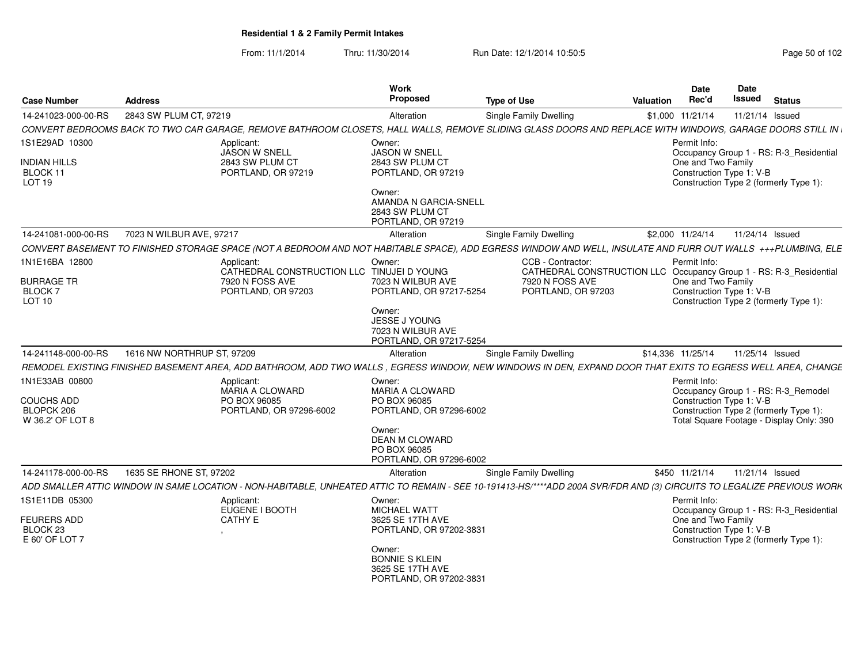From: 11/1/2014Thru: 11/30/2014 Run Date: 12/1/2014 10:50:5<br>
Page 50 of 102

| <b>Case Number</b>                                  | <b>Address</b>             |                                                                                                                                                                        | Work<br><b>Proposed</b>                                                        | <b>Type of Use</b>                    | Valuation                                                          | <b>Date</b><br>Rec'd                           | Date<br>Issued  | <b>Status</b>                                                                      |
|-----------------------------------------------------|----------------------------|------------------------------------------------------------------------------------------------------------------------------------------------------------------------|--------------------------------------------------------------------------------|---------------------------------------|--------------------------------------------------------------------|------------------------------------------------|-----------------|------------------------------------------------------------------------------------|
| 14-241023-000-00-RS                                 | 2843 SW PLUM CT, 97219     |                                                                                                                                                                        | Alteration                                                                     | Single Family Dwelling                |                                                                    | \$1,000 11/21/14                               | 11/21/14 Issued |                                                                                    |
|                                                     |                            | CONVERT BEDROOMS BACK TO TWO CAR GARAGE, REMOVE BATHROOM CLOSETS, HALL WALLS, REMOVE SLIDING GLASS DOORS AND REPLACE WITH WINDOWS, GARAGE DOORS STILL IN               |                                                                                |                                       |                                                                    |                                                |                 |                                                                                    |
| 1S1E29AD 10300                                      |                            | Applicant:<br>JASON W SNELL                                                                                                                                            | Owner:<br><b>JASON W SNELL</b>                                                 |                                       |                                                                    | Permit Info:                                   |                 | Occupancy Group 1 - RS: R-3_Residential                                            |
| <b>NDIAN HILLS</b><br>BLOCK 11<br>LOT 19            |                            | 2843 SW PLUM CT<br>PORTLAND, OR 97219                                                                                                                                  | 2843 SW PLUM CT<br>PORTLAND, OR 97219                                          |                                       |                                                                    | One and Two Family<br>Construction Type 1: V-B |                 | Construction Type 2 (formerly Type 1):                                             |
|                                                     |                            |                                                                                                                                                                        | Owner:<br>AMANDA N GARCIA-SNELL<br>2843 SW PLUM CT<br>PORTLAND, OR 97219       |                                       |                                                                    |                                                |                 |                                                                                    |
| 14-241081-000-00-RS                                 | 7023 N WILBUR AVE, 97217   |                                                                                                                                                                        | Alteration                                                                     | Single Family Dwelling                |                                                                    | \$2,000 11/24/14                               | 11/24/14 Issued |                                                                                    |
|                                                     |                            | CONVERT BASEMENT TO FINISHED STORAGE SPACE (NOT A BEDROOM AND NOT HABITABLE SPACE), ADD EGRESS WINDOW AND WELL, INSULATE AND FURR OUT WALLS +++PLUMBING, ELE           |                                                                                |                                       |                                                                    |                                                |                 |                                                                                    |
| 1N1E16BA 12800                                      |                            | Applicant:<br>CATHEDRAL CONSTRUCTION LLC TINUJEI D YOUNG                                                                                                               | Owner:                                                                         | CCB - Contractor:                     | CATHEDRAL CONSTRUCTION LLC Occupancy Group 1 - RS: R-3_Residential | Permit Info:                                   |                 |                                                                                    |
| <b>BURRAGE TR</b><br><b>BLOCK7</b><br><b>LOT 10</b> |                            | 7920 N FOSS AVE<br>PORTLAND, OR 97203                                                                                                                                  | 7023 N WILBUR AVE<br>PORTLAND, OR 97217-5254                                   | 7920 N FOSS AVE<br>PORTLAND, OR 97203 |                                                                    | One and Two Family<br>Construction Type 1: V-B |                 | Construction Type 2 (formerly Type 1):                                             |
|                                                     |                            |                                                                                                                                                                        | Owner:<br><b>JESSE J YOUNG</b><br>7023 N WILBUR AVE<br>PORTLAND, OR 97217-5254 |                                       |                                                                    |                                                |                 |                                                                                    |
| 14-241148-000-00-RS                                 | 1616 NW NORTHRUP ST, 97209 |                                                                                                                                                                        | Alteration                                                                     | Single Family Dwelling                |                                                                    | \$14,336 11/25/14                              | 11/25/14 Issued |                                                                                    |
|                                                     |                            | REMODEL EXISTING FINISHED BASEMENT AREA, ADD BATHROOM, ADD TWO WALLS , EGRESS WINDOW, NEW WINDOWS IN DEN, EXPAND DOOR THAT EXITS TO EGRESS WELL AREA, CHANGE           |                                                                                |                                       |                                                                    |                                                |                 |                                                                                    |
| 1N1E33AB 00800                                      |                            | Applicant:                                                                                                                                                             | Owner:                                                                         |                                       |                                                                    | Permit Info:                                   |                 |                                                                                    |
| <b>COUCHS ADD</b>                                   |                            | <b>MARIA A CLOWARD</b><br>PO BOX 96085                                                                                                                                 | <b>MARIA A CLOWARD</b><br>PO BOX 96085                                         |                                       |                                                                    | Construction Type 1: V-B                       |                 | Occupancy Group 1 - RS: R-3_Remodel                                                |
| BLOPCK 206<br>W 36.2' OF LOT 8                      |                            | PORTLAND, OR 97296-6002                                                                                                                                                | PORTLAND, OR 97296-6002                                                        |                                       |                                                                    |                                                |                 | Construction Type 2 (formerly Type 1):<br>Total Square Footage - Display Only: 390 |
|                                                     |                            |                                                                                                                                                                        | Owner:<br>DEAN M CLOWARD<br>PO BOX 96085<br>PORTLAND, OR 97296-6002            |                                       |                                                                    |                                                |                 |                                                                                    |
| 14-241178-000-00-RS                                 | 1635 SE RHONE ST, 97202    |                                                                                                                                                                        | Alteration                                                                     | Single Family Dwelling                |                                                                    | \$450 11/21/14                                 | 11/21/14 Issued |                                                                                    |
|                                                     |                            | ADD SMALLER ATTIC WINDOW IN SAME LOCATION - NON-HABITABLE, UNHEATED ATTIC TO REMAIN - SEE 10-191413-HS/****ADD 200A SVR/FDR AND (3) CIRCUITS TO LEGALIZE PREVIOUS WORK |                                                                                |                                       |                                                                    |                                                |                 |                                                                                    |
| 1S1E11DB 05300                                      |                            | Applicant:                                                                                                                                                             | Owner:                                                                         |                                       |                                                                    | Permit Info:                                   |                 |                                                                                    |
|                                                     |                            | EUGENE I BOOTH                                                                                                                                                         | <b>MICHAEL WATT</b>                                                            |                                       |                                                                    |                                                |                 | Occupancy Group 1 - RS: R-3_Residential                                            |
| <b>FEURERS ADD</b><br>BLOCK 23<br>E 60' OF LOT 7    |                            | <b>CATHY E</b>                                                                                                                                                         | 3625 SE 17TH AVE<br>PORTLAND, OR 97202-3831                                    |                                       |                                                                    | One and Two Family<br>Construction Type 1: V-B |                 | Construction Type 2 (formerly Type 1):                                             |
|                                                     |                            |                                                                                                                                                                        | Owner:<br><b>BONNIE S KLEIN</b><br>3625 SE 17TH AVE<br>PORTLAND, OR 97202-3831 |                                       |                                                                    |                                                |                 |                                                                                    |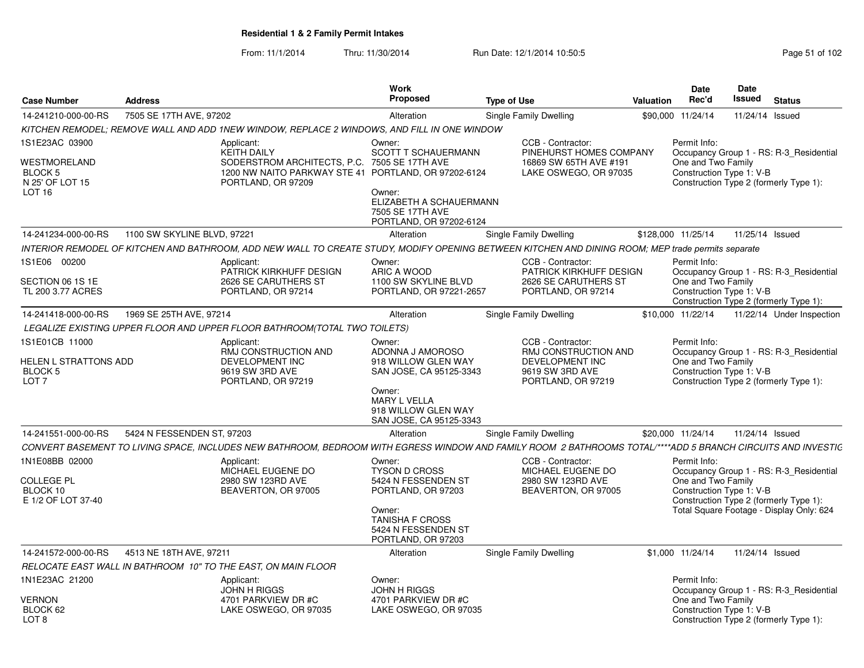From: 11/1/2014Thru: 11/30/2014 Run Date: 12/1/2014 10:50:5<br>
Page 51 of 102

| <b>Case Number</b>                                                     | <b>Address</b>              |                                                                                                                                                                | Work<br><b>Proposed</b>                                                                                                                                         | <b>Type of Use</b>                                                                                    | Valuation | Date<br>Rec'd                                                  | Date<br>Issued  | <b>Status</b>                                                                                                                 |
|------------------------------------------------------------------------|-----------------------------|----------------------------------------------------------------------------------------------------------------------------------------------------------------|-----------------------------------------------------------------------------------------------------------------------------------------------------------------|-------------------------------------------------------------------------------------------------------|-----------|----------------------------------------------------------------|-----------------|-------------------------------------------------------------------------------------------------------------------------------|
| 14-241210-000-00-RS                                                    | 7505 SE 17TH AVE, 97202     |                                                                                                                                                                | Alteration                                                                                                                                                      | Single Family Dwelling                                                                                |           | \$90,000 11/24/14                                              | 11/24/14 Issued |                                                                                                                               |
|                                                                        |                             | KITCHEN REMODEL: REMOVE WALL AND ADD 1NEW WINDOW, REPLACE 2 WINDOWS, AND FILL IN ONE WINDOW                                                                    |                                                                                                                                                                 |                                                                                                       |           |                                                                |                 |                                                                                                                               |
| 1S1E23AC 03900<br>WESTMORELAND<br>BLOCK 5<br>N 25' OF LOT 15<br>LOT 16 |                             | Applicant:<br><b>KEITH DAILY</b><br>SODERSTROM ARCHITECTS, P.C. 7505 SE 17TH AVE<br>1200 NW NAITO PARKWAY STE 41 PORTLAND, OR 97202-6124<br>PORTLAND, OR 97209 | Owner:<br><b>SCOTT T SCHAUERMANN</b><br>Owner:                                                                                                                  | CCB - Contractor:<br>PINEHURST HOMES COMPANY<br>16869 SW 65TH AVE #191<br>LAKE OSWEGO, OR 97035       |           | Permit Info:<br>One and Two Family<br>Construction Type 1: V-B |                 | Occupancy Group 1 - RS: R-3 Residential<br>Construction Type 2 (formerly Type 1):                                             |
|                                                                        |                             |                                                                                                                                                                | ELIZABETH A SCHAUERMANN<br>7505 SE 17TH AVE<br>PORTLAND, OR 97202-6124                                                                                          |                                                                                                       |           |                                                                |                 |                                                                                                                               |
| 14-241234-000-00-RS                                                    | 1100 SW SKYLINE BLVD, 97221 |                                                                                                                                                                | Alteration                                                                                                                                                      | <b>Single Family Dwelling</b>                                                                         |           | \$128,000 11/25/14                                             | 11/25/14 Issued |                                                                                                                               |
|                                                                        |                             | INTERIOR REMODEL OF KITCHEN AND BATHROOM, ADD NEW WALL TO CREATE STUDY, MODIFY OPENING BETWEEN KITCHEN AND DINING ROOM; MEP trade permits separate             |                                                                                                                                                                 |                                                                                                       |           |                                                                |                 |                                                                                                                               |
| 1S1E06 00200                                                           |                             | Applicant:<br>PATRICK KIRKHUFF DESIGN                                                                                                                          | Owner:<br>ARIC A WOOD                                                                                                                                           | CCB - Contractor:<br>PATRICK KIRKHUFF DESIGN                                                          |           | Permit Info:                                                   |                 | Occupancy Group 1 - RS: R-3_Residential                                                                                       |
| SECTION 06 1S 1E<br>TL 200 3.77 ACRES                                  |                             | 2626 SE CARUTHERS ST<br>PORTLAND, OR 97214                                                                                                                     | 1100 SW SKYLINE BLVD<br>PORTLAND, OR 97221-2657                                                                                                                 | 2626 SE CARUTHERS ST<br>PORTLAND, OR 97214                                                            |           | One and Two Family<br>Construction Type 1: V-B                 |                 | Construction Type 2 (formerly Type 1):                                                                                        |
| 14-241418-000-00-RS                                                    | 1969 SE 25TH AVE, 97214     |                                                                                                                                                                | Alteration                                                                                                                                                      | <b>Single Family Dwelling</b>                                                                         |           | \$10,000 11/22/14                                              |                 | 11/22/14 Under Inspection                                                                                                     |
|                                                                        |                             | LEGALIZE EXISTING UPPER FLOOR AND UPPER FLOOR BATHROOM(TOTAL TWO TOILETS)                                                                                      |                                                                                                                                                                 |                                                                                                       |           |                                                                |                 |                                                                                                                               |
| 1S1E01CB 11000<br>HELEN L STRATTONS ADD<br>BLOCK 5<br>LOT <sub>7</sub> |                             | Applicant:<br>RMJ CONSTRUCTION AND<br>DEVELOPMENT INC<br>9619 SW 3RD AVE<br>PORTLAND, OR 97219                                                                 | Owner:<br>ADONNA J AMOROSO<br>918 WILLOW GLEN WAY<br>SAN JOSE, CA 95125-3343<br>Owner:<br><b>MARY L VELLA</b><br>918 WILLOW GLEN WAY<br>SAN JOSE, CA 95125-3343 | CCB - Contractor:<br>RMJ CONSTRUCTION AND<br>DEVELOPMENT INC<br>9619 SW 3RD AVE<br>PORTLAND, OR 97219 |           | Permit Info:<br>One and Two Family<br>Construction Type 1: V-B |                 | Occupancy Group 1 - RS: R-3 Residential<br>Construction Type 2 (formerly Type 1):                                             |
| 14-241551-000-00-RS                                                    | 5424 N FESSENDEN ST. 97203  |                                                                                                                                                                | Alteration                                                                                                                                                      | Single Family Dwelling                                                                                |           | \$20,000 11/24/14                                              | 11/24/14 Issued |                                                                                                                               |
|                                                                        |                             | CONVERT BASEMENT TO LIVING SPACE, INCLUDES NEW BATHROOM, BEDROOM WITH EGRESS WINDOW AND FAMILY ROOM 2 BATHROOMS TOTAL/****ADD 5 BRANCH CIRCUITS AND INVESTIC   |                                                                                                                                                                 |                                                                                                       |           |                                                                |                 |                                                                                                                               |
| 1N1E08BB 02000<br>COLLEGE PL<br>BLOCK 10<br>E 1/2 OF LOT 37-40         |                             | Applicant:<br>MICHAEL EUGENE DO<br>2980 SW 123RD AVE<br>BEAVERTON, OR 97005                                                                                    | Owner:<br><b>TYSON D CROSS</b><br>5424 N FESSENDEN ST<br>PORTLAND, OR 97203<br>Owner:<br><b>TANISHA F CROSS</b><br>5424 N FESSENDEN ST<br>PORTLAND, OR 97203    | CCB - Contractor:<br>MICHAEL EUGENE DO<br>2980 SW 123RD AVE<br>BEAVERTON, OR 97005                    |           | Permit Info:<br>One and Two Family<br>Construction Type 1: V-B |                 | Occupancy Group 1 - RS: R-3_Residential<br>Construction Type 2 (formerly Type 1):<br>Total Square Footage - Display Only: 624 |
| 14-241572-000-00-RS                                                    | 4513 NE 18TH AVE, 97211     |                                                                                                                                                                | Alteration                                                                                                                                                      | Single Family Dwelling                                                                                |           | \$1,000 11/24/14                                               | 11/24/14 Issued |                                                                                                                               |
|                                                                        |                             | RELOCATE EAST WALL IN BATHROOM 10" TO THE EAST, ON MAIN FLOOR                                                                                                  |                                                                                                                                                                 |                                                                                                       |           |                                                                |                 |                                                                                                                               |
| 1N1E23AC 21200                                                         |                             | Applicant:<br>JOHN H RIGGS                                                                                                                                     | Owner:<br><b>JOHN H RIGGS</b>                                                                                                                                   |                                                                                                       |           | Permit Info:                                                   |                 | Occupancy Group 1 - RS: R-3 Residential                                                                                       |
| VERNON<br>BLOCK 62<br>LOT <sub>8</sub>                                 |                             | 4701 PARKVIEW DR #C<br>LAKE OSWEGO, OR 97035                                                                                                                   | 4701 PARKVIEW DR #C<br>LAKE OSWEGO, OR 97035                                                                                                                    |                                                                                                       |           | One and Two Family<br>Construction Type 1: V-B                 |                 | Construction Type 2 (formerly Type 1):                                                                                        |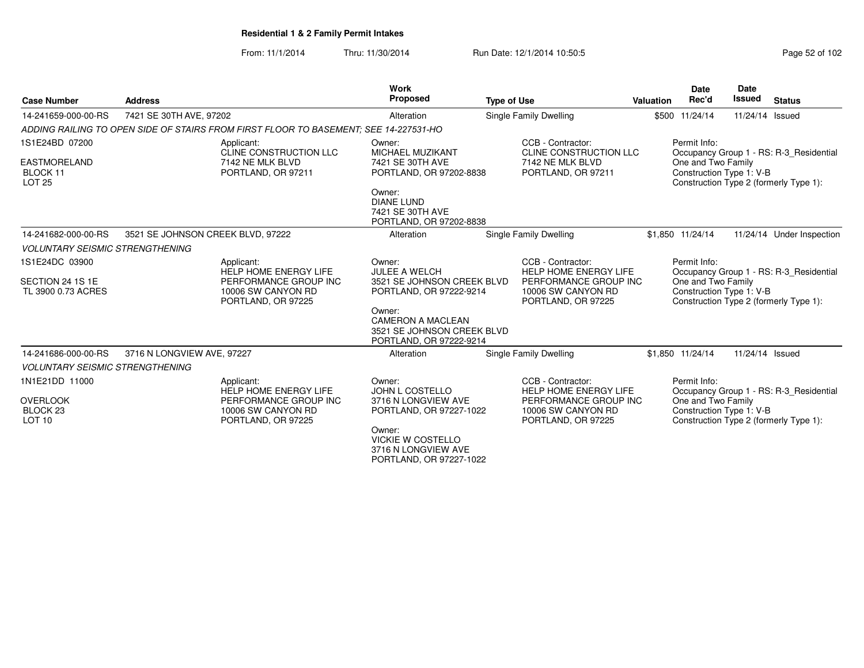From: 11/1/2014Thru: 11/30/2014 Run Date: 12/1/2014 10:50:5<br>
Page 52 of 102

| <b>Case Number</b>                                                 | <b>Address</b>                    |                                                                                                                 | Work<br>Proposed                                                                                                             | <b>Type of Use</b>     |                                                                                                                        | Valuation | <b>Date</b><br>Rec'd                                           | <b>Date</b><br><b>Issued</b> | <b>Status</b>                                                                     |
|--------------------------------------------------------------------|-----------------------------------|-----------------------------------------------------------------------------------------------------------------|------------------------------------------------------------------------------------------------------------------------------|------------------------|------------------------------------------------------------------------------------------------------------------------|-----------|----------------------------------------------------------------|------------------------------|-----------------------------------------------------------------------------------|
| 14-241659-000-00-RS                                                | 7421 SE 30TH AVE, 97202           |                                                                                                                 | Alteration                                                                                                                   | Single Family Dwelling |                                                                                                                        |           | \$500 11/24/14                                                 | 11/24/14 Issued              |                                                                                   |
|                                                                    |                                   | ADDING RAILING TO OPEN SIDE OF STAIRS FROM FIRST FLOOR TO BASEMENT: SEE 14-227531-HO                            |                                                                                                                              |                        |                                                                                                                        |           |                                                                |                              |                                                                                   |
| 1S1E24BD 07200<br><b>EASTMORELAND</b><br>BLOCK 11<br><b>LOT 25</b> |                                   | Applicant:<br>CLINE CONSTRUCTION LLC<br>7142 NE MLK BLVD<br>PORTLAND, OR 97211                                  | Owner:<br>MICHAEL MUZIKANT<br>7421 SE 30TH AVE<br>PORTLAND, OR 97202-8838<br>Owner:<br><b>DIANE LUND</b><br>7421 SE 30TH AVE |                        | CCB - Contractor:<br>CLINE CONSTRUCTION LLC<br>7142 NE MLK BLVD<br>PORTLAND, OR 97211                                  |           | Permit Info:<br>One and Two Family<br>Construction Type 1: V-B |                              | Occupancy Group 1 - RS: R-3_Residential<br>Construction Type 2 (formerly Type 1): |
|                                                                    |                                   |                                                                                                                 | PORTLAND, OR 97202-8838                                                                                                      |                        |                                                                                                                        |           |                                                                |                              |                                                                                   |
| 14-241682-000-00-RS                                                | 3521 SE JOHNSON CREEK BLVD, 97222 |                                                                                                                 | Alteration                                                                                                                   |                        | Single Family Dwelling                                                                                                 |           | \$1,850 11/24/14                                               |                              | 11/24/14 Under Inspection                                                         |
| <b>VOLUNTARY SEISMIC STRENGTHENING</b>                             |                                   |                                                                                                                 |                                                                                                                              |                        |                                                                                                                        |           |                                                                |                              |                                                                                   |
| 1S1E24DC 03900<br>SECTION 24 1S 1E<br>TL 3900 0.73 ACRES           |                                   | Applicant:<br><b>HELP HOME ENERGY LIFE</b><br>PERFORMANCE GROUP INC<br>10006 SW CANYON RD<br>PORTLAND, OR 97225 | Owner:<br><b>JULEE A WELCH</b><br>3521 SE JOHNSON CREEK BLVD<br>PORTLAND, OR 97222-9214<br>Owner:                            |                        | CCB - Contractor:<br><b>HELP HOME ENERGY LIFE</b><br>PERFORMANCE GROUP INC<br>10006 SW CANYON RD<br>PORTLAND, OR 97225 |           | Permit Info:<br>One and Two Family<br>Construction Type 1: V-B |                              | Occupancy Group 1 - RS: R-3_Residential<br>Construction Type 2 (formerly Type 1): |
|                                                                    |                                   |                                                                                                                 | <b>CAMERON A MACLEAN</b><br>3521 SE JOHNSON CREEK BLVD<br>PORTLAND, OR 97222-9214                                            |                        |                                                                                                                        |           |                                                                |                              |                                                                                   |
| 14-241686-000-00-RS                                                | 3716 N LONGVIEW AVE, 97227        |                                                                                                                 | Alteration                                                                                                                   |                        | Single Family Dwelling                                                                                                 |           | \$1,850 11/24/14                                               | 11/24/14 Issued              |                                                                                   |
| <b>VOLUNTARY SEISMIC STRENGTHENING</b>                             |                                   |                                                                                                                 |                                                                                                                              |                        |                                                                                                                        |           |                                                                |                              |                                                                                   |
| 1N1E21DD 11000                                                     |                                   | Applicant:<br><b>HELP HOME ENERGY LIFE</b>                                                                      | Owner:<br>JOHN L COSTELLO                                                                                                    |                        | CCB - Contractor:<br><b>HELP HOME ENERGY LIFE</b>                                                                      |           | Permit Info:                                                   |                              | Occupancy Group 1 - RS: R-3_Residential                                           |
| <b>OVERLOOK</b><br>BLOCK <sub>23</sub><br>LOT <sub>10</sub>        |                                   | PERFORMANCE GROUP INC<br>10006 SW CANYON RD<br>PORTLAND, OR 97225                                               | 3716 N LONGVIEW AVE<br>PORTLAND, OR 97227-1022<br>Owner:                                                                     |                        | PERFORMANCE GROUP INC<br>10006 SW CANYON RD<br>PORTLAND, OR 97225                                                      |           | One and Two Family<br>Construction Type 1: V-B                 |                              | Construction Type 2 (formerly Type 1):                                            |
|                                                                    |                                   |                                                                                                                 | <b>VICKIE W COSTELLO</b><br>3716 N LONGVIEW AVE<br>PORTLAND, OR 97227-1022                                                   |                        |                                                                                                                        |           |                                                                |                              |                                                                                   |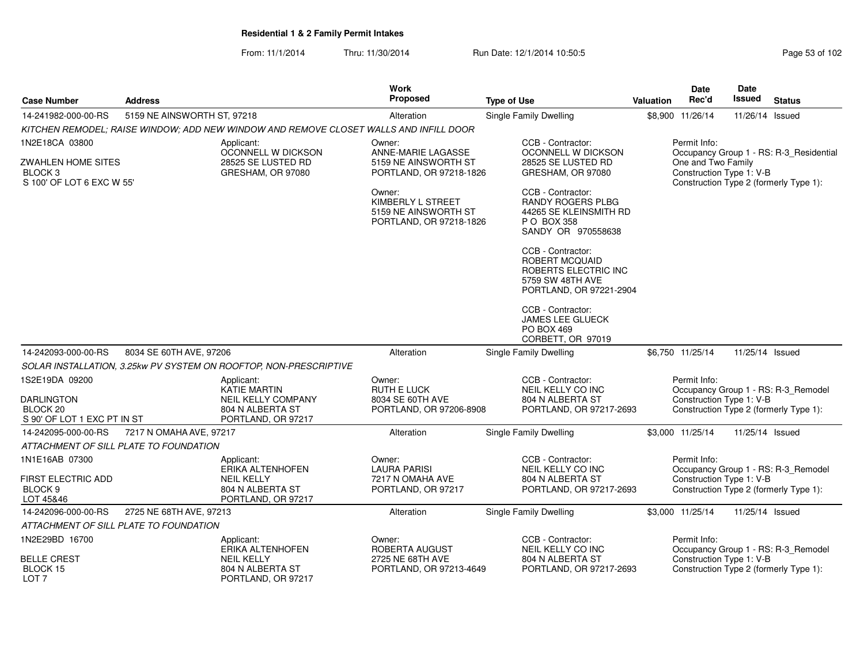From: 11/1/2014Thru: 11/30/2014 Run Date: 12/1/2014 10:50:5<br> **Thru: 11/30/2014** Page 53 of 102

| <b>Case Number</b>                       | <b>Address</b>                         |                                                                                       | <b>Work</b><br><b>Proposed</b>                  | <b>Type of Use</b>                          | <b>Valuation</b> | <b>Date</b><br>Rec'd | <b>Date</b><br><b>Issued</b> | <b>Status</b>                           |
|------------------------------------------|----------------------------------------|---------------------------------------------------------------------------------------|-------------------------------------------------|---------------------------------------------|------------------|----------------------|------------------------------|-----------------------------------------|
| 14-241982-000-00-RS                      | 5159 NE AINSWORTH ST, 97218            |                                                                                       | Alteration                                      | Single Family Dwelling                      |                  | \$8,900 11/26/14     | 11/26/14 Issued              |                                         |
|                                          |                                        | KITCHEN REMODEL; RAISE WINDOW; ADD NEW WINDOW AND REMOVE CLOSET WALLS AND INFILL DOOR |                                                 |                                             |                  |                      |                              |                                         |
| 1N2E18CA 03800                           |                                        | Applicant:                                                                            | Owner:                                          | CCB - Contractor:                           |                  | Permit Info:         |                              |                                         |
|                                          |                                        | OCONNELL W DICKSON                                                                    | ANNE-MARIE LAGASSE                              | OCONNELL W DICKSON                          |                  |                      |                              | Occupancy Group 1 - RS: R-3_Residential |
| <b>ZWAHLEN HOME SITES</b>                |                                        | 28525 SE LUSTED RD                                                                    | 5159 NE AINSWORTH ST                            | 28525 SE LUSTED RD                          |                  | One and Two Family   |                              |                                         |
| BLOCK 3<br>S 100' OF LOT 6 EXC W 55'     |                                        | GRESHAM, OR 97080                                                                     | PORTLAND, OR 97218-1826                         | GRESHAM, OR 97080                           |                  |                      | Construction Type 1: V-B     | Construction Type 2 (formerly Type 1):  |
|                                          |                                        |                                                                                       | Owner:                                          | CCB - Contractor:                           |                  |                      |                              |                                         |
|                                          |                                        |                                                                                       | KIMBERLY L STREET                               | <b>RANDY ROGERS PLBG</b>                    |                  |                      |                              |                                         |
|                                          |                                        |                                                                                       | 5159 NE AINSWORTH ST<br>PORTLAND, OR 97218-1826 | 44265 SE KLEINSMITH RD<br>P O BOX 358       |                  |                      |                              |                                         |
|                                          |                                        |                                                                                       |                                                 | SANDY OR 970558638                          |                  |                      |                              |                                         |
|                                          |                                        |                                                                                       |                                                 | CCB - Contractor:                           |                  |                      |                              |                                         |
|                                          |                                        |                                                                                       |                                                 | <b>ROBERT MCQUAID</b>                       |                  |                      |                              |                                         |
|                                          |                                        |                                                                                       |                                                 | ROBERTS ELECTRIC INC<br>5759 SW 48TH AVE    |                  |                      |                              |                                         |
|                                          |                                        |                                                                                       |                                                 | PORTLAND, OR 97221-2904                     |                  |                      |                              |                                         |
|                                          |                                        |                                                                                       |                                                 | CCB - Contractor:                           |                  |                      |                              |                                         |
|                                          |                                        |                                                                                       |                                                 | <b>JAMES LEE GLUECK</b>                     |                  |                      |                              |                                         |
|                                          |                                        |                                                                                       |                                                 | PO BOX 469<br>CORBETT, OR 97019             |                  |                      |                              |                                         |
| 14-242093-000-00-RS                      | 8034 SE 60TH AVE, 97206                |                                                                                       | Alteration                                      | Single Family Dwelling                      | \$6,750 11/25/14 |                      | 11/25/14 Issued              |                                         |
|                                          |                                        | SOLAR INSTALLATION, 3.25kw PV SYSTEM ON ROOFTOP, NON-PRESCRIPTIVE                     |                                                 |                                             |                  |                      |                              |                                         |
| 1S2E19DA 09200                           |                                        | Applicant:                                                                            | Owner:                                          | CCB - Contractor:                           |                  | Permit Info:         |                              |                                         |
|                                          |                                        | KATIE MARTIN                                                                          | <b>RUTH E LUCK</b>                              | NEIL KELLY CO INC                           |                  |                      |                              | Occupancy Group 1 - RS: R-3_Remodel     |
| <b>DARLINGTON</b><br>BLOCK <sub>20</sub> |                                        | NEIL KELLY COMPANY<br>804 N ALBERTA ST                                                | 8034 SE 60TH AVE<br>PORTLAND, OR 97206-8908     | 804 N ALBERTA ST<br>PORTLAND, OR 97217-2693 |                  |                      | Construction Type 1: V-B     | Construction Type 2 (formerly Type 1):  |
| S 90' OF LOT 1 EXC PT IN ST              |                                        | PORTLAND, OR 97217                                                                    |                                                 |                                             |                  |                      |                              |                                         |
| 14-242095-000-00-RS                      | 7217 N OMAHA AVE, 97217                |                                                                                       | Alteration                                      | Single Family Dwelling                      | \$3,000 11/25/14 |                      | 11/25/14 Issued              |                                         |
|                                          | ATTACHMENT OF SILL PLATE TO FOUNDATION |                                                                                       |                                                 |                                             |                  |                      |                              |                                         |
| 1N1E16AB 07300                           |                                        | Applicant:                                                                            | Owner:                                          | CCB - Contractor:                           |                  | Permit Info:         |                              |                                         |
| FIRST ELECTRIC ADD                       |                                        | ERIKA ALTENHOFEN<br><b>NEIL KELLY</b>                                                 | <b>LAURA PARISI</b><br>7217 N OMAHA AVE         | NEIL KELLY CO INC<br>804 N ALBERTA ST       |                  |                      | Construction Type 1: V-B     | Occupancy Group 1 - RS: R-3_Remodel     |
| BLOCK 9                                  |                                        | 804 N ALBERTA ST                                                                      | PORTLAND, OR 97217                              | PORTLAND, OR 97217-2693                     |                  |                      |                              | Construction Type 2 (formerly Type 1):  |
| LOT 45&46                                |                                        | PORTLAND, OR 97217                                                                    |                                                 |                                             |                  |                      |                              |                                         |
| 14-242096-000-00-RS                      | 2725 NE 68TH AVE, 97213                |                                                                                       | Alteration                                      | Single Family Dwelling                      | \$3,000 11/25/14 |                      | 11/25/14 Issued              |                                         |
|                                          | ATTACHMENT OF SILL PLATE TO FOUNDATION |                                                                                       |                                                 |                                             |                  |                      |                              |                                         |
| 1N2E29BD 16700                           |                                        | Applicant:<br><b>ERIKA ALTENHOFEN</b>                                                 | Owner:<br>ROBERTA AUGUST                        | CCB - Contractor:<br>NEIL KELLY CO INC      |                  | Permit Info:         |                              | Occupancy Group 1 - RS: R-3_Remodel     |
| <b>BELLE CREST</b>                       |                                        | <b>NEIL KELLY</b>                                                                     | 2725 NE 68TH AVE                                | 804 N ALBERTA ST                            |                  |                      | Construction Type 1: V-B     |                                         |
| BLOCK 15                                 |                                        | 804 N ALBERTA ST                                                                      | PORTLAND, OR 97213-4649                         | PORTLAND, OR 97217-2693                     |                  |                      |                              | Construction Type 2 (formerly Type 1):  |
| LOT 7                                    |                                        | PORTLAND, OR 97217                                                                    |                                                 |                                             |                  |                      |                              |                                         |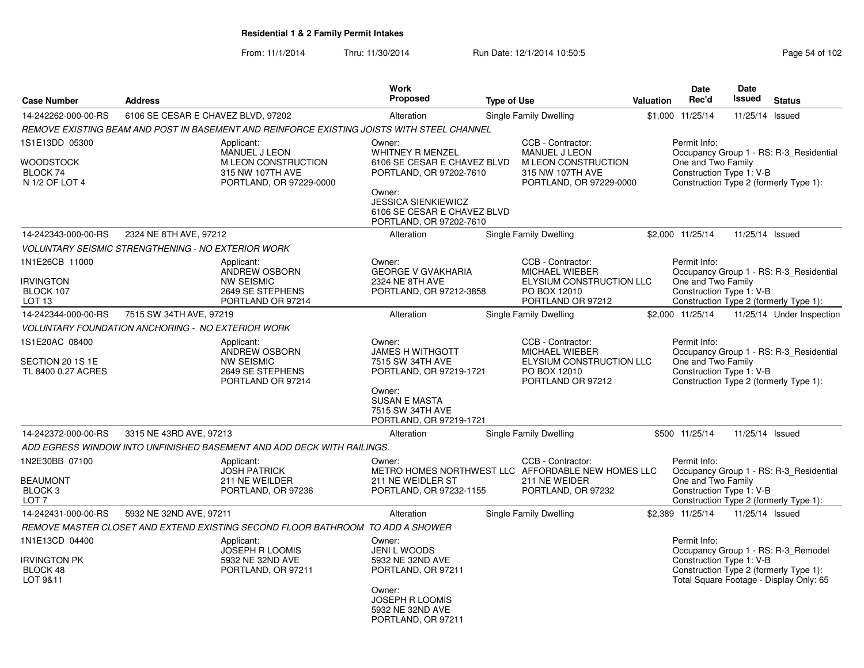From: 11/1/2014Thru: 11/30/2014 Run Date: 12/1/2014 10:50:5<br>
Page 54 of 102

|                                                                             |                                                                                            |                                                | <b>Work</b>                                                                                                                                                                                   |                    |                                                                                                                 |                  | <b>Date</b>                                                    | Date            |                                                                                                                          |
|-----------------------------------------------------------------------------|--------------------------------------------------------------------------------------------|------------------------------------------------|-----------------------------------------------------------------------------------------------------------------------------------------------------------------------------------------------|--------------------|-----------------------------------------------------------------------------------------------------------------|------------------|----------------------------------------------------------------|-----------------|--------------------------------------------------------------------------------------------------------------------------|
| <b>Case Number</b>                                                          | <b>Address</b>                                                                             |                                                | <b>Proposed</b>                                                                                                                                                                               | <b>Type of Use</b> |                                                                                                                 | <b>Valuation</b> | Rec'd                                                          | <b>Issued</b>   | <b>Status</b>                                                                                                            |
| 14-242262-000-00-RS                                                         | 6106 SE CESAR E CHAVEZ BLVD, 97202                                                         |                                                | Alteration                                                                                                                                                                                    |                    | Single Family Dwelling                                                                                          |                  | \$1,000 11/25/14                                               | 11/25/14 Issued |                                                                                                                          |
|                                                                             | REMOVE EXISTING BEAM AND POST IN BASEMENT AND REINFORCE EXISTING JOISTS WITH STEEL CHANNEL |                                                |                                                                                                                                                                                               |                    |                                                                                                                 |                  |                                                                |                 |                                                                                                                          |
| 1S1E13DD 05300<br>WOODSTOCK<br>BLOCK 74<br>N 1/2 OF LOT 4                   | Applicant:<br><b>MANUEL J LEON</b><br>315 NW 107TH AVE                                     | M LEON CONSTRUCTION<br>PORTLAND, OR 97229-0000 | Owner:<br><b>WHITNEY R MENZEL</b><br>6106 SE CESAR E CHAVEZ BLVD<br>PORTLAND, OR 97202-7610<br>Owner:<br><b>JESSICA SIENKIEWICZ</b><br>6106 SE CESAR E CHAVEZ BLVD<br>PORTLAND, OR 97202-7610 |                    | CCB - Contractor:<br><b>MANUEL J LEON</b><br>M LEON CONSTRUCTION<br>315 NW 107TH AVE<br>PORTLAND, OR 97229-0000 |                  | Permit Info:<br>One and Two Family<br>Construction Type 1: V-B |                 | Occupancy Group 1 - RS: R-3 Residential<br>Construction Type 2 (formerly Type 1):                                        |
| 14-242343-000-00-RS                                                         | 2324 NE 8TH AVE, 97212                                                                     |                                                | Alteration                                                                                                                                                                                    |                    | Single Family Dwelling                                                                                          |                  | \$2,000 11/25/14                                               | 11/25/14 Issued |                                                                                                                          |
|                                                                             | VOLUNTARY SEISMIC STRENGTHENING - NO EXTERIOR WORK                                         |                                                |                                                                                                                                                                                               |                    |                                                                                                                 |                  |                                                                |                 |                                                                                                                          |
| 1N1E26CB 11000<br><b>IRVINGTON</b><br>BLOCK 107<br><b>LOT 13</b>            | Applicant:<br>ANDREW OSBORN<br><b>NW SEISMIC</b><br>2649 SE STEPHENS<br>PORTLAND OR 97214  |                                                | Owner:<br><b>GEORGE V GVAKHARIA</b><br>2324 NE 8TH AVE<br>PORTLAND, OR 97212-3858                                                                                                             |                    | CCB - Contractor:<br><b>MICHAEL WIEBER</b><br>ELYSIUM CONSTRUCTION LLC<br>PO BOX 12010<br>PORTLAND OR 97212     |                  | Permit Info:<br>One and Two Family<br>Construction Type 1: V-B |                 | Occupancy Group 1 - RS: R-3_Residential<br>Construction Type 2 (formerly Type 1):                                        |
| 14-242344-000-00-RS                                                         | 7515 SW 34TH AVE, 97219                                                                    |                                                | Alteration                                                                                                                                                                                    |                    | Single Family Dwelling                                                                                          |                  | \$2,000 11/25/14                                               |                 | 11/25/14 Under Inspection                                                                                                |
|                                                                             | <b>VOLUNTARY FOUNDATION ANCHORING - NO EXTERIOR WORK</b>                                   |                                                |                                                                                                                                                                                               |                    |                                                                                                                 |                  |                                                                |                 |                                                                                                                          |
| 1S1E20AC 08400<br>SECTION 20 1S 1E<br>TL 8400 0.27 ACRES                    | Applicant:<br>ANDREW OSBORN<br><b>NW SEISMIC</b><br>2649 SE STEPHENS<br>PORTLAND OR 97214  |                                                | Owner:<br><b>JAMES H WITHGOTT</b><br>7515 SW 34TH AVE<br>PORTLAND, OR 97219-1721<br>Owner:<br><b>SUSAN E MASTA</b><br>7515 SW 34TH AVE<br>PORTLAND, OR 97219-1721                             |                    | CCB - Contractor:<br>MICHAEL WIEBER<br>ELYSIUM CONSTRUCTION LLC<br>PO BOX 12010<br>PORTLAND OR 97212            |                  | Permit Info:<br>One and Two Family<br>Construction Type 1: V-B |                 | Occupancy Group 1 - RS: R-3_Residential<br>Construction Type 2 (formerly Type 1):                                        |
| 14-242372-000-00-RS                                                         | 3315 NE 43RD AVE, 97213                                                                    |                                                | Alteration                                                                                                                                                                                    |                    | Single Family Dwelling                                                                                          |                  | \$500 11/25/14                                                 | 11/25/14 Issued |                                                                                                                          |
|                                                                             | ADD EGRESS WINDOW INTO UNFINISHED BASEMENT AND ADD DECK WITH RAILINGS.                     |                                                |                                                                                                                                                                                               |                    |                                                                                                                 |                  |                                                                |                 |                                                                                                                          |
| 1N2E30BB 07100<br><b>BEAUMONT</b><br>BLOCK <sub>3</sub><br>LOT <sub>7</sub> | Applicant:<br><b>JOSH PATRICK</b><br>211 NE WEILDER<br>PORTLAND, OR 97236                  |                                                | Owner:<br>211 NE WEIDLER ST<br>PORTLAND, OR 97232-1155                                                                                                                                        |                    | CCB - Contractor:<br>METRO HOMES NORTHWEST LLC AFFORDABLE NEW HOMES LLC<br>211 NE WEIDER<br>PORTLAND, OR 97232  |                  | Permit Info:<br>One and Two Family<br>Construction Type 1: V-B |                 | Occupancy Group 1 - RS: R-3_Residential<br>Construction Type 2 (formerly Type 1):                                        |
| 14-242431-000-00-RS                                                         | 5932 NE 32ND AVE, 97211                                                                    |                                                | Alteration                                                                                                                                                                                    |                    | Single Family Dwelling                                                                                          |                  | \$2.389 11/25/14                                               | 11/25/14 Issued |                                                                                                                          |
|                                                                             | REMOVE MASTER CLOSET AND EXTEND EXISTING SECOND FLOOR BATHROOM TO ADD A SHOWER             |                                                |                                                                                                                                                                                               |                    |                                                                                                                 |                  |                                                                |                 |                                                                                                                          |
| 1N1E13CD 04400<br><b>IRVINGTON PK</b><br>BLOCK 48<br>LOT 9&11               | Applicant:<br><b>JOSEPH R LOOMIS</b><br>5932 NE 32ND AVE<br>PORTLAND, OR 97211             |                                                | Owner:<br><b>JENI L WOODS</b><br>5932 NE 32ND AVE<br>PORTLAND, OR 97211<br>Owner:<br><b>JOSEPH R LOOMIS</b><br>5932 NE 32ND AVE<br>PORTLAND, OR 97211                                         |                    |                                                                                                                 |                  | Permit Info:<br>Construction Type 1: V-B                       |                 | Occupancy Group 1 - RS: R-3_Remodel<br>Construction Type 2 (formerly Type 1):<br>Total Square Footage - Display Only: 65 |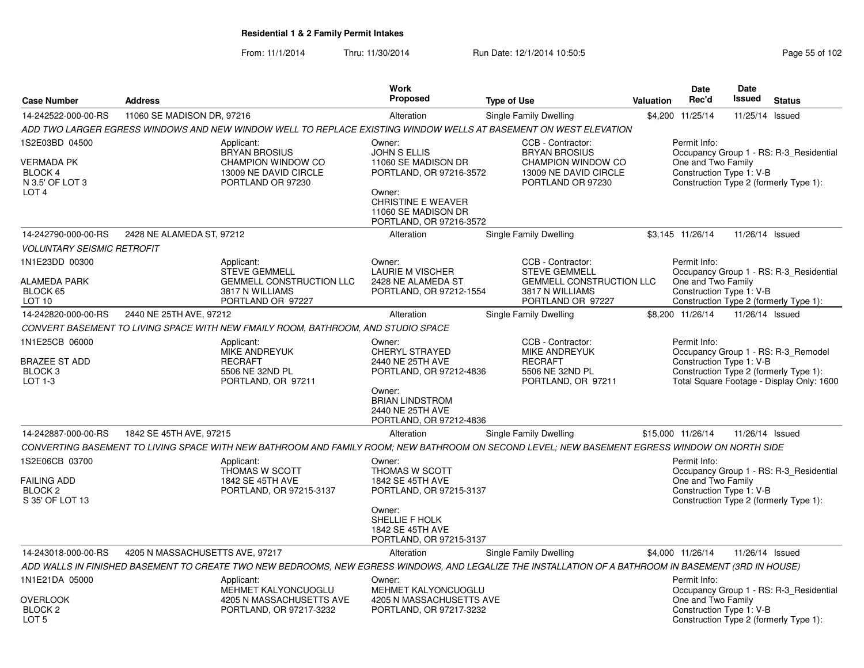From: 11/1/2014Thru: 11/30/2014 Run Date: 12/1/2014 10:50:5<br>
Page 55 of 102

|                                                                                       |                                 |                                                                                                               | <b>Work</b>                                                                                                                                                       |                                                                                                                                                       |           | <b>Date</b>                                                    | <b>Date</b>     |                                                                                                                            |
|---------------------------------------------------------------------------------------|---------------------------------|---------------------------------------------------------------------------------------------------------------|-------------------------------------------------------------------------------------------------------------------------------------------------------------------|-------------------------------------------------------------------------------------------------------------------------------------------------------|-----------|----------------------------------------------------------------|-----------------|----------------------------------------------------------------------------------------------------------------------------|
| <b>Case Number</b>                                                                    | <b>Address</b>                  |                                                                                                               | <b>Proposed</b>                                                                                                                                                   | <b>Type of Use</b>                                                                                                                                    | Valuation | Rec'd                                                          | Issued          | <b>Status</b>                                                                                                              |
| 14-242522-000-00-RS                                                                   | 11060 SE MADISON DR, 97216      |                                                                                                               | Alteration                                                                                                                                                        | Single Family Dwelling                                                                                                                                |           | \$4,200 11/25/14                                               | 11/25/14 Issued |                                                                                                                            |
|                                                                                       |                                 |                                                                                                               |                                                                                                                                                                   | ADD TWO LARGER EGRESS WINDOWS AND NEW WINDOW WELL TO REPLACE EXISTING WINDOW WELLS AT BASEMENT ON WEST ELEVATION                                      |           |                                                                |                 |                                                                                                                            |
| 1S2E03BD 04500<br>VERMADA PK<br><b>BLOCK 4</b><br>N 3.5' OF LOT 3<br>LOT <sub>4</sub> |                                 | Applicant:<br><b>BRYAN BROSIUS</b><br>CHAMPION WINDOW CO<br>13009 NE DAVID CIRCLE<br>PORTLAND OR 97230        | Owner:<br>JOHN S ELLIS<br>11060 SE MADISON DR<br>PORTLAND, OR 97216-3572<br>Owner:<br><b>CHRISTINE E WEAVER</b><br>11060 SE MADISON DR<br>PORTLAND, OR 97216-3572 | CCB - Contractor:<br><b>BRYAN BROSIUS</b><br>CHAMPION WINDOW CO<br>13009 NE DAVID CIRCLE<br>PORTLAND OR 97230                                         |           | Permit Info:<br>One and Two Family<br>Construction Type 1: V-B |                 | Occupancy Group 1 - RS: R-3_Residential<br>Construction Type 2 (formerly Type 1):                                          |
| 14-242790-000-00-RS                                                                   | 2428 NE ALAMEDA ST, 97212       |                                                                                                               | Alteration                                                                                                                                                        | Single Family Dwelling                                                                                                                                |           | \$3,145 11/26/14                                               | 11/26/14 Issued |                                                                                                                            |
| <b>VOLUNTARY SEISMIC RETROFIT</b>                                                     |                                 |                                                                                                               |                                                                                                                                                                   |                                                                                                                                                       |           |                                                                |                 |                                                                                                                            |
| 1N1E23DD 00300<br><b>ALAMEDA PARK</b><br>BLOCK 65<br>LOT 10                           |                                 | Applicant:<br><b>STEVE GEMMELL</b><br><b>GEMMELL CONSTRUCTION LLC</b><br>3817 N WILLIAMS<br>PORTLAND OR 97227 | Owner:<br><b>LAURIE M VISCHER</b><br>2428 NE ALAMEDA ST<br>PORTLAND, OR 97212-1554                                                                                | CCB - Contractor:<br><b>STEVE GEMMELL</b><br><b>GEMMELL CONSTRUCTION LLC</b><br>3817 N WILLIAMS<br>PORTLAND OR 97227                                  |           | Permit Info:<br>One and Two Family<br>Construction Type 1: V-B |                 | Occupancy Group 1 - RS: R-3_Residential<br>Construction Type 2 (formerly Type 1):                                          |
| 14-242820-000-00-RS                                                                   | 2440 NE 25TH AVE, 97212         |                                                                                                               | Alteration                                                                                                                                                        | Single Family Dwelling                                                                                                                                |           | \$8,200 11/26/14                                               | 11/26/14 Issued |                                                                                                                            |
|                                                                                       |                                 | CONVERT BASEMENT TO LIVING SPACE WITH NEW FMAILY ROOM, BATHROOM, AND STUDIO SPACE                             |                                                                                                                                                                   |                                                                                                                                                       |           |                                                                |                 |                                                                                                                            |
| 1N1E25CB 06000<br><b>BRAZEE ST ADD</b><br>BLOCK <sub>3</sub><br>LOT 1-3               |                                 | Applicant:<br>MIKE ANDREYUK<br><b>RECRAFT</b><br>5506 NE 32ND PL<br>PORTLAND, OR 97211                        | Owner:<br><b>CHERYL STRAYED</b><br>2440 NE 25TH AVE<br>PORTLAND, OR 97212-4836                                                                                    | CCB - Contractor:<br><b>MIKE ANDREYUK</b><br><b>RECRAFT</b><br>5506 NE 32ND PL<br>PORTLAND, OR 97211                                                  |           | Permit Info:<br>Construction Type 1: V-B                       |                 | Occupancy Group 1 - RS: R-3 Remodel<br>Construction Type 2 (formerly Type 1):<br>Total Square Footage - Display Only: 1600 |
|                                                                                       |                                 |                                                                                                               | Owner:<br><b>BRIAN LINDSTROM</b><br>2440 NE 25TH AVE<br>PORTLAND, OR 97212-4836                                                                                   |                                                                                                                                                       |           |                                                                |                 |                                                                                                                            |
| 14-242887-000-00-RS                                                                   | 1842 SE 45TH AVE, 97215         |                                                                                                               | Alteration                                                                                                                                                        | Single Family Dwelling                                                                                                                                |           | \$15,000 11/26/14                                              | 11/26/14 Issued |                                                                                                                            |
|                                                                                       |                                 |                                                                                                               |                                                                                                                                                                   | CONVERTING BASEMENT TO LIVING SPACE WITH NEW BATHROOM AND FAMILY ROOM: NEW BATHROOM ON SECOND LEVEL; NEW BASEMENT EGRESS WINDOW ON NORTH SIDE         |           |                                                                |                 |                                                                                                                            |
| 1S2E06CB 03700<br><b>FAILING ADD</b><br>BLOCK <sub>2</sub><br>S 35' OF LOT 13         |                                 | Applicant:<br>THOMAS W SCOTT<br>1842 SE 45TH AVE<br>PORTLAND, OR 97215-3137                                   | Owner:<br><b>THOMAS W SCOTT</b><br>1842 SE 45TH AVE<br>PORTLAND, OR 97215-3137                                                                                    |                                                                                                                                                       |           | Permit Info:<br>One and Two Family<br>Construction Type 1: V-B |                 | Occupancy Group 1 - RS: R-3 Residential<br>Construction Type 2 (formerly Type 1):                                          |
|                                                                                       |                                 |                                                                                                               | Owner:<br>SHELLIE F HOLK<br>1842 SE 45TH AVE<br>PORTLAND, OR 97215-3137                                                                                           |                                                                                                                                                       |           |                                                                |                 |                                                                                                                            |
| 14-243018-000-00-RS                                                                   | 4205 N MASSACHUSETTS AVE, 97217 |                                                                                                               | Alteration                                                                                                                                                        | Single Family Dwelling                                                                                                                                |           | \$4,000 11/26/14                                               | 11/26/14 Issued |                                                                                                                            |
|                                                                                       |                                 |                                                                                                               |                                                                                                                                                                   | ADD WALLS IN FINISHED BASEMENT TO CREATE TWO NEW BEDROOMS, NEW EGRESS WINDOWS, AND LEGALIZE THE INSTALLATION OF A BATHROOM IN BASEMENT (3RD IN HOUSE) |           |                                                                |                 |                                                                                                                            |
| 1N1E21DA 05000<br><b>OVERLOOK</b><br>BLOCK <sub>2</sub><br>LOT <sub>5</sub>           |                                 | Applicant:<br><b>MEHMET KALYONCUOGLU</b><br>4205 N MASSACHUSETTS AVE<br>PORTLAND, OR 97217-3232               | Owner:<br><b>MEHMET KALYONCUOGLU</b><br>4205 N MASSACHUSETTS AVE<br>PORTLAND, OR 97217-3232                                                                       |                                                                                                                                                       |           | Permit Info:<br>One and Two Family<br>Construction Type 1: V-B |                 | Occupancy Group 1 - RS: R-3_Residential<br>Construction Type 2 (formerly Type 1):                                          |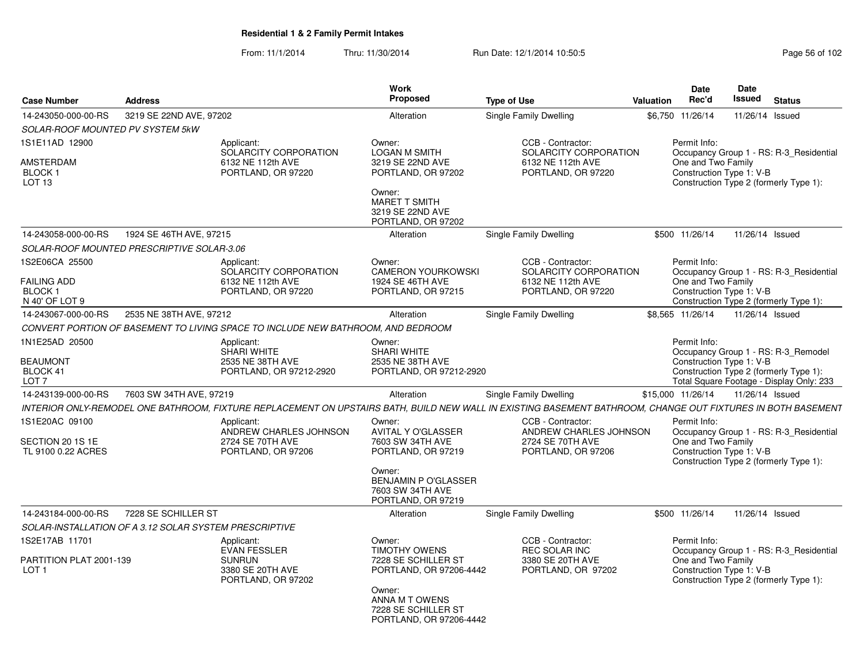From: 11/1/2014Thru: 11/30/2014 Run Date: 12/1/2014 10:50:5<br>
Page 56 of 102

| <b>Case Number</b>                                                            | <b>Address</b>                                         |                                                                                              | Work<br>Proposed                                                                                                                                                 | <b>Type of Use</b>                                                                                                                                           | Valuation | <b>Date</b><br>Rec'd               | Date<br>Issued           | <b>Status</b>                                                                                                             |
|-------------------------------------------------------------------------------|--------------------------------------------------------|----------------------------------------------------------------------------------------------|------------------------------------------------------------------------------------------------------------------------------------------------------------------|--------------------------------------------------------------------------------------------------------------------------------------------------------------|-----------|------------------------------------|--------------------------|---------------------------------------------------------------------------------------------------------------------------|
| 14-243050-000-00-RS                                                           | 3219 SE 22ND AVE, 97202                                |                                                                                              | Alteration                                                                                                                                                       | Single Family Dwelling                                                                                                                                       |           | \$6,750 11/26/14                   |                          | 11/26/14 Issued                                                                                                           |
| <b>SOLAR-ROOF MOUNTED PV SYSTEM 5kW</b>                                       |                                                        |                                                                                              |                                                                                                                                                                  |                                                                                                                                                              |           |                                    |                          |                                                                                                                           |
| 1S1E11AD 12900<br><b>AMSTERDAM</b><br>BLOCK <sub>1</sub><br>LOT <sub>13</sub> |                                                        | Applicant:<br>SOLARCITY CORPORATION<br>6132 NE 112th AVE<br>PORTLAND, OR 97220               | Owner:<br><b>LOGAN M SMITH</b><br>3219 SE 22ND AVE<br>PORTLAND, OR 97202<br>Owner:<br><b>MARET T SMITH</b><br>3219 SE 22ND AVE<br>PORTLAND, OR 97202             | CCB - Contractor:<br>SOLARCITY CORPORATION<br>6132 NE 112th AVE<br>PORTLAND, OR 97220                                                                        |           | Permit Info:<br>One and Two Family | Construction Type 1: V-B | Occupancy Group 1 - RS: R-3_Residential<br>Construction Type 2 (formerly Type 1):                                         |
| 14-243058-000-00-RS                                                           | 1924 SE 46TH AVE, 97215                                |                                                                                              | Alteration                                                                                                                                                       | <b>Single Family Dwelling</b>                                                                                                                                |           | \$500 11/26/14                     |                          | 11/26/14 Issued                                                                                                           |
|                                                                               | SOLAR-ROOF MOUNTED PRESCRIPTIVE SOLAR-3.06             |                                                                                              |                                                                                                                                                                  |                                                                                                                                                              |           |                                    |                          |                                                                                                                           |
| 1S2E06CA 25500<br><b>FAILING ADD</b><br>BLOCK <sub>1</sub><br>N 40' OF LOT 9  |                                                        | Applicant:<br>SOLARCITY CORPORATION<br>6132 NE 112th AVE<br>PORTLAND, OR 97220               | Owner:<br><b>CAMERON YOURKOWSKI</b><br>1924 SE 46TH AVE<br>PORTLAND, OR 97215                                                                                    | CCB - Contractor:<br>SOLARCITY CORPORATION<br>6132 NE 112th AVE<br>PORTLAND, OR 97220                                                                        |           | Permit Info:<br>One and Two Family | Construction Type 1: V-B | Occupancy Group 1 - RS: R-3_Residential<br>Construction Type 2 (formerly Type 1):                                         |
| 14-243067-000-00-RS                                                           | 2535 NE 38TH AVE, 97212                                |                                                                                              | Alteration                                                                                                                                                       | Single Family Dwelling                                                                                                                                       |           | \$8.565 11/26/14                   |                          | 11/26/14 Issued                                                                                                           |
|                                                                               |                                                        | CONVERT PORTION OF BASEMENT TO LIVING SPACE TO INCLUDE NEW BATHROOM. AND BEDROOM             |                                                                                                                                                                  |                                                                                                                                                              |           |                                    |                          |                                                                                                                           |
| 1N1E25AD 20500<br><b>BEAUMONT</b><br>BLOCK 41<br>LOT 7                        |                                                        | Applicant:<br><b>SHARI WHITE</b><br>2535 NE 38TH AVE<br>PORTLAND, OR 97212-2920              | Owner:<br><b>SHARI WHITE</b><br>2535 NE 38TH AVE<br>PORTLAND, OR 97212-2920                                                                                      |                                                                                                                                                              |           | Permit Info:                       | Construction Type 1: V-B | Occupancy Group 1 - RS: R-3 Remodel<br>Construction Type 2 (formerly Type 1):<br>Total Square Footage - Display Only: 233 |
| 14-243139-000-00-RS                                                           | 7603 SW 34TH AVE, 97219                                |                                                                                              | Alteration                                                                                                                                                       | Single Family Dwelling                                                                                                                                       |           | \$15,000 11/26/14                  |                          | 11/26/14 Issued                                                                                                           |
|                                                                               |                                                        |                                                                                              |                                                                                                                                                                  | INTERIOR ONLY-REMODEL ONE BATHROOM, FIXTURE REPLACEMENT ON UPSTAIRS BATH, BUILD NEW WALL IN EXISTING BASEMENT BATHROOM, CHANGE OUT FIXTURES IN BOTH BASEMENT |           |                                    |                          |                                                                                                                           |
| 1S1E20AC 09100<br>SECTION 20 1S 1E<br>TL 9100 0.22 ACRES                      |                                                        | Applicant:<br>ANDREW CHARLES JOHNSON<br>2724 SE 70TH AVE<br>PORTLAND, OR 97206               | Owner:<br><b>AVITAL Y O'GLASSER</b><br>7603 SW 34TH AVE<br>PORTLAND, OR 97219<br>Owner:<br><b>BENJAMIN P O'GLASSER</b><br>7603 SW 34TH AVE<br>PORTLAND, OR 97219 | CCB - Contractor:<br>ANDREW CHARLES JOHNSON<br>2724 SE 70TH AVE<br>PORTLAND, OR 97206                                                                        |           | Permit Info:<br>One and Two Family | Construction Type 1: V-B | Occupancy Group 1 - RS: R-3_Residential<br>Construction Type 2 (formerly Type 1):                                         |
| 14-243184-000-00-RS                                                           | 7228 SE SCHILLER ST                                    |                                                                                              | Alteration                                                                                                                                                       | Single Family Dwelling                                                                                                                                       |           | \$500 11/26/14                     |                          | 11/26/14 Issued                                                                                                           |
|                                                                               | SOLAR-INSTALLATION OF A 3.12 SOLAR SYSTEM PRESCRIPTIVE |                                                                                              |                                                                                                                                                                  |                                                                                                                                                              |           |                                    |                          |                                                                                                                           |
| 1S2E17AB 11701<br>PARTITION PLAT 2001-139<br>LOT <sub>1</sub>                 |                                                        | Applicant:<br><b>EVAN FESSLER</b><br><b>SUNRUN</b><br>3380 SE 20TH AVE<br>PORTLAND, OR 97202 | Owner:<br>TIMOTHY OWENS<br>7228 SE SCHILLER ST<br>PORTLAND, OR 97206-4442<br>Owner:<br>ANNA M T OWENS                                                            | CCB - Contractor:<br><b>REC SOLAR INC</b><br>3380 SE 20TH AVE<br>PORTLAND, OR 97202                                                                          |           | Permit Info:<br>One and Two Family | Construction Type 1: V-B | Occupancy Group 1 - RS: R-3 Residential<br>Construction Type 2 (formerly Type 1):                                         |
|                                                                               |                                                        |                                                                                              | 7228 SE SCHILLER ST<br>PORTLAND, OR 97206-4442                                                                                                                   |                                                                                                                                                              |           |                                    |                          |                                                                                                                           |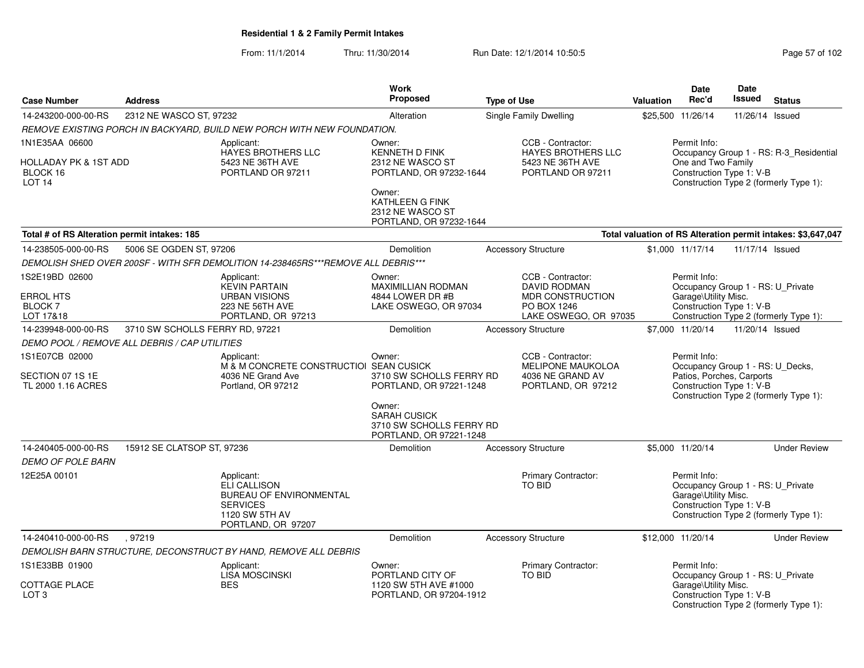From: 11/1/2014Thru: 11/30/2014 Run Date: 12/1/2014 10:50:5<br>
Page 57 of 102

| <b>Case Number</b>                                                       | <b>Address</b>                  |                                                                                                                         | <b>Work</b><br>Proposed                                                                                                                               | <b>Type of Use</b> |                                                                                                             | Valuation | <b>Date</b><br>Rec'd                                                                                      | <b>Date</b><br>Issued | <b>Status</b>                                                                     |
|--------------------------------------------------------------------------|---------------------------------|-------------------------------------------------------------------------------------------------------------------------|-------------------------------------------------------------------------------------------------------------------------------------------------------|--------------------|-------------------------------------------------------------------------------------------------------------|-----------|-----------------------------------------------------------------------------------------------------------|-----------------------|-----------------------------------------------------------------------------------|
| 14-243200-000-00-RS                                                      | 2312 NE WASCO ST, 97232         |                                                                                                                         | Alteration                                                                                                                                            |                    | Single Family Dwelling                                                                                      |           | \$25,500 11/26/14                                                                                         | 11/26/14 Issued       |                                                                                   |
|                                                                          |                                 | REMOVE EXISTING PORCH IN BACKYARD, BUILD NEW PORCH WITH NEW FOUNDATION.                                                 |                                                                                                                                                       |                    |                                                                                                             |           |                                                                                                           |                       |                                                                                   |
| 1N1E35AA 06600<br>HOLLADAY PK & 1ST ADD<br>BLOCK 16<br>LOT <sub>14</sub> |                                 | Applicant:<br><b>HAYES BROTHERS LLC</b><br>5423 NE 36TH AVE<br>PORTLAND OR 97211                                        | Owner:<br>KENNETH D FINK<br>2312 NE WASCO ST<br>PORTLAND, OR 97232-1644                                                                               |                    | CCB - Contractor:<br>HAYES BROTHERS LLC<br>5423 NE 36TH AVE<br>PORTLAND OR 97211                            |           | Permit Info:<br>One and Two Family<br>Construction Type 1: V-B                                            |                       | Occupancy Group 1 - RS: R-3_Residential<br>Construction Type 2 (formerly Type 1): |
|                                                                          |                                 |                                                                                                                         | Owner:<br>KATHLEEN G FINK<br>2312 NE WASCO ST<br>PORTLAND, OR 97232-1644                                                                              |                    |                                                                                                             |           |                                                                                                           |                       |                                                                                   |
| Total # of RS Alteration permit intakes: 185                             |                                 |                                                                                                                         |                                                                                                                                                       |                    |                                                                                                             |           |                                                                                                           |                       | Total valuation of RS Alteration permit intakes: \$3,647,047                      |
| 14-238505-000-00-RS                                                      | 5006 SE OGDEN ST, 97206         |                                                                                                                         | Demolition                                                                                                                                            |                    | <b>Accessory Structure</b>                                                                                  |           | \$1,000 11/17/14                                                                                          | 11/17/14 Issued       |                                                                                   |
|                                                                          |                                 | DEMOLISH SHED OVER 200SF - WITH SFR DEMOLITION 14-238465RS***REMOVE ALL DEBRIS***                                       |                                                                                                                                                       |                    |                                                                                                             |           |                                                                                                           |                       |                                                                                   |
| 1S2E19BD 02600<br>ERROL HTS<br>BLOCK 7<br>LOT 17&18                      |                                 | Applicant:<br><b>KEVIN PARTAIN</b><br><b>URBAN VISIONS</b><br>223 NE 56TH AVE<br>PORTLAND, OR 97213                     | Owner:<br><b>MAXIMILLIAN RODMAN</b><br>4844 LOWER DR #B<br>LAKE OSWEGO, OR 97034                                                                      |                    | CCB - Contractor:<br><b>DAVID RODMAN</b><br><b>MDR CONSTRUCTION</b><br>PO BOX 1246<br>LAKE OSWEGO, OR 97035 |           | Permit Info:<br>Occupancy Group 1 - RS: U_Private<br>Garage\Utility Misc.<br>Construction Type 1: V-B     |                       | Construction Type 2 (formerly Type 1):                                            |
| 14-239948-000-00-RS                                                      | 3710 SW SCHOLLS FERRY RD, 97221 |                                                                                                                         | Demolition                                                                                                                                            |                    | <b>Accessory Structure</b>                                                                                  |           | \$7,000 11/20/14                                                                                          | 11/20/14 Issued       |                                                                                   |
| DEMO POOL / REMOVE ALL DEBRIS / CAP UTILITIES                            |                                 |                                                                                                                         |                                                                                                                                                       |                    |                                                                                                             |           |                                                                                                           |                       |                                                                                   |
| 1S1E07CB 02000<br>SECTION 07 1S 1E<br>TL 2000 1.16 ACRES                 |                                 | Applicant:<br>M & M CONCRETE CONSTRUCTIOI SEAN CUSICK<br>4036 NE Grand Ave<br>Portland, OR 97212                        | Owner:<br>3710 SW SCHOLLS FERRY RD<br>PORTLAND, OR 97221-1248<br>Owner:<br><b>SARAH CUSICK</b><br>3710 SW SCHOLLS FERRY RD<br>PORTLAND, OR 97221-1248 |                    | CCB - Contractor:<br><b>MELIPONE MAUKOLOA</b><br>4036 NE GRAND AV<br>PORTLAND, OR 97212                     |           | Permit Info:<br>Occupancy Group 1 - RS: U_Decks,<br>Patios, Porches, Carports<br>Construction Type 1: V-B |                       | Construction Type 2 (formerly Type 1):                                            |
| 14-240405-000-00-RS                                                      | 15912 SE CLATSOP ST, 97236      |                                                                                                                         | Demolition                                                                                                                                            |                    | <b>Accessory Structure</b>                                                                                  |           | \$5,000 11/20/14                                                                                          |                       | <b>Under Review</b>                                                               |
| <b>DEMO OF POLE BARN</b>                                                 |                                 |                                                                                                                         |                                                                                                                                                       |                    |                                                                                                             |           |                                                                                                           |                       |                                                                                   |
| 12E25A 00101                                                             |                                 | Applicant:<br><b>ELI CALLISON</b><br>BUREAU OF ENVIRONMENTAL<br><b>SERVICES</b><br>1120 SW 5TH AV<br>PORTLAND, OR 97207 |                                                                                                                                                       |                    | Primary Contractor:<br>TO BID                                                                               |           | Permit Info:<br>Occupancy Group 1 - RS: U Private<br>Garage\Utility Misc.<br>Construction Type 1: V-B     |                       | Construction Type 2 (formerly Type 1):                                            |
| 14-240410-000-00-RS                                                      | .97219                          |                                                                                                                         | Demolition                                                                                                                                            |                    | <b>Accessory Structure</b>                                                                                  |           | \$12,000 11/20/14                                                                                         |                       | <b>Under Review</b>                                                               |
|                                                                          |                                 | DEMOLISH BARN STRUCTURE, DECONSTRUCT BY HAND, REMOVE ALL DEBRIS                                                         |                                                                                                                                                       |                    |                                                                                                             |           |                                                                                                           |                       |                                                                                   |
| 1S1E33BB 01900                                                           |                                 | Applicant:<br><b>LISA MOSCINSKI</b>                                                                                     | Owner:<br>PORTLAND CITY OF                                                                                                                            |                    | Primary Contractor:<br>TO BID                                                                               |           | Permit Info:<br>Occupancy Group 1 - RS: U_Private                                                         |                       |                                                                                   |
| COTTAGE PLACE<br>LOT <sub>3</sub>                                        |                                 | <b>BES</b>                                                                                                              | 1120 SW 5TH AVE #1000<br>PORTLAND, OR 97204-1912                                                                                                      |                    |                                                                                                             |           | Garage\Utility Misc.<br>Construction Type 1: V-B                                                          |                       | Construction Type 2 (formerly Type 1):                                            |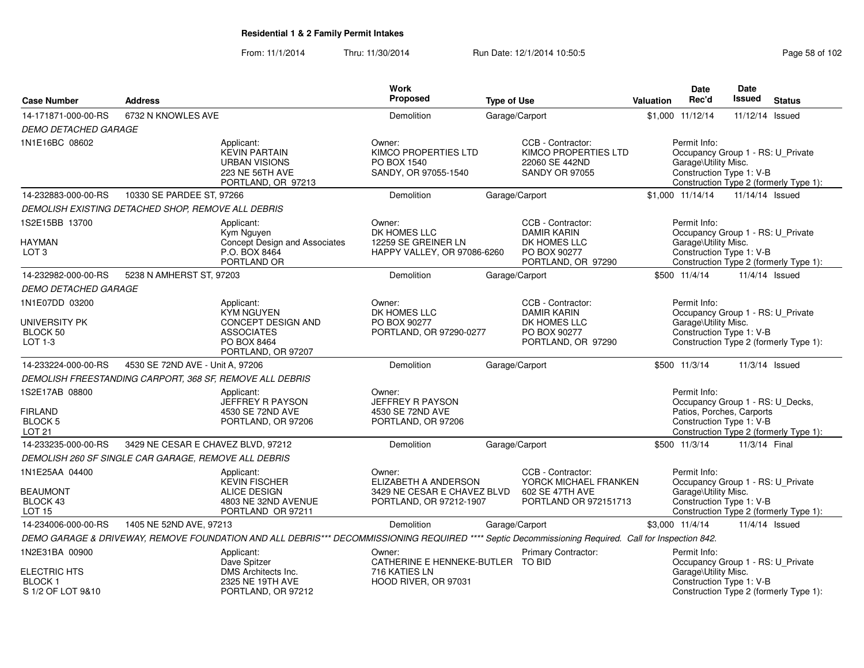From: 11/1/2014Thru: 11/30/2014 Run Date: 12/1/2014 10:50:5<br>
Page 58 of 102

| <b>Case Number</b>                                                  | <b>Address</b>                                           |                                                                                                                                                     | <b>Work</b><br>Proposed                                               | <b>Type of Use</b> |                                                                                      | Valuation | Date<br>Rec'd                                                                                             | <b>Date</b><br>Issued | <b>Status</b>                                                               |
|---------------------------------------------------------------------|----------------------------------------------------------|-----------------------------------------------------------------------------------------------------------------------------------------------------|-----------------------------------------------------------------------|--------------------|--------------------------------------------------------------------------------------|-----------|-----------------------------------------------------------------------------------------------------------|-----------------------|-----------------------------------------------------------------------------|
| 14-171871-000-00-RS                                                 | 6732 N KNOWLES AVE                                       |                                                                                                                                                     | Demolition                                                            |                    | Garage/Carport                                                                       |           | \$1,000 11/12/14                                                                                          | 11/12/14 Issued       |                                                                             |
| <b>DEMO DETACHED GARAGE</b>                                         |                                                          |                                                                                                                                                     |                                                                       |                    |                                                                                      |           |                                                                                                           |                       |                                                                             |
| 1N1E16BC 08602                                                      |                                                          | Applicant:<br><b>KEVIN PARTAIN</b><br><b>URBAN VISIONS</b><br>223 NE 56TH AVE<br>PORTLAND, OR 97213                                                 | Owner:<br>KIMCO PROPERTIES LTD<br>PO BOX 1540<br>SANDY, OR 97055-1540 |                    | CCB - Contractor:<br>KIMCO PROPERTIES LTD<br>22060 SE 442ND<br><b>SANDY OR 97055</b> |           | Permit Info:<br>Garage\Utility Misc.<br>Construction Type 1: V-B                                          |                       | Occupancy Group 1 - RS: U_Private<br>Construction Type 2 (formerly Type 1): |
| 14-232883-000-00-RS                                                 | 10330 SE PARDEE ST, 97266                                |                                                                                                                                                     | Demolition                                                            |                    | Garage/Carport                                                                       |           | \$1,000 11/14/14                                                                                          | 11/14/14 Issued       |                                                                             |
|                                                                     | DEMOLISH EXISTING DETACHED SHOP, REMOVE ALL DEBRIS       |                                                                                                                                                     |                                                                       |                    |                                                                                      |           |                                                                                                           |                       |                                                                             |
| 1S2E15BB 13700                                                      |                                                          | Applicant:<br>Kym Nguyen                                                                                                                            | Owner:<br>DK HOMES LLC                                                |                    | CCB - Contractor:<br><b>DAMIR KARIN</b>                                              |           | Permit Info:                                                                                              |                       | Occupancy Group 1 - RS: U_Private                                           |
| <b>HAYMAN</b><br>LOT <sub>3</sub>                                   |                                                          | Concept Design and Associates<br>P.O. BOX 8464<br>PORTLAND OR                                                                                       | 12259 SE GREINER LN<br>HAPPY VALLEY, OR 97086-6260                    |                    | DK HOMES LLC<br>PO BOX 90277<br>PORTLAND, OR 97290                                   |           | Garage\Utility Misc.<br>Construction Type 1: V-B                                                          |                       | Construction Type 2 (formerly Type 1):                                      |
| 14-232982-000-00-RS                                                 | 5238 N AMHERST ST, 97203                                 |                                                                                                                                                     | <b>Demolition</b>                                                     |                    | Garage/Carport                                                                       |           | \$500 11/4/14                                                                                             |                       | 11/4/14 Issued                                                              |
| <b>DEMO DETACHED GARAGE</b>                                         |                                                          |                                                                                                                                                     |                                                                       |                    |                                                                                      |           |                                                                                                           |                       |                                                                             |
| 1N1E07DD 03200                                                      |                                                          | Applicant:<br><b>KYM NGUYEN</b>                                                                                                                     | Owner:<br>DK HOMES LLC                                                |                    | CCB - Contractor:<br><b>DAMIR KARIN</b>                                              |           | Permit Info:                                                                                              |                       | Occupancy Group 1 - RS: U_Private                                           |
| UNIVERSITY PK                                                       |                                                          | CONCEPT DESIGN AND                                                                                                                                  | PO BOX 90277                                                          |                    | DK HOMES LLC                                                                         |           | Garage\Utility Misc.                                                                                      |                       |                                                                             |
| BLOCK 50<br>LOT $1-3$                                               |                                                          | <b>ASSOCIATES</b><br>PO BOX 8464<br>PORTLAND, OR 97207                                                                                              | PORTLAND, OR 97290-0277                                               |                    | PO BOX 90277<br>PORTLAND, OR 97290                                                   |           | Construction Type 1: V-B                                                                                  |                       | Construction Type 2 (formerly Type 1):                                      |
| 14-233224-000-00-RS                                                 | 4530 SE 72ND AVE - Unit A, 97206                         |                                                                                                                                                     | Demolition                                                            |                    | Garage/Carport                                                                       |           | \$500 11/3/14                                                                                             |                       | 11/3/14 Issued                                                              |
|                                                                     | DEMOLISH FREESTANDING CARPORT, 368 SF, REMOVE ALL DEBRIS |                                                                                                                                                     |                                                                       |                    |                                                                                      |           |                                                                                                           |                       |                                                                             |
| 1S2E17AB 08800<br><b>FIRLAND</b><br><b>BLOCK 5</b><br><b>LOT 21</b> |                                                          | Applicant:<br>JEFFREY R PAYSON<br>4530 SE 72ND AVE<br>PORTLAND, OR 97206                                                                            | Owner:<br>JEFFREY R PAYSON<br>4530 SE 72ND AVE<br>PORTLAND, OR 97206  |                    |                                                                                      |           | Permit Info:<br>Occupancy Group 1 - RS: U_Decks,<br>Patios, Porches, Carports<br>Construction Type 1: V-B |                       | Construction Type 2 (formerly Type 1):                                      |
| 14-233235-000-00-RS                                                 | 3429 NE CESAR E CHAVEZ BLVD, 97212                       |                                                                                                                                                     | <b>Demolition</b>                                                     |                    | Garage/Carport                                                                       |           | \$500 11/3/14                                                                                             | 11/3/14 Final         |                                                                             |
|                                                                     | DEMOLISH 260 SF SINGLE CAR GARAGE, REMOVE ALL DEBRIS     |                                                                                                                                                     |                                                                       |                    |                                                                                      |           |                                                                                                           |                       |                                                                             |
| 1N1E25AA 04400                                                      |                                                          | Applicant:<br><b>KEVIN FISCHER</b>                                                                                                                  | Owner:<br>ELIZABETH A ANDERSON                                        |                    | CCB - Contractor:<br>YORCK MICHAEL FRANKEN                                           |           | Permit Info:                                                                                              |                       | Occupancy Group 1 - RS: U_Private                                           |
| <b>BEAUMONT</b><br>BLOCK 43<br><b>LOT 15</b>                        |                                                          | <b>ALICE DESIGN</b><br>4803 NE 32ND AVENUE<br>PORTLAND OR 97211                                                                                     | 3429 NE CESAR E CHAVEZ BLVD<br>PORTLAND, OR 97212-1907                |                    | 602 SE 47TH AVE<br>PORTLAND OR 972151713                                             |           | Garage\Utility Misc.<br>Construction Type 1: V-B                                                          |                       | Construction Type 2 (formerly Type 1):                                      |
| 14-234006-000-00-RS                                                 | 1405 NE 52ND AVE, 97213                                  |                                                                                                                                                     | Demolition                                                            |                    | Garage/Carport                                                                       |           | \$3,000 11/4/14                                                                                           |                       | 11/4/14 Issued                                                              |
|                                                                     |                                                          | DEMO GARAGE & DRIVEWAY, REMOVE FOUNDATION AND ALL DEBRIS*** DECOMMISSIONING REQUIRED **** Septic Decommissioning Required. Call for Inspection 842. |                                                                       |                    |                                                                                      |           |                                                                                                           |                       |                                                                             |
| 1N2E31BA 00900                                                      |                                                          | Applicant:<br>Dave Spitzer                                                                                                                          | Owner:<br>CATHERINE E HENNEKE-BUTLER TO BID                           |                    | Primary Contractor:                                                                  |           | Permit Info:                                                                                              |                       | Occupancy Group 1 - RS: U_Private                                           |
| <b>ELECTRIC HTS</b><br><b>BLOCK1</b><br>S 1/2 OF LOT 9&10           |                                                          | DMS Architects Inc.<br>2325 NE 19TH AVE<br>PORTLAND, OR 97212                                                                                       | 716 KATIES LN<br>HOOD RIVER, OR 97031                                 |                    |                                                                                      |           | Garage\Utility Misc.<br>Construction Type 1: V-B                                                          |                       | Construction Type 2 (formerly Type 1):                                      |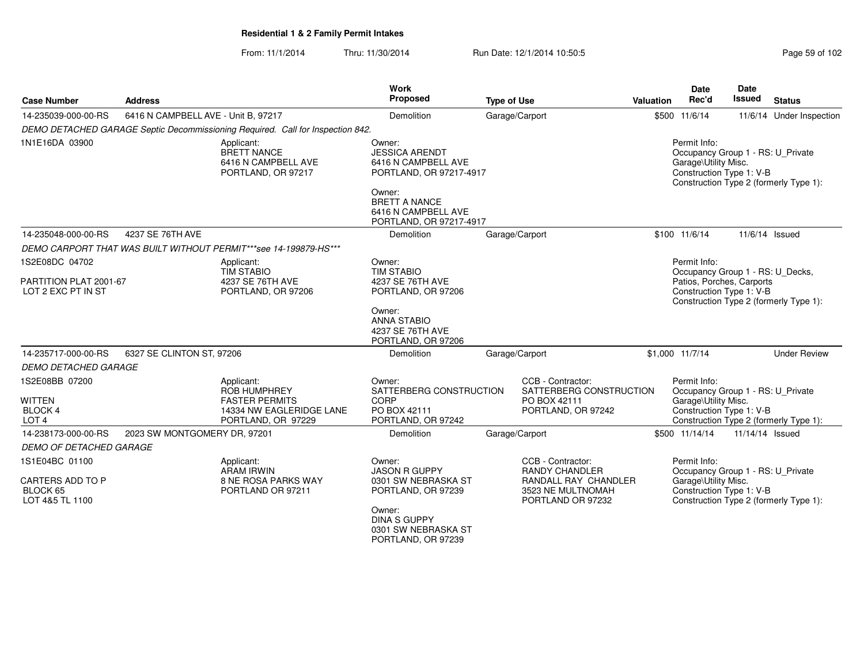From: 11/1/2014Thru: 11/30/2014 Run Date: 12/1/2014 10:50:5

| Page 59 of 102 |  |  |
|----------------|--|--|
|----------------|--|--|

| <b>Case Number</b>                                                    | <b>Address</b>                      |                                                                                                              | Work<br>Proposed                                                                  | <b>Type of Use</b> |                                                                                         | Valuation | Date<br>Rec'd                                                                                         | <b>Date</b><br>Issued | <b>Status</b>                          |
|-----------------------------------------------------------------------|-------------------------------------|--------------------------------------------------------------------------------------------------------------|-----------------------------------------------------------------------------------|--------------------|-----------------------------------------------------------------------------------------|-----------|-------------------------------------------------------------------------------------------------------|-----------------------|----------------------------------------|
| 14-235039-000-00-RS                                                   | 6416 N CAMPBELL AVE - Unit B, 97217 |                                                                                                              | Demolition                                                                        |                    | Garage/Carport                                                                          |           | \$500 11/6/14                                                                                         |                       | 11/6/14 Under Inspection               |
|                                                                       |                                     | DEMO DETACHED GARAGE Septic Decommissioning Required. Call for Inspection 842.                               |                                                                                   |                    |                                                                                         |           |                                                                                                       |                       |                                        |
| 1N1E16DA 03900                                                        |                                     | Applicant:<br><b>BRETT NANCE</b><br>6416 N CAMPBELL AVE<br>PORTLAND, OR 97217                                | Owner:<br><b>JESSICA ARENDT</b><br>6416 N CAMPBELL AVE<br>PORTLAND, OR 97217-4917 |                    |                                                                                         |           | Permit Info:<br>Occupancy Group 1 - RS: U_Private<br>Garage\Utility Misc.<br>Construction Type 1: V-B |                       | Construction Type 2 (formerly Type 1): |
|                                                                       |                                     |                                                                                                              | Owner:<br><b>BRETT A NANCE</b><br>6416 N CAMPBELL AVE<br>PORTLAND, OR 97217-4917  |                    |                                                                                         |           |                                                                                                       |                       |                                        |
| 14-235048-000-00-RS                                                   | 4237 SE 76TH AVE                    |                                                                                                              | Demolition                                                                        |                    | Garage/Carport                                                                          |           | \$100 11/6/14                                                                                         |                       | 11/6/14 Issued                         |
|                                                                       |                                     | DEMO CARPORT THAT WAS BUILT WITHOUT PERMIT***see 14-199879-HS***                                             |                                                                                   |                    |                                                                                         |           |                                                                                                       |                       |                                        |
| 1S2E08DC 04702                                                        |                                     | Applicant:<br><b>TIM STABIO</b>                                                                              | Owner:<br><b>TIM STABIO</b>                                                       |                    |                                                                                         |           | Permit Info:<br>Occupancy Group 1 - RS: U_Decks,                                                      |                       |                                        |
| PARTITION PLAT 2001-67<br>LOT 2 EXC PT IN ST                          |                                     | 4237 SE 76TH AVE<br>PORTLAND, OR 97206                                                                       | 4237 SE 76TH AVE<br>PORTLAND, OR 97206                                            |                    |                                                                                         |           | Patios, Porches, Carports<br>Construction Type 1: V-B                                                 |                       | Construction Type 2 (formerly Type 1): |
|                                                                       |                                     |                                                                                                              | Owner:<br><b>ANNA STABIO</b><br>4237 SE 76TH AVE<br>PORTLAND, OR 97206            |                    |                                                                                         |           |                                                                                                       |                       |                                        |
| 14-235717-000-00-RS                                                   | 6327 SE CLINTON ST, 97206           |                                                                                                              | Demolition                                                                        |                    | Garage/Carport                                                                          |           | \$1,000 11/7/14                                                                                       |                       | <b>Under Review</b>                    |
| <b>DEMO DETACHED GARAGE</b>                                           |                                     |                                                                                                              |                                                                                   |                    |                                                                                         |           |                                                                                                       |                       |                                        |
| 1S2E08BB 07200<br><b>WITTEN</b><br><b>BLOCK 4</b><br>LOT <sub>4</sub> |                                     | Applicant:<br><b>ROB HUMPHREY</b><br><b>FASTER PERMITS</b><br>14334 NW EAGLERIDGE LANE<br>PORTLAND, OR 97229 | Owner:<br>SATTERBERG CONSTRUCTION<br>CORP<br>PO BOX 42111<br>PORTLAND, OR 97242   |                    | CCB - Contractor:<br>SATTERBERG CONSTRUCTION<br>PO BOX 42111<br>PORTLAND, OR 97242      |           | Permit Info:<br>Occupancy Group 1 - RS: U_Private<br>Garage\Utility Misc.<br>Construction Type 1: V-B |                       | Construction Type 2 (formerly Type 1): |
| 14-238173-000-00-RS                                                   | 2023 SW MONTGOMERY DR, 97201        |                                                                                                              | Demolition                                                                        |                    | Garage/Carport                                                                          |           | \$500 11/14/14                                                                                        | 11/14/14 Issued       |                                        |
| <b>DEMO OF DETACHED GARAGE</b>                                        |                                     |                                                                                                              |                                                                                   |                    |                                                                                         |           |                                                                                                       |                       |                                        |
| 1S1E04BC 01100                                                        |                                     | Applicant:                                                                                                   | Owner:                                                                            |                    | CCB - Contractor:                                                                       |           | Permit Info:                                                                                          |                       |                                        |
| CARTERS ADD TO P<br>BLOCK 65<br>LOT 4&5 TL 1100                       |                                     | <b>ARAM IRWIN</b><br>8 NE ROSA PARKS WAY<br>PORTLAND OR 97211                                                | <b>JASON R GUPPY</b><br>0301 SW NEBRASKA ST<br>PORTLAND, OR 97239                 |                    | <b>RANDY CHANDLER</b><br>RANDALL RAY CHANDLER<br>3523 NE MULTNOMAH<br>PORTLAND OR 97232 |           | Occupancy Group 1 - RS: U_Private<br>Garage\Utility Misc.<br>Construction Type 1: V-B                 |                       | Construction Type 2 (formerly Type 1): |
|                                                                       |                                     |                                                                                                              | Owner:<br><b>DINA S GUPPY</b><br>0301 SW NEBRASKA ST<br>PORTLAND, OR 97239        |                    |                                                                                         |           |                                                                                                       |                       |                                        |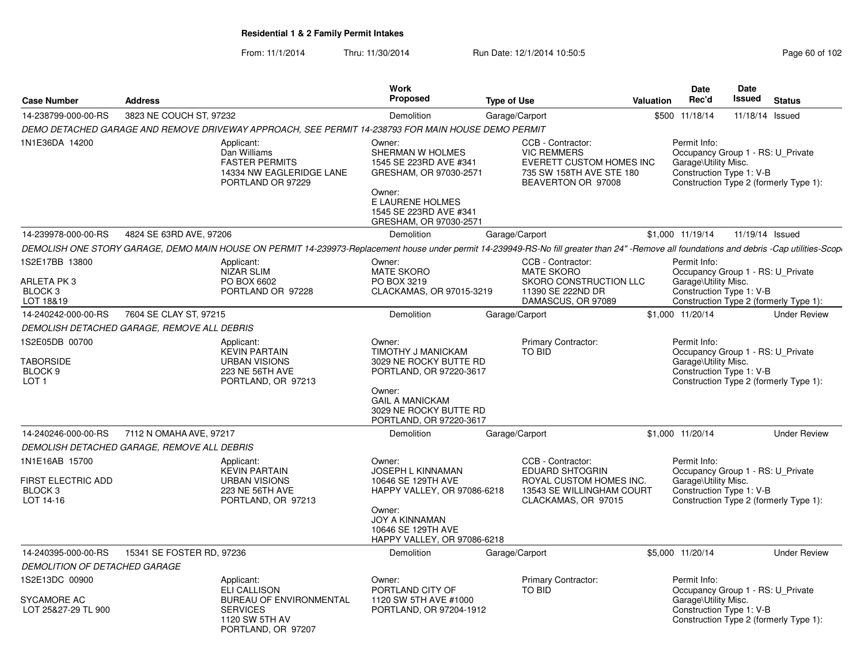From: 11/1/2014Thru: 11/30/2014 Run Date: 12/1/2014 10:50:5<br>
Page 60 of 102

|                                                                              | <b>Address</b>                              |                                                                                                                                                                                                            | Work<br><b>Proposed</b>                                                                                                                                                         |                    |                                                                                                                              | Valuation | Date<br>Rec'd                                                                                         | <b>Date</b><br><b>Issued</b> | <b>Status</b>                          |
|------------------------------------------------------------------------------|---------------------------------------------|------------------------------------------------------------------------------------------------------------------------------------------------------------------------------------------------------------|---------------------------------------------------------------------------------------------------------------------------------------------------------------------------------|--------------------|------------------------------------------------------------------------------------------------------------------------------|-----------|-------------------------------------------------------------------------------------------------------|------------------------------|----------------------------------------|
| <b>Case Number</b>                                                           |                                             |                                                                                                                                                                                                            |                                                                                                                                                                                 | <b>Type of Use</b> |                                                                                                                              |           |                                                                                                       |                              |                                        |
| 14-238799-000-00-RS                                                          | 3823 NE COUCH ST, 97232                     |                                                                                                                                                                                                            | Demolition                                                                                                                                                                      | Garage/Carport     |                                                                                                                              |           | \$500 11/18/14                                                                                        | 11/18/14 Issued              |                                        |
| 1N1E36DA 14200                                                               |                                             | DEMO DETACHED GARAGE AND REMOVE DRIVEWAY APPROACH, SEE PERMIT 14-238793 FOR MAIN HOUSE DEMO PERMIT<br>Applicant:<br>Dan Williams<br><b>FASTER PERMITS</b><br>14334 NW EAGLERIDGE LANE<br>PORTLAND OR 97229 | Owner:<br>SHERMAN W HOLMES<br>1545 SE 223RD AVE #341<br>GRESHAM, OR 97030-2571<br>Owner:<br>E LAURENE HOLMES<br>1545 SE 223RD AVE #341<br>GRESHAM, OR 97030-2571                |                    | CCB - Contractor:<br><b>VIC REMMERS</b><br><b>EVERETT CUSTOM HOMES INC</b><br>735 SW 158TH AVE STE 180<br>BEAVERTON OR 97008 |           | Permit Info:<br>Occupancy Group 1 - RS: U Private<br>Garage\Utility Misc.<br>Construction Type 1: V-B |                              | Construction Type 2 (formerly Type 1): |
| 14-239978-000-00-RS                                                          | 4824 SE 63RD AVE, 97206                     |                                                                                                                                                                                                            | <b>Demolition</b>                                                                                                                                                               | Garage/Carport     |                                                                                                                              |           | \$1,000 11/19/14                                                                                      | 11/19/14 Issued              |                                        |
|                                                                              |                                             | DEMOLISH ONE STORY GARAGE, DEMO MAIN HOUSE ON PERMIT 14-239973-Replacement house under permit 14-239949-RS-No fill greater than 24"-Remove all foundations and debris -Cap utilities-Scop                  |                                                                                                                                                                                 |                    |                                                                                                                              |           |                                                                                                       |                              |                                        |
| 1S2E17BB 13800<br>ARLETA PK3<br>BLOCK <sub>3</sub><br>LOT 18&19              |                                             | Applicant:<br><b>NIZAR SLIM</b><br>PO BOX 6602<br>PORTLAND OR 97228                                                                                                                                        | Owner:<br><b>MATE SKORO</b><br>PO BOX 3219<br>CLACKAMAS, OR 97015-3219                                                                                                          |                    | CCB - Contractor:<br><b>MATE SKORO</b><br>SKORO CONSTRUCTION LLC<br>11390 SE 222ND DR<br>DAMASCUS, OR 97089                  |           | Permit Info:<br>Occupancy Group 1 - RS: U_Private<br>Garage\Utility Misc.<br>Construction Type 1: V-B |                              | Construction Type 2 (formerly Type 1): |
| 14-240242-000-00-RS                                                          | 7604 SE CLAY ST, 97215                      |                                                                                                                                                                                                            | Demolition                                                                                                                                                                      | Garage/Carport     |                                                                                                                              |           | \$1,000 11/20/14                                                                                      |                              | <b>Under Review</b>                    |
|                                                                              | DEMOLISH DETACHED GARAGE, REMOVE ALL DEBRIS |                                                                                                                                                                                                            |                                                                                                                                                                                 |                    |                                                                                                                              |           |                                                                                                       |                              |                                        |
| 1S2E05DB 00700<br><b>TABORSIDE</b><br>BLOCK <sub>9</sub><br>LOT <sub>1</sub> |                                             | Applicant:<br><b>KEVIN PARTAIN</b><br><b>URBAN VISIONS</b><br>223 NE 56TH AVE<br>PORTLAND, OR 97213                                                                                                        | Owner:<br>TIMOTHY J MANICKAM<br>3029 NE ROCKY BUTTE RD<br>PORTLAND, OR 97220-3617<br>Owner:<br><b>GAIL A MANICKAM</b><br>3029 NE ROCKY BUTTE RD<br>PORTLAND, OR 97220-3617      |                    | Primary Contractor:<br><b>TO BID</b>                                                                                         |           | Permit Info:<br>Occupancy Group 1 - RS: U Private<br>Garage\Utility Misc.<br>Construction Type 1: V-B |                              | Construction Type 2 (formerly Type 1): |
| 14-240246-000-00-RS                                                          | 7112 N OMAHA AVE, 97217                     |                                                                                                                                                                                                            | Demolition                                                                                                                                                                      | Garage/Carport     |                                                                                                                              |           | \$1,000 11/20/14                                                                                      |                              | <b>Under Review</b>                    |
|                                                                              | DEMOLISH DETACHED GARAGE, REMOVE ALL DEBRIS |                                                                                                                                                                                                            |                                                                                                                                                                                 |                    |                                                                                                                              |           |                                                                                                       |                              |                                        |
| 1N1E16AB 15700<br>FIRST ELECTRIC ADD<br>BLOCK <sub>3</sub><br>LOT 14-16      |                                             | Applicant:<br><b>KEVIN PARTAIN</b><br><b>URBAN VISIONS</b><br>223 NE 56TH AVE<br>PORTLAND, OR 97213                                                                                                        | Owner:<br><b>JOSEPH L KINNAMAN</b><br>10646 SE 129TH AVE<br>HAPPY VALLEY, OR 97086-6218<br>Owner:<br><b>JOY A KINNAMAN</b><br>10646 SE 129TH AVE<br>HAPPY VALLEY, OR 97086-6218 |                    | CCB - Contractor:<br><b>EDUARD SHTOGRIN</b><br>ROYAL CUSTOM HOMES INC.<br>13543 SE WILLINGHAM COURT<br>CLACKAMAS, OR 97015   |           | Permit Info:<br>Occupancy Group 1 - RS: U_Private<br>Garage\Utility Misc.<br>Construction Type 1: V-B |                              | Construction Type 2 (formerly Type 1): |
| 14-240395-000-00-RS                                                          | 15341 SE FOSTER RD, 97236                   |                                                                                                                                                                                                            | Demolition                                                                                                                                                                      | Garage/Carport     |                                                                                                                              |           | \$5,000 11/20/14                                                                                      |                              | <b>Under Review</b>                    |
| <b>DEMOLITION OF DETACHED GARAGE</b>                                         |                                             |                                                                                                                                                                                                            |                                                                                                                                                                                 |                    |                                                                                                                              |           |                                                                                                       |                              |                                        |
| 1S2E13DC 00900<br>SYCAMORE AC<br>LOT 25&27-29 TL 900                         |                                             | Applicant:<br><b>ELI CALLISON</b><br><b>BUREAU OF ENVIRONMENTAL</b><br><b>SERVICES</b><br>1120 SW 5TH AV<br>PORTLAND, OR 97207                                                                             | Owner:<br>PORTLAND CITY OF<br>1120 SW 5TH AVE #1000<br>PORTLAND, OR 97204-1912                                                                                                  |                    | <b>Primary Contractor:</b><br>TO BID                                                                                         |           | Permit Info:<br>Occupancy Group 1 - RS: U Private<br>Garage\Utility Misc.<br>Construction Type 1: V-B |                              | Construction Type 2 (formerly Type 1): |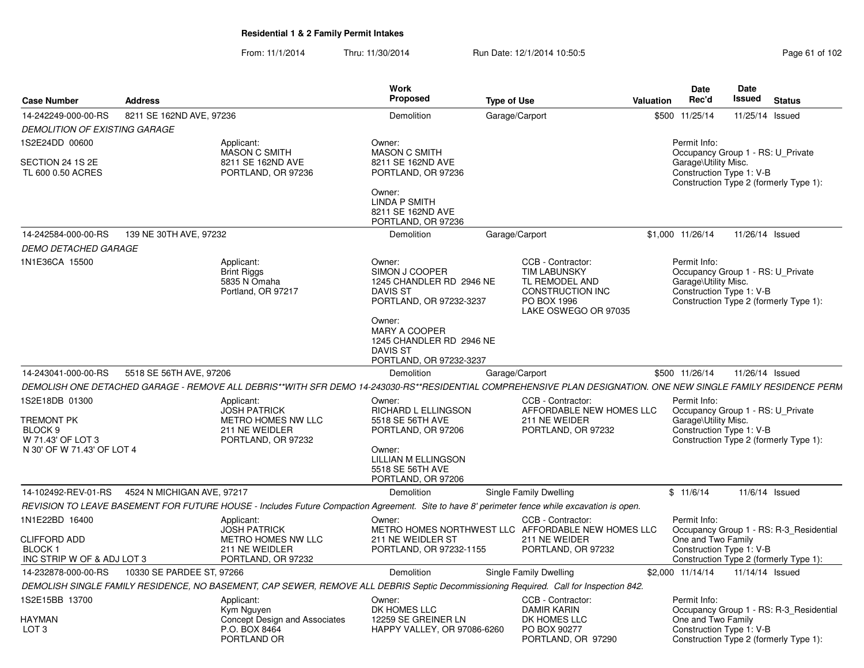From: 11/1/2014Thru: 11/30/2014 Run Date: 12/1/2014 10:50:5<br>
Page 61 of 102

|                                                 |                            |                                                                        | <b>Work</b>                                                                                              |                                                                                                                                                                |                  | <b>Date</b>                                                                                           | Date            |                                         |
|-------------------------------------------------|----------------------------|------------------------------------------------------------------------|----------------------------------------------------------------------------------------------------------|----------------------------------------------------------------------------------------------------------------------------------------------------------------|------------------|-------------------------------------------------------------------------------------------------------|-----------------|-----------------------------------------|
| <b>Case Number</b>                              | <b>Address</b>             |                                                                        | Proposed                                                                                                 | <b>Type of Use</b>                                                                                                                                             | <b>Valuation</b> | Rec'd                                                                                                 | <b>Issued</b>   | <b>Status</b>                           |
| 14-242249-000-00-RS                             | 8211 SE 162ND AVE, 97236   |                                                                        | Demolition                                                                                               | Garage/Carport                                                                                                                                                 |                  | \$500 11/25/14                                                                                        | 11/25/14 Issued |                                         |
| <b>DEMOLITION OF EXISTING GARAGE</b>            |                            |                                                                        |                                                                                                          |                                                                                                                                                                |                  |                                                                                                       |                 |                                         |
| 1S2E24DD 00600<br>SECTION 24 1S 2E              |                            | Applicant:<br>MASON C SMITH<br>8211 SE 162ND AVE                       | Owner:<br><b>MASON C SMITH</b><br>8211 SE 162ND AVE                                                      |                                                                                                                                                                |                  | Permit Info:<br>Occupancy Group 1 - RS: U_Private<br>Garage\Utility Misc.                             |                 |                                         |
| TL 600 0.50 ACRES                               |                            | PORTLAND, OR 97236                                                     | PORTLAND, OR 97236                                                                                       |                                                                                                                                                                |                  | Construction Type 1: V-B                                                                              |                 | Construction Type 2 (formerly Type 1):  |
|                                                 |                            |                                                                        | Owner:<br><b>LINDA P SMITH</b><br>8211 SE 162ND AVE<br>PORTLAND, OR 97236                                |                                                                                                                                                                |                  |                                                                                                       |                 |                                         |
| 14-242584-000-00-RS                             | 139 NE 30TH AVE, 97232     |                                                                        | Demolition                                                                                               | Garage/Carport                                                                                                                                                 |                  | \$1,000 11/26/14                                                                                      | 11/26/14 Issued |                                         |
| <b>DEMO DETACHED GARAGE</b>                     |                            |                                                                        |                                                                                                          |                                                                                                                                                                |                  |                                                                                                       |                 |                                         |
| 1N1E36CA 15500                                  |                            | Applicant:<br><b>Brint Riggs</b><br>5835 N Omaha<br>Portland, OR 97217 | Owner:<br>SIMON J COOPER<br>1245 CHANDLER RD 2946 NE<br>DAVIS ST<br>PORTLAND, OR 97232-3237              | CCB - Contractor:<br><b>TIM LABUNSKY</b><br>TL REMODEL AND<br>CONSTRUCTION INC<br>PO BOX 1996<br>LAKE OSWEGO OR 97035                                          |                  | Permit Info:<br>Occupancy Group 1 - RS: U Private<br>Garage\Utility Misc.<br>Construction Type 1: V-B |                 | Construction Type 2 (formerly Type 1):  |
|                                                 |                            |                                                                        | Owner:<br><b>MARY A COOPER</b><br>1245 CHANDLER RD 2946 NE<br><b>DAVIS ST</b><br>PORTLAND, OR 97232-3237 |                                                                                                                                                                |                  |                                                                                                       |                 |                                         |
| 14-243041-000-00-RS                             | 5518 SE 56TH AVE, 97206    |                                                                        | Demolition                                                                                               | Garage/Carport                                                                                                                                                 |                  | \$500 11/26/14                                                                                        | 11/26/14 Issued |                                         |
|                                                 |                            |                                                                        |                                                                                                          | DEMOLISH ONE DETACHED GARAGE - REMOVE ALL DEBRIS**WITH SFR DEMO 14-243030-RS**RESIDENTIAL COMPREHENSIVE PLAN DESIGNATION. ONE NEW SINGLE FAMILY RESIDENCE PERM |                  |                                                                                                       |                 |                                         |
| 1S2E18DB 01300                                  |                            | Applicant:<br><b>JOSH PATRICK</b>                                      | Owner:<br><b>RICHARD L ELLINGSON</b>                                                                     | CCB - Contractor:<br>AFFORDABLE NEW HOMES LLC                                                                                                                  |                  | Permit Info:<br>Occupancy Group 1 - RS: U Private                                                     |                 |                                         |
| <b>TREMONT PK</b>                               |                            | METRO HOMES NW LLC                                                     | 5518 SE 56TH AVE                                                                                         | 211 NE WEIDER                                                                                                                                                  |                  | Garage\Utility Misc.                                                                                  |                 |                                         |
| BLOCK 9                                         |                            | 211 NE WEIDLER                                                         | PORTLAND, OR 97206                                                                                       | PORTLAND, OR 97232                                                                                                                                             |                  | Construction Type 1: V-B                                                                              |                 |                                         |
| W 71.43' OF LOT 3<br>N 30' OF W 71.43' OF LOT 4 |                            | PORTLAND, OR 97232                                                     | Owner:<br><b>LILLIAN M ELLINGSON</b><br>5518 SE 56TH AVE<br>PORTLAND, OR 97206                           |                                                                                                                                                                |                  |                                                                                                       |                 | Construction Type 2 (formerly Type 1):  |
| 14-102492-REV-01-RS                             | 4524 N MICHIGAN AVE, 97217 |                                                                        | Demolition                                                                                               | Single Family Dwelling                                                                                                                                         |                  | \$11/6/14                                                                                             |                 | 11/6/14 Issued                          |
|                                                 |                            |                                                                        |                                                                                                          | REVISION TO LEAVE BASEMENT FOR FUTURE HOUSE - Includes Future Compaction Agreement. Site to have 8' perimeter fence while excavation is open.                  |                  |                                                                                                       |                 |                                         |
| 1N1E22BD 16400                                  |                            | Applicant:<br><b>JOSH PATRICK</b>                                      | Owner:                                                                                                   | CCB - Contractor:<br>METRO HOMES NORTHWEST LLC AFFORDABLE NEW HOMES LLC                                                                                        |                  | Permit Info:                                                                                          |                 | Occupancy Group 1 - RS: R-3 Residential |
| <b>CLIFFORD ADD</b>                             |                            | METRO HOMES NW LLC                                                     | 211 NE WEIDLER ST                                                                                        | 211 NE WEIDER                                                                                                                                                  |                  | One and Two Family                                                                                    |                 |                                         |
| BLOCK 1<br>INC STRIP W OF & ADJ LOT 3           |                            | 211 NE WEIDLER<br>PORTLAND, OR 97232                                   | PORTLAND, OR 97232-1155                                                                                  | PORTLAND, OR 97232                                                                                                                                             |                  | Construction Type 1: V-B                                                                              |                 | Construction Type 2 (formerly Type 1):  |
| 14-232878-000-00-RS                             | 10330 SE PARDEE ST, 97266  |                                                                        | <b>Demolition</b>                                                                                        | Single Family Dwelling                                                                                                                                         |                  | \$2,000 11/14/14                                                                                      | 11/14/14 Issued |                                         |
|                                                 |                            |                                                                        |                                                                                                          | DEMOLISH SINGLE FAMILY RESIDENCE, NO BASEMENT, CAP SEWER, REMOVE ALL DEBRIS Septic Decommissioning Required. Call for Inspection 842.                          |                  |                                                                                                       |                 |                                         |
| 1S2E15BB 13700                                  |                            | Applicant:                                                             | Owner:                                                                                                   | CCB - Contractor:                                                                                                                                              |                  | Permit Info:                                                                                          |                 |                                         |
| <b>HAYMAN</b><br>LOT <sub>3</sub>               |                            | Kym Nguyen<br>Concept Design and Associates<br>P.O. BOX 8464           | DK HOMES LLC<br>12259 SE GREINER LN<br>HAPPY VALLEY, OR 97086-6260                                       | <b>DAMIR KARIN</b><br>DK HOMES LLC<br>PO BOX 90277                                                                                                             |                  | One and Two Family<br>Construction Type 1: V-B                                                        |                 | Occupancy Group 1 - RS: R-3_Residential |
|                                                 |                            | PORTLAND OR                                                            |                                                                                                          | PORTLAND, OR 97290                                                                                                                                             |                  |                                                                                                       |                 | Construction Type 2 (formerly Type 1):  |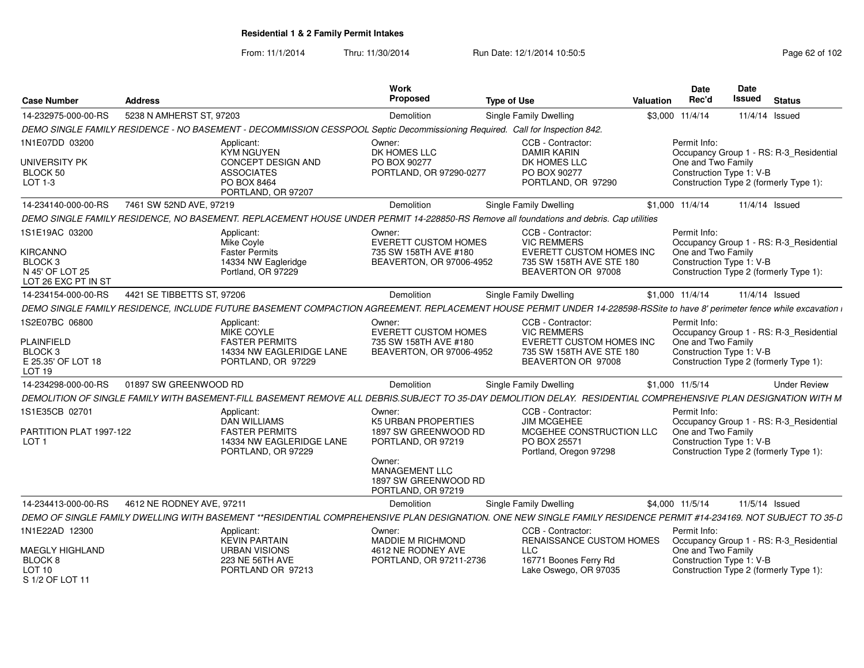From: 11/1/2014

Thru: 11/30/2014 Run Date: 12/1/2014 10:50:5<br>
Page 62 of 102

| <b>Case Number</b>                                                                         | <b>Address</b>             |                                                                                                                              | Work<br>Proposed                                                                                    | <b>Type of Use</b>                                                                                                                                                        | <b>Valuation</b> | <b>Date</b><br>Rec'd                                           | Date<br><b>Issued</b> | <b>Status</b>                                                                     |
|--------------------------------------------------------------------------------------------|----------------------------|------------------------------------------------------------------------------------------------------------------------------|-----------------------------------------------------------------------------------------------------|---------------------------------------------------------------------------------------------------------------------------------------------------------------------------|------------------|----------------------------------------------------------------|-----------------------|-----------------------------------------------------------------------------------|
| 14-232975-000-00-RS                                                                        | 5238 N AMHERST ST, 97203   |                                                                                                                              | Demolition                                                                                          | Single Family Dwelling                                                                                                                                                    |                  | \$3,000 11/4/14                                                |                       | 11/4/14 Issued                                                                    |
|                                                                                            |                            | DEMO SINGLE FAMILY RESIDENCE - NO BASEMENT - DECOMMISSION CESSPOOL Septic Decommissioning Required. Call for Inspection 842. |                                                                                                     |                                                                                                                                                                           |                  |                                                                |                       |                                                                                   |
| 1N1E07DD 03200                                                                             |                            | Applicant:<br>KYM NGUYEN                                                                                                     | Owner:<br>DK HOMES LLC                                                                              | CCB - Contractor:<br><b>DAMIR KARIN</b>                                                                                                                                   |                  | Permit Info:                                                   |                       | Occupancy Group 1 - RS: R-3 Residential                                           |
| UNIVERSITY PK<br>BLOCK 50<br>LOT 1-3                                                       |                            | CONCEPT DESIGN AND<br><b>ASSOCIATES</b><br>PO BOX 8464<br>PORTLAND, OR 97207                                                 | PO BOX 90277<br>PORTLAND, OR 97290-0277                                                             | DK HOMES LLC<br>PO BOX 90277<br>PORTLAND, OR 97290                                                                                                                        |                  | One and Two Family<br>Construction Type 1: V-B                 |                       | Construction Type 2 (formerly Type 1):                                            |
| 14-234140-000-00-RS                                                                        | 7461 SW 52ND AVE, 97219    |                                                                                                                              | Demolition                                                                                          | Single Family Dwelling                                                                                                                                                    |                  | \$1,000 11/4/14                                                |                       | 11/4/14 Issued                                                                    |
|                                                                                            |                            |                                                                                                                              |                                                                                                     | DEMO SINGLE FAMILY RESIDENCE, NO BASEMENT. REPLACEMENT HOUSE UNDER PERMIT 14-228850-RS Remove all foundations and debris. Cap utilities                                   |                  |                                                                |                       |                                                                                   |
| 1S1E19AC 03200<br>KIRCANNO<br>BLOCK <sub>3</sub><br>N 45' OF LOT 25<br>LOT 26 EXC PT IN ST |                            | Applicant:<br>Mike Coyle<br><b>Faster Permits</b><br>14334 NW Eagleridge<br>Portland, OR 97229                               | Owner:<br><b>EVERETT CUSTOM HOMES</b><br>735 SW 158TH AVE #180<br>BEAVERTON, OR 97006-4952          | CCB - Contractor:<br><b>VIC REMMERS</b><br>EVERETT CUSTOM HOMES INC<br>735 SW 158TH AVE STE 180<br>BEAVERTON OR 97008                                                     |                  | Permit Info:<br>One and Two Family<br>Construction Type 1: V-B |                       | Occupancy Group 1 - RS: R-3_Residential<br>Construction Type 2 (formerly Type 1): |
| 14-234154-000-00-RS                                                                        | 4421 SE TIBBETTS ST, 97206 |                                                                                                                              | Demolition                                                                                          | Single Family Dwelling                                                                                                                                                    |                  | $$1,000$ $11/4/14$                                             |                       | 11/4/14 Issued                                                                    |
|                                                                                            |                            |                                                                                                                              |                                                                                                     | DEMO SINGLE FAMILY RESIDENCE, INCLUDE FUTURE BASEMENT COMPACTION AGREEMENT. REPLACEMENT HOUSE PERMIT UNDER 14-228598-RSSite to have 8' perimeter fence while excavation i |                  |                                                                |                       |                                                                                   |
| 1S2E07BC 06800<br><b>PLAINFIELD</b><br>BLOCK <sub>3</sub><br>E 25.35' OF LOT 18<br>LOT 19  |                            | Applicant:<br>MIKE COYLE<br><b>FASTER PERMITS</b><br>14334 NW EAGLERIDGE LANE<br>PORTLAND, OR 97229                          | Owner:<br><b>EVERETT CUSTOM HOMES</b><br>735 SW 158TH AVE #180<br>BEAVERTON, OR 97006-4952          | CCB - Contractor:<br><b>VIC REMMERS</b><br><b>EVERETT CUSTOM HOMES INC</b><br>735 SW 158TH AVE STE 180<br>BEAVERTON OR 97008                                              |                  | Permit Info:<br>One and Two Family<br>Construction Type 1: V-B |                       | Occupancy Group 1 - RS: R-3_Residential<br>Construction Type 2 (formerly Type 1): |
| 14-234298-000-00-RS                                                                        | 01897 SW GREENWOOD RD      |                                                                                                                              | Demolition                                                                                          | Single Family Dwelling                                                                                                                                                    |                  | \$1.000 11/5/14                                                |                       | <b>Under Review</b>                                                               |
|                                                                                            |                            |                                                                                                                              |                                                                                                     | DEMOLITION OF SINGLE FAMILY WITH BASEMENT-FILL BASEMENT REMOVE ALL DEBRIS.SUBJECT TO 35-DAY DEMOLITION DELAY. RESIDENTIAL COMPREHENSIVE PLAN DESIGNATION WITH M           |                  |                                                                |                       |                                                                                   |
| 1S1E35CB 02701<br>PARTITION PLAT 1997-122                                                  |                            | Applicant:<br><b>DAN WILLIAMS</b><br><b>FASTER PERMITS</b>                                                                   | Owner:<br><b>K5 URBAN PROPERTIES</b><br>1897 SW GREENWOOD RD                                        | CCB - Contractor:<br><b>JIM MCGEHEE</b><br>MCGEHEE CONSTRUCTION LLC                                                                                                       |                  | Permit Info:<br>One and Two Family                             |                       | Occupancy Group 1 - RS: R-3 Residential                                           |
| LOT <sub>1</sub>                                                                           |                            | 14334 NW EAGLERIDGE LANE<br>PORTLAND, OR 97229                                                                               | PORTLAND, OR 97219<br>Owner:<br><b>MANAGEMENT LLC</b><br>1897 SW GREENWOOD RD<br>PORTLAND, OR 97219 | PO BOX 25571<br>Portland, Oregon 97298                                                                                                                                    |                  | Construction Type 1: V-B                                       |                       | Construction Type 2 (formerly Type 1):                                            |
| 14-234413-000-00-RS                                                                        | 4612 NE RODNEY AVE, 97211  |                                                                                                                              | Demolition                                                                                          | Single Family Dwelling                                                                                                                                                    |                  | \$4,000 11/5/14                                                |                       | 11/5/14 Issued                                                                    |
|                                                                                            |                            |                                                                                                                              |                                                                                                     | DEMO OF SINGLE FAMILY DWELLING WITH BASEMENT **RESIDENTIAL COMPREHENSIVE PLAN DESIGNATION. ONE NEW SINGLE FAMILY RESIDENCE PERMIT #14-234169. NOT SUBJECT TO 35-D         |                  |                                                                |                       |                                                                                   |
| 1N1E22AD 12300<br><b>MAEGLY HIGHLAND</b>                                                   |                            | Applicant:<br><b>KEVIN PARTAIN</b><br><b>URBAN VISIONS</b>                                                                   | Owner:<br><b>MADDIE M RICHMOND</b><br>4612 NE RODNEY AVE                                            | CCB - Contractor:<br><b>RENAISSANCE CUSTOM HOMES</b><br><b>LLC</b>                                                                                                        |                  | Permit Info:<br>One and Two Family                             |                       | Occupancy Group 1 - RS: R-3 Residential                                           |
| BLOCK 8<br>LOT 10<br>S 1/2 OF LOT 11                                                       |                            | 223 NE 56TH AVE<br>PORTLAND OR 97213                                                                                         | PORTLAND, OR 97211-2736                                                                             | 16771 Boones Ferry Rd<br>Lake Oswego, OR 97035                                                                                                                            |                  | Construction Type 1: V-B                                       |                       | Construction Type 2 (formerly Type 1):                                            |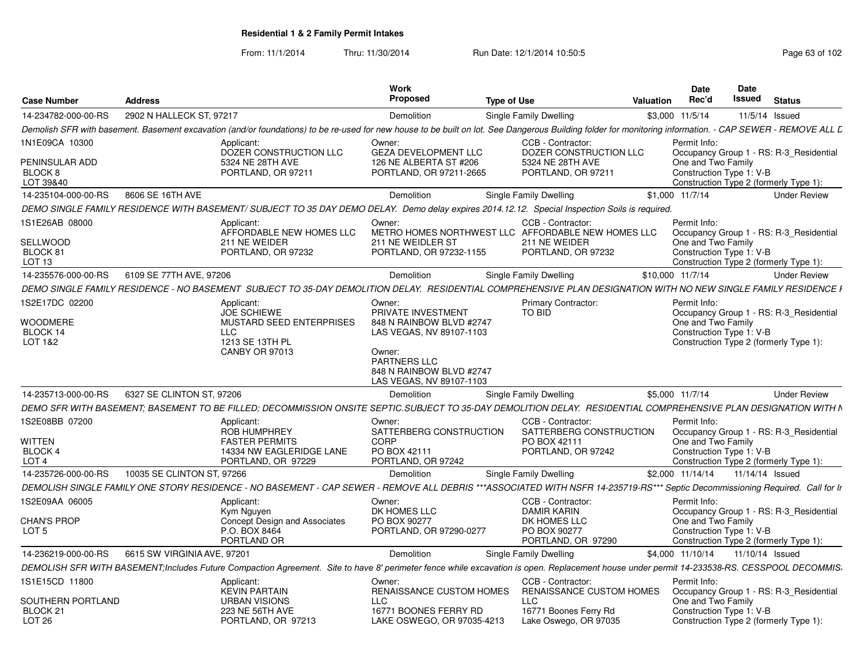From: 11/1/2014Thru: 11/30/2014 Run Date: 12/1/2014 10:50:5<br>
Page 63 of 102

| <b>Case Number</b>                     | <b>Address</b>              |                                                | <b>Work</b><br><b>Proposed</b>                                                 | <b>Type of Use</b>                                                                                                                                                                                        | Valuation | Date<br>Rec'd                                  | Date<br>Issued  | <b>Status</b>                           |
|----------------------------------------|-----------------------------|------------------------------------------------|--------------------------------------------------------------------------------|-----------------------------------------------------------------------------------------------------------------------------------------------------------------------------------------------------------|-----------|------------------------------------------------|-----------------|-----------------------------------------|
| 14-234782-000-00-RS                    | 2902 N HALLECK ST. 97217    |                                                | Demolition                                                                     | Single Family Dwelling                                                                                                                                                                                    |           | \$3.000 11/5/14                                | 11/5/14 Issued  |                                         |
|                                        |                             |                                                |                                                                                | Demolish SFR with basement. Basement excavation (and/or foundations) to be re-used for new house to be built on lot. See Dangerous Building folder for monitoring information. - CAP SEWER - REMOVE ALL L |           |                                                |                 |                                         |
| 1N1E09CA 10300                         |                             | Applicant:<br>DOZER CONSTRUCTION LLC           | Owner:<br><b>GEZA DEVELOPMENT LLC</b>                                          | CCB - Contractor:<br>DOZER CONSTRUCTION LLC                                                                                                                                                               |           | Permit Info:                                   |                 | Occupancy Group 1 - RS: R-3_Residential |
| PENINSULAR ADD<br>BLOCK 8<br>LOT 39&40 |                             | 5324 NE 28TH AVE<br>PORTLAND, OR 97211         | 126 NE ALBERTA ST #206<br>PORTLAND, OR 97211-2665                              | 5324 NE 28TH AVE<br>PORTLAND, OR 97211                                                                                                                                                                    |           | One and Two Family<br>Construction Type 1: V-B |                 | Construction Type 2 (formerly Type 1):  |
| 14-235104-000-00-RS                    | 8606 SE 16TH AVE            |                                                | Demolition                                                                     | <b>Single Family Dwelling</b>                                                                                                                                                                             |           | \$1,000 11/7/14                                |                 | <b>Under Review</b>                     |
|                                        |                             |                                                |                                                                                | DEMO SINGLE FAMILY RESIDENCE WITH BASEMENT/SUBJECT TO 35 DAY DEMO DELAY. Demo delay expires 2014.12.12. Special Inspection Soils is required.                                                             |           |                                                |                 |                                         |
| 1S1E26AB 08000                         |                             | Applicant:<br>AFFORDABLE NEW HOMES LLC         | Owner:                                                                         | CCB - Contractor:<br>METRO HOMES NORTHWEST LLC AFFORDABLE NEW HOMES LLC                                                                                                                                   |           | Permit Info:                                   |                 | Occupancy Group 1 - RS: R-3 Residential |
| <b>SELLWOOD</b><br>BLOCK 81<br>LOT 13  |                             | 211 NE WEIDER<br>PORTLAND, OR 97232            | 211 NE WEIDLER ST<br>PORTLAND, OR 97232-1155                                   | 211 NE WEIDER<br>PORTLAND, OR 97232                                                                                                                                                                       |           | One and Two Family<br>Construction Type 1: V-B |                 | Construction Type 2 (formerly Type 1):  |
| 14-235576-000-00-RS                    | 6109 SE 77TH AVE, 97206     |                                                | Demolition                                                                     | Single Family Dwelling                                                                                                                                                                                    |           | \$10,000 11/7/14                               |                 | <b>Under Review</b>                     |
|                                        |                             |                                                |                                                                                | DEMO SINGLE FAMILY RESIDENCE - NO BASEMENT SUBJECT TO 35-DAY DEMOLITION DELAY. RESIDENTIAL COMPREHENSIVE PLAN DESIGNATION WITH NO NEW SINGLE FAMILY RESIDENCE I                                           |           |                                                |                 |                                         |
| 1S2E17DC 02200                         |                             | Applicant:<br><b>JOE SCHIEWE</b>               | Owner:<br>PRIVATE INVESTMENT                                                   | Primary Contractor:<br>TO BID                                                                                                                                                                             |           | Permit Info:                                   |                 | Occupancy Group 1 - RS: R-3 Residential |
| <b>WOODMERE</b><br>BLOCK 14            | LLC                         | MUSTARD SEED ENTERPRISES                       | 848 N RAINBOW BLVD #2747<br>LAS VEGAS, NV 89107-1103                           |                                                                                                                                                                                                           |           | One and Two Family<br>Construction Type 1: V-B |                 |                                         |
| LOT 1&2                                |                             | 1213 SE 13TH PL<br>CANBY OR 97013              | Owner:<br>PARTNERS LLC<br>848 N RAINBOW BLVD #2747<br>LAS VEGAS, NV 89107-1103 |                                                                                                                                                                                                           |           |                                                |                 | Construction Type 2 (formerly Type 1):  |
| 14-235713-000-00-RS                    | 6327 SE CLINTON ST, 97206   |                                                | Demolition                                                                     | <b>Single Family Dwelling</b>                                                                                                                                                                             |           | \$5,000 11/7/14                                |                 | <b>Under Review</b>                     |
|                                        |                             |                                                |                                                                                | DEMO SFR WITH BASEMENT; BASEMENT TO BE FILLED; DECOMMISSION ONSITE SEPTIC.SUBJECT TO 35-DAY DEMOLITION DELAY. RESIDENTIAL COMPREHENSIVE PLAN DESIGNATION WITH N                                           |           |                                                |                 |                                         |
| 1S2E08BB 07200                         |                             | Applicant:<br><b>ROB HUMPHREY</b>              | Owner:<br>SATTERBERG CONSTRUCTION                                              | CCB - Contractor:<br>SATTERBERG CONSTRUCTION                                                                                                                                                              |           | Permit Info:                                   |                 | Occupancy Group 1 - RS: R-3_Residential |
| WITTEN                                 |                             | <b>FASTER PERMITS</b>                          | CORP                                                                           | PO BOX 42111                                                                                                                                                                                              |           | One and Two Family                             |                 |                                         |
| <b>BLOCK 4</b><br>LOT <sub>4</sub>     |                             | 14334 NW EAGLERIDGE LANE<br>PORTLAND, OR 97229 | PO BOX 42111<br>PORTLAND, OR 97242                                             | PORTLAND, OR 97242                                                                                                                                                                                        |           | Construction Type 1: V-B                       |                 | Construction Type 2 (formerly Type 1):  |
| 14-235726-000-00-RS                    | 10035 SE CLINTON ST, 97266  |                                                | Demolition                                                                     | Single Family Dwelling                                                                                                                                                                                    |           | \$2.000 11/14/14                               | 11/14/14 Issued |                                         |
|                                        |                             |                                                |                                                                                | DEMOLISH SINGLE FAMILY ONE STORY RESIDENCE - NO BASEMENT - CAP SEWER - REMOVE ALL DEBRIS ***ASSOCIATED WITH NSFR 14-235719-RS*** Septic Decommissioning Required. Call for Ir                             |           |                                                |                 |                                         |
| 1S2E09AA 06005                         |                             | Applicant:                                     | Owner:                                                                         | CCB - Contractor:                                                                                                                                                                                         |           | Permit Info:                                   |                 |                                         |
|                                        |                             | Kym Nguyen                                     | DK HOMES LLC                                                                   | <b>DAMIR KARIN</b>                                                                                                                                                                                        |           |                                                |                 | Occupancy Group 1 - RS: R-3 Residential |
| <b>CHAN'S PROP</b>                     |                             | Concept Design and Associates                  | PO BOX 90277                                                                   | DK HOMES LLC                                                                                                                                                                                              |           | One and Two Family                             |                 |                                         |
| LOT <sub>5</sub>                       |                             | P.O. BOX 8464<br>PORTLAND OR                   | PORTLAND, OR 97290-0277                                                        | PO BOX 90277<br>PORTLAND, OR 97290                                                                                                                                                                        |           | Construction Type 1: V-B                       |                 | Construction Type 2 (formerly Type 1):  |
| 14-236219-000-00-RS                    | 6615 SW VIRGINIA AVE, 97201 |                                                | Demolition                                                                     | Single Family Dwelling                                                                                                                                                                                    |           | \$4,000 11/10/14                               | 11/10/14 Issued |                                         |
|                                        |                             |                                                |                                                                                | DEMOLISH SFR WITH BASEMENT;Includes Future Compaction Agreement. Site to have 8' perimeter fence while excavation is open. Replacement house under permit 14-233538-RS. CESSPOOL DECOMMIS                 |           |                                                |                 |                                         |
| 1S1E15CD 11800                         |                             | Applicant:                                     | Owner:                                                                         | CCB - Contractor:                                                                                                                                                                                         |           | Permit Info:                                   |                 |                                         |
| SOUTHERN PORTLAND                      |                             | <b>KEVIN PARTAIN</b><br><b>URBAN VISIONS</b>   | RENAISSANCE CUSTOM HOMES<br><b>LLC</b>                                         | RENAISSANCE CUSTOM HOMES<br>LLC                                                                                                                                                                           |           | One and Two Family                             |                 | Occupancy Group 1 - RS: R-3_Residential |
|                                        |                             |                                                |                                                                                |                                                                                                                                                                                                           |           |                                                |                 |                                         |
| BLOCK <sub>21</sub>                    |                             | <b>223 NE 56TH AVE</b>                         | 16771 BOONES FERRY RD                                                          | 16771 Boones Ferry Rd                                                                                                                                                                                     |           | Construction Type 1: V-B                       |                 |                                         |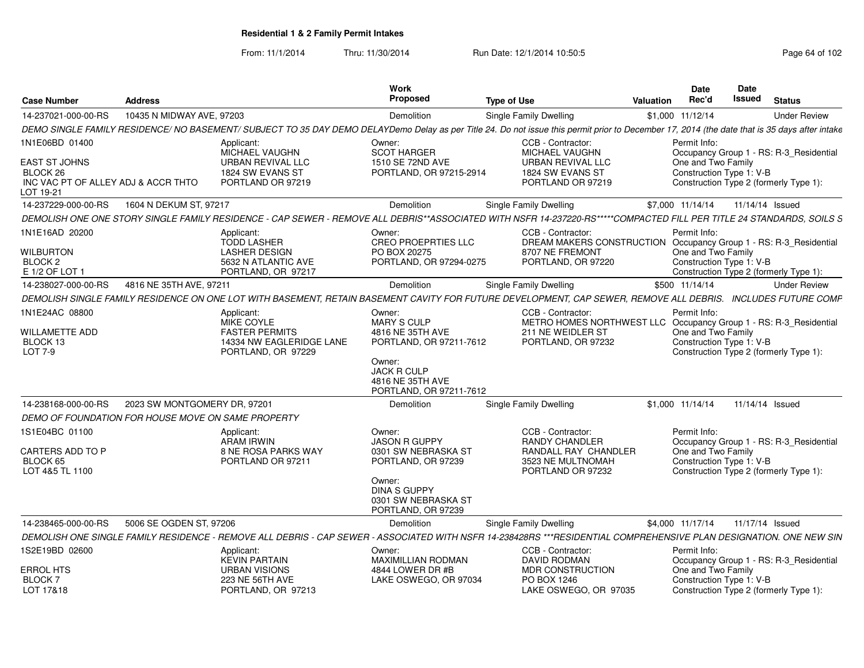From: 11/1/2014Thru: 11/30/2014 Run Date: 12/1/2014 10:50:5<br>
Page 64 of 102

| <b>Case Number</b>                                                                                     | <b>Address</b>                                     |                                                                                                                                                                                             | Work<br><b>Proposed</b>                                                                                                                                    | <b>Type of Use</b>                                                                                                                | Valuation | <b>Date</b><br>Rec'd                                           | <b>Date</b><br>Issued | <b>Status</b>                                                                     |
|--------------------------------------------------------------------------------------------------------|----------------------------------------------------|---------------------------------------------------------------------------------------------------------------------------------------------------------------------------------------------|------------------------------------------------------------------------------------------------------------------------------------------------------------|-----------------------------------------------------------------------------------------------------------------------------------|-----------|----------------------------------------------------------------|-----------------------|-----------------------------------------------------------------------------------|
| 14-237021-000-00-RS                                                                                    | 10435 N MIDWAY AVE, 97203                          |                                                                                                                                                                                             | Demolition                                                                                                                                                 | <b>Single Family Dwelling</b>                                                                                                     |           | \$1,000 11/12/14                                               |                       | <b>Under Review</b>                                                               |
|                                                                                                        |                                                    | DEMO SINGLE FAMILY RESIDENCE/NO BASEMENT/SUBJECT TO 35 DAY DEMO DELAYDemo Delay as per Title 24. Do not issue this permit prior to December 17, 2014 (the date that is 35 days after intake |                                                                                                                                                            |                                                                                                                                   |           |                                                                |                       |                                                                                   |
| 1N1E06BD 01400<br><b>EAST ST JOHNS</b><br>BLOCK 26<br>INC VAC PT OF ALLEY ADJ & ACCR THTO<br>LOT 19-21 |                                                    | Applicant:<br>MICHAEL VAUGHN<br>URBAN REVIVAL LLC<br>1824 SW EVANS ST<br>PORTLAND OR 97219                                                                                                  | Owner:<br><b>SCOT HARGER</b><br>1510 SE 72ND AVE<br>PORTLAND, OR 97215-2914                                                                                | CCB - Contractor:<br>MICHAEL VAUGHN<br>URBAN REVIVAL LLC<br>1824 SW EVANS ST<br>PORTLAND OR 97219                                 |           | Permit Info:<br>One and Two Family<br>Construction Type 1: V-B |                       | Occupancy Group 1 - RS: R-3_Residential<br>Construction Type 2 (formerly Type 1): |
| 14-237229-000-00-RS                                                                                    | 1604 N DEKUM ST, 97217                             |                                                                                                                                                                                             | Demolition                                                                                                                                                 | <b>Single Family Dwelling</b>                                                                                                     |           | \$7,000 11/14/14                                               |                       | 11/14/14 Issued                                                                   |
|                                                                                                        |                                                    | DEMOLISH ONE ONE STORY SINGLE FAMILY RESIDENCE - CAP SEWER - REMOVE ALL DEBRIS**ASSOCIATED WITH NSFR 14-237220-RS*****COMPACTED FILL PER TITLE 24 STANDARDS, SOILS S                        |                                                                                                                                                            |                                                                                                                                   |           |                                                                |                       |                                                                                   |
| 1N1E16AD 20200<br><b>WILBURTON</b><br>BLOCK <sub>2</sub><br>E 1/2 OF LOT 1                             |                                                    | Applicant:<br><b>TODD LASHER</b><br><b>LASHER DESIGN</b><br>5632 N ATLANTIC AVE<br>PORTLAND, OR 97217                                                                                       | Owner:<br><b>CREO PROEPRTIES LLC</b><br>PO BOX 20275<br>PORTLAND, OR 97294-0275                                                                            | CCB - Contractor:<br>DREAM MAKERS CONSTRUCTION<br>8707 NE FREMONT<br>PORTLAND, OR 97220                                           |           | Permit Info:<br>One and Two Family<br>Construction Type 1: V-B |                       | Occupancy Group 1 - RS: R-3_Residential<br>Construction Type 2 (formerly Type 1): |
| 14-238027-000-00-RS                                                                                    | 4816 NE 35TH AVE, 97211                            |                                                                                                                                                                                             | Demolition                                                                                                                                                 | Single Family Dwelling                                                                                                            |           | \$500 11/14/14                                                 |                       | <b>Under Review</b>                                                               |
|                                                                                                        |                                                    | DEMOLISH SINGLE FAMILY RESIDENCE ON ONE LOT WITH BASEMENT. RETAIN BASEMENT CAVITY FOR FUTURE DEVELOPMENT. CAP SEWER, REMOVE ALL DEBRIS. INCLUDES FUTURE COMF                                |                                                                                                                                                            |                                                                                                                                   |           |                                                                |                       |                                                                                   |
| 1N1E24AC 08800<br><b>WILLAMETTE ADD</b><br>BLOCK 13<br>LOT 7-9                                         |                                                    | Applicant:<br>MIKE COYLE<br><b>FASTER PERMITS</b><br>14334 NW EAGLERIDGE LANE<br>PORTLAND, OR 97229                                                                                         | Owner:<br><b>MARY S CULP</b><br>4816 NE 35TH AVE<br>PORTLAND, OR 97211-7612<br>Owner:<br><b>JACK R CULP</b><br>4816 NE 35TH AVE<br>PORTLAND, OR 97211-7612 | CCB - Contractor:<br>METRO HOMES NORTHWEST LLC Occupancy Group 1 - RS: R-3_Residential<br>211 NE WEIDLER ST<br>PORTLAND, OR 97232 |           | Permit Info:<br>One and Two Family<br>Construction Type 1: V-B |                       | Construction Type 2 (formerly Type 1):                                            |
| 14-238168-000-00-RS                                                                                    | 2023 SW MONTGOMERY DR, 97201                       |                                                                                                                                                                                             | Demolition                                                                                                                                                 | Single Family Dwelling                                                                                                            |           | \$1,000 11/14/14                                               |                       | 11/14/14 Issued                                                                   |
|                                                                                                        | DEMO OF FOUNDATION FOR HOUSE MOVE ON SAME PROPERTY |                                                                                                                                                                                             |                                                                                                                                                            |                                                                                                                                   |           |                                                                |                       |                                                                                   |
| 1S1E04BC 01100<br>CARTERS ADD TO P<br>BLOCK 65<br>LOT 4&5 TL 1100                                      |                                                    | Applicant:<br><b>ARAM IRWIN</b><br><b>8 NE ROSA PARKS WAY</b><br>PORTLAND OR 97211                                                                                                          | Owner:<br><b>JASON R GUPPY</b><br>0301 SW NEBRASKA ST<br>PORTLAND, OR 97239<br>Owner:<br><b>DINA S GUPPY</b><br>0301 SW NEBRASKA ST<br>PORTLAND, OR 97239  | CCB - Contractor:<br><b>RANDY CHANDLER</b><br>RANDALL RAY CHANDLER<br>3523 NE MULTNOMAH<br>PORTLAND OR 97232                      |           | Permit Info:<br>One and Two Family<br>Construction Type 1: V-B |                       | Occupancy Group 1 - RS: R-3_Residential<br>Construction Type 2 (formerly Type 1): |
| 14-238465-000-00-RS                                                                                    | 5006 SE OGDEN ST, 97206                            |                                                                                                                                                                                             | Demolition                                                                                                                                                 | Single Family Dwelling                                                                                                            |           | \$4,000 11/17/14                                               |                       | 11/17/14 Issued                                                                   |
|                                                                                                        |                                                    | DEMOLISH ONE SINGLE FAMILY RESIDENCE - REMOVE ALL DEBRIS - CAP SEWER - ASSOCIATED WITH NSFR 14-238428RS ***RESIDENTIAL COMPREHENSIVE PLAN DESIGNATION. ONE NEW SIN                          |                                                                                                                                                            |                                                                                                                                   |           |                                                                |                       |                                                                                   |
| 1S2E19BD 02600                                                                                         |                                                    | Applicant:<br><b>KEVIN PARTAIN</b>                                                                                                                                                          | Owner:<br><b>MAXIMILLIAN RODMAN</b>                                                                                                                        | CCB - Contractor:<br><b>DAVID RODMAN</b>                                                                                          |           | Permit Info:                                                   |                       | Occupancy Group 1 - RS: R-3_Residential                                           |
| ERROL HTS<br>BLOCK <sub>7</sub><br>LOT 17&18                                                           |                                                    | <b>URBAN VISIONS</b><br>223 NE 56TH AVE<br>PORTLAND, OR 97213                                                                                                                               | 4844 LOWER DR #B<br>LAKE OSWEGO, OR 97034                                                                                                                  | MDR CONSTRUCTION<br>PO BOX 1246<br>LAKE OSWEGO, OR 97035                                                                          |           | One and Two Family<br>Construction Type 1: V-B                 |                       | Construction Type 2 (formerly Type 1):                                            |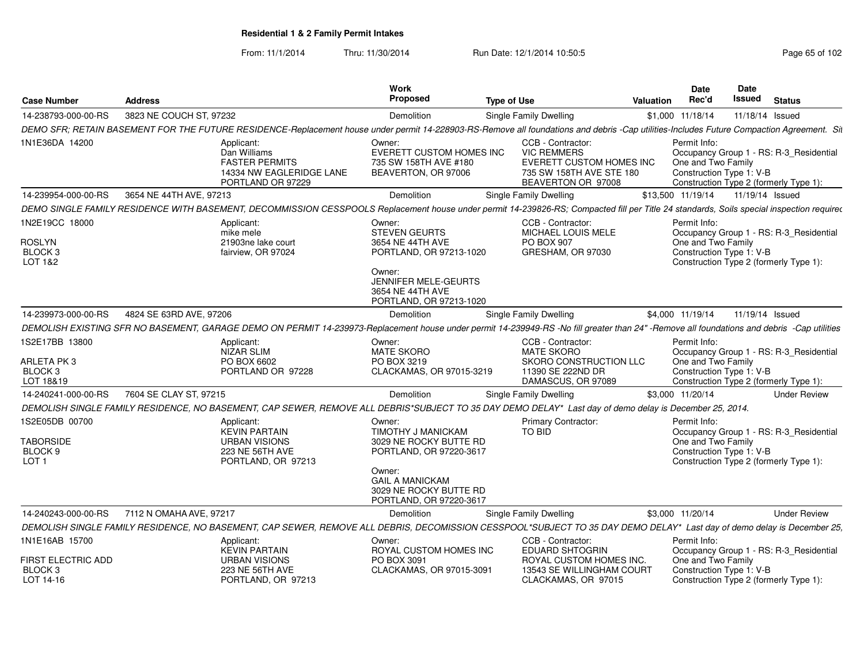From: 11/1/2014Thru: 11/30/2014 Run Date: 12/1/2014 10:50:5<br>
Page 65 of 102

| <b>Case Number</b>                                                | <b>Address</b>          |                                                                                                      | Work<br>Proposed                                                                                                                                                           | <b>Type of Use</b>                                                                                                                                                                         | Valuation | Date<br>Rec'd                                                  | <b>Date</b><br>Issued | <b>Status</b>                                                                     |
|-------------------------------------------------------------------|-------------------------|------------------------------------------------------------------------------------------------------|----------------------------------------------------------------------------------------------------------------------------------------------------------------------------|--------------------------------------------------------------------------------------------------------------------------------------------------------------------------------------------|-----------|----------------------------------------------------------------|-----------------------|-----------------------------------------------------------------------------------|
| 14-238793-000-00-RS                                               | 3823 NE COUCH ST, 97232 |                                                                                                      | Demolition                                                                                                                                                                 | Single Family Dwelling                                                                                                                                                                     |           | \$1,000 11/18/14                                               | 11/18/14 Issued       |                                                                                   |
|                                                                   |                         |                                                                                                      |                                                                                                                                                                            | DEMO SFR; RETAIN BASEMENT FOR THE FUTURE RESIDENCE-Replacement house under permit 14-228903-RS-Remove all foundations and debris -Cap utilities-Includes Future Compaction Agreement. Sit  |           |                                                                |                       |                                                                                   |
| 1N1E36DA 14200                                                    |                         | Applicant:<br>Dan Williams<br><b>FASTER PERMITS</b><br>14334 NW EAGLERIDGE LANE<br>PORTLAND OR 97229 | Owner:<br>EVERETT CUSTOM HOMES INC<br>735 SW 158TH AVE #180<br>BEAVERTON, OR 97006                                                                                         | CCB - Contractor:<br><b>VIC REMMERS</b><br>EVERETT CUSTOM HOMES INC<br>735 SW 158TH AVE STE 180<br>BEAVERTON OR 97008                                                                      |           | Permit Info:<br>One and Two Family<br>Construction Type 1: V-B |                       | Occupancy Group 1 - RS: R-3_Residential<br>Construction Type 2 (formerly Type 1): |
| 14-239954-000-00-RS                                               | 3654 NE 44TH AVE, 97213 |                                                                                                      | <b>Demolition</b>                                                                                                                                                          | Single Family Dwelling                                                                                                                                                                     |           | \$13,500 11/19/14                                              | 11/19/14 Issued       |                                                                                   |
|                                                                   |                         |                                                                                                      |                                                                                                                                                                            | DEMO SINGLE FAMILY RESIDENCE WITH BASEMENT, DECOMMISSION CESSPOOLS Replacement house under permit 14-239826-RS; Compacted fill per Title 24 standards, Soils special inspection required   |           |                                                                |                       |                                                                                   |
| 1N2E19CC 18000<br><b>ROSLYN</b><br>BLOCK <sub>3</sub><br>LOT 1&2  |                         | Applicant:<br>mike mele<br>21903ne lake court<br>fairview, OR 97024                                  | Owner:<br><b>STEVEN GEURTS</b><br>3654 NE 44TH AVE<br>PORTLAND, OR 97213-1020<br>Owner:<br><b>JENNIFER MELE-GEURTS</b><br>3654 NE 44TH AVE<br>PORTLAND, OR 97213-1020      | CCB - Contractor:<br>MICHAEL LOUIS MELE<br>PO BOX 907<br>GRESHAM, OR 97030                                                                                                                 |           | Permit Info:<br>One and Two Family<br>Construction Type 1: V-B |                       | Occupancy Group 1 - RS: R-3_Residential<br>Construction Type 2 (formerly Type 1): |
| 14-239973-000-00-RS                                               | 4824 SE 63RD AVE, 97206 |                                                                                                      | <b>Demolition</b>                                                                                                                                                          | <b>Single Family Dwelling</b>                                                                                                                                                              |           | \$4,000 11/19/14                                               | 11/19/14 Issued       |                                                                                   |
|                                                                   |                         |                                                                                                      |                                                                                                                                                                            | DEMOLISH EXISTING SFR NO BASEMENT, GARAGE DEMO ON PERMIT 14-239973-Replacement house under permit 14-239949-RS -No fill greater than 24" -Remove all foundations and debris -Cap utilities |           |                                                                |                       |                                                                                   |
| 1S2E17BB 13800<br>ARLETA PK3<br>BLOCK 3<br>LOT 18&19              |                         | Applicant:<br>NIZAR SLIM<br>PO BOX 6602<br>PORTLAND OR 97228                                         | Owner:<br><b>MATE SKORO</b><br>PO BOX 3219<br>CLACKAMAS, OR 97015-3219                                                                                                     | CCB - Contractor:<br>MATE SKORO<br>SKORO CONSTRUCTION LLC<br>11390 SE 222ND DR<br>DAMASCUS, OR 97089                                                                                       |           | Permit Info:<br>One and Two Family<br>Construction Type 1: V-B |                       | Occupancy Group 1 - RS: R-3 Residential<br>Construction Type 2 (formerly Type 1): |
| 14-240241-000-00-RS                                               | 7604 SE CLAY ST, 97215  |                                                                                                      | <b>Demolition</b>                                                                                                                                                          | Single Family Dwelling                                                                                                                                                                     |           | \$3,000 11/20/14                                               |                       | <b>Under Review</b>                                                               |
|                                                                   |                         |                                                                                                      |                                                                                                                                                                            | DEMOLISH SINGLE FAMILY RESIDENCE, NO BASEMENT, CAP SEWER, REMOVE ALL DEBRIS*SUBJECT TO 35 DAY DEMO DELAY* Last day of demo delay is December 25, 2014.                                     |           |                                                                |                       |                                                                                   |
| 1S2E05DB 00700<br><b>TABORSIDE</b><br>BLOCK 9<br>LOT <sub>1</sub> |                         | Applicant:<br><b>KEVIN PARTAIN</b><br><b>URBAN VISIONS</b><br>223 NE 56TH AVE<br>PORTLAND, OR 97213  | Owner:<br>TIMOTHY J MANICKAM<br>3029 NE ROCKY BUTTE RD<br>PORTLAND, OR 97220-3617<br>Owner:<br><b>GAIL A MANICKAM</b><br>3029 NE ROCKY BUTTE RD<br>PORTLAND, OR 97220-3617 | Primary Contractor:<br>TO BID                                                                                                                                                              |           | Permit Info:<br>One and Two Family<br>Construction Type 1: V-B |                       | Occupancy Group 1 - RS: R-3_Residential<br>Construction Type 2 (formerly Type 1): |
| 14-240243-000-00-RS                                               | 7112 N OMAHA AVE, 97217 |                                                                                                      | <b>Demolition</b>                                                                                                                                                          | <b>Single Family Dwelling</b>                                                                                                                                                              |           | \$3,000 11/20/14                                               |                       | <b>Under Review</b>                                                               |
|                                                                   |                         |                                                                                                      |                                                                                                                                                                            | DEMOLISH SINGLE FAMILY RESIDENCE, NO BASEMENT, CAP SEWER, REMOVE ALL DEBRIS, DECOMISSION CESSPOOL*SUBJECT TO 35 DAY DEMO DELAY* Last day of demo delay is December 25,                     |           |                                                                |                       |                                                                                   |
| 1N1E16AB 15700                                                    |                         | Applicant:<br><b>KEVIN PARTAIN</b>                                                                   | Owner:<br>ROYAL CUSTOM HOMES INC                                                                                                                                           | CCB - Contractor:<br>EDUARD SHTOGRIN                                                                                                                                                       |           | Permit Info:                                                   |                       | Occupancy Group 1 - RS: R-3_Residential                                           |
| <b>FIRST ELECTRIC ADD</b><br>BLOCK 3<br>LOT 14-16                 |                         | <b>URBAN VISIONS</b><br>223 NE 56TH AVE<br>PORTLAND, OR 97213                                        | PO BOX 3091<br>CLACKAMAS, OR 97015-3091                                                                                                                                    | ROYAL CUSTOM HOMES INC.<br>13543 SE WILLINGHAM COURT<br>CLACKAMAS, OR 97015                                                                                                                |           | One and Two Family<br>Construction Type 1: V-B                 |                       | Construction Type 2 (formerly Type 1):                                            |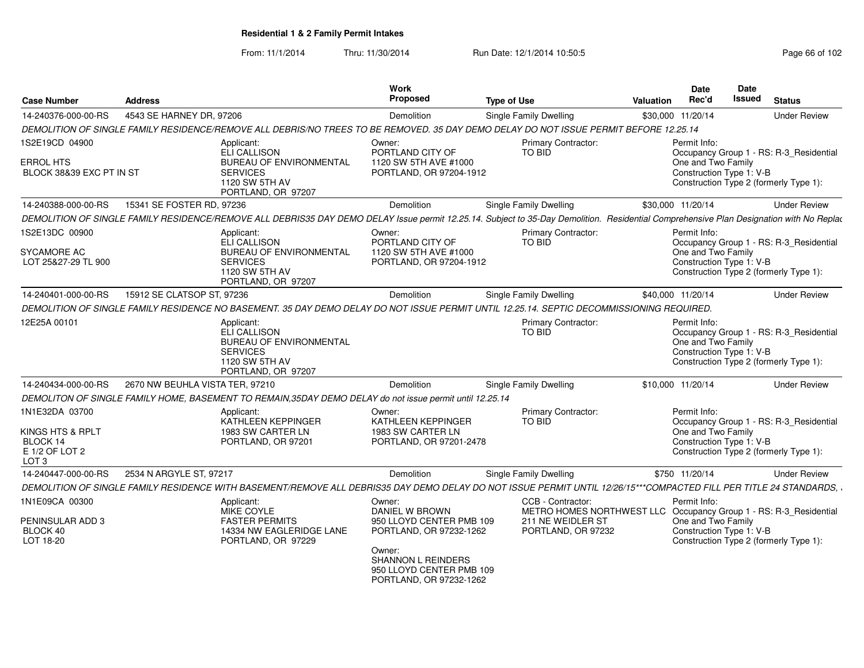From: 11/1/2014Thru: 11/30/2014 Run Date: 12/1/2014 10:50:5<br>
Page 66 of 102

| <b>Case Number</b>                                          | <b>Address</b>                  |                                                                                                                                                                                         | <b>Work</b><br>Proposed                                                                    | <b>Type of Use</b> |                                                                                                                                   | <b>Valuation</b>  | <b>Date</b><br>Rec'd                                           | Date<br><b>Issued</b> | <b>Status</b>                                                                     |
|-------------------------------------------------------------|---------------------------------|-----------------------------------------------------------------------------------------------------------------------------------------------------------------------------------------|--------------------------------------------------------------------------------------------|--------------------|-----------------------------------------------------------------------------------------------------------------------------------|-------------------|----------------------------------------------------------------|-----------------------|-----------------------------------------------------------------------------------|
| 14-240376-000-00-RS                                         | 4543 SE HARNEY DR. 97206        |                                                                                                                                                                                         | Demolition                                                                                 |                    | Single Family Dwelling                                                                                                            | \$30,000          | 11/20/14                                                       |                       | <b>Under Review</b>                                                               |
|                                                             |                                 | DEMOLITION OF SINGLE FAMILY RESIDENCE/REMOVE ALL DEBRIS/NO TREES TO BE REMOVED. 35 DAY DEMO DELAY DO NOT ISSUE PERMIT BEFORE 12.25.14                                                   |                                                                                            |                    |                                                                                                                                   |                   |                                                                |                       |                                                                                   |
| 1S2E19CD 04900                                              |                                 | Applicant:<br><b>ELI CALLISON</b>                                                                                                                                                       | Owner:<br>PORTLAND CITY OF                                                                 |                    | <b>Primary Contractor:</b><br>TO BID                                                                                              |                   | Permit Info:                                                   |                       | Occupancy Group 1 - RS: R-3_Residential                                           |
| <b>ERROL HTS</b><br>BLOCK 38&39 EXC PT IN ST                |                                 | <b>BUREAU OF ENVIRONMENTAL</b><br><b>SERVICES</b><br>1120 SW 5TH AV<br>PORTLAND, OR 97207                                                                                               | 1120 SW 5TH AVE #1000<br>PORTLAND, OR 97204-1912                                           |                    |                                                                                                                                   |                   | One and Two Family<br>Construction Type 1: V-B                 |                       | Construction Type 2 (formerly Type 1):                                            |
| 14-240388-000-00-RS                                         | 15341 SE FOSTER RD, 97236       |                                                                                                                                                                                         | Demolition                                                                                 |                    | Single Family Dwelling                                                                                                            | \$30,000 11/20/14 |                                                                |                       | <b>Under Review</b>                                                               |
|                                                             |                                 | DEMOLITION OF SINGLE FAMILY RESIDENCE/REMOVE ALL DEBRIS35 DAY DEMO DELAY Issue permit 12.25.14. Subject to 35-Day Demolition. Residential Comprehensive Plan Designation with No Replac |                                                                                            |                    |                                                                                                                                   |                   |                                                                |                       |                                                                                   |
| 1S2E13DC 00900<br>SYCAMORE AC<br>LOT 25&27-29 TL 900        |                                 | Applicant:<br>ELI CALLISON<br>BUREAU OF ENVIRONMENTAL<br><b>SERVICES</b><br>1120 SW 5TH AV<br>PORTLAND, OR 97207                                                                        | Owner:<br>PORTLAND CITY OF<br>1120 SW 5TH AVE #1000<br>PORTLAND, OR 97204-1912             |                    | <b>Primary Contractor:</b><br>TO BID                                                                                              |                   | Permit Info:<br>One and Two Family<br>Construction Type 1: V-B |                       | Occupancy Group 1 - RS: R-3_Residential<br>Construction Type 2 (formerly Type 1): |
| 14-240401-000-00-RS                                         | 15912 SE CLATSOP ST, 97236      |                                                                                                                                                                                         | Demolition                                                                                 |                    | <b>Single Family Dwelling</b>                                                                                                     |                   | \$40,000 11/20/14                                              |                       | <b>Under Review</b>                                                               |
|                                                             |                                 | DEMOLITION OF SINGLE FAMILY RESIDENCE NO BASEMENT. 35 DAY DEMO DELAY DO NOT ISSUE PERMIT UNTIL 12.25.14. SEPTIC DECOMMISSIONING REQUIRED.                                               |                                                                                            |                    |                                                                                                                                   |                   |                                                                |                       |                                                                                   |
| 12E25A 00101                                                |                                 | Applicant:<br>ELI CALLISON<br><b>BUREAU OF ENVIRONMENTAL</b><br><b>SERVICES</b><br>1120 SW 5TH AV<br>PORTLAND, OR 97207                                                                 |                                                                                            |                    | Primary Contractor:<br>TO BID                                                                                                     |                   | Permit Info:<br>One and Two Family<br>Construction Type 1: V-B |                       | Occupancy Group 1 - RS: R-3_Residential<br>Construction Type 2 (formerly Type 1): |
| 14-240434-000-00-RS                                         | 2670 NW BEUHLA VISTA TER, 97210 |                                                                                                                                                                                         | Demolition                                                                                 |                    | Single Family Dwelling                                                                                                            | \$10,000 11/20/14 |                                                                |                       | <b>Under Review</b>                                                               |
|                                                             |                                 | DEMOLITON OF SINGLE FAMILY HOME, BASEMENT TO REMAIN, 35DAY DEMO DELAY do not issue permit until 12.25.14                                                                                |                                                                                            |                    |                                                                                                                                   |                   |                                                                |                       |                                                                                   |
| 1N1E32DA 03700<br>KINGS HTS & RPLT                          |                                 | Applicant:<br>KATHLEEN KEPPINGER<br>1983 SW CARTER LN                                                                                                                                   | Owner:<br>KATHLEEN KEPPINGER<br>1983 SW CARTER LN                                          |                    | <b>Primary Contractor:</b><br>TO BID                                                                                              |                   | Permit Info:<br>One and Two Family                             |                       | Occupancy Group 1 - RS: R-3_Residential                                           |
| BLOCK 14<br>E 1/2 OF LOT 2<br>LOT <sub>3</sub>              |                                 | PORTLAND, OR 97201                                                                                                                                                                      | PORTLAND, OR 97201-2478                                                                    |                    |                                                                                                                                   |                   | Construction Type 1: V-B                                       |                       | Construction Type 2 (formerly Type 1):                                            |
| 14-240447-000-00-RS                                         | 2534 N ARGYLE ST, 97217         |                                                                                                                                                                                         | Demolition                                                                                 |                    | Single Family Dwelling                                                                                                            |                   | \$750 11/20/14                                                 |                       | <b>Under Review</b>                                                               |
|                                                             |                                 | DEMOLITION OF SINGLE FAMILY RESIDENCE WITH BASEMENT/REMOVE ALL DEBRIS35 DAY DEMO DELAY DO NOT ISSUE PERMIT UNTIL 12/26/15***COMPACTED FILL PER TITLE 24 STANDARDS, .                    |                                                                                            |                    |                                                                                                                                   |                   |                                                                |                       |                                                                                   |
| 1N1E09CA 00300<br>PENINSULAR ADD 3<br>BLOCK 40<br>LOT 18-20 |                                 | Applicant:<br><b>MIKE COYLE</b><br><b>FASTER PERMITS</b><br>14334 NW EAGLERIDGE LANE<br>PORTLAND, OR 97229                                                                              | Owner:<br>DANIEL W BROWN<br>950 LLOYD CENTER PMB 109<br>PORTLAND, OR 97232-1262            |                    | CCB - Contractor:<br>METRO HOMES NORTHWEST LLC Occupancy Group 1 - RS: R-3_Residential<br>211 NE WEIDLER ST<br>PORTLAND, OR 97232 |                   | Permit Info:<br>One and Two Family<br>Construction Type 1: V-B |                       | Construction Type 2 (formerly Type 1):                                            |
|                                                             |                                 |                                                                                                                                                                                         | Owner:<br><b>SHANNON L REINDERS</b><br>950 LLOYD CENTER PMB 109<br>PORTLAND, OR 97232-1262 |                    |                                                                                                                                   |                   |                                                                |                       |                                                                                   |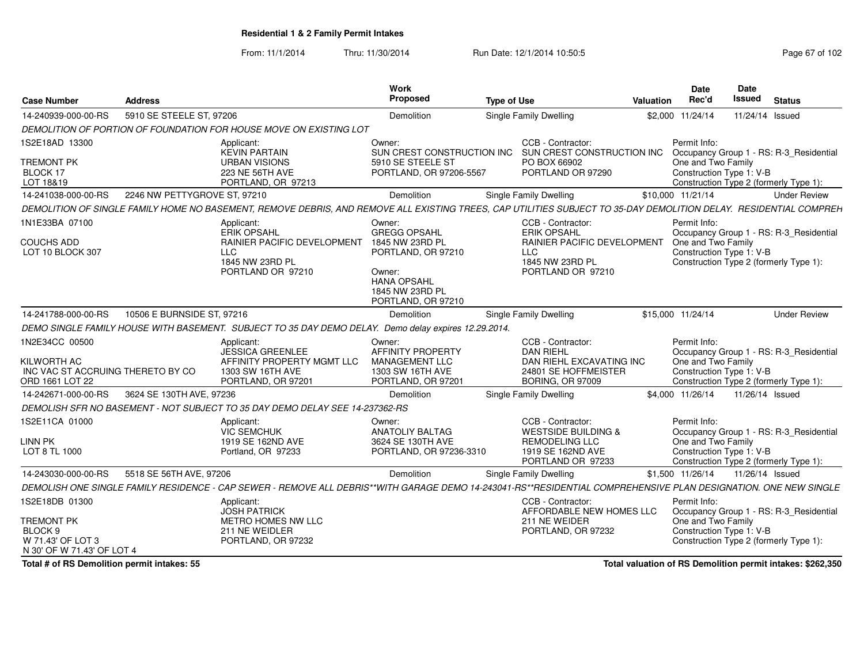From: 11/1/2014Thru: 11/30/2014 Run Date: 12/1/2014 10:50:5<br>
Page 67 of 102

| <b>Case Number</b>                                                                    | <b>Address</b>               |                                                                                                                                                                   | Work<br>Proposed                                                                                                                                | <b>Type of Use</b>                                                                                                                  | <b>Valuation</b> | <b>Date</b><br>Rec'd               | <b>Date</b><br>Issued    | <b>Status</b>                                                                     |
|---------------------------------------------------------------------------------------|------------------------------|-------------------------------------------------------------------------------------------------------------------------------------------------------------------|-------------------------------------------------------------------------------------------------------------------------------------------------|-------------------------------------------------------------------------------------------------------------------------------------|------------------|------------------------------------|--------------------------|-----------------------------------------------------------------------------------|
| 14-240939-000-00-RS                                                                   | 5910 SE STEELE ST. 97206     |                                                                                                                                                                   | Demolition                                                                                                                                      | Single Family Dwelling                                                                                                              |                  | \$2,000 11/24/14                   | 11/24/14 Issued          |                                                                                   |
|                                                                                       |                              | DEMOLITION OF PORTION OF FOUNDATION FOR HOUSE MOVE ON EXISTING LOT                                                                                                |                                                                                                                                                 |                                                                                                                                     |                  |                                    |                          |                                                                                   |
| 1S2E18AD 13300<br><b>TREMONT PK</b><br>BLOCK 17<br>LOT 18&19                          |                              | Applicant:<br><b>KEVIN PARTAIN</b><br><b>URBAN VISIONS</b><br>223 NE 56TH AVE<br>PORTLAND, OR 97213                                                               | Owner:<br>SUN CREST CONSTRUCTION INC<br>5910 SE STEELE ST<br>PORTLAND, OR 97206-5567                                                            | CCB - Contractor:<br>SUN CREST CONSTRUCTION INC<br>PO BOX 66902<br>PORTLAND OR 97290                                                |                  | Permit Info:<br>One and Two Family | Construction Type 1: V-B | Occupancy Group 1 - RS: R-3_Residential<br>Construction Type 2 (formerly Type 1): |
| 14-241038-000-00-RS                                                                   | 2246 NW PETTYGROVE ST, 97210 |                                                                                                                                                                   | Demolition                                                                                                                                      | Single Family Dwelling                                                                                                              |                  | \$10,000 11/21/14                  |                          | <b>Under Review</b>                                                               |
|                                                                                       |                              | DEMOLITION OF SINGLE FAMILY HOME NO BASEMENT, REMOVE DEBRIS, AND REMOVE ALL EXISTING TREES, CAP UTILITIES SUBJECT TO 35-DAY DEMOLITION DELAY. RESIDENTIAL COMPREH |                                                                                                                                                 |                                                                                                                                     |                  |                                    |                          |                                                                                   |
| 1N1E33BA 07100<br>COUCHS ADD<br>LOT 10 BLOCK 307                                      |                              | Applicant:<br>ERIK OPSAHL<br>RAINIER PACIFIC DEVELOPMENT<br><b>LLC</b><br>1845 NW 23RD PL<br>PORTLAND OR 97210                                                    | Owner:<br><b>GREGG OPSAHL</b><br>1845 NW 23RD PL<br>PORTLAND, OR 97210<br>Owner:<br><b>HANA OPSAHL</b><br>1845 NW 23RD PL<br>PORTLAND, OR 97210 | CCB - Contractor:<br><b>ERIK OPSAHL</b><br><b>RAINIER PACIFIC DEVELOPMENT</b><br><b>LLC</b><br>1845 NW 23RD PL<br>PORTLAND OR 97210 |                  | Permit Info:<br>One and Two Family | Construction Type 1: V-B | Occupancy Group 1 - RS: R-3_Residential<br>Construction Type 2 (formerly Type 1): |
| 14-241788-000-00-RS                                                                   | 10506 E BURNSIDE ST, 97216   |                                                                                                                                                                   | Demolition                                                                                                                                      | Single Family Dwelling                                                                                                              |                  | \$15,000 11/24/14                  |                          | <b>Under Review</b>                                                               |
|                                                                                       |                              | DEMO SINGLE FAMILY HOUSE WITH BASEMENT. SUBJECT TO 35 DAY DEMO DELAY. Demo delay expires 12.29.2014.                                                              |                                                                                                                                                 |                                                                                                                                     |                  |                                    |                          |                                                                                   |
| 1N2E34CC 00500<br>KILWORTH AC<br>INC VAC ST ACCRUING THERETO BY CO<br>ORD 1661 LOT 22 |                              | Applicant:<br><b>JESSICA GREENLEE</b><br>AFFINITY PROPERTY MGMT LLC<br>1303 SW 16TH AVE<br>PORTLAND, OR 97201                                                     | Owner:<br><b>AFFINITY PROPERTY</b><br>MANAGEMENT LLC<br>1303 SW 16TH AVE<br>PORTLAND, OR 97201                                                  | CCB - Contractor:<br><b>DAN RIEHL</b><br>DAN RIEHL EXCAVATING INC<br>24801 SE HOFFMEISTER<br><b>BORING, OR 97009</b>                |                  | Permit Info:<br>One and Two Family | Construction Type 1: V-B | Occupancy Group 1 - RS: R-3 Residential<br>Construction Type 2 (formerly Type 1): |
| 14-242671-000-00-RS                                                                   | 3624 SE 130TH AVE, 97236     |                                                                                                                                                                   | Demolition                                                                                                                                      | Single Family Dwelling                                                                                                              |                  | \$4,000 11/26/14                   | 11/26/14 Issued          |                                                                                   |
|                                                                                       |                              | DEMOLISH SFR NO BASEMENT - NOT SUBJECT TO 35 DAY DEMO DELAY SEE 14-237362-RS                                                                                      |                                                                                                                                                 |                                                                                                                                     |                  |                                    |                          |                                                                                   |
| 1S2E11CA 01000<br>LINN PK<br>LOT 8 TL 1000                                            |                              | Applicant:<br>VIC SEMCHUK<br>1919 SE 162ND AVE<br>Portland, OR 97233                                                                                              | Owner:<br><b>ANATOLIY BALTAG</b><br>3624 SE 130TH AVE<br>PORTLAND, OR 97236-3310                                                                | CCB - Contractor:<br><b>WESTSIDE BUILDING &amp;</b><br><b>REMODELING LLC</b><br>1919 SE 162ND AVE<br>PORTLAND OR 97233              |                  | Permit Info:<br>One and Two Family | Construction Type 1: V-B | Occupancy Group 1 - RS: R-3 Residential<br>Construction Type 2 (formerly Type 1): |
| 14-243030-000-00-RS                                                                   | 5518 SE 56TH AVE, 97206      |                                                                                                                                                                   | Demolition                                                                                                                                      | Single Family Dwelling                                                                                                              |                  | \$1,500 11/26/14                   | 11/26/14 Issued          |                                                                                   |
|                                                                                       |                              | DEMOLISH ONE SINGLE FAMILY RESIDENCE - CAP SEWER - REMOVE ALL DEBRIS**WITH GARAGE DEMO 14-243041-RS**RESIDENTIAL COMPREHENSIVE PLAN DESIGNATION. ONE NEW SINGLE   |                                                                                                                                                 |                                                                                                                                     |                  |                                    |                          |                                                                                   |
| 1S2E18DB 01300                                                                        |                              | Applicant:<br><b>JOSH PATRICK</b>                                                                                                                                 |                                                                                                                                                 | CCB - Contractor:<br>AFFORDABLE NEW HOMES LLC                                                                                       |                  | Permit Info:                       |                          | Occupancy Group 1 - RS: R-3 Residential                                           |
| <b>TREMONT PK</b><br>BLOCK 9<br>W 71.43' OF LOT 3<br>N 30' OF W 71.43' OF LOT 4       |                              | METRO HOMES NW LLC<br>211 NE WEIDLER<br>PORTLAND, OR 97232                                                                                                        |                                                                                                                                                 | 211 NE WEIDER<br>PORTLAND, OR 97232                                                                                                 |                  | One and Two Family                 | Construction Type 1: V-B | Construction Type 2 (formerly Type 1):                                            |

**Total # of RS Demolition permit intakes: 55**

**Total valuation of RS Demolition permit intakes: \$262,350**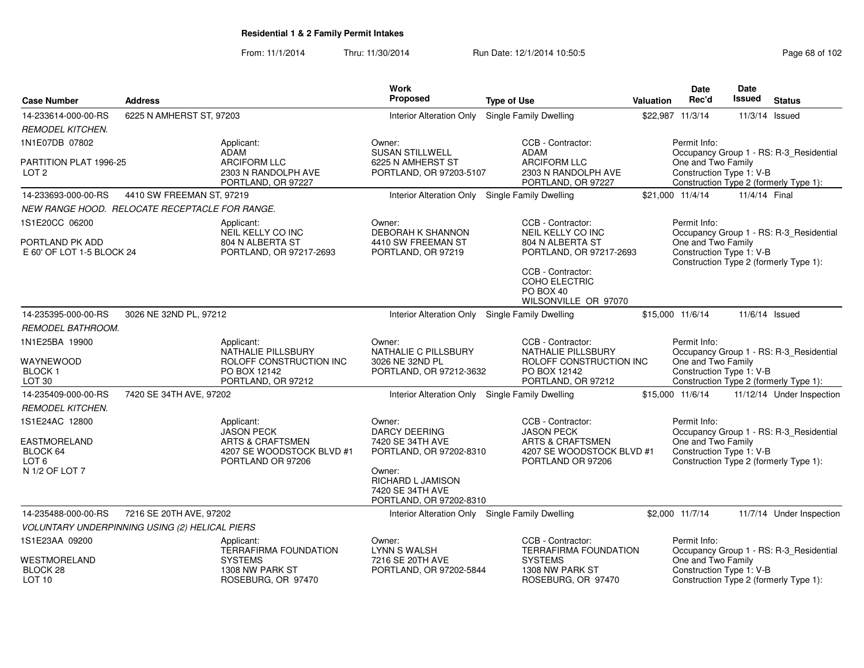From: 11/1/2014Thru: 11/30/2014 Run Date: 12/1/2014 10:50:5<br>
Page 68 of 102

| <b>Case Number</b>                                             | <b>Address</b>                                 |                                                                                | Work<br><b>Proposed</b>                                                    | <b>Type of Use</b>                                                                    | <b>Valuation</b> | <b>Date</b><br>Rec'd                                           | Date<br><b>Issued</b> | <b>Status</b>                                                                     |
|----------------------------------------------------------------|------------------------------------------------|--------------------------------------------------------------------------------|----------------------------------------------------------------------------|---------------------------------------------------------------------------------------|------------------|----------------------------------------------------------------|-----------------------|-----------------------------------------------------------------------------------|
| 14-233614-000-00-RS                                            | 6225 N AMHERST ST, 97203                       |                                                                                | <b>Interior Alteration Only</b>                                            | <b>Single Family Dwelling</b>                                                         |                  | \$22,987 11/3/14                                               | 11/3/14               | Issued                                                                            |
| <b>REMODEL KITCHEN.</b>                                        |                                                |                                                                                |                                                                            |                                                                                       |                  |                                                                |                       |                                                                                   |
| 1N1E07DB 07802                                                 |                                                | Applicant:<br>ADAM                                                             | Owner:<br><b>SUSAN STILLWELL</b>                                           | CCB - Contractor:<br>ADAM                                                             |                  | Permit Info:                                                   |                       | Occupancy Group 1 - RS: R-3_Residential                                           |
| PARTITION PLAT 1996-25<br>LOT <sub>2</sub>                     |                                                | ARCIFORM LLC<br>2303 N RANDOLPH AVE<br>PORTLAND, OR 97227                      | 6225 N AMHERST ST<br>PORTLAND, OR 97203-5107                               | <b>ARCIFORM LLC</b><br>2303 N RANDOLPH AVE<br>PORTLAND, OR 97227                      |                  | One and Two Family<br>Construction Type 1: V-B                 |                       | Construction Type 2 (formerly Type 1):                                            |
| 14-233693-000-00-RS                                            | 4410 SW FREEMAN ST, 97219                      |                                                                                | Interior Alteration Only Single Family Dwelling                            |                                                                                       |                  | \$21,000 11/4/14                                               | 11/4/14 Final         |                                                                                   |
|                                                                | NEW RANGE HOOD. RELOCATE RECEPTACLE FOR RANGE. |                                                                                |                                                                            |                                                                                       |                  |                                                                |                       |                                                                                   |
| 1S1E20CC 06200<br>PORTLAND PK ADD<br>E 60' OF LOT 1-5 BLOCK 24 |                                                | Applicant:<br>NEIL KELLY CO INC<br>804 N ALBERTA ST<br>PORTLAND, OR 97217-2693 | Owner:<br>DEBORAH K SHANNON<br>4410 SW FREEMAN ST<br>PORTLAND, OR 97219    | CCB - Contractor:<br>NEIL KELLY CO INC<br>804 N ALBERTA ST<br>PORTLAND, OR 97217-2693 |                  | Permit Info:<br>One and Two Family<br>Construction Type 1: V-B |                       | Occupancy Group 1 - RS: R-3_Residential<br>Construction Type 2 (formerly Type 1): |
|                                                                |                                                |                                                                                |                                                                            | CCB - Contractor:<br>COHO ELECTRIC<br>PO BOX 40<br>WILSONVILLE OR 97070               |                  |                                                                |                       |                                                                                   |
| 14-235395-000-00-RS                                            | 3026 NE 32ND PL, 97212                         |                                                                                | Interior Alteration Only                                                   | Single Family Dwelling                                                                |                  | \$15,000 11/6/14                                               |                       | 11/6/14 Issued                                                                    |
| <b>REMODEL BATHROOM.</b>                                       |                                                |                                                                                |                                                                            |                                                                                       |                  |                                                                |                       |                                                                                   |
| 1N1E25BA 19900                                                 |                                                | Applicant:<br>NATHALIE PILLSBURY                                               | Owner:<br>NATHALIE C PILLSBURY                                             | CCB - Contractor:<br>NATHALIE PILLSBURY                                               |                  | Permit Info:                                                   |                       | Occupancy Group 1 - RS: R-3_Residential                                           |
| WAYNEWOOD<br><b>BLOCK1</b><br>LOT <sub>30</sub>                |                                                | ROLOFF CONSTRUCTION INC<br>PO BOX 12142<br>PORTLAND, OR 97212                  | 3026 NE 32ND PL<br>PORTLAND, OR 97212-3632                                 | ROLOFF CONSTRUCTION INC<br>PO BOX 12142<br>PORTLAND, OR 97212                         |                  | One and Two Family<br>Construction Type 1: V-B                 |                       | Construction Type 2 (formerly Type 1):                                            |
| 14-235409-000-00-RS                                            | 7420 SE 34TH AVE, 97202                        |                                                                                | <b>Interior Alteration Only</b>                                            | <b>Single Family Dwelling</b>                                                         |                  | \$15,000 11/6/14                                               |                       | 11/12/14 Under Inspection                                                         |
| <b>REMODEL KITCHEN.</b>                                        |                                                |                                                                                |                                                                            |                                                                                       |                  |                                                                |                       |                                                                                   |
| 1S1E24AC 12800                                                 |                                                | Applicant:<br><b>JASON PECK</b>                                                | Owner:<br><b>DARCY DEERING</b>                                             | CCB - Contractor:<br><b>JASON PECK</b>                                                |                  | Permit Info:                                                   |                       | Occupancy Group 1 - RS: R-3_Residential                                           |
| EASTMORELAND<br>BLOCK 64<br>LOT 6                              |                                                | <b>ARTS &amp; CRAFTSMEN</b><br>4207 SE WOODSTOCK BLVD #1<br>PORTLAND OR 97206  | 7420 SE 34TH AVE<br>PORTLAND, OR 97202-8310                                | <b>ARTS &amp; CRAFTSMEN</b><br>4207 SE WOODSTOCK BLVD #1<br>PORTLAND OR 97206         |                  | One and Two Family<br>Construction Type 1: V-B                 |                       | Construction Type 2 (formerly Type 1):                                            |
| N 1/2 OF LOT 7                                                 |                                                |                                                                                | Owner:<br>RICHARD L JAMISON<br>7420 SE 34TH AVE<br>PORTLAND, OR 97202-8310 |                                                                                       |                  |                                                                |                       |                                                                                   |
| 14-235488-000-00-RS                                            | 7216 SE 20TH AVE, 97202                        |                                                                                | Interior Alteration Only Single Family Dwelling                            |                                                                                       |                  | \$2,000 11/7/14                                                |                       | 11/7/14 Under Inspection                                                          |
|                                                                | VOLUNTARY UNDERPINNING USING (2) HELICAL PIERS |                                                                                |                                                                            |                                                                                       |                  |                                                                |                       |                                                                                   |
| 1S1E23AA 09200                                                 |                                                | Applicant:<br><b>TERRAFIRMA FOUNDATION</b>                                     | Owner:<br><b>LYNN S WALSH</b>                                              | CCB - Contractor:<br><b>TERRAFIRMA FOUNDATION</b>                                     |                  | Permit Info:                                                   |                       | Occupancy Group 1 - RS: R-3_Residential                                           |
| WESTMORELAND<br>BLOCK 28<br>LOT <sub>10</sub>                  |                                                | <b>SYSTEMS</b><br>1308 NW PARK ST<br>ROSEBURG, OR 97470                        | 7216 SE 20TH AVE<br>PORTLAND, OR 97202-5844                                | <b>SYSTEMS</b><br>1308 NW PARK ST<br>ROSEBURG, OR 97470                               |                  | One and Two Family<br>Construction Type 1: V-B                 |                       | Construction Type 2 (formerly Type 1):                                            |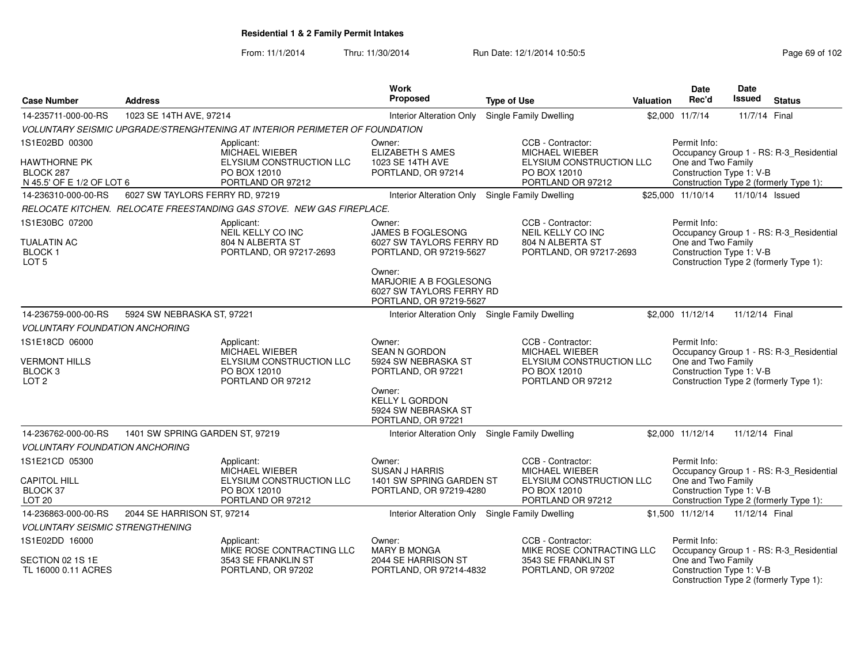From: 11/1/2014

Thru: 11/30/2014 Run Date: 12/1/2014 10:50:5<br>
Page 69 of 102

| <b>Case Number</b>                         | <b>Address</b>                  |                                                                             | <b>Work</b><br>Proposed                           | <b>Type of Use</b>                         | <b>Valuation</b>          | <b>Date</b><br>Rec'd                           | <b>Date</b><br>Issued | <b>Status</b>                           |
|--------------------------------------------|---------------------------------|-----------------------------------------------------------------------------|---------------------------------------------------|--------------------------------------------|---------------------------|------------------------------------------------|-----------------------|-----------------------------------------|
| 14-235711-000-00-RS                        | 1023 SE 14TH AVE, 97214         |                                                                             | <b>Interior Alteration Only</b>                   | Single Family Dwelling                     |                           | \$2,000 11/7/14                                | 11/7/14 Final         |                                         |
|                                            |                                 | VOLUNTARY SEISMIC UPGRADE/STRENGHTENING AT INTERIOR PERIMETER OF FOUNDATION |                                                   |                                            |                           |                                                |                       |                                         |
|                                            |                                 |                                                                             |                                                   |                                            |                           |                                                |                       |                                         |
| 1S1E02BD 00300                             |                                 | Applicant:<br>MICHAEL WIEBER                                                | Owner:<br>ELIZABETH S AMES                        | CCB - Contractor:<br><b>MICHAEL WIEBER</b> |                           | Permit Info:                                   |                       | Occupancy Group 1 - RS: R-3_Residential |
| <b>HAWTHORNE PK</b>                        |                                 | ELYSIUM CONSTRUCTION LLC                                                    | 1023 SE 14TH AVE                                  |                                            | ELYSIUM CONSTRUCTION LLC  | One and Two Family                             |                       |                                         |
| BLOCK 287                                  |                                 | PO BOX 12010                                                                | PORTLAND, OR 97214                                | PO BOX 12010                               |                           | Construction Type 1: V-B                       |                       |                                         |
| N 45.5' OF E 1/2 OF LOT 6                  |                                 | PORTLAND OR 97212                                                           |                                                   | PORTLAND OR 97212                          |                           |                                                |                       | Construction Type 2 (formerly Type 1):  |
| 14-236310-000-00-RS                        | 6027 SW TAYLORS FERRY RD, 97219 |                                                                             | Interior Alteration Only                          | Single Family Dwelling                     |                           | \$25,000 11/10/14                              | 11/10/14 Issued       |                                         |
|                                            |                                 | RELOCATE KITCHEN. RELOCATE FREESTANDING GAS STOVE. NEW GAS FIREPLACE.       |                                                   |                                            |                           |                                                |                       |                                         |
| 1S1E30BC 07200                             |                                 | Applicant:                                                                  | Owner:                                            | CCB - Contractor:                          |                           | Permit Info:                                   |                       |                                         |
| <b>TUALATIN AC</b>                         |                                 | NEIL KELLY CO INC<br>804 N ALBERTA ST                                       | JAMES B FOGLESONG<br>6027 SW TAYLORS FERRY RD     | NEIL KELLY CO INC<br>804 N ALBERTA ST      |                           | One and Two Family                             |                       | Occupancy Group 1 - RS: R-3_Residential |
| <b>BLOCK1</b>                              |                                 | PORTLAND, OR 97217-2693                                                     | PORTLAND, OR 97219-5627                           | PORTLAND, OR 97217-2693                    |                           | Construction Type 1: V-B                       |                       |                                         |
| LOT <sub>5</sub>                           |                                 |                                                                             |                                                   |                                            |                           |                                                |                       | Construction Type 2 (formerly Type 1):  |
|                                            |                                 |                                                                             | Owner:<br>MARJORIE A B FOGLESONG                  |                                            |                           |                                                |                       |                                         |
|                                            |                                 |                                                                             | 6027 SW TAYLORS FERRY RD                          |                                            |                           |                                                |                       |                                         |
|                                            |                                 |                                                                             | PORTLAND, OR 97219-5627                           |                                            |                           |                                                |                       |                                         |
| 14-236759-000-00-RS                        | 5924 SW NEBRASKA ST, 97221      |                                                                             | Interior Alteration Only                          | Single Family Dwelling                     |                           | \$2,000 11/12/14                               | 11/12/14 Final        |                                         |
| <b>VOLUNTARY FOUNDATION ANCHORING</b>      |                                 |                                                                             |                                                   |                                            |                           |                                                |                       |                                         |
| 1S1E18CD 06000                             |                                 | Applicant:                                                                  | Owner:                                            | CCB - Contractor:                          |                           | Permit Info:                                   |                       |                                         |
|                                            |                                 | <b>MICHAEL WIEBER</b>                                                       | <b>SEAN N GORDON</b>                              | <b>MICHAEL WIEBER</b>                      |                           |                                                |                       | Occupancy Group 1 - RS: R-3_Residential |
| <b>VERMONT HILLS</b><br>BLOCK <sub>3</sub> |                                 | ELYSIUM CONSTRUCTION LLC<br>PO BOX 12010                                    | 5924 SW NEBRASKA ST<br>PORTLAND, OR 97221         | PO BOX 12010                               | ELYSIUM CONSTRUCTION LLC  | One and Two Family<br>Construction Type 1: V-B |                       |                                         |
| LOT <sub>2</sub>                           |                                 | PORTLAND OR 97212                                                           |                                                   | PORTLAND OR 97212                          |                           |                                                |                       | Construction Type 2 (formerly Type 1):  |
|                                            |                                 |                                                                             | Owner:                                            |                                            |                           |                                                |                       |                                         |
|                                            |                                 |                                                                             | <b>KELLY L GORDON</b><br>5924 SW NEBRASKA ST      |                                            |                           |                                                |                       |                                         |
|                                            |                                 |                                                                             | PORTLAND, OR 97221                                |                                            |                           |                                                |                       |                                         |
| 14-236762-000-00-RS                        | 1401 SW SPRING GARDEN ST, 97219 |                                                                             | Interior Alteration Only                          | Single Family Dwelling                     |                           | \$2,000 11/12/14                               | 11/12/14 Final        |                                         |
| <b>VOLUNTARY FOUNDATION ANCHORING</b>      |                                 |                                                                             |                                                   |                                            |                           |                                                |                       |                                         |
| 1S1E21CD 05300                             |                                 | Applicant:                                                                  | Owner:                                            | CCB - Contractor:                          |                           | Permit Info:                                   |                       |                                         |
| <b>CAPITOL HILL</b>                        |                                 | <b>MICHAEL WIEBER</b><br>ELYSIUM CONSTRUCTION LLC                           | <b>SUSAN J HARRIS</b><br>1401 SW SPRING GARDEN ST | <b>MICHAEL WIEBER</b>                      | ELYSIUM CONSTRUCTION LLC  | One and Two Family                             |                       | Occupancy Group 1 - RS: R-3_Residential |
| BLOCK 37                                   |                                 | PO BOX 12010                                                                | PORTLAND, OR 97219-4280                           | PO BOX 12010                               |                           | Construction Type 1: V-B                       |                       |                                         |
| <b>LOT 20</b>                              |                                 | PORTLAND OR 97212                                                           |                                                   | PORTLAND OR 97212                          |                           |                                                |                       | Construction Type 2 (formerly Type 1):  |
| 14-236863-000-00-RS                        | 2044 SE HARRISON ST, 97214      |                                                                             | Interior Alteration Only                          | <b>Single Family Dwelling</b>              |                           | \$1,500 11/12/14                               | 11/12/14 Final        |                                         |
| <b>VOLUNTARY SEISMIC STRENGTHENING</b>     |                                 |                                                                             |                                                   |                                            |                           |                                                |                       |                                         |
| 1S1E02DD 16000                             |                                 | Applicant:                                                                  | Owner:                                            | CCB - Contractor:                          |                           | Permit Info:                                   |                       |                                         |
|                                            |                                 | MIKE ROSE CONTRACTING LLC                                                   | <b>MARY B MONGA</b><br>2044 SE HARRISON ST        |                                            | MIKE ROSE CONTRACTING LLC |                                                |                       | Occupancy Group 1 - RS: R-3_Residential |
| SECTION 02 1S 1E<br>TL 16000 0.11 ACRES    |                                 | 3543 SE FRANKLIN ST<br>PORTLAND, OR 97202                                   | PORTLAND, OR 97214-4832                           | 3543 SE FRANKLIN ST<br>PORTLAND, OR 97202  |                           | One and Two Family<br>Construction Type 1: V-B |                       |                                         |
|                                            |                                 |                                                                             |                                                   |                                            |                           |                                                |                       | Construction Type 2 (formerly Type 1):  |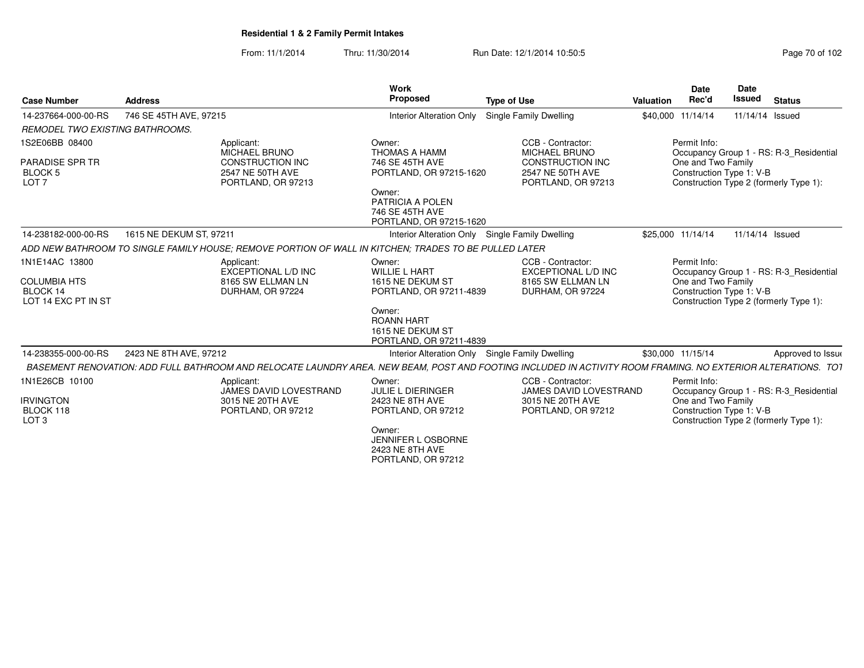From: 11/1/2014Thru: 11/30/2014 Run Date: 12/1/2014 10:50:5<br>
Page 70 of 102

| <b>Case Number</b>                                                       | <b>Address</b>                                                                                                                                               | Work<br><b>Proposed</b>                                                                                      | <b>Type of Use</b>                                                                                      | Valuation         | <b>Date</b><br>Rec'd               | Date<br><b>Issued</b>    | <b>Status</b>                                                                     |
|--------------------------------------------------------------------------|--------------------------------------------------------------------------------------------------------------------------------------------------------------|--------------------------------------------------------------------------------------------------------------|---------------------------------------------------------------------------------------------------------|-------------------|------------------------------------|--------------------------|-----------------------------------------------------------------------------------|
| 14-237664-000-00-RS                                                      | 746 SE 45TH AVE, 97215                                                                                                                                       | Interior Alteration Only                                                                                     | Single Family Dwelling                                                                                  | \$40,000 11/14/14 |                                    | 11/14/14 Issued          |                                                                                   |
| <b>REMODEL TWO EXISTING BATHROOMS.</b>                                   |                                                                                                                                                              |                                                                                                              |                                                                                                         |                   |                                    |                          |                                                                                   |
| 1S2E06BB 08400<br><b>PARADISE SPR TR</b><br>BLOCK 5<br>LOT <sub>7</sub>  | Applicant:<br><b>MICHAEL BRUNO</b><br><b>CONSTRUCTION INC</b><br>2547 NE 50TH AVE<br>PORTLAND, OR 97213                                                      | Owner:<br><b>THOMAS A HAMM</b><br>746 SE 45TH AVE<br>PORTLAND, OR 97215-1620<br>Owner:<br>PATRICIA A POLEN   | CCB - Contractor:<br>MICHAEL BRUNO<br><b>CONSTRUCTION INC</b><br>2547 NE 50TH AVE<br>PORTLAND, OR 97213 |                   | Permit Info:<br>One and Two Family | Construction Type 1: V-B | Occupancy Group 1 - RS: R-3_Residential<br>Construction Type 2 (formerly Type 1): |
|                                                                          |                                                                                                                                                              | 746 SE 45TH AVE<br>PORTLAND, OR 97215-1620                                                                   |                                                                                                         |                   |                                    |                          |                                                                                   |
| 14-238182-000-00-RS                                                      | 1615 NE DEKUM ST, 97211                                                                                                                                      | Interior Alteration Only Single Family Dwelling                                                              |                                                                                                         | \$25,000 11/14/14 |                                    | 11/14/14 Issued          |                                                                                   |
|                                                                          | ADD NEW BATHROOM TO SINGLE FAMILY HOUSE: REMOVE PORTION OF WALL IN KITCHEN: TRADES TO BE PULLED LATER                                                        |                                                                                                              |                                                                                                         |                   |                                    |                          |                                                                                   |
| 1N1E14AC 13800<br><b>COLUMBIA HTS</b><br>BLOCK 14<br>LOT 14 EXC PT IN ST | Applicant:<br>EXCEPTIONAL L/D INC<br>8165 SW ELLMAN LN<br>DURHAM, OR 97224                                                                                   | Owner:<br><b>WILLIE L HART</b><br>1615 NE DEKUM ST<br>PORTLAND, OR 97211-4839<br>Owner:<br><b>ROANN HART</b> | CCB - Contractor:<br><b>EXCEPTIONAL L/D INC</b><br>8165 SW ELLMAN LN<br>DURHAM, OR 97224                |                   | Permit Info:<br>One and Two Family | Construction Type 1: V-B | Occupancy Group 1 - RS: R-3 Residential<br>Construction Type 2 (formerly Type 1): |
|                                                                          |                                                                                                                                                              | 1615 NE DEKUM ST<br>PORTLAND, OR 97211-4839                                                                  |                                                                                                         |                   |                                    |                          |                                                                                   |
| 14-238355-000-00-RS                                                      | 2423 NE 8TH AVE, 97212                                                                                                                                       | Interior Alteration Only Single Family Dwelling                                                              |                                                                                                         | \$30,000 11/15/14 |                                    |                          | Approved to Issue                                                                 |
|                                                                          | BASEMENT RENOVATION: ADD FULL BATHROOM AND RELOCATE LAUNDRY AREA. NEW BEAM, POST AND FOOTING INCLUDED IN ACTIVITY ROOM FRAMING. NO EXTERIOR ALTERATIONS. TOT |                                                                                                              |                                                                                                         |                   |                                    |                          |                                                                                   |
| 1N1E26CB 10100<br><b>IRVINGTON</b>                                       | Applicant:<br>JAMES DAVID LOVESTRAND<br>3015 NE 20TH AVE                                                                                                     | Owner:<br><b>JULIE L DIERINGER</b><br>2423 NE 8TH AVE                                                        | CCB - Contractor:<br>JAMES DAVID LOVESTRAND                                                             |                   | Permit Info:                       |                          | Occupancy Group 1 - RS: R-3_Residential                                           |
| BLOCK 118<br>LOT <sub>3</sub>                                            | PORTLAND, OR 97212                                                                                                                                           | PORTLAND, OR 97212<br>Owner:<br>JENNIFER LOSBORNE<br>2423 NE 8TH AVE<br>PORTLAND, OR 97212                   | 3015 NE 20TH AVE<br>PORTLAND, OR 97212                                                                  |                   | One and Two Family                 | Construction Type 1: V-B | Construction Type 2 (formerly Type 1):                                            |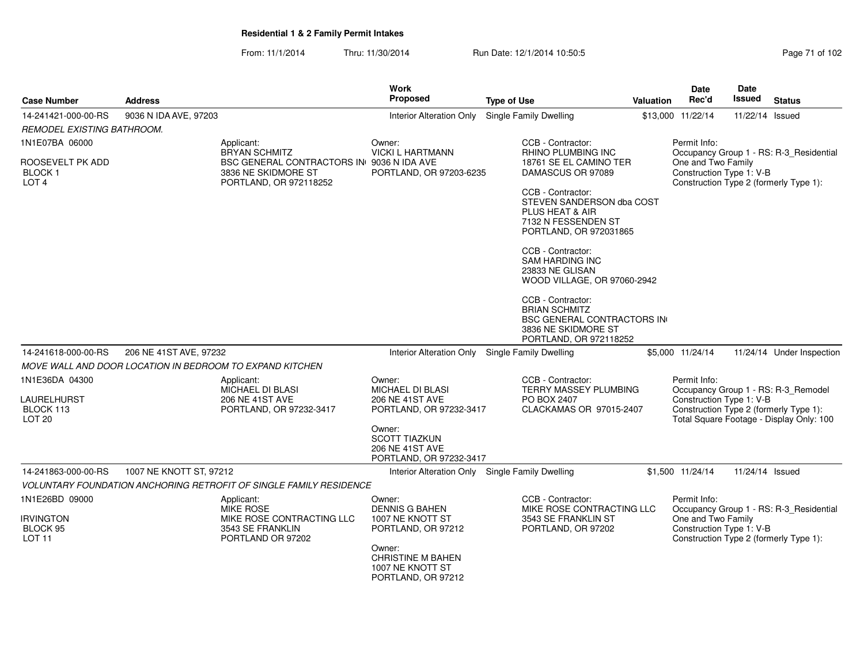From: 11/1/2014Thru: 11/30/2014 Run Date: 12/1/2014 10:50:5<br>
Page 71 of 102

| <b>Case Number</b>                                              | <b>Address</b>                                                          |                                           | Work<br>Proposed                                                                    | <b>Type of Use</b>                                                                                                       | Valuation | <b>Date</b><br>Rec'd                                                                                                                                  | <b>Date</b><br>Issued | <b>Status</b>                                                                     |  |
|-----------------------------------------------------------------|-------------------------------------------------------------------------|-------------------------------------------|-------------------------------------------------------------------------------------|--------------------------------------------------------------------------------------------------------------------------|-----------|-------------------------------------------------------------------------------------------------------------------------------------------------------|-----------------------|-----------------------------------------------------------------------------------|--|
| 14-241421-000-00-RS                                             | 9036 N IDA AVE, 97203                                                   |                                           | <b>Interior Alteration Only</b>                                                     | Single Family Dwelling                                                                                                   |           | \$13,000 11/22/14                                                                                                                                     | 11/22/14 Issued       |                                                                                   |  |
| REMODEL EXISTING BATHROOM.                                      |                                                                         |                                           |                                                                                     |                                                                                                                          |           |                                                                                                                                                       |                       |                                                                                   |  |
| 1N1E07BA 06000                                                  | Applicant:<br><b>BRYAN SCHMITZ</b>                                      |                                           | Owner:<br><b>VICKI L HARTMANN</b>                                                   | CCB - Contractor:<br>RHINO PLUMBING INC                                                                                  |           | Permit Info:                                                                                                                                          |                       | Occupancy Group 1 - RS: R-3_Residential                                           |  |
| ROOSEVELT PK ADD<br>BLOCK 1<br>LOT <sub>4</sub>                 | 3836 NE SKIDMORE ST<br>PORTLAND, OR 972118252                           | BSC GENERAL CONTRACTORS IN 9036 N IDA AVE | PORTLAND, OR 97203-6235                                                             | 18761 SE EL CAMINO TER<br>DAMASCUS OR 97089                                                                              |           | One and Two Family<br>Construction Type 1: V-B                                                                                                        |                       | Construction Type 2 (formerly Type 1):                                            |  |
|                                                                 |                                                                         |                                           |                                                                                     | CCB - Contractor:<br>STEVEN SANDERSON dba COST<br>PLUS HEAT & AIR<br>7132 N FESSENDEN ST<br>PORTLAND, OR 972031865       |           |                                                                                                                                                       |                       |                                                                                   |  |
|                                                                 |                                                                         |                                           |                                                                                     | CCB - Contractor:<br><b>SAM HARDING INC</b><br>23833 NE GLISAN<br>WOOD VILLAGE, OR 97060-2942                            |           |                                                                                                                                                       |                       |                                                                                   |  |
|                                                                 |                                                                         |                                           |                                                                                     | CCB - Contractor:<br><b>BRIAN SCHMITZ</b><br>BSC GENERAL CONTRACTORS IN<br>3836 NE SKIDMORE ST<br>PORTLAND, OR 972118252 |           |                                                                                                                                                       |                       |                                                                                   |  |
| 14-241618-000-00-RS                                             | 206 NE 41ST AVE, 97232                                                  |                                           | Interior Alteration Only                                                            | Single Family Dwelling                                                                                                   |           | \$5,000 11/24/14                                                                                                                                      |                       | 11/24/14 Under Inspection                                                         |  |
|                                                                 | MOVE WALL AND DOOR LOCATION IN BEDROOM TO EXPAND KITCHEN                |                                           |                                                                                     |                                                                                                                          |           |                                                                                                                                                       |                       |                                                                                   |  |
| 1N1E36DA 04300                                                  | Applicant:                                                              |                                           | Owner:<br><b>MICHAEL DI BLASI</b>                                                   | CCB - Contractor:                                                                                                        |           | Permit Info:                                                                                                                                          |                       |                                                                                   |  |
| LAURELHURST<br>BLOCK 113<br>LOT <sub>20</sub>                   | MICHAEL DI BLASI<br>206 NE 41ST AVE<br>PORTLAND, OR 97232-3417          |                                           | 206 NE 41ST AVE<br>PORTLAND, OR 97232-3417                                          | TERRY MASSEY PLUMBING<br>PO BOX 2407<br>CLACKAMAS OR 97015-2407                                                          |           | Occupancy Group 1 - RS: R-3_Remodel<br>Construction Type 1: V-B<br>Construction Type 2 (formerly Type 1):<br>Total Square Footage - Display Only: 100 |                       |                                                                                   |  |
|                                                                 |                                                                         |                                           | Owner:<br><b>SCOTT TIAZKUN</b><br><b>206 NE 41ST AVE</b><br>PORTLAND, OR 97232-3417 |                                                                                                                          |           |                                                                                                                                                       |                       |                                                                                   |  |
| 14-241863-000-00-RS                                             | 1007 NE KNOTT ST, 97212                                                 |                                           | Interior Alteration Only Single Family Dwelling                                     |                                                                                                                          |           | \$1,500 11/24/14                                                                                                                                      | 11/24/14 Issued       |                                                                                   |  |
|                                                                 | VOLUNTARY FOUNDATION ANCHORING RETROFIT OF SINGLE FAMILY RESIDENCE      |                                           |                                                                                     |                                                                                                                          |           |                                                                                                                                                       |                       |                                                                                   |  |
| 1N1E26BD 09000<br><b>IRVINGTON</b><br>BLOCK 95<br><b>LOT 11</b> | Applicant:<br><b>MIKE ROSE</b><br>3543 SE FRANKLIN<br>PORTLAND OR 97202 | MIKE ROSE CONTRACTING LLC                 | Owner:<br><b>DENNIS G BAHEN</b><br>1007 NE KNOTT ST<br>PORTLAND, OR 97212           | CCB - Contractor:<br>MIKE ROSE CONTRACTING LLC<br>3543 SE FRANKLIN ST<br>PORTLAND, OR 97202                              |           | Permit Info:<br>One and Two Family<br>Construction Type 1: V-B                                                                                        |                       | Occupancy Group 1 - RS: R-3_Residential<br>Construction Type 2 (formerly Type 1): |  |
|                                                                 |                                                                         |                                           | Owner:<br><b>CHRISTINE M BAHEN</b><br>1007 NE KNOTT ST<br>PORTLAND, OR 97212        |                                                                                                                          |           |                                                                                                                                                       |                       |                                                                                   |  |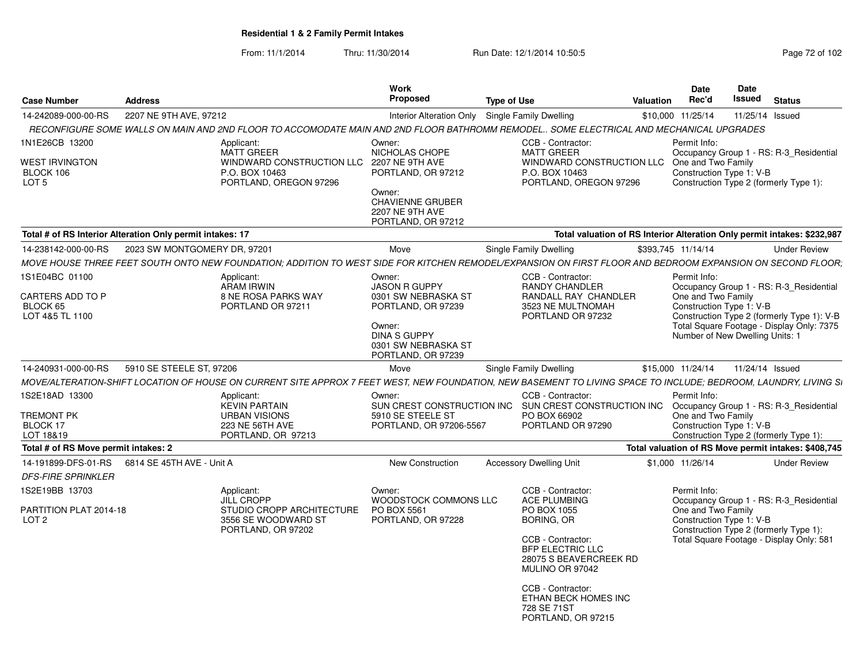From: 11/1/2014Thru: 11/30/2014 Run Date: 12/1/2014 10:50:5<br>
Page 72 of 102

|                                      |                                                           |                                                             | Work                                        |                                                                                                                                                                  |                    | Date                     | Date                                                                         |
|--------------------------------------|-----------------------------------------------------------|-------------------------------------------------------------|---------------------------------------------|------------------------------------------------------------------------------------------------------------------------------------------------------------------|--------------------|--------------------------|------------------------------------------------------------------------------|
| <b>Case Number</b>                   | <b>Address</b>                                            |                                                             | Proposed                                    | <b>Type of Use</b>                                                                                                                                               | Valuation          | Rec'd                    | Issued<br>Status                                                             |
| 14-242089-000-00-RS                  | 2207 NE 9TH AVE, 97212                                    |                                                             |                                             | Interior Alteration Only Single Family Dwelling                                                                                                                  |                    |                          | \$10,000 11/25/14  11/25/14  Issued                                          |
|                                      |                                                           |                                                             |                                             | RECONFIGURE SOME WALLS ON MAIN AND 2ND FLOOR TO ACCOMODATE MAIN AND 2ND FLOOR BATHROMM REMODEL SOME ELECTRICAL AND MECHANICAL UPGRADES                           |                    |                          |                                                                              |
| 1N1E26CB 13200                       |                                                           | Applicant:                                                  | Owner:                                      | CCB - Contractor:                                                                                                                                                |                    | Permit Info:             |                                                                              |
|                                      |                                                           | MATT GREER                                                  | <b>NICHOLAS CHOPE</b>                       | MATT GREER                                                                                                                                                       |                    |                          | Occupancy Group 1 - RS: R-3_Residential                                      |
| <b>WEST IRVINGTON</b><br>BLOCK 106   |                                                           | WINDWARD CONSTRUCTION LLC 2207 NE 9TH AVE<br>P.O. BOX 10463 | PORTLAND, OR 97212                          | WINDWARD CONSTRUCTION LLC One and Two Family<br>P.O. BOX 10463                                                                                                   |                    | Construction Type 1: V-B |                                                                              |
| LOT <sub>5</sub>                     |                                                           | PORTLAND, OREGON 97296                                      |                                             | PORTLAND, OREGON 97296                                                                                                                                           |                    |                          | Construction Type 2 (formerly Type 1):                                       |
|                                      |                                                           |                                                             | Owner:<br><b>CHAVIENNE GRUBER</b>           |                                                                                                                                                                  |                    |                          |                                                                              |
|                                      |                                                           |                                                             | 2207 NE 9TH AVE                             |                                                                                                                                                                  |                    |                          |                                                                              |
|                                      |                                                           |                                                             | PORTLAND, OR 97212                          |                                                                                                                                                                  |                    |                          |                                                                              |
|                                      | Total # of RS Interior Alteration Only permit intakes: 17 |                                                             |                                             |                                                                                                                                                                  |                    |                          | Total valuation of RS Interior Alteration Only permit intakes: \$232,987     |
|                                      | 14-238142-000-00-RS     2023 SW MONTGOMERY DR, 97201      |                                                             | Move                                        | <b>Single Family Dwelling</b>                                                                                                                                    | \$393,745 11/14/14 |                          | <b>Under Review</b>                                                          |
|                                      |                                                           |                                                             |                                             | MOVE HOUSE THREE FEET SOUTH ONTO NEW FOUNDATION; ADDITION TO WEST SIDE FOR KITCHEN REMODEL/EXPANSION ON FIRST FLOOR AND BEDROOM EXPANSION ON SECOND FLOOR,       |                    |                          |                                                                              |
| 1S1E04BC 01100                       |                                                           | Applicant:                                                  | Owner:                                      | CCB - Contractor:                                                                                                                                                |                    | Permit Info:             |                                                                              |
| CARTERS ADD TO P                     |                                                           | ARAM IRWIN<br>8 NE ROSA PARKS WAY                           | <b>JASON R GUPPY</b><br>0301 SW NEBRASKA ST | <b>RANDY CHANDLER</b><br>RANDALL RAY CHANDLER                                                                                                                    |                    | One and Two Family       | Occupancy Group 1 - RS: R-3_Residential                                      |
| BLOCK 65                             |                                                           | PORTLAND OR 97211                                           | PORTLAND, OR 97239                          | 3523 NE MULTNOMAH                                                                                                                                                |                    | Construction Type 1: V-B |                                                                              |
| LOT 4&5 TL 1100                      |                                                           |                                                             |                                             | PORTLAND OR 97232                                                                                                                                                |                    |                          | Construction Type 2 (formerly Type 1): V-B                                   |
|                                      |                                                           |                                                             | Owner:<br><b>DINA S GUPPY</b>               |                                                                                                                                                                  |                    |                          | Total Square Footage - Display Only: 7375<br>Number of New Dwelling Units: 1 |
|                                      |                                                           |                                                             | 0301 SW NEBRASKA ST                         |                                                                                                                                                                  |                    |                          |                                                                              |
|                                      |                                                           |                                                             | PORTLAND, OR 97239                          |                                                                                                                                                                  |                    |                          |                                                                              |
|                                      | 14-240931-000-00-RS 5910 SE STEELE ST, 97206              |                                                             | Move                                        | Single Family Dwelling                                                                                                                                           |                    |                          | \$15,000 11/24/14  11/24/14  Issued                                          |
|                                      |                                                           |                                                             |                                             | MOVE/ALTERATION-SHIFT LOCATION OF HOUSE ON CURRENT SITE APPROX 7 FEET WEST, NEW FOUNDATION, NEW BASEMENT TO LIVING SPACE TO INCLUDE; BEDROOM, LAUNDRY, LIVING SI |                    |                          |                                                                              |
| 1S2E18AD 13300                       |                                                           | Applicant:                                                  | Owner:                                      | CCB - Contractor:                                                                                                                                                |                    | Permit Info:             |                                                                              |
| <b>TREMONT PK</b>                    |                                                           | <b>KEVIN PARTAIN</b><br><b>URBAN VISIONS</b>                | 5910 SE STEELE ST                           | SUN CREST CONSTRUCTION INC SUN CREST CONSTRUCTION INC Occupancy Group 1 - RS: R-3_Residential<br>PO BOX 66902                                                    |                    | One and Two Family       |                                                                              |
| BLOCK 17                             |                                                           | 223 NE 56TH AVE                                             | PORTLAND, OR 97206-5567                     | PORTLAND OR 97290                                                                                                                                                |                    | Construction Type 1: V-B |                                                                              |
| LOT 18&19                            |                                                           | PORTLAND, OR 97213                                          |                                             |                                                                                                                                                                  |                    |                          | Construction Type 2 (formerly Type 1):                                       |
| Total # of RS Move permit intakes: 2 |                                                           |                                                             |                                             |                                                                                                                                                                  |                    |                          | Total valuation of RS Move permit intakes: \$408,745                         |
|                                      | 14-191899-DFS-01-RS   6814 SE 45TH AVE - Unit A           |                                                             | <b>New Construction</b>                     | <b>Accessory Dwelling Unit</b>                                                                                                                                   | \$1,000 11/26/14   |                          | Under Review                                                                 |
| <b>DFS-FIRE SPRINKLER</b>            |                                                           |                                                             |                                             |                                                                                                                                                                  |                    |                          |                                                                              |
| 1S2E19BB 13703                       |                                                           | Applicant:                                                  | Owner:                                      | CCB - Contractor:                                                                                                                                                |                    | Permit Info:             |                                                                              |
| PARTITION PLAT 2014-18               |                                                           | <b>JILL CROPP</b><br>STUDIO CROPP ARCHITECTURE PO BOX 5561  | WOODSTOCK COMMONS LLC                       | <b>ACE PLUMBING</b><br>PO BOX 1055                                                                                                                               |                    | One and Two Family       | Occupancy Group 1 - RS: R-3_Residential                                      |
| LOT <sub>2</sub>                     |                                                           | 3556 SE WOODWARD ST                                         | PORTLAND, OR 97228                          | <b>BORING, OR</b>                                                                                                                                                |                    | Construction Type 1: V-B |                                                                              |
|                                      |                                                           | PORTLAND, OR 97202                                          |                                             |                                                                                                                                                                  |                    |                          | Construction Type 2 (formerly Type 1):                                       |
|                                      |                                                           |                                                             |                                             | CCB - Contractor:<br><b>BFP ELECTRIC LLC</b>                                                                                                                     |                    |                          | Total Square Footage - Display Only: 581                                     |
|                                      |                                                           |                                                             |                                             | 28075 S BEAVERCREEK RD                                                                                                                                           |                    |                          |                                                                              |
|                                      |                                                           |                                                             |                                             | MULINO OR 97042                                                                                                                                                  |                    |                          |                                                                              |
|                                      |                                                           |                                                             |                                             | CCB - Contractor:                                                                                                                                                |                    |                          |                                                                              |
|                                      |                                                           |                                                             |                                             | ETHAN BECK HOMES INC                                                                                                                                             |                    |                          |                                                                              |
|                                      |                                                           |                                                             |                                             | 728 SE 71ST<br>PORTLAND, OR 97215                                                                                                                                |                    |                          |                                                                              |
|                                      |                                                           |                                                             |                                             |                                                                                                                                                                  |                    |                          |                                                                              |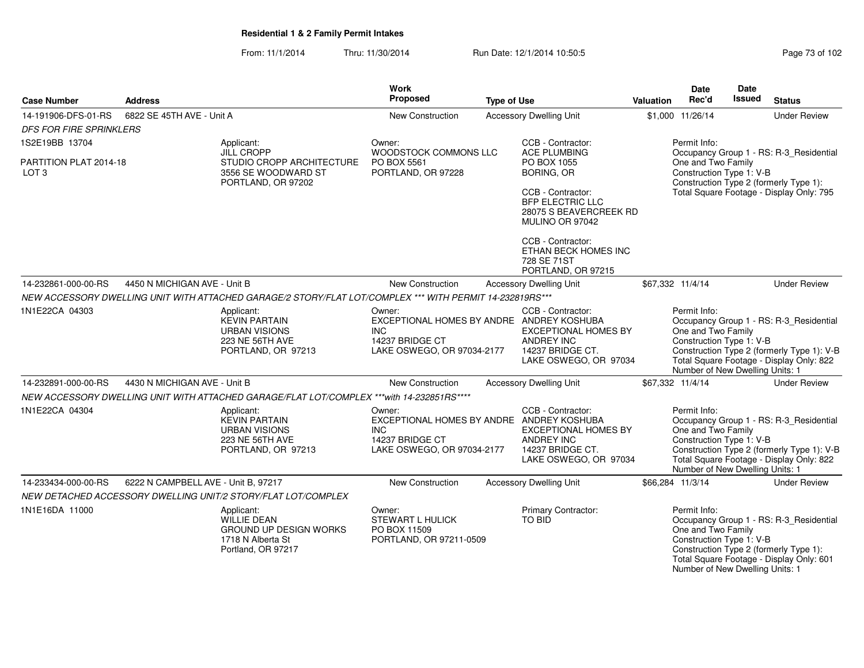From: 11/1/2014Thru: 11/30/2014 Run Date: 12/1/2014 10:50:5

| Page 73 of 102 |  |  |  |  |
|----------------|--|--|--|--|
|----------------|--|--|--|--|

| <b>Case Number</b>                         | <b>Address</b>                      |                                                                                                              | Work<br><b>Proposed</b>                                                                                            | <b>Type of Use</b> |                                                                                                                    | <b>Valuation</b> | <b>Date</b><br>Rec'd                                                                              | <b>Date</b><br>Issued | <b>Status</b>                                                                                                                     |
|--------------------------------------------|-------------------------------------|--------------------------------------------------------------------------------------------------------------|--------------------------------------------------------------------------------------------------------------------|--------------------|--------------------------------------------------------------------------------------------------------------------|------------------|---------------------------------------------------------------------------------------------------|-----------------------|-----------------------------------------------------------------------------------------------------------------------------------|
|                                            |                                     |                                                                                                              |                                                                                                                    |                    |                                                                                                                    |                  |                                                                                                   |                       |                                                                                                                                   |
| 14-191906-DFS-01-RS                        | 6822 SE 45TH AVE - Unit A           |                                                                                                              | New Construction                                                                                                   |                    | <b>Accessory Dwelling Unit</b>                                                                                     |                  | \$1,000 11/26/14                                                                                  |                       | <b>Under Review</b>                                                                                                               |
| <b>DFS FOR FIRE SPRINKLERS</b>             |                                     |                                                                                                              |                                                                                                                    |                    |                                                                                                                    |                  |                                                                                                   |                       |                                                                                                                                   |
| 1S2E19BB 13704                             |                                     | Applicant:<br>JILL CROPP                                                                                     | Owner:<br>WOODSTOCK COMMONS LLC                                                                                    |                    | CCB - Contractor:<br><b>ACE PLUMBING</b>                                                                           |                  | Permit Info:                                                                                      |                       | Occupancy Group 1 - RS: R-3_Residential                                                                                           |
| PARTITION PLAT 2014-18<br>LOT <sub>3</sub> |                                     | STUDIO CROPP ARCHITECTURE<br>3556 SE WOODWARD ST<br>PORTLAND, OR 97202                                       | PO BOX 5561<br>PORTLAND, OR 97228                                                                                  |                    | PO BOX 1055<br><b>BORING, OR</b>                                                                                   |                  | One and Two Family<br>Construction Type 1: V-B                                                    |                       | Construction Type 2 (formerly Type 1):                                                                                            |
|                                            |                                     |                                                                                                              |                                                                                                                    |                    | CCB - Contractor:<br><b>BFP ELECTRIC LLC</b><br>28075 S BEAVERCREEK RD<br>MULINO OR 97042                          |                  |                                                                                                   |                       | Total Square Footage - Display Only: 795                                                                                          |
|                                            |                                     |                                                                                                              |                                                                                                                    |                    | CCB - Contractor:<br>ETHAN BECK HOMES INC<br>728 SE 71ST<br>PORTLAND, OR 97215                                     |                  |                                                                                                   |                       |                                                                                                                                   |
| 14-232861-000-00-RS                        | 4450 N MICHIGAN AVE - Unit B        |                                                                                                              | New Construction                                                                                                   |                    | <b>Accessory Dwelling Unit</b>                                                                                     |                  | \$67,332 11/4/14                                                                                  |                       | <b>Under Review</b>                                                                                                               |
|                                            |                                     | NEW ACCESSORY DWELLING UNIT WITH ATTACHED GARAGE/2 STORY/FLAT LOT/COMPLEX *** WITH PERMIT 14-232819RS***     |                                                                                                                    |                    |                                                                                                                    |                  |                                                                                                   |                       |                                                                                                                                   |
| 1N1E22CA 04303                             |                                     | Applicant:<br><b>KEVIN PARTAIN</b><br><b>URBAN VISIONS</b><br>223 NE 56TH AVE<br>PORTLAND, OR 97213          | Owner:<br>EXCEPTIONAL HOMES BY ANDRE ANDREY KOSHUBA<br>INC.<br>14237 BRIDGE CT<br>LAKE OSWEGO, OR 97034-2177       |                    | CCB - Contractor:<br><b>EXCEPTIONAL HOMES BY</b><br><b>ANDREY INC</b><br>14237 BRIDGE CT.<br>LAKE OSWEGO, OR 97034 |                  | Permit Info:<br>One and Two Family<br>Construction Type 1: V-B<br>Number of New Dwelling Units: 1 |                       | Occupancy Group 1 - RS: R-3_Residential<br>Construction Type 2 (formerly Type 1): V-B<br>Total Square Footage - Display Only: 822 |
| 14-232891-000-00-RS                        | 4430 N MICHIGAN AVE - Unit B        |                                                                                                              | New Construction                                                                                                   |                    | <b>Accessory Dwelling Unit</b>                                                                                     |                  | \$67,332 11/4/14                                                                                  |                       | <b>Under Review</b>                                                                                                               |
|                                            |                                     | NEW ACCESSORY DWELLING UNIT WITH ATTACHED GARAGE/FLAT LOT/COMPLEX ***with 14-232851RS****                    |                                                                                                                    |                    |                                                                                                                    |                  |                                                                                                   |                       |                                                                                                                                   |
| 1N1E22CA 04304                             |                                     | Applicant:<br><b>KEVIN PARTAIN</b><br>URBAN VISIONS<br>223 NE 56TH AVE<br>PORTLAND, OR 97213                 | Owner:<br>EXCEPTIONAL HOMES BY ANDRE ANDREY KOSHUBA<br><b>INC</b><br>14237 BRIDGE CT<br>LAKE OSWEGO, OR 97034-2177 |                    | CCB - Contractor:<br><b>EXCEPTIONAL HOMES BY</b><br><b>ANDREY INC</b><br>14237 BRIDGE CT.<br>LAKE OSWEGO, OR 97034 |                  | Permit Info:<br>One and Two Family<br>Construction Type 1: V-B<br>Number of New Dwelling Units: 1 |                       | Occupancy Group 1 - RS: R-3_Residential<br>Construction Type 2 (formerly Type 1): V-B<br>Total Square Footage - Display Only: 822 |
| 14-233434-000-00-RS                        | 6222 N CAMPBELL AVE - Unit B, 97217 |                                                                                                              | New Construction                                                                                                   |                    | <b>Accessory Dwelling Unit</b>                                                                                     |                  | \$66,284 11/3/14                                                                                  |                       | <b>Under Review</b>                                                                                                               |
|                                            |                                     | NEW DETACHED ACCESSORY DWELLING UNIT/2 STORY/FLAT LOT/COMPLEX                                                |                                                                                                                    |                    |                                                                                                                    |                  |                                                                                                   |                       |                                                                                                                                   |
| 1N1E16DA 11000                             |                                     | Applicant:<br><b>WILLIE DEAN</b><br><b>GROUND UP DESIGN WORKS</b><br>1718 N Alberta St<br>Portland, OR 97217 | Owner:<br>STEWART L HULICK<br>PO BOX 11509<br>PORTLAND, OR 97211-0509                                              |                    | Primary Contractor:<br><b>TO BID</b>                                                                               |                  | Permit Info:<br>One and Two Family<br>Construction Type 1: V-B<br>Number of New Dwelling Units: 1 |                       | Occupancy Group 1 - RS: R-3_Residential<br>Construction Type 2 (formerly Type 1):<br>Total Square Footage - Display Only: 601     |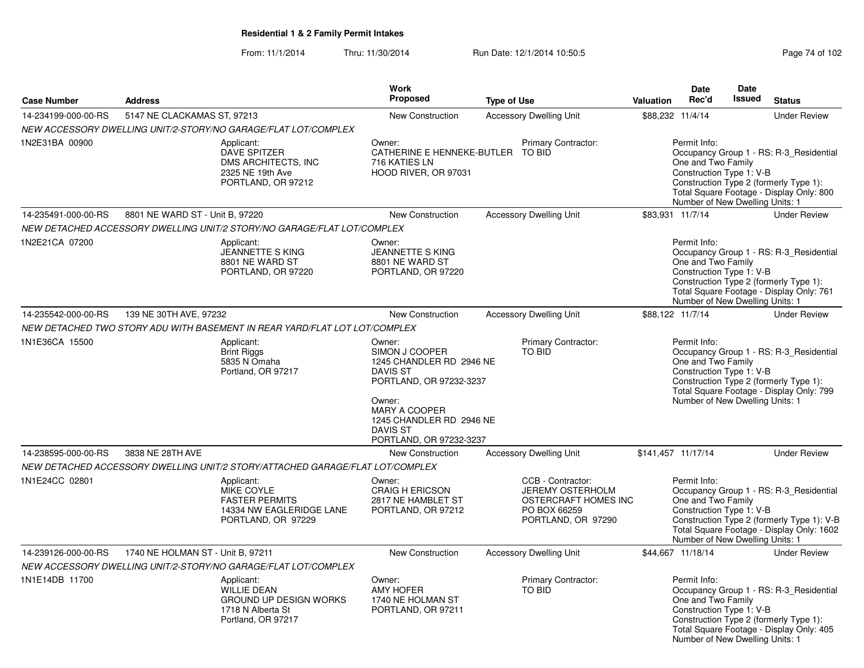From: 11/1/2014Thru: 11/30/2014 Run Date: 12/1/2014 10:50:5<br>
Page 74 of 102

|                     |                                   |                                                                                                                                                                      | Work<br><b>Proposed</b>                                                                                                                                                             |                                                                                                            |                    | Date<br>Rec'd                                                                                     | Date<br><b>Issued</b> |                                                                                                                                    |
|---------------------|-----------------------------------|----------------------------------------------------------------------------------------------------------------------------------------------------------------------|-------------------------------------------------------------------------------------------------------------------------------------------------------------------------------------|------------------------------------------------------------------------------------------------------------|--------------------|---------------------------------------------------------------------------------------------------|-----------------------|------------------------------------------------------------------------------------------------------------------------------------|
| <b>Case Number</b>  | <b>Address</b>                    |                                                                                                                                                                      |                                                                                                                                                                                     | <b>Type of Use</b>                                                                                         | <b>Valuation</b>   |                                                                                                   |                       | <b>Status</b>                                                                                                                      |
| 14-234199-000-00-RS | 5147 NE CLACKAMAS ST, 97213       |                                                                                                                                                                      | New Construction                                                                                                                                                                    | <b>Accessory Dwelling Unit</b>                                                                             | \$88,232 11/4/14   |                                                                                                   |                       | <b>Under Review</b>                                                                                                                |
| 1N2E31BA 00900      |                                   | NEW ACCESSORY DWELLING UNIT/2-STORY/NO GARAGE/FLAT LOT/COMPLEX<br>Applicant:<br><b>DAVE SPITZER</b><br>DMS ARCHITECTS, INC<br>2325 NE 19th Ave<br>PORTLAND, OR 97212 | Owner:<br>CATHERINE E HENNEKE-BUTLER<br>716 KATIES LN<br>HOOD RIVER, OR 97031                                                                                                       | Primary Contractor:<br>TO BID                                                                              |                    | Permit Info:<br>One and Two Family<br>Construction Type 1: V-B<br>Number of New Dwelling Units: 1 |                       | Occupancy Group 1 - RS: R-3_Residential<br>Construction Type 2 (formerly Type 1):<br>Total Square Footage - Display Only: 800      |
| 14-235491-000-00-RS | 8801 NE WARD ST - Unit B, 97220   |                                                                                                                                                                      | New Construction                                                                                                                                                                    | <b>Accessory Dwelling Unit</b>                                                                             | \$83,931 11/7/14   |                                                                                                   |                       | <b>Under Review</b>                                                                                                                |
|                     |                                   | NEW DETACHED ACCESSORY DWELLING UNIT/2 STORY/NO GARAGE/FLAT LOT/COMPLEX                                                                                              |                                                                                                                                                                                     |                                                                                                            |                    |                                                                                                   |                       |                                                                                                                                    |
| 1N2E21CA 07200      |                                   | Applicant:<br>JEANNETTE S KING<br>8801 NE WARD ST<br>PORTLAND, OR 97220                                                                                              | Owner:<br><b>JEANNETTE S KING</b><br>8801 NE WARD ST<br>PORTLAND, OR 97220                                                                                                          |                                                                                                            |                    | Permit Info:<br>One and Two Family<br>Construction Type 1: V-B<br>Number of New Dwelling Units: 1 |                       | Occupancy Group 1 - RS: R-3_Residential<br>Construction Type 2 (formerly Type 1):<br>Total Square Footage - Display Only: 761      |
| 14-235542-000-00-RS | 139 NE 30TH AVE, 97232            |                                                                                                                                                                      | New Construction                                                                                                                                                                    | <b>Accessory Dwelling Unit</b>                                                                             | \$88,122 11/7/14   |                                                                                                   |                       | <b>Under Review</b>                                                                                                                |
|                     |                                   | NEW DETACHED TWO STORY ADU WITH BASEMENT IN REAR YARD/FLAT LOT LOT/COMPLEX                                                                                           |                                                                                                                                                                                     |                                                                                                            |                    |                                                                                                   |                       |                                                                                                                                    |
| 1N1E36CA 15500      |                                   | Applicant:<br><b>Brint Riggs</b><br>5835 N Omaha<br>Portland, OR 97217                                                                                               | Owner:<br>SIMON J COOPER<br>1245 CHANDLER RD 2946 NE<br><b>DAVIS ST</b><br>PORTLAND, OR 97232-3237<br>Owner:<br><b>MARY A COOPER</b><br>1245 CHANDLER RD 2946 NE<br><b>DAVIS ST</b> | <b>Primary Contractor:</b><br><b>TO BID</b>                                                                |                    | Permit Info:<br>One and Two Family<br>Construction Type 1: V-B<br>Number of New Dwelling Units: 1 |                       | Occupancy Group 1 - RS: R-3 Residential<br>Construction Type 2 (formerly Type 1):<br>Total Square Footage - Display Only: 799      |
|                     |                                   |                                                                                                                                                                      | PORTLAND, OR 97232-3237                                                                                                                                                             |                                                                                                            |                    |                                                                                                   |                       |                                                                                                                                    |
| 14-238595-000-00-RS | 3838 NE 28TH AVE                  |                                                                                                                                                                      | New Construction                                                                                                                                                                    | <b>Accessory Dwelling Unit</b>                                                                             | \$141,457 11/17/14 |                                                                                                   |                       | <b>Under Review</b>                                                                                                                |
|                     |                                   | NEW DETACHED ACCESSORY DWELLING UNIT/2 STORY/ATTACHED GARAGE/FLAT LOT/COMPLEX                                                                                        |                                                                                                                                                                                     |                                                                                                            |                    |                                                                                                   |                       |                                                                                                                                    |
| 1N1E24CC 02801      |                                   | Applicant:<br>MIKE COYLE<br><b>FASTER PERMITS</b><br>14334 NW EAGLERIDGE LANE<br>PORTLAND, OR 97229                                                                  | Owner:<br><b>CRAIG H ERICSON</b><br>2817 NE HAMBLET ST<br>PORTLAND, OR 97212                                                                                                        | CCB - Contractor:<br><b>JEREMY OSTERHOLM</b><br>OSTERCRAFT HOMES INC<br>PO BOX 66259<br>PORTLAND, OR 97290 |                    | Permit Info:<br>One and Two Family<br>Construction Type 1: V-B<br>Number of New Dwelling Units: 1 |                       | Occupancy Group 1 - RS: R-3_Residential<br>Construction Type 2 (formerly Type 1): V-B<br>Total Square Footage - Display Only: 1602 |
| 14-239126-000-00-RS | 1740 NE HOLMAN ST - Unit B, 97211 |                                                                                                                                                                      | New Construction                                                                                                                                                                    | <b>Accessory Dwelling Unit</b>                                                                             |                    | \$44,667 11/18/14                                                                                 |                       | <b>Under Review</b>                                                                                                                |
|                     |                                   | NEW ACCESSORY DWELLING UNIT/2-STORY/NO GARAGE/FLAT LOT/COMPLEX                                                                                                       |                                                                                                                                                                                     |                                                                                                            |                    |                                                                                                   |                       |                                                                                                                                    |
| 1N1E14DB 11700      |                                   | Applicant:<br><b>WILLIE DEAN</b><br><b>GROUND UP DESIGN WORKS</b><br>1718 N Alberta St<br>Portland, OR 97217                                                         | Owner:<br><b>AMY HOFER</b><br>1740 NE HOLMAN ST<br>PORTLAND, OR 97211                                                                                                               | Primary Contractor:<br><b>TO BID</b>                                                                       |                    | Permit Info:<br>One and Two Family<br>Construction Type 1: V-B<br>Number of New Dwelling Units: 1 |                       | Occupancy Group 1 - RS: R-3_Residential<br>Construction Type 2 (formerly Type 1):<br>Total Square Footage - Display Only: 405      |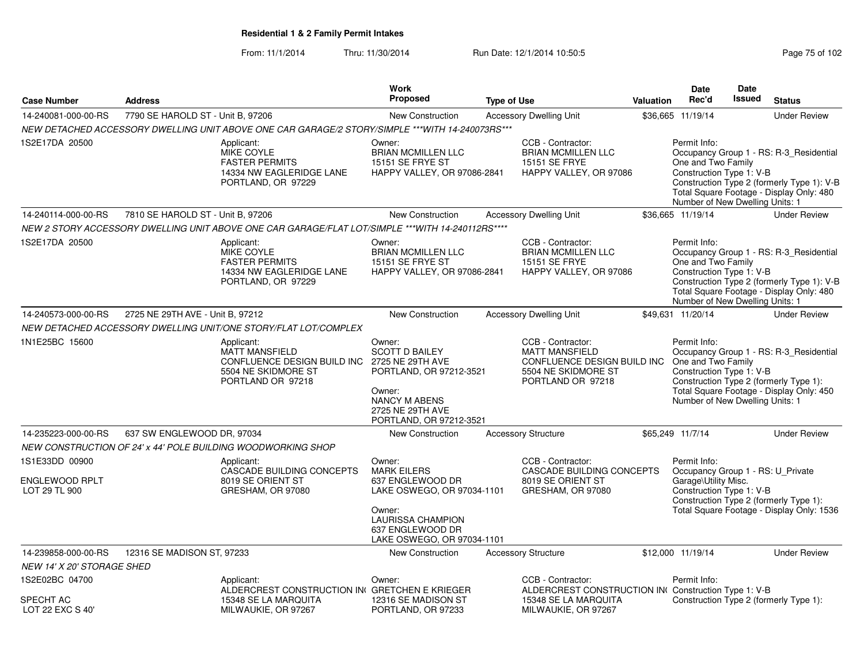From: 11/1/2014Thru: 11/30/2014 Run Date: 12/1/2014 10:50:5<br>
Page 75 of 102

|                                                   |                                   |                                                                                                                | Work                                                                                                                                                            |                                                                                                     |                                                                                                                       |                           | <b>Date</b>                                                                                                                                     | <b>Date</b>   |                                                                                                                                   |
|---------------------------------------------------|-----------------------------------|----------------------------------------------------------------------------------------------------------------|-----------------------------------------------------------------------------------------------------------------------------------------------------------------|-----------------------------------------------------------------------------------------------------|-----------------------------------------------------------------------------------------------------------------------|---------------------------|-------------------------------------------------------------------------------------------------------------------------------------------------|---------------|-----------------------------------------------------------------------------------------------------------------------------------|
| <b>Case Number</b>                                | <b>Address</b>                    |                                                                                                                | <b>Proposed</b>                                                                                                                                                 | <b>Type of Use</b>                                                                                  |                                                                                                                       | <b>Valuation</b>          | Rec'd                                                                                                                                           | <b>Issued</b> | <b>Status</b>                                                                                                                     |
| 14-240081-000-00-RS                               | 7790 SE HAROLD ST - Unit B, 97206 |                                                                                                                | <b>New Construction</b>                                                                                                                                         |                                                                                                     | <b>Accessory Dwelling Unit</b>                                                                                        |                           | \$36,665 11/19/14                                                                                                                               |               | <b>Under Review</b>                                                                                                               |
|                                                   |                                   | NEW DETACHED ACCESSORY DWELLING UNIT ABOVE ONE CAR GARAGE/2 STORY/SIMPLE ***WITH 14-240073RS***                |                                                                                                                                                                 |                                                                                                     |                                                                                                                       |                           |                                                                                                                                                 |               |                                                                                                                                   |
| 1S2E17DA 20500                                    |                                   | Applicant:<br><b>MIKE COYLE</b><br><b>FASTER PERMITS</b><br>14334 NW EAGLERIDGE LANE<br>PORTLAND, OR 97229     | Owner:<br><b>BRIAN MCMILLEN LLC</b><br><b>15151 SE FRYE ST</b><br>HAPPY VALLEY, OR 97086-2841                                                                   |                                                                                                     | CCB - Contractor:<br><b>BRIAN MCMILLEN LLC</b><br><b>15151 SE FRYE</b><br>HAPPY VALLEY, OR 97086                      |                           | Permit Info:<br>One and Two Family<br>Construction Type 1: V-B<br>Number of New Dwelling Units: 1                                               |               | Occupancy Group 1 - RS: R-3_Residential<br>Construction Type 2 (formerly Type 1): V-B<br>Total Square Footage - Display Only: 480 |
| 14-240114-000-00-RS                               | 7810 SE HAROLD ST - Unit B, 97206 |                                                                                                                | <b>New Construction</b>                                                                                                                                         |                                                                                                     | <b>Accessory Dwelling Unit</b>                                                                                        |                           | \$36,665 11/19/14                                                                                                                               |               | <b>Under Review</b>                                                                                                               |
|                                                   |                                   | NEW 2 STORY ACCESSORY DWELLING UNIT ABOVE ONE CAR GARAGE/FLAT LOT/SIMPLE ***WITH 14-240112RS****               |                                                                                                                                                                 |                                                                                                     |                                                                                                                       |                           |                                                                                                                                                 |               |                                                                                                                                   |
| 1S2E17DA 20500                                    |                                   | Applicant:<br><b>MIKE COYLE</b><br><b>FASTER PERMITS</b><br>14334 NW EAGLERIDGE LANE<br>PORTLAND, OR 97229     | Owner:<br><b>BRIAN MCMILLEN LLC</b><br><b>15151 SE FRYE ST</b><br>HAPPY VALLEY, OR 97086-2841                                                                   |                                                                                                     | CCB - Contractor:<br><b>BRIAN MCMILLEN LLC</b><br><b>15151 SE FRYE</b><br>HAPPY VALLEY, OR 97086                      |                           | Permit Info:<br>One and Two Family<br>Construction Type 1: V-B<br>Number of New Dwelling Units: 1                                               |               | Occupancy Group 1 - RS: R-3_Residential<br>Construction Type 2 (formerly Type 1): V-B<br>Total Square Footage - Display Only: 480 |
| 14-240573-000-00-RS                               | 2725 NE 29TH AVE - Unit B, 97212  |                                                                                                                | New Construction                                                                                                                                                |                                                                                                     | <b>Accessory Dwelling Unit</b>                                                                                        |                           | \$49,631 11/20/14                                                                                                                               |               | <b>Under Review</b>                                                                                                               |
|                                                   |                                   | NEW DETACHED ACCESSORY DWELLING UNIT/ONE STORY/FLAT LOT/COMPLEX                                                |                                                                                                                                                                 |                                                                                                     |                                                                                                                       |                           |                                                                                                                                                 |               |                                                                                                                                   |
| 1N1E25BC 15600                                    |                                   | Applicant:<br><b>MATT MANSFIELD</b><br>CONFLUENCE DESIGN BUILD INC<br>5504 NE SKIDMORE ST<br>PORTLAND OR 97218 | Owner:<br><b>SCOTT D BAILEY</b><br>2725 NE 29TH AVE<br>PORTLAND, OR 97212-3521<br>Owner:<br><b>NANCY M ABENS</b><br>2725 NE 29TH AVE<br>PORTLAND, OR 97212-3521 |                                                                                                     | CCB - Contractor:<br><b>MATT MANSFIELD</b><br>CONFLUENCE DESIGN BUILD INC<br>5504 NE SKIDMORE ST<br>PORTLAND OR 97218 |                           | Permit Info:<br>One and Two Family<br>Construction Type 1: V-B<br>Number of New Dwelling Units: 1                                               |               | Occupancy Group 1 - RS: R-3_Residential<br>Construction Type 2 (formerly Type 1):<br>Total Square Footage - Display Only: 450     |
| 14-235223-000-00-RS                               | 637 SW ENGLEWOOD DR, 97034        |                                                                                                                | <b>New Construction</b>                                                                                                                                         |                                                                                                     | <b>Accessory Structure</b>                                                                                            |                           | \$65,249 11/7/14                                                                                                                                |               | <b>Under Review</b>                                                                                                               |
|                                                   |                                   | NEW CONSTRUCTION OF 24' x 44' POLE BUILDING WOODWORKING SHOP                                                   |                                                                                                                                                                 |                                                                                                     |                                                                                                                       |                           |                                                                                                                                                 |               |                                                                                                                                   |
| 1S1E33DD 00900<br>ENGLEWOOD RPLT<br>LOT 29 TL 900 |                                   | Applicant:<br>CASCADE BUILDING CONCEPTS<br>8019 SE ORIENT ST<br>GRESHAM, OR 97080                              |                                                                                                                                                                 | Owner:<br><b>MARK EILERS</b><br>637 ENGLEWOOD DR<br>GRESHAM, OR 97080<br>LAKE OSWEGO, OR 97034-1101 |                                                                                                                       | CASCADE BUILDING CONCEPTS | Permit Info:<br>Occupancy Group 1 - RS: U_Private<br>Garage\Utility Misc.<br>Construction Type 1: V-B<br>Construction Type 2 (formerly Type 1): |               |                                                                                                                                   |
|                                                   |                                   |                                                                                                                | Owner:<br><b>LAURISSA CHAMPION</b><br>637 ENGLEWOOD DR<br>LAKE OSWEGO, OR 97034-1101                                                                            |                                                                                                     |                                                                                                                       |                           |                                                                                                                                                 |               | Total Square Footage - Display Only: 1536                                                                                         |
| 14-239858-000-00-RS                               | 12316 SE MADISON ST, 97233        |                                                                                                                | New Construction                                                                                                                                                |                                                                                                     | <b>Accessory Structure</b>                                                                                            |                           | \$12,000 11/19/14                                                                                                                               |               | <b>Under Review</b>                                                                                                               |
| NEW 14' X 20' STORAGE SHED                        |                                   |                                                                                                                |                                                                                                                                                                 |                                                                                                     |                                                                                                                       |                           |                                                                                                                                                 |               |                                                                                                                                   |
| 1S2E02BC 04700                                    |                                   | Applicant:<br>ALDERCREST CONSTRUCTION IN( GRETCHEN E KRIEGER                                                   | Owner:                                                                                                                                                          |                                                                                                     | CCB - Contractor:<br>ALDERCREST CONSTRUCTION IN(Construction Type 1: V-B                                              |                           | Permit Info:                                                                                                                                    |               |                                                                                                                                   |
| SPECHT AC<br>LOT 22 EXC S 40'                     |                                   | 15348 SE LA MARQUITA<br>MILWAUKIE, OR 97267                                                                    | 12316 SE MADISON ST<br>PORTLAND, OR 97233                                                                                                                       |                                                                                                     | 15348 SE LA MARQUITA<br>MILWAUKIE, OR 97267                                                                           |                           |                                                                                                                                                 |               | Construction Type 2 (formerly Type 1):                                                                                            |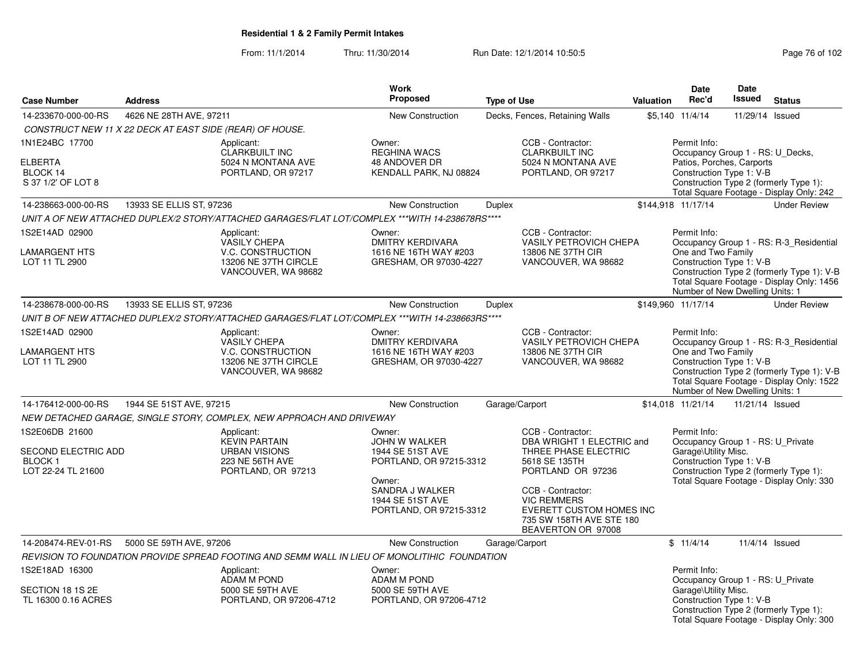From: 11/1/2014Thru: 11/30/2014 Run Date: 12/1/2014 10:50:5<br>
Page 76 of 102

|                                                                        |                                                          |                                                                                                       | Work                                                                                                                                               |                    |                                                                                                                                                                                                                                              |                  | <b>Date</b>                                                                                               | <b>Date</b>     |                                                                                                                                    |
|------------------------------------------------------------------------|----------------------------------------------------------|-------------------------------------------------------------------------------------------------------|----------------------------------------------------------------------------------------------------------------------------------------------------|--------------------|----------------------------------------------------------------------------------------------------------------------------------------------------------------------------------------------------------------------------------------------|------------------|-----------------------------------------------------------------------------------------------------------|-----------------|------------------------------------------------------------------------------------------------------------------------------------|
| <b>Case Number</b>                                                     | <b>Address</b>                                           |                                                                                                       | <b>Proposed</b>                                                                                                                                    | <b>Type of Use</b> |                                                                                                                                                                                                                                              | <b>Valuation</b> | Rec'd                                                                                                     | <b>Issued</b>   | <b>Status</b>                                                                                                                      |
| 14-233670-000-00-RS                                                    | 4626 NE 28TH AVE, 97211                                  |                                                                                                       | <b>New Construction</b>                                                                                                                            |                    | Decks, Fences, Retaining Walls                                                                                                                                                                                                               |                  | \$5.140 11/4/14                                                                                           | 11/29/14 Issued |                                                                                                                                    |
|                                                                        | CONSTRUCT NEW 11 X 22 DECK AT EAST SIDE (REAR) OF HOUSE. |                                                                                                       |                                                                                                                                                    |                    |                                                                                                                                                                                                                                              |                  |                                                                                                           |                 |                                                                                                                                    |
| 1N1E24BC 17700<br><b>ELBERTA</b><br>BLOCK 14<br>S 37 1/2' OF LOT 8     |                                                          | Applicant:<br><b>CLARKBUILT INC</b><br>5024 N MONTANA AVE<br>PORTLAND, OR 97217                       | Owner:<br><b>REGHINA WACS</b><br>48 ANDOVER DR<br>KENDALL PARK, NJ 08824                                                                           |                    | CCB - Contractor:<br><b>CLARKBUILT INC</b><br>5024 N MONTANA AVE<br>PORTLAND, OR 97217                                                                                                                                                       |                  | Permit Info:<br>Occupancy Group 1 - RS: U Decks,<br>Patios, Porches, Carports<br>Construction Type 1: V-B |                 | Construction Type 2 (formerly Type 1):<br>Total Square Footage - Display Only: 242                                                 |
| 14-238663-000-00-RS                                                    | 13933 SE ELLIS ST, 97236                                 |                                                                                                       | New Construction                                                                                                                                   | <b>Duplex</b>      |                                                                                                                                                                                                                                              |                  | \$144,918 11/17/14                                                                                        |                 | <b>Under Review</b>                                                                                                                |
|                                                                        |                                                          | UNIT A OF NEW ATTACHED DUPLEX/2 STORY/ATTACHED GARAGES/FLAT LOT/COMPLEX ***WITH 14-238678RS****       |                                                                                                                                                    |                    |                                                                                                                                                                                                                                              |                  |                                                                                                           |                 |                                                                                                                                    |
| 1S2E14AD 02900<br>LAMARGENT HTS<br>LOT 11 TL 2900                      |                                                          | Applicant:<br><b>VASILY CHEPA</b><br>V.C. CONSTRUCTION<br>13206 NE 37TH CIRCLE<br>VANCOUVER, WA 98682 | Owner:<br><b>DMITRY KERDIVARA</b><br>1616 NE 16TH WAY #203<br>GRESHAM, OR 97030-4227                                                               |                    | CCB - Contractor:<br><b>VASILY PETROVICH CHEPA</b><br>13806 NE 37TH CIR<br>VANCOUVER, WA 98682                                                                                                                                               |                  | Permit Info:<br>One and Two Family<br>Construction Type 1: V-B<br>Number of New Dwelling Units: 1         |                 | Occupancy Group 1 - RS: R-3_Residential<br>Construction Type 2 (formerly Type 1): V-B<br>Total Square Footage - Display Only: 1456 |
| 14-238678-000-00-RS                                                    | 13933 SE ELLIS ST, 97236                                 |                                                                                                       | <b>New Construction</b>                                                                                                                            | <b>Duplex</b>      |                                                                                                                                                                                                                                              |                  | \$149,960 11/17/14                                                                                        |                 | <b>Under Review</b>                                                                                                                |
|                                                                        |                                                          | UNIT B OF NEW ATTACHED DUPLEX/2 STORY/ATTACHED GARAGES/FLAT LOT/COMPLEX ***WITH 14-238663RS****       |                                                                                                                                                    |                    |                                                                                                                                                                                                                                              |                  |                                                                                                           |                 |                                                                                                                                    |
| 1S2E14AD 02900<br>LAMARGENT HTS<br>LOT 11 TL 2900                      |                                                          | Applicant:<br><b>VASILY CHEPA</b><br>V.C. CONSTRUCTION<br>13206 NE 37TH CIRCLE<br>VANCOUVER, WA 98682 | Owner:<br><b>DMITRY KERDIVARA</b><br>1616 NE 16TH WAY #203<br>GRESHAM, OR 97030-4227                                                               |                    | CCB - Contractor:<br><b>VASILY PETROVICH CHEPA</b><br>13806 NE 37TH CIR<br>VANCOUVER, WA 98682                                                                                                                                               |                  | Permit Info:<br>One and Two Family<br>Construction Type 1: V-B<br>Number of New Dwelling Units: 1         |                 | Occupancy Group 1 - RS: R-3_Residential<br>Construction Type 2 (formerly Type 1): V-B<br>Total Square Footage - Display Only: 1522 |
| 14-176412-000-00-RS                                                    | 1944 SE 51ST AVE, 97215                                  |                                                                                                       | New Construction                                                                                                                                   | Garage/Carport     |                                                                                                                                                                                                                                              |                  | \$14,018 11/21/14                                                                                         | 11/21/14 Issued |                                                                                                                                    |
|                                                                        |                                                          | NEW DETACHED GARAGE, SINGLE STORY, COMPLEX, NEW APPROACH AND DRIVEWAY                                 |                                                                                                                                                    |                    |                                                                                                                                                                                                                                              |                  |                                                                                                           |                 |                                                                                                                                    |
| 1S2E06DB 21600<br>SECOND ELECTRIC ADD<br>BLOCK 1<br>LOT 22-24 TL 21600 |                                                          | Applicant:<br><b>KEVIN PARTAIN</b><br><b>URBAN VISIONS</b><br>223 NE 56TH AVE<br>PORTLAND, OR 97213   | Owner:<br>JOHN W WALKER<br>1944 SE 51ST AVE<br>PORTLAND, OR 97215-3312<br>Owner:<br>SANDRA J WALKER<br>1944 SE 51ST AVE<br>PORTLAND, OR 97215-3312 |                    | CCB - Contractor:<br>DBA WRIGHT 1 ELECTRIC and<br>THREE PHASE ELECTRIC<br>5618 SE 135TH<br>PORTLAND OR 97236<br>CCB - Contractor:<br><b>VIC REMMERS</b><br><b>EVERETT CUSTOM HOMES INC</b><br>735 SW 158TH AVE STE 180<br>BEAVERTON OR 97008 |                  | Permit Info:<br>Occupancy Group 1 - RS: U_Private<br>Garage\Utility Misc.<br>Construction Type 1: V-B     |                 | Construction Type 2 (formerly Type 1):<br>Total Square Footage - Display Only: 330                                                 |
| 14-208474-REV-01-RS                                                    | 5000 SE 59TH AVE, 97206                                  |                                                                                                       | <b>New Construction</b>                                                                                                                            | Garage/Carport     |                                                                                                                                                                                                                                              |                  | \$11/4/14                                                                                                 |                 | 11/4/14 Issued                                                                                                                     |
|                                                                        |                                                          | REVISION TO FOUNDATION PROVIDE SPREAD FOOTING AND SEMM WALL IN LIEU OF MONOLITIHIC FOUNDATION         |                                                                                                                                                    |                    |                                                                                                                                                                                                                                              |                  |                                                                                                           |                 |                                                                                                                                    |
| 1S2E18AD 16300<br>SECTION 18 1S 2E<br>TL 16300 0.16 ACRES              |                                                          | Applicant:<br>ADAM M POND<br>5000 SE 59TH AVE<br>PORTLAND, OR 97206-4712                              | Owner:<br>ADAM M POND<br>5000 SE 59TH AVE<br>PORTLAND, OR 97206-4712                                                                               |                    |                                                                                                                                                                                                                                              |                  | Permit Info:<br>Occupancy Group 1 - RS: U_Private<br>Garage\Utility Misc.<br>Construction Type 1: V-B     |                 | Construction Type 2 (formerly Type 1):<br>Total Square Footage - Display Only: 300                                                 |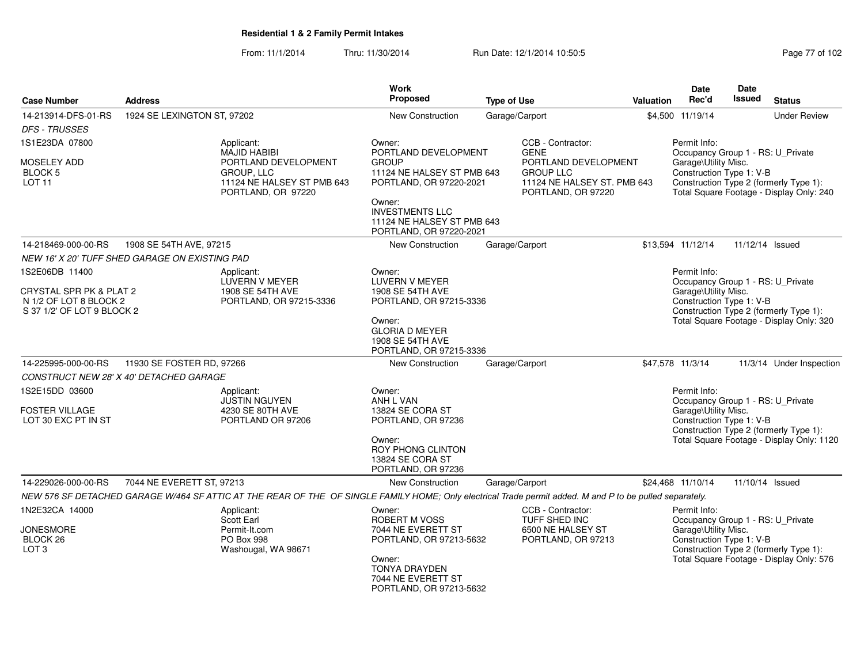From: 11/1/2014Thru: 11/30/2014 Run Date: 12/1/2014 10:50:5<br>
Page 77 of 102

| <b>Case Number</b>                                                              | <b>Address</b>              |                                                                                                                                                          | Work<br><b>Proposed</b>                                                                                                                 | <b>Type of Use</b>                                                                            | Valuation                                                                                  | Date<br>Rec'd                                     | Date<br>Issued                                   | <b>Status</b>                                                                      |  |
|---------------------------------------------------------------------------------|-----------------------------|----------------------------------------------------------------------------------------------------------------------------------------------------------|-----------------------------------------------------------------------------------------------------------------------------------------|-----------------------------------------------------------------------------------------------|--------------------------------------------------------------------------------------------|---------------------------------------------------|--------------------------------------------------|------------------------------------------------------------------------------------|--|
|                                                                                 |                             |                                                                                                                                                          |                                                                                                                                         |                                                                                               |                                                                                            |                                                   |                                                  |                                                                                    |  |
| 14-213914-DFS-01-RS                                                             | 1924 SE LEXINGTON ST, 97202 |                                                                                                                                                          | New Construction                                                                                                                        | Garage/Carport                                                                                |                                                                                            | \$4,500 11/19/14                                  |                                                  | <b>Under Review</b>                                                                |  |
| <b>DFS - TRUSSES</b>                                                            |                             |                                                                                                                                                          |                                                                                                                                         |                                                                                               |                                                                                            |                                                   |                                                  |                                                                                    |  |
| 1S1E23DA 07800                                                                  |                             | Applicant:<br><b>MAJID HABIBI</b>                                                                                                                        | Owner:<br>PORTLAND DEVELOPMENT                                                                                                          | CCB - Contractor:<br><b>GENE</b>                                                              |                                                                                            | Permit Info:<br>Occupancy Group 1 - RS: U_Private |                                                  |                                                                                    |  |
| <b>MOSELEY ADD</b><br><b>BLOCK 5</b><br><b>LOT 11</b>                           |                             | PORTLAND DEVELOPMENT<br><b>GROUP, LLC</b><br>11124 NE HALSEY ST PMB 643<br>PORTLAND, OR 97220                                                            | <b>GROUP</b><br>11124 NE HALSEY ST PMB 643<br>PORTLAND, OR 97220-2021<br>Owner:<br><b>INVESTMENTS LLC</b><br>11124 NE HALSEY ST PMB 643 | PORTLAND DEVELOPMENT<br><b>GROUP LLC</b><br>11124 NE HALSEY ST. PMB 643<br>PORTLAND, OR 97220 |                                                                                            | Garage\Utility Misc.<br>Construction Type 1: V-B  |                                                  | Construction Type 2 (formerly Type 1):<br>Total Square Footage - Display Only: 240 |  |
|                                                                                 |                             |                                                                                                                                                          | PORTLAND, OR 97220-2021                                                                                                                 |                                                                                               |                                                                                            |                                                   |                                                  |                                                                                    |  |
| 14-218469-000-00-RS                                                             | 1908 SE 54TH AVE, 97215     |                                                                                                                                                          | New Construction                                                                                                                        | Garage/Carport                                                                                |                                                                                            | \$13,594 11/12/14                                 |                                                  | 11/12/14 Issued                                                                    |  |
| NEW 16' X 20' TUFF SHED GARAGE ON EXISTING PAD                                  |                             |                                                                                                                                                          |                                                                                                                                         |                                                                                               |                                                                                            |                                                   |                                                  |                                                                                    |  |
| 1S2E06DB 11400                                                                  |                             | Applicant:<br>LUVERN V MEYER                                                                                                                             | Owner:<br><b>LUVERN V MEYER</b>                                                                                                         |                                                                                               |                                                                                            | Permit Info:<br>Occupancy Group 1 - RS: U_Private |                                                  |                                                                                    |  |
| CRYSTAL SPR PK & PLAT 2<br>N 1/2 OF LOT 8 BLOCK 2<br>S 37 1/2' OF LOT 9 BLOCK 2 |                             | 1908 SE 54TH AVE<br>PORTLAND, OR 97215-3336                                                                                                              | 1908 SE 54TH AVE<br>PORTLAND, OR 97215-3336                                                                                             |                                                                                               |                                                                                            | Garage\Utility Misc.<br>Construction Type 1: V-B  |                                                  | Construction Type 2 (formerly Type 1):                                             |  |
|                                                                                 |                             |                                                                                                                                                          | Owner:<br><b>GLORIA D MEYER</b><br>1908 SE 54TH AVE<br>PORTLAND, OR 97215-3336                                                          |                                                                                               |                                                                                            |                                                   |                                                  | Total Square Footage - Display Only: 320                                           |  |
| 14-225995-000-00-RS                                                             | 11930 SE FOSTER RD, 97266   |                                                                                                                                                          | New Construction                                                                                                                        | Garage/Carport                                                                                |                                                                                            | \$47,578 11/3/14                                  |                                                  | 11/3/14 Under Inspection                                                           |  |
| CONSTRUCT NEW 28' X 40' DETACHED GARAGE                                         |                             |                                                                                                                                                          |                                                                                                                                         |                                                                                               |                                                                                            |                                                   |                                                  |                                                                                    |  |
| 1S2E15DD 03600                                                                  |                             | Applicant:<br><b>JUSTIN NGUYEN</b>                                                                                                                       | Owner:<br>ANH L VAN                                                                                                                     |                                                                                               |                                                                                            | Permit Info:<br>Occupancy Group 1 - RS: U_Private |                                                  |                                                                                    |  |
| <b>FOSTER VILLAGE</b><br>LOT 30 EXC PT IN ST                                    |                             | 4230 SE 80TH AVE<br>PORTLAND OR 97206                                                                                                                    | 13824 SE CORA ST<br>PORTLAND, OR 97236                                                                                                  |                                                                                               | Garage\Utility Misc.<br>Construction Type 1: V-B<br>Construction Type 2 (formerly Type 1): |                                                   |                                                  |                                                                                    |  |
|                                                                                 |                             |                                                                                                                                                          |                                                                                                                                         | Owner:<br>ROY PHONG CLINTON<br>13824 SE CORA ST<br>PORTLAND, OR 97236                         |                                                                                            |                                                   | Total Square Footage - Display Only: 1120        |                                                                                    |  |
| 14-229026-000-00-RS                                                             | 7044 NE EVERETT ST, 97213   |                                                                                                                                                          | New Construction                                                                                                                        | Garage/Carport                                                                                |                                                                                            | \$24,468 11/10/14                                 |                                                  | 11/10/14 Issued                                                                    |  |
|                                                                                 |                             | NEW 576 SF DETACHED GARAGE W/464 SF ATTIC AT THE REAR OF THE OF SINGLE FAMILY HOME; Only electrical Trade permit added. M and P to be pulled separately. |                                                                                                                                         |                                                                                               |                                                                                            |                                                   |                                                  |                                                                                    |  |
| 1N2E32CA 14000                                                                  |                             | Applicant:<br>Scott Earl                                                                                                                                 | Owner:<br><b>ROBERT M VOSS</b>                                                                                                          | CCB - Contractor:<br>TUFF SHED INC                                                            |                                                                                            | Permit Info:<br>Occupancy Group 1 - RS: U_Private |                                                  |                                                                                    |  |
| <b>JONESMORE</b><br>BLOCK 26<br>LOT <sub>3</sub>                                |                             | Permit-It.com<br>PO Box 998<br>Washougal, WA 98671                                                                                                       | 7044 NE EVERETT ST                                                                                                                      | 6500 NE HALSEY ST<br>PORTLAND, OR 97213-5632<br>PORTLAND, OR 97213                            |                                                                                            |                                                   | Garage\Utility Misc.<br>Construction Type 1: V-B | Construction Type 2 (formerly Type 1):                                             |  |
|                                                                                 |                             |                                                                                                                                                          | Owner:<br>TONYA DRAYDEN<br>7044 NE EVERETT ST<br>PORTLAND, OR 97213-5632                                                                |                                                                                               |                                                                                            |                                                   |                                                  | Total Square Footage - Display Only: 576                                           |  |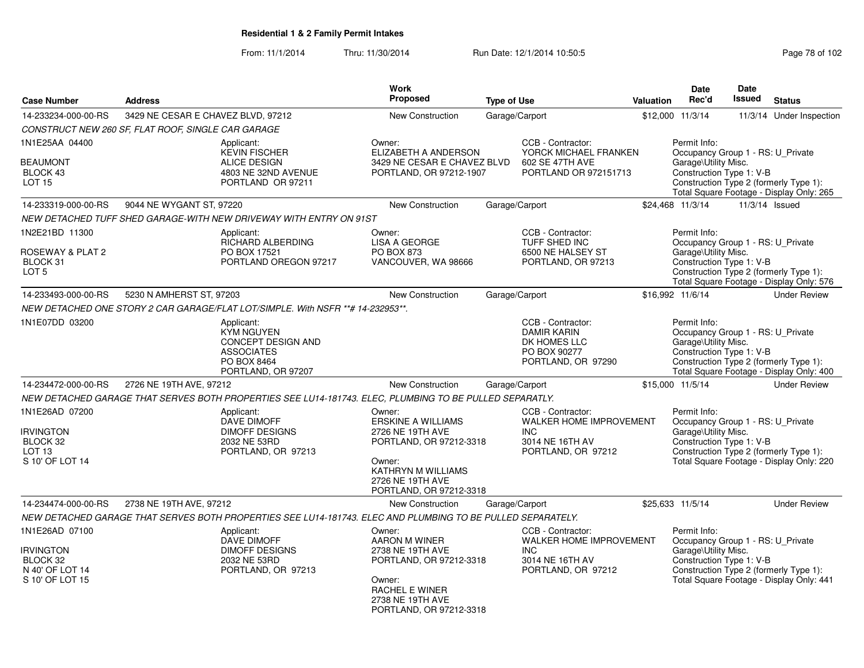From: 11/1/2014

Thru: 11/30/2014 Run Date: 12/1/2014 10:50:5<br>
Page 78 of 102

| <b>Case Number</b>                                | <b>Address</b>                                                                                                  | Work<br><b>Proposed</b>                                                                            | <b>Type of Use</b> |                                                                                               | <b>Valuation</b> | <b>Date</b><br>Rec'd                                                                                                            | Date<br><b>Issued</b> | <b>Status</b>                                                                      |
|---------------------------------------------------|-----------------------------------------------------------------------------------------------------------------|----------------------------------------------------------------------------------------------------|--------------------|-----------------------------------------------------------------------------------------------|------------------|---------------------------------------------------------------------------------------------------------------------------------|-----------------------|------------------------------------------------------------------------------------|
| 14-233234-000-00-RS                               | 3429 NE CESAR E CHAVEZ BLVD, 97212                                                                              | New Construction                                                                                   | Garage/Carport     |                                                                                               |                  | \$12,000 11/3/14                                                                                                                | 11/3/14               | Under Inspection                                                                   |
|                                                   | CONSTRUCT NEW 260 SF, FLAT ROOF, SINGLE CAR GARAGE                                                              |                                                                                                    |                    |                                                                                               |                  |                                                                                                                                 |                       |                                                                                    |
| 1N1E25AA 04400                                    | Applicant:<br><b>KEVIN FISCHER</b>                                                                              | Owner:<br>ELIZABETH A ANDERSON                                                                     |                    | CCB - Contractor:<br>YORCK MICHAEL FRANKEN                                                    |                  | Permit Info:<br>Occupancy Group 1 - RS: U Private                                                                               |                       |                                                                                    |
| <b>BEAUMONT</b><br>BLOCK 43<br>LOT <sub>15</sub>  | <b>ALICE DESIGN</b><br>4803 NE 32ND AVENUE<br>PORTLAND OR 97211                                                 | 3429 NE CESAR E CHAVEZ BLVD<br>PORTLAND, OR 97212-1907                                             |                    | 602 SE 47TH AVE<br>PORTLAND OR 972151713                                                      |                  | Garage\Utility Misc.<br>Construction Type 1: V-B                                                                                |                       | Construction Type 2 (formerly Type 1):<br>Total Square Footage - Display Only: 265 |
| 14-233319-000-00-RS                               | 9044 NE WYGANT ST, 97220                                                                                        | New Construction                                                                                   | Garage/Carport     |                                                                                               |                  | \$24,468 11/3/14                                                                                                                | 11/3/14 Issued        |                                                                                    |
|                                                   | NEW DETACHED TUFF SHED GARAGE-WITH NEW DRIVEWAY WITH ENTRY ON 91ST                                              |                                                                                                    |                    |                                                                                               |                  |                                                                                                                                 |                       |                                                                                    |
| 1N2E21BD 11300                                    | Applicant:<br>RICHARD ALBERDING                                                                                 | Owner:<br><b>LISA A GEORGE</b>                                                                     |                    | CCB - Contractor:<br>TUFF SHED INC                                                            |                  | Permit Info:<br>Occupancy Group 1 - RS: U Private                                                                               |                       |                                                                                    |
| ROSEWAY & PLAT 2<br>BLOCK 31<br>LOT 5             | PO BOX 17521<br>PORTLAND OREGON 97217                                                                           | <b>PO BOX 873</b><br>VANCOUVER, WA 98666                                                           |                    | 6500 NE HALSEY ST<br>PORTLAND, OR 97213                                                       |                  | Garage\Utility Misc.<br>Construction Type 1: V-B                                                                                |                       | Construction Type 2 (formerly Type 1):<br>Total Square Footage - Display Only: 576 |
| 14-233493-000-00-RS                               | 5230 N AMHERST ST, 97203                                                                                        | New Construction                                                                                   | Garage/Carport     |                                                                                               |                  | \$16,992 11/6/14                                                                                                                |                       | <b>Under Review</b>                                                                |
|                                                   | NEW DETACHED ONE STORY 2 CAR GARAGE/FLAT LOT/SIMPLE. With NSFR **# 14-232953**.                                 |                                                                                                    |                    |                                                                                               |                  |                                                                                                                                 |                       |                                                                                    |
| 1N1E07DD 03200                                    | Applicant:<br><b>KYM NGUYEN</b><br>CONCEPT DESIGN AND<br><b>ASSOCIATES</b><br>PO BOX 8464<br>PORTLAND, OR 97207 |                                                                                                    |                    | CCB - Contractor:<br><b>DAMIR KARIN</b><br>DK HOMES LLC<br>PO BOX 90277<br>PORTLAND, OR 97290 |                  | Permit Info:<br>Occupancy Group 1 - RS: U_Private<br>Garage\Utility Misc.<br>Construction Type 1: V-B                           |                       | Construction Type 2 (formerly Type 1):<br>Total Square Footage - Display Only: 400 |
| 14-234472-000-00-RS                               | 2726 NE 19TH AVE, 97212                                                                                         | New Construction                                                                                   | Garage/Carport     |                                                                                               |                  | \$15,000 11/5/14                                                                                                                |                       | <b>Under Review</b>                                                                |
|                                                   | NEW DETACHED GARAGE THAT SERVES BOTH PROPERTIES SEE LU14-181743. ELEC, PLUMBING TO BE PULLED SEPARATLY.         |                                                                                                    |                    |                                                                                               |                  |                                                                                                                                 |                       |                                                                                    |
| 1N1E26AD 07200                                    | Applicant:<br><b>DAVE DIMOFF</b>                                                                                | Owner:<br><b>ERSKINE A WILLIAMS</b>                                                                |                    | CCB - Contractor:<br><b>WALKER HOME IMPROVEMENT</b>                                           |                  | Permit Info:                                                                                                                    |                       |                                                                                    |
| <b>IRVINGTON</b><br>BLOCK 32<br>LOT <sub>13</sub> | <b>DIMOFF DESIGNS</b><br>2032 NE 53RD<br>PORTLAND, OR 97213                                                     | 2726 NE 19TH AVE<br>PORTLAND, OR 97212-3318                                                        |                    | <b>INC</b><br>3014 NE 16TH AV<br>PORTLAND, OR 97212                                           |                  | Occupancy Group 1 - RS: U_Private<br>Garage\Utility Misc.<br>Construction Type 1: V-B<br>Construction Type 2 (formerly Type 1): |                       |                                                                                    |
| S 10' OF LOT 14                                   |                                                                                                                 | Owner:<br>KATHRYN M WILLIAMS<br>2726 NE 19TH AVE<br>PORTLAND, OR 97212-3318                        |                    |                                                                                               |                  | Total Square Footage - Display Only: 220                                                                                        |                       |                                                                                    |
| 14-234474-000-00-RS                               | 2738 NE 19TH AVE, 97212                                                                                         | New Construction                                                                                   | Garage/Carport     |                                                                                               |                  | \$25,633 11/5/14                                                                                                                |                       | <b>Under Review</b>                                                                |
|                                                   | NEW DETACHED GARAGE THAT SERVES BOTH PROPERTIES SEE LU14-181743. ELEC AND PLUMBING TO BE PULLED SEPARATELY.     |                                                                                                    |                    |                                                                                               |                  |                                                                                                                                 |                       |                                                                                    |
| 1N1E26AD 07100<br><b>IRVINGTON</b><br>BLOCK 32    | Applicant:<br><b>DAVE DIMOFF</b><br><b>DIMOFF DESIGNS</b><br>2032 NE 53RD                                       | Owner:<br>AARON M WINER<br>2738 NE 19TH AVE                                                        |                    | CCB - Contractor:<br><b>WALKER HOME IMPROVEMENT</b><br>INC<br>3014 NE 16TH AV                 |                  | Permit Info:<br>Occupancy Group 1 - RS: U_Private<br>Garage\Utility Misc.<br>Construction Type 1: V-B                           |                       |                                                                                    |
| N 40' OF LOT 14<br>S 10' OF LOT 15                | PORTLAND, OR 97213                                                                                              | PORTLAND, OR 97212-3318<br>Owner:<br>RACHEL E WINER<br>2738 NE 19TH AVE<br>PORTLAND, OR 97212-3318 |                    | PORTLAND, OR 97212                                                                            |                  |                                                                                                                                 |                       | Construction Type 2 (formerly Type 1):<br>Total Square Footage - Display Only: 441 |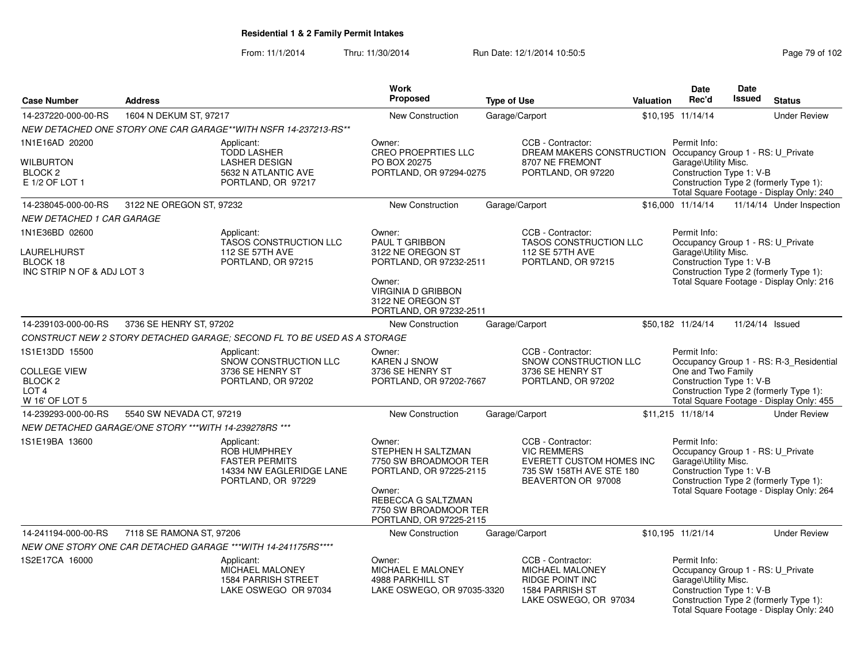From: 11/1/2014Thru: 11/30/2014 Run Date: 12/1/2014 10:50:5<br>
Page 79 of 102

|                                                                                 |                                                        |                                                                                                              | Work                                                                                                                                                                 |                                                                                                                       |           | Date                                                                                                                                 | <b>Date</b>                                                        |                                                                                    |
|---------------------------------------------------------------------------------|--------------------------------------------------------|--------------------------------------------------------------------------------------------------------------|----------------------------------------------------------------------------------------------------------------------------------------------------------------------|-----------------------------------------------------------------------------------------------------------------------|-----------|--------------------------------------------------------------------------------------------------------------------------------------|--------------------------------------------------------------------|------------------------------------------------------------------------------------|
| <b>Case Number</b>                                                              | <b>Address</b>                                         |                                                                                                              | <b>Proposed</b>                                                                                                                                                      | <b>Type of Use</b>                                                                                                    | Valuation | Rec'd                                                                                                                                | <b>Issued</b>                                                      | <b>Status</b>                                                                      |
| 14-237220-000-00-RS                                                             | 1604 N DEKUM ST, 97217                                 |                                                                                                              | <b>New Construction</b>                                                                                                                                              | Garage/Carport                                                                                                        |           | \$10,195 11/14/14                                                                                                                    |                                                                    | <b>Under Review</b>                                                                |
|                                                                                 |                                                        | NEW DETACHED ONE STORY ONE CAR GARAGE**WITH NSFR 14-237213-RS**                                              |                                                                                                                                                                      |                                                                                                                       |           |                                                                                                                                      |                                                                    |                                                                                    |
| 1N1E16AD 20200                                                                  |                                                        | Applicant:<br><b>TODD LASHER</b>                                                                             | Owner:<br><b>CREO PROEPRTIES LLC</b>                                                                                                                                 | CCB - Contractor:<br>DREAM MAKERS CONSTRUCTION Occupancy Group 1 - RS: U_Private                                      |           | Permit Info:                                                                                                                         |                                                                    |                                                                                    |
| <b>WILBURTON</b><br><b>BLOCK 2</b><br>E 1/2 OF LOT 1                            |                                                        | <b>LASHER DESIGN</b><br>5632 N ATLANTIC AVE<br>PORTLAND, OR 97217                                            | PO BOX 20275<br>PORTLAND, OR 97294-0275                                                                                                                              | 8707 NE FREMONT<br>PORTLAND, OR 97220                                                                                 |           | Garage\Utility Misc.<br>Construction Type 1: V-B                                                                                     |                                                                    | Construction Type 2 (formerly Type 1):<br>Total Square Footage - Display Only: 240 |
| 14-238045-000-00-RS                                                             | 3122 NE OREGON ST, 97232                               |                                                                                                              | New Construction                                                                                                                                                     | Garage/Carport                                                                                                        |           | \$16,000 11/14/14                                                                                                                    |                                                                    | 11/14/14 Under Inspection                                                          |
| <b>NEW DETACHED 1 CAR GARAGE</b>                                                |                                                        |                                                                                                              |                                                                                                                                                                      |                                                                                                                       |           |                                                                                                                                      |                                                                    |                                                                                    |
| 1N1E36BD 02600                                                                  |                                                        | Applicant:<br>TASOS CONSTRUCTION LLC                                                                         | Owner:<br>PAUL T GRIBBON                                                                                                                                             | CCB - Contractor:<br>TASOS CONSTRUCTION LLC                                                                           |           | Permit Info:<br>Occupancy Group 1 - RS: U_Private                                                                                    |                                                                    |                                                                                    |
| LAURELHURST<br>BLOCK 18<br>INC STRIP N OF & ADJ LOT 3                           |                                                        | 112 SE 57TH AVE<br>PORTLAND, OR 97215                                                                        | 3122 NE OREGON ST<br>PORTLAND, OR 97232-2511                                                                                                                         | 112 SE 57TH AVE<br>PORTLAND, OR 97215                                                                                 |           | Garage\Utility Misc.                                                                                                                 | Construction Type 1: V-B<br>Construction Type 2 (formerly Type 1): |                                                                                    |
|                                                                                 |                                                        |                                                                                                              | Owner:<br><b>VIRGINIA D GRIBBON</b><br>3122 NE OREGON ST<br>PORTLAND, OR 97232-2511                                                                                  |                                                                                                                       |           | Total Square Footage - Display Only: 216                                                                                             |                                                                    |                                                                                    |
| 14-239103-000-00-RS                                                             | 3736 SE HENRY ST, 97202                                |                                                                                                              | New Construction                                                                                                                                                     | Garage/Carport                                                                                                        |           | \$50,182 11/24/14                                                                                                                    | 11/24/14 Issued                                                    |                                                                                    |
|                                                                                 |                                                        | CONSTRUCT NEW 2 STORY DETACHED GARAGE; SECOND FL TO BE USED AS A STORAGE                                     |                                                                                                                                                                      |                                                                                                                       |           |                                                                                                                                      |                                                                    |                                                                                    |
| 1S1E13DD 15500                                                                  |                                                        | Applicant:<br>SNOW CONSTRUCTION LLC                                                                          | Owner:<br><b>KAREN J SNOW</b>                                                                                                                                        | CCB - Contractor:<br>SNOW CONSTRUCTION LLC                                                                            |           | Permit Info:                                                                                                                         |                                                                    | Occupancy Group 1 - RS: R-3_Residential                                            |
| <b>COLLEGE VIEW</b><br>BLOCK <sub>2</sub><br>LOT <sub>4</sub><br>W 16' OF LOT 5 |                                                        | 3736 SE HENRY ST<br>PORTLAND, OR 97202                                                                       | 3736 SE HENRY ST<br>PORTLAND, OR 97202-7667                                                                                                                          | 3736 SE HENRY ST<br>PORTLAND, OR 97202                                                                                |           | One and Two Family<br>Construction Type 1: V-B<br>Construction Type 2 (formerly Type 1):<br>Total Square Footage - Display Only: 455 |                                                                    |                                                                                    |
| 14-239293-000-00-RS                                                             | 5540 SW NEVADA CT, 97219                               |                                                                                                              | New Construction                                                                                                                                                     | Garage/Carport                                                                                                        |           | \$11,215 11/18/14                                                                                                                    |                                                                    | <b>Under Review</b>                                                                |
|                                                                                 | NEW DETACHED GARAGE/ONE STORY *** WITH 14-239278RS *** |                                                                                                              |                                                                                                                                                                      |                                                                                                                       |           |                                                                                                                                      |                                                                    |                                                                                    |
|                                                                                 |                                                        |                                                                                                              |                                                                                                                                                                      |                                                                                                                       |           | Permit Info:                                                                                                                         |                                                                    |                                                                                    |
| 1S1E19BA 13600                                                                  |                                                        | Applicant:<br><b>ROB HUMPHREY</b><br><b>FASTER PERMITS</b><br>14334 NW EAGLERIDGE LANE<br>PORTLAND, OR 97229 | Owner:<br>STEPHEN H SALTZMAN<br>7750 SW BROADMOOR TER<br>PORTLAND, OR 97225-2115<br>Owner:<br>REBECCA G SALTZMAN<br>7750 SW BROADMOOR TER<br>PORTLAND, OR 97225-2115 | CCB - Contractor:<br><b>VIC REMMERS</b><br>EVERETT CUSTOM HOMES INC<br>735 SW 158TH AVE STE 180<br>BEAVERTON OR 97008 |           | Occupancy Group 1 - RS: U_Private<br>Garage\Utility Misc.<br>Construction Type 1: V-B                                                |                                                                    | Construction Type 2 (formerly Type 1):<br>Total Square Footage - Display Only: 264 |
| 14-241194-000-00-RS                                                             | 7118 SE RAMONA ST, 97206                               |                                                                                                              | <b>New Construction</b>                                                                                                                                              | Garage/Carport                                                                                                        |           | \$10,195 11/21/14                                                                                                                    |                                                                    | <b>Under Review</b>                                                                |
|                                                                                 |                                                        | NEW ONE STORY ONE CAR DETACHED GARAGE ***WITH 14-241175RS****                                                |                                                                                                                                                                      |                                                                                                                       |           |                                                                                                                                      |                                                                    |                                                                                    |
| 1S2E17CA 16000                                                                  |                                                        | Applicant:                                                                                                   | Owner:                                                                                                                                                               | CCB - Contractor:                                                                                                     |           | Permit Info:                                                                                                                         |                                                                    |                                                                                    |
|                                                                                 |                                                        | MICHAEL MALONEY<br><b>1584 PARRISH STREET</b><br>LAKE OSWEGO OR 97034                                        | MICHAEL E MALONEY<br>4988 PARKHILL ST<br>LAKE OSWEGO, OR 97035-3320                                                                                                  | MICHAEL MALONEY<br>RIDGE POINT INC<br>1584 PARRISH ST<br>LAKE OSWEGO, OR 97034                                        |           | Occupancy Group 1 - RS: U_Private<br>Garage\Utility Misc.<br>Construction Type 1: V-B                                                |                                                                    | Construction Type 2 (formerly Type 1):<br>Total Square Footage - Display Only: 240 |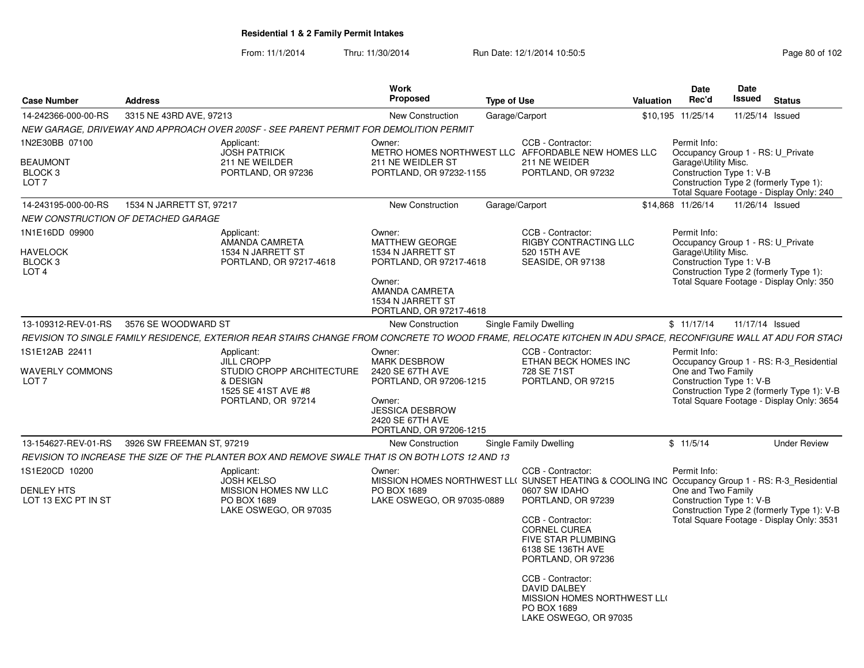From: 11/1/2014Thru: 11/30/2014 Run Date: 12/1/2014 10:50:5<br>
Page 80 of 102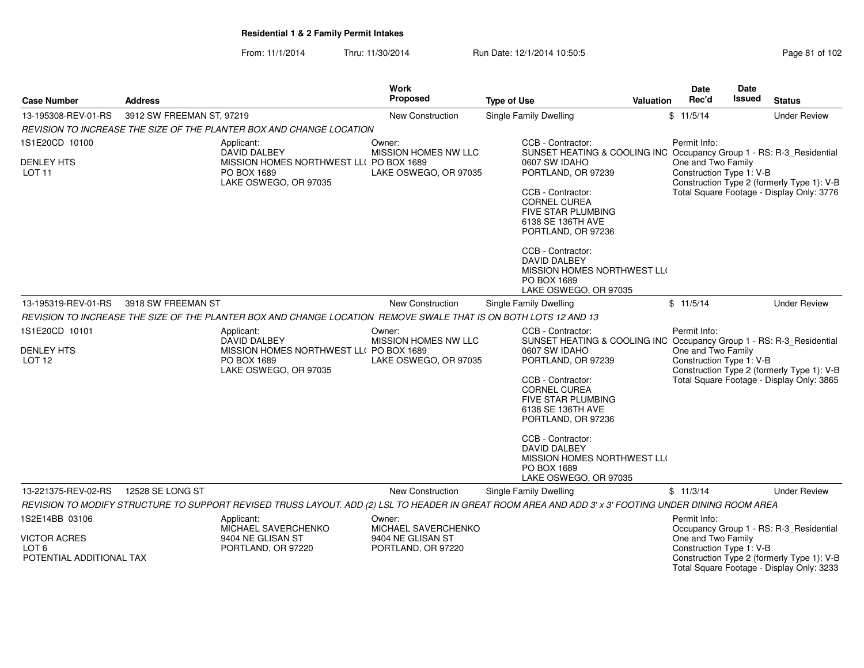From: 11/1/2014Thru: 11/30/2014 Run Date: 12/1/2014 10:50:5

| Page 81 of 102 |  |  |
|----------------|--|--|
|----------------|--|--|

| <b>Case Number</b>                                       | <b>Address</b>            |                                                                                                                  | Work<br><b>Proposed</b>                 | <b>Type of Use</b>                                                                                                                                                                                                                                                  | Valuation | <b>Date</b><br>Rec'd                                                                                                                      | <b>Date</b><br><b>Issued</b> | <b>Status</b>                                                                           |
|----------------------------------------------------------|---------------------------|------------------------------------------------------------------------------------------------------------------|-----------------------------------------|---------------------------------------------------------------------------------------------------------------------------------------------------------------------------------------------------------------------------------------------------------------------|-----------|-------------------------------------------------------------------------------------------------------------------------------------------|------------------------------|-----------------------------------------------------------------------------------------|
| 13-195308-REV-01-RS                                      | 3912 SW FREEMAN ST, 97219 |                                                                                                                  | New Construction                        | <b>Single Family Dwelling</b>                                                                                                                                                                                                                                       |           | \$11/5/14                                                                                                                                 |                              | <b>Under Review</b>                                                                     |
|                                                          |                           | REVISION TO INCREASE THE SIZE OF THE PLANTER BOX AND CHANGE LOCATION                                             |                                         |                                                                                                                                                                                                                                                                     |           |                                                                                                                                           |                              |                                                                                         |
| 1S1E20CD 10100                                           |                           | Applicant:<br><b>DAVID DALBEY</b>                                                                                | Owner:<br>MISSION HOMES NW LLC          | CCB - Contractor:<br>SUNSET HEATING & COOLING INC Occupancy Group 1 - RS: R-3_Residential                                                                                                                                                                           |           | Permit Info:                                                                                                                              |                              |                                                                                         |
| <b>DENLEY HTS</b><br><b>LOT 11</b>                       |                           | MISSION HOMES NORTHWEST LL( PO BOX 1689<br>PO BOX 1689<br>LAKE OSWEGO, OR 97035<br>LAKE OSWEGO, OR 97035         |                                         | 0607 SW IDAHO<br>PORTLAND, OR 97239<br>CCB - Contractor:<br><b>CORNEL CUREA</b><br><b>FIVE STAR PLUMBING</b><br>6138 SE 136TH AVE<br>PORTLAND, OR 97236                                                                                                             |           | One and Two Family<br>Construction Type 1: V-B<br>Construction Type 2 (formerly Type 1): V-B<br>Total Square Footage - Display Only: 3776 |                              |                                                                                         |
|                                                          |                           |                                                                                                                  |                                         | CCB - Contractor:<br><b>DAVID DALBEY</b><br>MISSION HOMES NORTHWEST LLO<br>PO BOX 1689<br>LAKE OSWEGO, OR 97035                                                                                                                                                     |           |                                                                                                                                           |                              |                                                                                         |
| 13-195319-REV-01-RS                                      | 3918 SW FREEMAN ST        |                                                                                                                  | New Construction                        | Single Family Dwelling                                                                                                                                                                                                                                              |           | \$11/5/14                                                                                                                                 |                              | <b>Under Review</b>                                                                     |
|                                                          |                           | REVISION TO INCREASE THE SIZE OF THE PLANTER BOX AND CHANGE LOCATION REMOVE SWALE THAT IS ON BOTH LOTS 12 AND 13 |                                         |                                                                                                                                                                                                                                                                     |           |                                                                                                                                           |                              |                                                                                         |
| 1S1E20CD 10101                                           |                           | Applicant:<br><b>DAVID DALBEY</b>                                                                                | Owner:<br><b>MISSION HOMES NW LLC</b>   | CCB - Contractor:<br>SUNSET HEATING & COOLING INC Occupancy Group 1 - RS: R-3_Residential                                                                                                                                                                           |           | Permit Info:                                                                                                                              |                              |                                                                                         |
| <b>DENLEY HTS</b><br>LOT <sub>12</sub>                   |                           | MISSION HOMES NORTHWEST LL( PO BOX 1689<br>PO BOX 1689<br>LAKE OSWEGO, OR 97035                                  | LAKE OSWEGO, OR 97035                   | 0607 SW IDAHO<br>PORTLAND, OR 97239<br>CCB - Contractor:<br><b>CORNEL CUREA</b><br><b>FIVE STAR PLUMBING</b><br>6138 SE 136TH AVE<br>PORTLAND, OR 97236<br>CCB - Contractor:<br>DAVID DALBEY<br>MISSION HOMES NORTHWEST LLO<br>PO BOX 1689<br>LAKE OSWEGO, OR 97035 |           | One and Two Family<br>Construction Type 1: V-B                                                                                            |                              | Construction Type 2 (formerly Type 1): V-B<br>Total Square Footage - Display Only: 3865 |
| 13-221375-REV-02-RS                                      | 12528 SE LONG ST          |                                                                                                                  | <b>New Construction</b>                 | <b>Single Family Dwelling</b>                                                                                                                                                                                                                                       |           | \$11/3/14                                                                                                                                 |                              | <b>Under Review</b>                                                                     |
|                                                          |                           |                                                                                                                  |                                         | REVISION TO MODIFY STRUCTURE TO SUPPORT REVISED TRUSS LAYOUT. ADD (2) LSL TO HEADER IN GREAT ROOM AREA AND ADD 3' x 3' FOOTING UNDER DINING ROOM AREA                                                                                                               |           |                                                                                                                                           |                              |                                                                                         |
| 1S2E14BB 03106                                           |                           | Applicant:<br>MICHAEL SAVERCHENKO                                                                                | Owner:<br>MICHAEL SAVERCHENKO           |                                                                                                                                                                                                                                                                     |           | Permit Info:                                                                                                                              |                              | Occupancy Group 1 - RS: R-3_Residential                                                 |
| <b>VICTOR ACRES</b><br>LOT 6<br>POTENTIAL ADDITIONAL TAX |                           | 9404 NE GLISAN ST<br>PORTLAND, OR 97220                                                                          | 9404 NE GLISAN ST<br>PORTLAND, OR 97220 |                                                                                                                                                                                                                                                                     |           | One and Two Family<br>Construction Type 1: V-B                                                                                            |                              | Construction Type 2 (formerly Type 1): V-B<br>Total Square Footage - Display Only: 3233 |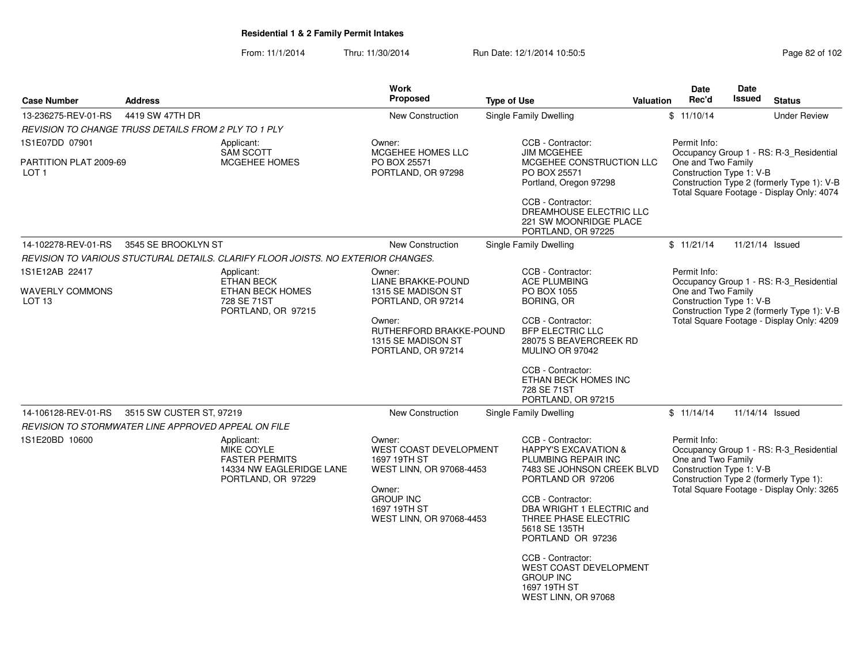From: 11/1/2014Thru: 11/30/2014 Run Date: 12/1/2014 10:50:5

| Page 82 of 102 |  |  |  |  |
|----------------|--|--|--|--|
|----------------|--|--|--|--|

|                        |                                                                                                     | <b>Work</b>                                                                                                                                                                                                                                           |                                                                                                                                                      |                                                                                                           |                                                                                                                                                                                                                                                                                                                                                                                                                                                                                                                                                                                                                                           | Date                                                                                                                                                                                                                                                                                                   | Date          |                                                                                                                                                                                                                                                                                                                                                                                                                                                                                                                                                                  |
|------------------------|-----------------------------------------------------------------------------------------------------|-------------------------------------------------------------------------------------------------------------------------------------------------------------------------------------------------------------------------------------------------------|------------------------------------------------------------------------------------------------------------------------------------------------------|-----------------------------------------------------------------------------------------------------------|-------------------------------------------------------------------------------------------------------------------------------------------------------------------------------------------------------------------------------------------------------------------------------------------------------------------------------------------------------------------------------------------------------------------------------------------------------------------------------------------------------------------------------------------------------------------------------------------------------------------------------------------|--------------------------------------------------------------------------------------------------------------------------------------------------------------------------------------------------------------------------------------------------------------------------------------------------------|---------------|------------------------------------------------------------------------------------------------------------------------------------------------------------------------------------------------------------------------------------------------------------------------------------------------------------------------------------------------------------------------------------------------------------------------------------------------------------------------------------------------------------------------------------------------------------------|
| <b>Address</b>         |                                                                                                     | <b>Proposed</b>                                                                                                                                                                                                                                       |                                                                                                                                                      |                                                                                                           |                                                                                                                                                                                                                                                                                                                                                                                                                                                                                                                                                                                                                                           | Rec'd                                                                                                                                                                                                                                                                                                  | <b>Issued</b> | <b>Status</b>                                                                                                                                                                                                                                                                                                                                                                                                                                                                                                                                                    |
| 4419 SW 47TH DR        |                                                                                                     | New Construction                                                                                                                                                                                                                                      |                                                                                                                                                      |                                                                                                           |                                                                                                                                                                                                                                                                                                                                                                                                                                                                                                                                                                                                                                           | \$11/10/14                                                                                                                                                                                                                                                                                             |               | <b>Under Review</b>                                                                                                                                                                                                                                                                                                                                                                                                                                                                                                                                              |
|                        |                                                                                                     |                                                                                                                                                                                                                                                       |                                                                                                                                                      |                                                                                                           |                                                                                                                                                                                                                                                                                                                                                                                                                                                                                                                                                                                                                                           |                                                                                                                                                                                                                                                                                                        |               |                                                                                                                                                                                                                                                                                                                                                                                                                                                                                                                                                                  |
|                        | Applicant:<br><b>SAM SCOTT</b>                                                                      | Owner:<br>MCGEHEE HOMES LLC                                                                                                                                                                                                                           |                                                                                                                                                      |                                                                                                           |                                                                                                                                                                                                                                                                                                                                                                                                                                                                                                                                                                                                                                           | Permit Info:                                                                                                                                                                                                                                                                                           |               |                                                                                                                                                                                                                                                                                                                                                                                                                                                                                                                                                                  |
| PARTITION PLAT 2009-69 |                                                                                                     | PORTLAND, OR 97298                                                                                                                                                                                                                                    |                                                                                                                                                      |                                                                                                           |                                                                                                                                                                                                                                                                                                                                                                                                                                                                                                                                                                                                                                           |                                                                                                                                                                                                                                                                                                        |               |                                                                                                                                                                                                                                                                                                                                                                                                                                                                                                                                                                  |
|                        |                                                                                                     |                                                                                                                                                                                                                                                       |                                                                                                                                                      |                                                                                                           |                                                                                                                                                                                                                                                                                                                                                                                                                                                                                                                                                                                                                                           |                                                                                                                                                                                                                                                                                                        |               |                                                                                                                                                                                                                                                                                                                                                                                                                                                                                                                                                                  |
|                        |                                                                                                     | <b>New Construction</b>                                                                                                                                                                                                                               |                                                                                                                                                      |                                                                                                           |                                                                                                                                                                                                                                                                                                                                                                                                                                                                                                                                                                                                                                           | \$11/21/14                                                                                                                                                                                                                                                                                             |               | 11/21/14 Issued                                                                                                                                                                                                                                                                                                                                                                                                                                                                                                                                                  |
|                        |                                                                                                     |                                                                                                                                                                                                                                                       |                                                                                                                                                      |                                                                                                           |                                                                                                                                                                                                                                                                                                                                                                                                                                                                                                                                                                                                                                           |                                                                                                                                                                                                                                                                                                        |               |                                                                                                                                                                                                                                                                                                                                                                                                                                                                                                                                                                  |
|                        | Applicant:                                                                                          | Owner:                                                                                                                                                                                                                                                |                                                                                                                                                      |                                                                                                           |                                                                                                                                                                                                                                                                                                                                                                                                                                                                                                                                                                                                                                           | Permit Info:                                                                                                                                                                                                                                                                                           |               |                                                                                                                                                                                                                                                                                                                                                                                                                                                                                                                                                                  |
|                        |                                                                                                     |                                                                                                                                                                                                                                                       |                                                                                                                                                      |                                                                                                           |                                                                                                                                                                                                                                                                                                                                                                                                                                                                                                                                                                                                                                           |                                                                                                                                                                                                                                                                                                        |               |                                                                                                                                                                                                                                                                                                                                                                                                                                                                                                                                                                  |
|                        | 728 SE 71ST                                                                                         | PORTLAND, OR 97214                                                                                                                                                                                                                                    |                                                                                                                                                      |                                                                                                           |                                                                                                                                                                                                                                                                                                                                                                                                                                                                                                                                                                                                                                           |                                                                                                                                                                                                                                                                                                        |               |                                                                                                                                                                                                                                                                                                                                                                                                                                                                                                                                                                  |
|                        |                                                                                                     | Owner:<br>1315 SE MADISON ST<br>PORTLAND, OR 97214                                                                                                                                                                                                    |                                                                                                                                                      |                                                                                                           |                                                                                                                                                                                                                                                                                                                                                                                                                                                                                                                                                                                                                                           |                                                                                                                                                                                                                                                                                                        |               |                                                                                                                                                                                                                                                                                                                                                                                                                                                                                                                                                                  |
|                        |                                                                                                     |                                                                                                                                                                                                                                                       |                                                                                                                                                      |                                                                                                           |                                                                                                                                                                                                                                                                                                                                                                                                                                                                                                                                                                                                                                           |                                                                                                                                                                                                                                                                                                        |               |                                                                                                                                                                                                                                                                                                                                                                                                                                                                                                                                                                  |
|                        |                                                                                                     | New Construction                                                                                                                                                                                                                                      |                                                                                                                                                      |                                                                                                           |                                                                                                                                                                                                                                                                                                                                                                                                                                                                                                                                                                                                                                           | \$11/14/14                                                                                                                                                                                                                                                                                             |               | 11/14/14 Issued                                                                                                                                                                                                                                                                                                                                                                                                                                                                                                                                                  |
|                        |                                                                                                     |                                                                                                                                                                                                                                                       |                                                                                                                                                      |                                                                                                           |                                                                                                                                                                                                                                                                                                                                                                                                                                                                                                                                                                                                                                           |                                                                                                                                                                                                                                                                                                        |               |                                                                                                                                                                                                                                                                                                                                                                                                                                                                                                                                                                  |
|                        | Applicant:<br>MIKE COYLE<br><b>FASTER PERMITS</b><br>14334 NW EAGLERIDGE LANE<br>PORTLAND, OR 97229 | Owner:<br>1697 19TH ST<br>Owner:<br><b>GROUP INC</b><br>1697 19TH ST                                                                                                                                                                                  |                                                                                                                                                      |                                                                                                           |                                                                                                                                                                                                                                                                                                                                                                                                                                                                                                                                                                                                                                           | Permit Info:                                                                                                                                                                                                                                                                                           |               |                                                                                                                                                                                                                                                                                                                                                                                                                                                                                                                                                                  |
|                        |                                                                                                     | REVISION TO CHANGE TRUSS DETAILS FROM 2 PLY TO 1 PLY<br>MCGEHEE HOMES<br>3545 SE BROOKLYN ST<br><b>ETHAN BECK</b><br><b>ETHAN BECK HOMES</b><br>PORTLAND, OR 97215<br>3515 SW CUSTER ST, 97219<br>REVISION TO STORMWATER LINE APPROVED APPEAL ON FILE | PO BOX 25571<br>REVISION TO VARIOUS STUCTURAL DETAILS. CLARIFY FLOOR JOISTS. NO EXTERIOR CHANGES.<br><b>LIANE BRAKKE-POUND</b><br>1315 SE MADISON ST | RUTHERFORD BRAKKE-POUND<br>WEST COAST DEVELOPMENT<br>WEST LINN, OR 97068-4453<br>WEST LINN, OR 97068-4453 | <b>Type of Use</b><br>Single Family Dwelling<br>CCB - Contractor:<br><b>JIM MCGEHEE</b><br>PO BOX 25571<br>Portland, Oregon 97298<br>CCB - Contractor:<br>PORTLAND, OR 97225<br>Single Family Dwelling<br>CCB - Contractor:<br><b>ACE PLUMBING</b><br>PO BOX 1055<br><b>BORING, OR</b><br>CCB - Contractor:<br><b>BFP ELECTRIC LLC</b><br>MULINO OR 97042<br>CCB - Contractor:<br>728 SE 71ST<br>PORTLAND, OR 97215<br><b>Single Family Dwelling</b><br>CCB - Contractor:<br>PORTLAND OR 97206<br>CCB - Contractor:<br>5618 SE 135TH<br>PORTLAND OR 97236<br>CCB - Contractor:<br><b>GROUP INC</b><br>1697 19TH ST<br>WEST LINN, OR 97068 | MCGEHEE CONSTRUCTION LLC<br>DREAMHOUSE ELECTRIC LLC<br>221 SW MOONRIDGE PLACE<br>28075 S BEAVERCREEK RD<br>ETHAN BECK HOMES INC<br><b>HAPPY'S EXCAVATION &amp;</b><br>PLUMBING REPAIR INC<br>7483 SE JOHNSON CREEK BLVD<br>DBA WRIGHT 1 ELECTRIC and<br>THREE PHASE ELECTRIC<br>WEST COAST DEVELOPMENT | Valuation     | Occupancy Group 1 - RS: R-3 Residential<br>One and Two Family<br>Construction Type 1: V-B<br>Construction Type 2 (formerly Type 1): V-B<br>Total Square Footage - Display Only: 4074<br>Occupancy Group 1 - RS: R-3 Residential<br>One and Two Family<br>Construction Type 1: V-B<br>Construction Type 2 (formerly Type 1): V-B<br>Total Square Footage - Display Only: 4209<br>Occupancy Group 1 - RS: R-3_Residential<br>One and Two Family<br>Construction Type 1: V-B<br>Construction Type 2 (formerly Type 1):<br>Total Square Footage - Display Only: 3265 |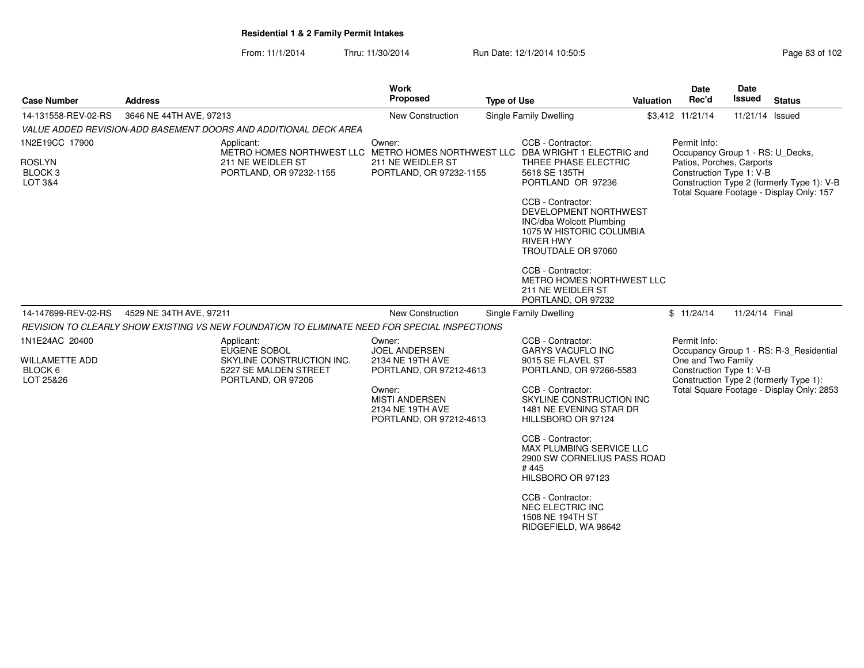From: 11/1/2014Thru: 11/30/2014 Run Date: 12/1/2014 10:50:5<br>
Page 83 of 102

|                                                                                                                                           | <b>Work</b><br>Proposed                                                                                                                                  | <b>Type of Use</b>                                                                                                                                           | Valuation                                                                                                                                                                                                                     | <b>Date</b><br>Rec'd                                                                                                                                                                                                                                                                                                                                                                                                                                                                     | Date<br><b>Issued</b>                                          | <b>Status</b>                                                                                                                                                                                                                                                                                                                                                                                                |
|-------------------------------------------------------------------------------------------------------------------------------------------|----------------------------------------------------------------------------------------------------------------------------------------------------------|--------------------------------------------------------------------------------------------------------------------------------------------------------------|-------------------------------------------------------------------------------------------------------------------------------------------------------------------------------------------------------------------------------|------------------------------------------------------------------------------------------------------------------------------------------------------------------------------------------------------------------------------------------------------------------------------------------------------------------------------------------------------------------------------------------------------------------------------------------------------------------------------------------|----------------------------------------------------------------|--------------------------------------------------------------------------------------------------------------------------------------------------------------------------------------------------------------------------------------------------------------------------------------------------------------------------------------------------------------------------------------------------------------|
|                                                                                                                                           | <b>New Construction</b>                                                                                                                                  | Single Family Dwelling                                                                                                                                       |                                                                                                                                                                                                                               |                                                                                                                                                                                                                                                                                                                                                                                                                                                                                          |                                                                |                                                                                                                                                                                                                                                                                                                                                                                                              |
|                                                                                                                                           |                                                                                                                                                          |                                                                                                                                                              |                                                                                                                                                                                                                               |                                                                                                                                                                                                                                                                                                                                                                                                                                                                                          |                                                                |                                                                                                                                                                                                                                                                                                                                                                                                              |
| 1N2E19CC 17900<br>Applicant:<br><b>ROSLYN</b><br>211 NE WEIDLER ST<br>BLOCK <sub>3</sub><br>PORTLAND, OR 97232-1155<br><b>LOT 3&amp;4</b> |                                                                                                                                                          | CCB - Contractor:<br>5618 SE 135TH<br>CCB - Contractor:<br><b>RIVER HWY</b><br>CCB - Contractor:<br>211 NE WEIDLER ST                                        |                                                                                                                                                                                                                               |                                                                                                                                                                                                                                                                                                                                                                                                                                                                                          |                                                                |                                                                                                                                                                                                                                                                                                                                                                                                              |
|                                                                                                                                           |                                                                                                                                                          |                                                                                                                                                              |                                                                                                                                                                                                                               |                                                                                                                                                                                                                                                                                                                                                                                                                                                                                          |                                                                |                                                                                                                                                                                                                                                                                                                                                                                                              |
| 4529 NE 34TH AVE, 97211<br>14-147699-REV-02-RS                                                                                            |                                                                                                                                                          |                                                                                                                                                              |                                                                                                                                                                                                                               |                                                                                                                                                                                                                                                                                                                                                                                                                                                                                          |                                                                |                                                                                                                                                                                                                                                                                                                                                                                                              |
|                                                                                                                                           |                                                                                                                                                          |                                                                                                                                                              |                                                                                                                                                                                                                               |                                                                                                                                                                                                                                                                                                                                                                                                                                                                                          |                                                                |                                                                                                                                                                                                                                                                                                                                                                                                              |
| EUGENE SOBOL<br>SKYLINE CONSTRUCTION INC.<br>5227 SE MALDEN STREET<br>PORTLAND, OR 97206                                                  | Owner:<br><b>JOEL ANDERSEN</b><br>2134 NE 19TH AVE<br>Owner:<br><b>MISTI ANDERSEN</b><br>2134 NE 19TH AVE                                                | 9015 SE FLAVEL ST<br>CCB - Contractor:<br>CCB - Contractor:<br>#445<br>HILSBORO OR 97123<br>CCB - Contractor:<br><b>NEC ELECTRIC INC</b><br>1508 NE 194TH ST |                                                                                                                                                                                                                               |                                                                                                                                                                                                                                                                                                                                                                                                                                                                                          |                                                                |                                                                                                                                                                                                                                                                                                                                                                                                              |
|                                                                                                                                           | <b>Address</b><br>3646 NE 44TH AVE, 97213<br>VALUE ADDED REVISION-ADD BASEMENT DOORS AND ADDITIONAL DECK AREA<br>METRO HOMES NORTHWEST LLC<br>Applicant: | Owner:<br>211 NE WEIDLER ST<br>New Construction                                                                                                              | PORTLAND, OR 97232-1155<br>Single Family Dwelling<br>REVISION TO CLEARLY SHOW EXISTING VS NEW FOUNDATION TO ELIMINATE NEED FOR SPECIAL INSPECTIONS<br>CCB - Contractor:<br>PORTLAND, OR 97212-4613<br>PORTLAND, OR 97212-4613 | METRO HOMES NORTHWEST LLC DBA WRIGHT 1 ELECTRIC and<br>THREE PHASE ELECTRIC<br>PORTLAND OR 97236<br>DEVELOPMENT NORTHWEST<br><b>INC/dba Wolcott Plumbing</b><br>1075 W HISTORIC COLUMBIA<br>TROUTDALE OR 97060<br>METRO HOMES NORTHWEST LLC<br>PORTLAND, OR 97232<br><b>GARYS VACUFLO INC</b><br>PORTLAND, OR 97266-5583<br>SKYLINE CONSTRUCTION INC<br>1481 NE EVENING STAR DR<br>HILLSBORO OR 97124<br>MAX PLUMBING SERVICE LLC<br>2900 SW CORNELIUS PASS ROAD<br>RIDGEFIELD, WA 98642 | \$3,412 11/21/14<br>Permit Info:<br>\$11/24/14<br>Permit Info: | 11/21/14 Issued<br>Occupancy Group 1 - RS: U_Decks,<br>Patios, Porches, Carports<br>Construction Type 1: V-B<br>Construction Type 2 (formerly Type 1): V-B<br>Total Square Footage - Display Only: 157<br>11/24/14 Final<br>Occupancy Group 1 - RS: R-3 Residential<br>One and Two Family<br>Construction Type 1: V-B<br>Construction Type 2 (formerly Type 1):<br>Total Square Footage - Display Only: 2853 |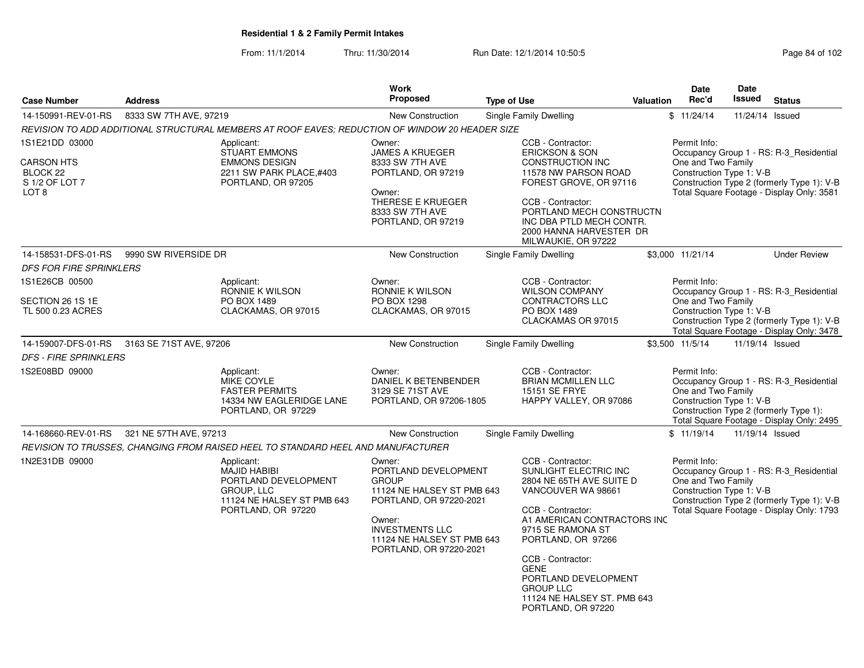From: 11/1/2014Thru: 11/30/2014 Run Date: 12/1/2014 10:50:5<br>
Page 84 of 102

|                                                                                       |                                                                                                 |                                                                                                 | Work<br><b>Proposed</b>                                                                                                                                                                              |                                                                                                                                                                                                                                                                                                                                  |           | Date<br>Rec'd                                                  | <b>Date</b><br><b>Issued</b> |                                                                                                                                    |
|---------------------------------------------------------------------------------------|-------------------------------------------------------------------------------------------------|-------------------------------------------------------------------------------------------------|------------------------------------------------------------------------------------------------------------------------------------------------------------------------------------------------------|----------------------------------------------------------------------------------------------------------------------------------------------------------------------------------------------------------------------------------------------------------------------------------------------------------------------------------|-----------|----------------------------------------------------------------|------------------------------|------------------------------------------------------------------------------------------------------------------------------------|
| <b>Case Number</b>                                                                    | <b>Address</b>                                                                                  |                                                                                                 |                                                                                                                                                                                                      | <b>Type of Use</b>                                                                                                                                                                                                                                                                                                               | Valuation |                                                                |                              | <b>Status</b>                                                                                                                      |
| 14-150991-REV-01-RS                                                                   | 8333 SW 7TH AVE, 97219                                                                          |                                                                                                 | <b>New Construction</b>                                                                                                                                                                              | Single Family Dwelling                                                                                                                                                                                                                                                                                                           |           | \$11/24/14                                                     | 11/24/14 Issued              |                                                                                                                                    |
|                                                                                       | REVISION TO ADD ADDITIONAL STRUCTURAL MEMBERS AT ROOF EAVES; REDUCTION OF WINDOW 20 HEADER SIZE |                                                                                                 |                                                                                                                                                                                                      |                                                                                                                                                                                                                                                                                                                                  |           |                                                                |                              |                                                                                                                                    |
| 1S1E21DD 03000<br><b>CARSON HTS</b><br>BLOCK 22<br>S 1/2 OF LOT 7<br>LOT <sub>8</sub> | Applicant:                                                                                      | <b>STUART EMMONS</b><br><b>EMMONS DESIGN</b><br>2211 SW PARK PLACE, #403<br>PORTLAND, OR 97205  | Owner:<br><b>JAMES A KRUEGER</b><br>8333 SW 7TH AVE<br>PORTLAND, OR 97219<br>Owner:<br>THERESE E KRUEGER<br>8333 SW 7TH AVE<br>PORTLAND, OR 97219                                                    | CCB - Contractor:<br><b>ERICKSON &amp; SON</b><br><b>CONSTRUCTION INC</b><br>11578 NW PARSON ROAD<br>FOREST GROVE, OR 97116<br>CCB - Contractor:<br>PORTLAND MECH CONSTRUCTN<br>INC DBA PTLD MECH CONTR.<br>2000 HANNA HARVESTER DR<br>MILWAUKIE, OR 97222                                                                       |           | Permit Info:<br>One and Two Family<br>Construction Type 1: V-B |                              | Occupancy Group 1 - RS: R-3 Residential<br>Construction Type 2 (formerly Type 1): V-B<br>Total Square Footage - Display Only: 3581 |
| 14-158531-DFS-01-RS                                                                   | 9990 SW RIVERSIDE DR                                                                            |                                                                                                 | New Construction                                                                                                                                                                                     | Single Family Dwelling                                                                                                                                                                                                                                                                                                           |           | \$3,000 11/21/14                                               |                              | <b>Under Review</b>                                                                                                                |
| <b>DFS FOR FIRE SPRINKLERS</b>                                                        |                                                                                                 |                                                                                                 |                                                                                                                                                                                                      |                                                                                                                                                                                                                                                                                                                                  |           |                                                                |                              |                                                                                                                                    |
| 1S1E26CB 00500<br>SECTION 26 1S 1E<br>TL 500 0.23 ACRES                               | Applicant:                                                                                      | RONNIE K WILSON<br>PO BOX 1489<br>CLACKAMAS, OR 97015                                           | Owner:<br>RONNIE K WILSON<br>PO BOX 1298<br>CLACKAMAS, OR 97015                                                                                                                                      | CCB - Contractor:<br><b>WILSON COMPANY</b><br>CONTRACTORS LLC<br>PO BOX 1489<br>CLACKAMAS OR 97015                                                                                                                                                                                                                               |           | Permit Info:<br>One and Two Family<br>Construction Type 1: V-B |                              | Occupancy Group 1 - RS: R-3 Residential<br>Construction Type 2 (formerly Type 1): V-B<br>Total Square Footage - Display Only: 3478 |
| 14-159007-DFS-01-RS                                                                   | 3163 SE 71ST AVE, 97206                                                                         |                                                                                                 | <b>New Construction</b>                                                                                                                                                                              | Single Family Dwelling                                                                                                                                                                                                                                                                                                           |           | \$3,500 11/5/14                                                | 11/19/14 Issued              |                                                                                                                                    |
| <b>DFS - FIRE SPRINKLERS</b>                                                          |                                                                                                 |                                                                                                 |                                                                                                                                                                                                      |                                                                                                                                                                                                                                                                                                                                  |           |                                                                |                              |                                                                                                                                    |
| 1S2E08BD 09000                                                                        | Applicant:<br><b>MIKE COYLE</b>                                                                 | <b>FASTER PERMITS</b><br>14334 NW EAGLERIDGE LANE<br>PORTLAND, OR 97229                         | Owner:<br>DANIEL K BETENBENDER<br>3129 SE 71ST AVE<br>PORTLAND, OR 97206-1805                                                                                                                        | CCB - Contractor:<br><b>BRIAN MCMILLEN LLC</b><br>15151 SE FRYE<br>HAPPY VALLEY, OR 97086                                                                                                                                                                                                                                        |           | Permit Info:<br>One and Two Family<br>Construction Type 1: V-B |                              | Occupancy Group 1 - RS: R-3_Residential<br>Construction Type 2 (formerly Type 1):<br>Total Square Footage - Display Only: 2495     |
| 14-168660-REV-01-RS                                                                   | 321 NE 57TH AVE, 97213                                                                          |                                                                                                 | <b>New Construction</b>                                                                                                                                                                              | Single Family Dwelling                                                                                                                                                                                                                                                                                                           |           | \$11/19/14                                                     | 11/19/14 Issued              |                                                                                                                                    |
|                                                                                       | REVISION TO TRUSSES, CHANGING FROM RAISED HEEL TO STANDARD HEEL AND MANUFACTURER                |                                                                                                 |                                                                                                                                                                                                      |                                                                                                                                                                                                                                                                                                                                  |           |                                                                |                              |                                                                                                                                    |
| 1N2E31DB 09000                                                                        | Applicant:<br>GROUP, LLC                                                                        | <b>MAJID HABIBI</b><br>PORTLAND DEVELOPMENT<br>11124 NE HALSEY ST PMB 643<br>PORTLAND, OR 97220 | Owner:<br>PORTLAND DEVELOPMENT<br><b>GROUP</b><br>11124 NE HALSEY ST PMB 643<br>PORTLAND, OR 97220-2021<br>Owner:<br><b>INVESTMENTS LLC</b><br>11124 NE HALSEY ST PMB 643<br>PORTLAND, OR 97220-2021 | CCB - Contractor:<br>SUNLIGHT ELECTRIC INC<br>2804 NE 65TH AVE SUITE D<br>VANCOUVER WA 98661<br>CCB - Contractor:<br>A1 AMERICAN CONTRACTORS INC<br>9715 SE RAMONA ST<br>PORTLAND, OR 97266<br>CCB - Contractor:<br><b>GENE</b><br>PORTLAND DEVELOPMENT<br><b>GROUP LLC</b><br>11124 NE HALSEY ST. PMB 643<br>PORTLAND, OR 97220 |           | Permit Info:<br>One and Two Family<br>Construction Type 1: V-B |                              | Occupancy Group 1 - RS: R-3 Residential<br>Construction Type 2 (formerly Type 1): V-B<br>Total Square Footage - Display Only: 1793 |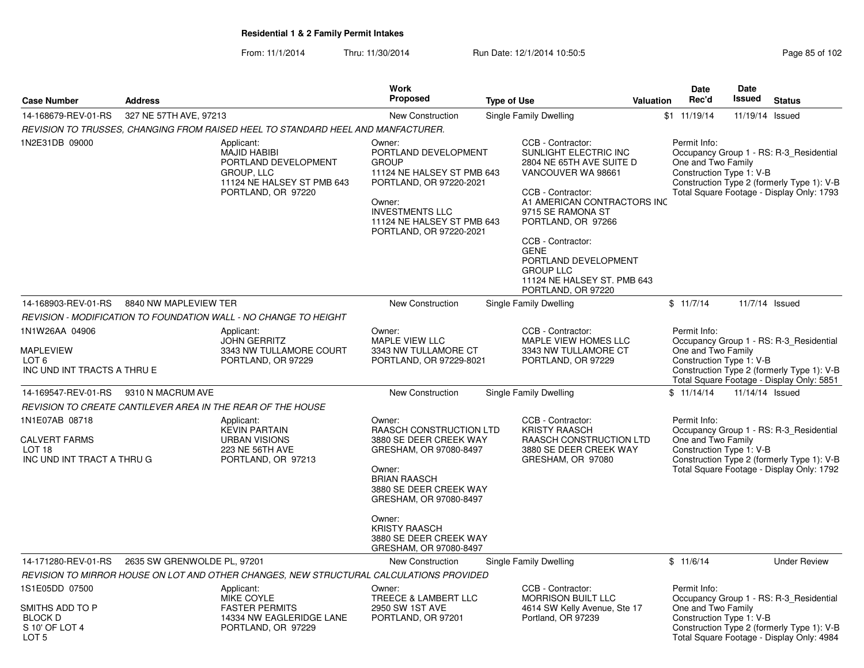From: 11/1/2014Thru: 11/30/2014 Run Date: 12/1/2014 10:50:5<br>
Page 85 of 102

|                                                                                           |                             |                                                                                                                             | Work                                                                                                                                                                                                                                   |                                                                                                                                                                                                                                                                                                                                  |                  | <b>Date</b>                                                    | Date            |                                                                                                                                    |
|-------------------------------------------------------------------------------------------|-----------------------------|-----------------------------------------------------------------------------------------------------------------------------|----------------------------------------------------------------------------------------------------------------------------------------------------------------------------------------------------------------------------------------|----------------------------------------------------------------------------------------------------------------------------------------------------------------------------------------------------------------------------------------------------------------------------------------------------------------------------------|------------------|----------------------------------------------------------------|-----------------|------------------------------------------------------------------------------------------------------------------------------------|
| <b>Case Number</b>                                                                        | <b>Address</b>              |                                                                                                                             | <b>Proposed</b>                                                                                                                                                                                                                        | <b>Type of Use</b>                                                                                                                                                                                                                                                                                                               | <b>Valuation</b> | Rec'd                                                          | <b>Issued</b>   | <b>Status</b>                                                                                                                      |
| 14-168679-REV-01-RS                                                                       | 327 NE 57TH AVE, 97213      |                                                                                                                             | New Construction                                                                                                                                                                                                                       | Single Family Dwelling                                                                                                                                                                                                                                                                                                           |                  | \$1 11/19/14                                                   | 11/19/14 Issued |                                                                                                                                    |
|                                                                                           |                             | REVISION TO TRUSSES, CHANGING FROM RAISED HEEL TO STANDARD HEEL AND MANFACTURER.                                            |                                                                                                                                                                                                                                        |                                                                                                                                                                                                                                                                                                                                  |                  |                                                                |                 |                                                                                                                                    |
| 1N2E31DB 09000                                                                            |                             | Applicant:<br><b>MAJID HABIBI</b><br>PORTLAND DEVELOPMENT<br>GROUP, LLC<br>11124 NE HALSEY ST PMB 643<br>PORTLAND, OR 97220 | Owner:<br>PORTLAND DEVELOPMENT<br><b>GROUP</b><br>11124 NE HALSEY ST PMB 643<br>PORTLAND, OR 97220-2021<br>Owner:<br><b>INVESTMENTS LLC</b><br>11124 NE HALSEY ST PMB 643<br>PORTLAND, OR 97220-2021                                   | CCB - Contractor:<br>SUNLIGHT ELECTRIC INC<br>2804 NE 65TH AVE SUITE D<br>VANCOUVER WA 98661<br>CCB - Contractor:<br>A1 AMERICAN CONTRACTORS INC<br>9715 SE RAMONA ST<br>PORTLAND, OR 97266<br>CCB - Contractor:<br><b>GENE</b><br>PORTLAND DEVELOPMENT<br><b>GROUP LLC</b><br>11124 NE HALSEY ST. PMB 643<br>PORTLAND, OR 97220 |                  | Permit Info:<br>One and Two Family<br>Construction Type 1: V-B |                 | Occupancy Group 1 - RS: R-3_Residential<br>Construction Type 2 (formerly Type 1): V-B<br>Total Square Footage - Display Only: 1793 |
| 14-168903-REV-01-RS                                                                       | 8840 NW MAPLEVIEW TER       |                                                                                                                             | New Construction                                                                                                                                                                                                                       | Single Family Dwelling                                                                                                                                                                                                                                                                                                           |                  | \$11/7/14                                                      |                 | 11/7/14 Issued                                                                                                                     |
|                                                                                           |                             | REVISION - MODIFICATION TO FOUNDATION WALL - NO CHANGE TO HEIGHT                                                            |                                                                                                                                                                                                                                        |                                                                                                                                                                                                                                                                                                                                  |                  |                                                                |                 |                                                                                                                                    |
| 1N1W26AA 04906                                                                            |                             | Applicant:                                                                                                                  | Owner:                                                                                                                                                                                                                                 | CCB - Contractor:                                                                                                                                                                                                                                                                                                                |                  | Permit Info:                                                   |                 |                                                                                                                                    |
| <b>MAPLEVIEW</b><br>LOT <sub>6</sub><br>INC UND INT TRACTS A THRU E                       |                             | <b>JOHN GERRITZ</b><br>3343 NW TULLAMORE COURT<br>PORTLAND, OR 97229                                                        | MAPLE VIEW LLC<br>3343 NW TULLAMORE CT<br>PORTLAND, OR 97229-8021                                                                                                                                                                      | MAPLE VIEW HOMES LLC<br>3343 NW TULLAMORE CT<br>PORTLAND, OR 97229                                                                                                                                                                                                                                                               |                  | One and Two Family<br>Construction Type 1: V-B                 |                 | Occupancy Group 1 - RS: R-3_Residential<br>Construction Type 2 (formerly Type 1): V-B<br>Total Square Footage - Display Only: 5851 |
| 14-169547-REV-01-RS                                                                       | 9310 N MACRUM AVE           |                                                                                                                             | New Construction                                                                                                                                                                                                                       | Single Family Dwelling                                                                                                                                                                                                                                                                                                           |                  | \$11/14/14                                                     | 11/14/14 Issued |                                                                                                                                    |
|                                                                                           |                             | REVISION TO CREATE CANTILEVER AREA IN THE REAR OF THE HOUSE                                                                 |                                                                                                                                                                                                                                        |                                                                                                                                                                                                                                                                                                                                  |                  |                                                                |                 |                                                                                                                                    |
| 1N1E07AB 08718<br><b>CALVERT FARMS</b><br>LOT <sub>18</sub><br>INC UND INT TRACT A THRU G |                             | Applicant:<br><b>KEVIN PARTAIN</b><br><b>URBAN VISIONS</b><br><b>223 NE 56TH AVE</b><br>PORTLAND, OR 97213                  | Owner:<br>RAASCH CONSTRUCTION LTD<br>3880 SE DEER CREEK WAY<br>GRESHAM, OR 97080-8497<br>Owner:<br><b>BRIAN RAASCH</b><br>3880 SE DEER CREEK WAY<br>GRESHAM, OR 97080-8497<br>Owner:<br><b>KRISTY RAASCH</b><br>3880 SE DEER CREEK WAY | CCB - Contractor:<br><b>KRISTY RAASCH</b><br>RAASCH CONSTRUCTION LTD<br>3880 SE DEER CREEK WAY<br>GRESHAM, OR 97080                                                                                                                                                                                                              |                  | Permit Info:<br>One and Two Family<br>Construction Type 1: V-B |                 | Occupancy Group 1 - RS: R-3_Residential<br>Construction Type 2 (formerly Type 1): V-B<br>Total Square Footage - Display Only: 1792 |
| 14-171280-REV-01-RS                                                                       | 2635 SW GRENWOLDE PL, 97201 |                                                                                                                             | GRESHAM, OR 97080-8497<br><b>New Construction</b>                                                                                                                                                                                      | Single Family Dwelling                                                                                                                                                                                                                                                                                                           |                  | \$11/6/14                                                      |                 | <b>Under Review</b>                                                                                                                |
|                                                                                           |                             | REVISION TO MIRROR HOUSE ON LOT AND OTHER CHANGES, NEW STRUCTURAL CALCULATIONS PROVIDED                                     |                                                                                                                                                                                                                                        |                                                                                                                                                                                                                                                                                                                                  |                  |                                                                |                 |                                                                                                                                    |
| 1S1E05DD 07500                                                                            |                             | Applicant:<br><b>MIKE COYLE</b>                                                                                             | Owner:<br>TREECE & LAMBERT LLC                                                                                                                                                                                                         | CCB - Contractor:<br><b>MORRISON BUILT LLC</b>                                                                                                                                                                                                                                                                                   |                  | Permit Info:                                                   |                 | Occupancy Group 1 - RS: R-3 Residential                                                                                            |
| SMITHS ADD TO P<br><b>BLOCK D</b><br>S 10' OF LOT 4<br>LOT <sub>5</sub>                   |                             | <b>FASTER PERMITS</b><br>14334 NW EAGLERIDGE LANE<br>PORTLAND, OR 97229                                                     | 2950 SW 1ST AVE<br>PORTLAND, OR 97201                                                                                                                                                                                                  | 4614 SW Kelly Avenue, Ste 17<br>Portland, OR 97239                                                                                                                                                                                                                                                                               |                  | One and Two Family<br>Construction Type 1: V-B                 |                 | Construction Type 2 (formerly Type 1): V-B<br>Total Square Footage - Display Only: 4984                                            |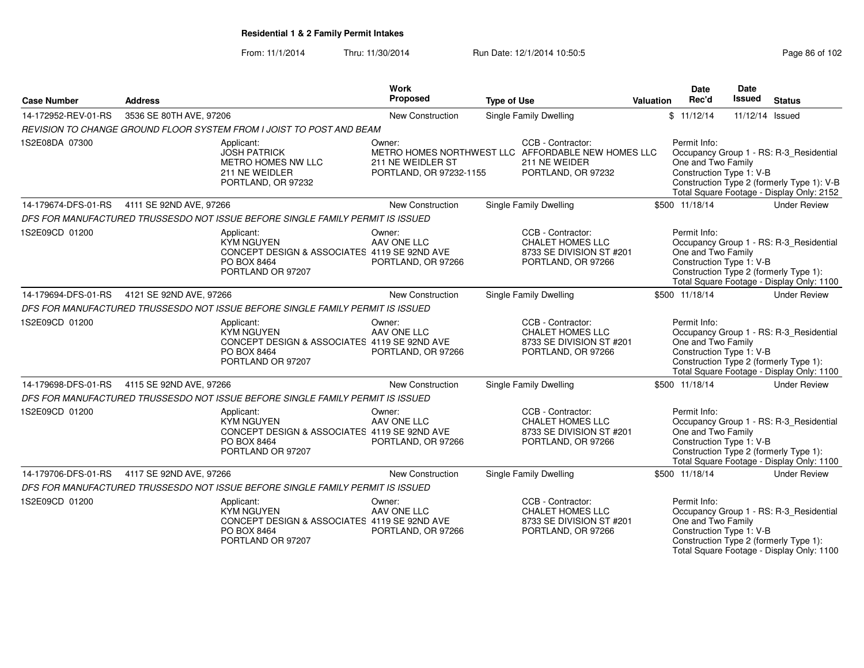From: 11/1/2014Thru: 11/30/2014 Run Date: 12/1/2014 10:50:5<br>
Page 86 of 102

| <b>Case Number</b>  | <b>Address</b>                                                                                  | Work<br>Proposed                                                                            | <b>Type of Use</b>                                                                                             | <b>Valuation</b> | Date<br>Rec'd                                                  | <b>Date</b><br><b>Issued</b> | <b>Status</b>                                                                                                                      |
|---------------------|-------------------------------------------------------------------------------------------------|---------------------------------------------------------------------------------------------|----------------------------------------------------------------------------------------------------------------|------------------|----------------------------------------------------------------|------------------------------|------------------------------------------------------------------------------------------------------------------------------------|
| 14-172952-REV-01-RS | 3536 SE 80TH AVE, 97206                                                                         | <b>New Construction</b>                                                                     | Single Family Dwelling                                                                                         |                  | \$11/12/14                                                     | 11/12/14 Issued              |                                                                                                                                    |
|                     | REVISION TO CHANGE GROUND FLOOR SYSTEM FROM I JOIST TO POST AND BEAM                            |                                                                                             |                                                                                                                |                  |                                                                |                              |                                                                                                                                    |
| 1S2E08DA 07300      | Applicant:<br><b>JOSH PATRICK</b><br>METRO HOMES NW LLC<br>211 NE WEIDLER<br>PORTLAND, OR 97232 | Owner:<br>211 NE WEIDLER ST<br>PORTLAND, OR 97232-1155                                      | CCB - Contractor:<br>METRO HOMES NORTHWEST LLC AFFORDABLE NEW HOMES LLC<br>211 NE WEIDER<br>PORTLAND, OR 97232 |                  | Permit Info:<br>One and Two Family<br>Construction Type 1: V-B |                              | Occupancy Group 1 - RS: R-3_Residential<br>Construction Type 2 (formerly Type 1): V-B<br>Total Square Footage - Display Only: 2152 |
| 14-179674-DFS-01-RS | 4111 SE 92ND AVE, 97266                                                                         | New Construction                                                                            | Single Family Dwelling                                                                                         |                  | \$500 11/18/14                                                 |                              | <b>Under Review</b>                                                                                                                |
|                     | DFS FOR MANUFACTURED TRUSSESDO NOT ISSUE BEFORE SINGLE FAMILY PERMIT IS ISSUED                  |                                                                                             |                                                                                                                |                  |                                                                |                              |                                                                                                                                    |
| 1S2E09CD 01200      | Applicant:<br><b>KYM NGUYEN</b><br>PO BOX 8464<br>PORTLAND OR 97207                             | Owner:<br>AAV ONE LLC<br>CONCEPT DESIGN & ASSOCIATES 4119 SE 92ND AVE<br>PORTLAND, OR 97266 | CCB - Contractor:<br><b>CHALET HOMES LLC</b><br>8733 SE DIVISION ST #201<br>PORTLAND, OR 97266                 |                  | Permit Info:<br>One and Two Family<br>Construction Type 1: V-B |                              | Occupancy Group 1 - RS: R-3_Residential<br>Construction Type 2 (formerly Type 1):<br>Total Square Footage - Display Only: 1100     |
| 14-179694-DFS-01-RS | 4121 SE 92ND AVE, 97266                                                                         | New Construction                                                                            | Single Family Dwelling                                                                                         |                  | \$500 11/18/14                                                 |                              | <b>Under Review</b>                                                                                                                |
|                     | DFS FOR MANUFACTURED TRUSSESDO NOT ISSUE BEFORE SINGLE FAMILY PERMIT IS ISSUED                  |                                                                                             |                                                                                                                |                  |                                                                |                              |                                                                                                                                    |
| 1S2E09CD 01200      | Applicant:<br><b>KYM NGUYEN</b><br>PO BOX 8464<br>PORTLAND OR 97207                             | Owner:<br>AAV ONE LLC<br>CONCEPT DESIGN & ASSOCIATES 4119 SE 92ND AVE<br>PORTLAND, OR 97266 | CCB - Contractor:<br><b>CHALET HOMES LLC</b><br>8733 SE DIVISION ST #201<br>PORTLAND, OR 97266                 |                  | Permit Info:<br>One and Two Family<br>Construction Type 1: V-B |                              | Occupancy Group 1 - RS: R-3 Residential<br>Construction Type 2 (formerly Type 1):<br>Total Square Footage - Display Only: 1100     |
| 14-179698-DFS-01-RS | 4115 SE 92ND AVE, 97266                                                                         | New Construction                                                                            | <b>Single Family Dwelling</b>                                                                                  |                  | \$500 11/18/14                                                 |                              | <b>Under Review</b>                                                                                                                |
|                     | DFS FOR MANUFACTURED TRUSSESDO NOT ISSUE BEFORE SINGLE FAMILY PERMIT IS ISSUED                  |                                                                                             |                                                                                                                |                  |                                                                |                              |                                                                                                                                    |
| 1S2E09CD 01200      | Applicant:<br><b>KYM NGUYEN</b><br>PO BOX 8464<br>PORTLAND OR 97207                             | Owner:<br>AAV ONE LLC<br>CONCEPT DESIGN & ASSOCIATES 4119 SE 92ND AVE<br>PORTLAND, OR 97266 | CCB - Contractor:<br><b>CHALET HOMES LLC</b><br>8733 SE DIVISION ST #201<br>PORTLAND, OR 97266                 |                  | Permit Info:<br>One and Two Family<br>Construction Type 1: V-B |                              | Occupancy Group 1 - RS: R-3_Residential<br>Construction Type 2 (formerly Type 1):<br>Total Square Footage - Display Only: 1100     |
| 14-179706-DFS-01-RS | 4117 SE 92ND AVE, 97266                                                                         | New Construction                                                                            | Single Family Dwelling                                                                                         |                  | \$500 11/18/14                                                 |                              | <b>Under Review</b>                                                                                                                |
|                     | DFS FOR MANUFACTURED TRUSSESDO NOT ISSUE BEFORE SINGLE FAMILY PERMIT IS ISSUED                  |                                                                                             |                                                                                                                |                  |                                                                |                              |                                                                                                                                    |
| 1S2E09CD 01200      | Applicant:<br><b>KYM NGUYEN</b><br>PO BOX 8464<br>PORTLAND OR 97207                             | Owner:<br>AAV ONE LLC<br>CONCEPT DESIGN & ASSOCIATES 4119 SE 92ND AVE<br>PORTLAND, OR 97266 | CCB - Contractor:<br><b>CHALET HOMES LLC</b><br>8733 SE DIVISION ST #201<br>PORTLAND, OR 97266                 |                  | Permit Info:<br>One and Two Family<br>Construction Type 1: V-B |                              | Occupancy Group 1 - RS: R-3_Residential<br>Construction Type 2 (formerly Type 1):<br>Total Square Footage - Display Only: 1100     |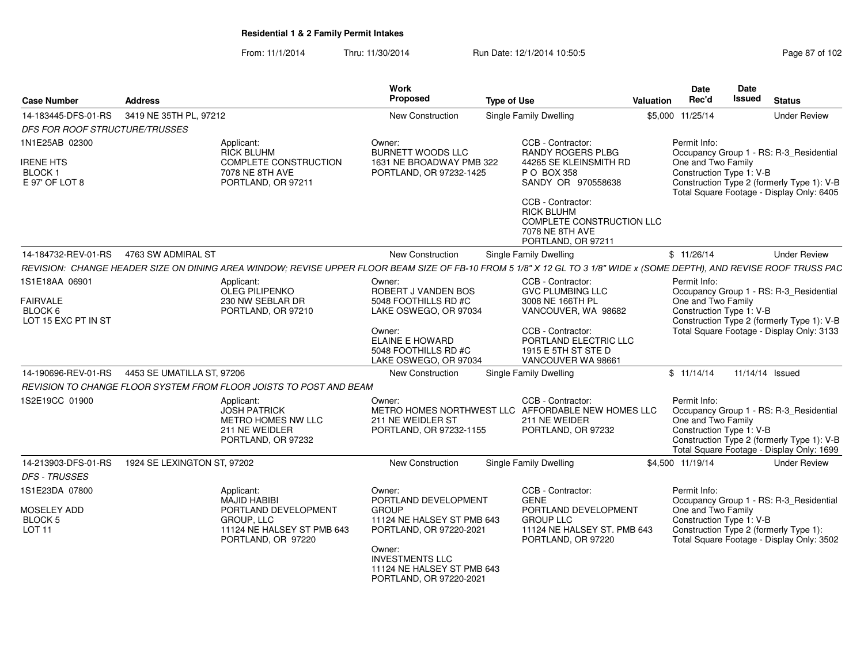From: 11/1/2014Thru: 11/30/2014 Run Date: 12/1/2014 10:50:5

| Page 87 of 102 |  |  |
|----------------|--|--|
|----------------|--|--|

| <b>Case Number</b>                                 | <b>Address</b>                                                                                                                                                         |                                                                          | <b>Work</b><br>Proposed                                                                   | <b>Type of Use</b>                                                                                             | Valuation | <b>Date</b><br>Rec'd                                           | Date<br><b>Issued</b> | <b>Status</b>                                                                                                                      |
|----------------------------------------------------|------------------------------------------------------------------------------------------------------------------------------------------------------------------------|--------------------------------------------------------------------------|-------------------------------------------------------------------------------------------|----------------------------------------------------------------------------------------------------------------|-----------|----------------------------------------------------------------|-----------------------|------------------------------------------------------------------------------------------------------------------------------------|
| 14-183445-DFS-01-RS                                | 3419 NE 35TH PL, 97212                                                                                                                                                 |                                                                          | <b>New Construction</b>                                                                   | <b>Single Family Dwelling</b>                                                                                  |           | \$5,000 11/25/14                                               |                       | <b>Under Review</b>                                                                                                                |
| DFS FOR ROOF STRUCTURE/TRUSSES                     |                                                                                                                                                                        |                                                                          |                                                                                           |                                                                                                                |           |                                                                |                       |                                                                                                                                    |
| 1N1E25AB 02300                                     | Applicant:<br><b>RICK BLUHM</b>                                                                                                                                        |                                                                          | Owner:<br><b>BURNETT WOODS LLC</b>                                                        | CCB - Contractor:<br><b>RANDY ROGERS PLBG</b>                                                                  |           | Permit Info:                                                   |                       | Occupancy Group 1 - RS: R-3 Residential                                                                                            |
| <b>IRENE HTS</b>                                   |                                                                                                                                                                        | <b>COMPLETE CONSTRUCTION</b>                                             | 1631 NE BROADWAY PMB 322                                                                  | 44265 SE KLEINSMITH RD                                                                                         |           | One and Two Family                                             |                       |                                                                                                                                    |
| BLOCK <sub>1</sub><br>E 97' OF LOT 8               | 7078 NE 8TH AVE                                                                                                                                                        | PORTLAND, OR 97211                                                       | PORTLAND, OR 97232-1425                                                                   | P O BOX 358<br>SANDY OR 970558638                                                                              |           | Construction Type 1: V-B                                       |                       | Construction Type 2 (formerly Type 1): V-B<br>Total Square Footage - Display Only: 6405                                            |
|                                                    |                                                                                                                                                                        |                                                                          |                                                                                           | CCB - Contractor:<br><b>RICK BLUHM</b><br>COMPLETE CONSTRUCTION LLC<br>7078 NE 8TH AVE<br>PORTLAND, OR 97211   |           |                                                                |                       |                                                                                                                                    |
|                                                    | 14-184732-REV-01-RS  4763 SW ADMIRAL ST                                                                                                                                |                                                                          | <b>New Construction</b>                                                                   | <b>Single Family Dwelling</b>                                                                                  |           | \$11/26/14                                                     |                       | <b>Under Review</b>                                                                                                                |
|                                                    | REVISION: CHANGE HEADER SIZE ON DINING AREA WINDOW; REVISE UPPER FLOOR BEAM SIZE OF FB-10 FROM 5 1/8" X 12 GL TO 3 1/8" WIDE x (SOME DEPTH), AND REVISE ROOF TRUSS PAC |                                                                          |                                                                                           |                                                                                                                |           |                                                                |                       |                                                                                                                                    |
| 1S1E18AA 06901                                     | Applicant:<br>OLEG PILIPENKO                                                                                                                                           |                                                                          | Owner:<br>ROBERT J VANDEN BOS                                                             | CCB - Contractor:<br><b>GVC PLUMBING LLC</b>                                                                   |           | Permit Info:                                                   |                       | Occupancy Group 1 - RS: R-3_Residential                                                                                            |
| <b>FAIRVALE</b>                                    | 230 NW SEBLAR DR                                                                                                                                                       |                                                                          | 5048 FOOTHILLS RD #C                                                                      | 3008 NE 166TH PL                                                                                               |           | One and Two Family                                             |                       |                                                                                                                                    |
| BLOCK 6<br>LOT 15 EXC PT IN ST                     |                                                                                                                                                                        | PORTLAND, OR 97210                                                       | LAKE OSWEGO, OR 97034                                                                     | VANCOUVER, WA 98682                                                                                            |           | Construction Type 1: V-B                                       |                       | Construction Type 2 (formerly Type 1): V-B                                                                                         |
|                                                    |                                                                                                                                                                        |                                                                          | Owner:<br>ELAINE E HOWARD<br>5048 FOOTHILLS RD #C<br>LAKE OSWEGO, OR 97034                | CCB - Contractor:<br>PORTLAND ELECTRIC LLC<br>1915 E 5TH ST STE D<br>VANCOUVER WA 98661                        |           |                                                                |                       | Total Square Footage - Display Only: 3133                                                                                          |
| 14-190696-REV-01-RS                                | 4453 SE UMATILLA ST, 97206                                                                                                                                             |                                                                          | New Construction                                                                          | <b>Single Family Dwelling</b>                                                                                  |           | \$11/14/14                                                     | 11/14/14 Issued       |                                                                                                                                    |
|                                                    | REVISION TO CHANGE FLOOR SYSTEM FROM FLOOR JOISTS TO POST AND BEAM                                                                                                     |                                                                          |                                                                                           |                                                                                                                |           |                                                                |                       |                                                                                                                                    |
| 1S2E19CC 01900                                     | Applicant:<br><b>JOSH PATRICK</b><br>211 NE WEIDLER                                                                                                                    | METRO HOMES NW LLC<br>PORTLAND, OR 97232                                 | Owner:<br>211 NE WEIDLER ST<br>PORTLAND, OR 97232-1155                                    | CCB - Contractor:<br>METRO HOMES NORTHWEST LLC AFFORDABLE NEW HOMES LLC<br>211 NE WEIDER<br>PORTLAND, OR 97232 |           | Permit Info:<br>One and Two Family<br>Construction Type 1: V-B |                       | Occupancy Group 1 - RS: R-3_Residential<br>Construction Type 2 (formerly Type 1): V-B<br>Total Square Footage - Display Only: 1699 |
| 14-213903-DFS-01-RS                                | 1924 SE LEXINGTON ST, 97202                                                                                                                                            |                                                                          | <b>New Construction</b>                                                                   | <b>Single Family Dwelling</b>                                                                                  |           | \$4,500 11/19/14                                               |                       | <b>Under Review</b>                                                                                                                |
| <b>DFS - TRUSSES</b>                               |                                                                                                                                                                        |                                                                          |                                                                                           |                                                                                                                |           |                                                                |                       |                                                                                                                                    |
| 1S1E23DA 07800                                     | Applicant:<br>MAJID HABIBI                                                                                                                                             |                                                                          | Owner:<br>PORTLAND DEVELOPMENT                                                            | CCB - Contractor:<br><b>GENE</b>                                                                               |           | Permit Info:                                                   |                       | Occupancy Group 1 - RS: R-3 Residential                                                                                            |
| MOSELEY ADD<br><b>BLOCK 5</b><br>LOT <sub>11</sub> | <b>GROUP, LLC</b>                                                                                                                                                      | PORTLAND DEVELOPMENT<br>11124 NE HALSEY ST PMB 643<br>PORTLAND, OR 97220 | <b>GROUP</b><br>11124 NE HALSEY ST PMB 643<br>PORTLAND, OR 97220-2021                     | PORTLAND DEVELOPMENT<br><b>GROUP LLC</b><br>11124 NE HALSEY ST. PMB 643<br>PORTLAND, OR 97220                  |           | One and Two Family<br>Construction Type 1: V-B                 |                       | Construction Type 2 (formerly Type 1):<br>Total Square Footage - Display Only: 3502                                                |
|                                                    |                                                                                                                                                                        |                                                                          | Owner:<br><b>INVESTMENTS LLC</b><br>11124 NE HALSEY ST PMB 643<br>PORTLAND, OR 97220-2021 |                                                                                                                |           |                                                                |                       |                                                                                                                                    |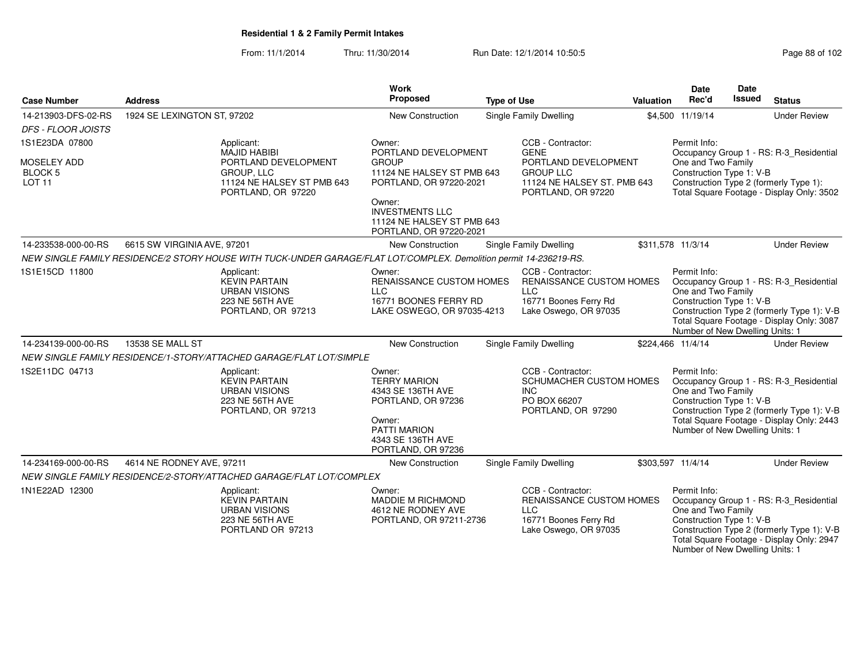From: 11/1/2014Thru: 11/30/2014 Run Date: 12/1/2014 10:50:5<br>
Page 88 of 102

| <b>Case Number</b>                                 | <b>Address</b>                                                                                         | <b>Work</b><br>Proposed                                                                                                                                                                                                              | <b>Type of Use</b>            |                                                                                                              | Valuation | <b>Date</b><br>Rec'd                                                                              | <b>Date</b><br>Issued | <b>Status</b>                                                                                                                      |
|----------------------------------------------------|--------------------------------------------------------------------------------------------------------|--------------------------------------------------------------------------------------------------------------------------------------------------------------------------------------------------------------------------------------|-------------------------------|--------------------------------------------------------------------------------------------------------------|-----------|---------------------------------------------------------------------------------------------------|-----------------------|------------------------------------------------------------------------------------------------------------------------------------|
| 14-213903-DFS-02-RS                                | 1924 SE LEXINGTON ST, 97202                                                                            | New Construction                                                                                                                                                                                                                     | Single Family Dwelling        |                                                                                                              |           | \$4,500 11/19/14                                                                                  |                       | <b>Under Review</b>                                                                                                                |
| <b>DFS - FLOOR JOISTS</b>                          |                                                                                                        |                                                                                                                                                                                                                                      |                               |                                                                                                              |           |                                                                                                   |                       |                                                                                                                                    |
| 1S1E23DA 07800                                     | Applicant:                                                                                             | Owner:                                                                                                                                                                                                                               |                               | CCB - Contractor:                                                                                            |           | Permit Info:                                                                                      |                       |                                                                                                                                    |
| MOSELEY ADD<br>BLOCK <sub>5</sub><br><b>LOT 11</b> | MAJID HABIBI<br>PORTLAND DEVELOPMENT<br>GROUP, LLC<br>11124 NE HALSEY ST PMB 643<br>PORTLAND, OR 97220 | PORTLAND DEVELOPMENT<br><b>GROUP</b><br>11124 NE HALSEY ST PMB 643<br>PORTLAND, OR 97220-2021<br>Owner:<br><b>INVESTMENTS LLC</b><br>11124 NE HALSEY ST PMB 643                                                                      |                               | <b>GENE</b><br>PORTLAND DEVELOPMENT<br><b>GROUP LLC</b><br>11124 NE HALSEY ST. PMB 643<br>PORTLAND, OR 97220 |           | One and Two Family<br>Construction Type 1: V-B                                                    |                       | Occupancy Group 1 - RS: R-3_Residential<br>Construction Type 2 (formerly Type 1):<br>Total Square Footage - Display Only: 3502     |
| 14-233538-000-00-RS                                | 6615 SW VIRGINIA AVE, 97201                                                                            | PORTLAND, OR 97220-2021<br>New Construction                                                                                                                                                                                          |                               |                                                                                                              |           | \$311,578 11/3/14                                                                                 |                       | <b>Under Review</b>                                                                                                                |
|                                                    |                                                                                                        |                                                                                                                                                                                                                                      | Single Family Dwelling        |                                                                                                              |           |                                                                                                   |                       |                                                                                                                                    |
| 1S1E15CD 11800                                     | Applicant:<br><b>KEVIN PARTAIN</b><br><b>URBAN VISIONS</b><br>223 NE 56TH AVE<br>PORTLAND, OR 97213    | NEW SINGLE FAMILY RESIDENCE/2 STORY HOUSE WITH TUCK-UNDER GARAGE/FLAT LOT/COMPLEX. Demolition permit 14-236219-RS.<br>Owner:<br><b>RENAISSANCE CUSTOM HOMES</b><br><b>LLC</b><br>16771 BOONES FERRY RD<br>LAKE OSWEGO, OR 97035-4213 | <b>LLC</b>                    | CCB - Contractor:<br><b>RENAISSANCE CUSTOM HOMES</b><br>16771 Boones Ferry Rd<br>Lake Oswego, OR 97035       |           | Permit Info:<br>One and Two Family<br>Construction Type 1: V-B<br>Number of New Dwelling Units: 1 |                       | Occupancy Group 1 - RS: R-3_Residential<br>Construction Type 2 (formerly Type 1): V-B<br>Total Square Footage - Display Only: 3087 |
| 14-234139-000-00-RS                                | 13538 SE MALL ST                                                                                       | New Construction                                                                                                                                                                                                                     | <b>Single Family Dwelling</b> |                                                                                                              |           | \$224,466 11/4/14                                                                                 |                       | <b>Under Review</b>                                                                                                                |
|                                                    | NEW SINGLE FAMILY RESIDENCE/1-STORY/ATTACHED GARAGE/FLAT LOT/SIMPLE                                    |                                                                                                                                                                                                                                      |                               |                                                                                                              |           |                                                                                                   |                       |                                                                                                                                    |
| 1S2E11DC 04713                                     | Applicant:<br><b>KEVIN PARTAIN</b><br><b>URBAN VISIONS</b><br>223 NE 56TH AVE<br>PORTLAND, OR 97213    | Owner:<br><b>TERRY MARION</b><br>4343 SE 136TH AVE<br>PORTLAND, OR 97236<br>Owner:<br><b>PATTI MARION</b><br>4343 SE 136TH AVE<br>PORTLAND, OR 97236                                                                                 | <b>INC</b>                    | CCB - Contractor:<br>SCHUMACHER CUSTOM HOMES<br>PO BOX 66207<br>PORTLAND, OR 97290                           |           | Permit Info:<br>One and Two Family<br>Construction Type 1: V-B<br>Number of New Dwelling Units: 1 |                       | Occupancy Group 1 - RS: R-3_Residential<br>Construction Type 2 (formerly Type 1): V-B<br>Total Square Footage - Display Only: 2443 |
| 14-234169-000-00-RS                                | 4614 NE RODNEY AVE, 97211                                                                              | <b>New Construction</b>                                                                                                                                                                                                              | Single Family Dwelling        |                                                                                                              |           | \$303,597 11/4/14                                                                                 |                       | <b>Under Review</b>                                                                                                                |
|                                                    | NEW SINGLE FAMILY RESIDENCE/2-STORY/ATTACHED GARAGE/FLAT LOT/COMPLEX                                   |                                                                                                                                                                                                                                      |                               |                                                                                                              |           |                                                                                                   |                       |                                                                                                                                    |
| 1N1E22AD 12300                                     | Applicant:<br><b>KEVIN PARTAIN</b><br><b>URBAN VISIONS</b><br>223 NE 56TH AVE<br>PORTLAND OR 97213     | Owner:<br>MADDIE M RICHMOND<br>4612 NE RODNEY AVE<br>PORTLAND, OR 97211-2736                                                                                                                                                         | <b>LLC</b>                    | CCB - Contractor:<br>RENAISSANCE CUSTOM HOMES<br>16771 Boones Ferry Rd<br>Lake Oswego, OR 97035              |           | Permit Info:<br>One and Two Family<br>Construction Type 1: V-B<br>Number of New Dwelling Units: 1 |                       | Occupancy Group 1 - RS: R-3_Residential<br>Construction Type 2 (formerly Type 1): V-B<br>Total Square Footage - Display Only: 2947 |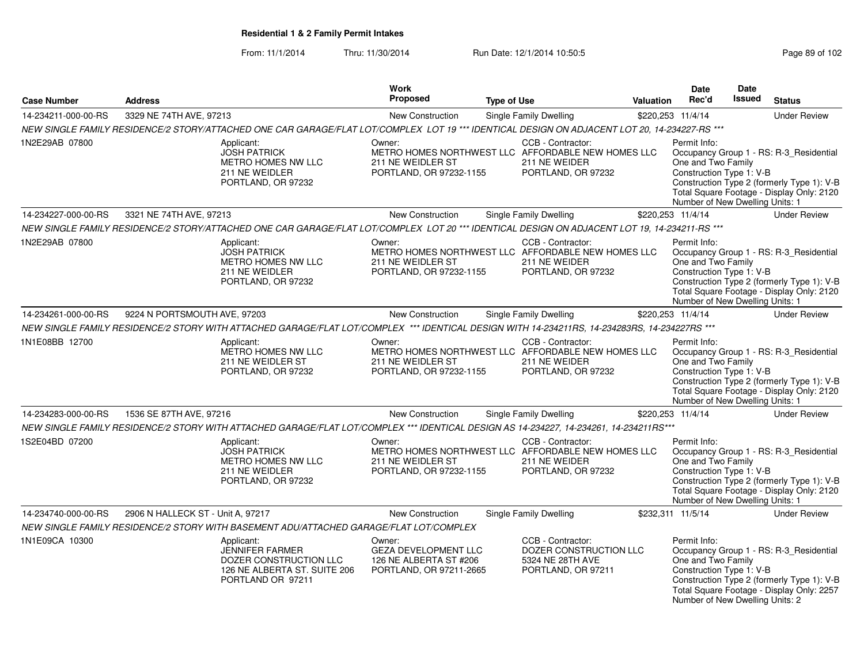From: 11/1/2014Thru: 11/30/2014 Run Date: 12/1/2014 10:50:5<br>
Page 89 of 102

|                     |                                   |                                                                                                                                               | Work                                                                                       |                    |                                                                                                                |                  | Date                                                                                              | Date          |                                                                                                                                    |
|---------------------|-----------------------------------|-----------------------------------------------------------------------------------------------------------------------------------------------|--------------------------------------------------------------------------------------------|--------------------|----------------------------------------------------------------------------------------------------------------|------------------|---------------------------------------------------------------------------------------------------|---------------|------------------------------------------------------------------------------------------------------------------------------------|
| <b>Case Number</b>  | <b>Address</b>                    |                                                                                                                                               | <b>Proposed</b>                                                                            | <b>Type of Use</b> |                                                                                                                | <b>Valuation</b> | Rec'd                                                                                             | <b>Issued</b> | <b>Status</b>                                                                                                                      |
| 14-234211-000-00-RS | 3329 NE 74TH AVE, 97213           |                                                                                                                                               | <b>New Construction</b>                                                                    |                    | <b>Single Family Dwelling</b>                                                                                  |                  | \$220,253 11/4/14                                                                                 |               | <b>Under Review</b>                                                                                                                |
|                     |                                   | NEW SINGLE FAMILY RESIDENCE/2 STORY/ATTACHED ONE CAR GARAGE/FLAT LOT/COMPLEX LOT 19 *** IDENTICAL DESIGN ON ADJACENT LOT 20, 14-234227-RS *** |                                                                                            |                    |                                                                                                                |                  |                                                                                                   |               |                                                                                                                                    |
| 1N2E29AB 07800      |                                   | Applicant:<br><b>JOSH PATRICK</b><br>METRO HOMES NW LLC<br>211 NE WEIDLER<br>PORTLAND, OR 97232                                               | Owner:<br>211 NE WEIDLER ST<br>PORTLAND, OR 97232-1155                                     |                    | CCB - Contractor:<br>METRO HOMES NORTHWEST LLC AFFORDABLE NEW HOMES LLC<br>211 NE WEIDER<br>PORTLAND, OR 97232 |                  | Permit Info:<br>One and Two Family<br>Construction Type 1: V-B<br>Number of New Dwelling Units: 1 |               | Occupancy Group 1 - RS: R-3_Residential<br>Construction Type 2 (formerly Type 1): V-B<br>Total Square Footage - Display Only: 2120 |
| 14-234227-000-00-RS | 3321 NE 74TH AVE, 97213           |                                                                                                                                               | New Construction                                                                           |                    | <b>Single Family Dwelling</b>                                                                                  |                  | \$220,253 11/4/14                                                                                 |               | <b>Under Review</b>                                                                                                                |
|                     |                                   | NEW SINGLE FAMILY RESIDENCE/2 STORY/ATTACHED ONE CAR GARAGE/FLAT LOT/COMPLEX LOT 20 *** IDENTICAL DESIGN ON ADJACENT LOT 19, 14-234211-RS *** |                                                                                            |                    |                                                                                                                |                  |                                                                                                   |               |                                                                                                                                    |
| 1N2E29AB 07800      |                                   | Applicant:<br><b>JOSH PATRICK</b><br><b>METRO HOMES NW LLC</b><br>211 NE WEIDLER<br>PORTLAND, OR 97232                                        | Owner:<br>211 NE WEIDLER ST<br>PORTLAND, OR 97232-1155                                     |                    | CCB - Contractor:<br>METRO HOMES NORTHWEST LLC AFFORDABLE NEW HOMES LLC<br>211 NE WEIDER<br>PORTLAND, OR 97232 |                  | Permit Info:<br>One and Two Family<br>Construction Type 1: V-B<br>Number of New Dwelling Units: 1 |               | Occupancy Group 1 - RS: R-3_Residential<br>Construction Type 2 (formerly Type 1): V-B<br>Total Square Footage - Display Only: 2120 |
| 14-234261-000-00-RS | 9224 N PORTSMOUTH AVE, 97203      |                                                                                                                                               | New Construction                                                                           |                    | <b>Single Family Dwelling</b>                                                                                  |                  | \$220,253 11/4/14                                                                                 |               | <b>Under Review</b>                                                                                                                |
|                     |                                   | NEW SINGLE FAMILY RESIDENCE/2 STORY WITH ATTACHED GARAGE/FLAT LOT/COMPLEX *** IDENTICAL DESIGN WITH 14-234211RS, 14-234283RS, 14-234227RS *** |                                                                                            |                    |                                                                                                                |                  |                                                                                                   |               |                                                                                                                                    |
| 1N1E08BB 12700      |                                   | Applicant:<br>METRO HOMES NW LLC<br>211 NE WEIDLER ST<br>PORTLAND, OR 97232                                                                   | Owner:<br>211 NE WEIDLER ST<br>PORTLAND, OR 97232-1155                                     |                    | CCB - Contractor:<br>METRO HOMES NORTHWEST LLC AFFORDABLE NEW HOMES LLC<br>211 NE WEIDER<br>PORTLAND, OR 97232 |                  | Permit Info:<br>One and Two Family<br>Construction Type 1: V-B<br>Number of New Dwelling Units: 1 |               | Occupancy Group 1 - RS: R-3_Residential<br>Construction Type 2 (formerly Type 1): V-B<br>Total Square Footage - Display Only: 2120 |
| 14-234283-000-00-RS | 1536 SE 87TH AVE, 97216           |                                                                                                                                               | New Construction                                                                           |                    | <b>Single Family Dwelling</b>                                                                                  |                  | \$220,253 11/4/14                                                                                 |               | <b>Under Review</b>                                                                                                                |
|                     |                                   | NEW SINGLE FAMILY RESIDENCE/2 STORY WITH ATTACHED GARAGE/FLAT LOT/COMPLEX *** IDENTICAL DESIGN AS 14-234227, 14-234261, 14-234211RS***        |                                                                                            |                    |                                                                                                                |                  |                                                                                                   |               |                                                                                                                                    |
| 1S2E04BD 07200      |                                   | Applicant:<br><b>JOSH PATRICK</b><br>METRO HOMES NW LLC<br>211 NE WEIDLER<br>PORTLAND, OR 97232                                               | Owner:<br>211 NE WEIDLER ST<br>PORTLAND, OR 97232-1155                                     |                    | CCB - Contractor:<br>METRO HOMES NORTHWEST LLC AFFORDABLE NEW HOMES LLC<br>211 NE WEIDER<br>PORTLAND, OR 97232 |                  | Permit Info:<br>One and Two Family<br>Construction Type 1: V-B<br>Number of New Dwelling Units: 1 |               | Occupancy Group 1 - RS: R-3_Residential<br>Construction Type 2 (formerly Type 1): V-B<br>Total Square Footage - Display Only: 2120 |
| 14-234740-000-00-RS | 2906 N HALLECK ST - Unit A, 97217 |                                                                                                                                               | New Construction                                                                           |                    | <b>Single Family Dwelling</b>                                                                                  |                  | \$232,311 11/5/14                                                                                 |               | <b>Under Review</b>                                                                                                                |
|                     |                                   | NEW SINGLE FAMILY RESIDENCE/2 STORY WITH BASEMENT ADU/ATTACHED GARAGE/FLAT LOT/COMPLEX                                                        |                                                                                            |                    |                                                                                                                |                  |                                                                                                   |               |                                                                                                                                    |
| 1N1E09CA 10300      |                                   | Applicant:<br><b>JENNIFER FARMER</b><br>DOZER CONSTRUCTION LLC<br>126 NE ALBERTA ST. SUITE 206<br>PORTLAND OR 97211                           | Owner:<br><b>GEZA DEVELOPMENT LLC</b><br>126 NE ALBERTA ST #206<br>PORTLAND, OR 97211-2665 |                    | CCB - Contractor:<br>DOZER CONSTRUCTION LLC<br>5324 NE 28TH AVE<br>PORTLAND, OR 97211                          |                  | Permit Info:<br>One and Two Family<br>Construction Type 1: V-B<br>Number of New Dwelling Units: 2 |               | Occupancy Group 1 - RS: R-3_Residential<br>Construction Type 2 (formerly Type 1): V-B<br>Total Square Footage - Display Only: 2257 |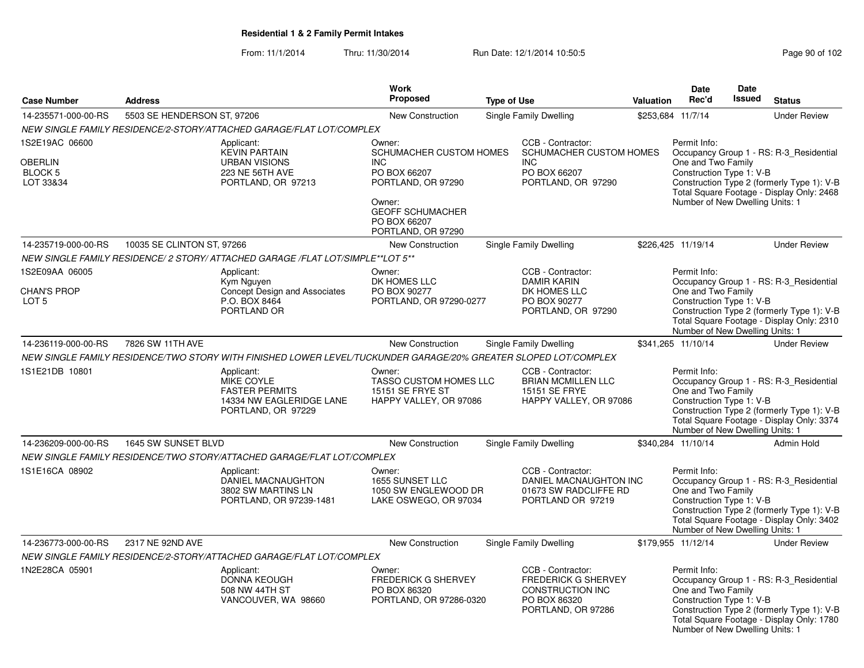From: 11/1/2014Thru: 11/30/2014 Run Date: 12/1/2014 10:50:5<br>
Page 90 of 102

|                                                          |                             |                                                                                                                 | Work                                                                                                                                                             |                    |                                                                                                           |                  | <b>Date</b>                                                                                       | <b>Date</b>   |                                                                                                                                    |
|----------------------------------------------------------|-----------------------------|-----------------------------------------------------------------------------------------------------------------|------------------------------------------------------------------------------------------------------------------------------------------------------------------|--------------------|-----------------------------------------------------------------------------------------------------------|------------------|---------------------------------------------------------------------------------------------------|---------------|------------------------------------------------------------------------------------------------------------------------------------|
| <b>Case Number</b>                                       | <b>Address</b>              |                                                                                                                 | <b>Proposed</b>                                                                                                                                                  | <b>Type of Use</b> |                                                                                                           | <b>Valuation</b> | Rec'd                                                                                             | <b>Issued</b> | <b>Status</b>                                                                                                                      |
| 14-235571-000-00-RS                                      | 5503 SE HENDERSON ST, 97206 |                                                                                                                 | <b>New Construction</b>                                                                                                                                          |                    | Single Family Dwelling                                                                                    |                  | \$253,684 11/7/14                                                                                 |               | <b>Under Review</b>                                                                                                                |
|                                                          |                             | NEW SINGLE FAMILY RESIDENCE/2-STORY/ATTACHED GARAGE/FLAT LOT/COMPLEX                                            |                                                                                                                                                                  |                    |                                                                                                           |                  |                                                                                                   |               |                                                                                                                                    |
| 1S2E19AC 06600<br>OBERLIN<br>BLOCK 5<br>LOT 33&34        |                             | Applicant:<br><b>KEVIN PARTAIN</b><br><b>URBAN VISIONS</b><br>223 NE 56TH AVE<br>PORTLAND, OR 97213             | Owner:<br>SCHUMACHER CUSTOM HOMES<br><b>INC</b><br>PO BOX 66207<br>PORTLAND, OR 97290<br>Owner:<br><b>GEOFF SCHUMACHER</b><br>PO BOX 66207<br>PORTLAND, OR 97290 |                    | CCB - Contractor:<br>SCHUMACHER CUSTOM HOMES<br><b>INC</b><br>PO BOX 66207<br>PORTLAND, OR 97290          |                  | Permit Info:<br>One and Two Family<br>Construction Type 1: V-B<br>Number of New Dwelling Units: 1 |               | Occupancy Group 1 - RS: R-3_Residential<br>Construction Type 2 (formerly Type 1): V-B<br>Total Square Footage - Display Only: 2468 |
| 14-235719-000-00-RS                                      | 10035 SE CLINTON ST, 97266  |                                                                                                                 | <b>New Construction</b>                                                                                                                                          |                    | <b>Single Family Dwelling</b>                                                                             |                  | \$226,425 11/19/14                                                                                |               | <b>Under Review</b>                                                                                                                |
|                                                          |                             | NEW SINGLE FAMILY RESIDENCE/ 2 STORY/ ATTACHED GARAGE /FLAT LOT/SIMPLE**LOT 5**                                 |                                                                                                                                                                  |                    |                                                                                                           |                  |                                                                                                   |               |                                                                                                                                    |
| 1S2E09AA 06005<br><b>CHAN'S PROP</b><br>LOT <sub>5</sub> |                             | Applicant:<br>Kym Nguyen<br><b>Concept Design and Associates</b><br>P.O. BOX 8464<br>PORTLAND OR                | Owner:<br>DK HOMES LLC<br>PO BOX 90277<br>PORTLAND, OR 97290-0277                                                                                                |                    | CCB - Contractor:<br><b>DAMIR KARIN</b><br>DK HOMES LLC<br>PO BOX 90277<br>PORTLAND, OR 97290             |                  | Permit Info:<br>One and Two Family<br>Construction Type 1: V-B<br>Number of New Dwelling Units: 1 |               | Occupancy Group 1 - RS: R-3_Residential<br>Construction Type 2 (formerly Type 1): V-B<br>Total Square Footage - Display Only: 2310 |
| 14-236119-000-00-RS                                      | 7826 SW 11TH AVE            |                                                                                                                 | <b>New Construction</b>                                                                                                                                          |                    | Single Family Dwelling                                                                                    |                  | \$341,265 11/10/14                                                                                |               | <b>Under Review</b>                                                                                                                |
|                                                          |                             | NEW SINGLE FAMILY RESIDENCE/TWO STORY WITH FINISHED LOWER LEVEL/TUCKUNDER GARAGE/20% GREATER SLOPED LOT/COMPLEX |                                                                                                                                                                  |                    |                                                                                                           |                  |                                                                                                   |               |                                                                                                                                    |
| 1S1E21DB 10801                                           |                             | Applicant:<br>MIKE COYLE<br><b>FASTER PERMITS</b><br>14334 NW EAGLERIDGE LANE<br>PORTLAND, OR 97229             | Owner:<br>TASSO CUSTOM HOMES LLC<br><b>15151 SE FRYE ST</b><br>HAPPY VALLEY, OR 97086                                                                            |                    | CCB - Contractor:<br><b>BRIAN MCMILLEN LLC</b><br>15151 SE FRYE<br>HAPPY VALLEY, OR 97086                 |                  | Permit Info:<br>One and Two Family<br>Construction Type 1: V-B<br>Number of New Dwelling Units: 1 |               | Occupancy Group 1 - RS: R-3_Residential<br>Construction Type 2 (formerly Type 1): V-B<br>Total Square Footage - Display Only: 3374 |
| 14-236209-000-00-RS                                      | 1645 SW SUNSET BLVD         |                                                                                                                 | <b>New Construction</b>                                                                                                                                          |                    | Single Family Dwelling                                                                                    |                  | \$340,284 11/10/14                                                                                |               | <b>Admin Hold</b>                                                                                                                  |
|                                                          |                             | NEW SINGLE FAMILY RESIDENCE/TWO STORY/ATTACHED GARAGE/FLAT LOT/COMPLEX                                          |                                                                                                                                                                  |                    |                                                                                                           |                  |                                                                                                   |               |                                                                                                                                    |
| 1S1E16CA 08902                                           |                             | Applicant:<br><b>DANIEL MACNAUGHTON</b><br>3802 SW MARTINS LN<br>PORTLAND, OR 97239-1481                        | Owner:<br>1655 SUNSET LLC<br>1050 SW ENGLEWOOD DR<br>LAKE OSWEGO, OR 97034                                                                                       |                    | CCB - Contractor:<br>DANIEL MACNAUGHTON INC<br>01673 SW RADCLIFFE RD<br>PORTLAND OR 97219                 |                  | Permit Info:<br>One and Two Family<br>Construction Type 1: V-B<br>Number of New Dwelling Units: 1 |               | Occupancy Group 1 - RS: R-3_Residential<br>Construction Type 2 (formerly Type 1): V-B<br>Total Square Footage - Display Only: 3402 |
| 14-236773-000-00-RS                                      | 2317 NE 92ND AVE            |                                                                                                                 | <b>New Construction</b>                                                                                                                                          |                    | Single Family Dwelling                                                                                    |                  | \$179,955 11/12/14                                                                                |               | <b>Under Review</b>                                                                                                                |
|                                                          |                             | NEW SINGLE FAMILY RESIDENCE/2-STORY/ATTACHED GARAGE/FLAT LOT/COMPLEX                                            |                                                                                                                                                                  |                    |                                                                                                           |                  |                                                                                                   |               |                                                                                                                                    |
| 1N2E28CA 05901                                           |                             | Applicant:<br><b>DONNA KEOUGH</b><br>508 NW 44TH ST<br>VANCOUVER, WA 98660                                      | Owner:<br><b>FREDERICK G SHERVEY</b><br>PO BOX 86320<br>PORTLAND, OR 97286-0320                                                                                  |                    | CCB - Contractor:<br><b>FREDERICK G SHERVEY</b><br>CONSTRUCTION INC<br>PO BOX 86320<br>PORTLAND, OR 97286 |                  | Permit Info:<br>One and Two Family<br>Construction Type 1: V-B<br>Number of New Dwelling Units: 1 |               | Occupancy Group 1 - RS: R-3_Residential<br>Construction Type 2 (formerly Type 1): V-B<br>Total Square Footage - Display Only: 1780 |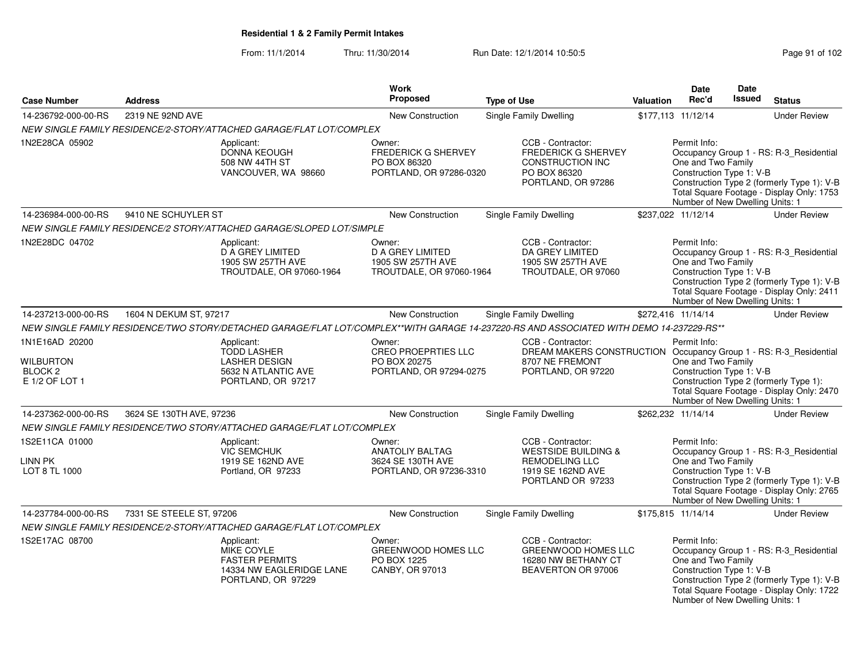### From: 11/1/2014Thru: 11/30/2014 Run Date: 12/1/2014 10:50:5<br>
Page 91 of 102

| <b>Case Number</b>                                                         | <b>Address</b>           |                                                                                                                                             | Work<br>Proposed                                                                   | <b>Type of Use</b>                                                                                                                       | <b>Valuation</b> | <b>Date</b><br>Rec'd                                                                              | Date<br><b>Issued</b> | <b>Status</b>                                                                                                                      |
|----------------------------------------------------------------------------|--------------------------|---------------------------------------------------------------------------------------------------------------------------------------------|------------------------------------------------------------------------------------|------------------------------------------------------------------------------------------------------------------------------------------|------------------|---------------------------------------------------------------------------------------------------|-----------------------|------------------------------------------------------------------------------------------------------------------------------------|
|                                                                            |                          |                                                                                                                                             |                                                                                    |                                                                                                                                          |                  |                                                                                                   |                       |                                                                                                                                    |
| 14-236792-000-00-RS                                                        | 2319 NE 92ND AVE         |                                                                                                                                             | <b>New Construction</b>                                                            | Single Family Dwelling                                                                                                                   |                  | \$177,113 11/12/14                                                                                |                       | <b>Under Review</b>                                                                                                                |
| 1N2E28CA 05902                                                             |                          | NEW SINGLE FAMILY RESIDENCE/2-STORY/ATTACHED GARAGE/FLAT LOT/COMPLEX<br>Applicant:<br>DONNA KEOUGH<br>508 NW 44TH ST<br>VANCOUVER, WA 98660 | Owner:<br><b>FREDERICK G SHERVEY</b><br>PO BOX 86320<br>PORTLAND, OR 97286-0320    | CCB - Contractor:<br><b>FREDERICK G SHERVEY</b><br>CONSTRUCTION INC<br>PO BOX 86320<br>PORTLAND, OR 97286                                |                  | Permit Info:<br>One and Two Family<br>Construction Type 1: V-B<br>Number of New Dwelling Units: 1 |                       | Occupancy Group 1 - RS: R-3_Residential<br>Construction Type 2 (formerly Type 1): V-B<br>Total Square Footage - Display Only: 1753 |
| 14-236984-000-00-RS                                                        | 9410 NE SCHUYLER ST      |                                                                                                                                             | <b>New Construction</b>                                                            | <b>Single Family Dwelling</b>                                                                                                            |                  | \$237,022 11/12/14                                                                                |                       | <b>Under Review</b>                                                                                                                |
|                                                                            |                          | NEW SINGLE FAMILY RESIDENCE/2 STORY/ATTACHED GARAGE/SLOPED LOT/SIMPLE                                                                       |                                                                                    |                                                                                                                                          |                  |                                                                                                   |                       |                                                                                                                                    |
| 1N2E28DC 04702                                                             |                          | Applicant:<br><b>D A GREY LIMITED</b><br>1905 SW 257TH AVE<br>TROUTDALE, OR 97060-1964                                                      | Owner:<br><b>D A GREY LIMITED</b><br>1905 SW 257TH AVE<br>TROUTDALE, OR 97060-1964 | CCB - Contractor:<br>DA GREY LIMITED<br>1905 SW 257TH AVE<br>TROUTDALE, OR 97060                                                         |                  | Permit Info:<br>One and Two Family<br>Construction Type 1: V-B<br>Number of New Dwelling Units: 1 |                       | Occupancy Group 1 - RS: R-3_Residential<br>Construction Type 2 (formerly Type 1): V-B<br>Total Square Footage - Display Only: 2411 |
| 14-237213-000-00-RS                                                        | 1604 N DEKUM ST, 97217   |                                                                                                                                             | <b>New Construction</b>                                                            | Single Family Dwelling                                                                                                                   |                  | \$272,416 11/14/14                                                                                |                       | <b>Under Review</b>                                                                                                                |
|                                                                            |                          |                                                                                                                                             |                                                                                    | NEW SINGLE FAMILY RESIDENCE/TWO STORY/DETACHED GARAGE/FLAT LOT/COMPLEX**WITH GARAGE 14-237220-RS AND ASSOCIATED WITH DEMO 14-237229-RS** |                  |                                                                                                   |                       |                                                                                                                                    |
| 1N1E16AD 20200<br><b>WILBURTON</b><br>BLOCK <sub>2</sub><br>E 1/2 OF LOT 1 |                          | Applicant:<br><b>TODD LASHER</b><br><b>LASHER DESIGN</b><br>5632 N ATLANTIC AVE<br>PORTLAND, OR 97217                                       | Owner:<br><b>CREO PROEPRTIES LLC</b><br>PO BOX 20275<br>PORTLAND, OR 97294-0275    | CCB - Contractor:<br>DREAM MAKERS CONSTRUCTION Occupancy Group 1 - RS: R-3 Residential<br>8707 NE FREMONT<br>PORTLAND, OR 97220          |                  | Permit Info:<br>One and Two Family<br>Construction Type 1: V-B<br>Number of New Dwelling Units: 1 |                       | Construction Type 2 (formerly Type 1):<br>Total Square Footage - Display Only: 2470                                                |
| 14-237362-000-00-RS                                                        | 3624 SE 130TH AVE, 97236 |                                                                                                                                             | New Construction                                                                   | <b>Single Family Dwelling</b>                                                                                                            |                  | \$262,232 11/14/14                                                                                |                       | <b>Under Review</b>                                                                                                                |
|                                                                            |                          | NEW SINGLE FAMILY RESIDENCE/TWO STORY/ATTACHED GARAGE/FLAT LOT/COMPLEX                                                                      |                                                                                    |                                                                                                                                          |                  |                                                                                                   |                       |                                                                                                                                    |
| 1S2E11CA 01000<br>LINN PK<br>LOT 8 TL 1000                                 |                          | Applicant:<br><b>VIC SEMCHUK</b><br>1919 SE 162ND AVE<br>Portland, OR 97233                                                                 | Owner:<br>ANATOLIY BALTAG<br>3624 SE 130TH AVE<br>PORTLAND, OR 97236-3310          | CCB - Contractor:<br><b>WESTSIDE BUILDING &amp;</b><br>REMODELING LLC<br>1919 SE 162ND AVE<br>PORTLAND OR 97233                          |                  | Permit Info:<br>One and Two Family<br>Construction Type 1: V-B<br>Number of New Dwelling Units: 1 |                       | Occupancy Group 1 - RS: R-3_Residential<br>Construction Type 2 (formerly Type 1): V-B<br>Total Square Footage - Display Only: 2765 |
| 14-237784-000-00-RS                                                        | 7331 SE STEELE ST, 97206 |                                                                                                                                             | <b>New Construction</b>                                                            | Single Family Dwelling                                                                                                                   |                  | \$175,815 11/14/14                                                                                |                       | <b>Under Review</b>                                                                                                                |
|                                                                            |                          | NEW SINGLE FAMILY RESIDENCE/2-STORY/ATTACHED GARAGE/FLAT LOT/COMPLEX                                                                        |                                                                                    |                                                                                                                                          |                  |                                                                                                   |                       |                                                                                                                                    |
| 1S2E17AC 08700                                                             |                          | Applicant:<br><b>MIKE COYLE</b><br><b>FASTER PERMITS</b><br>14334 NW EAGLERIDGE LANE<br>PORTLAND, OR 97229                                  | Owner:<br><b>GREENWOOD HOMES LLC</b><br>PO BOX 1225<br>CANBY, OR 97013             | CCB - Contractor:<br><b>GREENWOOD HOMES LLC</b><br>16280 NW BETHANY CT<br>BEAVERTON OR 97006                                             |                  | Permit Info:<br>One and Two Family<br>Construction Type 1: V-B<br>Number of New Dwelling Units: 1 |                       | Occupancy Group 1 - RS: R-3_Residential<br>Construction Type 2 (formerly Type 1): V-B<br>Total Square Footage - Display Only: 1722 |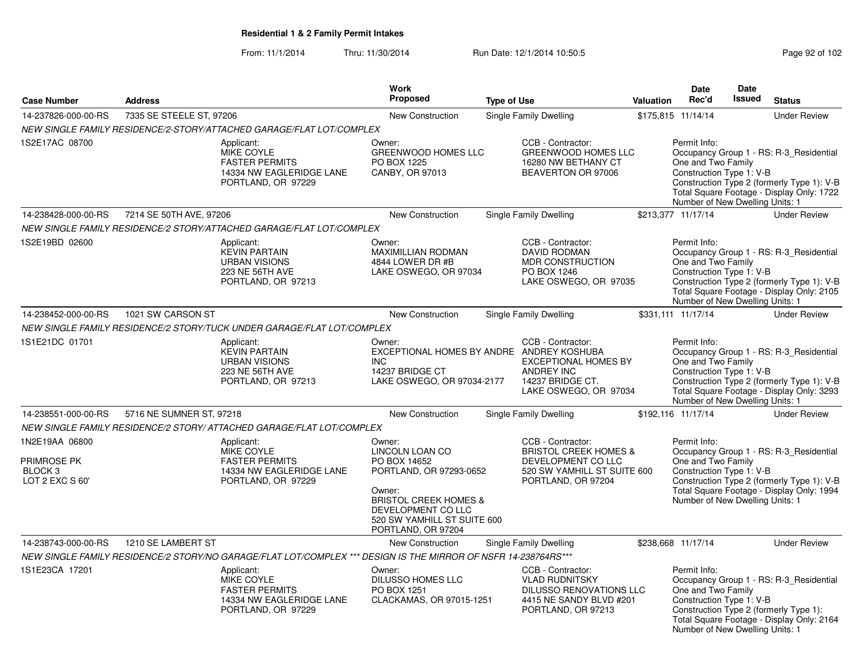From: 11/1/2014Thru: 11/30/2014 Run Date: 12/1/2014 10:50:5<br>
Page 92 of 102

|                                                                               |                          |                                                                                                                | <b>Work</b>                                                                                                                                                                                   |                    |                                                                                                                                  |                  | Date                                                                                              | <b>Date</b>   |                                                                                                                                    |
|-------------------------------------------------------------------------------|--------------------------|----------------------------------------------------------------------------------------------------------------|-----------------------------------------------------------------------------------------------------------------------------------------------------------------------------------------------|--------------------|----------------------------------------------------------------------------------------------------------------------------------|------------------|---------------------------------------------------------------------------------------------------|---------------|------------------------------------------------------------------------------------------------------------------------------------|
| <b>Case Number</b>                                                            | <b>Address</b>           |                                                                                                                | <b>Proposed</b>                                                                                                                                                                               | <b>Type of Use</b> |                                                                                                                                  | <b>Valuation</b> | Rec'd                                                                                             | <b>Issued</b> | <b>Status</b>                                                                                                                      |
| 14-237826-000-00-RS                                                           | 7335 SE STEELE ST, 97206 |                                                                                                                | <b>New Construction</b>                                                                                                                                                                       |                    | Single Family Dwelling                                                                                                           |                  | \$175,815 11/14/14                                                                                |               | <b>Under Review</b>                                                                                                                |
|                                                                               |                          | NEW SINGLE FAMILY RESIDENCE/2-STORY/ATTACHED GARAGE/FLAT LOT/COMPLEX                                           |                                                                                                                                                                                               |                    |                                                                                                                                  |                  |                                                                                                   |               |                                                                                                                                    |
| 1S2E17AC 08700                                                                |                          | Applicant:<br>MIKE COYLE<br><b>FASTER PERMITS</b><br>14334 NW EAGLERIDGE LANE<br>PORTLAND, OR 97229            | Owner:<br>GREENWOOD HOMES LLC<br>PO BOX 1225<br>CANBY, OR 97013                                                                                                                               |                    | CCB - Contractor:<br><b>GREENWOOD HOMES LLC</b><br>16280 NW BETHANY CT<br>BEAVERTON OR 97006                                     |                  | Permit Info:<br>One and Two Family<br>Construction Type 1: V-B<br>Number of New Dwelling Units: 1 |               | Occupancy Group 1 - RS: R-3_Residential<br>Construction Type 2 (formerly Type 1): V-B<br>Total Square Footage - Display Only: 1722 |
| 14-238428-000-00-RS                                                           | 7214 SE 50TH AVE, 97206  |                                                                                                                | New Construction                                                                                                                                                                              |                    | Single Family Dwelling                                                                                                           |                  | \$213,377 11/17/14                                                                                |               | <b>Under Review</b>                                                                                                                |
|                                                                               |                          | NEW SINGLE FAMILY RESIDENCE/2 STORY/ATTACHED GARAGE/FLAT LOT/COMPLEX                                           |                                                                                                                                                                                               |                    |                                                                                                                                  |                  |                                                                                                   |               |                                                                                                                                    |
| 1S2E19BD 02600                                                                |                          | Applicant:<br><b>KEVIN PARTAIN</b><br><b>URBAN VISIONS</b><br>223 NE 56TH AVE<br>PORTLAND, OR 97213            | Owner:<br>MAXIMILLIAN RODMAN<br>4844 LOWER DR #B<br>LAKE OSWEGO, OR 97034                                                                                                                     |                    | CCB - Contractor:<br><b>DAVID RODMAN</b><br>MDR CONSTRUCTION<br>PO BOX 1246<br>LAKE OSWEGO, OR 97035                             |                  | Permit Info:<br>One and Two Family<br>Construction Type 1: V-B<br>Number of New Dwelling Units: 1 |               | Occupancy Group 1 - RS: R-3 Residential<br>Construction Type 2 (formerly Type 1): V-B<br>Total Square Footage - Display Only: 2105 |
| 14-238452-000-00-RS                                                           | 1021 SW CARSON ST        |                                                                                                                | New Construction                                                                                                                                                                              |                    | Single Family Dwelling                                                                                                           |                  | \$331,111 11/17/14                                                                                |               | <b>Under Review</b>                                                                                                                |
|                                                                               |                          | NEW SINGLE FAMILY RESIDENCE/2 STORY/TUCK UNDER GARAGE/FLAT LOT/COMPLEX                                         |                                                                                                                                                                                               |                    |                                                                                                                                  |                  |                                                                                                   |               |                                                                                                                                    |
| 1S1E21DC 01701                                                                |                          | Applicant:<br><b>KEVIN PARTAIN</b><br><b>URBAN VISIONS</b><br>223 NE 56TH AVE<br>PORTLAND, OR 97213            | Owner:<br>EXCEPTIONAL HOMES BY ANDRE ANDREY KOSHUBA<br>INC.<br>14237 BRIDGE CT<br>LAKE OSWEGO, OR 97034-2177                                                                                  |                    | CCB - Contractor:<br><b>EXCEPTIONAL HOMES BY</b><br>ANDREY INC<br>14237 BRIDGE CT.<br>LAKE OSWEGO, OR 97034                      |                  | Permit Info:<br>One and Two Family<br>Construction Type 1: V-B<br>Number of New Dwelling Units: 1 |               | Occupancy Group 1 - RS: R-3 Residential<br>Construction Type 2 (formerly Type 1): V-B<br>Total Square Footage - Display Only: 3293 |
| 14-238551-000-00-RS                                                           | 5716 NE SUMNER ST, 97218 |                                                                                                                | New Construction                                                                                                                                                                              |                    | Single Family Dwelling                                                                                                           |                  | \$192,116 11/17/14                                                                                |               | <b>Under Review</b>                                                                                                                |
|                                                                               |                          | NEW SINGLE FAMILY RESIDENCE/2 STORY/ ATTACHED GARAGE/FLAT LOT/COMPLEX                                          |                                                                                                                                                                                               |                    |                                                                                                                                  |                  |                                                                                                   |               |                                                                                                                                    |
| 1N2E19AA 06800<br><b>PRIMROSE PK</b><br>BLOCK <sub>3</sub><br>LOT 2 EXC S 60' |                          | Applicant:<br><b>MIKE COYLE</b><br><b>FASTER PERMITS</b><br>14334 NW EAGLERIDGE LANE<br>PORTLAND, OR 97229     | Owner:<br>LINCOLN LOAN CO<br>PO BOX 14652<br>PORTLAND, OR 97293-0652<br>Owner:<br><b>BRISTOL CREEK HOMES &amp;</b><br>DEVELOPMENT CO LLC<br>520 SW YAMHILL ST SUITE 600<br>PORTLAND, OR 97204 |                    | CCB - Contractor:<br><b>BRISTOL CREEK HOMES &amp;</b><br>DEVELOPMENT CO LLC<br>520 SW YAMHILL ST SUITE 600<br>PORTLAND, OR 97204 |                  | Permit Info:<br>One and Two Family<br>Construction Type 1: V-B<br>Number of New Dwelling Units: 1 |               | Occupancy Group 1 - RS: R-3 Residential<br>Construction Type 2 (formerly Type 1): V-B<br>Total Square Footage - Display Only: 1994 |
| 14-238743-000-00-RS                                                           | 1210 SE LAMBERT ST       |                                                                                                                | <b>New Construction</b>                                                                                                                                                                       |                    | Single Family Dwelling                                                                                                           |                  | \$238,668 11/17/14                                                                                |               | <b>Under Review</b>                                                                                                                |
|                                                                               |                          | NEW SINGLE FAMILY RESIDENCE/2 STORY/NO GARAGE/FLAT LOT/COMPLEX *** DESIGN IS THE MIRROR OF NSFR 14-238764RS*** |                                                                                                                                                                                               |                    |                                                                                                                                  |                  |                                                                                                   |               |                                                                                                                                    |
| 1S1E23CA 17201                                                                |                          | Applicant:<br><b>MIKE COYLE</b><br><b>FASTER PERMITS</b><br>14334 NW EAGLERIDGE LANE<br>PORTLAND, OR 97229     | Owner:<br>DILUSSO HOMES LLC<br>PO BOX 1251<br>CLACKAMAS, OR 97015-1251                                                                                                                        |                    | CCB - Contractor:<br><b>VLAD RUDNITSKY</b><br><b>DILUSSO RENOVATIONS LLC</b><br>4415 NE SANDY BLVD #201<br>PORTLAND, OR 97213    |                  | Permit Info:<br>One and Two Family<br>Construction Type 1: V-B<br>Number of New Dwelling Units: 1 |               | Occupancy Group 1 - RS: R-3 Residential<br>Construction Type 2 (formerly Type 1):<br>Total Square Footage - Display Only: 2164     |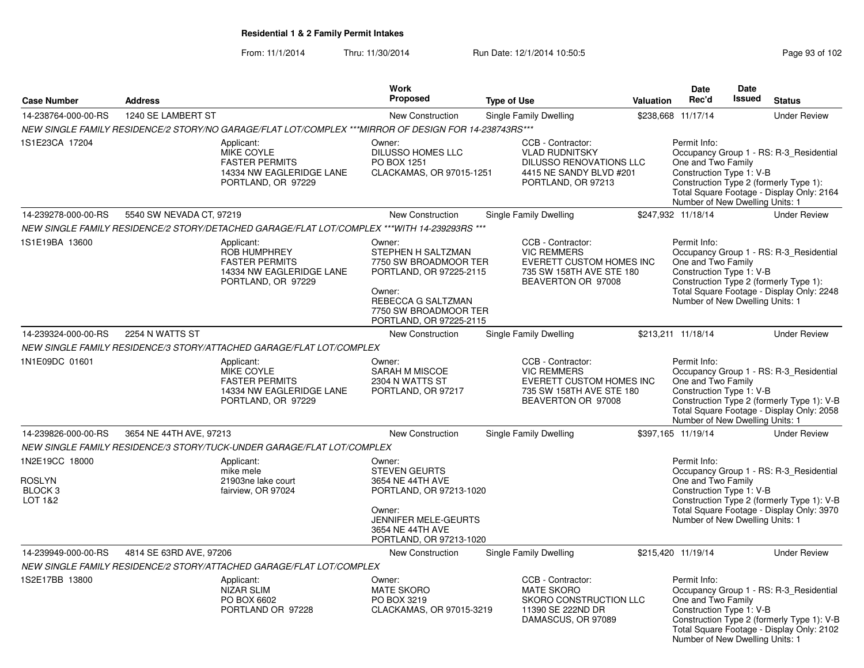From: 11/1/2014Thru: 11/30/2014 Run Date: 12/1/2014 10:50:5<br>
Page 93 of 102

|                                                                  |                          |                                                                                                              | <b>Work</b>                                                                                                                                                          |                    |                                                                                                                        |           | <b>Date</b>                                                                                       | Date          |                                                                                                                                    |
|------------------------------------------------------------------|--------------------------|--------------------------------------------------------------------------------------------------------------|----------------------------------------------------------------------------------------------------------------------------------------------------------------------|--------------------|------------------------------------------------------------------------------------------------------------------------|-----------|---------------------------------------------------------------------------------------------------|---------------|------------------------------------------------------------------------------------------------------------------------------------|
| <b>Case Number</b>                                               | <b>Address</b>           |                                                                                                              | <b>Proposed</b>                                                                                                                                                      | <b>Type of Use</b> |                                                                                                                        | Valuation | Rec'd                                                                                             | <b>Issued</b> | <b>Status</b>                                                                                                                      |
| 14-238764-000-00-RS                                              | 1240 SE LAMBERT ST       |                                                                                                              | New Construction                                                                                                                                                     |                    | Single Family Dwelling                                                                                                 |           | \$238,668 11/17/14                                                                                |               | <b>Under Review</b>                                                                                                                |
|                                                                  |                          | NEW SINGLE FAMILY RESIDENCE/2 STORY/NO GARAGE/FLAT LOT/COMPLEX ***MIRROR OF DESIGN FOR 14-238743RS***        |                                                                                                                                                                      |                    |                                                                                                                        |           |                                                                                                   |               |                                                                                                                                    |
| 1S1E23CA 17204                                                   |                          | Applicant:<br><b>MIKE COYLE</b><br><b>FASTER PERMITS</b><br>14334 NW EAGLERIDGE LANE<br>PORTLAND, OR 97229   | Owner:<br><b>DILUSSO HOMES LLC</b><br>PO BOX 1251<br>CLACKAMAS, OR 97015-1251                                                                                        |                    | CCB - Contractor:<br><b>VLAD RUDNITSKY</b><br>DILUSSO RENOVATIONS LLC<br>4415 NE SANDY BLVD #201<br>PORTLAND, OR 97213 |           | Permit Info:<br>One and Two Family<br>Construction Type 1: V-B<br>Number of New Dwelling Units: 1 |               | Occupancy Group 1 - RS: R-3_Residential<br>Construction Type 2 (formerly Type 1):<br>Total Square Footage - Display Only: 2164     |
| 14-239278-000-00-RS                                              | 5540 SW NEVADA CT, 97219 |                                                                                                              | <b>New Construction</b>                                                                                                                                              |                    | Single Family Dwelling                                                                                                 |           | \$247,932 11/18/14                                                                                |               | <b>Under Review</b>                                                                                                                |
|                                                                  |                          | NEW SINGLE FAMILY RESIDENCE/2 STORY/DETACHED GARAGE/FLAT LOT/COMPLEX ***WITH 14-239293RS ***                 |                                                                                                                                                                      |                    |                                                                                                                        |           |                                                                                                   |               |                                                                                                                                    |
| 1S1E19BA 13600                                                   |                          | Applicant:<br><b>ROB HUMPHREY</b><br><b>FASTER PERMITS</b><br>14334 NW EAGLERIDGE LANE<br>PORTLAND, OR 97229 | Owner:<br>STEPHEN H SALTZMAN<br>7750 SW BROADMOOR TER<br>PORTLAND, OR 97225-2115<br>Owner:<br>REBECCA G SALTZMAN<br>7750 SW BROADMOOR TER<br>PORTLAND, OR 97225-2115 |                    | CCB - Contractor:<br><b>VIC REMMERS</b><br>EVERETT CUSTOM HOMES INC<br>735 SW 158TH AVE STE 180<br>BEAVERTON OR 97008  |           | Permit Info:<br>One and Two Family<br>Construction Type 1: V-B<br>Number of New Dwelling Units: 1 |               | Occupancy Group 1 - RS: R-3_Residential<br>Construction Type 2 (formerly Type 1):<br>Total Square Footage - Display Only: 2248     |
| 14-239324-000-00-RS                                              | 2254 N WATTS ST          |                                                                                                              | <b>New Construction</b>                                                                                                                                              |                    | Single Family Dwelling                                                                                                 |           | \$213,211 11/18/14                                                                                |               | <b>Under Review</b>                                                                                                                |
|                                                                  |                          | NEW SINGLE FAMILY RESIDENCE/3 STORY/ATTACHED GARAGE/FLAT LOT/COMPLEX                                         |                                                                                                                                                                      |                    |                                                                                                                        |           |                                                                                                   |               |                                                                                                                                    |
| 1N1E09DC 01601                                                   |                          | Applicant:<br><b>MIKE COYLE</b><br><b>FASTER PERMITS</b><br>14334 NW EAGLERIDGE LANE<br>PORTLAND, OR 97229   | Owner:<br>SARAH M MISCOE<br>2304 N WATTS ST<br>PORTLAND, OR 97217                                                                                                    |                    | CCB - Contractor:<br><b>VIC REMMERS</b><br>EVERETT CUSTOM HOMES INC<br>735 SW 158TH AVE STE 180<br>BEAVERTON OR 97008  |           | Permit Info:<br>One and Two Family<br>Construction Type 1: V-B<br>Number of New Dwelling Units: 1 |               | Occupancy Group 1 - RS: R-3_Residential<br>Construction Type 2 (formerly Type 1): V-B<br>Total Square Footage - Display Only: 2058 |
| 14-239826-000-00-RS                                              | 3654 NE 44TH AVE, 97213  |                                                                                                              | New Construction                                                                                                                                                     |                    | Single Family Dwelling                                                                                                 |           | \$397,165 11/19/14                                                                                |               | <b>Under Review</b>                                                                                                                |
|                                                                  |                          | NEW SINGLE FAMILY RESIDENCE/3 STORY/TUCK-UNDER GARAGE/FLAT LOT/COMPLEX                                       |                                                                                                                                                                      |                    |                                                                                                                        |           |                                                                                                   |               |                                                                                                                                    |
| 1N2E19CC 18000<br><b>ROSLYN</b><br>BLOCK <sub>3</sub><br>LOT 1&2 |                          | Applicant:<br>mike mele<br>21903ne lake court<br>fairview, OR 97024                                          | Owner:<br><b>STEVEN GEURTS</b><br>3654 NE 44TH AVE<br>PORTLAND, OR 97213-1020<br>Owner:<br>JENNIFER MELE-GEURTS<br>3654 NE 44TH AVE<br>PORTLAND, OR 97213-1020       |                    |                                                                                                                        |           | Permit Info:<br>One and Two Family<br>Construction Type 1: V-B<br>Number of New Dwelling Units: 1 |               | Occupancy Group 1 - RS: R-3_Residential<br>Construction Type 2 (formerly Type 1): V-B<br>Total Square Footage - Display Only: 3970 |
| 14-239949-000-00-RS                                              | 4814 SE 63RD AVE, 97206  |                                                                                                              | New Construction                                                                                                                                                     |                    | Single Family Dwelling                                                                                                 |           | \$215,420 11/19/14                                                                                |               | <b>Under Review</b>                                                                                                                |
|                                                                  |                          | NEW SINGLE FAMILY RESIDENCE/2 STORY/ATTACHED GARAGE/FLAT LOT/COMPLEX                                         |                                                                                                                                                                      |                    |                                                                                                                        |           |                                                                                                   |               |                                                                                                                                    |
| 1S2E17BB 13800                                                   |                          | Applicant:<br><b>NIZAR SLIM</b><br>PO BOX 6602<br>PORTLAND OR 97228                                          | Owner:<br><b>MATE SKORO</b><br>PO BOX 3219<br>CLACKAMAS, OR 97015-3219                                                                                               |                    | CCB - Contractor:<br><b>MATE SKORO</b><br>SKORO CONSTRUCTION LLC<br>11390 SE 222ND DR<br>DAMASCUS, OR 97089            |           | Permit Info:<br>One and Two Family<br>Construction Type 1: V-B<br>Number of New Dwelling Units: 1 |               | Occupancy Group 1 - RS: R-3_Residential<br>Construction Type 2 (formerly Type 1): V-B<br>Total Square Footage - Display Only: 2102 |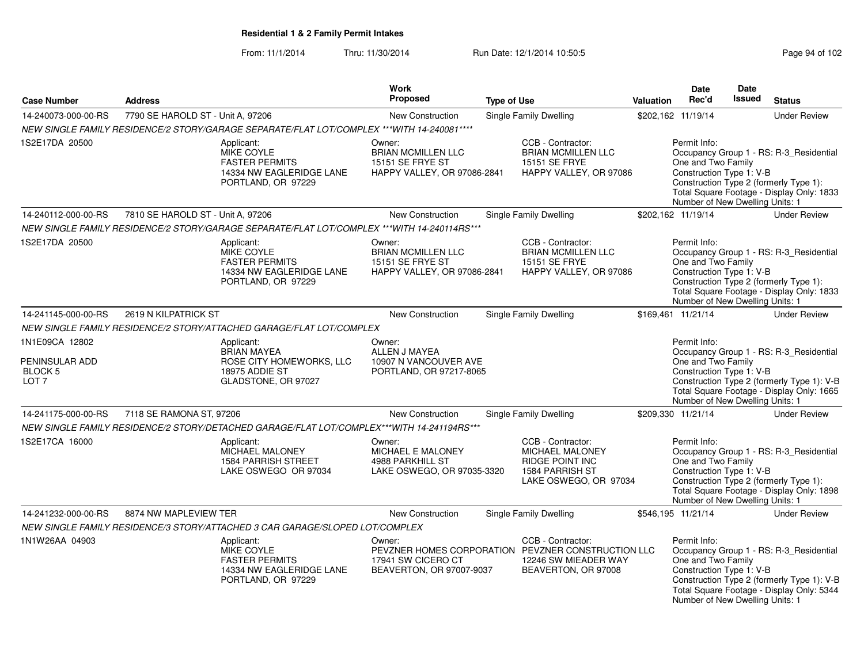From: 11/1/2014Thru: 11/30/2014 Run Date: 12/1/2014 10:50:5<br>
Page 94 of 102

|                                                                            |                                   |                                                                                                            | Work                                                                                          |                    |                                                                                                                        |                  | Date                                                                                              | <b>Date</b> |                                                                                                                                    |
|----------------------------------------------------------------------------|-----------------------------------|------------------------------------------------------------------------------------------------------------|-----------------------------------------------------------------------------------------------|--------------------|------------------------------------------------------------------------------------------------------------------------|------------------|---------------------------------------------------------------------------------------------------|-------------|------------------------------------------------------------------------------------------------------------------------------------|
| <b>Case Number</b>                                                         | <b>Address</b>                    |                                                                                                            | <b>Proposed</b>                                                                               | <b>Type of Use</b> |                                                                                                                        | <b>Valuation</b> | Rec'd                                                                                             | Issued      | <b>Status</b>                                                                                                                      |
| 14-240073-000-00-RS                                                        | 7790 SE HAROLD ST - Unit A, 97206 |                                                                                                            | <b>New Construction</b>                                                                       |                    | Single Family Dwelling                                                                                                 |                  | \$202,162 11/19/14                                                                                |             | <b>Under Review</b>                                                                                                                |
|                                                                            |                                   | NEW SINGLE FAMILY RESIDENCE/2 STORY/GARAGE SEPARATE/FLAT LOT/COMPLEX ***WITH 14-240081****                 |                                                                                               |                    |                                                                                                                        |                  |                                                                                                   |             |                                                                                                                                    |
| 1S2E17DA 20500                                                             |                                   | Applicant:<br><b>MIKE COYLE</b><br><b>FASTER PERMITS</b><br>14334 NW EAGLERIDGE LANE<br>PORTLAND, OR 97229 | Owner:<br><b>BRIAN MCMILLEN LLC</b><br>15151 SE FRYE ST<br>HAPPY VALLEY, OR 97086-2841        |                    | CCB - Contractor:<br><b>BRIAN MCMILLEN LLC</b><br>15151 SE FRYE<br>HAPPY VALLEY, OR 97086                              |                  | Permit Info:<br>One and Two Family<br>Construction Type 1: V-B<br>Number of New Dwelling Units: 1 |             | Occupancy Group 1 - RS: R-3_Residential<br>Construction Type 2 (formerly Type 1):<br>Total Square Footage - Display Only: 1833     |
| 14-240112-000-00-RS                                                        | 7810 SE HAROLD ST - Unit A, 97206 |                                                                                                            | New Construction                                                                              |                    | Single Family Dwelling                                                                                                 |                  | \$202,162 11/19/14                                                                                |             | <b>Under Review</b>                                                                                                                |
|                                                                            |                                   | NEW SINGLE FAMILY RESIDENCE/2 STORY/GARAGE SEPARATE/FLAT LOT/COMPLEX ***WITH 14-240114RS***                |                                                                                               |                    |                                                                                                                        |                  |                                                                                                   |             |                                                                                                                                    |
| 1S2E17DA 20500                                                             |                                   | Applicant:<br>MIKE COYLE<br><b>FASTER PERMITS</b><br>14334 NW EAGLERIDGE LANE<br>PORTLAND, OR 97229        | Owner:<br><b>BRIAN MCMILLEN LLC</b><br><b>15151 SE FRYE ST</b><br>HAPPY VALLEY, OR 97086-2841 |                    | CCB - Contractor:<br><b>BRIAN MCMILLEN LLC</b><br><b>15151 SE FRYE</b><br>HAPPY VALLEY, OR 97086                       |                  | Permit Info:<br>One and Two Family<br>Construction Type 1: V-B<br>Number of New Dwelling Units: 1 |             | Occupancy Group 1 - RS: R-3_Residential<br>Construction Type 2 (formerly Type 1):<br>Total Square Footage - Display Only: 1833     |
| 14-241145-000-00-RS                                                        | 2619 N KILPATRICK ST              |                                                                                                            | New Construction                                                                              |                    | <b>Single Family Dwelling</b>                                                                                          |                  | \$169,461 11/21/14                                                                                |             | <b>Under Review</b>                                                                                                                |
|                                                                            |                                   | NEW SINGLE FAMILY RESIDENCE/2 STORY/ATTACHED GARAGE/FLAT LOT/COMPLEX                                       |                                                                                               |                    |                                                                                                                        |                  |                                                                                                   |             |                                                                                                                                    |
| 1N1E09CA 12802<br>PENINSULAR ADD<br>BLOCK <sub>5</sub><br>LOT <sub>7</sub> |                                   | Applicant:<br><b>BRIAN MAYEA</b><br>ROSE CITY HOMEWORKS, LLC<br>18975 ADDIE ST<br>GLADSTONE, OR 97027      | Owner:<br>ALLEN J MAYEA<br>10907 N VANCOUVER AVE<br>PORTLAND, OR 97217-8065                   |                    |                                                                                                                        |                  | Permit Info:<br>One and Two Family<br>Construction Type 1: V-B<br>Number of New Dwelling Units: 1 |             | Occupancy Group 1 - RS: R-3_Residential<br>Construction Type 2 (formerly Type 1): V-B<br>Total Square Footage - Display Only: 1665 |
| 14-241175-000-00-RS                                                        | 7118 SE RAMONA ST, 97206          |                                                                                                            | <b>New Construction</b>                                                                       |                    | Single Family Dwelling                                                                                                 |                  | \$209,330 11/21/14                                                                                |             | <b>Under Review</b>                                                                                                                |
|                                                                            |                                   | NEW SINGLE FAMILY RESIDENCE/2 STORY/DETACHED GARAGE/FLAT LOT/COMPLEX***WITH 14-241194RS***                 |                                                                                               |                    |                                                                                                                        |                  |                                                                                                   |             |                                                                                                                                    |
| 1S2E17CA 16000                                                             |                                   | Applicant:<br>MICHAEL MALONEY<br><b>1584 PARRISH STREET</b><br>LAKE OSWEGO OR 97034                        | Owner:<br><b>MICHAEL E MALONEY</b><br>4988 PARKHILL ST<br>LAKE OSWEGO, OR 97035-3320          |                    | CCB - Contractor:<br><b>MICHAEL MALONEY</b><br><b>RIDGE POINT INC</b><br>1584 PARRISH ST<br>LAKE OSWEGO, OR 97034      |                  | Permit Info:<br>One and Two Family<br>Construction Type 1: V-B<br>Number of New Dwelling Units: 1 |             | Occupancy Group 1 - RS: R-3_Residential<br>Construction Type 2 (formerly Type 1):<br>Total Square Footage - Display Only: 1898     |
| 14-241232-000-00-RS                                                        | 8874 NW MAPLEVIEW TER             |                                                                                                            | <b>New Construction</b>                                                                       |                    | <b>Single Family Dwelling</b>                                                                                          |                  | \$546,195 11/21/14                                                                                |             | <b>Under Review</b>                                                                                                                |
|                                                                            |                                   | NEW SINGLE FAMILY RESIDENCE/3 STORY/ATTACHED 3 CAR GARAGE/SLOPED LOT/COMPLEX                               |                                                                                               |                    |                                                                                                                        |                  |                                                                                                   |             |                                                                                                                                    |
| 1N1W26AA 04903                                                             |                                   | Applicant:<br><b>MIKE COYLE</b><br><b>FASTER PERMITS</b><br>14334 NW EAGLERIDGE LANE<br>PORTLAND, OR 97229 | Owner:<br>17941 SW CICERO CT<br>BEAVERTON, OR 97007-9037                                      |                    | CCB - Contractor:<br>PEVZNER HOMES CORPORATION PEVZNER CONSTRUCTION LLC<br>12246 SW MIEADER WAY<br>BEAVERTON, OR 97008 |                  | Permit Info:<br>One and Two Family<br>Construction Type 1: V-B<br>Number of New Dwelling Units: 1 |             | Occupancy Group 1 - RS: R-3_Residential<br>Construction Type 2 (formerly Type 1): V-B<br>Total Square Footage - Display Only: 5344 |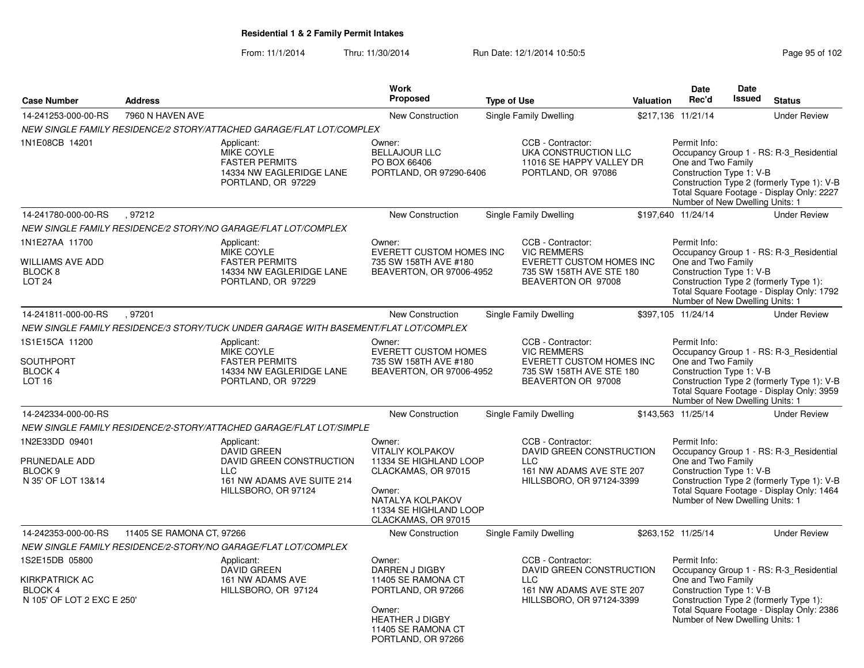From: 11/1/2014Thru: 11/30/2014 Run Date: 12/1/2014 10:50:5<br>
Page 95 of 102

|                                                                                  |                           |                                                                                                                                 | <b>Work</b>                                                                                                                                                       |                    |                                                                                                                              |           | Date                                                                                              | <b>Date</b><br><b>Issued</b> |                                                                                                                                    |
|----------------------------------------------------------------------------------|---------------------------|---------------------------------------------------------------------------------------------------------------------------------|-------------------------------------------------------------------------------------------------------------------------------------------------------------------|--------------------|------------------------------------------------------------------------------------------------------------------------------|-----------|---------------------------------------------------------------------------------------------------|------------------------------|------------------------------------------------------------------------------------------------------------------------------------|
| <b>Case Number</b>                                                               | <b>Address</b>            |                                                                                                                                 | Proposed                                                                                                                                                          | <b>Type of Use</b> |                                                                                                                              | Valuation | Rec'd                                                                                             |                              | <b>Status</b>                                                                                                                      |
| 14-241253-000-00-RS                                                              | 7960 N HAVEN AVE          |                                                                                                                                 | New Construction                                                                                                                                                  |                    | Single Family Dwelling                                                                                                       |           | \$217,136 11/21/14                                                                                |                              | <b>Under Review</b>                                                                                                                |
|                                                                                  |                           | NEW SINGLE FAMILY RESIDENCE/2 STORY/ATTACHED GARAGE/FLAT LOT/COMPLEX                                                            |                                                                                                                                                                   |                    |                                                                                                                              |           |                                                                                                   |                              |                                                                                                                                    |
| 1N1E08CB 14201                                                                   |                           | Applicant:<br>MIKE COYLE<br><b>FASTER PERMITS</b><br>14334 NW EAGLERIDGE LANE<br>PORTLAND, OR 97229                             | Owner:<br><b>BELLAJOUR LLC</b><br>PO BOX 66406<br>PORTLAND, OR 97290-6406                                                                                         |                    | CCB - Contractor:<br>UKA CONSTRUCTION LLC<br>11016 SE HAPPY VALLEY DR<br>PORTLAND, OR 97086                                  |           | Permit Info:<br>One and Two Family<br>Construction Type 1: V-B<br>Number of New Dwelling Units: 1 |                              | Occupancy Group 1 - RS: R-3_Residential<br>Construction Type 2 (formerly Type 1): V-B<br>Total Square Footage - Display Only: 2227 |
| 14-241780-000-00-RS                                                              | .97212                    |                                                                                                                                 | New Construction                                                                                                                                                  |                    | Single Family Dwelling                                                                                                       |           | \$197.640 11/24/14                                                                                |                              | <b>Under Review</b>                                                                                                                |
|                                                                                  |                           | NEW SINGLE FAMILY RESIDENCE/2 STORY/NO GARAGE/FLAT LOT/COMPLEX                                                                  |                                                                                                                                                                   |                    |                                                                                                                              |           |                                                                                                   |                              |                                                                                                                                    |
| 1N1E27AA 11700<br><b>WILLIAMS AVE ADD</b><br>BLOCK <sub>8</sub><br><b>LOT 24</b> |                           | Applicant:<br><b>MIKE COYLE</b><br><b>FASTER PERMITS</b><br>14334 NW EAGLERIDGE LANE<br>PORTLAND, OR 97229                      | Owner:<br><b>EVERETT CUSTOM HOMES INC</b><br>735 SW 158TH AVE #180<br>BEAVERTON, OR 97006-4952                                                                    |                    | CCB - Contractor:<br><b>VIC REMMERS</b><br>EVERETT CUSTOM HOMES INC<br>735 SW 158TH AVE STE 180<br>BEAVERTON OR 97008        |           | Permit Info:<br>One and Two Family<br>Construction Type 1: V-B<br>Number of New Dwelling Units: 1 |                              | Occupancy Group 1 - RS: R-3_Residential<br>Construction Type 2 (formerly Type 1):<br>Total Square Footage - Display Only: 1792     |
| 14-241811-000-00-RS                                                              | .97201                    |                                                                                                                                 | <b>New Construction</b>                                                                                                                                           |                    | Single Family Dwelling                                                                                                       |           | \$397.105 11/24/14                                                                                |                              | <b>Under Review</b>                                                                                                                |
|                                                                                  |                           | NEW SINGLE FAMILY RESIDENCE/3 STORY/TUCK UNDER GARAGE WITH BASEMENT/FLAT LOT/COMPLEX                                            |                                                                                                                                                                   |                    |                                                                                                                              |           |                                                                                                   |                              |                                                                                                                                    |
| 1S1E15CA 11200<br><b>SOUTHPORT</b><br><b>BLOCK 4</b><br><b>LOT 16</b>            |                           | Applicant:<br><b>MIKE COYLE</b><br><b>FASTER PERMITS</b><br>14334 NW EAGLERIDGE LANE<br>PORTLAND, OR 97229                      | Owner:<br><b>EVERETT CUSTOM HOMES</b><br>735 SW 158TH AVE #180<br>BEAVERTON, OR 97006-4952                                                                        |                    | CCB - Contractor:<br><b>VIC REMMERS</b><br><b>EVERETT CUSTOM HOMES INC</b><br>735 SW 158TH AVE STE 180<br>BEAVERTON OR 97008 |           | Permit Info:<br>One and Two Family<br>Construction Type 1: V-B<br>Number of New Dwelling Units: 1 |                              | Occupancy Group 1 - RS: R-3 Residential<br>Construction Type 2 (formerly Type 1): V-B<br>Total Square Footage - Display Only: 3959 |
| 14-242334-000-00-RS                                                              |                           |                                                                                                                                 | <b>New Construction</b>                                                                                                                                           |                    | Single Family Dwelling                                                                                                       |           | \$143.563 11/25/14                                                                                |                              | <b>Under Review</b>                                                                                                                |
|                                                                                  |                           | NEW SINGLE FAMILY RESIDENCE/2-STORY/ATTACHED GARAGE/FLAT LOT/SIMPLE                                                             |                                                                                                                                                                   |                    |                                                                                                                              |           |                                                                                                   |                              |                                                                                                                                    |
| 1N2E33DD 09401<br>PRUNEDALE ADD<br>BLOCK <sub>9</sub><br>N 35' OF LOT 13&14      |                           | Applicant:<br><b>DAVID GREEN</b><br>DAVID GREEN CONSTRUCTION<br><b>LLC</b><br>161 NW ADAMS AVE SUITE 214<br>HILLSBORO, OR 97124 | Owner:<br><b>VITALIY KOLPAKOV</b><br>11334 SE HIGHLAND LOOP<br>CLACKAMAS, OR 97015<br>Owner:<br>NATALYA KOLPAKOV<br>11334 SE HIGHLAND LOOP<br>CLACKAMAS, OR 97015 |                    | CCB - Contractor:<br>DAVID GREEN CONSTRUCTION<br><b>LLC</b><br>161 NW ADAMS AVE STE 207<br>HILLSBORO, OR 97124-3399          |           | Permit Info:<br>One and Two Family<br>Construction Type 1: V-B<br>Number of New Dwelling Units: 1 |                              | Occupancy Group 1 - RS: R-3_Residential<br>Construction Type 2 (formerly Type 1): V-B<br>Total Square Footage - Display Only: 1464 |
| 14-242353-000-00-RS                                                              | 11405 SE RAMONA CT, 97266 |                                                                                                                                 | New Construction                                                                                                                                                  |                    | <b>Single Family Dwelling</b>                                                                                                |           | \$263,152 11/25/14                                                                                |                              | <b>Under Review</b>                                                                                                                |
|                                                                                  |                           | NEW SINGLE FAMILY RESIDENCE/2-STORY/NO GARAGE/FLAT LOT/COMPLEX                                                                  |                                                                                                                                                                   |                    |                                                                                                                              |           |                                                                                                   |                              |                                                                                                                                    |
| 1S2E15DB 05800<br><b>KIRKPATRICK AC</b><br>BLOCK 4<br>N 105' OF LOT 2 EXC E 250' |                           | Applicant:<br>DAVID GREEN<br>161 NW ADAMS AVE<br>HILLSBORO, OR 97124                                                            | Owner:<br>DARREN J DIGBY<br>11405 SE RAMONA CT<br>PORTLAND, OR 97266<br>Owner:<br><b>HEATHER J DIGBY</b><br>11405 SE RAMONA CT<br>PORTLAND, OR 97266              |                    | CCB - Contractor:<br>DAVID GREEN CONSTRUCTION<br><b>LLC</b><br>161 NW ADAMS AVE STE 207<br>HILLSBORO, OR 97124-3399          |           | Permit Info:<br>One and Two Family<br>Construction Type 1: V-B<br>Number of New Dwelling Units: 1 |                              | Occupancy Group 1 - RS: R-3 Residential<br>Construction Type 2 (formerly Type 1):<br>Total Square Footage - Display Only: 2386     |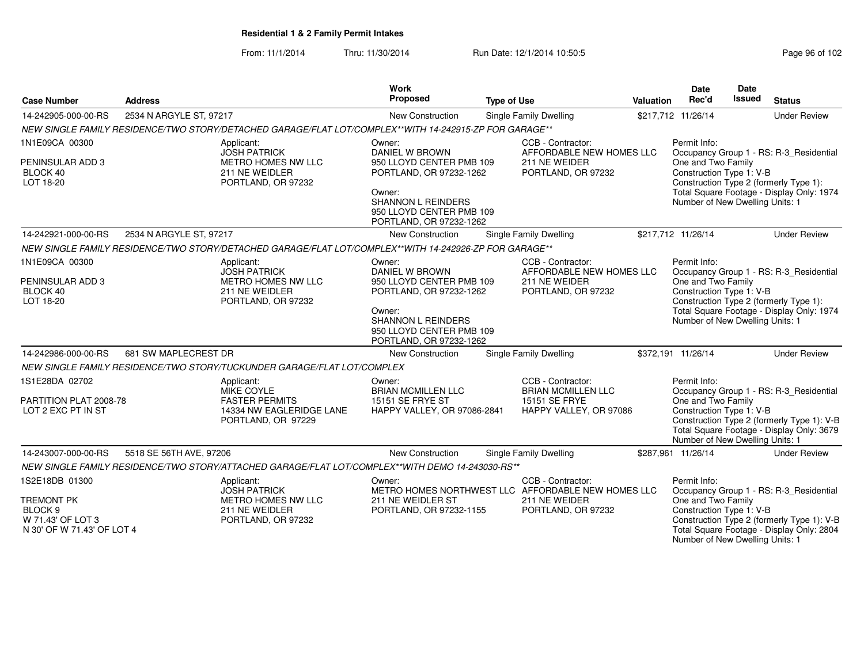From: 11/1/2014Thru: 11/30/2014 Run Date: 12/1/2014 10:50:5<br>
Page 96 of 102

| <b>Case Number</b>                                                              | <b>Address</b>          |                                                                                                        | Work<br>Proposed                                                                           | <b>Type of Use</b> |                                                | <b>Valuation</b> | <b>Date</b><br>Rec'd                                                              | <b>Date</b><br><b>Issued</b>              | <b>Status</b>                                                                           |
|---------------------------------------------------------------------------------|-------------------------|--------------------------------------------------------------------------------------------------------|--------------------------------------------------------------------------------------------|--------------------|------------------------------------------------|------------------|-----------------------------------------------------------------------------------|-------------------------------------------|-----------------------------------------------------------------------------------------|
| 14-242905-000-00-RS                                                             | 2534 N ARGYLE ST, 97217 |                                                                                                        | New Construction                                                                           |                    | Single Family Dwelling                         |                  | \$217,712 11/26/14                                                                |                                           | <b>Under Review</b>                                                                     |
|                                                                                 |                         | NEW SINGLE FAMILY RESIDENCE/TWO STORY/DETACHED GARAGE/FLAT LOT/COMPLEX**WITH 14-242915-ZP FOR GARAGE** |                                                                                            |                    |                                                |                  |                                                                                   |                                           |                                                                                         |
| 1N1E09CA 00300                                                                  |                         | Applicant:<br><b>JOSH PATRICK</b>                                                                      | Owner:<br><b>DANIEL W BROWN</b><br>950 LLOYD CENTER PMB 109                                |                    | CCB - Contractor:<br>AFFORDABLE NEW HOMES LLC  |                  | Permit Info:                                                                      |                                           | Occupancy Group 1 - RS: R-3_Residential                                                 |
| PENINSULAR ADD 3<br>BLOCK 40<br>LOT 18-20                                       |                         | METRO HOMES NW LLC<br>211 NE WEIDLER<br>PORTLAND, OR 97232                                             | PORTLAND, OR 97232-1262                                                                    |                    | 211 NE WEIDER<br>PORTLAND, OR 97232            |                  | One and Two Family<br>Construction Type 1: V-B                                    |                                           | Construction Type 2 (formerly Type 1):                                                  |
|                                                                                 |                         |                                                                                                        | Owner:<br><b>SHANNON L REINDERS</b><br>950 LLOYD CENTER PMB 109<br>PORTLAND, OR 97232-1262 |                    |                                                |                  | Total Square Footage - Display Only: 1974<br>Number of New Dwelling Units: 1      |                                           |                                                                                         |
| 14-242921-000-00-RS                                                             | 2534 N ARGYLE ST, 97217 |                                                                                                        | New Construction                                                                           |                    | Single Family Dwelling                         |                  | \$217,712 11/26/14                                                                |                                           | <b>Under Review</b>                                                                     |
|                                                                                 |                         | NEW SINGLE FAMILY RESIDENCE/TWO STORY/DETACHED GARAGE/FLAT LOT/COMPLEX**WITH 14-242926-ZP FOR GARAGE** |                                                                                            |                    |                                                |                  |                                                                                   |                                           |                                                                                         |
| 1N1E09CA 00300                                                                  |                         | Applicant:<br><b>JOSH PATRICK</b>                                                                      | Owner:<br>DANIEL W BROWN                                                                   |                    | CCB - Contractor:<br>AFFORDABLE NEW HOMES LLC  |                  | Permit Info:                                                                      |                                           | Occupancy Group 1 - RS: R-3_Residential                                                 |
| PENINSULAR ADD 3<br>BLOCK 40<br>LOT 18-20                                       |                         | METRO HOMES NW LLC<br>211 NE WEIDLER<br>PORTLAND, OR 97232                                             | 950 LLOYD CENTER PMB 109<br>PORTLAND, OR 97232-1262                                        |                    | 211 NE WEIDER<br>PORTLAND, OR 97232            |                  | One and Two Family<br>Construction Type 1: V-B                                    |                                           | Construction Type 2 (formerly Type 1):                                                  |
|                                                                                 |                         |                                                                                                        | Owner:<br><b>SHANNON L REINDERS</b><br>950 LLOYD CENTER PMB 109<br>PORTLAND, OR 97232-1262 |                    |                                                |                  | Number of New Dwelling Units: 1                                                   | Total Square Footage - Display Only: 1974 |                                                                                         |
| 14-242986-000-00-RS                                                             | 681 SW MAPLECREST DR    |                                                                                                        | New Construction                                                                           |                    | <b>Single Family Dwelling</b>                  |                  | \$372,191 11/26/14                                                                |                                           | <b>Under Review</b>                                                                     |
|                                                                                 |                         | NEW SINGLE FAMILY RESIDENCE/TWO STORY/TUCKUNDER GARAGE/FLAT LOT/COMPLEX                                |                                                                                            |                    |                                                |                  |                                                                                   |                                           |                                                                                         |
| 1S1E28DA 02702                                                                  |                         | Applicant:<br>MIKE COYLE                                                                               | Owner:<br>BRIAN MCMILLEN LLC                                                               |                    | CCB - Contractor:<br><b>BRIAN MCMILLEN LLC</b> |                  | Permit Info:                                                                      |                                           | Occupancy Group 1 - RS: R-3_Residential                                                 |
| PARTITION PLAT 2008-78<br>LOT 2 EXC PT IN ST                                    |                         | <b>FASTER PERMITS</b><br>14334 NW EAGLERIDGE LANE<br>PORTLAND, OR 97229                                | 15151 SE FRYE ST<br>HAPPY VALLEY, OR 97086-2841                                            |                    | 15151 SE FRYE<br>HAPPY VALLEY, OR 97086        |                  | One and Two Family<br>Construction Type 1: V-B<br>Number of New Dwelling Units: 1 |                                           | Construction Type 2 (formerly Type 1): V-B<br>Total Square Footage - Display Only: 3679 |
| 14-243007-000-00-RS                                                             | 5518 SE 56TH AVE, 97206 |                                                                                                        | <b>New Construction</b>                                                                    |                    | Single Family Dwelling                         |                  | \$287.961 11/26/14                                                                |                                           | <b>Under Review</b>                                                                     |
|                                                                                 |                         | NEW SINGLE FAMILY RESIDENCE/TWO STORY/ATTACHED GARAGE/FLAT LOT/COMPLEX**WITH DEMO 14-243030-RS**       |                                                                                            |                    |                                                |                  |                                                                                   |                                           |                                                                                         |
| 1S2E18DB 01300                                                                  |                         | Applicant:<br><b>JOSH PATRICK</b>                                                                      | Owner:<br>METRO HOMES NORTHWEST LLC AFFORDABLE NEW HOMES LLC                               |                    | CCB - Contractor:                              |                  | Permit Info:                                                                      |                                           | Occupancy Group 1 - RS: R-3_Residential                                                 |
| <b>TREMONT PK</b><br>BLOCK 9<br>W 71.43' OF LOT 3<br>N 30' OF W 71.43' OF LOT 4 |                         | METRO HOMES NW LLC<br>211 NE WEIDLER<br>PORTLAND, OR 97232                                             | 211 NE WEIDLER ST<br>PORTLAND, OR 97232-1155                                               |                    | 211 NE WEIDER<br>PORTLAND, OR 97232            |                  | One and Two Family<br>Construction Type 1: V-B<br>Number of New Dwelling Units: 1 |                                           | Construction Type 2 (formerly Type 1): V-B<br>Total Square Footage - Display Only: 2804 |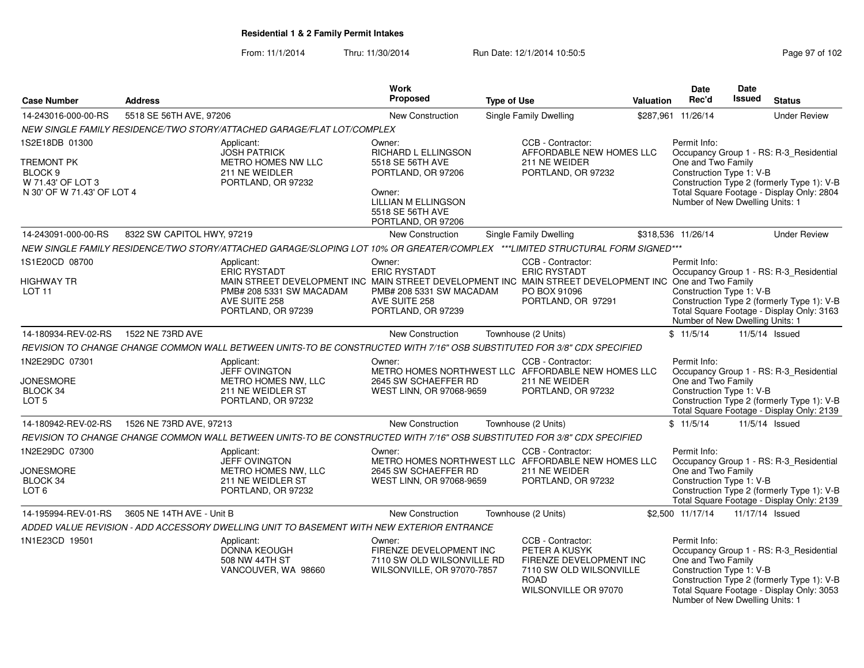From: 11/1/2014Thru: 11/30/2014 Run Date: 12/1/2014 10:50:5<br>
Page 97 of 102

|                                                                                                              |                            |                                                                                                                                                                                                         | Work                                                                                                                                                             |                    |                                                                                                                                 |           | <b>Date</b>                                                                                       | <b>Date</b>     |                                                                                                                                    |
|--------------------------------------------------------------------------------------------------------------|----------------------------|---------------------------------------------------------------------------------------------------------------------------------------------------------------------------------------------------------|------------------------------------------------------------------------------------------------------------------------------------------------------------------|--------------------|---------------------------------------------------------------------------------------------------------------------------------|-----------|---------------------------------------------------------------------------------------------------|-----------------|------------------------------------------------------------------------------------------------------------------------------------|
| <b>Case Number</b>                                                                                           | <b>Address</b>             |                                                                                                                                                                                                         | Proposed                                                                                                                                                         | <b>Type of Use</b> |                                                                                                                                 | Valuation | Rec'd                                                                                             | <b>Issued</b>   | <b>Status</b>                                                                                                                      |
| 14-243016-000-00-RS                                                                                          | 5518 SE 56TH AVE, 97206    |                                                                                                                                                                                                         | <b>New Construction</b>                                                                                                                                          |                    | Single Family Dwelling                                                                                                          |           | \$287,961 11/26/14                                                                                |                 | <b>Under Review</b>                                                                                                                |
|                                                                                                              |                            | NEW SINGLE FAMILY RESIDENCE/TWO STORY/ATTACHED GARAGE/FLAT LOT/COMPLEX                                                                                                                                  |                                                                                                                                                                  |                    |                                                                                                                                 |           |                                                                                                   |                 |                                                                                                                                    |
| 1S2E18DB 01300<br><b>TREMONT PK</b><br>BLOCK <sub>9</sub><br>W 71.43' OF LOT 3<br>N 30' OF W 71.43' OF LOT 4 |                            | Applicant:<br><b>JOSH PATRICK</b><br>METRO HOMES NW LLC<br>211 NE WEIDLER<br>PORTLAND, OR 97232                                                                                                         | Owner:<br><b>RICHARD L ELLINGSON</b><br>5518 SE 56TH AVE<br>PORTLAND, OR 97206<br>Owner:<br><b>LILLIAN M ELLINGSON</b><br>5518 SE 56TH AVE<br>PORTLAND, OR 97206 |                    | CCB - Contractor:<br>AFFORDABLE NEW HOMES LLC<br>211 NE WEIDER<br>PORTLAND, OR 97232                                            |           | Permit Info:<br>One and Two Family<br>Construction Type 1: V-B<br>Number of New Dwelling Units: 1 |                 | Occupancy Group 1 - RS: R-3 Residential<br>Construction Type 2 (formerly Type 1): V-B<br>Total Square Footage - Display Only: 2804 |
| 14-243091-000-00-RS                                                                                          | 8322 SW CAPITOL HWY, 97219 |                                                                                                                                                                                                         | <b>New Construction</b>                                                                                                                                          |                    | Single Family Dwelling                                                                                                          |           | \$318,536 11/26/14                                                                                |                 | <b>Under Review</b>                                                                                                                |
|                                                                                                              |                            | NEW SINGLE FAMILY RESIDENCE/TWO STORY/ATTACHED GARAGE/SLOPING LOT 10% OR GREATER/COMPLEX ***LIMITED STRUCTURAL FORM SIGNED***                                                                           |                                                                                                                                                                  |                    |                                                                                                                                 |           |                                                                                                   |                 |                                                                                                                                    |
| 1S1E20CD 08700<br>HIGHWAY TR<br>LOT <sub>11</sub>                                                            |                            | Applicant:<br>ERIC RYSTADT<br>MAIN STREET DEVELOPMENT INC MAIN STREET DEVELOPMENT INC MAIN STREET DEVELOPMENT INC One and Two Family<br>PMB# 208 5331 SW MACADAM<br>AVE SUITE 258<br>PORTLAND, OR 97239 | Owner:<br><b>ERIC RYSTADT</b><br>PMB# 208 5331 SW MACADAM<br>AVE SUITE 258<br>PORTLAND, OR 97239                                                                 |                    | CCB - Contractor:<br><b>ERIC RYSTADT</b><br>PO BOX 91096<br>PORTLAND, OR 97291                                                  |           | Permit Info:<br>Construction Type 1: V-B<br>Number of New Dwelling Units: 1                       |                 | Occupancy Group 1 - RS: R-3_Residential<br>Construction Type 2 (formerly Type 1): V-B<br>Total Square Footage - Display Only: 3163 |
| 14-180934-REV-02-RS                                                                                          | 1522 NE 73RD AVE           |                                                                                                                                                                                                         | <b>New Construction</b>                                                                                                                                          |                    | Townhouse (2 Units)                                                                                                             |           | \$11/5/14                                                                                         |                 | 11/5/14 Issued                                                                                                                     |
|                                                                                                              |                            | REVISION TO CHANGE CHANGE COMMON WALL BETWEEN UNITS-TO BE CONSTRUCTED WITH 7/16" OSB SUBSTITUTED FOR 3/8" CDX SPECIFIED                                                                                 |                                                                                                                                                                  |                    |                                                                                                                                 |           |                                                                                                   |                 |                                                                                                                                    |
| 1N2E29DC 07301<br><b>JONESMORE</b><br>BLOCK 34<br>LOT <sub>5</sub>                                           |                            | Applicant:<br><b>JEFF OVINGTON</b><br><b>METRO HOMES NW. LLC</b><br>211 NE WEIDLER ST<br>PORTLAND, OR 97232                                                                                             | Owner:<br>METRO HOMES NORTHWEST LLC AFFORDABLE NEW HOMES LLC<br>2645 SW SCHAEFFER RD<br>WEST LINN, OR 97068-9659                                                 |                    | CCB - Contractor:<br>211 NE WEIDER<br>PORTLAND, OR 97232                                                                        |           | Permit Info:<br>One and Two Family<br>Construction Type 1: V-B                                    |                 | Occupancy Group 1 - RS: R-3_Residential<br>Construction Type 2 (formerly Type 1): V-B<br>Total Square Footage - Display Only: 2139 |
| 14-180942-REV-02-RS                                                                                          | 1526 NE 73RD AVE, 97213    |                                                                                                                                                                                                         | <b>New Construction</b>                                                                                                                                          |                    | Townhouse (2 Units)                                                                                                             |           | \$11/5/14                                                                                         |                 | 11/5/14 Issued                                                                                                                     |
|                                                                                                              |                            | REVISION TO CHANGE CHANGE COMMON WALL BETWEEN UNITS-TO BE CONSTRUCTED WITH 7/16" OSB SUBSTITUTED FOR 3/8" CDX SPECIFIED                                                                                 |                                                                                                                                                                  |                    |                                                                                                                                 |           |                                                                                                   |                 |                                                                                                                                    |
| 1N2E29DC 07300<br><b>JONESMORE</b><br>BLOCK 34<br>LOT <sub>6</sub>                                           |                            | Applicant:<br>JEFF OVINGTON<br>METRO HOMES NW. LLC<br>211 NE WEIDLER ST<br>PORTLAND, OR 97232                                                                                                           | Owner:<br>METRO HOMES NORTHWEST LLC AFFORDABLE NEW HOMES LLC<br>2645 SW SCHAEFFER RD<br>WEST LINN, OR 97068-9659                                                 |                    | CCB - Contractor:<br>211 NE WEIDER<br>PORTLAND, OR 97232                                                                        |           | Permit Info:<br>One and Two Family<br>Construction Type 1: V-B                                    |                 | Occupancy Group 1 - RS: R-3_Residential<br>Construction Type 2 (formerly Type 1): V-B<br>Total Square Footage - Display Only: 2139 |
| 14-195994-REV-01-RS                                                                                          | 3605 NE 14TH AVE - Unit B  |                                                                                                                                                                                                         | New Construction                                                                                                                                                 |                    | Townhouse (2 Units)                                                                                                             |           | \$2,500 11/17/14                                                                                  | 11/17/14 Issued |                                                                                                                                    |
|                                                                                                              |                            | ADDED VALUE REVISION - ADD ACCESSORY DWELLING UNIT TO BASEMENT WITH NEW EXTERIOR ENTRANCE                                                                                                               |                                                                                                                                                                  |                    |                                                                                                                                 |           |                                                                                                   |                 |                                                                                                                                    |
| 1N1E23CD 19501                                                                                               |                            | Applicant:<br><b>DONNA KEOUGH</b><br>508 NW 44TH ST<br>VANCOUVER, WA 98660                                                                                                                              | Owner:<br>FIRENZE DEVELOPMENT INC<br>7110 SW OLD WILSONVILLE RD<br>WILSONVILLE, OR 97070-7857                                                                    |                    | CCB - Contractor:<br>PETER A KUSYK<br>FIRENZE DEVELOPMENT INC<br>7110 SW OLD WILSONVILLE<br><b>ROAD</b><br>WILSONVILLE OR 97070 |           | Permit Info:<br>One and Two Family<br>Construction Type 1: V-B<br>Number of New Dwelling Units: 1 |                 | Occupancy Group 1 - RS: R-3_Residential<br>Construction Type 2 (formerly Type 1): V-B<br>Total Square Footage - Display Only: 3053 |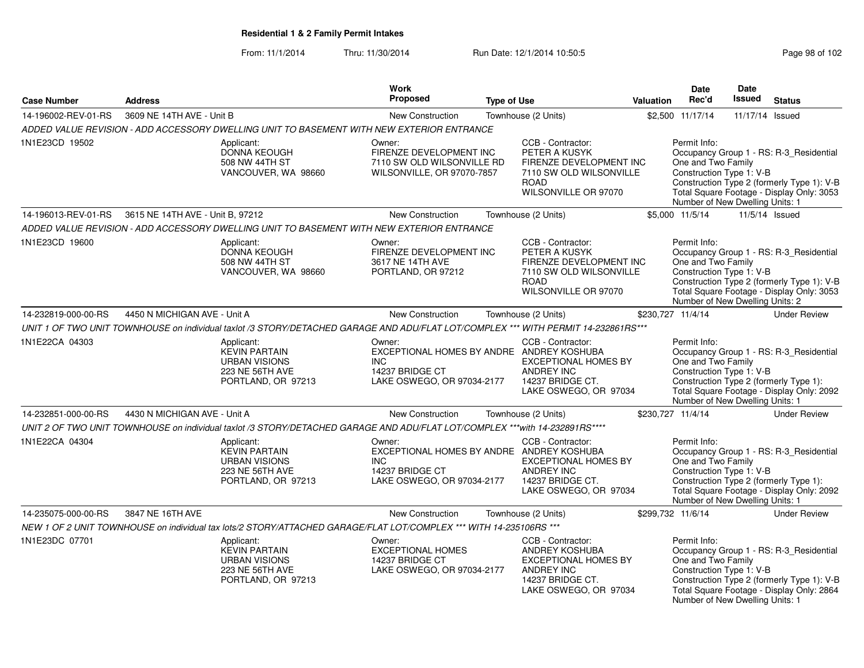From: 11/1/2014Thru: 11/30/2014 Run Date: 12/1/2014 10:50:5<br>
Page 98 of 102

|                     |                                  |                                                                                                                                    | <b>Work</b>                                                                                                  |                    |                                                                                                                                      |           | <b>Date</b>                                                                                       | Date            |                                                                                                                                    |
|---------------------|----------------------------------|------------------------------------------------------------------------------------------------------------------------------------|--------------------------------------------------------------------------------------------------------------|--------------------|--------------------------------------------------------------------------------------------------------------------------------------|-----------|---------------------------------------------------------------------------------------------------|-----------------|------------------------------------------------------------------------------------------------------------------------------------|
| <b>Case Number</b>  | <b>Address</b>                   |                                                                                                                                    | <b>Proposed</b>                                                                                              | <b>Type of Use</b> |                                                                                                                                      | Valuation | Rec'd                                                                                             | <b>Issued</b>   | <b>Status</b>                                                                                                                      |
| 14-196002-REV-01-RS | 3609 NE 14TH AVE - Unit B        |                                                                                                                                    | New Construction                                                                                             |                    | Townhouse (2 Units)                                                                                                                  |           | \$2,500 11/17/14                                                                                  | 11/17/14 Issued |                                                                                                                                    |
|                     |                                  | ADDED VALUE REVISION - ADD ACCESSORY DWELLING UNIT TO BASEMENT WITH NEW EXTERIOR ENTRANCE                                          |                                                                                                              |                    |                                                                                                                                      |           |                                                                                                   |                 |                                                                                                                                    |
| 1N1E23CD 19502      |                                  | Applicant:<br>DONNA KEOUGH<br>508 NW 44TH ST<br>VANCOUVER, WA 98660                                                                | Owner:<br>FIRENZE DEVELOPMENT INC<br>7110 SW OLD WILSONVILLE RD<br>WILSONVILLE, OR 97070-7857                |                    | CCB - Contractor:<br>PETER A KUSYK<br>FIRENZE DEVELOPMENT INC<br>7110 SW OLD WILSONVILLE<br><b>ROAD</b><br>WILSONVILLE OR 97070      |           | Permit Info:<br>One and Two Family<br>Construction Type 1: V-B<br>Number of New Dwelling Units: 1 |                 | Occupancy Group 1 - RS: R-3_Residential<br>Construction Type 2 (formerly Type 1): V-B<br>Total Square Footage - Display Only: 3053 |
| 14-196013-REV-01-RS | 3615 NE 14TH AVE - Unit B, 97212 |                                                                                                                                    | <b>New Construction</b>                                                                                      |                    | Townhouse (2 Units)                                                                                                                  |           | \$5,000 11/5/14                                                                                   |                 | 11/5/14 Issued                                                                                                                     |
|                     |                                  | ADDED VALUE REVISION - ADD ACCESSORY DWELLING UNIT TO BASEMENT WITH NEW EXTERIOR ENTRANCE                                          |                                                                                                              |                    |                                                                                                                                      |           |                                                                                                   |                 |                                                                                                                                    |
| 1N1E23CD 19600      |                                  | Applicant:<br><b>DONNA KEOUGH</b><br>508 NW 44TH ST<br>VANCOUVER, WA 98660                                                         | Owner:<br>FIRENZE DEVELOPMENT INC<br>3617 NE 14TH AVE<br>PORTLAND, OR 97212                                  |                    | CCB - Contractor:<br>PETER A KUSYK<br>FIRENZE DEVELOPMENT INC<br>7110 SW OLD WILSONVILLE<br><b>ROAD</b><br>WILSONVILLE OR 97070      |           | Permit Info:<br>One and Two Family<br>Construction Type 1: V-B<br>Number of New Dwelling Units: 2 |                 | Occupancy Group 1 - RS: R-3_Residential<br>Construction Type 2 (formerly Type 1): V-B<br>Total Square Footage - Display Only: 3053 |
| 14-232819-000-00-RS | 4450 N MICHIGAN AVE - Unit A     |                                                                                                                                    | <b>New Construction</b>                                                                                      |                    | Townhouse (2 Units)                                                                                                                  |           | \$230,727 11/4/14                                                                                 |                 | <b>Under Review</b>                                                                                                                |
|                     |                                  | UNIT 1 OF TWO UNIT TOWNHOUSE on individual taxlot /3 STORY/DETACHED GARAGE AND ADU/FLAT LOT/COMPLEX *** WITH PERMIT 14-232861RS*** |                                                                                                              |                    |                                                                                                                                      |           |                                                                                                   |                 |                                                                                                                                    |
| 1N1E22CA 04303      |                                  | Applicant:<br><b>KEVIN PARTAIN</b><br><b>URBAN VISIONS</b><br>223 NE 56TH AVE<br>PORTLAND, OR 97213                                | Owner:<br>EXCEPTIONAL HOMES BY ANDRE ANDREY KOSHUBA<br>INC.<br>14237 BRIDGE CT<br>LAKE OSWEGO, OR 97034-2177 |                    | CCB - Contractor:<br><b>EXCEPTIONAL HOMES BY</b><br>ANDREY INC<br>14237 BRIDGE CT.<br>LAKE OSWEGO, OR 97034                          |           | Permit Info:<br>One and Two Family<br>Construction Type 1: V-B<br>Number of New Dwelling Units: 1 |                 | Occupancy Group 1 - RS: R-3 Residential<br>Construction Type 2 (formerly Type 1):<br>Total Square Footage - Display Only: 2092     |
| 14-232851-000-00-RS | 4430 N MICHIGAN AVE - Unit A     |                                                                                                                                    | <b>New Construction</b>                                                                                      |                    | Townhouse (2 Units)                                                                                                                  |           | \$230,727 11/4/14                                                                                 |                 | <b>Under Review</b>                                                                                                                |
|                     |                                  | UNIT 2 OF TWO UNIT TOWNHOUSE on individual taxlot /3 STORY/DETACHED GARAGE AND ADU/FLAT LOT/COMPLEX ***with 14-232891RS****        |                                                                                                              |                    |                                                                                                                                      |           |                                                                                                   |                 |                                                                                                                                    |
| 1N1E22CA 04304      |                                  | Applicant:<br><b>KEVIN PARTAIN</b><br><b>URBAN VISIONS</b><br>223 NE 56TH AVE<br>PORTLAND, OR 97213                                | Owner:<br>EXCEPTIONAL HOMES BY ANDRE ANDREY KOSHUBA<br>INC.<br>14237 BRIDGE CT<br>LAKE OSWEGO, OR 97034-2177 |                    | CCB - Contractor:<br><b>EXCEPTIONAL HOMES BY</b><br><b>ANDREY INC</b><br>14237 BRIDGE CT.<br>LAKE OSWEGO, OR 97034                   |           | Permit Info:<br>One and Two Family<br>Construction Type 1: V-B<br>Number of New Dwelling Units: 1 |                 | Occupancy Group 1 - RS: R-3_Residential<br>Construction Type 2 (formerly Type 1):<br>Total Square Footage - Display Only: 2092     |
| 14-235075-000-00-RS | 3847 NE 16TH AVE                 |                                                                                                                                    | <b>New Construction</b>                                                                                      |                    | Townhouse (2 Units)                                                                                                                  |           | \$299,732 11/6/14                                                                                 |                 | <b>Under Review</b>                                                                                                                |
|                     |                                  | NEW 1 OF 2 UNIT TOWNHOUSE on individual tax lots/2 STORY/ATTACHED GARAGE/FLAT LOT/COMPLEX *** WITH 14-235106RS ***                 |                                                                                                              |                    |                                                                                                                                      |           |                                                                                                   |                 |                                                                                                                                    |
| 1N1E23DC 07701      |                                  | Applicant:<br><b>KEVIN PARTAIN</b><br><b>URBAN VISIONS</b><br>223 NE 56TH AVE<br>PORTLAND, OR 97213                                | Owner:<br><b>EXCEPTIONAL HOMES</b><br>14237 BRIDGE CT<br>LAKE OSWEGO, OR 97034-2177                          |                    | CCB - Contractor:<br><b>ANDREY KOSHUBA</b><br><b>EXCEPTIONAL HOMES BY</b><br>ANDREY INC<br>14237 BRIDGE CT.<br>LAKE OSWEGO, OR 97034 |           | Permit Info:<br>One and Two Family<br>Construction Type 1: V-B<br>Number of New Dwelling Units: 1 |                 | Occupancy Group 1 - RS: R-3_Residential<br>Construction Type 2 (formerly Type 1): V-B<br>Total Square Footage - Display Only: 2864 |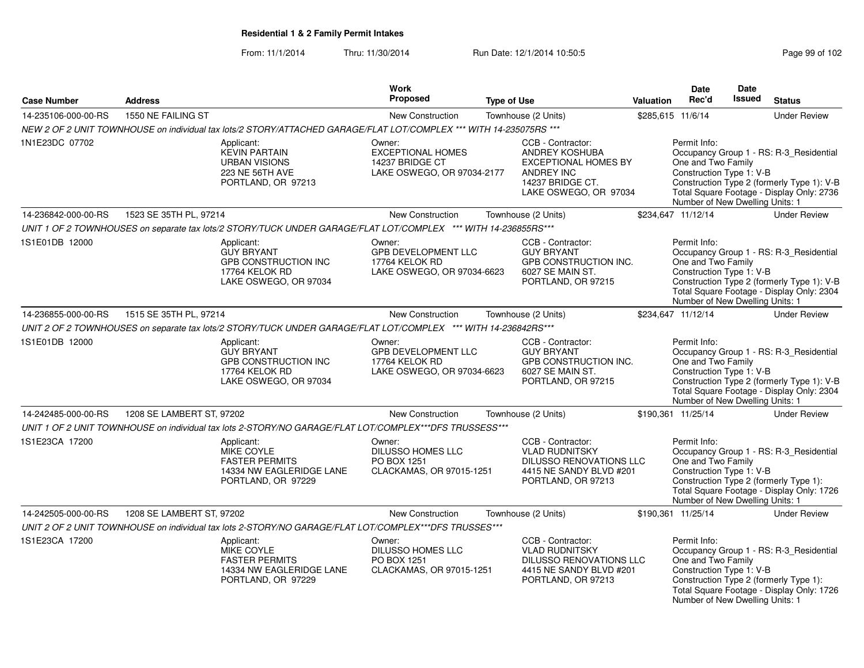From: 11/1/2014Thru: 11/30/2014 Run Date: 12/1/2014 10:50:5<br>
Page 99 of 102

|                     |                           |                                                                                                                    | Work                                                                                |                                                                                                                                             |           | Date                                                                                              | Date          |                                                                                                                                    |
|---------------------|---------------------------|--------------------------------------------------------------------------------------------------------------------|-------------------------------------------------------------------------------------|---------------------------------------------------------------------------------------------------------------------------------------------|-----------|---------------------------------------------------------------------------------------------------|---------------|------------------------------------------------------------------------------------------------------------------------------------|
| <b>Case Number</b>  | <b>Address</b>            |                                                                                                                    | <b>Proposed</b>                                                                     | <b>Type of Use</b>                                                                                                                          | Valuation | Rec'd                                                                                             | <b>Issued</b> | <b>Status</b>                                                                                                                      |
| 14-235106-000-00-RS | 1550 NE FAILING ST        |                                                                                                                    | <b>New Construction</b>                                                             | Townhouse (2 Units)                                                                                                                         |           | \$285,615 11/6/14                                                                                 |               | <b>Under Review</b>                                                                                                                |
|                     |                           | NEW 2 OF 2 UNIT TOWNHOUSE on individual tax lots/2 STORY/ATTACHED GARAGE/FLAT LOT/COMPLEX *** WITH 14-235075RS *** |                                                                                     |                                                                                                                                             |           |                                                                                                   |               |                                                                                                                                    |
| 1N1E23DC 07702      |                           | Applicant:<br><b>KEVIN PARTAIN</b><br><b>URBAN VISIONS</b><br>223 NE 56TH AVE<br>PORTLAND, OR 97213                | Owner:<br><b>EXCEPTIONAL HOMES</b><br>14237 BRIDGE CT<br>LAKE OSWEGO, OR 97034-2177 | CCB - Contractor:<br><b>ANDREY KOSHUBA</b><br><b>EXCEPTIONAL HOMES BY</b><br><b>ANDREY INC</b><br>14237 BRIDGE CT.<br>LAKE OSWEGO, OR 97034 |           | Permit Info:<br>One and Two Family<br>Construction Type 1: V-B<br>Number of New Dwelling Units: 1 |               | Occupancy Group 1 - RS: R-3 Residential<br>Construction Type 2 (formerly Type 1): V-B<br>Total Square Footage - Display Only: 2736 |
| 14-236842-000-00-RS | 1523 SE 35TH PL, 97214    |                                                                                                                    | New Construction                                                                    | Townhouse (2 Units)                                                                                                                         |           | \$234,647 11/12/14                                                                                |               | <b>Under Review</b>                                                                                                                |
|                     |                           | UNIT 1 OF 2 TOWNHOUSES on separate tax lots/2 STORY/TUCK UNDER GARAGE/FLAT LOT/COMPLEX *** WITH 14-236855RS***     |                                                                                     |                                                                                                                                             |           |                                                                                                   |               |                                                                                                                                    |
| 1S1E01DB 12000      |                           | Applicant:<br><b>GUY BRYANT</b><br>GPB CONSTRUCTION INC<br>17764 KELOK RD<br>LAKE OSWEGO, OR 97034                 | Owner:<br>GPB DEVELOPMENT LLC<br>17764 KELOK RD<br>LAKE OSWEGO, OR 97034-6623       | CCB - Contractor:<br><b>GUY BRYANT</b><br>GPB CONSTRUCTION INC.<br>6027 SE MAIN ST.<br>PORTLAND, OR 97215                                   |           | Permit Info:<br>One and Two Family<br>Construction Type 1: V-B<br>Number of New Dwelling Units: 1 |               | Occupancy Group 1 - RS: R-3_Residential<br>Construction Type 2 (formerly Type 1): V-B<br>Total Square Footage - Display Only: 2304 |
| 14-236855-000-00-RS | 1515 SE 35TH PL, 97214    |                                                                                                                    | New Construction                                                                    | Townhouse (2 Units)                                                                                                                         |           | \$234,647 11/12/14                                                                                |               | <b>Under Review</b>                                                                                                                |
|                     |                           | UNIT 2 OF 2 TOWNHOUSES on separate tax lots/2 STORY/TUCK UNDER GARAGE/FLAT LOT/COMPLEX *** WITH 14-236842RS***     |                                                                                     |                                                                                                                                             |           |                                                                                                   |               |                                                                                                                                    |
| 1S1E01DB 12000      |                           | Applicant:<br><b>GUY BRYANT</b><br>GPB CONSTRUCTION INC<br>17764 KELOK RD<br>LAKE OSWEGO, OR 97034                 | Owner:<br>GPB DEVELOPMENT LLC<br>17764 KELOK RD<br>LAKE OSWEGO, OR 97034-6623       | CCB - Contractor:<br><b>GUY BRYANT</b><br>GPB CONSTRUCTION INC.<br>6027 SE MAIN ST.<br>PORTLAND, OR 97215                                   |           | Permit Info:<br>One and Two Family<br>Construction Type 1: V-B<br>Number of New Dwelling Units: 1 |               | Occupancy Group 1 - RS: R-3_Residential<br>Construction Type 2 (formerly Type 1): V-B<br>Total Square Footage - Display Only: 2304 |
| 14-242485-000-00-RS | 1208 SE LAMBERT ST, 97202 |                                                                                                                    | New Construction                                                                    | Townhouse (2 Units)                                                                                                                         |           | \$190,361 11/25/14                                                                                |               | <b>Under Review</b>                                                                                                                |
|                     |                           | UNIT 1 OF 2 UNIT TOWNHOUSE on individual tax lots 2-STORY/NO GARAGE/FLAT LOT/COMPLEX***DFS TRUSSESS***             |                                                                                     |                                                                                                                                             |           |                                                                                                   |               |                                                                                                                                    |
| 1S1E23CA 17200      |                           | Applicant:<br><b>MIKE COYLE</b><br><b>FASTER PERMITS</b><br>14334 NW EAGLERIDGE LANE<br>PORTLAND, OR 97229         | Owner:<br><b>DILUSSO HOMES LLC</b><br>PO BOX 1251<br>CLACKAMAS, OR 97015-1251       | CCB - Contractor:<br><b>VLAD RUDNITSKY</b><br>DILUSSO RENOVATIONS LLC<br>4415 NE SANDY BLVD #201<br>PORTLAND, OR 97213                      |           | Permit Info:<br>One and Two Family<br>Construction Type 1: V-B<br>Number of New Dwelling Units: 1 |               | Occupancy Group 1 - RS: R-3_Residential<br>Construction Type 2 (formerly Type 1):<br>Total Square Footage - Display Only: 1726     |
| 14-242505-000-00-RS | 1208 SE LAMBERT ST, 97202 |                                                                                                                    | New Construction                                                                    | Townhouse (2 Units)                                                                                                                         |           | \$190,361 11/25/14                                                                                |               | <b>Under Review</b>                                                                                                                |
|                     |                           | UNIT 2 OF 2 UNIT TOWNHOUSE on individual tax lots 2-STORY/NO GARAGE/FLAT LOT/COMPLEX***DFS TRUSSES***              |                                                                                     |                                                                                                                                             |           |                                                                                                   |               |                                                                                                                                    |
| 1S1E23CA 17200      |                           | Applicant:<br><b>MIKE COYLE</b><br><b>FASTER PERMITS</b><br>14334 NW EAGLERIDGE LANE<br>PORTLAND, OR 97229         | Owner:<br>DILUSSO HOMES LLC<br>PO BOX 1251<br>CLACKAMAS, OR 97015-1251              | CCB - Contractor:<br><b>VLAD RUDNITSKY</b><br><b>DILUSSO RENOVATIONS LLC</b><br>4415 NE SANDY BLVD #201<br>PORTLAND, OR 97213               |           | Permit Info:<br>One and Two Family<br>Construction Type 1: V-B<br>Number of New Dwelling Units: 1 |               | Occupancy Group 1 - RS: R-3_Residential<br>Construction Type 2 (formerly Type 1):<br>Total Square Footage - Display Only: 1726     |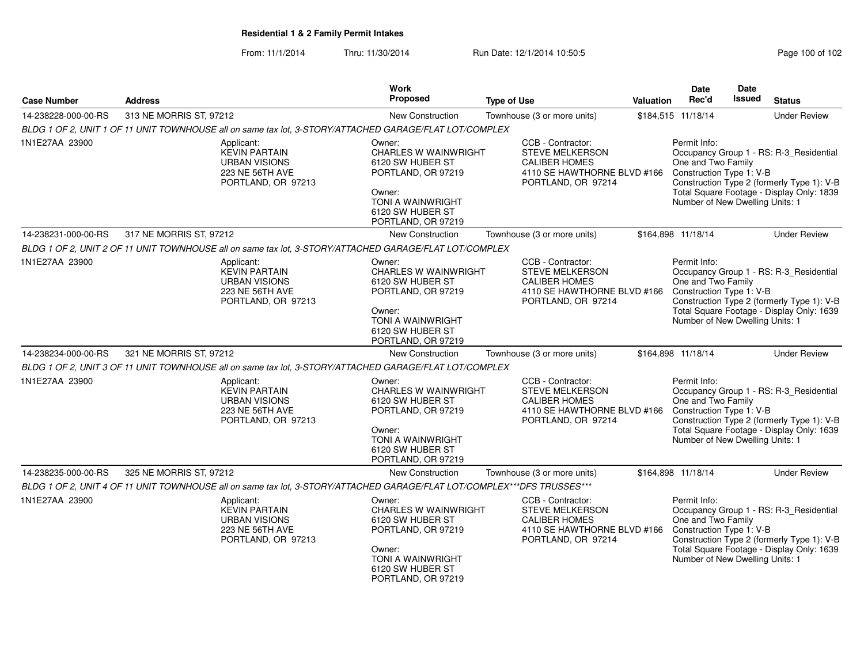From: 11/1/2014Thru: 11/30/2014 Run Date: 12/1/2014 10:50:5<br>
Page 100 of 102

| <b>Case Number</b>  | <b>Address</b>                                                                                                          | <b>Work</b><br>Proposed                                                                                                                                         | <b>Type of Use</b>                                                                                                       | <b>Valuation</b> | Date<br>Rec'd                                                                                     | Date<br><b>Issued</b> | <b>Status</b>                                                                                                                      |
|---------------------|-------------------------------------------------------------------------------------------------------------------------|-----------------------------------------------------------------------------------------------------------------------------------------------------------------|--------------------------------------------------------------------------------------------------------------------------|------------------|---------------------------------------------------------------------------------------------------|-----------------------|------------------------------------------------------------------------------------------------------------------------------------|
| 14-238228-000-00-RS | 313 NE MORRIS ST, 97212                                                                                                 | <b>New Construction</b>                                                                                                                                         | Townhouse (3 or more units)                                                                                              |                  | \$184,515 11/18/14                                                                                |                       | <b>Under Review</b>                                                                                                                |
|                     | BLDG 1 OF 2, UNIT 1 OF 11 UNIT TOWNHOUSE all on same tax lot, 3-STORY/ATTACHED GARAGE/FLAT LOT/COMPLEX                  |                                                                                                                                                                 |                                                                                                                          |                  |                                                                                                   |                       |                                                                                                                                    |
| 1N1E27AA 23900      | Applicant:<br><b>KEVIN PARTAIN</b><br><b>URBAN VISIONS</b><br>223 NE 56TH AVE<br>PORTLAND, OR 97213                     | Owner:<br><b>CHARLES W WAINWRIGHT</b><br>6120 SW HUBER ST<br>PORTLAND, OR 97219<br>Owner:<br>TONI A WAINWRIGHT<br>6120 SW HUBER ST<br>PORTLAND, OR 97219        | CCB - Contractor:<br><b>STEVE MELKERSON</b><br><b>CALIBER HOMES</b><br>4110 SE HAWTHORNE BLVD #166<br>PORTLAND, OR 97214 |                  | Permit Info:<br>One and Two Family<br>Construction Type 1: V-B<br>Number of New Dwelling Units: 1 |                       | Occupancy Group 1 - RS: R-3_Residential<br>Construction Type 2 (formerly Type 1): V-B<br>Total Square Footage - Display Only: 1839 |
| 14-238231-000-00-RS | 317 NE MORRIS ST, 97212                                                                                                 | New Construction                                                                                                                                                | Townhouse (3 or more units)                                                                                              |                  | \$164,898 11/18/14                                                                                |                       | <b>Under Review</b>                                                                                                                |
|                     | BLDG 1 OF 2, UNIT 2 OF 11 UNIT TOWNHOUSE all on same tax lot, 3-STORY/ATTACHED GARAGE/FLAT LOT/COMPLEX                  |                                                                                                                                                                 |                                                                                                                          |                  |                                                                                                   |                       |                                                                                                                                    |
| 1N1E27AA 23900      | Applicant:<br><b>KEVIN PARTAIN</b><br><b>URBAN VISIONS</b><br>223 NE 56TH AVE<br>PORTLAND, OR 97213                     | Owner:<br><b>CHARLES W WAINWRIGHT</b><br>6120 SW HUBER ST<br>PORTLAND, OR 97219<br>Owner:<br><b>TONI A WAINWRIGHT</b><br>6120 SW HUBER ST<br>PORTLAND, OR 97219 | CCB - Contractor:<br><b>STEVE MELKERSON</b><br><b>CALIBER HOMES</b><br>4110 SE HAWTHORNE BLVD #166<br>PORTLAND, OR 97214 |                  | Permit Info:<br>One and Two Family<br>Construction Type 1: V-B<br>Number of New Dwelling Units: 1 |                       | Occupancy Group 1 - RS: R-3_Residential<br>Construction Type 2 (formerly Type 1): V-B<br>Total Square Footage - Display Only: 1639 |
| 14-238234-000-00-RS | 321 NE MORRIS ST, 97212                                                                                                 | <b>New Construction</b>                                                                                                                                         | Townhouse (3 or more units)                                                                                              |                  | \$164,898 11/18/14                                                                                |                       | <b>Under Review</b>                                                                                                                |
|                     | BLDG 1 OF 2, UNIT 3 OF 11 UNIT TOWNHOUSE all on same tax lot, 3-STORY/ATTACHED GARAGE/FLAT LOT/COMPLEX                  |                                                                                                                                                                 |                                                                                                                          |                  |                                                                                                   |                       |                                                                                                                                    |
| 1N1E27AA 23900      | Applicant:<br><b>KEVIN PARTAIN</b><br><b>URBAN VISIONS</b><br>223 NE 56TH AVE<br>PORTLAND, OR 97213                     | Owner:<br><b>CHARLES W WAINWRIGHT</b><br>6120 SW HUBER ST<br>PORTLAND, OR 97219<br>Owner:<br><b>TONI A WAINWRIGHT</b><br>6120 SW HUBER ST<br>PORTLAND, OR 97219 | CCB - Contractor:<br><b>STEVE MELKERSON</b><br><b>CALIBER HOMES</b><br>4110 SE HAWTHORNE BLVD #166<br>PORTLAND, OR 97214 |                  | Permit Info:<br>One and Two Family<br>Construction Type 1: V-B<br>Number of New Dwelling Units: 1 |                       | Occupancy Group 1 - RS: R-3_Residential<br>Construction Type 2 (formerly Type 1): V-B<br>Total Square Footage - Display Only: 1639 |
| 14-238235-000-00-RS | 325 NE MORRIS ST, 97212                                                                                                 | <b>New Construction</b>                                                                                                                                         | Townhouse (3 or more units)                                                                                              |                  | \$164,898 11/18/14                                                                                |                       | <b>Under Review</b>                                                                                                                |
|                     | BLDG 1 OF 2, UNIT 4 OF 11 UNIT TOWNHOUSE all on same tax lot, 3-STORY/ATTACHED GARAGE/FLAT LOT/COMPLEX***DFS TRUSSES*** |                                                                                                                                                                 |                                                                                                                          |                  |                                                                                                   |                       |                                                                                                                                    |
| 1N1E27AA 23900      | Applicant:<br><b>KEVIN PARTAIN</b><br><b>URBAN VISIONS</b><br>223 NE 56TH AVE<br>PORTLAND, OR 97213                     | Owner:<br><b>CHARLES W WAINWRIGHT</b><br>6120 SW HUBER ST<br>PORTLAND, OR 97219<br>Owner:<br><b>TONI A WAINWRIGHT</b><br>6120 SW HUBER ST<br>PORTLAND, OR 97219 | CCB - Contractor:<br>STEVE MELKERSON<br><b>CALIBER HOMES</b><br>4110 SE HAWTHORNE BLVD #166<br>PORTLAND, OR 97214        |                  | Permit Info:<br>One and Two Family<br>Construction Type 1: V-B<br>Number of New Dwelling Units: 1 |                       | Occupancy Group 1 - RS: R-3_Residential<br>Construction Type 2 (formerly Type 1): V-B<br>Total Square Footage - Display Only: 1639 |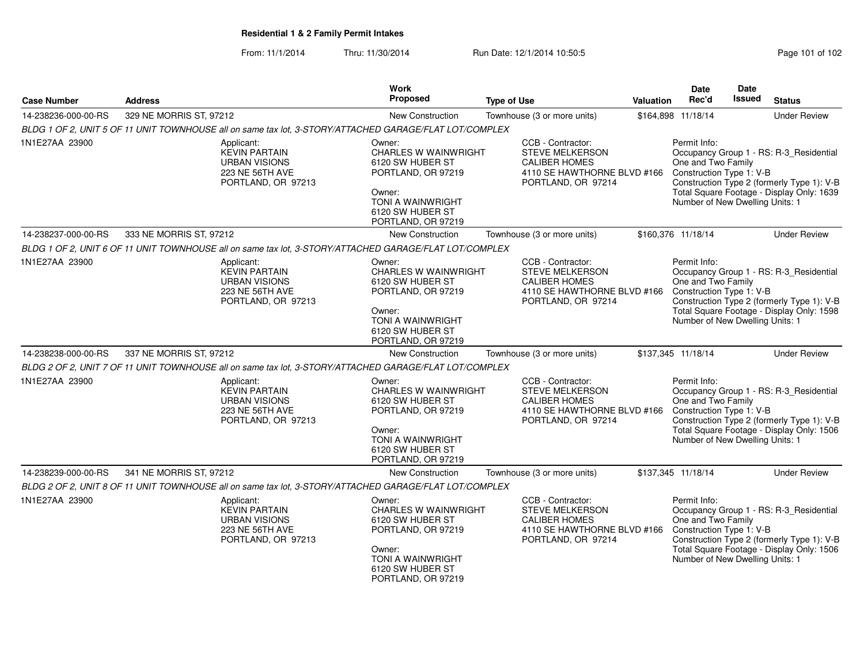From: 11/1/2014Thru: 11/30/2014 Run Date: 12/1/2014 10:50:5<br>
Page 101 of 102

| <b>Case Number</b>  | <b>Address</b>          |                                                                                                        | <b>Work</b><br>Proposed                                                                                                                                         | <b>Type of Use</b> |                                                                                                                          | <b>Valuation</b> | Date<br>Rec'd                                                                                     | Date<br><b>Issued</b> | <b>Status</b>                                                                                                                      |
|---------------------|-------------------------|--------------------------------------------------------------------------------------------------------|-----------------------------------------------------------------------------------------------------------------------------------------------------------------|--------------------|--------------------------------------------------------------------------------------------------------------------------|------------------|---------------------------------------------------------------------------------------------------|-----------------------|------------------------------------------------------------------------------------------------------------------------------------|
| 14-238236-000-00-RS | 329 NE MORRIS ST, 97212 |                                                                                                        | <b>New Construction</b>                                                                                                                                         |                    | Townhouse (3 or more units)                                                                                              |                  | \$164,898 11/18/14                                                                                |                       | <b>Under Review</b>                                                                                                                |
|                     |                         | BLDG 1 OF 2, UNIT 5 OF 11 UNIT TOWNHOUSE all on same tax lot, 3-STORY/ATTACHED GARAGE/FLAT LOT/COMPLEX |                                                                                                                                                                 |                    |                                                                                                                          |                  |                                                                                                   |                       |                                                                                                                                    |
| 1N1E27AA 23900      |                         | Applicant:<br><b>KEVIN PARTAIN</b><br><b>URBAN VISIONS</b><br>223 NE 56TH AVE<br>PORTLAND, OR 97213    | Owner:<br><b>CHARLES W WAINWRIGHT</b><br>6120 SW HUBER ST<br>PORTLAND, OR 97219<br>Owner:<br>TONI A WAINWRIGHT<br>6120 SW HUBER ST<br>PORTLAND, OR 97219        |                    | CCB - Contractor:<br><b>STEVE MELKERSON</b><br><b>CALIBER HOMES</b><br>4110 SE HAWTHORNE BLVD #166<br>PORTLAND, OR 97214 |                  | Permit Info:<br>One and Two Family<br>Construction Type 1: V-B<br>Number of New Dwelling Units: 1 |                       | Occupancy Group 1 - RS: R-3_Residential<br>Construction Type 2 (formerly Type 1): V-B<br>Total Square Footage - Display Only: 1639 |
| 14-238237-000-00-RS | 333 NE MORRIS ST, 97212 |                                                                                                        | <b>New Construction</b>                                                                                                                                         |                    | Townhouse (3 or more units)                                                                                              |                  | \$160,376 11/18/14                                                                                |                       | <b>Under Review</b>                                                                                                                |
|                     |                         | BLDG 1 OF 2, UNIT 6 OF 11 UNIT TOWNHOUSE all on same tax lot, 3-STORY/ATTACHED GARAGE/FLAT LOT/COMPLEX |                                                                                                                                                                 |                    |                                                                                                                          |                  |                                                                                                   |                       |                                                                                                                                    |
| 1N1E27AA 23900      |                         | Applicant:<br><b>KEVIN PARTAIN</b><br><b>URBAN VISIONS</b><br>223 NE 56TH AVE<br>PORTLAND, OR 97213    | Owner:<br><b>CHARLES W WAINWRIGHT</b><br>6120 SW HUBER ST<br>PORTLAND, OR 97219<br>Owner:<br>TONI A WAINWRIGHT<br>6120 SW HUBER ST<br>PORTLAND, OR 97219        |                    | CCB - Contractor:<br><b>STEVE MELKERSON</b><br><b>CALIBER HOMES</b><br>4110 SE HAWTHORNE BLVD #166<br>PORTLAND, OR 97214 |                  | Permit Info:<br>One and Two Family<br>Construction Type 1: V-B<br>Number of New Dwelling Units: 1 |                       | Occupancy Group 1 - RS: R-3_Residential<br>Construction Type 2 (formerly Type 1): V-B<br>Total Square Footage - Display Only: 1598 |
| 14-238238-000-00-RS | 337 NE MORRIS ST, 97212 |                                                                                                        | New Construction                                                                                                                                                |                    | Townhouse (3 or more units)                                                                                              |                  | \$137,345 11/18/14                                                                                |                       | <b>Under Review</b>                                                                                                                |
|                     |                         | BLDG 2 OF 2, UNIT 7 OF 11 UNIT TOWNHOUSE all on same tax lot, 3-STORY/ATTACHED GARAGE/FLAT LOT/COMPLEX |                                                                                                                                                                 |                    |                                                                                                                          |                  |                                                                                                   |                       |                                                                                                                                    |
| 1N1E27AA 23900      |                         | Applicant:<br><b>KEVIN PARTAIN</b><br><b>URBAN VISIONS</b><br>223 NE 56TH AVE<br>PORTLAND, OR 97213    | Owner:<br><b>CHARLES W WAINWRIGHT</b><br>6120 SW HUBER ST<br>PORTLAND, OR 97219<br>Owner:<br><b>TONI A WAINWRIGHT</b><br>6120 SW HUBER ST<br>PORTLAND, OR 97219 |                    | CCB - Contractor:<br><b>STEVE MELKERSON</b><br><b>CALIBER HOMES</b><br>4110 SE HAWTHORNE BLVD #166<br>PORTLAND, OR 97214 |                  | Permit Info:<br>One and Two Family<br>Construction Type 1: V-B<br>Number of New Dwelling Units: 1 |                       | Occupancy Group 1 - RS: R-3_Residential<br>Construction Type 2 (formerly Type 1): V-B<br>Total Square Footage - Display Only: 1506 |
| 14-238239-000-00-RS | 341 NE MORRIS ST, 97212 |                                                                                                        | <b>New Construction</b>                                                                                                                                         |                    | Townhouse (3 or more units)                                                                                              |                  | \$137,345 11/18/14                                                                                |                       | <b>Under Review</b>                                                                                                                |
|                     |                         | BLDG 2 OF 2, UNIT 8 OF 11 UNIT TOWNHOUSE all on same tax lot, 3-STORY/ATTACHED GARAGE/FLAT LOT/COMPLEX |                                                                                                                                                                 |                    |                                                                                                                          |                  |                                                                                                   |                       |                                                                                                                                    |
| 1N1E27AA 23900      |                         | Applicant:<br><b>KEVIN PARTAIN</b><br><b>URBAN VISIONS</b><br>223 NE 56TH AVE<br>PORTLAND, OR 97213    | Owner:<br><b>CHARLES W WAINWRIGHT</b><br>6120 SW HUBER ST<br>PORTLAND, OR 97219<br>Owner:<br>TONI A WAINWRIGHT<br>6120 SW HUBER ST<br>PORTLAND, OR 97219        |                    | CCB - Contractor:<br>STEVE MELKERSON<br><b>CALIBER HOMES</b><br>4110 SE HAWTHORNE BLVD #166<br>PORTLAND, OR 97214        |                  | Permit Info:<br>One and Two Family<br>Construction Type 1: V-B<br>Number of New Dwelling Units: 1 |                       | Occupancy Group 1 - RS: R-3_Residential<br>Construction Type 2 (formerly Type 1): V-B<br>Total Square Footage - Display Only: 1506 |